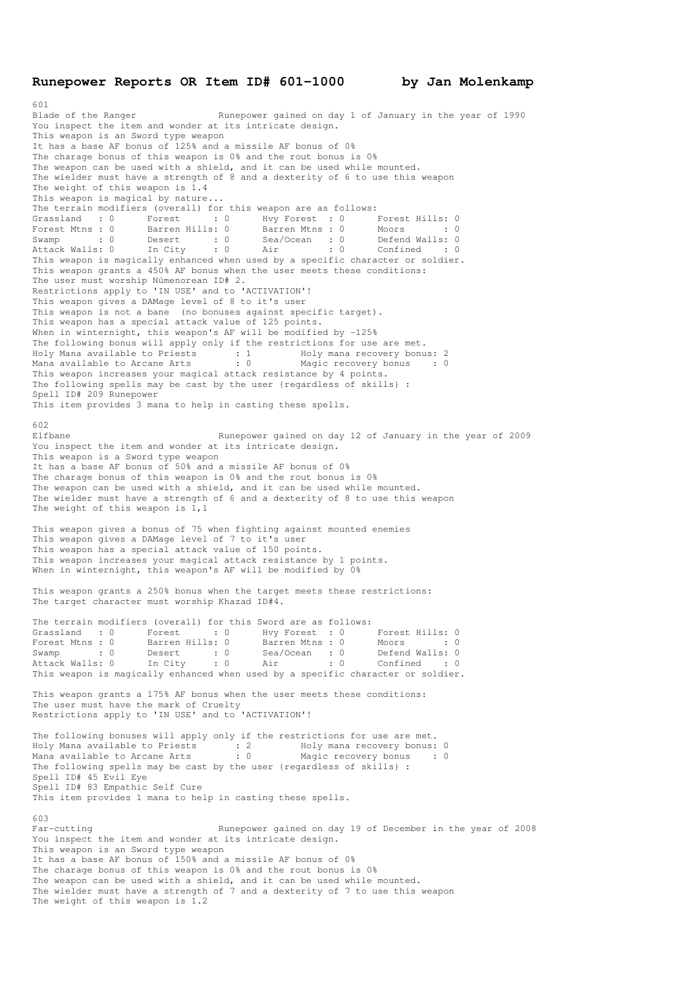## **Runepower Reports OR Item ID# 601-1000 by Jan Molenkamp**

601 Blade of the Ranger Runepower gained on day 1 of January in the year of 1990 You inspect the item and wonder at its intricate design. This weapon is an Sword type weapon It has a base AF bonus of 125% and a missile AF bonus of 0% The charage bonus of this weapon is 0% and the rout bonus is 0% The weapon can be used with a shield, and it can be used while mounted. The wielder must have a strength of 8 and a dexterity of 6 to use this weapon The weight of this weapon is 1.4 This weapon is magical by nature... The terrain modifiers (overall) for this weapon are as follows: Grassland : 0 Forest : 0 Hvy Forest : 0 Forest Hills: 0 Forest Mtns : 0 Barren Hills: 0 Barren Mtns : 0 Moors : 0 : 0 Swamp : 0 Desert : 0 Sea/Ocean : 0 Defend Walls: 0 Attack Walls: 0 In City : 0 Air : 0 Confined : 0 Swamp : 0 Desert : 0 Sea/Ocean : 0 Moors : 0<br>Attack Walls: 0 In City : 0 Air : 0 Confined : 0<br>This weapon is magically enhanced when used by a specific character or soldier. This weapon grants a 450% AF bonus when the user meets these conditions: The user must worship Númenorean ID# 2. Restrictions apply to 'IN USE' and to 'ACTIVATION'! This weapon gives a DAMage level of 8 to it's user This weapon is not a bane (no bonuses against specific target). This weapon has a special attack value of 125 points. When in winternight, this weapon's AF will be modified by -125% The following bonus will apply only if the restrictions for use are met. Holy Mana available to Priests : 1 Holy mana recovery bonus: 2<br>
Mana available to Arcane Arts : 0 Magic recovery bonus : 0 Mana available to Arcane Arts : 0 Magic recovery bonus : 0 This weapon increases your magical attack resistance by 4 points. The following spells may be cast by the user {regardless of skills} : Spell ID# 209 Runepower This item provides 3 mana to help in casting these spells. 602 Elfbane Runepower gained on day 12 of January in the year of 2009 You inspect the item and wonder at its intricate design. This weapon is a Sword type weapon It has a base AF bonus of 50% and a missile AF bonus of 0% The charage bonus of this weapon is 0% and the rout bonus is 0% The weapon can be used with a shield, and it can be used while mounted. The wielder must have a strength of 6 and a dexterity of 8 to use this weapon The weight of this weapon is 1,1 This weapon gives a bonus of 75 when fighting against mounted enemies This weapon gives a DAMage level of 7 to it's user This weapon has a special attack value of 150 points. This weapon increases your magical attack resistance by 1 points. When in winternight, this weapon's AF will be modified by 0% This weapon grants a 250% bonus when the target meets these restrictions: The target character must worship Khazad ID#4. The terrain modifiers (overall) for this Sword are as follows: Grassland : 0 Forest : 0 Hvy Forest : 0 Forest Hills: 0 Forest Mtns : 0 Barren Hills: 0 Barren Mtns : 0 Moors : 0 : 0 Swamp : 0 Desert : 0 Sea/Ocean : 0 Defend Walls: 0 Attack Walls: 0 In City : 0 Air : 0 Confined : 0 This weapon is magically enhanced when used by a specific character or soldier. This weapon grants a 175% AF bonus when the user meets these conditions: The user must have the mark of Cruelty Restrictions apply to 'IN USE' and to 'ACTIVATION'! The following bonuses will apply only if the restrictions for use are met. Holy Mana available to Priests : 2 Holy mana recovery bonus: 0 Mana available to Arcane Arts : 0 Magic recovery bonus : 0 The following spells may be cast by the user {regardless of skills} : Spell ID# 45 Evil Eye Spell ID# 83 Empathic Self Cure This item provides 1 mana to help in casting these spells. 603 Far-cutting The Runepower gained on day 19 of December in the year of 2008 You inspect the item and wonder at its intricate design. This weapon is an Sword type weapon It has a base AF bonus of 150% and a missile AF bonus of 0% The charage bonus of this weapon is 0% and the rout bonus is 0% The weapon can be used with a shield, and it can be used while mounted. The wielder must have a strength of 7 and a dexterity of 7 to use this weapon The weight of this weapon is 1.2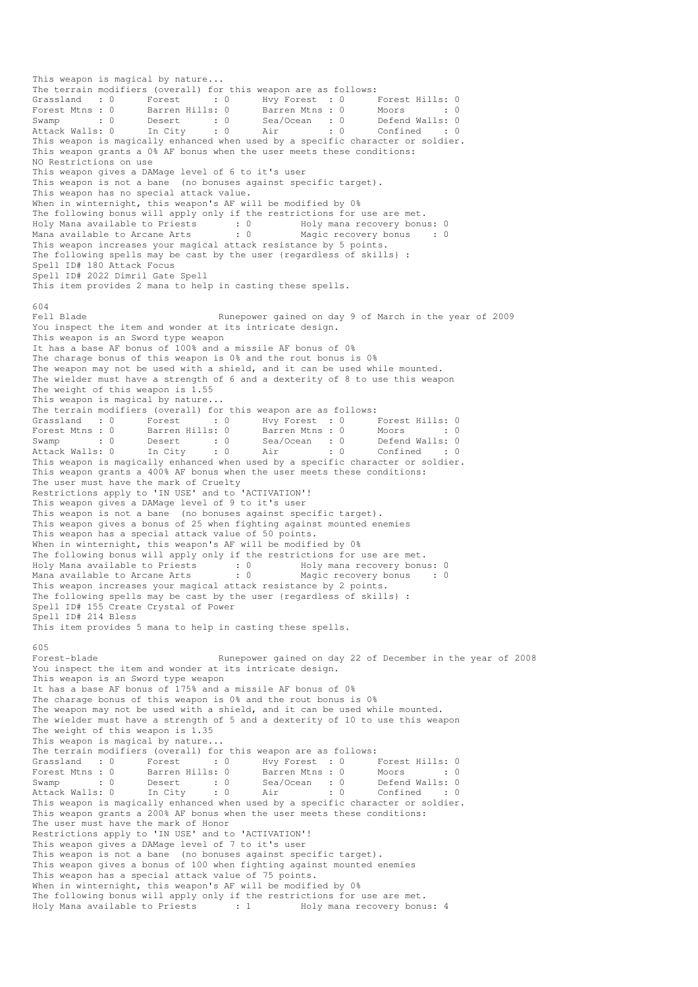This weapon is magical by nature... The terrain modifiers (overall) for this weapon are as follows:<br>
Grassland : 0 Forest : 0 Hvy Forest : 0 I<br>
Forest Mtns : 0 Barren Hills: 0 Barren Mtns : 0 1 Grassland : 0 Forest : 0 Hvy Forest : 0 Forest Hills: 0 Forest Mtns : 0 Barren Hills: 0 Barren Mtns : 0 Moors : 0 : 0 Swamp : 0 Desert : 0 Sea/Ocean : 0 Defend Walls: 0 Attack Walls: 0 In City : 0 Air : 0 Confined : 0 Swamp : 0 Desert : 0 Desert : 0 Sea/Ocean : 0 Defend Walls: 0<br>Attack Walls: 0 In City : 0 Air : 0 Confined : 0<br>This weapon is magically enhanced when used by a specific character or soldier. This weapon grants a 0% AF bonus when the user meets these conditions: NO Restrictions on use This weapon gives a DAMage level of 6 to it's user This weapon is not a bane (no bonuses against specific target). This weapon has no special attack value. When in winternight, this weapon's AF will be modified by 0% The following bonus will apply only if the restrictions for use are met. Holy Mana available to Priests : 0 Holy mana recovery bonus: 0 Mana available to Arcane Arts : 0 Magic recovery bonus : 0 This weapon increases your magical attack resistance by 5 points. The following spells may be cast by the user {regardless of skills} : Spell ID# 180 Attack Focus Spell ID# 2022 Dimril Gate Spell This item provides 2 mana to help in casting these spells. 604<br>Fell Blade Runepower gained on day 9 of March in the year of 2009 You inspect the item and wonder at its intricate design. This weapon is an Sword type weapon It has a base AF bonus of 100% and a missile AF bonus of 0% The charage bonus of this weapon is 0% and the rout bonus is 0% The weapon may not be used with a shield, and it can be used while mounted. The wielder must have a strength of 6 and a dexterity of 8 to use this weapon The weight of this weapon is 1.55 This weapon is magical by nature... The terrain modifiers (overall) for this weapon are as follows: Grassland : 0 Forest : 0 Hvy Forest : 0 Forest Hills: 0 Forest Mtns : 0 Barren Hills: 0 Barren Mtns : 0 Moors : 0 : 0 Swamp : 0 Desert : 0 Sea/Ocean : 0 Defend Walls: 0 Attack Walls: 0 In City : 0 Air : 0 Confined : 0 This weapon is magically enhanced when used by a specific character or soldier. This weapon grants a 400% AF bonus when the user meets these conditions: The user must have the mark of Cruelty Restrictions apply to 'IN USE' and to 'ACTIVATION'! This weapon gives a DAMage level of 9 to it's user This weapon is not a bane (no bonuses against specific target). This weapon gives a bonus of 25 when fighting against mounted enemies This weapon has a special attack value of 50 points. When in winternight, this weapon's AF will be modified by 0% The following bonus will apply only if the restrictions for use are met.<br>Holy Mana available to Priests : 0 Holy mana recovery bonus: 0 Holy Mana available to Priests : 0<br>Mana available to Arcane Arts : 0 Mana available to Arcane Arts : 0 Magic recovery bonus : 0 This weapon increases your magical attack resistance by 2 points. The following spells may be cast by the user {regardless of skills} : Spell ID# 155 Create Crystal of Power Spell ID# 214 Bless This item provides 5 mana to help in casting these spells. 605<br>Forest-blade Runepower gained on day 22 of December in the year of 2008 You inspect the item and wonder at its intricate design. This weapon is an Sword type weapon It has a base AF bonus of 175% and a missile AF bonus of 0% The charage bonus of this weapon is 0% and the rout bonus is 0% The weapon may not be used with a shield, and it can be used while mounted. The wielder must have a strength of 5 and a dexterity of 10 to use this weapon The weight of this weapon is 1.35 This weapon is magical by nature... The terrain modifiers (overall) for this weapon are as follows: Grassland : 0 Forest : 0 Hvy Forest : 0 Forest Hills: 0 Forest Mtns : 0 Barren Hills: 0 Barren Mtns : 0 Moors : 0 : 0 Swamp : 0 Desert : 0 Sea/Ocean : 0 Defend Walls: 0 Attack Walls: 0 In City : 0 Air : 0 Confined : 0 This weapon is magically enhanced when used by a specific character or soldier. This weapon grants a 200% AF bonus when the user meets these conditions: The user must have the mark of Honor Restrictions apply to 'IN USE' and to 'ACTIVATION'! This weapon gives a DAMage level of 7 to it's user This weapon is not a bane (no bonuses against specific target). This weapon gives a bonus of 100 when fighting against mounted enemies This weapon has a special attack value of 75 points. When in winternight, this weapon's AF will be modified by 0% The following bonus will apply only if the restrictions for use are met. Holy Mana available to Priests : 1 Holy mana recovery bonus: 4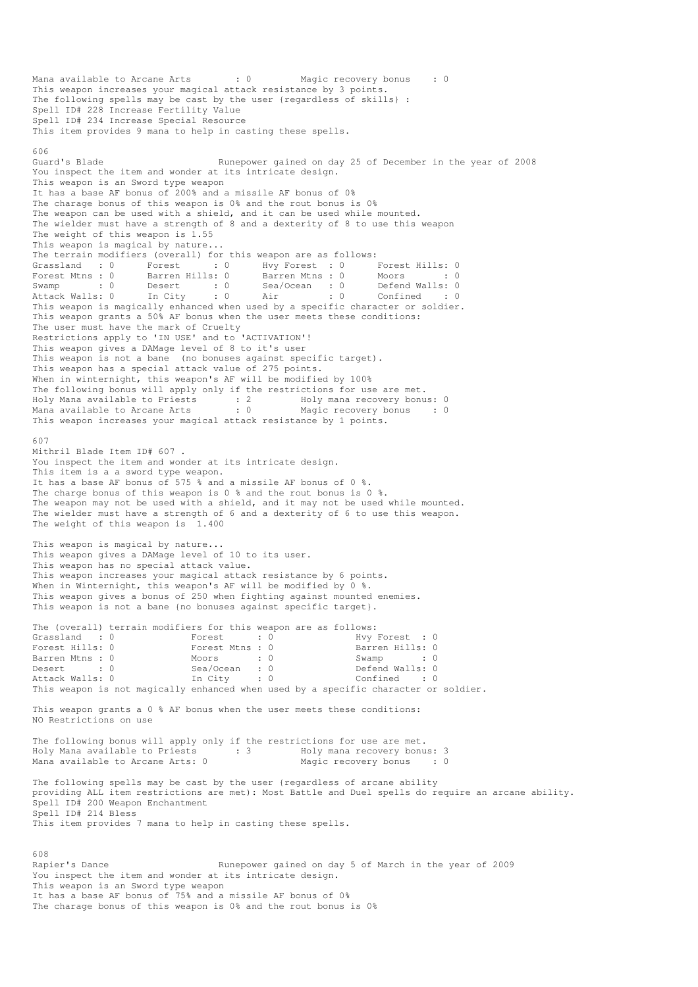Mana available to Arcane Arts : 0 Magic recovery bonus : 0 This weapon increases your magical attack resistance by 3 points. The following spells may be cast by the user {regardless of skills} : Spell ID# 228 Increase Fertility Value Spell ID# 234 Increase Special Resource This item provides 9 mana to help in casting these spells. 606<br>Guard's Blade Runepower gained on day 25 of December in the year of 2008 You inspect the item and wonder at its intricate design. This weapon is an Sword type weapon It has a base AF bonus of 200% and a missile AF bonus of 0% The charage bonus of this weapon is 0% and the rout bonus is 0% The weapon can be used with a shield, and it can be used while mounted. The wielder must have a strength of 8 and a dexterity of 8 to use this weapon The weight of this weapon is  $1.55$ This weapon is magical by nature... The terrain modifiers (overall) for this weapon are as follows: Grassland : 0 Forest : 0 Hvy Forest : 0 Forest Hills: 0<br>Forest Mtns : 0 Barren Hills: 0 Barren Mtns : 0 Moors : 0 Forest Mtns : 0 Barren Hills: 0 Barren Mtns : 0 Moors : 0 Swamp : 0 Desert : 0 Sea/Ocean : 0 Defend Walls: 0 Attack Walls: 0 In City : 0 Air : 0 Confined : 0 This weapon is magically enhanced when used by a specific character or soldier. This weapon grants a 50% AF bonus when the user meets these conditions: The user must have the mark of Cruelty Restrictions apply to 'IN USE' and to 'ACTIVATION'! This weapon gives a DAMage level of 8 to it's user This weapon is not a bane (no bonuses against specific target). This weapon has a special attack value of 275 points. When in winternight, this weapon's AF will be modified by 100% The following bonus will apply only if the restrictions for use are met. Holy Mana available to Priests : 2 Holy mana recovery bonus: 0 Mana available to Arcane Arts : 0 Magic recovery bonus : 0 This weapon increases your magical attack resistance by 1 points. 607 Mithril Blade Item ID# 607 . You inspect the item and wonder at its intricate design. This item is a a sword type weapon. It has a base AF bonus of 575 % and a missile AF bonus of 0 %. The charge bonus of this weapon is 0 % and the rout bonus is 0 %. The weapon may not be used with a shield, and it may not be used while mounted. The wielder must have a strength of 6 and a dexterity of 6 to use this weapon. The weight of this weapon is 1.400 This weapon is magical by nature... This weapon gives a DAMage level of 10 to its user. This weapon has no special attack value. This weapon increases your magical attack resistance by 6 points. When in Winternight, this weapon's AF will be modified by 0 %. This weapon gives a bonus of 250 when fighting against mounted enemies. This weapon is not a bane {no bonuses against specific target}. The (overall) terrain modifiers for this weapon are as follows:<br>
Grassland : 0  $\frac{1}{2}$  Forest : 0  $\frac{1}{2}$  Earren Hills: 0 Grassland : 0 Forest : 0 Hvy Forest : 0 Forest Hills: 0 Forest Mtns : 0 Barren Hills: 0 Barren Mtns : 0 Moors : 0 Swamp : 0 Desert : 0 Sea/Ocean : 0 Defend Walls: 0 Attack Walls: 0 In City : 0 Confined : 0 This weapon is not magically enhanced when used by a specific character or soldier. This weapon grants a 0 % AF bonus when the user meets these conditions: NO Restrictions on use The following bonus will apply only if the restrictions for use are met.<br>Holy Mana available to Priests : 3 Holy mana recovery bonus: 3 Holy Mana available to Priests Mana available to Arcane Arts: 0 Magic recovery bonus : 0 The following spells may be cast by the user {regardless of arcane ability providing ALL item restrictions are met): Most Battle and Duel spells do require an arcane ability. Spell ID# 200 Weapon Enchantment Spell ID# 214 Bless This item provides 7 mana to help in casting these spells. 608 Rapier's Dance **Runepower gained on day 5 of March in the year of 2009** You inspect the item and wonder at its intricate design. This weapon is an Sword type weapon It has a base AF bonus of 75% and a missile AF bonus of 0%

The charage bonus of this weapon is 0% and the rout bonus is 0%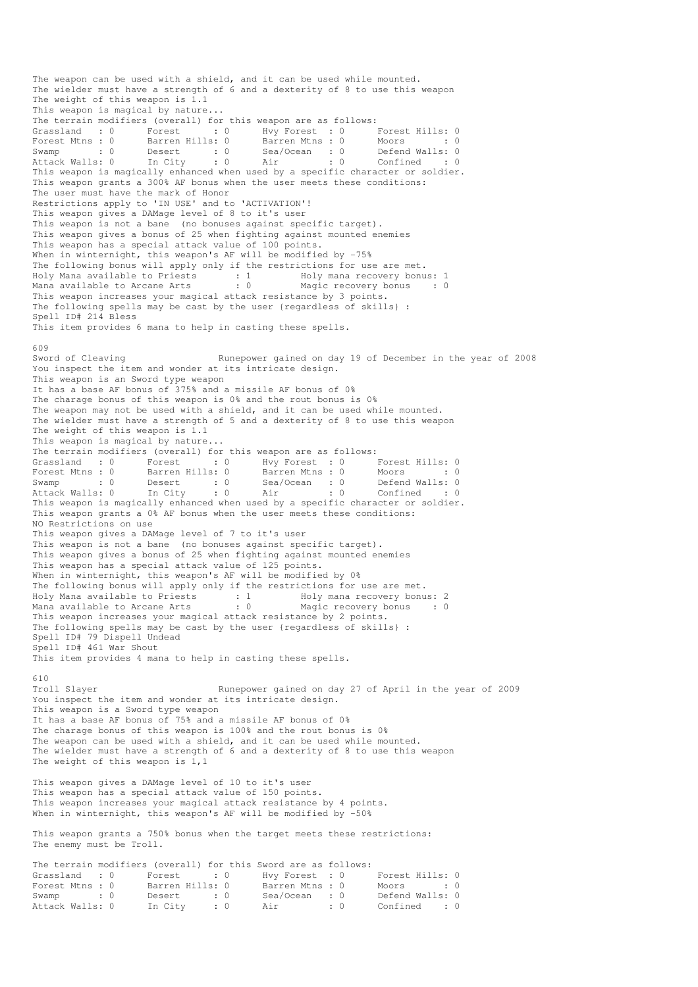The weapon can be used with a shield, and it can be used while mounted. The wielder must have a strength of 6 and a dexterity of 8 to use this weapon The weight of this weapon is 1.1 This weapon is magical by nature... The terrain modifiers (overall) for this weapon are as follows: Grassland : 0 Forest : 0 Hvy Forest : 0 Forest Hills: 0 Forest Mtns : 0 Barren Hills: 0 Barren Mtns : 0 Moors : 0 Swamp : 0 Desert : 0 Sea/Ocean : 0 Defend Walls: 0 Attack Walls: 0 In City : 0 Air : 0 Confined : 0 This weapon is magically enhanced when used by a specific character or soldier. This weapon grants a 300% AF bonus when the user meets these conditions: The user must have the mark of Honor Restrictions apply to 'IN USE' and to 'ACTIVATION'! This weapon gives a DAMage level of 8 to it's user This weapon is not a bane (no bonuses against specific target). This weapon gives a bonus of 25 when fighting against mounted enemies This weapon has a special attack value of 100 points. When in winternight, this weapon's AF will be modified by -75% The following bonus will apply only if the restrictions for use are met. Holy Mana available to Priests : 1 Holy mana recovery bonus: 1 Mana available to Arcane Arts : 0 Magic recovery bonus : 0 This weapon increases your magical attack resistance by 3 points. The following spells may be cast by the user {regardless of skills} : Spell ID# 214 Bless This item provides 6 mana to help in casting these spells. 609<br>Sword of Cleaving Runepower gained on day 19 of December in the year of 2008 You inspect the item and wonder at its intricate design. This weapon is an Sword type weapon It has a base AF bonus of 375% and a missile AF bonus of 0% The charage bonus of this weapon is 0% and the rout bonus is 0% The weapon may not be used with a shield, and it can be used while mounted. The wielder must have a strength of 5 and a dexterity of 8 to use this weapon The weight of this weapon is 1.1 This weapon is magical by nature... The terrain modifiers (overall) for this weapon are as follows: Grassland : 0 Forest : 0 Hvy Forest : 0 Forest Hills: 0 Forest Mtns : 0 Barren Hills: 0 Barren Mtns : 0 Moors : 0 : 0 Swamp : 0 Desert : 0 Sea/Ocean : 0 Defend Walls: 0 Attack Walls: 0 In City : 0 Air : 0 Confined : 0 This weapon is magically enhanced when used by a specific character or soldier. This weapon grants a 0% AF bonus when the user meets these conditions: NO Restrictions on use This weapon gives a DAMage level of 7 to it's user This weapon is not a bane (no bonuses against specific target). This weapon gives a bonus of 25 when fighting against mounted enemies This weapon has a special attack value of 125 points. When in winternight, this weapon's AF will be modified by 0% The following bonus will apply only if the restrictions for use are met. Holy Mana available to Priests : 1 Holy mana recovery bonus: 2 Mana available to Arcane Arts : 0 Magic recovery bonus : 0 This weapon increases your magical attack resistance by 2 points. The following spells may be cast by the user {regardless of skills} : Spell ID# 79 Dispell Undead Spell ID# 461 War Shout This item provides 4 mana to help in casting these spells. 610<br>Troll Slayer Runepower gained on day 27 of April in the year of 2009 You inspect the item and wonder at its intricate design. This weapon is a Sword type weapon It has a base AF bonus of 75% and a missile AF bonus of 0% The charage bonus of this weapon is 100% and the rout bonus is 0% The weapon can be used with a shield, and it can be used while mounted. The wielder must have a strength of 6 and a dexterity of 8 to use this weapon The weight of this weapon is  $1,1$ This weapon gives a DAMage level of 10 to it's user This weapon has a special attack value of 150 points. This weapon increases your magical attack resistance by 4 points. When in winternight, this weapon's AF will be modified by -50% This weapon grants a 750% bonus when the target meets these restrictions: The enemy must be Troll. The terrain modifiers (overall) for this Sword are as follows: Grassland : 0 Forest : 0 Hvy Forest : 0 Forest Hills: 0 Forest Mtns : 0 Barren Hills: 0 Barren Mtns : 0 Moors : 0 : 0 Swamp : 0 Desert : 0 Sea/Ocean : 0 Defend Walls: 0 Attack Walls: 0 In City : 0 Air : 0 Confined : 0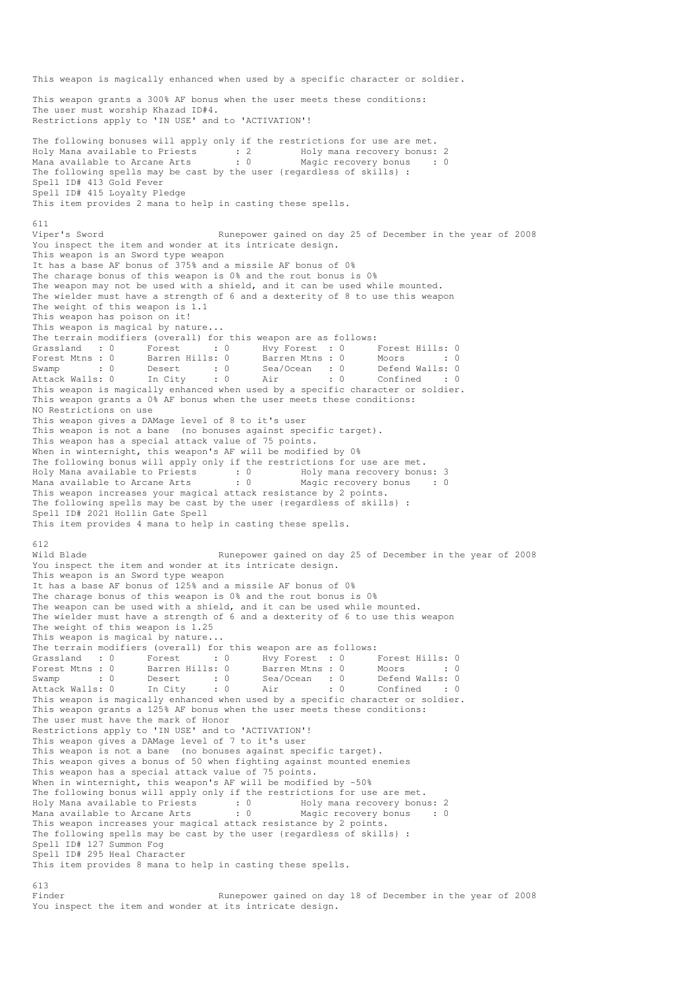This weapon is magically enhanced when used by a specific character or soldier. This weapon grants a 300% AF bonus when the user meets these conditions: The user must worship Khazad ID#4. Restrictions apply to 'IN USE' and to 'ACTIVATION'! The following bonuses will apply only if the restrictions for use are met. Holy Mana available to Priests : 2 Holy mana recovery bonus: 2 Mana available to Arcane Arts : 0 Magic recovery bonus : 0 The following spells may be cast by the user {regardless of skills} : Spell ID# 413 Gold Fever Spell ID# 415 Loyalty Pledge This item provides 2 mana to help in casting these spells. 611 Viper's Sword Runepower gained on day 25 of December in the year of 2008 You inspect the item and wonder at its intricate design. This weapon is an Sword type weapon It has a base AF bonus of 375% and a missile AF bonus of 0% The charage bonus of this weapon is 0% and the rout bonus is 0% The weapon may not be used with a shield, and it can be used while mounted. The wielder must have a strength of 6 and a dexterity of 8 to use this weapon The weight of this weapon is 1.1 This weapon has poison on it! This weapon is magical by nature... The terrain modifiers (overall) for this weapon are as follows: Grassland : 0 Forest : 0 Hvy Forest : 0 Forest Hills: 0 Forest Mtns : 0 Barren Hills: 0 Barren Mtns : 0 Moors : 0 : 0 Swamp : 0 Desert : 0 Sea/Ocean : 0 Defend Walls: 0 Attack Walls: 0 In City : 0 Air : 0 Confined : 0 This weapon is magically enhanced when used by a specific character or soldier. This weapon grants a 0% AF bonus when the user meets these conditions: NO Restrictions on use This weapon gives a DAMage level of 8 to it's user This weapon is not a bane (no bonuses against specific target). This weapon has a special attack value of 75 points. When in winternight, this weapon's AF will be modified by 0% The following bonus will apply only if the restrictions for use are met. Holy Mana available to Priests : 0 Holy mana recovery bonus: 3 Mana available to Arcane Arts : 0 Magic recovery bonus : 0 This weapon increases your magical attack resistance by 2 points. The following spells may be cast by the user {regardless of skills} : Spell ID# 2021 Hollin Gate Spell This item provides 4 mana to help in casting these spells. 612 Wild Blade **Runepower gained on day 25 of December in the year of 2008** You inspect the item and wonder at its intricate design. This weapon is an Sword type weapon It has a base AF bonus of 125% and a missile AF bonus of 0% The charage bonus of this weapon is 0% and the rout bonus is 0% The weapon can be used with a shield, and it can be used while mounted. The wielder must have a strength of 6 and a dexterity of 6 to use this weapon The weight of this weapon is 1.25 This weapon is magical by nature... The terrain modifiers (overall) for this weapon are as follows: Grassland : 0 Forest : 0 Hvy Forest : 0 Forest Hills: 0 Forest Mtns : 0 Barren Hills: 0 Barren Mtns : 0 Moors : 0 Swamp : 0 Desert : 0 Sea/Ocean : 0 Defend Walls: 0 Attack Walls: 0 In City : 0 Air : 0 Confined : 0 This weapon is magically enhanced when used by a specific character or soldier. This weapon grants a 125% AF bonus when the user meets these conditions: The user must have the mark of Honor Restrictions apply to 'IN USE' and to 'ACTIVATION'! This weapon gives a DAMage level of 7 to it's user This weapon is not a bane (no bonuses against specific target). This weapon gives a bonus of 50 when fighting against mounted enemies This weapon has a special attack value of 75 points. When in winternight, this weapon's AF will be modified by -50% The following bonus will apply only if the restrictions for use are met. Holy Mana available to Priests : 0 Holy mana recovery bonus: 2 Mana available to Arcane Arts : 0 Magic recovery bonus : 0 This weapon increases your magical attack resistance by 2 points. The following spells may be cast by the user {regardless of skills} : Spell ID# 127 Summon Fog Spell ID# 295 Heal Character This item provides 8 mana to help in casting these spells. 613

Finder The Runepower gained on day 18 of December in the year of 2008 You inspect the item and wonder at its intricate design.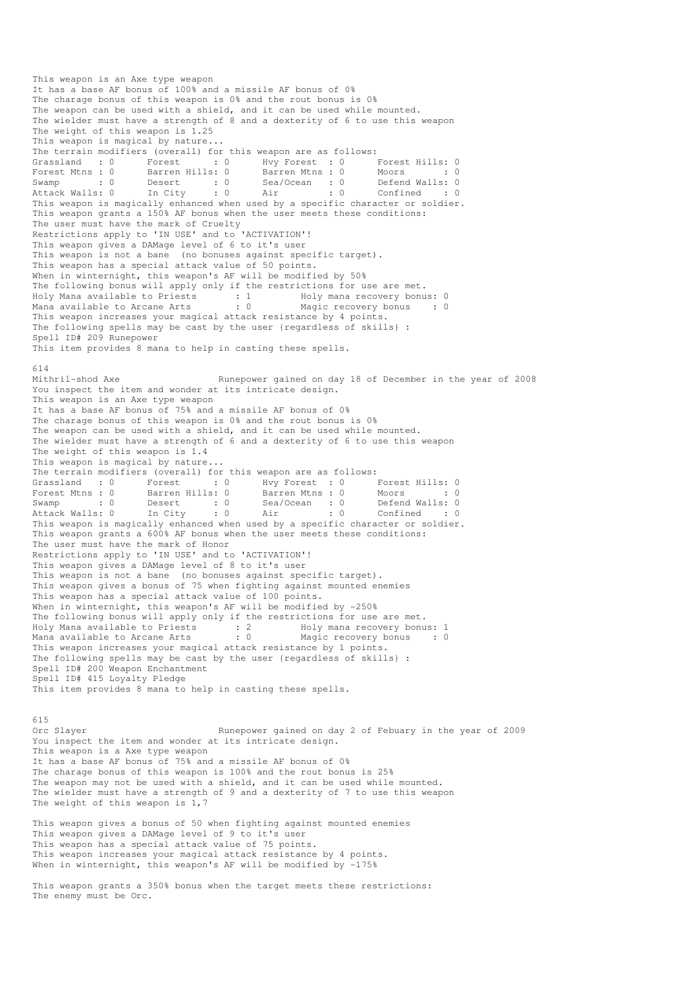This weapon is an Axe type weapon It has a base AF bonus of 100% and a missile AF bonus of 0% The charage bonus of this weapon is 0% and the rout bonus is 0% The weapon can be used with a shield, and it can be used while mounted. The wielder must have a strength of 8 and a dexterity of 6 to use this weapon The weight of this weapon is 1.25 This weapon is magical by nature... The terrain modifiers (overall) for this weapon are as follows: Grassland : 0 Forest : 0 Hvy Forest : 0 Forest Hills: 0 Forest Mtns : 0 Barren Hills: 0 Barren Mtns : 0 Moors : 0 : 0 Swamp : 0 Desert : 0 Sea/Ocean : 0 Defend Walls: 0 Attack Walls: 0 In City : 0 Air : 0 Confined : 0 The contract of the contract of the sea/Ocean is the median of the specific character or soldier.<br>This weapon is magically enhanced when used by a specific character or soldier. This weapon grants a 150% AF bonus when the user meets these conditions: The user must have the mark of Cruelty Restrictions apply to 'IN USE' and to 'ACTIVATION'! This weapon gives a DAMage level of 6 to it's user This weapon is not a bane (no bonuses against specific target). This weapon has a special attack value of 50 points. When in winternight, this weapon's AF will be modified by 50% The following bonus will apply only if the restrictions for use are met. Holy Mana available to Priests : 1 Holy mana recovery bonus: 0 Mana available to Arcane Arts : 0 Magic recovery bonus : 0 This weapon increases your magical attack resistance by 4 points. The following spells may be cast by the user {regardless of skills} : Spell ID# 209 Runepower This item provides 8 mana to help in casting these spells. 614<br>Mithril-shod Axe Runepower gained on day 18 of December in the year of 2008 You inspect the item and wonder at its intricate design. This weapon is an Axe type weapon It has a base AF bonus of 75% and a missile AF bonus of 0% The charage bonus of this weapon is 0% and the rout bonus is 0% The weapon can be used with a shield, and it can be used while mounted. The wielder must have a strength of 6 and a dexterity of 6 to use this weapon The weight of this weapon is 1.4 This weapon is magical by nature... The terrain modifiers (overall) for this weapon are as follows: Grassland : 0 Forest : 0 Hvy Forest : 0 Forest Hills: 0 Forest Mtns : 0 Barren Hills: 0 Barren Mtns : 0 Moors : 0 : 0 Swamp : 0 Desert : 0 Sea/Ocean : 0 Defend Walls: 0 Attack Walls: 0 In City : 0 Air : 0 Confined : 0 This weapon is magically enhanced when used by a specific character or soldier. This weapon grants a 600% AF bonus when the user meets these conditions: The user must have the mark of Honor Restrictions apply to 'IN USE' and to 'ACTIVATION'! This weapon gives a DAMage level of 8 to it's user This weapon is not a bane (no bonuses against specific target). This weapon gives a bonus of 75 when fighting against mounted enemies This weapon has a special attack value of 100 points. When in winternight, this weapon's AF will be modified by -250% The following bonus will apply only if the restrictions for use are met. Holy Mana available to Priests : 2 Holy mana recovery bonus: 1 Mana available to Arcane Arts : 0 Magic recovery bonus : 0 This weapon increases your magical attack resistance by 1 points. The following spells may be cast by the user {regardless of skills} Spell ID# 200 Weapon Enchantment Spell ID# 415 Loyalty Pledge This item provides 8 mana to help in casting these spells. 615 Orc Slayer Runepower gained on day 2 of Febuary in the year of 2009 You inspect the item and wonder at its intricate design. This weapon is a Axe type weapon It has a base AF bonus of 75% and a missile AF bonus of 0% The charage bonus of this weapon is 100% and the rout bonus is 25% The weapon may not be used with a shield, and it can be used while mounted. The wielder must have a strength of 9 and a dexterity of 7 to use this weapon The weight of this weapon is  $1,7$ 

This weapon gives a bonus of 50 when fighting against mounted enemies This weapon gives a DAMage level of 9 to it's user This weapon has a special attack value of 75 points. This weapon increases your magical attack resistance by 4 points. When in winternight, this weapon's AF will be modified by -175%

This weapon grants a 350% bonus when the target meets these restrictions: The enemy must be Orc.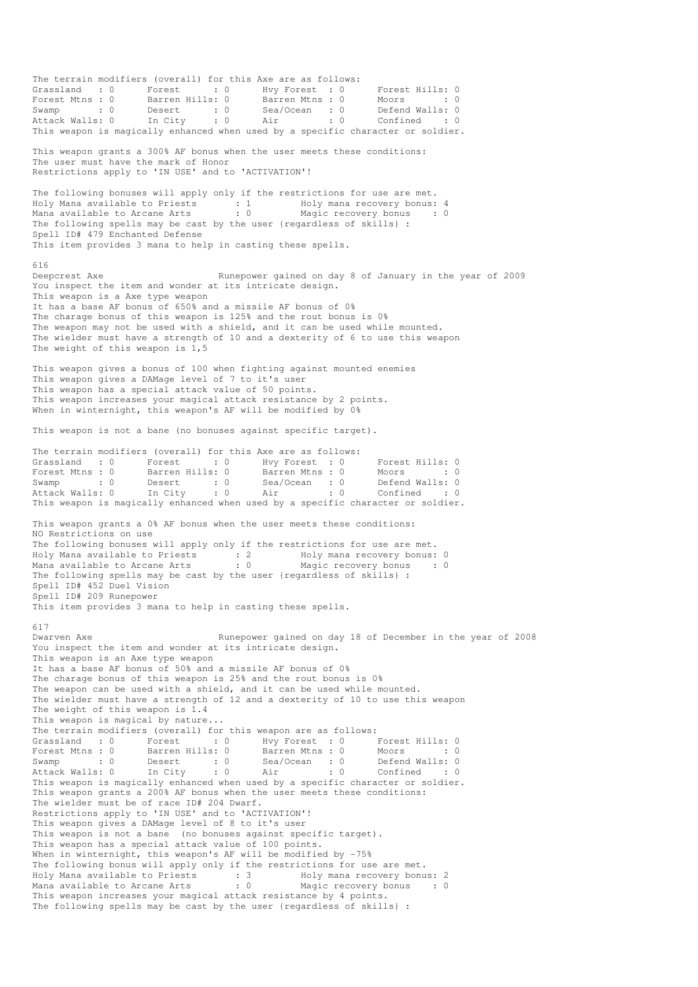The terrain modifiers (overall) for this Axe are as follows: Grassland : 0 Forest : 0 Hvy Forest : 0 Forest Hills: 0 Forest Mtns : 0 Barren Hills: 0 Barren Mtns : 0 Moors : 0 : 0 Swamp : 0 Desert : 0 Sea/Ocean : 0 Defend Walls: 0 Attack Walls: 0 In City : 0 Air : 0 Confined : 0 This weapon is magically enhanced when used by a specific character or soldier. This weapon grants a 300% AF bonus when the user meets these conditions: The user must have the mark of Honor Restrictions apply to 'IN USE' and to 'ACTIVATION'! The following bonuses will apply only if the restrictions for use are met. Holy Mana available to Priests : 1 Holy mana recovery bonus: 4 Mana available to Arcane Arts : 0 Magic recovery bonus : 0 The following spells may be cast by the user {regardless of skills} : Spell ID# 479 Enchanted Defense This item provides 3 mana to help in casting these spells. 616<br>Deepcrest Axe Runepower gained on day 8 of January in the year of 2009 You inspect the item and wonder at its intricate design. This weapon is a Axe type weapon It has a base AF bonus of 650% and a missile AF bonus of 0% The charage bonus of this weapon is 125% and the rout bonus is 0% The weapon may not be used with a shield, and it can be used while mounted. The wielder must have a strength of 10 and a dexterity of 6 to use this weapon The weight of this weapon is 1,5 This weapon gives a bonus of 100 when fighting against mounted enemies This weapon gives a DAMage level of 7 to it's user This weapon has a special attack value of 50 points. This weapon increases your magical attack resistance by 2 points. When in winternight, this weapon's AF will be modified by 0% This weapon is not a bane (no bonuses against specific target). The terrain modifiers (overall) for this Axe are as follows:<br>Grassland : 0 Forest : 0 Hoy Forest : 0<br>Forest Mtns : 0 Barren Hills: 0 Barren Mtns : 0 Grassland : 0 Forest : 0 Hvy Forest : 0 Forest Hills: 0 Forest Mtns : 0 Barren Hills: 0 Barren Mtns : 0 Moors : 0 : 0 Swamp : 0 Desert : 0 Sea/Ocean : 0 Defend Walls: 0 Attack Walls: 0 In City : 0 Air : 0 Confined : 0 This weapon is magically enhanced when used by a specific character or soldier. This weapon grants a 0% AF bonus when the user meets these conditions: NO Restrictions on use The following bonuses will apply only if the restrictions for use are met. Holy Mana available to Priests : 2 Holy mana recovery bonus: 0 Mana available to Arcane Arts : 0 Magic recovery bonus : 0 The following spells may be cast by the user {regardless of skills} : Spell ID# 452 Duel Vision Spell ID# 209 Runepower This item provides 3 mana to help in casting these spells. 617 Dwarven Axe Runepower gained on day 18 of December in the year of 2008 You inspect the item and wonder at its intricate design. This weapon is an Axe type weapon It has a base AF bonus of 50% and a missile AF bonus of 0% The charage bonus of this weapon is 25% and the rout bonus is 0% The weapon can be used with a shield, and it can be used while mounted. The wielder must have a strength of 12 and a dexterity of 10 to use this weapon The weight of this weapon is 1.4 This weapon is magical by nature... The terrain modifiers (overall) for this weapon are as follows: The Cerrain modifiers (overain, for this weapon are as experience.<br>Grassland : 0 Forest Hills: 0 Hvy Forest Hills: 0 Forest Hills: 0 Barren Hills: 0 Moors : 0 Forest Mtns : 0 Barren Hills: 0 Barren Mtns : 0 Moors : 0 : 0 Swamp : 0 Desert : 0 Sea/Ocean : 0 Defend Walls: 0 Attack Walls: 0 In City : 0 Air : 0 Confined : 0 This weapon is magically enhanced when used by a specific character or soldier. This weapon grants a 200% AF bonus when the user meets these conditions: The wielder must be of race ID# 204 Dwarf. Restrictions apply to 'IN USE' and to 'ACTIVATION'! This weapon gives a DAMage level of 8 to it's user This weapon is not a bane (no bonuses against specific target). This weapon has a special attack value of 100 points. When in winternight, this weapon's AF will be modified by -75% The following bonus will apply only if the restrictions for use are met. Holy Mana available to Priests : 3 Holy mana recovery bonus: 2 Mana available to Arcane Arts : 0 Magic recovery bonus : 0 This weapon increases your magical attack resistance by 4 points. The following spells may be cast by the user {regardless of skills} :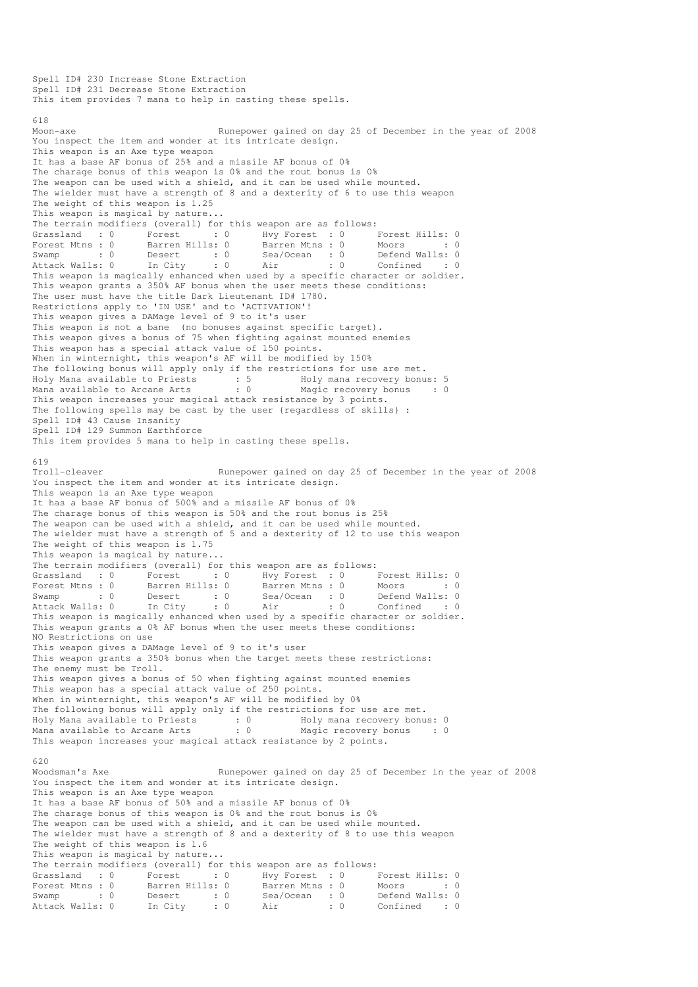Spell ID# 231 Decrease Stone Extraction This item provides 7 mana to help in casting these spells. 618 Moon-axe Runepower gained on day 25 of December in the year of 2008 You inspect the item and wonder at its intricate design. This weapon is an Axe type weapon It has a base AF bonus of 25% and a missile AF bonus of 0% The charage bonus of this weapon is 0% and the rout bonus is 0% The weapon can be used with a shield, and it can be used while mounted. The wielder must have a strength of 8 and a dexterity of 6 to use this weapon The weight of this weapon is 1.25 This weapon is magical by nature... The terrain modifiers (overall) for this weapon are as follows:<br>
Grassland :  $0$  Forest :  $0$  Hvy Forest :  $0$  I : 0 Hvy Forest : 0 Forest Hills: 0 Forest Mtns : 0 Barren Hills: 0 Barren Mtns : 0 Moors : 0 : 0 Swamp : 0 Desert : 0 Sea/Ocean : 0 Defend Walls: 0 Attack Walls: 0 In City : 0 Air : 0 Confined : 0 This weapon is magically enhanced when used by a specific character or soldier. This weapon grants a 350% AF bonus when the user meets these conditions: The user must have the title Dark Lieutenant ID# 1780. Restrictions apply to 'IN USE' and to 'ACTIVATION'! This weapon gives a DAMage level of 9 to it's user This weapon is not a bane (no bonuses against specific target). This weapon gives a bonus of 75 when fighting against mounted enemies This weapon has a special attack value of 150 points. When in winternight, this weapon's AF will be modified by 150% The following bonus will apply only if the restrictions for use are met. Holy Mana available to Priests : 5 Holy mana recovery bonus: 5 Mana available to Arcane Arts : 0 Magic recovery bonus : 0 This weapon increases your magical attack resistance by 3 points. The following spells may be cast by the user {regardless of skills} : Spell ID# 43 Cause Insanity Spell ID# 129 Summon Earthforce This item provides 5 mana to help in casting these spells. 619 Troll-cleaver Runepower gained on day 25 of December in the year of 2008 You inspect the item and wonder at its intricate design. This weapon is an Axe type weapon It has a base AF bonus of 500% and a missile AF bonus of 0% The charage bonus of this weapon is 50% and the rout bonus is 25% The weapon can be used with a shield, and it can be used while mounted. The wielder must have a strength of 5 and a dexterity of 12 to use this weapon The weight of this weapon is 1.75 This weapon is magical by nature... The terrain modifiers (overall) for this weapon are as follows: Grassland : 0 Forest : 0 Hvy Forest : 0 Forest Hills: 0<br>Forest Mtns : 0 Barren Hills: 0 Barren Mtns : 0 Moors : 0 Forest Mtns : 0 Barren Hills: 0 Barren Mtns : 0 Moors : 0 : 0 Swamp : 0 Desert : 0 Sea/Ocean : 0 Defend Walls: 0 Attack Walls: 0 In City : 0 Air : 0 Confined : 0 This weapon is magically enhanced when used by a specific character or soldier. This weapon grants a 0% AF bonus when the user meets these conditions: NO Restrictions on use This weapon gives a DAMage level of 9 to it's user This weapon grants a 350% bonus when the target meets these restrictions: The enemy must be Troll. This weapon gives a bonus of 50 when fighting against mounted enemies This weapon has a special attack value of 250 points. When in winternight, this weapon's AF will be modified by 0% The following bonus will apply only if the restrictions for use are met. Holy Mana available to Priests : 0 Holy mana recovery bonus: 0 Mana available to Arcane Arts : 0 Magic recovery bonus : 0 This weapon increases your magical attack resistance by 2 points. 620 Woodsman's Axe Runepower gained on day 25 of December in the year of 2008 You inspect the item and wonder at its intricate design. This weapon is an Axe type weapon It has a base AF bonus of 50% and a missile AF bonus of 0% The charage bonus of this weapon is 0% and the rout bonus is 0% The weapon can be used with a shield, and it can be used while mounted. The wielder must have a strength of 8 and a dexterity of 8 to use this weapon The weight of this weapon is 1.6 This weapon is magical by nature... The terrain modifiers (overall) for this weapon are as follows: Grassland : 0 Forest : 0 Hvy Forest : 0 Forest Hills: 0 Forest Mtns : 0 Barren Hills: 0 Barren Mtns : 0 Moors : 0 : 0 Swamp : 0 Desert : 0 Sea/Ocean : 0 Defend Walls: 0 Attack Walls: 0 In City : 0 Air : 0 Confined : 0

Spell ID# 230 Increase Stone Extraction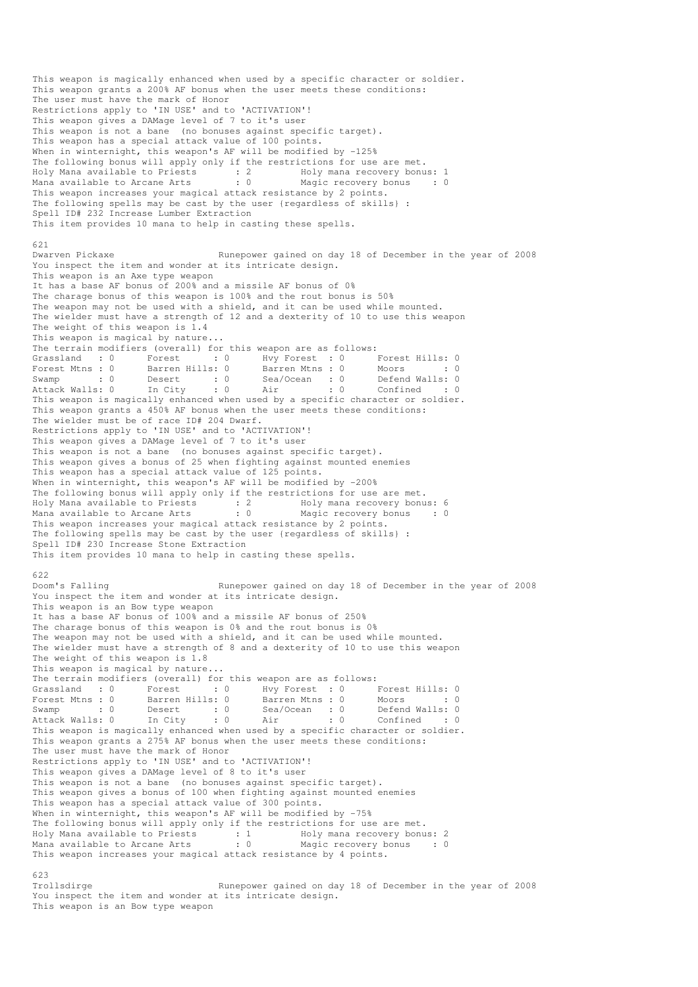This weapon is magically enhanced when used by a specific character or soldier. This weapon grants a 200% AF bonus when the user meets these conditions: The user must have the mark of Honor Restrictions apply to 'IN USE' and to 'ACTIVATION'! This weapon gives a DAMage level of 7 to it's user This weapon is not a bane (no bonuses against specific target). This weapon has a special attack value of 100 points. When in winternight, this weapon's AF will be modified by -125% The following bonus will apply only if the restrictions for use are met. Holy Mana available to Priests : 2 Holy mana recovery bonus: 1 Mana available to Arcane Arts : 0 Magic recovery bonus : 0 This weapon increases your magical attack resistance by 2 points. The following spells may be cast by the user {regardless of skills} : Spell ID# 232 Increase Lumber Extraction This item provides 10 mana to help in casting these spells. 621<br>Dwaryen Pickaxe Runepower gained on day 18 of December in the year of 2008 You inspect the item and wonder at its intricate design. This weapon is an Axe type weapon It has a base AF bonus of 200% and a missile AF bonus of 0% The charage bonus of this weapon is 100% and the rout bonus is 50% The weapon may not be used with a shield, and it can be used while mounted. The wielder must have a strength of 12 and a dexterity of 10 to use this weapon The weight of this weapon is 1.4 This weapon is magical by nature... The terrain modifiers (overall) for this weapon are as follows: Grassland : 0 Forest : 0 Hvy Forest : 0 Forest Hills: 0<br>Forest Mtns : 0 Barren Hills: 0 Barren Mtns : 0 Moors : 0 Forest Mtns : 0 Barren Hills: 0 Barren Mtns : 0 Moors : 0 : 0 Swamp : 0 Desert : 0 Sea/Ocean : 0 Defend Walls: 0 Attack Walls: 0 In City : 0 Air : 0 Confined : 0 Swamp : 0 Desert : 0 Jea<sub>l</sub> Journal . J<br>Attack Walls: 0 In City : 0 Air : 0 Confined : 0<br>This weapon is magically enhanced when used by a specific character or soldier. This weapon grants a 450% AF bonus when the user meets these conditions: The wielder must be of race ID# 204 Dwarf. Restrictions apply to 'IN USE' and to 'ACTIVATION'! This weapon gives a DAMage level of 7 to it's user This weapon is not a bane (no bonuses against specific target). This weapon gives a bonus of 25 when fighting against mounted enemies This weapon has a special attack value of 125 points. When in winternight, this weapon's AF will be modified by -200% The following bonus will apply only if the restrictions for use are met. Holy Mana available to Priests : 2 Holy mana recovery bonus: 6 Mana available to Arcane Arts : 0 Magic recovery bonus : 0 This weapon increases your magical attack resistance by 2 points. The following spells may be cast by the user {regardless of skills} : Spell ID# 230 Increase Stone Extraction This item provides 10 mana to help in casting these spells. 622<br>Doom's Falling Runepower gained on day 18 of December in the year of 2008 You inspect the item and wonder at its intricate design. This weapon is an Bow type weapon It has a base AF bonus of 100% and a missile AF bonus of 250% The charage bonus of this weapon is 0% and the rout bonus is 0% The weapon may not be used with a shield, and it can be used while mounted. The wielder must have a strength of 8 and a dexterity of 10 to use this weapon The weight of this weapon is 1.8 This weapon is magical by nature... The terrain modifiers (overall) for this weapon are as follows: Grassland : 0 Forest : 0 Hvy Forest : 0 Forest Hills: 0 Forest Mtns : 0 Barren Hills: 0 Barren Mtns : 0 Moors : 0 : 0 Swamp : 0 Desert : 0 Sea/Ocean : 0 Defend Walls: 0 Attack Walls: 0 In City : 0 Air : 0 Confined : 0 Forest Mtns : 0 <br>
Swamp : 0 <br>
Desert : 0 <br>
Attack Walls: 0 <br>
This weapon is magically enhanced when used by a specific character or soldier.<br>
This weapon is magically enhanced when used by a specific character or soldier. This weapon grants a 275% AF bonus when the user meets these conditions: The user must have the mark of Honor Restrictions apply to 'IN USE' and to 'ACTIVATION'! This weapon gives a DAMage level of 8 to it's user This weapon is not a bane (no bonuses against specific target). This weapon gives a bonus of 100 when fighting against mounted enemies This weapon has a special attack value of 300 points. When in winternight, this weapon's AF will be modified by -75% The following bonus will apply only if the restrictions for use are met. Holy Mana available to Priests : 1 Holy mana recovery bonus: 2 Mana available to Arcane Arts : 0 Magic recovery bonus : 0 This weapon increases your magical attack resistance by 4 points. 623<br>Trollsdirge Runepower gained on day 18 of December in the year of 2008

You inspect the item and wonder at its intricate design. This weapon is an Bow type weapon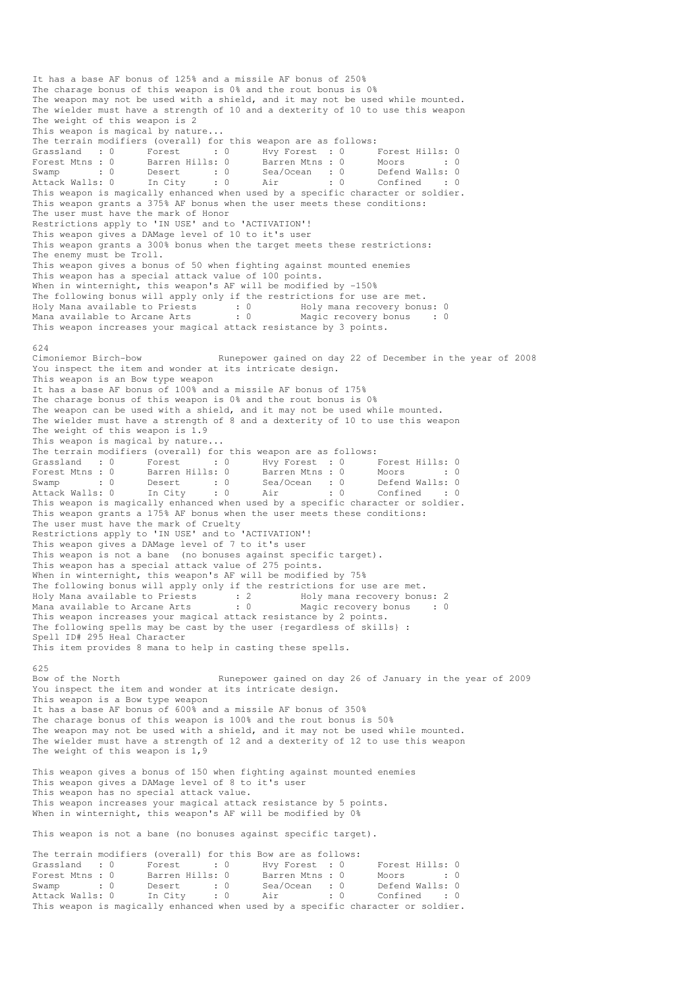It has a base AF bonus of 125% and a missile AF bonus of 250% The charage bonus of this weapon is 0% and the rout bonus is 0% The weapon may not be used with a shield, and it may not be used while mounted. The wielder must have a strength of 10 and a dexterity of 10 to use this weapon The weight of this weapon is 2 This weapon is magical by nature... The terrain modifiers (overall) for this weapon are as follows:<br>
Grassland : 0 Forest : 0 Hvy Forest : 0 I<br>
Forest Mtns : 0 Barren Hills: 0 Barren Mtns : 0 I Grassland : 0 Forest : 0 Hvy Forest : 0 Forest Hills: 0 Forest Mtns : 0 Barren Hills: 0 Barren Mtns : 0 Moors : 0 : 0 Swamp : 0 Desert : 0 Sea/Ocean : 0 Defend Walls: 0 Attack Walls: 0 In City : 0 Air : 0 Confined : 0 Attack Walls: 0 This is the complement of the magically enhanced when used by a specific character or soldier.<br>This weapon is magically enhanced when used by a specific character or soldier. This weapon grants a 375% AF bonus when the user meets these conditions: The user must have the mark of Honor Restrictions apply to 'IN USE' and to 'ACTIVATION'! This weapon gives a DAMage level of 10 to it's user This weapon grants a 300% bonus when the target meets these restrictions: The enemy must be Troll. This weapon gives a bonus of 50 when fighting against mounted enemies This weapon has a special attack value of 100 points. When in winternight, this weapon's AF will be modified by -150% The following bonus will apply only if the restrictions for use are met. Holy Mana available to Priests : 0 Holy mana recovery bonus: 0 Mana available to Arcane Arts : 0 Magic recovery bonus : 0 This weapon increases your magical attack resistance by 3 points. 624<br>Cimoniemor Birch-bow Runepower gained on day 22 of December in the year of 2008 You inspect the item and wonder at its intricate design. This weapon is an Bow type weapon It has a base AF bonus of 100% and a missile AF bonus of 175% The charage bonus of this weapon is 0% and the rout bonus is 0% The weapon can be used with a shield, and it may not be used while mounted. The wielder must have a strength of 8 and a dexterity of 10 to use this weapon The weight of this weapon is 1.9 This weapon is magical by nature... The terrain modifiers (overall) for this weapon are as follows: Grassland : 0 Forest : 0 Hvy Forest : 0 Forest Hills: 0 Forest Mtns : 0 Barren Hills: 0 Barren Mtns : 0 Moors : 0 : 0 Swamp : 0 Desert : 0 Sea/Ocean : 0 Defend Walls: 0 Attack Walls: 0 In City : 0 Air : 0 Confined : 0 This weapon is magically enhanced when used by a specific character or soldier. This weapon grants a 175% AF bonus when the user meets these conditions: The user must have the mark of Cruelty Restrictions apply to 'IN USE' and to 'ACTIVATION'! This weapon gives a DAMage level of 7 to it's user This weapon is not a bane (no bonuses against specific target). This weapon has a special attack value of 275 points. When in winternight, this weapon's AF will be modified by 75% The following bonus will apply only if the restrictions for use are met. Holy Mana available to Priests : 2 Holy mana recovery bonus: 2 Mana available to Arcane Arts : 0 Magic recovery bonus : 0 This weapon increases your magical attack resistance by 2 points. The following spells may be cast by the user {regardless of skills} : Spell ID# 295 Heal Character This item provides 8 mana to help in casting these spells. 625<br>Bow of the North Runepower gained on day 26 of January in the year of 2009 You inspect the item and wonder at its intricate design. This weapon is a Bow type weapon It has a base AF bonus of 600% and a missile AF bonus of 350% The charage bonus of this weapon is 100% and the rout bonus is 50% The weapon may not be used with a shield, and it may not be used while mounted. The wielder must have a strength of 12 and a dexterity of 12 to use this weapon The weight of this weapon is  $1,9$ This weapon gives a bonus of 150 when fighting against mounted enemies This weapon gives a DAMage level of 8 to it's user This weapon has no special attack value. This weapon increases your magical attack resistance by 5 points. When in winternight, this weapon's AF will be modified by 0% This weapon is not a bane (no bonuses against specific target). The terrain modifiers (overall) for this Bow are as follows: Grassland : 0 Forest : 0 Hvy Forest : 0 Forest Hills: 0<br>Forest Mtns : 0 Barren Hills: 0 Barren Mtns : 0 Moors : 0 Forest Mtns : 0 Barren Hills: 0 Barren Mtns : 0 Moors : 0 : 0 Swamp : 0 Desert : 0 Sea/Ocean : 0 Defend Walls: 0 Attack Walls: 0 In City : 0 Air : 0 Confined : 0 This weapon is magically enhanced when used by a specific character or soldier.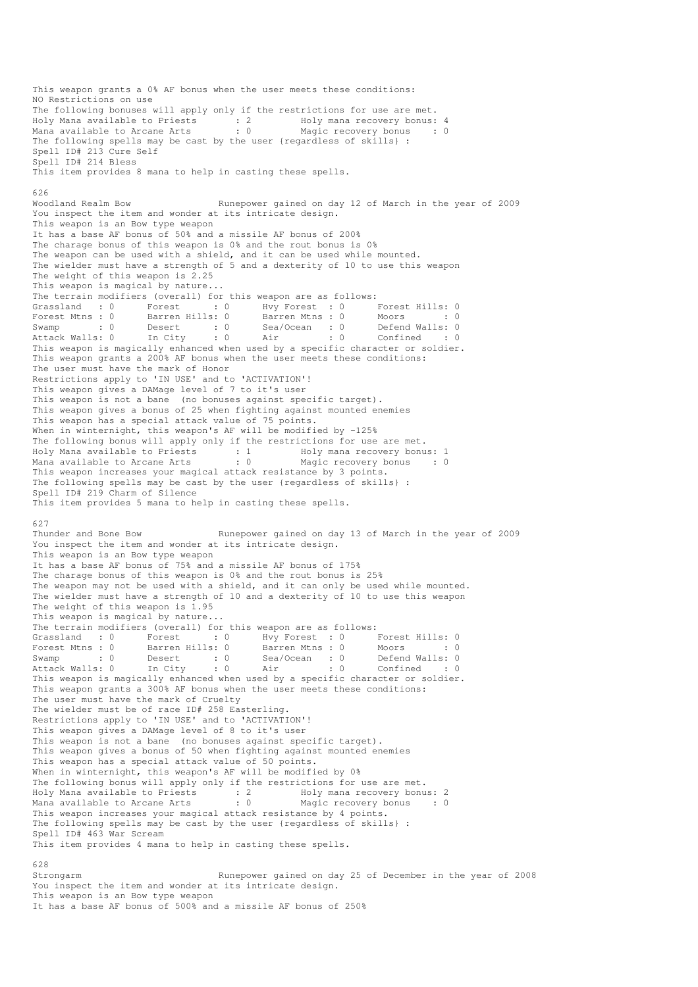This weapon grants a 0% AF bonus when the user meets these conditions: NO Restrictions on use The following bonuses will apply only if the restrictions for use are met. Holy Mana available to Priests : 2 Holy mana recovery bonus: 4 Mana available to Arcane Arts : 0 Magic recovery bonus : 0 The following spells may be cast by the user {regardless of skills} : Spell ID# 213 Cure Self Spell ID# 214 Bless This item provides 8 mana to help in casting these spells. 626 Woodland Realm Bow Runepower gained on day 12 of March in the year of 2009 You inspect the item and wonder at its intricate design. This weapon is an Bow type weapon It has a base AF bonus of 50% and a missile AF bonus of 200% The charage bonus of this weapon is 0% and the rout bonus is 0% The weapon can be used with a shield, and it can be used while mounted. The wielder must have a strength of 5 and a dexterity of 10 to use this weapon The weight of this weapon is 2.25 This weapon is magical by nature... The terrain modifiers (overall) for this weapon are as follows: Grassland : 0 Forest : 0 Hvy Forest : 0 Forest Hills: 0<br>Forest Mtns : 0 Barren Hills: 0 Barren Mtns : 0 Moors : 0 Forest Mtns : 0 Barren Hills: 0 Barren Mtns : 0 Moors : 0 : 0 Swamp : 0 Desert : 0 Sea/Ocean : 0 Defend Walls: 0 Attack Walls: 0 In City : 0 Air : 0 Confined : 0 Swamp : 0 Desert : 0 Desert : 0 Desert : 0 Desert : 0 Confined : 0<br>Attack Walls: 0 In City : 0 Air : 0 Confined : 0<br>This weapon is magically enhanced when used by a specific character or soldier. This weapon grants a 200% AF bonus when the user meets these conditions: The user must have the mark of Honor Restrictions apply to 'IN USE' and to 'ACTIVATION'! This weapon gives a DAMage level of 7 to it's user This weapon is not a bane (no bonuses against specific target). This weapon gives a bonus of 25 when fighting against mounted enemies This weapon has a special attack value of 75 points. When in winternight, this weapon's AF will be modified by -125% The following bonus will apply only if the restrictions for use are met. Holy Mana available to Priests : 1 Holy mana recovery bonus: 1 Mana available to Arcane Arts : 0 Magic recovery bonus : 0 This weapon increases your magical attack resistance by 3 points. The following spells may be cast by the user {regardless of skills} : Spell ID# 219 Charm of Silence This item provides 5 mana to help in casting these spells. 627 Thunder and Bone Bow Runepower gained on day 13 of March in the year of 2009 You inspect the item and wonder at its intricate design. This weapon is an Bow type weapon It has a base AF bonus of 75% and a missile AF bonus of 175% The charage bonus of this weapon is 0% and the rout bonus is 25% The weapon may not be used with a shield, and it can only be used while mounted. The wielder must have a strength of 10 and a dexterity of 10 to use this weapon The weight of this weapon is 1.95 This weapon is magical by nature... The terrain modifiers (overall) for this weapon are as follows: Grassland : 0 Forest : 0 Hvy Forest : 0 Forest Hills: 0 Forest Mtns : 0 Barren Hills: 0 Barren Mtns : 0 Moors : 0 : 0 Swamp : 0 Desert : 0 Sea/Ocean : 0 Defend Walls: 0 Attack Walls: 0 In City : 0 Air : 0 Confined : 0 This weapon is magically enhanced when used by a specific character or soldier. This weapon grants a 300% AF bonus when the user meets these conditions: The user must have the mark of Cruelty The wielder must be of race ID# 258 Easterling. Restrictions apply to 'IN USE' and to 'ACTIVATION'! This weapon gives a DAMage level of 8 to it's user This weapon is not a bane (no bonuses against specific target). This weapon gives a bonus of 50 when fighting against mounted enemies This weapon has a special attack value of 50 points. When in winternight, this weapon's AF will be modified by 0% The following bonus will apply only if the restrictions for use are met. Holy Mana available to Priests : 2 Holy mana recovery bonus: 2 Mana available to Arcane Arts : 0 Magic recovery bonus : 0 This weapon increases your magical attack resistance by 4 points. The following spells may be cast by the user {regardless of skills} : Spell ID# 463 War Scream This item provides 4 mana to help in casting these spells. 628 Strongarm Runepower gained on day 25 of December in the year of 2008

You inspect the item and wonder at its intricate design. This weapon is an Bow type weapon It has a base AF bonus of 500% and a missile AF bonus of 250%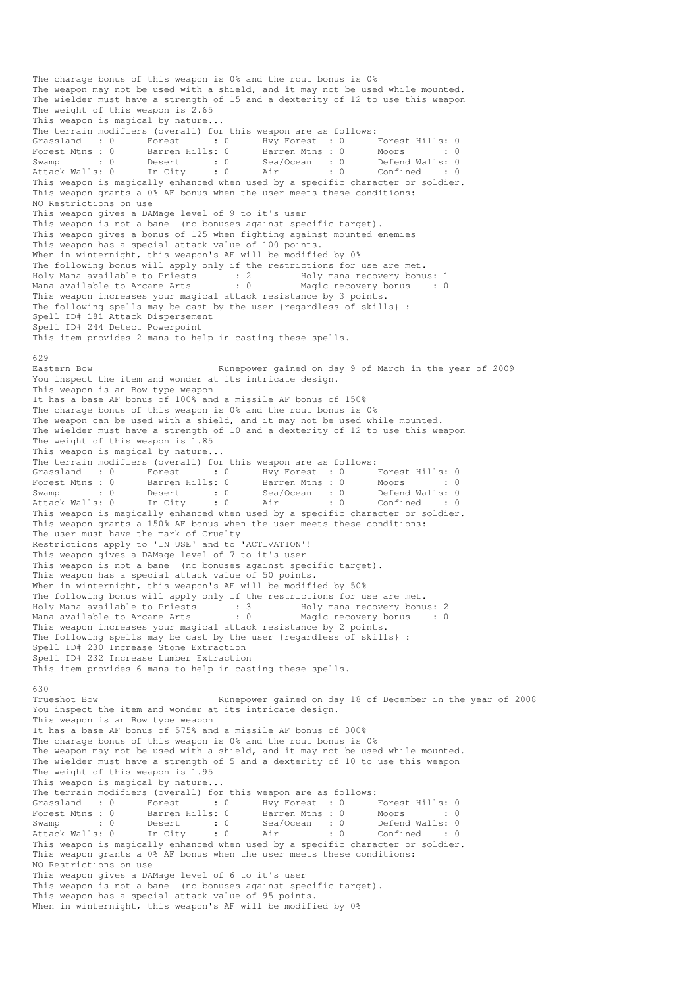The charage bonus of this weapon is 0% and the rout bonus is 0% The weapon may not be used with a shield, and it may not be used while mounted. The wielder must have a strength of 15 and a dexterity of 12 to use this weapon The weight of this weapon is 2.65 This weapon is magical by nature... The terrain modifiers (overall) for this weapon are as follows: Grassland : 0 Forest : 0 Hvy Forest : 0 Forest Hills: 0 Forest Mtns : 0 Barren Hills: 0 Barren Mtns : 0 Moors : 0 : 0 Swamp : 0 Desert : 0 Sea/Ocean : 0 Defend Walls: 0 Attack Walls: 0 In City : 0 Air : 0 Confined : 0 This weapon is magically enhanced when used by a specific character or soldier. This weapon grants a 0% AF bonus when the user meets these conditions: NO Restrictions on use This weapon gives a DAMage level of 9 to it's user This weapon is not a bane (no bonuses against specific target). This weapon gives a bonus of 125 when fighting against mounted enemies This weapon has a special attack value of 100 points. When in winternight, this weapon's AF will be modified by 0% The following bonus will apply only if the restrictions for use are met. Holy Mana available to Priests : 2 Holy mana recovery bonus: 1 Mana available to Arcane Arts : 0 Magic recovery bonus : 0 This weapon increases your magical attack resistance by 3 points. The following spells may be cast by the user {regardless of skills} : Spell ID# 181 Attack Dispersement Spell ID# 244 Detect Powerpoint This item provides 2 mana to help in casting these spells. 629<br>Eastern Bow Runepower gained on day 9 of March in the year of 2009 You inspect the item and wonder at its intricate design. This weapon is an Bow type weapon It has a base AF bonus of 100% and a missile AF bonus of 150% The charage bonus of this weapon is 0% and the rout bonus is 0% The weapon can be used with a shield, and it may not be used while mounted. The wielder must have a strength of 10 and a dexterity of 12 to use this weapon The weight of this weapon is  $1.85$ This weapon is magical by nature... The terrain modifiers (overall) for this weapon are as follows: erassland in the Forest of Forest Hills: 0<br>
S: 0 Barren Mtns: 0 Moors : 0 Grassland : 0 Forest : 0 Hvy Forest : 0<br>
Forest Mtns : 0 Barren Hills: 0 Barren Mtns : 0 Swamp : 0 Desert : 0 Sea/Ocean : 0 Defend Walls: 0 Attack Walls: 0 In City : 0 Air : 0 Confined : 0 This weapon is magically enhanced when used by a specific character or soldier. This weapon grants a 150% AF bonus when the user meets these conditions: The user must have the mark of Cruelty Restrictions apply to 'IN USE' and to 'ACTIVATION'! This weapon gives a DAMage level of 7 to it's user This weapon is not a bane (no bonuses against specific target). This weapon has a special attack value of 50 points. When in winternight, this weapon's AF will be modified by 50% The following bonus will apply only if the restrictions for use are met. Holy Mana available to Priests : 3 Holy mana recovery bonus: 2 Mana available to Arcane Arts : 0 Magic recovery bonus : 0 This weapon increases your magical attack resistance by 2 points. The following spells may be cast by the user {regardless of skills} : Spell ID# 230 Increase Stone Extraction Spell ID# 232 Increase Lumber Extraction This item provides 6 mana to help in casting these spells. 630 Trueshot Bow Runepower gained on day 18 of December in the year of 2008 You inspect the item and wonder at its intricate design. This weapon is an Bow type weapon It has a base AF bonus of 575% and a missile AF bonus of 300% The charage bonus of this weapon is 0% and the rout bonus is 0% The weapon may not be used with a shield, and it may not be used while mounted. The wielder must have a strength of 5 and a dexterity of 10 to use this weapon The weight of this weapon is 1.95 This weapon is magical by nature... The terrain modifiers (overall) for this weapon are as follows: Grassland : 0 Forest : 0 Hvy Forest : 0 Forest Hills: 0 Forest Mtns : 0 Barren Hills: 0 Barren Mtns : 0 Moors : 0 : 0 Swamp : 0 Desert : 0 Sea/Ocean : 0 Defend Walls: 0 Attack Walls: 0 In City : 0 Air : 0 Confined : 0 Swamp : 0 Desert : 0 Sea/Ocean : 0 Defend Walls: 0<br>Attack Walls: 0 In City : 0 Air : 0 Confined : 0<br>This weapon is magically enhanced when used by a specific character or soldier. This weapon grants a 0% AF bonus when the user meets these conditions: NO Restrictions on use This weapon gives a DAMage level of 6 to it's user This weapon is not a bane (no bonuses against specific target). This weapon has a special attack value of 95 points. When in winternight, this weapon's AF will be modified by 0%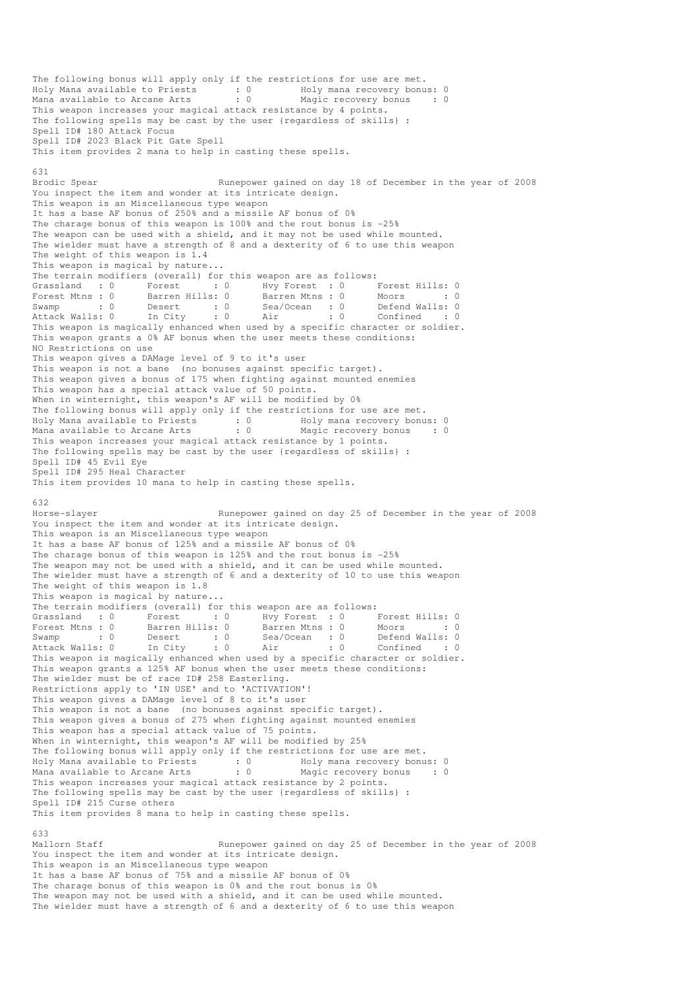The following bonus will apply only if the restrictions for use are met. Holy Mana available to Priests : 0 Holy mana recovery bonus: 0 Mana available to Arcane Arts : 0 Magic recovery bonus : 0 This weapon increases your magical attack resistance by 4 points. The following spells may be cast by the user {regardless of skills} : Spell ID# 180 Attack Focus Spell ID# 2023 Black Pit Gate Spell This item provides 2 mana to help in casting these spells. 631 Brodic Spear **Runepower gained on day 18 of December in the year of 2008** You inspect the item and wonder at its intricate design. This weapon is an Miscellaneous type weapon It has a base AF bonus of 250% and a missile AF bonus of 0% The charage bonus of this weapon is 100% and the rout bonus is -25% The weapon can be used with a shield, and it may not be used while mounted. The wielder must have a strength of 8 and a dexterity of 6 to use this weapon The weight of this weapon is 1.4 This weapon is magical by nature... The terrain modifiers (overall) for this weapon are as follows: Grassland : 0 Forest : 0 Hvy Forest : 0 Forest Hills: 0 Forest Mtns : 0 Barren Hills: 0 Barren Mtns : 0 Moors : 0 : 0 Swamp : 0 Desert : 0 Sea/Ocean : 0 Defend Walls: 0 Attack Walls: 0 In City : 0 Air : 0 Confined : 0 This weapon is magically enhanced when used by a specific character or soldier. This weapon grants a 0% AF bonus when the user meets these conditions: NO Restrictions on use This weapon gives a DAMage level of 9 to it's user This weapon is not a bane (no bonuses against specific target). This weapon gives a bonus of 175 when fighting against mounted enemies This weapon has a special attack value of 50 points. When in winternight, this weapon's AF will be modified by 0% The following bonus will apply only if the restrictions for use are met. Holy Mana available to Priests : 0 Holy mana recovery bonus: 0 Mana available to Arcane Arts : 0 Magic recovery bonus : 0 This weapon increases your magical attack resistance by 1 points. The following spells may be cast by the user {regardless of skills} : Spell ID# 45 Evil Eye Spell ID# 295 Heal Character This item provides 10 mana to help in casting these spells. 632 Horse-slayer Runepower gained on day 25 of December in the year of 2008 You inspect the item and wonder at its intricate design. This weapon is an Miscellaneous type weapon It has a base AF bonus of 125% and a missile AF bonus of 0% The charage bonus of this weapon is 125% and the rout bonus is -25% The weapon may not be used with a shield, and it can be used while mounted. The wielder must have a strength of 6 and a dexterity of 10 to use this weapon The weight of this weapon is 1.8 This weapon is magical by nature... The terrain modifiers (overall) for this weapon are as follows: Grassland : 0 Forest : 0 Hvy Forest : 0 Forest Hills: 0 Forest Mtns : 0 Barren Hills: 0 Barren Mtns : 0 Moors : 0 : 0 Swamp : 0 Desert : 0 Sea/Ocean : 0 Defend Walls: 0 Attack Walls: 0 In City : 0 Air : 0 Confined : 0 This weapon is magically enhanced when used by a specific character or soldier. This weapon grants a 125% AF bonus when the user meets these conditions: The wielder must be of race ID# 258 Easterling. Restrictions apply to 'IN USE' and to 'ACTIVATION'! This weapon gives a DAMage level of 8 to it's user This weapon is not a bane (no bonuses against specific target). This weapon gives a bonus of 275 when fighting against mounted enemies This weapon has a special attack value of 75 points. When in winternight, this weapon's AF will be modified by 25% The following bonus will apply only if the restrictions for use are met. Holy Mana available to Priests : 0 69 Holy mana recovery bonus: 0 Mana available to Arcane Arts : 0 Magic recovery bonus : 0 This weapon increases your magical attack resistance by 2 points. The following spells may be cast by the user {regardless of skills} : Spell ID# 215 Curse others This item provides 8 mana to help in casting these spells. 633 Mallorn Staff **Runepower gained on day 25 of December in the year of 2008** You inspect the item and wonder at its intricate design. This weapon is an Miscellaneous type weapon It has a base AF bonus of 75% and a missile AF bonus of 0% The charage bonus of this weapon is 0% and the rout bonus is 0% The weapon may not be used with a shield, and it can be used while mounted. The wielder must have a strength of 6 and a dexterity of 6 to use this weapon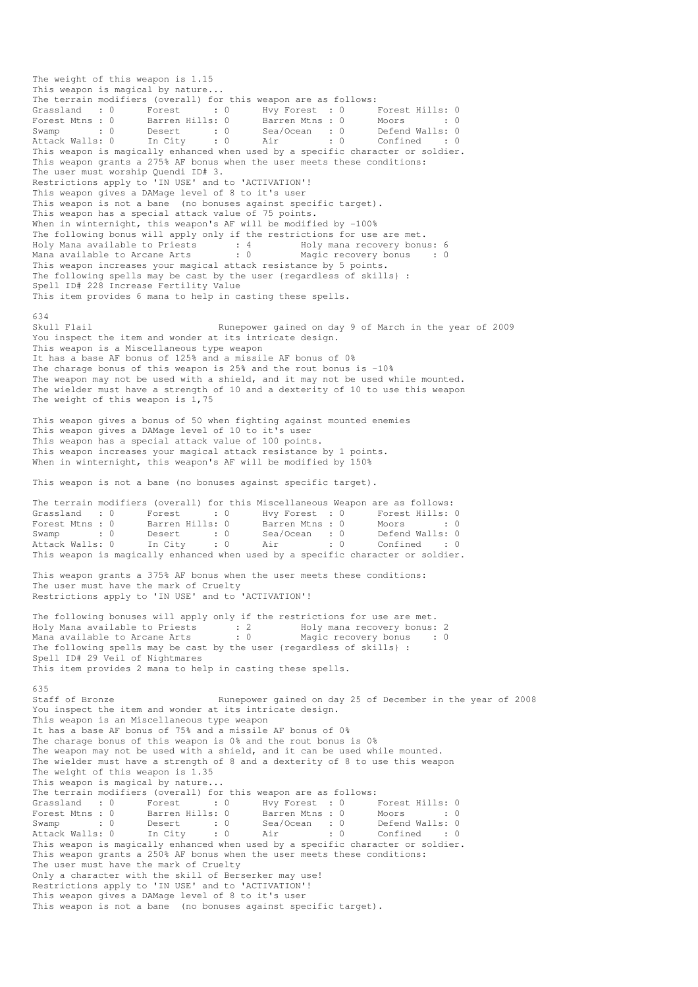The weight of this weapon is 1.15 This weapon is magical by nature... The terrain modifiers (overall) for this weapon are as follows: Grassland : 0 Forest : 0 Hvy Forest : 0 Forest Hills: 0 Forest Mtns : 0 Barren Hills: 0 Barren Mtns : 0 Moors : 0 : 0 Swamp : 0 Desert : 0 Sea/Ocean : 0 Defend Walls: 0 Attack Walls: 0 In City : 0 Air : 0 Confined : 0 This weapon is magically enhanced when used by a specific character or soldier. This weapon grants a 275% AF bonus when the user meets these conditions: The user must worship Quendi ID# 3. Restrictions apply to 'IN USE' and to 'ACTIVATION'! This weapon gives a DAMage level of 8 to it's user This weapon is not a bane (no bonuses against specific target). This weapon has a special attack value of 75 points. When in winternight, this weapon's AF will be modified by -100% The following bonus will apply only if the restrictions for use are met. Holy Mana available to Priests : 4 Holy mana recovery bonus: 6 Mana available to Arcane Arts : 0 Magic recovery bonus : 0 This weapon increases your magical attack resistance by 5 points. The following spells may be cast by the user {regardless of skills} : Spell ID# 228 Increase Fertility Value This item provides 6 mana to help in casting these spells. 634 Skull Flail **Runepower gained on day 9 of March in the year of 2009** You inspect the item and wonder at its intricate design. This weapon is a Miscellaneous type weapon It has a base AF bonus of 125% and a missile AF bonus of 0% The charage bonus of this weapon is 25% and the rout bonus is -10% The weapon may not be used with a shield, and it may not be used while mounted. The wielder must have a strength of 10 and a dexterity of 10 to use this weapon The weight of this weapon is 1,75 This weapon gives a bonus of 50 when fighting against mounted enemies This weapon gives a DAMage level of 10 to it's user This weapon has a special attack value of 100 points. This weapon increases your magical attack resistance by 1 points. When in winternight, this weapon's AF will be modified by 150% This weapon is not a bane (no bonuses against specific target). The terrain modifiers (overall) for this Miscellaneous Weapon are as follows: Grassland : 0 Forest : 0 Hvy Forest : 0 Forest Hills: 0 Forest Mtns : 0 Barren Hills: 0 Barren Mtns : 0 Moors : 0 : 0 Swamp : 0 Desert : 0 Sea/Ocean : 0 Defend Walls: 0 Attack Walls: 0 In City : 0 Air : 0 Confined : 0 This weapon is magically enhanced when used by a specific character or soldier. This weapon grants a 375% AF bonus when the user meets these conditions: The user must have the mark of Cruelty Restrictions apply to 'IN USE' and to 'ACTIVATION'! The following bonuses will apply only if the restrictions for use are met. Holy Mana available to Priests : 2 Holy mana recovery bonus: 2 Mana available to Arcane Arts : 0 Magic recovery bonus : 0 The following spells may be cast by the user {regardless of skills} : Spell ID# 29 Veil of Nightmares This item provides 2 mana to help in casting these spells. 635 Staff of Bronze Runepower gained on day 25 of December in the year of 2008 You inspect the item and wonder at its intricate design. This weapon is an Miscellaneous type weapon It has a base AF bonus of 75% and a missile AF bonus of 0% The charage bonus of this weapon is 0% and the rout bonus is 0% The weapon may not be used with a shield, and it can be used while mounted. The wielder must have a strength of 8 and a dexterity of 8 to use this weapon The weight of this weapon is 1.35 This weapon is magical by nature... The terrain modifiers (overall) for this weapon are as follows:<br>
Grassland : 0 Forest : 0 Hvy Forest : 0 Forest Mtns : 0 Barren Hills: 0 Barren Mtns : 0 I Grassland : 0 Forest : 0 Hvy Forest : 0 Forest Hills: 0 Forest Mtns : 0 Barren Hills: 0 Barren Mtns : 0 Moors : 0 : 0 Swamp : 0 Desert : 0 Sea/Ocean : 0 Defend Walls: 0 Attack Walls: 0 In City : 0 Air : 0 Confined : 0 This weapon is magically enhanced when used by a specific character or soldier. This weapon grants a 250% AF bonus when the user meets these conditions: The user must have the mark of Cruelty Only a character with the skill of Berserker may use! Restrictions apply to 'IN USE' and to 'ACTIVATION'! This weapon gives a DAMage level of 8 to it's user This weapon is not a bane (no bonuses against specific target).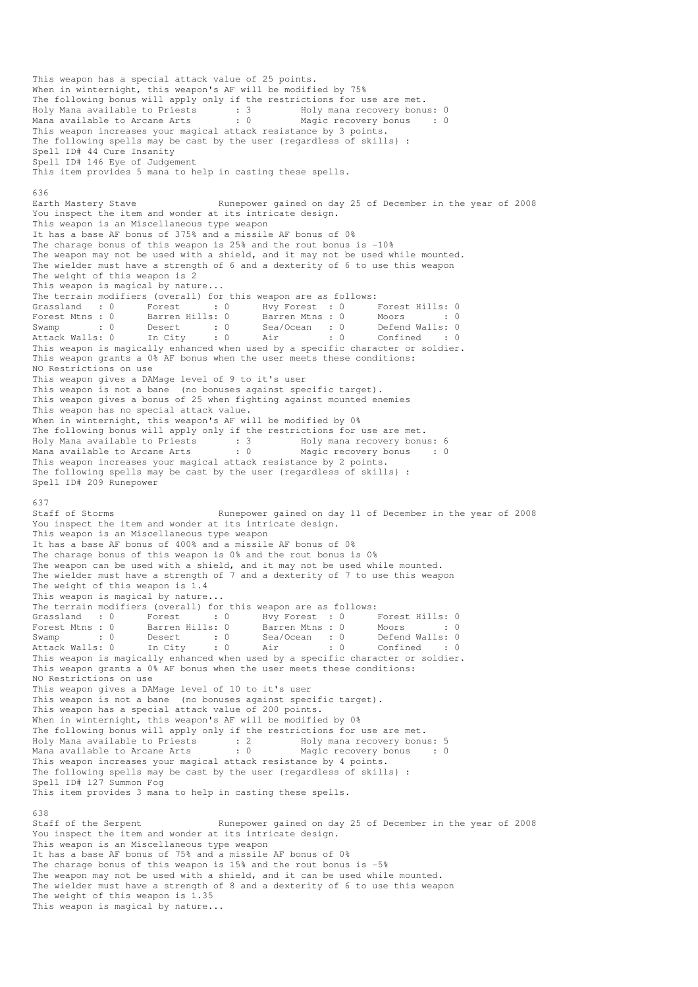This weapon has a special attack value of 25 points. When in winternight, this weapon's AF will be modified by 75% The following bonus will apply only if the restrictions for use are met. Holy Mana available to Priests : 3 Holy mana recovery bonus: 0 Mana available to Arcane Arts : 0 Magic recovery bonus : 0 This weapon increases your magical attack resistance by 3 points. The following spells may be cast by the user {regardless of skills} : Spell ID# 44 Cure Insanity Spell ID# 146 Eye of Judgement This item provides 5 mana to help in casting these spells. 636 Earth Mastery Stave **Runepower gained on day 25 of December in the year of 2008** You inspect the item and wonder at its intricate design. This weapon is an Miscellaneous type weapon It has a base AF bonus of 375% and a missile AF bonus of 0% The charage bonus of this weapon is 25% and the rout bonus is -10% The weapon may not be used with a shield, and it may not be used while mounted. The wielder must have a strength of 6 and a dexterity of 6 to use this weapon The weight of this weapon is 2 This weapon is magical by nature... The terrain modifiers (overall) for this weapon are as follows: Grassland : 0 Forest : 0 Hvy Forest : 0 Forest Hills: 0<br>
Forest Mtns : 0 Barren Hills: 0 Barren Mtns : 0 Moors : 0<br>
Swamp : 0 Desert : 0 Sea/Ocean : 0 Defend Walls: 0<br>
Attack Walls: 0 In City : 0 Air : 0 Confined : 0 Forest Mtns : 0 Barren Hills: 0 Barren Mtns : 0 Moors : 0 : 0 Swamp : 0 Desert : 0 Sea/Ocean : 0 Defend Walls: 0 Attack Walls: 0 In City : 0 Air : 0 Confined : 0 This weapon is magically enhanced when used by a specific character or soldier. This weapon grants a 0% AF bonus when the user meets these conditions: NO Restrictions on use This weapon gives a DAMage level of 9 to it's user This weapon is not a bane (no bonuses against specific target). This weapon gives a bonus of 25 when fighting against mounted enemies This weapon has no special attack value. When in winternight, this weapon's AF will be modified by 0% The following bonus will apply only if the restrictions for use are met.<br>Holy Mana available to Priests : 3 Holy mana recovery bonus: 6 Holy Mana available to Priests : 3 Holy mana recovery bonus: 6 Mana available to Arcane Arts : 0 Magic recovery bonus : 0 This weapon increases your magical attack resistance by 2 points. The following spells may be cast by the user {regardless of skills} : Spell ID# 209 Runepower 637<br>Staff of Storms Runepower gained on day 11 of December in the year of 2008 You inspect the item and wonder at its intricate design. This weapon is an Miscellaneous type weapon It has a base AF bonus of 400% and a missile AF bonus of 0% The charage bonus of this weapon is 0% and the rout bonus is 0% The weapon can be used with a shield, and it may not be used while mounted. The wielder must have a strength of 7 and a dexterity of 7 to use this weapon The weight of this weapon is 1.4 This weapon is magical by nature... The terrain modifiers (overall) for this weapon are as follows: Grassland : 0 Forest : 0 Hvy Forest : 0 Forest Hills: 0 Forest Mtns : 0 Barren Hills: 0 Barren Mtns : 0 Moors : 0 : 0 Swamp : 0 Desert : 0 Sea/Ocean : 0 Defend Walls: 0 Attack Walls: 0 In City : 0 Air : 0 Confined : 0 This weapon is magically enhanced when used by a specific character or soldier. This weapon grants a 0% AF bonus when the user meets these conditions: NO Restrictions on use This weapon gives a DAMage level of 10 to it's user This weapon is not a bane (no bonuses against specific target). This weapon has a special attack value of 200 points. When in winternight, this weapon's AF will be modified by 0% The following bonus will apply only if the restrictions for use are met. Holy Mana available to Priests : 2 Holy mana recovery bonus: 5 Mana available to Arcane Arts : 0 Magic recovery bonus : 0 This weapon increases your magical attack resistance by 4 points. The following spells may be cast by the user {regardless of skills} : Spell ID# 127 Summon Fog This item provides 3 mana to help in casting these spells. 638 Staff of the Serpent Runepower gained on day 25 of December in the year of 2008 You inspect the item and wonder at its intricate design. This weapon is an Miscellaneous type weapon It has a base AF bonus of 75% and a missile AF bonus of 0% The charage bonus of this weapon is 15% and the rout bonus is -5% The weapon may not be used with a shield, and it can be used while mounted. The wielder must have a strength of 8 and a dexterity of 6 to use this weapon The weight of this weapon is 1.35 This weapon is magical by nature...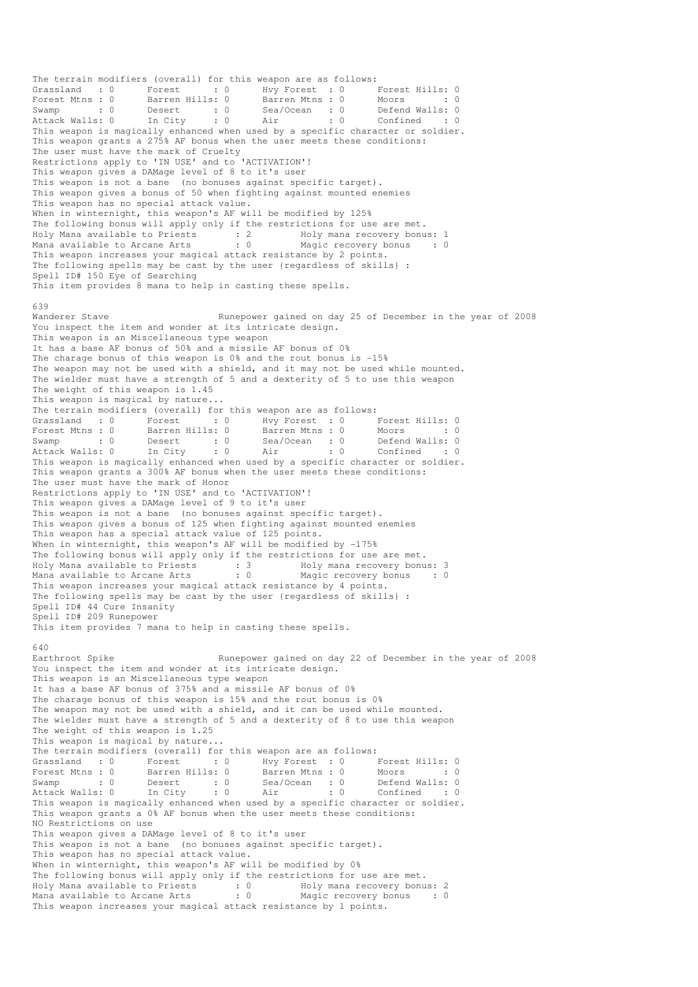The terrain modifiers (overall) for this weapon are as follows: Grassland : 0 Forest : 0 Hvy Forest : 0 Forest Hills: 0 Forest Mtns : 0 Barren Hills: 0 Barren Mtns : 0 Moors : 0 : 0 Swamp : 0 Desert : 0 Sea/Ocean : 0 Defend Walls: 0 Attack Walls: 0 In City : 0 Air : 0 Confined : 0 This weapon is magically enhanced when used by a specific character or soldier. This weapon grants a 275% AF bonus when the user meets these conditions: The user must have the mark of Cruelty Restrictions apply to 'IN USE' and to 'ACTIVATION'! This weapon gives a DAMage level of 8 to it's user This weapon is not a bane (no bonuses against specific target). This weapon gives a bonus of 50 when fighting against mounted enemies This weapon has no special attack value. When in winternight, this weapon's AF will be modified by 125% The following bonus will apply only if the restrictions for use are met. Holy Mana available to Priests : 2 Holy mana recovery bonus: 1 Mana available to Arcane Arts : 0 Magic recovery bonus : 0 This weapon increases your magical attack resistance by 2 points. The following spells may be cast by the user {regardless of skills} : Spell ID# 150 Eye of Searching This item provides 8 mana to help in casting these spells. 639<br>Wanderer Stave Runepower gained on day 25 of December in the year of 2008 You inspect the item and wonder at its intricate design. This weapon is an Miscellaneous type weapon It has a base AF bonus of 50% and a missile AF bonus of 0% The charage bonus of this weapon is 0% and the rout bonus is -15% The weapon may not be used with a shield, and it may not be used while mounted. The wielder must have a strength of 5 and a dexterity of 5 to use this weapon The weight of this weapon is 1.45 This weapon is magical by nature... The terrain modifiers (overall) for this weapon are as follows: Grassland : 0 Forest : 0 Hvy Forest : 0 Forest Hills: 0 Forest Mtns : 0 Barren Hills: 0 Barren Mtns : 0 Moors : 0 : 0 Swamp : 0 Desert : 0 Sea/Ocean : 0 Defend Walls: 0 Attack Walls: 0 In City : 0 Air : 0 Confined : 0 This weapon is magically enhanced when used by a specific character or soldier. This weapon grants a 300% AF bonus when the user meets these conditions: The user must have the mark of Honor Restrictions apply to 'IN USE' and to 'ACTIVATION'! This weapon gives a DAMage level of 9 to it's user This weapon is not a bane (no bonuses against specific target). This weapon gives a bonus of 125 when fighting against mounted enemies This weapon has a special attack value of 125 points. When in winternight, this weapon's AF will be modified by -175% The following bonus will apply only if the restrictions for use are met. Holy Mana available to Priests : 3 Holy mana recovery bonus: 3 Mana available to Arcane Arts : 0 Magic recovery bonus : 0 This weapon increases your magical attack resistance by 4 points. The following spells may be cast by the user {regardless of skills} : Spell ID# 44 Cure Insanity Spell ID# 209 Runepower This item provides 7 mana to help in casting these spells. 640<br>Earthroot Spike Runepower gained on day 22 of December in the year of 2008 You inspect the item and wonder at its intricate design. This weapon is an Miscellaneous type weapon It has a base AF bonus of 375% and a missile AF bonus of 0% The charage bonus of this weapon is 15% and the rout bonus is 0% The weapon may not be used with a shield, and it can be used while mounted. The wielder must have a strength of 5 and a dexterity of 8 to use this weapon The weight of this weapon is 1.25 This weapon is magical by nature... The terrain modifiers (overall) for this weapon are as follows: Grassland : 0 Forest : 0 Hvy Forest : 0 Forest Hills: 0 Forest Mtns : 0 Barren Hills: 0 Barren Mtns : 0 Moors : 0 : 0 Swamp : 0 Desert : 0 Sea/Ocean : 0 Defend Walls: 0 Attack Walls: 0 In City : 0 Air : 0 Confined : 0 This weapon is magically enhanced when used by a specific character or soldier. This weapon grants a 0% AF bonus when the user meets these conditions: NO Restrictions on use This weapon gives a DAMage level of 8 to it's user This weapon is not a bane (no bonuses against specific target). This weapon has no special attack value. When in winternight, this weapon's AF will be modified by 0% The following bonus will apply only if the restrictions for use are met. Holy Mana available to Priests : 0 Holy mana recovery bonus: 2 Mana available to Arcane Arts : 0 Magic recovery bonus : 0 This weapon increases your magical attack resistance by 1 points.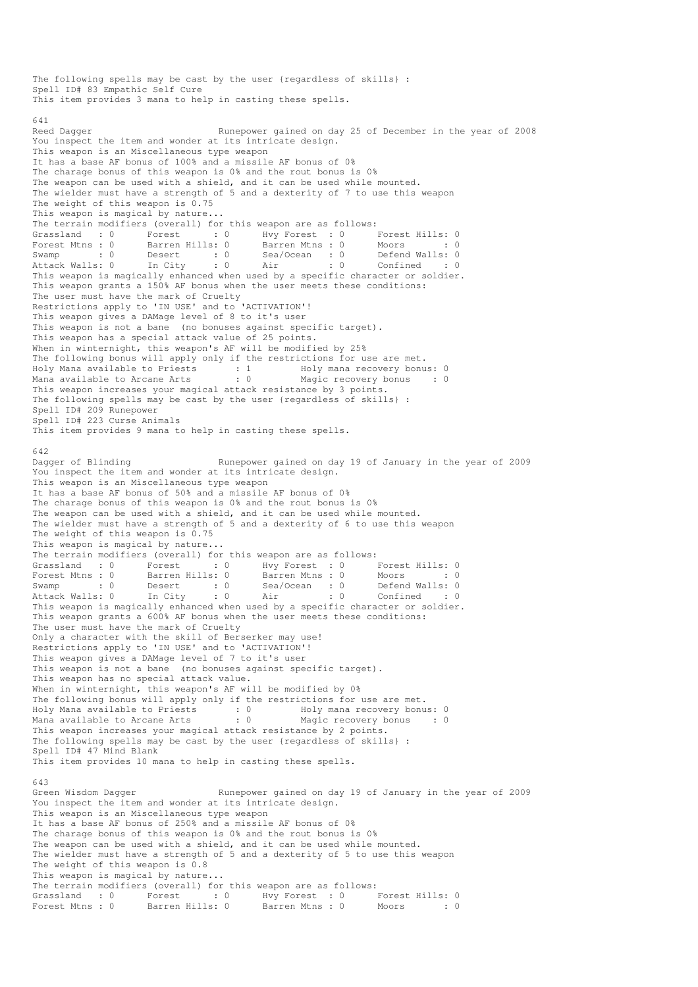The following spells may be cast by the user {regardless of skills} : Spell ID# 83 Empathic Self Cure This item provides 3 mana to help in casting these spells. 641<br>Reed Dagger Runepower gained on day 25 of December in the year of 2008 You inspect the item and wonder at its intricate design. This weapon is an Miscellaneous type weapon It has a base AF bonus of 100% and a missile AF bonus of 0% The charage bonus of this weapon is 0% and the rout bonus is 0% The weapon can be used with a shield, and it can be used while mounted. The wielder must have a strength of 5 and a dexterity of 7 to use this weapon The weight of this weapon is 0.75 This weapon is magical by nature... The terrain modifiers (overall) for this weapon are as follows:<br>
Grassland :  $0$  Forest :  $0$  Hvy Forest :  $0$  I : 0 Hvy Forest : 0 Forest Hills: 0 Forest Mtns : 0 Barren Hills: 0 Barren Mtns : 0 Moors : 0 : 0 Swamp : 0 Desert : 0 Sea/Ocean : 0 Defend Walls: 0 Attack Walls: 0 In City : 0 Air : 0 Confined : 0 This weapon is magically enhanced when used by a specific character or soldier. This weapon grants a 150% AF bonus when the user meets these conditions: The user must have the mark of Cruelty Restrictions apply to 'IN USE' and to 'ACTIVATION'! This weapon gives a DAMage level of 8 to it's user This weapon is not a bane (no bonuses against specific target). This weapon has a special attack value of 25 points. When in winternight, this weapon's AF will be modified by 25% The following bonus will apply only if the restrictions for use are met. Holy Mana available to Priests : 1 Moly mana recovery bonus: 0 Mana available to Arcane Arts : 0 Magic recovery bonus : 0 This weapon increases your magical attack resistance by 3 points. The following spells may be cast by the user {regardless of skills} : Spell ID# 209 Runepower Spell ID# 223 Curse Animals This item provides 9 mana to help in casting these spells. 642<br>Dagger of Blinding Runepower gained on day 19 of January in the year of 2009 You inspect the item and wonder at its intricate design. This weapon is an Miscellaneous type weapon It has a base AF bonus of 50% and a missile AF bonus of 0% The charage bonus of this weapon is 0% and the rout bonus is 0% The weapon can be used with a shield, and it can be used while mounted. The wielder must have a strength of 5 and a dexterity of 6 to use this weapon The weight of this weapon is 0.75 This weapon is magical by nature... The terrain modifiers (overall) for this weapon are as follows:<br>
Grassland : 0 Forest : 0 Hvy Forest : 0 Forest Mtns : 0 Barren Hills: 0 Barren Mtns : 0 M Grassland : 0 Forest : 0 Hvy Forest : 0 Forest Hills: 0 Forest Mtns : 0 Barren Hills: 0 Barren Mtns : 0 Moors : 0 : 0 Swamp : 0 Desert : 0 Sea/Ocean : 0 Defend Walls: 0 Attack Walls: 0 In City : 0 Air : 0 Confined : 0 This weapon is magically enhanced when used by a specific character or soldier. This weapon grants a 600% AF bonus when the user meets these conditions: The user must have the mark of Cruelty Only a character with the skill of Berserker may use! Restrictions apply to 'IN USE' and to 'ACTIVATION'! This weapon gives a DAMage level of 7 to it's user This weapon is not a bane (no bonuses against specific target). This weapon has no special attack value. When in winternight, this weapon's AF will be modified by 0% The following bonus will apply only if the restrictions for use are met. Holy Mana available to Priests : 0 Holy mana recovery bonus: 0 Mana available to Arcane Arts : 0 Magic recovery bonus : 0 This weapon increases your magical attack resistance by 2 points. The following spells may be cast by the user {regardless of skills} : Spell ID# 47 Mind Blank This item provides 10 mana to help in casting these spells. 643<br>Green Wisdom Dagger Runepower gained on day 19 of January in the year of 2009 You inspect the item and wonder at its intricate design. This weapon is an Miscellaneous type weapon It has a base AF bonus of 250% and a missile AF bonus of 0% The charage bonus of this weapon is 0% and the rout bonus is 0% The weapon can be used with a shield, and it can be used while mounted. The wielder must have a strength of 5 and a dexterity of 5 to use this weapon The weight of this weapon is 0.8 This weapon is magical by nature... The terrain modifiers (overall) for this weapon are as follows: Grassland : 0 Forest : 0 Hvy Forest : 0 Forest Hills: 0 Forest Mtns : 0 Barren Hills: 0 Barren Mtns : 0 Moors : 0 : 0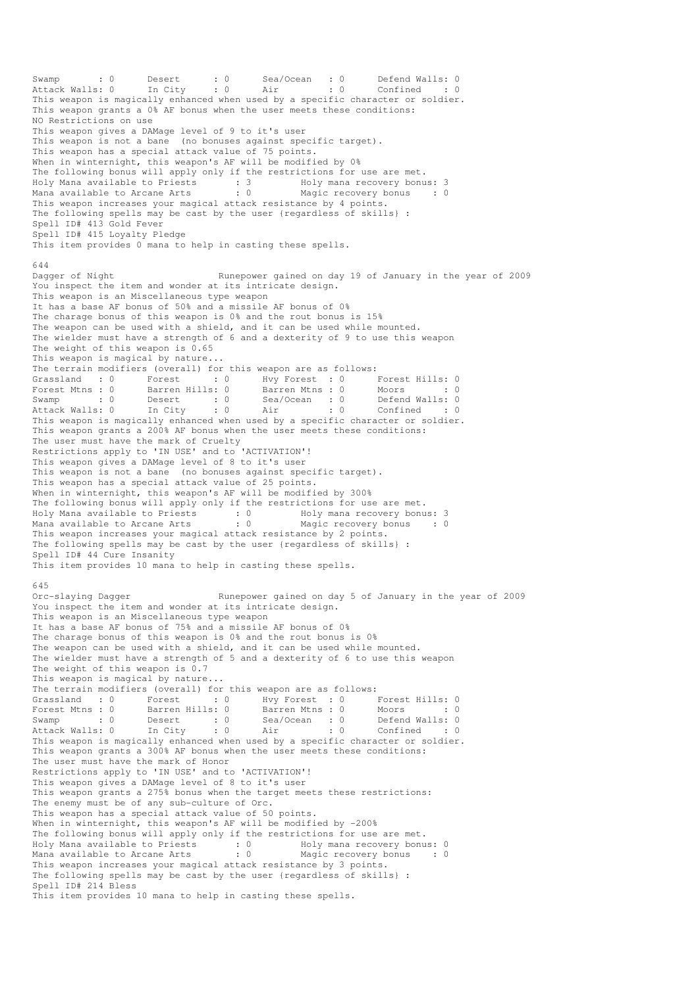Swamp : 0 Desert : 0 Sea/Ocean : 0 Defend Walls: 0 Attack Walls: 0 In City : 0 Air : 0 Confined : 0 This weapon is magically enhanced when used by a specific character or soldier. This weapon grants a 0% AF bonus when the user meets these conditions: NO Restrictions on use This weapon gives a DAMage level of 9 to it's user This weapon is not a bane (no bonuses against specific target). This weapon has a special attack value of 75 points. When in winternight, this weapon's AF will be modified by 0% The following bonus will apply only if the restrictions for use are met. Holy Mana available to Priests : 3 Holy mana recovery bonus: 3 Mana available to Arcane Arts : 0 Magic recovery bonus : 0 This weapon increases your magical attack resistance by 4 points. The following spells may be cast by the user {regardless of skills} : Spell ID# 413 Gold Fever Spell ID# 415 Loyalty Pledge This item provides 0 mana to help in casting these spells. 644<br>Dagger of Night Runepower gained on day 19 of January in the year of 2009 You inspect the item and wonder at its intricate design. This weapon is an Miscellaneous type weapon It has a base AF bonus of 50% and a missile AF bonus of 0% The charage bonus of this weapon is 0% and the rout bonus is 15% The weapon can be used with a shield, and it can be used while mounted. The wielder must have a strength of 6 and a dexterity of 9 to use this weapon The weight of this weapon is 0.65 This weapon is magical by nature... The terrain modifiers (overall) for this weapon are as follows: Grassland : 0 Forest : 0 Hvy Forest : 0 Forest Hills: 0 Forest Mtns : 0 Barren Hills: 0 Barren Mtns : 0 Moors : 0 : 0 Swamp : 0 Desert : 0 Sea/Ocean : 0 Defend Walls: 0 Attack Walls: 0 In City : 0 Air : 0 Confined : 0 This weapon is magically enhanced when used by a specific character or soldier. This weapon grants a 200% AF bonus when the user meets these conditions: The user must have the mark of Cruelty Restrictions apply to 'IN USE' and to 'ACTIVATION'! This weapon gives a DAMage level of 8 to it's user This weapon is not a bane (no bonuses against specific target). This weapon has a special attack value of 25 points. When in winternight, this weapon's AF will be modified by 300% The following bonus will apply only if the restrictions for use are met. Holy Mana available to Priests : 0 Holy mana recovery bonus: 3 Mana available to Arcane Arts : 0 Magic recovery bonus : 0 This weapon increases your magical attack resistance by 2 points. The following spells may be cast by the user {regardless of skills} : Spell ID# 44 Cure Insanity This item provides 10 mana to help in casting these spells. 645<br>Orc-slaying Dagger Runepower gained on day 5 of January in the year of 2009 You inspect the item and wonder at its intricate design. This weapon is an Miscellaneous type weapon It has a base AF bonus of 75% and a missile AF bonus of 0% The charage bonus of this weapon is 0% and the rout bonus is 0% The weapon can be used with a shield, and it can be used while mounted. The wielder must have a strength of 5 and a dexterity of 6 to use this weapon The weight of this weapon is 0.7 This weapon is magical by nature... The terrain modifiers (overall) for this weapon are as follows: Grassland : 0 Forest : 0 Hvy Forest : 0 Forest Hills: 0<br>Forest Mtns : 0 Barren Hills: 0 Barren Mtns : 0 Moors : 0 Forest Mtns : 0 Barren Hills: 0 Barren Mtns : 0 Moors : 0 : 0 Swamp : 0 Desert : 0 Sea/Ocean : 0 Defend Walls: 0 Attack Walls: 0 In City : 0 Air : 0 Confined : 0 This weapon is magically enhanced when used by a specific character or soldier. This weapon grants a 300% AF bonus when the user meets these conditions: The user must have the mark of Honor Restrictions apply to 'IN USE' and to 'ACTIVATION'! This weapon gives a DAMage level of 8 to it's user This weapon grants a 275% bonus when the target meets these restrictions: The enemy must be of any sub-culture of Orc. This weapon has a special attack value of 50 points. When in winternight, this weapon's AF will be modified by -200% The following bonus will apply only if the restrictions for use are met. Holy Mana available to Priests : 0 Holy mana recovery bonus: 0 Mana available to Arcane Arts : 0 Magic recovery bonus : 0 This weapon increases your magical attack resistance by 3 points. The following spells may be cast by the user {regardless of skills} : Spell ID# 214 Bless This item provides 10 mana to help in casting these spells.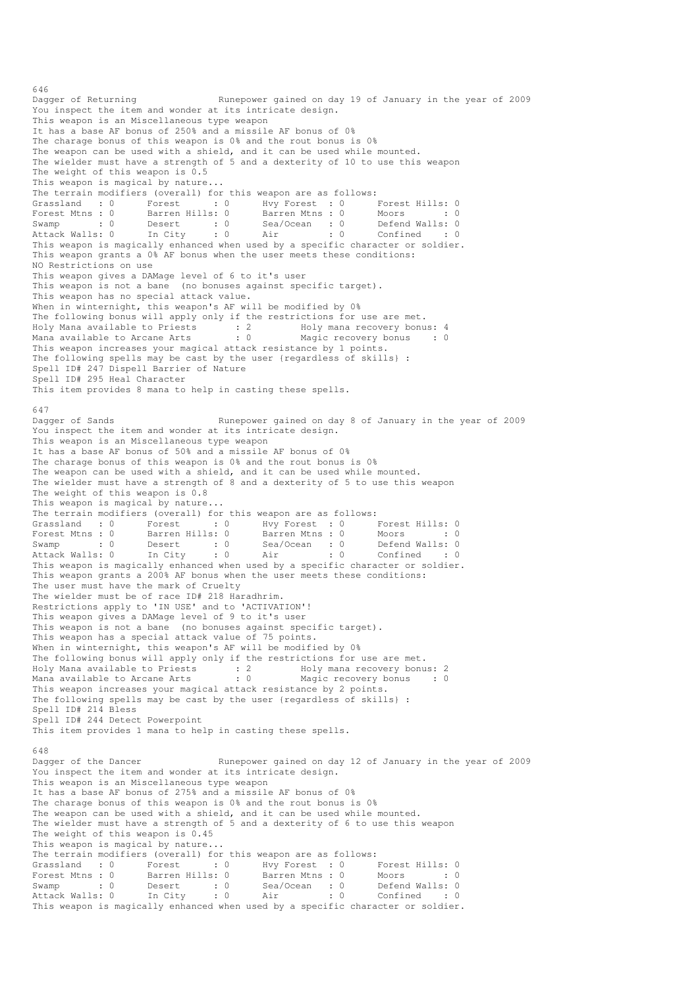Dagger of Returning The Runepower gained on day 19 of January in the year of 2009 You inspect the item and wonder at its intricate design. This weapon is an Miscellaneous type weapon It has a base AF bonus of 250% and a missile AF bonus of 0% The charage bonus of this weapon is 0% and the rout bonus is 0% The weapon can be used with a shield, and it can be used while mounted. The wielder must have a strength of 5 and a dexterity of 10 to use this weapon The weight of this weapon is  $0.5$ This weapon is magical by nature... The terrain modifiers (overall) for this weapon are as follows:<br>
Grassland : 0 Forest : 0 Hvy Forest : 0 I<br>
Forest Mtns : 0 Barren Hills: 0 Barren Mtns : 0 I Grassland : 0 Forest : 0 Hvy Forest : 0 Forest Hills: 0 Forest Mtns : 0 Barren Hills: 0 Barren Mtns : 0 Moors : 0 : 0 Swamp : 0 Desert : 0 Sea/Ocean : 0 Defend Walls: 0 Attack Walls: 0 In City : 0 Air : 0 Confined : 0 Sudding a state of this continued is a state of the confined that the confined this weapon is magically enhanced when used by a specific character or soldier. This weapon grants a 0% AF bonus when the user meets these conditions: NO Restrictions on use This weapon gives a DAMage level of 6 to it's user This weapon is not a bane (no bonuses against specific target). This weapon has no special attack value. When in winternight, this weapon's AF will be modified by 0% The following bonus will apply only if the restrictions for use are met. Holy Mana available to Priests : 2 Holy mana recovery bonus: 4 Mana available to Arcane Arts : 0 Magic recovery bonus : 0 This weapon increases your magical attack resistance by 1 points. The following spells may be cast by the user {regardless of skills} : Spell ID# 247 Dispell Barrier of Nature Spell ID# 295 Heal Character This item provides 8 mana to help in casting these spells. 647<br>Dagger of Sands Runepower gained on day 8 of January in the year of 2009 You inspect the item and wonder at its intricate design. This weapon is an Miscellaneous type weapon It has a base AF bonus of 50% and a missile AF bonus of 0% The charage bonus of this weapon is 0% and the rout bonus is 0% The weapon can be used with a shield, and it can be used while mounted. The wielder must have a strength of 8 and a dexterity of 5 to use this weapon The weight of this weapon is 0.8 This weapon is magical by nature... The terrain modifiers (overall) for this weapon are as follows:<br>
Grassland : 0 Forest : 0 Hvy Forest : 0 Forest Hills: 0 Grassland : 0 Forest : 0 Hvy Forest : 0 Forest Hills: 0 Forest Mtns : 0 Barren Hills: 0 Barren Mtns : 0 Moors : 0 : 0 Swamp : 0 Desert : 0 Sea/Ocean : 0 Defend Walls: 0 Attack Walls: 0 In City : 0 Air : 0 Confined : 0 This weapon is magically enhanced when used by a specific character or soldier. This weapon grants a 200% AF bonus when the user meets these conditions: The user must have the mark of Cruelty The wielder must be of race ID# 218 Haradhrim. Restrictions apply to 'IN USE' and to 'ACTIVATION'! This weapon gives a DAMage level of 9 to it's user This weapon is not a bane (no bonuses against specific target). This weapon has a special attack value of 75 points. When in winternight, this weapon's AF will be modified by 0% The following bonus will apply only if the restrictions for use are met. Holy Mana available to Priests : 2 Holy mana recovery bonus: 2 Mana available to Arcane Arts : 0 Magic recovery bonus : 0 This weapon increases your magical attack resistance by 2 points. The following spells may be cast by the user {regardless of skills} : Spell ID# 214 Bless Spell ID# 244 Detect Powerpoint This item provides 1 mana to help in casting these spells. 648 Dagger of the Dancer Runepower gained on day 12 of January in the year of 2009 You inspect the item and wonder at its intricate design. This weapon is an Miscellaneous type weapon It has a base AF bonus of 275% and a missile AF bonus of 0% The charage bonus of this weapon is 0% and the rout bonus is 0% The weapon can be used with a shield, and it can be used while mounted. The wielder must have a strength of 5 and a dexterity of 6 to use this weapon The weight of this weapon is 0.45 This weapon is magical by nature... The terrain modifiers (overall) for this weapon are as follows: Grassland : 0 Forest : 0 Hvy Forest : 0 Forest Hills: 0 Forest Mtns : 0 Barren Hills: 0 Barren Mtns : 0 Moors : 0 : 0 Swamp : 0 Desert : 0 Sea/Ocean : 0 Defend Walls: 0 Attack Walls: 0 In City : 0 Air : 0 Confined : 0 This weapon is magically enhanced when used by a specific character or soldier.

646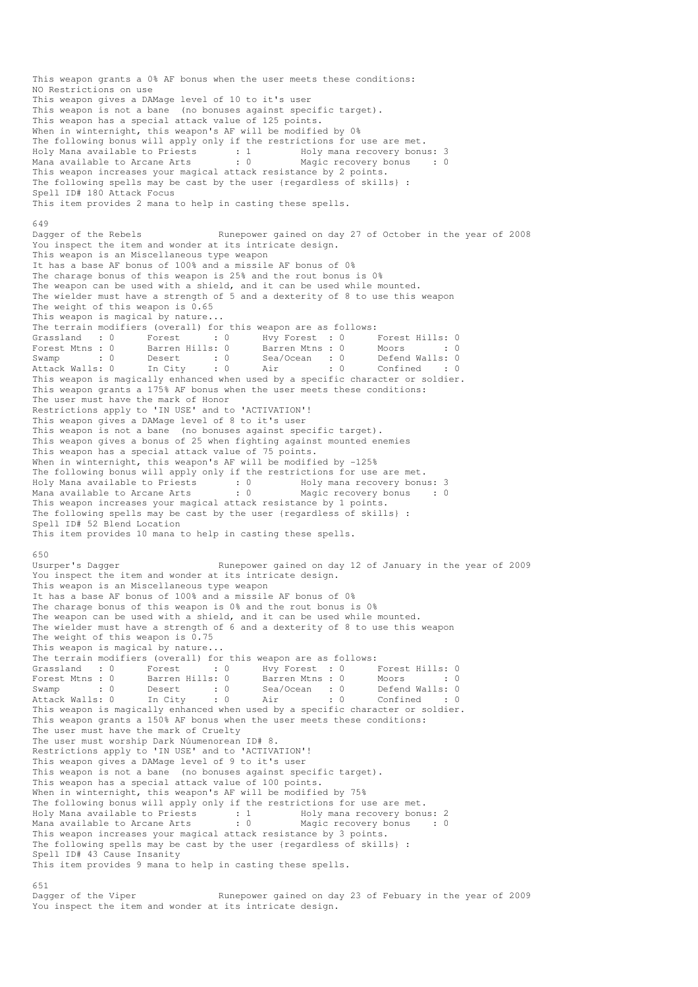This weapon grants a 0% AF bonus when the user meets these conditions: NO Restrictions on use This weapon gives a DAMage level of 10 to it's user This weapon is not a bane (no bonuses against specific target). This weapon has a special attack value of 125 points. When in winternight, this weapon's AF will be modified by 0% The following bonus will apply only if the restrictions for use are met. Holy Mana available to Priests : 1 Holy mana recovery bonus: 3 Mana available to Arcane Arts : 0 Magic recovery bonus : 0 This weapon increases your magical attack resistance by 2 points. The following spells may be cast by the user {regardless of skills} : Spell ID# 180 Attack Focus This item provides 2 mana to help in casting these spells. 649 Dagger of the Rebels Runepower gained on day 27 of October in the year of 2008 You inspect the item and wonder at its intricate design. This weapon is an Miscellaneous type weapon It has a base AF bonus of 100% and a missile AF bonus of 0% The charage bonus of this weapon is 25% and the rout bonus is 0% The weapon can be used with a shield, and it can be used while mounted. The wielder must have a strength of 5 and a dexterity of 8 to use this weapon The weight of this weapon is 0.65 This weapon is magical by nature... The terrain modifiers (overall) for this weapon are as follows:<br>
Grassland : 0 Forest : 0 Hvy Forest : 0 I<br>
Forest Mtns : 0 Barren Hills: 0 Barren Mtns : 0 I er in the set of the set of the set of the set of the set of the set of the set of the set of the set of the set of the set of the set of the set of the set of the set of the set of the set of the set of the set of the set Forest Mtns : 0 Barren Hills: 0 Barren Mtns : 0 Moors : 0 : 0 Swamp : 0 Desert : 0 Sea/Ocean : 0 Defend Walls: 0 Attack Walls: 0 In City : 0 Air : 0 Confined : 0 This weapon is magically enhanced when used by a specific character or soldier. This weapon grants a 175% AF bonus when the user meets these conditions: The user must have the mark of Honor Restrictions apply to 'IN USE' and to 'ACTIVATION'! This weapon gives a DAMage level of 8 to it's user This weapon is not a bane (no bonuses against specific target). This weapon gives a bonus of 25 when fighting against mounted enemies This weapon has a special attack value of 75 points. When in winternight, this weapon's AF will be modified by -125% The following bonus will apply only if the restrictions for use are met. Holy Mana available to Priests : 0 69 Holy mana recovery bonus: 3 Mana available to Arcane Arts : 0 Magic recovery bonus : 0 This weapon increases your magical attack resistance by 1 points. The following spells may be cast by the user {regardless of skills} : Spell ID# 52 Blend Location This item provides 10 mana to help in casting these spells. 650 Usurper's Dagger Runepower gained on day 12 of January in the year of 2009 You inspect the item and wonder at its intricate design. This weapon is an Miscellaneous type weapon It has a base AF bonus of 100% and a missile AF bonus of 0% The charage bonus of this weapon is 0% and the rout bonus is 0% The weapon can be used with a shield, and it can be used while mounted. The wielder must have a strength of 6 and a dexterity of 8 to use this weapon The weight of this weapon is 0.75 This weapon is magical by nature... The terrain modifiers (overall) for this weapon are as follows:<br>
Grassland : 0 Forest : 0 Hvy Forest : 0 Forest : 0 Forest : 0 Forest : 0 Forest : 0 Forest : 0 Forest : 0 Forest : 0 Forest : 0 Forest : 0 Forest : 0 Forest Grassland : 0 Forest : 0 Hvy Forest : 0 Forest Hills: 0 Forest Mtns : 0 Barren Hills: 0 Barren Mtns : 0 Moors : 0 : 0 Swamp : 0 Desert : 0 Sea/Ocean : 0 Defend Walls: 0 Attack Walls: 0 In City : 0 Air : 0 Confined : 0 This weapon is magically enhanced when used by a specific character or soldier. This weapon grants a 150% AF bonus when the user meets these conditions: The user must have the mark of Cruelty The user must worship Dark Núumenorean ID# 8. Restrictions apply to 'IN USE' and to 'ACTIVATION'! This weapon gives a DAMage level of 9 to it's user This weapon is not a bane (no bonuses against specific target). This weapon has a special attack value of 100 points. When in winternight, this weapon's AF will be modified by 75% The following bonus will apply only if the restrictions for use are met. Holy Mana available to Priests : 1 Holy mana recovery bonus: 2 Mana available to Arcane Arts : 0 Magic recovery bonus : 0 This weapon increases your magical attack resistance by 3 points. The following spells may be cast by the user {regardless of skills} : Spell ID# 43 Cause Insanity This item provides 9 mana to help in casting these spells. 651<br>Dagger of the Viper

Runepower gained on day 23 of Febuary in the year of 2009 You inspect the item and wonder at its intricate design.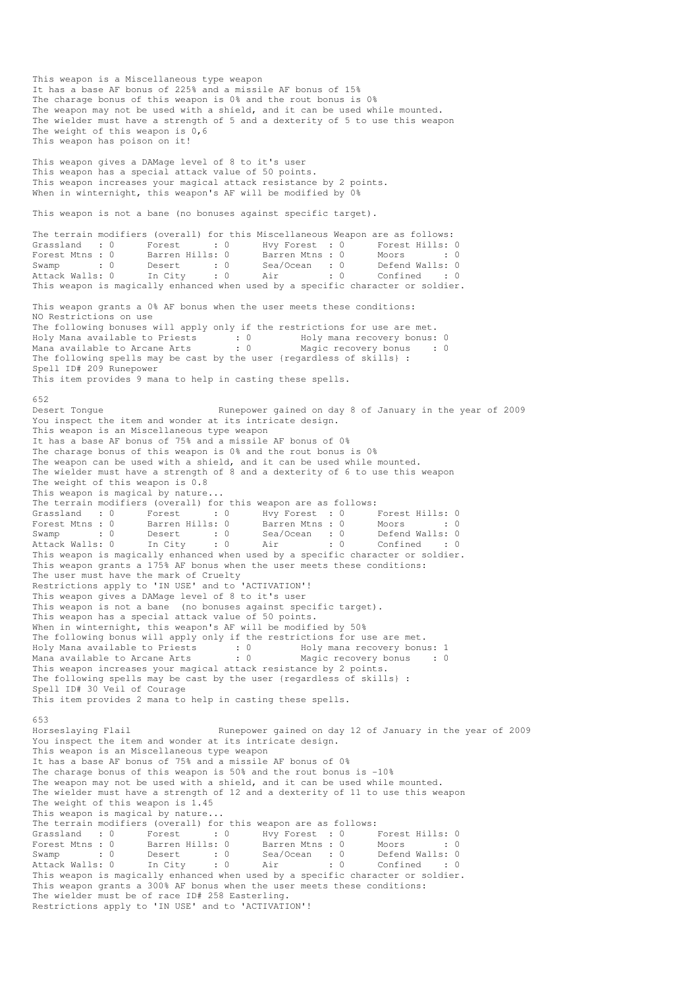This weapon is a Miscellaneous type weapon It has a base AF bonus of 225% and a missile AF bonus of 15% The charage bonus of this weapon is 0% and the rout bonus is 0% The weapon may not be used with a shield, and it can be used while mounted. The wielder must have a strength of 5 and a dexterity of 5 to use this weapon The weight of this weapon is 0,6 This weapon has poison on it! This weapon gives a DAMage level of 8 to it's user This weapon has a special attack value of 50 points. This weapon increases your magical attack resistance by 2 points. When in winternight, this weapon's AF will be modified by 0% This weapon is not a bane (no bonuses against specific target). The terrain modifiers (overall) for this Miscellaneous Weapon are as follows: Grassland : 0 Forest : 0 Hvy Forest : 0 Forest Hills: 0 Forest Mtns : 0 Barren Hills: 0 Barren Mtns : 0 Moors : 0 : 0 Swamp : 0 Desert : 0 Sea/Ocean : 0 Defend Walls: 0 Attack Walls: 0 In City : 0 Air : 0 Confined : 0 This weapon is magically enhanced when used by a specific character or soldier. This weapon grants a 0% AF bonus when the user meets these conditions: NO Restrictions on use The following bonuses will apply only if the restrictions for use are met. Holy Mana available to Priests : 0 Holy mana recovery bonus: 0 Mana available to Arcane Arts : 0 Magic recovery bonus : 0 The following spells may be cast by the user {regardless of skills} : Spell ID# 209 Runepower This item provides 9 mana to help in casting these spells. 652 Desert Tongue Tongue Runepower gained on day 8 of January in the year of 2009 You inspect the item and wonder at its intricate design. This weapon is an Miscellaneous type weapon It has a base AF bonus of 75% and a missile AF bonus of 0% The charage bonus of this weapon is 0% and the rout bonus is 0% The weapon can be used with a shield, and it can be used while mounted. The wielder must have a strength of 8 and a dexterity of 6 to use this weapon The weight of this weapon is 0.8 This weapon is magical by nature... The terrain modifiers (overall) for this weapon are as follows: Grassland : 0 Forest : 0 Hvy Forest : 0 Forest Hills: 0 Forest Mtns : 0 Barren Hills: 0 Barren Mtns : 0 Moors : 0 : 0 Swamp : 0 Desert : 0 Sea/Ocean : 0 Defend Walls: 0 Attack Walls: 0 In City : 0 Air : 0 Confined : 0 This weapon is magically enhanced when used by a specific character or soldier. This weapon grants a 175% AF bonus when the user meets these conditions: The user must have the mark of Cruelty Restrictions apply to 'IN USE' and to 'ACTIVATION'! This weapon gives a DAMage level of 8 to it's user This weapon is not a bane (no bonuses against specific target). This weapon has a special attack value of 50 points. When in winternight, this weapon's AF will be modified by 50% The following bonus will apply only if the restrictions for use are met. Holy Mana available to Priests : 0 Holy mana recovery bonus: 1 Mana available to Arcane Arts : 0 Magic recovery bonus : 0 This weapon increases your magical attack resistance by 2 points. The following spells may be cast by the user {regardless of skills} : Spell ID# 30 Veil of Courage This item provides 2 mana to help in casting these spells. 653 Horseslaying Flail Runepower gained on day 12 of January in the year of 2009 You inspect the item and wonder at its intricate design. This weapon is an Miscellaneous type weapon It has a base AF bonus of 75% and a missile AF bonus of 0% The charage bonus of this weapon is 50% and the rout bonus is -10% The weapon may not be used with a shield, and it can be used while mounted. The wielder must have a strength of 12 and a dexterity of 11 to use this weapon The weight of this weapon is 1.45 This weapon is magical by nature... The terrain modifiers (overall) for this weapon are as follows: Grassland : 0 Forest : 0 Hvy Forest : 0 Forest Hills: 0 Forest Mtns : 0 Barren Hills: 0 Barren Mtns : 0 Moors : 0 : 0 Swamp : 0 Desert : 0 Sea/Ocean : 0 Defend Walls: 0 Attack Walls: 0 In City : 0 Air : 0 Confined : 0 Swamp : 0 Desert : 0 Jea/Julieum in the confined : 0<br>Attack Walls: 0 In City : 0 Air : 0 Confined : 0<br>This weapon is magically enhanced when used by a specific character or soldier. This weapon grants a 300% AF bonus when the user meets these conditions: The wielder must be of race ID# 258 Easterling. Restrictions apply to 'IN USE' and to 'ACTIVATION'!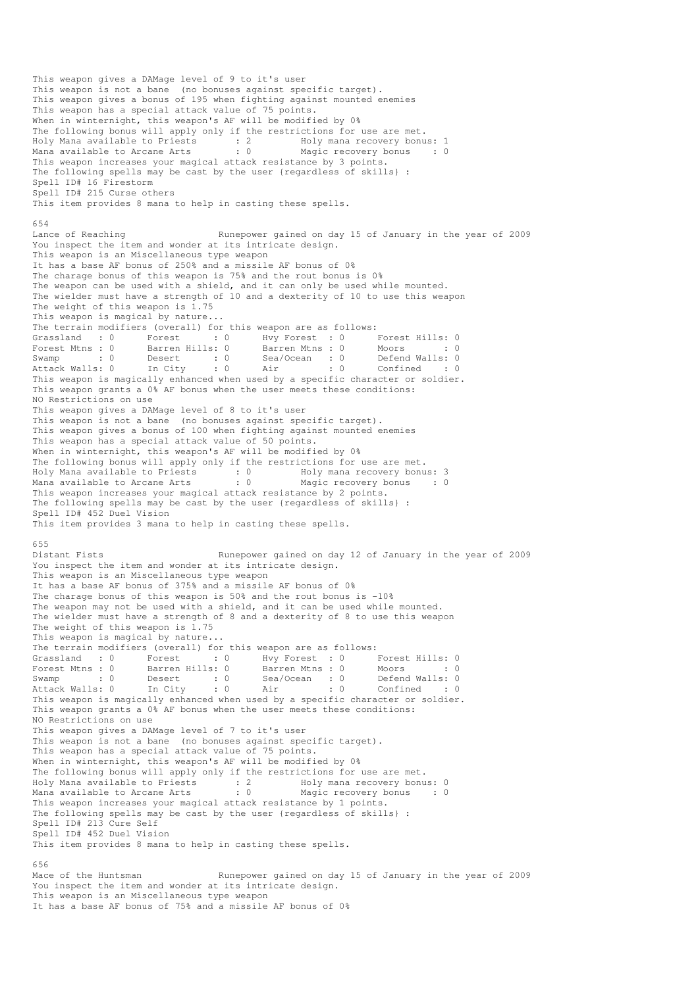This weapon gives a DAMage level of 9 to it's user This weapon is not a bane (no bonuses against specific target). This weapon gives a bonus of 195 when fighting against mounted enemies This weapon has a special attack value of 75 points. When in winternight, this weapon's AF will be modified by 0% The following bonus will apply only if the restrictions for use are met. Holy Mana available to Priests : 2 Holy mana recovery bonus: 1 Mana available to Arcane Arts : 0 Magic recovery bonus : 0 This weapon increases your magical attack resistance by 3 points. The following spells may be cast by the user {regardless of skills} : Spell ID# 16 Firestorm Spell ID# 215 Curse others This item provides 8 mana to help in casting these spells. 654 Lance of Reaching Runepower gained on day 15 of January in the year of 2009 You inspect the item and wonder at its intricate design. This weapon is an Miscellaneous type weapon It has a base AF bonus of 250% and a missile AF bonus of 0% The charage bonus of this weapon is 75% and the rout bonus is 0% The weapon can be used with a shield, and it can only be used while mounted. The wielder must have a strength of 10 and a dexterity of 10 to use this weapon The weight of this weapon is 1.75 This weapon is magical by nature... The terrain modifiers (overall) for this weapon are as follows:<br>
Grassland : 0 Forest : 0 Hvy Forest : 0 I<br>
Forest Mtns : 0 Barren Hills: 0 Barren Mtns : 0 I er in the set of the set of the set of the set of the set of the set of the set of the set of the set of the set of the set of the set of the set of the set of the set of the set of the set of the set of the set of the set Forest Mtns : 0 Barren Hills: 0 Barren Mtns : 0 Moors : 0 : 0 Swamp : 0 Desert : 0 Sea/Ocean : 0 Defend Walls: 0 Attack Walls: 0 In City : 0 Air : 0 Confined : 0 This weapon is magically enhanced when used by a specific character or soldier. This weapon grants a 0% AF bonus when the user meets these conditions: NO Restrictions on use This weapon gives a DAMage level of 8 to it's user This weapon is not a bane (no bonuses against specific target). This weapon gives a bonus of 100 when fighting against mounted enemies This weapon has a special attack value of 50 points. When in winternight, this weapon's AF will be modified by 0% The following bonus will apply only if the restrictions for use are met. Holy Mana available to Priests : 0 Holy mana recovery bonus: 3 Mana available to Arcane Arts : 0 Magic recovery bonus : 0 This weapon increases your magical attack resistance by 2 points. The following spells may be cast by the user {regardless of skills} : Spell ID# 452 Duel Vision This item provides 3 mana to help in casting these spells. 655 Distant Fists Runepower gained on day 12 of January in the year of 2009 You inspect the item and wonder at its intricate design. This weapon is an Miscellaneous type weapon It has a base AF bonus of 375% and a missile AF bonus of 0% The charage bonus of this weapon is 50% and the rout bonus is -10% The weapon may not be used with a shield, and it can be used while mounted. The wielder must have a strength of 8 and a dexterity of 8 to use this weapon The weight of this weapon is 1.75 This weapon is magical by nature... The terrain modifiers (overall) for this weapon are as follows: Grassland : 0 Forest : 0 Hvy Forest : 0 Forest Hills: 0 Forest Mtns : 0 Barren Hills: 0 Barren Mtns : 0 Moors : 0 Swamp : 0 Desert : 0 Sea/Ocean : 0 Defend Walls: 0 Attack Walls: 0 In City : 0 Air : 0 Confined : 0 This weapon is magically enhanced when used by a specific character or soldier. This weapon grants a 0% AF bonus when the user meets these conditions: NO Restrictions on use This weapon gives a DAMage level of 7 to it's user This weapon is not a bane (no bonuses against specific target). This weapon has a special attack value of 75 points. When in winternight, this weapon's AF will be modified by 0% The following bonus will apply only if the restrictions for use are met. Holy Mana available to Priests : 2 Moly mana recovery bonus: 0 Mana available to Arcane Arts : 0 Magic recovery bonus : 0 This weapon increases your magical attack resistance by 1 points. The following spells may be cast by the user {regardless of skills} : Spell ID# 213 Cure Self Spell ID# 452 Duel Vision This item provides 8 mana to help in casting these spells. 656 Mace of the Huntsman Runepower gained on day 15 of January in the year of 2009 You inspect the item and wonder at its intricate design. This weapon is an Miscellaneous type weapon

It has a base AF bonus of 75% and a missile AF bonus of 0%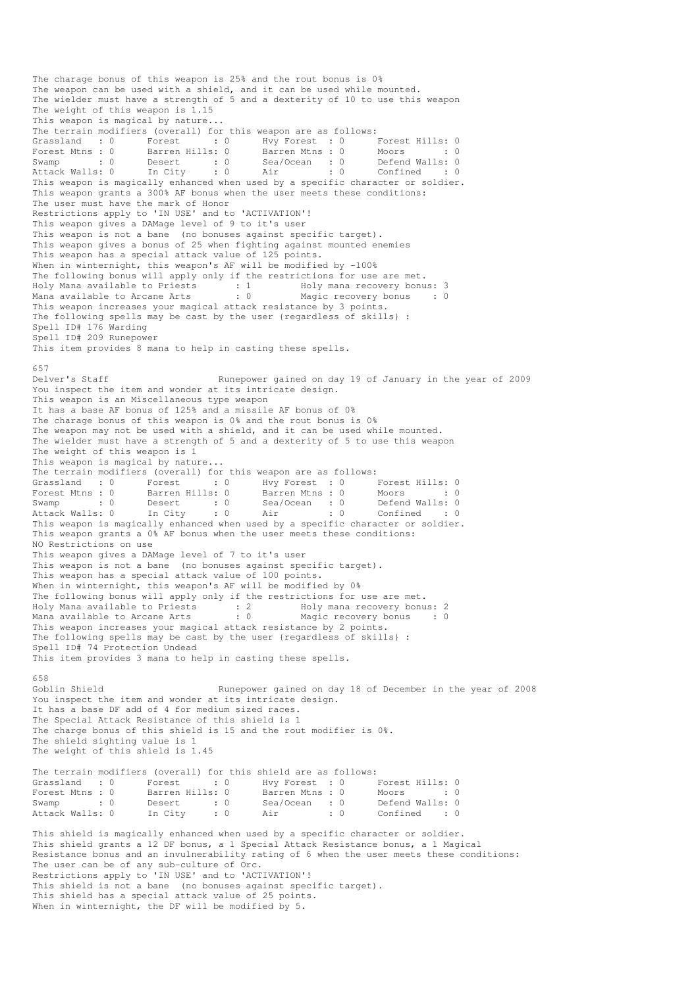The charage bonus of this weapon is 25% and the rout bonus is 0% The weapon can be used with a shield, and it can be used while mounted. The wielder must have a strength of 5 and a dexterity of 10 to use this weapon The weight of this weapon is 1.15 This weapon is magical by nature... The terrain modifiers (overall) for this weapon are as follows: Grassland : 0 Forest : 0 Hvy Forest : 0 Forest Hills: 0 Forest Mtns : 0 Barren Hills: 0 Barren Mtns : 0 Moors : 0 : 0 Swamp : 0 Desert : 0 Sea/Ocean : 0 Defend Walls: 0 Attack Walls: 0 In City : 0 Air : 0 Confined : 0 This weapon is magically enhanced when used by a specific character or soldier. This weapon grants a 300% AF bonus when the user meets these conditions: The user must have the mark of Honor Restrictions apply to 'IN USE' and to 'ACTIVATION'! This weapon gives a DAMage level of 9 to it's user This weapon is not a bane (no bonuses against specific target). This weapon gives a bonus of 25 when fighting against mounted enemies This weapon has a special attack value of 125 points. When in winternight, this weapon's AF will be modified by -100% The following bonus will apply only if the restrictions for use are met. Holy Mana available to Priests : 1 Holy mana recovery bonus: 3 Mana available to Arcane Arts : 0 Magic recovery bonus : 0 This weapon increases your magical attack resistance by 3 points. The following spells may be cast by the user {regardless of skills} : Spell ID# 176 Warding Spell ID# 209 Runepower This item provides 8 mana to help in casting these spells. 657<br>Delver's Staff Runepower gained on day 19 of January in the year of 2009 You inspect the item and wonder at its intricate design. This weapon is an Miscellaneous type weapon It has a base AF bonus of 125% and a missile AF bonus of 0% The charage bonus of this weapon is 0% and the rout bonus is 0% The weapon may not be used with a shield, and it can be used while mounted. The wielder must have a strength of 5 and a dexterity of 5 to use this weapon The weight of this weapon is 1 This weapon is magical by nature... The terrain modifiers (overall) for this weapon are as follows: Grassland : 0 Forest : 0 Hvy Forest : 0 Forest Hills: 0 Forest Mtns : 0 Barren Hills: 0 Barren Mtns : 0 Moors : 0 : 0 Swamp : 0 Desert : 0 Sea/Ocean : 0 Defend Walls: 0 Attack Walls: 0 In City : 0 Air : 0 Confined : 0 This weapon is magically enhanced when used by a specific character or soldier. This weapon grants a 0% AF bonus when the user meets these conditions: NO Restrictions on use This weapon gives a DAMage level of 7 to it's user This weapon is not a bane (no bonuses against specific target). This weapon has a special attack value of 100 points. When in winternight, this weapon's AF will be modified by 0% The following bonus will apply only if the restrictions for use are met. Holy Mana available to Priests : 2 Holy mana recovery bonus: 2 Mana available to Arcane Arts : 0 Magic recovery bonus : 0 This weapon increases your magical attack resistance by 2 points. The following spells may be cast by the user {regardless of skills} : Spell ID# 74 Protection Undead This item provides 3 mana to help in casting these spells. 658<br>Goblin Shield Runepower gained on day 18 of December in the year of 2008 You inspect the item and wonder at its intricate design. It has a base DF add of 4 for medium sized races. The Special Attack Resistance of this shield is 1 The charge bonus of this shield is 15 and the rout modifier is 0%. The shield sighting value is 1 The weight of this shield is 1.45 The terrain modifiers (overall) for this shield are as follows: Grassland : 0 Forest : 0 Hvy Forest : 0 Forest Hills: 0 Forest Mtns : 0 Barren Hills: 0 Barren Mtns : 0 Moors : 0 : 0 Swamp : 0 Desert : 0 Sea/Ocean : 0 Defend Walls: 0 Attack Walls: 0 In City : 0 Air : 0 Confined : 0 This shield is magically enhanced when used by a specific character or soldier. This shield grants a 12 DF bonus, a 1 Special Attack Resistance bonus, a 1 Magical Resistance bonus and an invulnerability rating of 6 when the user meets these conditions: The user can be of any sub-culture of Orc. Restrictions apply to 'IN USE' and to 'ACTIVATION'! This shield is not a bane (no bonuses against specific target). This shield has a special attack value of 25 points.

When in winternight, the DF will be modified by 5.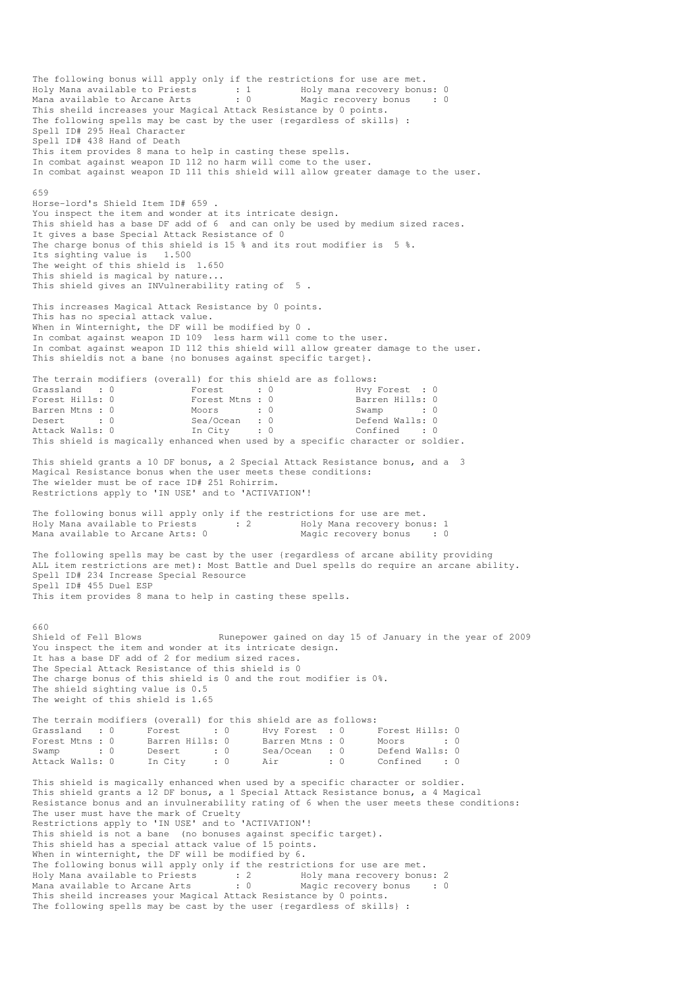The following bonus will apply only if the restrictions for use are met. Holy Mana available to Priests : 1 Holy mana recovery bonus: 0 Mana available to Arcane Arts : 0 Magic recovery bonus : 0 This sheild increases your Magical Attack Resistance by 0 points. The following spells may be cast by the user {regardless of skills} : Spell ID# 295 Heal Character Spell ID# 438 Hand of Death This item provides 8 mana to help in casting these spells. In combat against weapon ID 112 no harm will come to the user. In combat against weapon ID 111 this shield will allow greater damage to the user. 659 Horse-lord's Shield Item ID# 659 . You inspect the item and wonder at its intricate design. This shield has a base DF add of 6 and can only be used by medium sized races. It gives a base Special Attack Resistance of 0 The charge bonus of this shield is 15 % and its rout modifier is 5 %. Its sighting value is 1.500 The weight of this shield is 1.650 This shield is magical by nature... This shield gives an INVulnerability rating of 5 . This increases Magical Attack Resistance by 0 points. This has no special attack value. When in Winternight, the DF will be modified by 0. In combat against weapon ID 109 less harm will come to the user. In combat against weapon ID 112 this shield will allow greater damage to the user. This shieldis not a bane {no bonuses against specific target}. The terrain modifiers (overall) for this shield are as follows: Grassland : 0 Forest : 0 Hvy Forest : 0 Forest Hills: 0 Forest Mtns : 0 Barren Hills: 0 Barren Mtns : 0 Moors : 0 Swamp : 0 Desert : 0 Sea/Ocean : 0 Defend Walls: 0 Attack Walls: 0 In City : 0 Confined : 0 This shield is magically enhanced when used by a specific character or soldier. This shield grants a 10 DF bonus, a 2 Special Attack Resistance bonus, and a 3 Magical Resistance bonus when the user meets these conditions: The wielder must be of race ID# 251 Rohirrim. Restrictions apply to 'IN USE' and to 'ACTIVATION'! The following bonus will apply only if the restrictions for use are met. Holy Mana available to Priests : 2 Holy Mana recovery bonus: 1<br>
Mana available to Arcane Arts: 0 Magic recovery bonus : 0 Mana available to Arcane Arts: 0 The following spells may be cast by the user {regardless of arcane ability providing ALL item restrictions are met): Most Battle and Duel spells do require an arcane ability. Spell ID# 234 Increase Special Resource Spell ID# 455 Duel ESP This item provides 8 mana to help in casting these spells. 660<br>Shield of Fell Blows Runepower gained on day 15 of January in the year of 2009 You inspect the item and wonder at its intricate design. It has a base DF add of 2 for medium sized races. The Special Attack Resistance of this shield is 0 The charge bonus of this shield is 0 and the rout modifier is 0%. The shield sighting value is 0.5 The weight of this shield is 1.65 The terrain modifiers (overall) for this shield are as follows: Grassland : 0 Forest : 0 Hvy Forest : 0 Forest Hills: 0 Forest Mtns : 0 Barren Hills: 0 Barren Mtns : 0 Moors : 0 : 0 Swamp : 0 Desert : 0 Sea/Ocean : 0 Defend Walls: 0 Attack Walls: 0 In City : 0 Air : 0 Confined : 0 This shield is magically enhanced when used by a specific character or soldier. This shield grants a 12 DF bonus, a 1 Special Attack Resistance bonus, a 4 Magical Resistance bonus and an invulnerability rating of 6 when the user meets these conditions: The user must have the mark of Cruelty Restrictions apply to 'IN USE' and to 'ACTIVATION'! This shield is not a bane (no bonuses against specific target). This shield has a special attack value of 15 points. When in winternight, the DF will be modified by 6. The following bonus will apply only if the restrictions for use are met. Holy Mana available to Priests : 2 Holy mana recovery bonus: 2 Mana available to Arcane Arts : 0 Magic recovery bonus : 0 This sheild increases your Magical Attack Resistance by 0 points. The following spells may be cast by the user {regardless of skills} :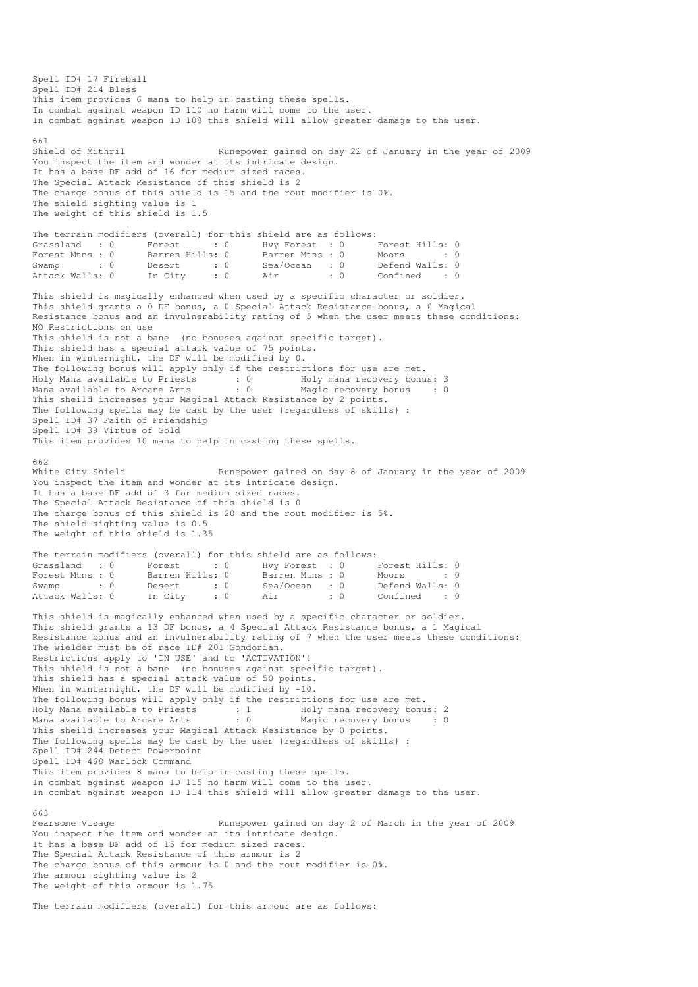Spell ID# 17 Fireball Spell ID# 214 Bless This item provides 6 mana to help in casting these spells. In combat against weapon ID 110 no harm will come to the user. In combat against weapon ID 108 this shield will allow greater damage to the user. 661<br>Shield of Mithril Runepower gained on day 22 of January in the year of 2009 You inspect the item and wonder at its intricate design. It has a base DF add of 16 for medium sized races. The Special Attack Resistance of this shield is 2 The charge bonus of this shield is 15 and the rout modifier is 0%. The shield sighting value is 1 The weight of this shield is 1.5 The terrain modifiers (overall) for this shield are as follows: Grassland : 0 Forest : 0 Hvy Forest : 0 Forest Hills: 0 Forest Mtns : 0 Barren Hills: 0 Barren Mtns : 0 Moors : 0 : 0 Swamp : 0 Desert : 0 Sea/Ocean : 0 Defend Walls: 0<br>Attack Walls: 0 In City : 0 Air : 0 Confined : 0 Confined : 0 This shield is magically enhanced when used by a specific character or soldier. This shield grants a 0 DF bonus, a 0 Special Attack Resistance bonus, a 0 Magical Resistance bonus and an invulnerability rating of 5 when the user meets these conditions: NO Restrictions on use This shield is not a bane (no bonuses against specific target). This shield has a special attack value of 75 points. When in winternight, the DF will be modified by 0. The following bonus will apply only if the restrictions for use are met. Holy Mana available to Priests : 0 Holy mana recovery bonus: 3 Mana available to Arcane Arts : 0 Magic recovery bonus : 0 This sheild increases your Magical Attack Resistance by 2 points. The following spells may be cast by the user {regardless of skills} : Spell ID# 37 Faith of Friendship Spell ID# 39 Virtue of Gold This item provides 10 mana to help in casting these spells. 662 White City Shield **Runepower gained on day 8 of January in the vear of** 2009 You inspect the item and wonder at its intricate design. It has a base DF add of 3 for medium sized races. The Special Attack Resistance of this shield is 0 The charge bonus of this shield is 20 and the rout modifier is 5%. The shield sighting value is 0.5 The weight of this shield is 1.35 The terrain modifiers (overall) for this shield are as follows: Grassland : 0 Forest : 0 Hvy Forest : 0 Forest Hills: 0 Forest Mtns : 0 Barren Hills: 0 Barren Mtns : 0 Moors : 0 : 0 Swamp : 0 Desert : 0 Sea/Ocean : 0 Defend Walls: 0 Attack Walls: 0 In City : 0 Air : 0 Confined : 0 This shield is magically enhanced when used by a specific character or soldier. This shield grants a 13 DF bonus, a 4 Special Attack Resistance bonus, a 1 Magical Resistance bonus and an invulnerability rating of 7 when the user meets these conditions: The wielder must be of race ID# 201 Gondorian. Restrictions apply to 'IN USE' and to 'ACTIVATION'! This shield is not a bane (no bonuses against specific target). This shield has a special attack value of 50 points. When in winternight, the DF will be modified by -10. The following bonus will apply only if the restrictions for use are met. Holy Mana available to Priests : 1 Holy mana recovery bonus: 2 Mana available to Arcane Arts : 0 Magic recovery bonus : 0 This sheild increases your Magical Attack Resistance by 0 points. The following spells may be cast by the user {regardless of skills} : Spell ID# 244 Detect Powerpoint Spell ID# 468 Warlock Command This item provides 8 mana to help in casting these spells. In combat against weapon ID 115 no harm will come to the user. In combat against weapon ID 114 this shield will allow greater damage to the user. 663 Fearsome Visage The Runepower gained on day 2 of March in the year of 2009 You inspect the item and wonder at its intricate design. It has a base DF add of 15 for medium sized races. The Special Attack Resistance of this armour is 2 The charge bonus of this armour is 0 and the rout modifier is 0%. The armour sighting value is 2 The weight of this armour is 1.75 The terrain modifiers (overall) for this armour are as follows: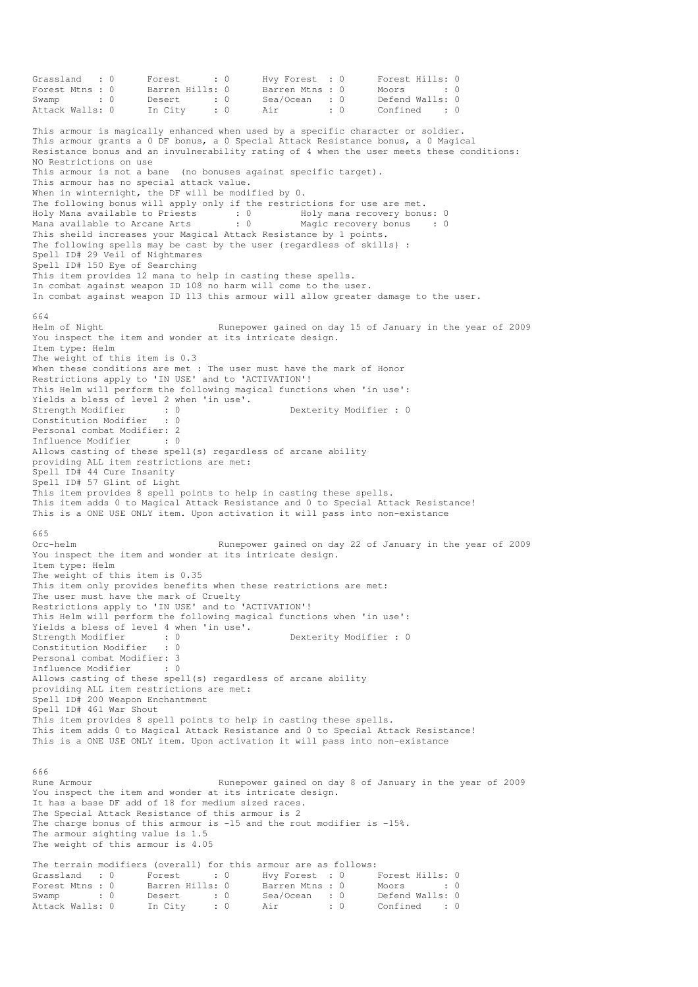Grassland : 0 Forest : 0 Hvy Forest : 0 Forest Hills: 0 Forest Mtns : 0 Barren Hills: 0 Barren Mtns : 0 Moors : 0 : 0 Swamp : 0 Desert : 0 Sea/Ocean : 0 Defend Walls: 0 Attack Walls: 0 In City : 0 Air : 0 Confined : 0 This armour is magically enhanced when used by a specific character or soldier. This armour grants a 0 DF bonus, a 0 Special Attack Resistance bonus, a 0 Magical Resistance bonus and an invulnerability rating of 4 when the user meets these conditions: NO Restrictions on use This armour is not a bane (no bonuses against specific target). This armour has no special attack value. When in winternight, the DF will be modified by 0. The following bonus will apply only if the restrictions for use are met. Holy Mana available to Priests : 0 Holy mana recovery bonus: 0 Mana available to Arcane Arts : 0 Magic recovery bonus : 0 This sheild increases your Magical Attack Resistance by 1 points. The following spells may be cast by the user {regardless of skills} : Spell ID# 29 Veil of Nightmares Spell ID# 150 Eye of Searching This item provides 12 mana to help in casting these spells. In combat against weapon ID 108 no harm will come to the user. In combat against weapon ID 113 this armour will allow greater damage to the user. 664 Helm of Night Runepower gained on day 15 of January in the year of 2009 You inspect the item and wonder at its intricate design. Item type: Helm The weight of this item is 0.3 When these conditions are met : The user must have the mark of Honor Restrictions apply to 'IN USE' and to 'ACTIVATION'! This Helm will perform the following magical functions when 'in use': Yields a bless of level 2 when 'in use'.<br>Strength Modifier : 0<br>Constitution Modifie Strength Modifier : 0 0 Dexterity Modifier : 0 Constitution Modifier Personal combat Modifier: 2<br>Tnfluence Modifier : 0 Influence Modifier Allows casting of these spell(s) regardless of arcane ability providing ALL item restrictions are met: Spell ID# 44 Cure Insanity Spell ID# 57 Glint of Light This item provides 8 spell points to help in casting these spells. This item adds 0 to Magical Attack Resistance and 0 to Special Attack Resistance! This is a ONE USE ONLY item. Upon activation it will pass into non-existance 665 Orc-helm Runepower gained on day 22 of January in the year of 2009 You inspect the item and wonder at its intricate design. Item type: Helm The weight of this item is 0.35 This item only provides benefits when these restrictions are met: The user must have the mark of Cruelty Restrictions apply to 'IN USE' and to 'ACTIVATION'! This Helm will perform the following magical functions when 'in use': Yields a bless of level 4 when 'in use'. Strength Modifier : 0 0 Dexterity Modifier : 0 Constitution Modifier : 0 Personal combat Modifier: 3<br>Influence Modifier : 0 Influence Modifier Allows casting of these spell(s) regardless of arcane ability providing ALL item restrictions are met: Spell ID# 200 Weapon Enchantment Spell ID# 461 War Shout This item provides 8 spell points to help in casting these spells. This item adds 0 to Magical Attack Resistance and 0 to Special Attack Resistance! This is a ONE USE ONLY item. Upon activation it will pass into non-existance 666 Rune Armour **Runepower gained on day 8 of January in the year of 2009** You inspect the item and wonder at its intricate design. It has a base DF add of 18 for medium sized races. The Special Attack Resistance of this armour is 2 The charge bonus of this armour is  $-15$  and the rout modifier is  $-15$ %. The armour sighting value is 1.5 The weight of this armour is 4.05 The terrain modifiers (overall) for this armour are as follows: Grassland : 0 Forest : 0 Hvy Forest : 0 Forest Hills: 0 Forest Mtns : 0 Barren Hills: 0 Barren Mtns : 0 Moors : 0 : 0 Swamp : 0 Desert : 0 Sea/Ocean : 0 Defend Walls: 0 Attack Walls: 0 In City : 0 Air : 0 Confined : 0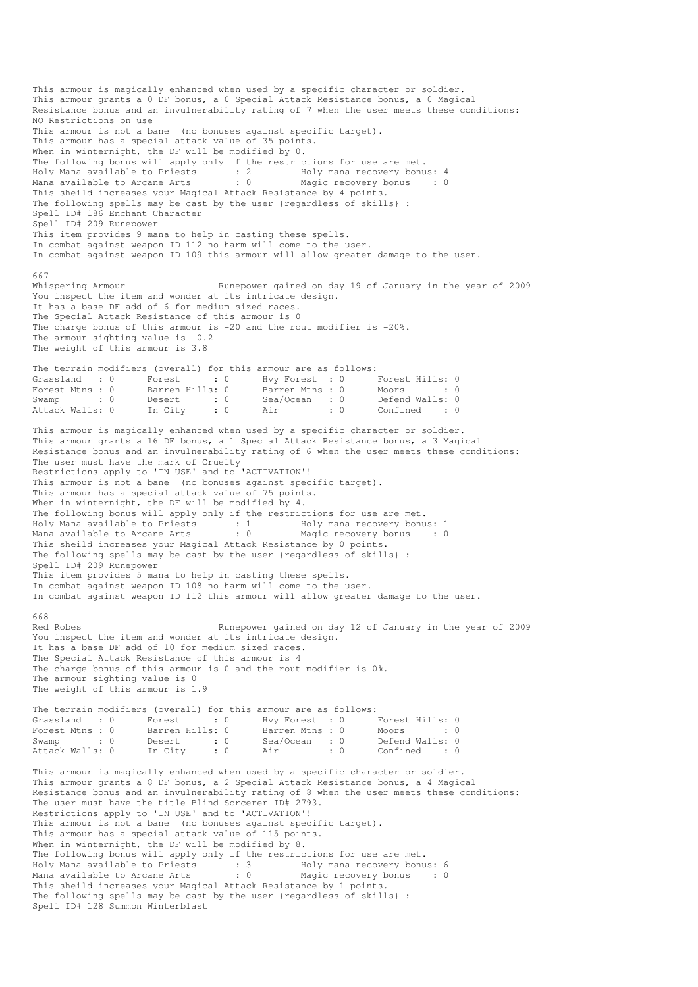This armour is magically enhanced when used by a specific character or soldier. This armour grants a 0 DF bonus, a 0 Special Attack Resistance bonus, a 0 Magical Resistance bonus and an invulnerability rating of 7 when the user meets these conditions: NO Restrictions on use This armour is not a bane (no bonuses against specific target). This armour has a special attack value of 35 points. When in winternight, the DF will be modified by 0. The following bonus will apply only if the restrictions for use are met. Holy Mana available to Priests : 2 Holy mana recovery bonus: 4 Mana available to Arcane Arts : 0 Magic recovery bonus : 0 This sheild increases your Magical Attack Resistance by 4 points. The following spells may be cast by the user {regardless of skills} : Spell ID# 186 Enchant Character Spell ID# 209 Runepower This item provides 9 mana to help in casting these spells. In combat against weapon ID 112 no harm will come to the user. In combat against weapon ID 109 this armour will allow greater damage to the user. 667<br>Whispering Armour Runepower gained on day 19 of January in the year of 2009 You inspect the item and wonder at its intricate design. It has a base DF add of 6 for medium sized races. The Special Attack Resistance of this armour is 0 The charge bonus of this armour is -20 and the rout modifier is -20%. The armour sighting value is  $-0.2$ The weight of this armour is 3.8 The terrain modifiers (overall) for this armour are as follows:<br>Grassland : 0 Forest : 0 Hvy Forest : 0 I Grassland : 0 Forest : 0 Hvy Forest : 0 Forest Hills: 0 Forest Mtns : 0 Barren Hills: 0 Barren Mtns : 0 Moors : 0 : 0 Swamp : 0 Desert : 0 Sea/Ocean : 0 Defend Walls: 0 Attack Walls: 0 In City : 0 Air : 0 Confined : 0 This armour is magically enhanced when used by a specific character or soldier. This armour grants a 16 DF bonus, a 1 Special Attack Resistance bonus, a 3 Magical Resistance bonus and an invulnerability rating of 6 when the user meets these conditions: The user must have the mark of Cruelty Restrictions apply to 'IN USE' and to 'ACTIVATION'! This armour is not a bane (no bonuses against specific target). This armour has a special attack value of 75 points. When in winternight, the DF will be modified by 4. The following bonus will apply only if the restrictions for use are met. Holy Mana available to Priests : 1 Holy mana recovery bonus: 1 Mana available to Arcane Arts : 0 Magic recovery bonus : 0 This sheild increases your Magical Attack Resistance by 0 points. The following spells may be cast by the user {regardless of skills} : Spell ID# 209 Runepower This item provides 5 mana to help in casting these spells. In combat against weapon ID 108 no harm will come to the user. In combat against weapon ID 112 this armour will allow greater damage to the user. 668 Red Robes **Runepower gained on day 12 of January in the year of 2009** You inspect the item and wonder at its intricate design. It has a base DF add of 10 for medium sized races. The Special Attack Resistance of this armour is 4 The charge bonus of this armour is 0 and the rout modifier is 0%. The armour sighting value is 0 The weight of this armour is 1.9 The terrain modifiers (overall) for this armour are as follows: Grassland : 0 Forest : 0 Hvy Forest : 0 Forest Hills: 0 Forest Mtns : 0 Barren Hills: 0 Barren Mtns : 0 Moors : 0 : 0 Swamp : 0 Desert : 0 Sea/Ocean : 0 Defend Walls: 0<br>Attack Walls: 0 In City : 0 Air : 0 Confined : 0 ----------------<br>Desert : 0<br>In City : 0 This armour is magically enhanced when used by a specific character or soldier. This armour grants a 8 DF bonus, a 2 Special Attack Resistance bonus, a 4 Magical Resistance bonus and an invulnerability rating of 8 when the user meets these conditions: The user must have the title Blind Sorcerer ID# 2793. Restrictions apply to 'IN USE' and to 'ACTIVATION'! This armour is not a bane (no bonuses against specific target). This armour has a special attack value of 115 points. When in winternight, the DF will be modified by 8. The following bonus will apply only if the restrictions for use are met. Holy Mana available to Priests : 3 Holy mana recovery bonus: 6 Mana available to Arcane Arts : 0 Magic recovery bonus : 0 This sheild increases your Magical Attack Resistance by 1 points. The following spells may be cast by the user {regardless of skills} : Spell ID# 128 Summon Winterblast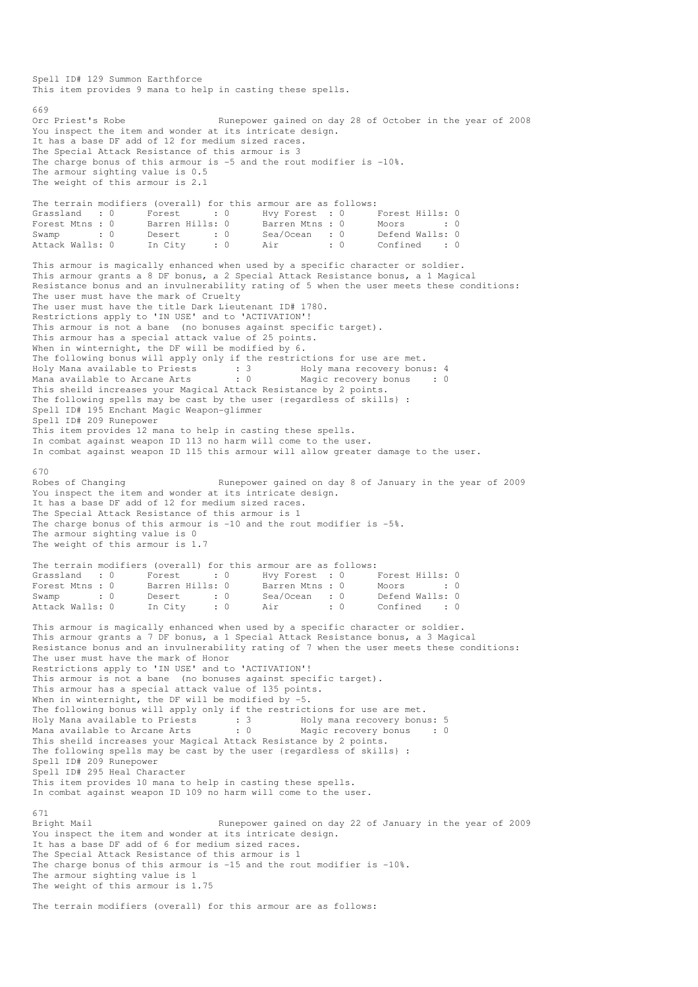This item provides 9 mana to help in casting these spells. 669<br>Orc Priest's Robe Runepower gained on day 28 of October in the year of 2008 You inspect the item and wonder at its intricate design. It has a base DF add of 12 for medium sized races. The Special Attack Resistance of this armour is 3 The charge bonus of this armour is -5 and the rout modifier is -10%. The armour sighting value is 0.5 The weight of this armour is 2.1 The terrain modifiers (overall) for this armour are as follows: Grassland : 0 Forest : 0 Hvy Forest : 0 Forest Hills: 0<br>Forest Mtns : 0 Barren Hills: 0 Barren Mtns : 0 Moors : 0 Forest Mtns : 0 Barren Hills: 0 Barren Mtns : 0 Moors : 0<br>
Swamp : 0 Desert : 0 Sea/Ocean : 0 Defend Walls: 0  $\begin{array}{ccccc}\n 0 & \text{Seq/Ocean} & \text{S} \\
 \text{S} & \text{S} & \text{O} & \text{O} \\
 \text{S} & \text{O} & \text{O} & \text{O} & \text{O} \\
 \end{array}$ Attack Walls: 0 In City : 0 Air : 0 Confined : 0 This armour is magically enhanced when used by a specific character or soldier. This armour grants a 8 DF bonus, a 2 Special Attack Resistance bonus, a 1 Magical Resistance bonus and an invulnerability rating of 5 when the user meets these conditions: The user must have the mark of Cruelty The user must have the title Dark Lieutenant ID# 1780. Restrictions apply to 'IN USE' and to 'ACTIVATION'! This armour is not a bane (no bonuses against specific target). This armour has a special attack value of 25 points. When in winternight, the DF will be modified by 6. The following bonus will apply only if the restrictions for use are met. Holy Mana available to Priests : 3 Holy mana recovery bonus: 4 Mana available to Arcane Arts : 0 Magic recovery bonus : 0 This sheild increases your Magical Attack Resistance by 2 points. The following spells may be cast by the user {regardless of skills} : Spell ID# 195 Enchant Magic Weapon-glimmer Spell ID# 209 Runepower This item provides 12 mana to help in casting these spells. In combat against weapon ID 113 no harm will come to the user. In combat against weapon ID 115 this armour will allow greater damage to the user. 670 Robes of Changing The Runepower gained on day 8 of January in the year of 2009 You inspect the item and wonder at its intricate design. It has a base DF add of 12 for medium sized races. The Special Attack Resistance of this armour is 1 The charge bonus of this armour is -10 and the rout modifier is -5%. The armour sighting value is 0 The weight of this armour is 1.7 The terrain modifiers (overall) for this armour are as follows: Grassland : 0 Forest : 0 Hvy Forest : 0 Forest Hills: 0 Forest Mtns : 0 Barren Hills: 0 Barren Mtns : 0 Moors : 0 : 0 Swamp : 0 Desert : 0 Sea/Ocean : 0 Defend Walls: 0<br>
Attack Walls: 0 In City : 0 Air : 0 Confined : 0 Attack Walls: 0 In City : 0 Air : 0 Confined : 0 This armour is magically enhanced when used by a specific character or soldier. This armour grants a 7 DF bonus, a 1 Special Attack Resistance bonus, a 3 Magical Resistance bonus and an invulnerability rating of 7 when the user meets these conditions: The user must have the mark of Honor Restrictions apply to 'IN USE' and to 'ACTIVATION'! This armour is not a bane (no bonuses against specific target). This armour has a special attack value of 135 points. When in winternight, the DF will be modified by  $-5$ . The following bonus will apply only if the restrictions for use are met. Holy Mana available to Priests : 3 Holy mana recovery bonus: 5 Mana available to Arcane Arts : 0 Magic recovery bonus : 0 This sheild increases your Magical Attack Resistance by 2 points. The following spells may be cast by the user {regardless of skills} : Spell ID# 209 Runepower Spell ID# 295 Heal Character This item provides 10 mana to help in casting these spells. In combat against weapon ID 109 no harm will come to the user. 671 Bright Mail Runepower gained on day 22 of January in the year of 2009 You inspect the item and wonder at its intricate design. It has a base DF add of 6 for medium sized races. The Special Attack Resistance of this armour is 1 The charge bonus of this armour is -15 and the rout modifier is -10%. The armour sighting value is 1 The weight of this armour is 1.75 The terrain modifiers (overall) for this armour are as follows:

Spell ID# 129 Summon Earthforce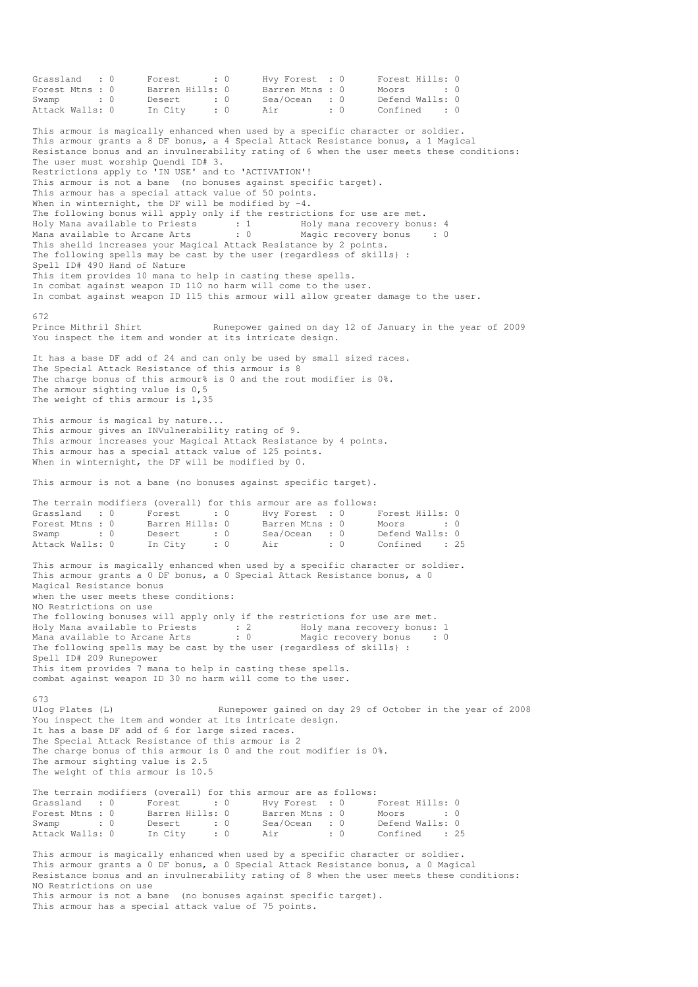Grassland : 0 Forest : 0 Hvy Forest : 0 Forest Hills: 0 Forest Mtns : 0 Barren Hills: 0 Barren Mtns : 0 Moors : 0 : 0 Swamp : 0 Desert : 0 Sea/Ocean : 0 Defend Walls: 0 Attack Walls: 0 In City : 0 Air : 0 Confined : 0 This armour is magically enhanced when used by a specific character or soldier. This armour grants a 8 DF bonus, a 4 Special Attack Resistance bonus, a 1 Magical Resistance bonus and an invulnerability rating of 6 when the user meets these conditions: The user must worship Quendi ID# 3. Restrictions apply to 'IN USE' and to 'ACTIVATION'! This armour is not a bane (no bonuses against specific target). This armour has a special attack value of 50 points. When in winternight, the DF will be modified by  $-4$ . The following bonus will apply only if the restrictions for use are met. Holy Mana available to Priests : 1 Holy mana recovery bonus: 4 Mana available to Arcane Arts : 0 Magic recovery bonus : 0 This sheild increases your Magical Attack Resistance by 2 points. The following spells may be cast by the user {regardless of skills} : Spell ID# 490 Hand of Nature This item provides 10 mana to help in casting these spells. In combat against weapon ID 110 no harm will come to the user. In combat against weapon ID 115 this armour will allow greater damage to the user. 672 Prince Mithril Shirt Runepower gained on day 12 of January in the year of 2009 You inspect the item and wonder at its intricate design. It has a base DF add of 24 and can only be used by small sized races. The Special Attack Resistance of this armour is 8 The charge bonus of this armour% is 0 and the rout modifier is 0%. The armour sighting value is 0,5 The weight of this armour is 1,35 This armour is magical by nature... This armour gives an INVulnerability rating of 9. This armour increases your Magical Attack Resistance by 4 points. This armour has a special attack value of 125 points. When in winternight, the DF will be modified by 0. This armour is not a bane (no bonuses against specific target). The terrain modifiers (overall) for this armour are as follows: Grassland : 0 Forest : 0 Hvy Forest : 0 Forest Hills: 0 Forest Mtns : 0 Barren Hills: 0 Barren Mtns : 0 Moors : 0 : 0 Swamp : 0 Desert : 0 Sea/Ocean : 0 Defend Walls: 0 Attack Walls: 0 In City : 0 Air : 0 Confined : 25 This armour is magically enhanced when used by a specific character or soldier. This armour grants a 0 DF bonus, a 0 Special Attack Resistance bonus, a 0 Magical Resistance bonus when the user meets these conditions: NO Restrictions on use The following bonuses will apply only if the restrictions for use are met. Holy Mana available to Priests : 2 Holy mana recovery bonus: 1 Mana available to Arcane Arts : 0 Magic recovery bonus : 0 The following spells may be cast by the user {regardless of skills} : Spell ID# 209 Runepower This item provides 7 mana to help in casting these spells. combat against weapon ID 30 no harm will come to the user. 673<br>Ulog Plates (L) Runepower gained on day 29 of October in the year of 2008 You inspect the item and wonder at its intricate design. It has a base DF add of 6 for large sized races. The Special Attack Resistance of this armour is 2 The charge bonus of this armour is 0 and the rout modifier is 0%. The armour sighting value is 2.5 The weight of this armour is 10.5 The terrain modifiers (overall) for this armour are as follows: Grassland : 0 Forest : 0 Hvy Forest : 0 Forest Hills: 0 Forest Mtns : 0 Barren Hills: 0 Barren Mtns : 0 Moors : 0 : 0 Swamp : 0 Desert : 0 Sea/Ocean : 0 Defend Walls: 0 Attack Walls: 0 In City : 0 Air : 0 Confined : 25 This armour is magically enhanced when used by a specific character or soldier. This armour grants a 0 DF bonus, a 0 Special Attack Resistance bonus, a 0 Magical Resistance bonus and an invulnerability rating of 8 when the user meets these conditions: NO Restrictions on use This armour is not a bane (no bonuses against specific target).

This armour has a special attack value of 75 points.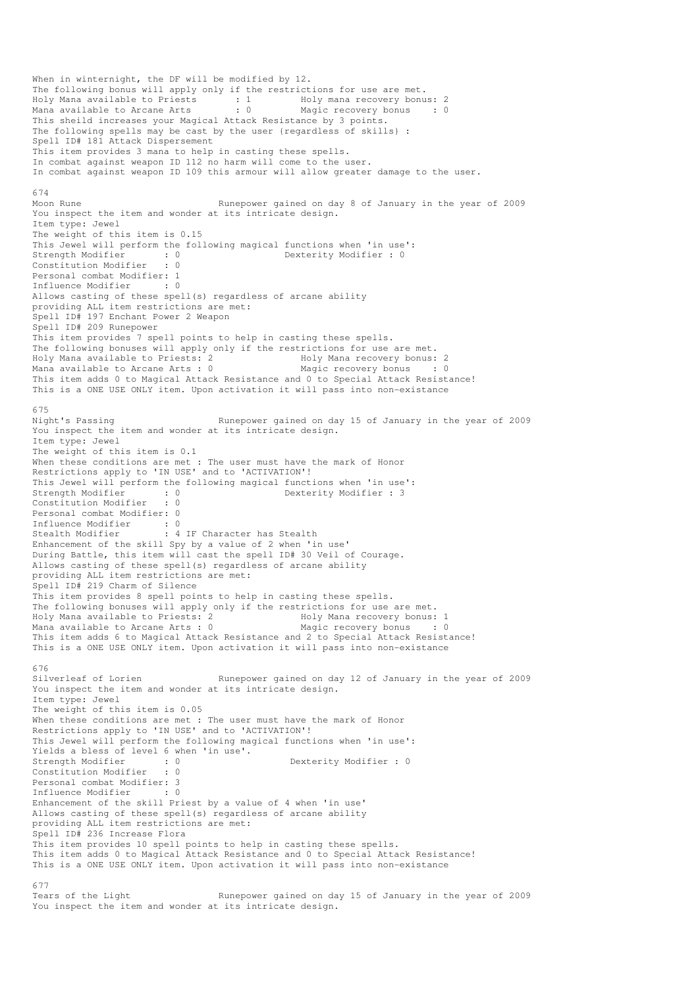When in winternight, the DF will be modified by 12. The following bonus will apply only if the restrictions for use are met.<br>Holy Mana available to Priests : 1 Holy mana recovery bonus il Holy mana recovery bonus: 2<br>: 0 Magic recovery bonus: 0 Mana available to Arcane Arts : 0 Magic recovery bonus : 0 This sheild increases your Magical Attack Resistance by 3 points. The following spells may be cast by the user {regardless of skills} : Spell ID# 181 Attack Dispersement This item provides 3 mana to help in casting these spells. In combat against weapon ID 112 no harm will come to the user. In combat against weapon ID 109 this armour will allow greater damage to the user. 674 Moon Rune **Rune Runepower gained on day 8 of January in the year of 2009** You inspect the item and wonder at its intricate design. Item type: Jewel The weight of this item is 0.15 This Jewel will perform the following magical functions when 'in use':<br>Strength Modifier : 0<br>Constitution Modifier : 0<br>Constitution Modifier : 0 Strength Modifier : 0 0 Dexterity Modifier : 0 Constitution Modifier Personal combat Modifier: 1<br>Influence Modifier : 0 Influence Modifier Allows casting of these spell(s) regardless of arcane ability providing ALL item restrictions are met: Spell ID# 197 Enchant Power 2 Weapon Spell ID# 209 Runepower This item provides 7 spell points to help in casting these spells. The following bonuses will apply only if the restrictions for use are met.<br>Holy Mana available to Priests: 2 Holy Mana recovery bonus: 2 Holy Mana available to Priests: 2 and Holy Mana recovery bonus: 2<br>
Mana available to Arcane Arts: 0 Magic recovery bonus : 0 Mana available to Arcane Arts :  $0$ This item adds 0 to Magical Attack Resistance and 0 to Special Attack Resistance! This is a ONE USE ONLY item. Upon activation it will pass into non-existance 675<br>Night's Passing Runepower gained on day 15 of January in the year of 2009 You inspect the item and wonder at its intricate design. Item type: Jewel The weight of this item is 0.1 When these conditions are met : The user must have the mark of Honor Restrictions apply to 'IN USE' and to 'ACTIVATION'! This Jewel will perform the following magical functions when 'in use':<br>Strength Modifier : 0<br>Constitution Modifier : 0<br>Constitution Modifier : 0 Dexterity Modifier : 3 Constitution Modifier : 0 Personal combat Modifier: 0 Influence Modifier : 0<br>Stealth Modifier : 4 : 4 IF Character has Stealth Enhancement of the skill Spy by a value of 2 when 'in use' During Battle, this item will cast the spell ID# 30 Veil of Courage. Allows casting of these spell(s) regardless of arcane ability providing ALL item restrictions are met: Spell ID# 219 Charm of Silence This item provides 8 spell points to help in casting these spells. The following bonuses will apply only if the restrictions for use are met. Holy Mana available to Priests: 2 Holy Mana recovery bonus: 1 Mana available to Arcane Arts : 0 Magic recovery bonus : 0 This item adds 6 to Magical Attack Resistance and 2 to Special Attack Resistance! This is a ONE USE ONLY item. Upon activation it will pass into non-existance 676<br>Silverleaf of Lorien Runepower gained on day 12 of January in the year of 2009 You inspect the item and wonder at its intricate design. Item type: Jewel The weight of this item is 0.05 When these conditions are met : The user must have the mark of Honor Restrictions apply to 'IN USE' and to 'ACTIVATION'! This Jewel will perform the following magical functions when 'in use': Yields a bless of level 6 when 'in use'.<br>Strength Modifier : 0<br>Constitution Modifier : 0 Strength Modifier : 0 Dexterity Modifier : 0 Constitution Modifier Personal combat Modifier: 3<br>Influence Modifier : 0 Influence Modifier Enhancement of the skill Priest by a value of 4 when 'in use' Allows casting of these spell(s) regardless of arcane ability providing ALL item restrictions are met: Spell ID# 236 Increase Flora This item provides 10 spell points to help in casting these spells. This item adds 0 to Magical Attack Resistance and 0 to Special Attack Resistance! This is a ONE USE ONLY item. Upon activation it will pass into non-existance 677<br>Tears of the Light Runepower gained on day 15 of January in the year of 2009

You inspect the item and wonder at its intricate design.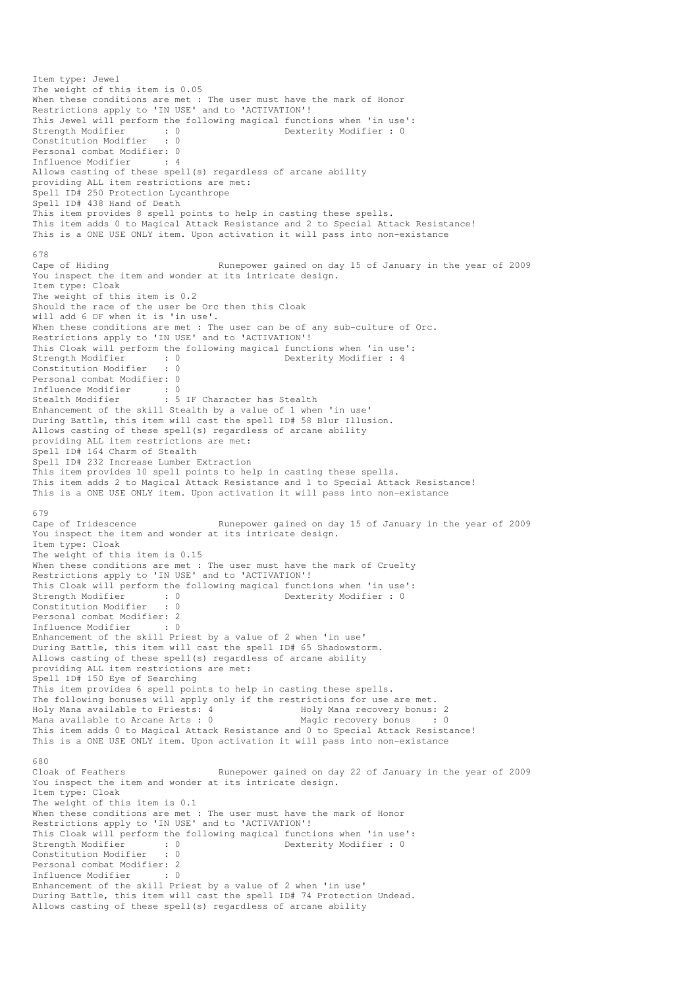```
Item type: Jewel 
The weight of this item is 0.05 
When these conditions are met : The user must have the mark of Honor
Restrictions apply to 'IN USE' and to 'ACTIVATION'!
This Jewel will perform the following magical functions when 'in use':<br>Strength Modifier : 0<br>Constitution Modifier : 0
Strength Modifier : 0 Dexterity Modifier : 0
Constitution Modifier : 0 
Personal combat Modifier: 0<br>Tnfluence Modifier: 4
Influence Modifier : 4 
Allows casting of these spell(s) regardless of arcane ability 
providing ALL item restrictions are met: 
Spell ID# 250 Protection Lycanthrope 
Spell ID# 438 Hand of Death 
This item provides 8 spell points to help in casting these spells. 
This item adds 0 to Magical Attack Resistance and 2 to Special Attack Resistance! 
This is a ONE USE ONLY item. Upon activation it will pass into non-existance 
678 
Cape of Hiding Runepower gained on day 15 of January in the year of 2009 
You inspect the item and wonder at its intricate design.
Item type: Cloak 
The weight of this item is 0.2 
Should the race of the user be Orc then this Cloak 
will add 6 DF when it is 'in use'. 
When these conditions are met : The user can be of any sub-culture of Orc.
Restrictions apply to 'IN USE' and to 'ACTIVATION'!
This Cloak will perform the following magical functions when 'in use':<br>Strength Modifier : 0<br>Constitution Modifier : 0
                          \begin{array}{ccc} . & 0 & 0 \\ . & 0 & 0 \end{array} Dexterity Modifier : 4
Constitution Modifier
Personal combat Modifier: 0 
Influence Modifier : 0
Stealth Modifier : 5 IF Character has Stealth
Enhancement of the skill Stealth by a value of 1 when 'in use' 
During Battle, this item will cast the spell ID# 58 Blur Illusion. 
Allows casting of these spell(s) regardless of arcane ability 
providing ALL item restrictions are met: 
Spell ID# 164 Charm of Stealth 
Spell ID# 232 Increase Lumber Extraction 
This item provides 10 spell points to help in casting these spells. 
This item adds 2 to Magical Attack Resistance and 1 to Special Attack Resistance! 
This is a ONE USE ONLY item. Upon activation it will pass into non-existance 
679<br>Cape of Iridescence
                                    Runepower gained on day 15 of January in the year of 2009
You inspect the item and wonder at its intricate design. 
Item type: Cloak 
The weight of this item is 0.15 
When these conditions are met : The user must have the mark of Cruelty
Restrictions apply to 'IN USE' and to 'ACTIVATION'!
This Cloak will perform the following magical functions when 'in use':<br>Strength Modifier : 0<br>\frac{1}{2}<br>Contently Modifier : 0
                         strength Modifier : 0<br>component Modifier : 0<br>component Modifier : 0
Constitution Modifier
Personal combat Modifier: 2<br>Influence Modifier : 0
Influence Modifier
Enhancement of the skill Priest by a value of 2 when 'in use' 
During Battle, this item will cast the spell ID# 65 Shadowstorm. 
Allows casting of these spell(s) regardless of arcane ability 
providing ALL item restrictions are met: 
Spell ID# 150 Eye of Searching 
This item provides 6 spell points to help in casting these spells. 
The following bonuses will apply only if the restrictions for use are met.<br>Holy Mana available to Priests: 4 Holy Mana recovery bonus:
                                      Holy Mana recovery bonus: 2
Mana available to Arcane Arts : 0 Magic recovery bonus : 0
This item adds 0 to Magical Attack Resistance and 0 to Special Attack Resistance! 
This is a ONE USE ONLY item. Upon activation it will pass into non-existance 
680 
Cloak of Feathers Runepower gained on day 22 of January in the year of 2009 
You inspect the item and wonder at its intricate design. 
Item type: Cloak 
The weight of this item is 0.1 
When these conditions are met : The user must have the mark of Honor
Restrictions apply to 'IN USE' and to 'ACTIVATION'!
This Cloak will perform the following magical functions when 'in use':<br>Strength Modifier : 0<br>Constitution Modifier : 0<br>Constitution Modifier : 0
Strength Modifier : 0 Dexterity Modifier : 0 
Constitution Modifier
Personal combat Modifier: 2 
Influence Modifier : 0 
Enhancement of the skill Priest by a value of 2 when 'in use' 
During Battle, this item will cast the spell ID# 74 Protection Undead. 
Allows casting of these spell(s) regardless of arcane ability
```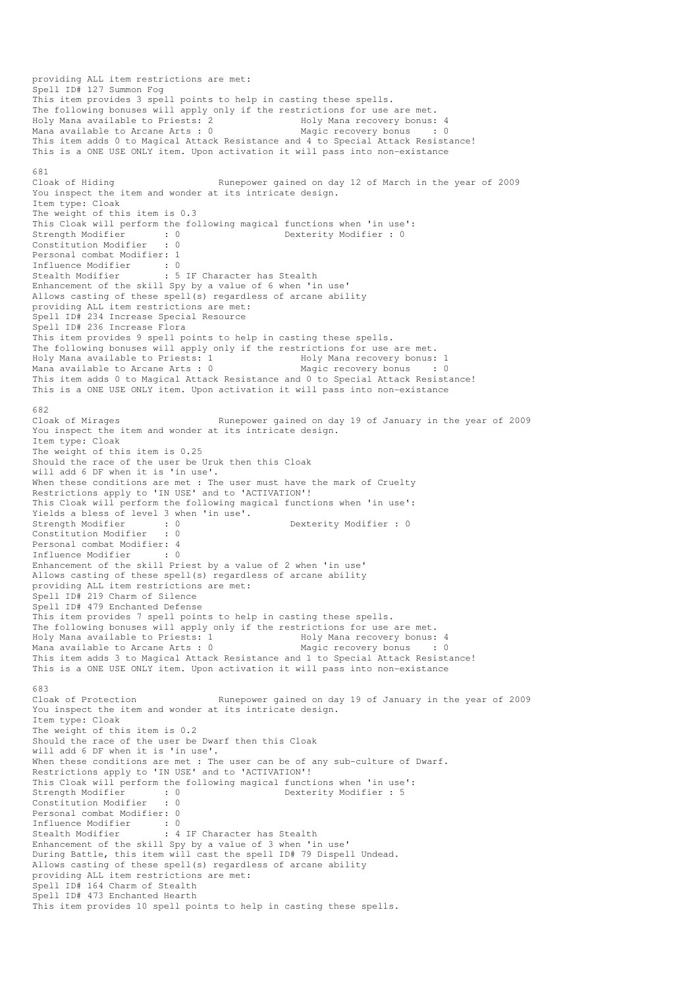providing ALL item restrictions are met: Spell ID# 127 Summon Fog This item provides 3 spell points to help in casting these spells. The following bonuses will apply only if the restrictions for use are met. Holy Mana available to Priests: 2 and Holy Mana recovery bonus: 4 Mana available to Arcane Arts : 0 Magic recovery bonus : 0 This item adds 0 to Magical Attack Resistance and 4 to Special Attack Resistance! This is a ONE USE ONLY item. Upon activation it will pass into non-existance 681<br>Cloak of Hiding Runepower gained on day 12 of March in the year of 2009 You inspect the item and wonder at its intricate design. Item type: Cloak The weight of this item is 0.3 This Cloak will perform the following magical functions when 'in use':<br>Strength Modifier : 0<br>Cloud in the strength of the strength of the strength of the strength of the strength of the strength of the strength of the stre Strength Modifier : 0 Dexterity Modifier : 0 Constitution Modifier : 0 Personal combat Modifier: 1 Influence Modifier : 0<br>Stealth Modifier : 5 : 5 IF Character has Stealth Enhancement of the skill Spy by a value of 6 when 'in use' Allows casting of these spell(s) regardless of arcane ability providing ALL item restrictions are met: Spell ID# 234 Increase Special Resource Spell ID# 236 Increase Flora This item provides 9 spell points to help in casting these spells. The following bonuses will apply only if the restrictions for use are met. Holy Mana available to Priests: 1 1992 Holy Mana recovery bonus: 1<br>
Mana available to Arcane Arts : 0 1994 Magic recovery bonus : 0 Mana available to Arcane Arts :  $0$ This item adds 0 to Magical Attack Resistance and 0 to Special Attack Resistance! This is a ONE USE ONLY item. Upon activation it will pass into non-existance 682<br>Cloak of Mirages Runepower gained on day 19 of January in the year of 2009 You inspect the item and wonder at its intricate design. Item type: Cloak The weight of this item is 0.25 Should the race of the user be Uruk then this Cloak will add 6 DF when it is 'in use'. When these conditions are met : The user must have the mark of Cruelty Restrictions apply to 'IN USE' and to 'ACTIVATION'! This Cloak will perform the following magical functions when 'in use': Yields a bless of level 3 when 'in use'. Strength Modifier : 0 0 Dexterity Modifier : 0 Constitution Modifier : 0 Personal combat Modifier: 4 Influence Modifier : 0 Enhancement of the skill Priest by a value of 2 when 'in use' Allows casting of these spell(s) regardless of arcane ability providing ALL item restrictions are met: Spell ID# 219 Charm of Silence Spell ID# 479 Enchanted Defense This item provides 7 spell points to help in casting these spells. The following bonuses will apply only if the restrictions for use are met. Holy Mana available to Priests: 1 Holy Mana recovery bonus: 4<br>Mana available to Arcane Arts : 0 Magic recovery bonus : 0 Mana available to Arcane Arts :  $0$ This item adds 3 to Magical Attack Resistance and 1 to Special Attack Resistance! This is a ONE USE ONLY item. Upon activation it will pass into non-existance 683 Cloak of Protection Runepower gained on day 19 of January in the year of 2009 You inspect the item and wonder at its intricate design. Item type: Cloak The weight of this item is 0.2 Should the race of the user be Dwarf then this Cloak will add 6 DF when it is 'in use'. When these conditions are met : The user can be of any sub-culture of Dwarf. Restrictions apply to 'IN USE' and to 'ACTIVATION'! This Cloak will perform the following magical functions when 'in use':<br>Strength Modifier : 0<br>Constitution Western Constitution Western Constitution Western Constitution strength Modifier : 5<br>
Strength Modifier : 5<br>
Dexterity Modifier : 5 Constitution Modifier Personal combat Modifier: 0 Influence Modifier : 0 Stealth Modifier : 4 IF Character has Stealth Enhancement of the skill Spy by a value of 3 when 'in use' During Battle, this item will cast the spell ID# 79 Dispell Undead. Allows casting of these spell(s) regardless of arcane ability providing ALL item restrictions are met: Spell ID# 164 Charm of Stealth Spell ID# 473 Enchanted Hearth This item provides 10 spell points to help in casting these spells.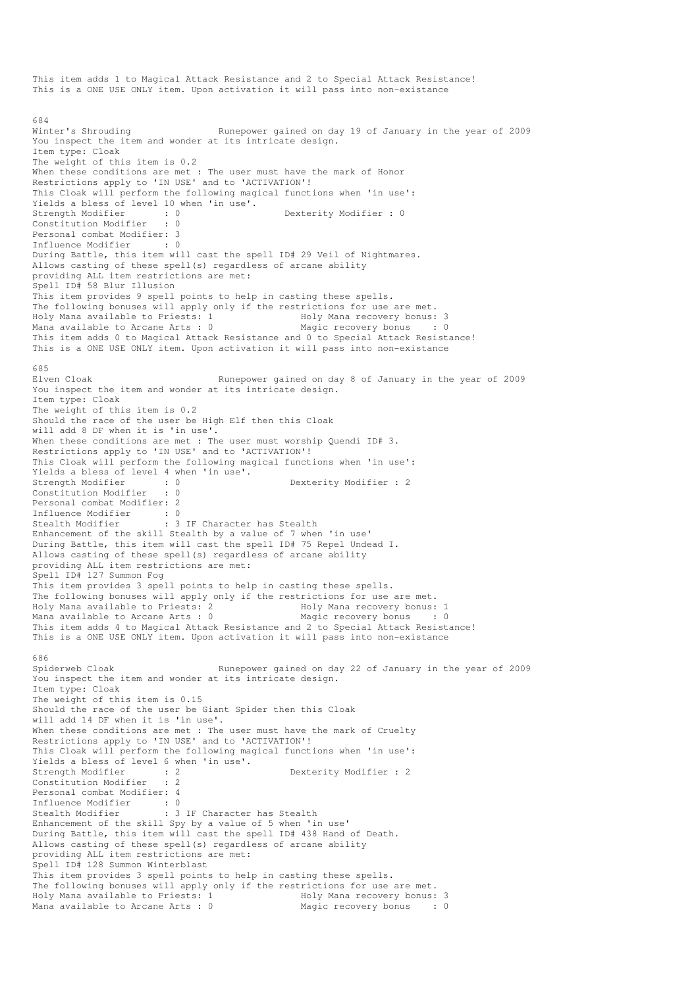This item adds 1 to Magical Attack Resistance and 2 to Special Attack Resistance! This is a ONE USE ONLY item. Upon activation it will pass into non-existance 684<br>Winter's Shrouding Runepower gained on day 19 of January in the year of 2009 You inspect the item and wonder at its intricate design. Item type: Cloak The weight of this item is 0.2 When these conditions are met : The user must have the mark of Honor Restrictions apply to 'IN USE' and to 'ACTIVATION'! This Cloak will perform the following magical functions when 'in use': Yields a bless of level 10 when 'in use'.<br>Strength Modifier : 0 strength Modifier : 0<br>
Strength Modifier : 0<br>
Strength Modifier : 0<br>
Strength Modifier : 0<br>
Strength Modifier : 0<br>
Strength Modifier : 0<br>
Strength Modifier : 0<br>
Strength Modifier : 0<br>
Strength Modifier : 0<br>
Strength Modifi Constitution Modifier Personal combat Modifier: 3 Influence Modifier : 0 During Battle, this item will cast the spell ID# 29 Veil of Nightmares. Allows casting of these spell(s) regardless of arcane ability providing ALL item restrictions are met: Spell ID# 58 Blur Illusion This item provides 9 spell points to help in casting these spells. The following bonuses will apply only if the restrictions for use are met.<br>Holy Mana available to Priests: 1 Holy Mana recovery bonus: Holy Mana recovery bonus: 3 Mana available to Arcane Arts : 0 Magic recovery bonus : 0 This item adds 0 to Magical Attack Resistance and 0 to Special Attack Resistance! This is a ONE USE ONLY item. Upon activation it will pass into non-existance 685<br>Elven Cloak Runepower gained on day 8 of January in the year of 2009 You inspect the item and wonder at its intricate design. Item type: Cloak The weight of this item is 0.2 Should the race of the user be High Elf then this Cloak will add 8 DF when it is 'in use'. When these conditions are met : The user must worship Quendi ID# 3. Restrictions apply to 'IN USE' and to 'ACTIVATION'! This Cloak will perform the following magical functions when 'in use': Yields a bless of level 4 when 'in use'. Strength Modifier : 0 0 Dexterity Modifier : 2 Constitution Modifier : 0 Personal combat Modifier: 2 Influence Modifier : 0<br>Stealth Modifier : 3 : 3 IF Character has Stealth Enhancement of the skill Stealth by a value of 7 when 'in use' During Battle, this item will cast the spell ID# 75 Repel Undead I. Allows casting of these spell(s) regardless of arcane ability providing ALL item restrictions are met: Spell ID# 127 Summon Fog This item provides 3 spell points to help in casting these spells. The following bonuses will apply only if the restrictions for use are met. Holy Mana available to Priests: 2 Holy Mana recovery bonus: 1 Mana available to Arcane Arts : 0 Magic recovery bonus : 0 This item adds 4 to Magical Attack Resistance and 2 to Special Attack Resistance! This is a ONE USE ONLY item. Upon activation it will pass into non-existance 686<br>Spiderweb Cloak Runepower gained on day 22 of January in the year of 2009 You inspect the item and wonder at its intricate design. Item type: Cloak The weight of this item is 0.15 Should the race of the user be Giant Spider then this Cloak will add 14 DF when it is 'in use'. When these conditions are met : The user must have the mark of Cruelty Restrictions apply to 'IN USE' and to 'ACTIVATION'! This Cloak will perform the following magical functions when 'in use': Yields a bless of level 6 when 'in use'. Strength Modifier : 2 2 Dexterity Modifier : 2 Constitution Modifier : 2 Personal combat Modifier: 4 Influence Modifier : 0<br>Stealth Modifier : 3 : 3 IF Character has Stealth Enhancement of the skill Spy by a value of 5 when 'in use' During Battle, this item will cast the spell ID# 438 Hand of Death. Allows casting of these spell(s) regardless of arcane ability providing ALL item restrictions are met: Spell ID# 128 Summon Winterblast This item provides 3 spell points to help in casting these spells. The following bonuses will apply only if the restrictions for use are met. Holy Mana available to Priests: 1 Holy Mana recovery bonus: 3 Mana available to Arcane Arts : 0 Magic recovery bonus : 0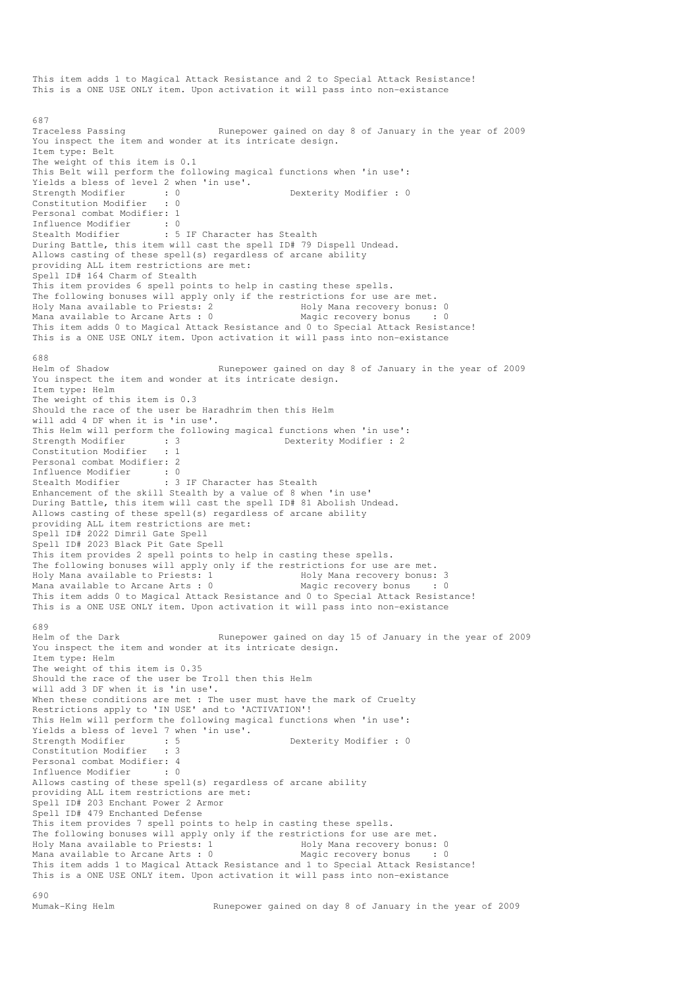This item adds 1 to Magical Attack Resistance and 2 to Special Attack Resistance! This is a ONE USE ONLY item. Upon activation it will pass into non-existance 687 Traceless Passing Traceless Passing Runepower gained on day 8 of January in the year of 2009 You inspect the item and wonder at its intricate design. Item type: Belt The weight of this item is 0.1 This Belt will perform the following magical functions when 'in use': Yields a bless of level 2 when 'in use'. Strength Modifier : 0 0 Dexterity Modifier : 0 Constitution Modifier : 0 Personal combat Modifier: 1 Influence Modifier : 0<br>Stealth Modifier : 5 : 5 IF Character has Stealth During Battle, this item will cast the spell ID# 79 Dispell Undead. Allows casting of these spell(s) regardless of arcane ability providing ALL item restrictions are met: Spell ID# 164 Charm of Stealth This item provides 6 spell points to help in casting these spells. The following bonuses will apply only if the restrictions for use are met.<br>Holy Mana available to Priests: 2 Holy Mana recovery bonus: 0 Holy Mana available to Priests: 2 Holy Mana recovery bonus: 0 Mana available to Arcane Arts :  $0$ This item adds 0 to Magical Attack Resistance and 0 to Special Attack Resistance! This is a ONE USE ONLY item. Upon activation it will pass into non-existance 688<br>Helm of Shadow Runepower gained on day 8 of January in the year of 2009 You inspect the item and wonder at its intricate design. Item type: Helm The weight of this item is 0.3 Should the race of the user be Haradhrim then this Helm will add 4 DF when it is 'in use'. This Helm will perform the following magical functions when 'in use':<br>Strength Modifier : 3<br>Constitution Modifier : 1 Dexterity Modifier : 2 Constitution Modifier : 1 Personal combat Modifier: 2 Influence Modifier : 0 Stealth Modifier : 3 IF Character has Stealth Enhancement of the skill Stealth by a value of 8 when 'in use' During Battle, this item will cast the spell ID# 81 Abolish Undead. Allows casting of these spell(s) regardless of arcane ability providing ALL item restrictions are met: Spell ID# 2022 Dimril Gate Spell Spell ID# 2023 Black Pit Gate Spell This item provides 2 spell points to help in casting these spells. The following bonuses will apply only if the restrictions for use are met.<br>Holy Mana available to Priests: 1 Holy Mana recovery bonus: 3 Holy Mana available to Priests: 1 American available to Priests: 1 Holy Mana recovery bonus: 3<br>Holy Mana available to Arcane Arts: 0 Alexandric recovery bonus : 0 Mana available to Arcane Arts :  $0$ This item adds 0 to Magical Attack Resistance and 0 to Special Attack Resistance! This is a ONE USE ONLY item. Upon activation it will pass into non-existance 689 Helm of the Dark Runepower gained on day 15 of January in the year of 2009 You inspect the item and wonder at its intricate design. Item type: Helm The weight of this item is 0.35 Should the race of the user be Troll then this Helm will add 3 DF when it is 'in use'. When these conditions are met : The user must have the mark of Cruelty Restrictions apply to 'IN USE' and to 'ACTIVATION'! This Helm will perform the following magical functions when 'in use': Yields a bless of level 7 when 'in use'.<br>Strength Modifier : 5 strength Modifier : 0<br>
Strength Modifier : 0<br>
Strength Modifier : 0<br>
Strength Modifier : 0<br>
Strength Modifier : 0<br>
Strength Modifier : 0<br>
Strength Modifier : 0<br>
Strength Modifier : 0<br>
Strength Modifier : 0<br>
Strength Modifi Constitution Modifier Personal combat Modifier: 4<br>Influence Modifier : 0 Influence Modifier Allows casting of these spell(s) regardless of arcane ability providing ALL item restrictions are met: Spell ID# 203 Enchant Power 2 Armor Spell ID# 479 Enchanted Defense This item provides 7 spell points to help in casting these spells. The following bonuses will apply only if the restrictions for use are met. Holy Mana available to Priests: 1 1 1992 Holy Mana recovery bonus: 0<br>
Mana available to Arcane Arts : 0 1994 Magic recovery bonus : 0 Mana available to Arcane Arts :  $0$ This item adds 1 to Magical Attack Resistance and 1 to Special Attack Resistance! This is a ONE USE ONLY item. Upon activation it will pass into non-existance 690<br>Mumak-King Helm Runepower gained on day 8 of January in the year of 2009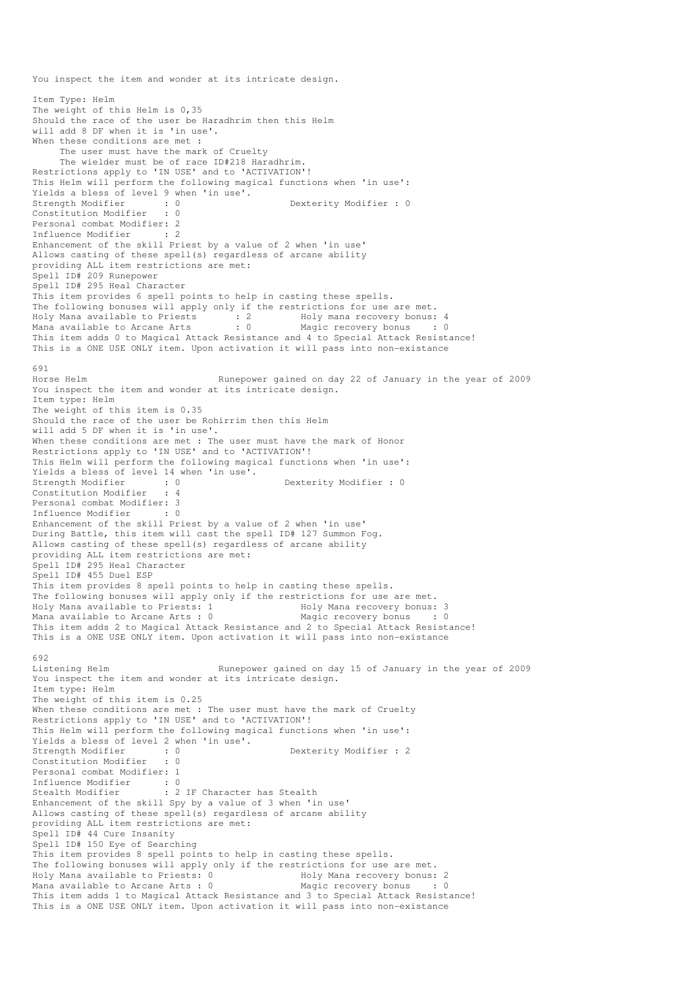You inspect the item and wonder at its intricate design. Item Type: Helm The weight of this Helm is 0,35 Should the race of the user be Haradhrim then this Helm will add 8 DF when it is 'in use'. When these conditions are met : The user must have the mark of Cruelty The wielder must be of race ID#218 Haradhrim. Restrictions apply to 'IN USE' and to 'ACTIVATION'! This Helm will perform the following magical functions when 'in use': Yields a bless of level 9 when 'in use'. Strength Modifier : 0 Dexterity Modifier : 0 strength Modifier : 0<br>Constitution Modifier : 0 Personal combat Modifier: 2<br>Influence Modifier : 2 Influence Modifier Enhancement of the skill Priest by a value of 2 when 'in use' Allows casting of these spell(s) regardless of arcane ability providing ALL item restrictions are met: Spell ID# 209 Runepower Spell ID# 295 Heal Character This item provides 6 spell points to help in casting these spells. The following bonuses will apply only if the restrictions for use are met. Holy Mana available to Priests : 2 Holy mana recovery bonus: 4 Mana available to Arcane Arts : 0 Magic recovery bonus : 0 This item adds 0 to Magical Attack Resistance and 4 to Special Attack Resistance! This is a ONE USE ONLY item. Upon activation it will pass into non-existance 691<br>Horse Helm Runepower gained on day 22 of January in the year of 2009 You inspect the item and wonder at its intricate design. Item type: Helm The weight of this item is 0.35 Should the race of the user be Rohirrim then this Helm will add 5 DF when it is 'in use'. When these conditions are met : The user must have the mark of Honor Restrictions apply to 'IN USE' and to 'ACTIVATION'! This Helm will perform the following magical functions when 'in use': Yields a bless of level 14 when 'in use'. Strength Modifier : 0 0 Dexterity Modifier : 0 Constitution Modifier : 4 Personal combat Modifier: 3 Influence Modifier : 0 Enhancement of the skill Priest by a value of 2 when 'in use' During Battle, this item will cast the spell ID# 127 Summon Fog. Allows casting of these spell(s) regardless of arcane ability providing ALL item restrictions are met: Spell ID# 295 Heal Character Spell ID# 455 Duel ESP This item provides 8 spell points to help in casting these spells. The following bonuses will apply only if the restrictions for use are met. Holy Mana available to Priests: 1 The Holy Mana recovery bonus: 3 Mana available to Arcane Arts : 0 Magic recovery bonus : 0 This item adds 2 to Magical Attack Resistance and 2 to Special Attack Resistance! This is a ONE USE ONLY item. Upon activation it will pass into non-existance 692<br>Listening Helm Runepower gained on day 15 of January in the year of 2009 You inspect the item and wonder at its intricate design. Item type: Helm The weight of this item is 0.25 When these conditions are met : The user must have the mark of Cruelty Restrictions apply to 'IN USE' and to 'ACTIVATION'! This Helm will perform the following magical functions when 'in use': Yields a bless of level 2 when 'in use'.<br>Strength Modifier : 0 Dexterity Modifier : 2 Constitution Modifier : 0 Personal combat Modifier: 1 Influence Modifier : 0 Stealth Modifier : 2 IF Character has Stealth Enhancement of the skill Spy by a value of 3 when 'in use' Allows casting of these spell(s) regardless of arcane ability providing ALL item restrictions are met: Spell ID# 44 Cure Insanity Spell ID# 150 Eye of Searching This item provides 8 spell points to help in casting these spells. The following bonuses will apply only if the restrictions for use are met. Holy Mana available to Priests: 0 Holy Mana recovery bonus: 2 Mana available to Arcane Arts :  $0$ This item adds 1 to Magical Attack Resistance and 3 to Special Attack Resistance! This is a ONE USE ONLY item. Upon activation it will pass into non-existance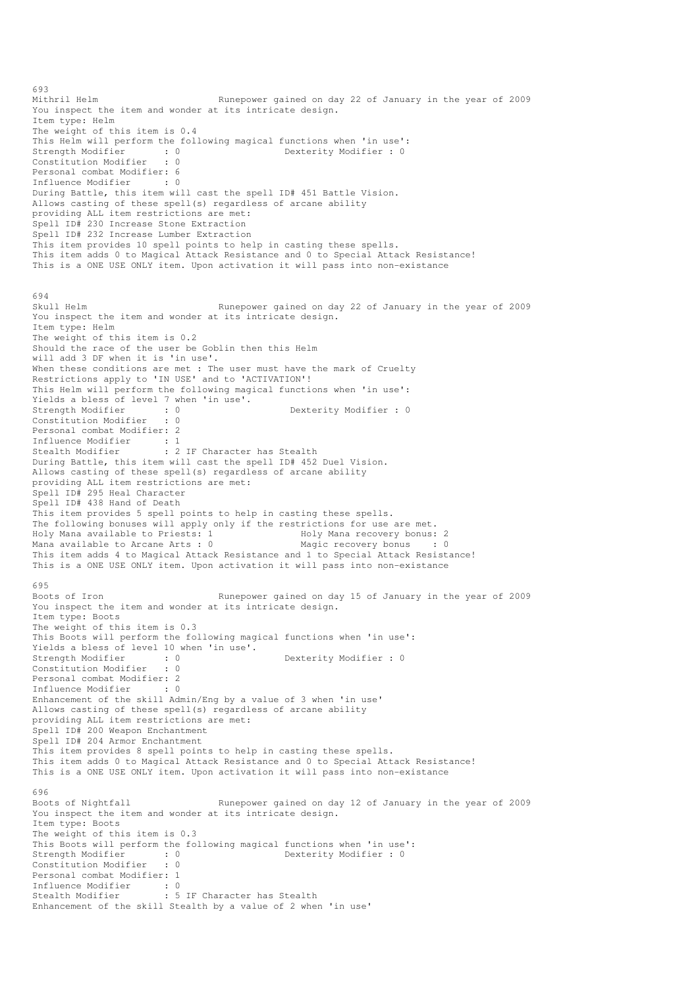693<br>Mithril Helm Runepower gained on day 22 of January in the year of 2009 You inspect the item and wonder at its intricate design. Item type: Helm The weight of this item is 0.4 This Helm will perform the following magical functions when 'in use':<br>Strength Modifier : 0<br>Dexterity Modifier : 0 Strength Modifier : 0 0 Dexterity Modifier : 0 Constitution Modifier : 0 Personal combat Modifier: 6 Influence Modifier : 0 During Battle, this item will cast the spell ID# 451 Battle Vision. Allows casting of these spell(s) regardless of arcane ability providing ALL item restrictions are met: Spell ID# 230 Increase Stone Extraction Spell ID# 232 Increase Lumber Extraction This item provides 10 spell points to help in casting these spells. This item adds 0 to Magical Attack Resistance and 0 to Special Attack Resistance! This is a ONE USE ONLY item. Upon activation it will pass into non-existance 694<br>Skull Helm Runepower gained on day 22 of January in the year of 2009 You inspect the item and wonder at its intricate design. Item type: Helm The weight of this item is 0.2 Should the race of the user be Goblin then this Helm will add 3 DF when it is 'in use'. When these conditions are met : The user must have the mark of Cruelty Restrictions apply to 'IN USE' and to 'ACTIVATION'! This Helm will perform the following magical functions when 'in use': Yields a bless of level 7 when 'in use'.<br>Strength Modifier : 0<br>Constitution Modifier : 0 Strength Modifier : 0 0 Dexterity Modifier : 0 Constitution Modifier Personal combat Modifier: 2 Influence Modifier : 1 Stealth Modifier : 2 IF Character has Stealth During Battle, this item will cast the spell ID# 452 Duel Vision. Allows casting of these spell(s) regardless of arcane ability providing ALL item restrictions are met: Spell ID# 295 Heal Character Spell ID# 438 Hand of Death This item provides 5 spell points to help in casting these spells. The following bonuses will apply only if the restrictions for use are met.<br>Holy Mana available to Priests: 1 Holy Mana recovery bonus: 2 Holy Mana available to Priests: 1 Mana available to Arcane Arts : 0 Magic recovery bonus : 0 This item adds 4 to Magical Attack Resistance and 1 to Special Attack Resistance! This is a ONE USE ONLY item. Upon activation it will pass into non-existance 695<br>Boots of Iron Runepower gained on day 15 of January in the year of 2009 You inspect the item and wonder at its intricate design. Item type: Boots The weight of this item is 0.3 This Boots will perform the following magical functions when 'in use': Yields a bless of level 10 when 'in use'.<br>Strength Modifier : 0<br>Constitution Modifies Dexterity Modifier : 0 Constitution Modifier : 0 Personal combat Modifier: 2<br>Influence Modifier : 0 Influence Modifier Enhancement of the skill Admin/Eng by a value of 3 when 'in use' Allows casting of these spell(s) regardless of arcane ability providing ALL item restrictions are met: Spell ID# 200 Weapon Enchantment Spell ID# 204 Armor Enchantment This item provides 8 spell points to help in casting these spells. This item adds 0 to Magical Attack Resistance and 0 to Special Attack Resistance! This is a ONE USE ONLY item. Upon activation it will pass into non-existance 696<br>Boots of Nightfall Runepower gained on day 12 of January in the year of 2009 You inspect the item and wonder at its intricate design. Item type: Boots The weight of this item is 0.3 This Boots will perform the following magical functions when 'in use':<br>Strength Modifier : 0<br>Dexterity Modifier : 0 Strength Modifier : 0 0 Dexterity Modifier : 0 Constitution Modifier : 0 Personal combat Modifier: 1 Influence Modifier : 0<br>Stealth Modifier : 5 : 5 IF Character has Stealth Enhancement of the skill Stealth by a value of 2 when 'in use'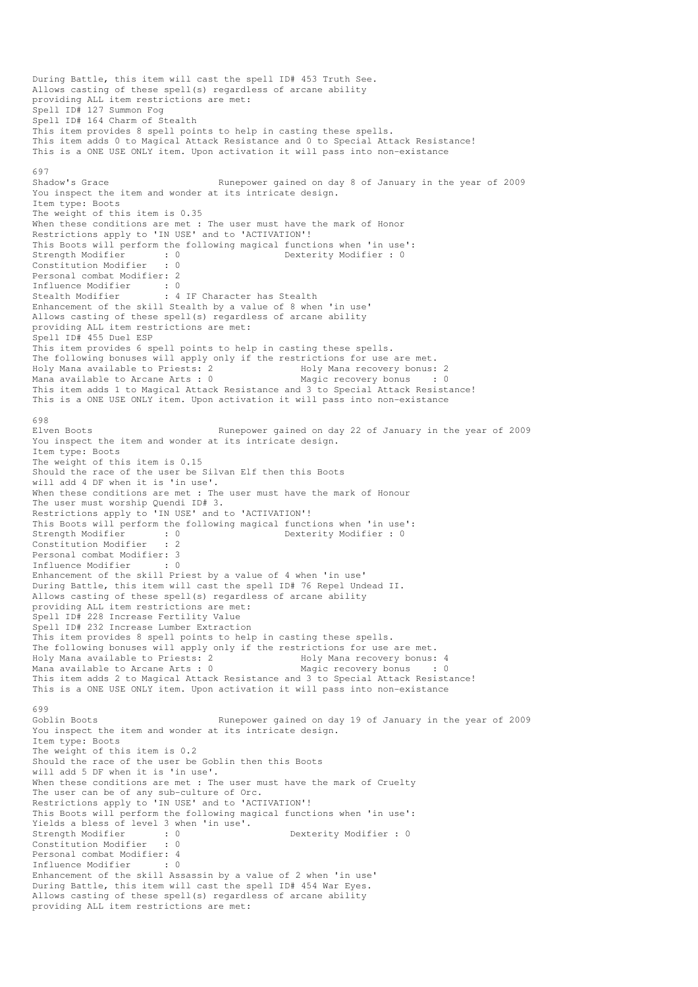```
During Battle, this item will cast the spell ID# 453 Truth See. 
Allows casting of these spell(s) regardless of arcane ability 
providing ALL item restrictions are met: 
Spell ID# 127 Summon Fog 
Spell ID# 164 Charm of Stealth 
This item provides 8 spell points to help in casting these spells. 
This item adds 0 to Magical Attack Resistance and 0 to Special Attack Resistance! 
This is a ONE USE ONLY item. Upon activation it will pass into non-existance 
697 
Shadow's Grace Runepower gained on day 8 of January in the year of 2009 
You inspect the item and wonder at its intricate design. 
Item type: Boots 
The weight of this item is 0.35 
When these conditions are met : The user must have the mark of Honor
Restrictions apply to 'IN USE' and to 'ACTIVATION'!
This Boots will perform the following magical functions when 'in use':<br>Strength Modifier : 0<br>Constitution Modifier : 0
Strength Modifier : 0 0 Dexterity Modifier : 0
Constitution Modifier
Personal combat Modifier: 2 
Influence Modifier : 0 
Stealth Modifier : 4 IF Character has Stealth
Enhancement of the skill Stealth by a value of 8 when 'in use' 
Allows casting of these spell(s) regardless of arcane ability 
providing ALL item restrictions are met: 
Spell ID# 455 Duel ESP 
This item provides 6 spell points to help in casting these spells. 
The following bonuses will apply only if the restrictions for use are met.<br>Holy Mana available to Priests: 2 Holy Mana recovery bonus:
                                    Holy Mana recovery bonus: 2<br>Magic recovery bonus : 0
Mana available to Arcane Arts : 0
This item adds 1 to Magical Attack Resistance and 3 to Special Attack Resistance! 
This is a ONE USE ONLY item. Upon activation it will pass into non-existance 
698<br>Elven Boots
                                   Runepower gained on day 22 of January in the year of 2009
You inspect the item and wonder at its intricate design.
Item type: Boots 
The weight of this item is 0.15 
Should the race of the user be Silvan Elf then this Boots 
will add 4 DF when it is 'in use'. 
When these conditions are met : The user must have the mark of Honour
The user must worship Quendi ID# 3. 
Restrictions apply to 'IN USE' and to 'ACTIVATION'!
This Boots will perform the following magical functions when 'in use':<br>Strength Modifier : 0<br>Dexterity Modifier : 0
Strength Modifier : 0 0 Dexterity Modifier : 0
Constitution Modifier : 2 
Personal combat Modifier: 3 
Influence Modifier : 0 
Enhancement of the skill Priest by a value of 4 when 'in use' 
During Battle, this item will cast the spell ID# 76 Repel Undead II. 
Allows casting of these spell(s) regardless of arcane ability 
providing ALL item restrictions are met: 
Spell ID# 228 Increase Fertility Value 
Spell ID# 232 Increase Lumber Extraction 
This item provides 8 spell points to help in casting these spells. 
The following bonuses will apply only if the restrictions for use are met. 
Holy Mana available to Priests: 2 Holy Mana recovery bonus: 4 
Mana available to Arcane Arts : 0This item adds 2 to Magical Attack Resistance and 3 to Special Attack Resistance! 
This is a ONE USE ONLY item. Upon activation it will pass into non-existance 
699<br>Goblin Boots
                                   Runepower gained on day 19 of January in the year of 2009
You inspect the item and wonder at its intricate design.
Item type: Boots 
The weight of this item is 0.2
Should the race of the user be Goblin then this Boots 
will add 5 DF when it is 'in use'. 
When these conditions are met : The user must have the mark of Cruelty
The user can be of any sub-culture of Orc. 
Restrictions apply to 'IN USE' and to 'ACTIVATION'!
This Boots will perform the following magical functions when 'in use': 
Yields a bless of level 3 when 'in use'. 
Strength Modifier : 0 0 Dexterity Modifier : 0
Constitution Modifier : 0 
Personal combat Modifier: 4<br>Influence Modifier : 0
Influence Modifier
Enhancement of the skill Assassin by a value of 2 when 'in use' 
During Battle, this item will cast the spell ID# 454 War Eyes. 
Allows casting of these spell(s) regardless of arcane ability 
providing ALL item restrictions are met:
```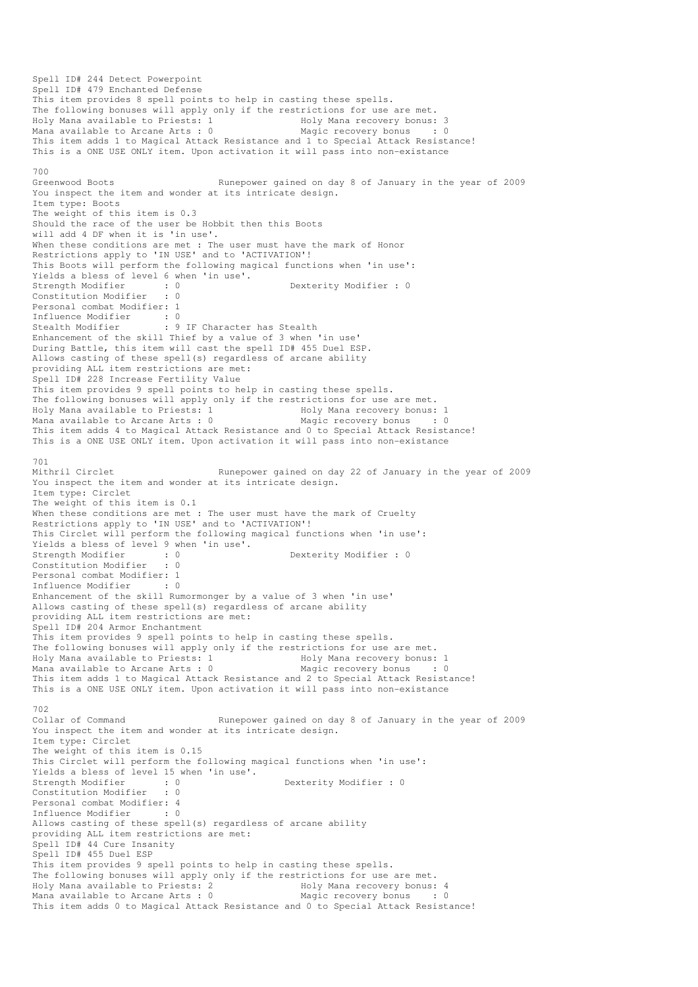Spell ID# 244 Detect Powerpoint Spell ID# 479 Enchanted Defense This item provides 8 spell points to help in casting these spells. The following bonuses will apply only if the restrictions for use are met.<br>Holy Mana available to Priests: 1 Holy Mana recovery bonus: 3 Holy Mana available to Priests: 1 Mana available to Arcane Arts : 0 Magic recovery bonus : 0 This item adds 1 to Magical Attack Resistance and 1 to Special Attack Resistance! This is a ONE USE ONLY item. Upon activation it will pass into non-existance 700 Greenwood Boots Runepower gained on day 8 of January in the year of 2009 You inspect the item and wonder at its intricate design. Item type: Boots The weight of this item is 0.3 Should the race of the user be Hobbit then this Boots will add 4 DF when it is 'in use'. When these conditions are met : The user must have the mark of Honor Restrictions apply to 'IN USE' and to 'ACTIVATION'! This Boots will perform the following magical functions when 'in use': Yields a bless of level 6 when 'in use'. Strength Modifier : 0 0 Dexterity Modifier : 0 Constitution Modifier : 0 Personal combat Modifier: 1 Influence Modifier : 0 Stealth Modifier : 9 IF Character has Stealth Enhancement of the skill Thief by a value of 3 when 'in use' During Battle, this item will cast the spell ID# 455 Duel ESP. Allows casting of these spell(s) regardless of arcane ability providing ALL item restrictions are met: Spell ID# 228 Increase Fertility Value This item provides 9 spell points to help in casting these spells. The following bonuses will apply only if the restrictions for use are met. Holy Mana available to Priests: 1 1992 Holy Mana recovery bonus: 1<br>
Mana available to Arcane Arts : 0 1994 Magic recovery bonus : 0 Mana available to Arcane Arts : 0 This item adds 4 to Magical Attack Resistance and 0 to Special Attack Resistance! This is a ONE USE ONLY item. Upon activation it will pass into non-existance 701<br>Mithril Circlet Runepower gained on day 22 of January in the year of 2009 You inspect the item and wonder at its intricate design. Item type: Circlet The weight of this item is 0.1 When these conditions are met : The user must have the mark of Cruelty Restrictions apply to 'IN USE' and to 'ACTIVATION'! This Circlet will perform the following magical functions when 'in use': Yields a bless of level 9 when 'in use'.<br>Strength Modifier : 0<br>Constitution Y Wiel Strength Modifier : 0 Dexterity Modifier : 0 Constitution Modifier : 0 Personal combat Modifier: 1<br>Influence Modifier : 0 Influence Modifier Enhancement of the skill Rumormonger by a value of 3 when 'in use' Allows casting of these spell(s) regardless of arcane ability providing ALL item restrictions are met: Spell ID# 204 Armor Enchantment This item provides 9 spell points to help in casting these spells. The following bonuses will apply only if the restrictions for use are met. Holy Mana available to Priests: 1 1999 Holy Mana recovery bonus: 1<br>
Mana available to Arcane Arts : 0 1999 Magic recovery bonus : 0 Mana available to Arcane Arts :  $0$ This item adds 1 to Magical Attack Resistance and 2 to Special Attack Resistance! This is a ONE USE ONLY item. Upon activation it will pass into non-existance 702 Collar of Command Runepower gained on day 8 of January in the year of 2009 You inspect the item and wonder at its intricate design. Item type: Circlet The weight of this item is 0.15 This Circlet will perform the following magical functions when 'in use': Yields a bless of level 15 when 'in use'.<br>Strength Modifier : 0 Strength Modifier : 0 Dexterity Modifier : 0<br>
Constitution Modifier : 0 Constitution Modifier Personal combat Modifier: 4<br>Influence Modifier : 0 Influence Modifier Allows casting of these spell(s) regardless of arcane ability providing ALL item restrictions are met: Spell ID# 44 Cure Insanity Spell ID# 455 Duel ESP This item provides 9 spell points to help in casting these spells. The following bonuses will apply only if the restrictions for use are met.<br>Holy Mana available to Priests: 2 Holy Mana recovery bonus: 4 Holy Mana available to Priests: 2 The Holy Mana recovery bonus: 4 Mana available to Arcane Arts : 0 Magic recovery bonus : 0 This item adds 0 to Magical Attack Resistance and 0 to Special Attack Resistance!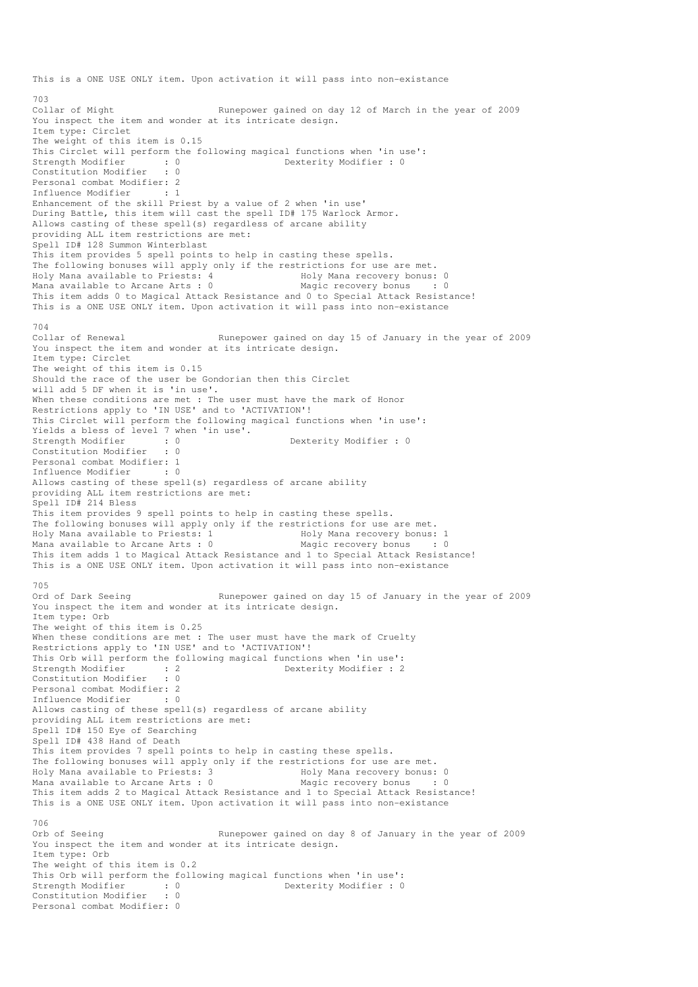This is a ONE USE ONLY item. Upon activation it will pass into non-existance 703<br>Collar of Might Runepower gained on day 12 of March in the year of 2009 You inspect the item and wonder at its intricate design. Item type: Circlet The weight of this item is 0.15 This Circlet will perform the following magical functions when 'in use':<br>Strength Modifier : 0<br>Dexterity Modifier : 0 strength Modifier : 0<br>
Strength Modifier : 0<br>
Dexterity Modifier : 0 Constitution Modifier Personal combat Modifier: 2 Influence Modifier : 1 Enhancement of the skill Priest by a value of 2 when 'in use' During Battle, this item will cast the spell ID# 175 Warlock Armor. Allows casting of these spell(s) regardless of arcane ability providing ALL item restrictions are met: Spell ID# 128 Summon Winterblast This item provides 5 spell points to help in casting these spells. The following bonuses will apply only if the restrictions for use are met.<br>Holy Mana available to Priests: 4 Holy Mana recovery bonus: 0 Holy Mana available to Priests: 4 Holy Mana recovery bonus: 0<br>
Mana available to Arcane Arts: 0 Magic recovery bonus : 0 Mana available to Arcane Arts :  $0$ This item adds 0 to Magical Attack Resistance and 0 to Special Attack Resistance! This is a ONE USE ONLY item. Upon activation it will pass into non-existance 704 Collar of Renewal **Runepower** gained on day 15 of January in the year of 2009 You inspect the item and wonder at its intricate design. Item type: Circlet The weight of this item is 0.15 Should the race of the user be Gondorian then this Circlet will add 5 DF when it is 'in use'. When these conditions are met : The user must have the mark of Honor Restrictions apply to 'IN USE' and to 'ACTIVATION'! This Circlet will perform the following magical functions when 'in use': Yields a bless of level 7 when 'in use'. Strength Modifier : 0 0 Dexterity Modifier : 0 Constitution Modifier : 0 Personal combat Modifier: 1<br>Influence Modifier . 0 Influence Modifier : 0 Allows casting of these spell(s) regardless of arcane ability providing ALL item restrictions are met: Spell ID# 214 Bless This item provides 9 spell points to help in casting these spells. The following bonuses will apply only if the restrictions for use are met.<br>Holy Mana available to Priests: 1 Holy Mana recovery bonus: Holy Mana recovery bonus: 1 Mana available to Arcane Arts : 0 Magic recovery bonus : 0 This item adds 1 to Magical Attack Resistance and 1 to Special Attack Resistance! This is a ONE USE ONLY item. Upon activation it will pass into non-existance 705<br>Ord of Dark Seeing Runepower gained on day 15 of January in the year of 2009 You inspect the item and wonder at its intricate design. Item type: Orb The weight of this item is 0.25 When these conditions are met : The user must have the mark of Cruelty Restrictions apply to 'IN USE' and to 'ACTIVATION'! This Orb will perform the following magical functions when 'in use': Strength Modifier : 2 2 Dexterity Modifier : 2 Constitution Modifier : 0 Personal combat Modifier: 2 Influence Modifier : 0 Allows casting of these spell(s) regardless of arcane ability providing ALL item restrictions are met: Spell ID# 150 Eye of Searching Spell ID# 438 Hand of Death This item provides 7 spell points to help in casting these spells. The following bonuses will apply only if the restrictions for use are met.<br>Holy Mana available to Priests: 3 Holy Mana recovery bonus: 0 Holy Mana available to Priests: 3 Mana available to Arcane Arts : 0 Magic recovery bonus : 0 This item adds 2 to Magical Attack Resistance and 1 to Special Attack Resistance! This is a ONE USE ONLY item. Upon activation it will pass into non-existance 706<br>Orb of Seeing Runepower gained on day 8 of January in the year of 2009 You inspect the item and wonder at its intricate design. Item type: Orb The weight of this item is 0.2 This Orb will perform the following magical functions when 'in use': Strength Modifier : 0 Dexterity Modifier : 0 Constitution Modifier : 0 Personal combat Modifier: 0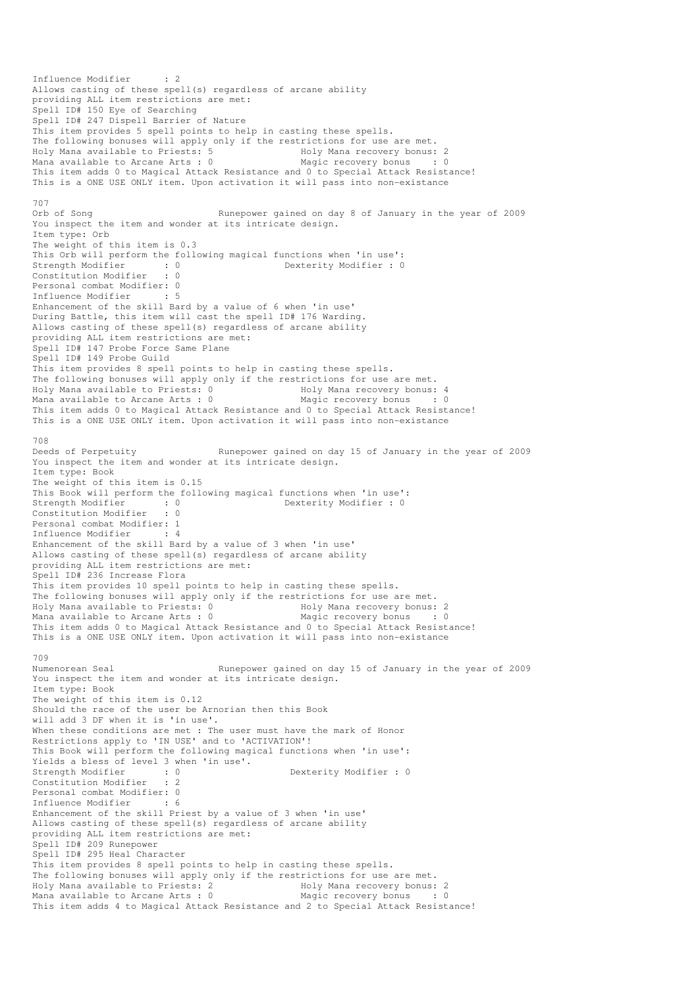Influence Modifier : 2 Allows casting of these spell(s) regardless of arcane ability providing ALL item restrictions are met: Spell ID# 150 Eye of Searching Spell ID# 247 Dispell Barrier of Nature This item provides 5 spell points to help in casting these spells. The following bonuses will apply only if the restrictions for use are met.<br>Holy Mana available to Priests: 5 Holy Mana recovery bonus: 2 Holy Mana available to Priests: 5 Holy Mana recovery bonus: 2 Mana available to Arcane Arts : 0 Magic recovery bonus : 0 This item adds 0 to Magical Attack Resistance and 0 to Special Attack Resistance! This is a ONE USE ONLY item. Upon activation it will pass into non-existance 707<br>Orb of Song Runepower gained on day 8 of January in the year of 2009 You inspect the item and wonder at its intricate design. Item type: Orb The weight of this item is 0.3 This Orb will perform the following magical functions when 'in use': Strength Modifier : 0 0 Dexterity Modifier : 0 Constitution Modifier : 0 Personal combat Modifier: 0 Influence Modifier : 5 Enhancement of the skill Bard by a value of 6 when 'in use' During Battle, this item will cast the spell ID# 176 Warding. Allows casting of these spell(s) regardless of arcane ability providing ALL item restrictions are met: Spell ID# 147 Probe Force Same Plane Spell ID# 149 Probe Guild This item provides 8 spell points to help in casting these spells. The following bonuses will apply only if the restrictions for use are met.<br>Holy Mana available to Priests: 0 801y Mana recovery bonus: 4 Holy Mana available to Priests: 0 Mana available to Arcane Arts : 0 Magic recovery bonus : 0 This item adds 0 to Magical Attack Resistance and 0 to Special Attack Resistance! This is a ONE USE ONLY item. Upon activation it will pass into non-existance 708 Deeds of Perpetuity Runepower gained on day 15 of January in the year of 2009 You inspect the item and wonder at its intricate design. Item type: Book The weight of this item is 0.15 This Book will perform the following magical functions when 'in use': Strength Modifier : 0 0 Dexterity Modifier : 0 Constitution Modifier : 0 Personal combat Modifier: 1 Influence Modifier : 4 Enhancement of the skill Bard by a value of 3 when 'in use' Allows casting of these spell(s) regardless of arcane ability providing ALL item restrictions are met: Spell ID# 236 Increase Flora This item provides 10 spell points to help in casting these spells. The following bonuses will apply only if the restrictions for use are met. Holy Mana available to Priests: 0 (Holy Mana recovery bonus: 2) Mana available to Arcane Arts : 0 Magic recovery bonus : 0 This item adds 0 to Magical Attack Resistance and 0 to Special Attack Resistance! This is a ONE USE ONLY item. Upon activation it will pass into non-existance 709 Numenorean Seal Runepower gained on day 15 of January in the year of 2009 You inspect the item and wonder at its intricate design. Item type: Book The weight of this item is 0.12 Should the race of the user be Arnorian then this Book will add 3 DF when it is 'in use'. When these conditions are met : The user must have the mark of Honor Restrictions apply to 'IN USE' and to 'ACTIVATION'! This Book will perform the following magical functions when 'in use': Yields a bless of level 3 when 'in use'. Strength Modifier : 0 0 Dexterity Modifier : 0 Constitution Modifier : 2 Personal combat Modifier: 0<br>Tnfluence Modifier : 6 Influence Modifier Enhancement of the skill Priest by a value of 3 when 'in use' Allows casting of these spell(s) regardless of arcane ability providing ALL item restrictions are met: Spell ID# 209 Runepower Spell ID# 295 Heal Character This item provides 8 spell points to help in casting these spells. The following bonuses will apply only if the restrictions for use are met. Holy Mana available to Priests: 2 The Holy Mana recovery bonus: 2 Mana available to Arcane Arts : 0 Magic recovery bonus : 0 This item adds 4 to Magical Attack Resistance and 2 to Special Attack Resistance!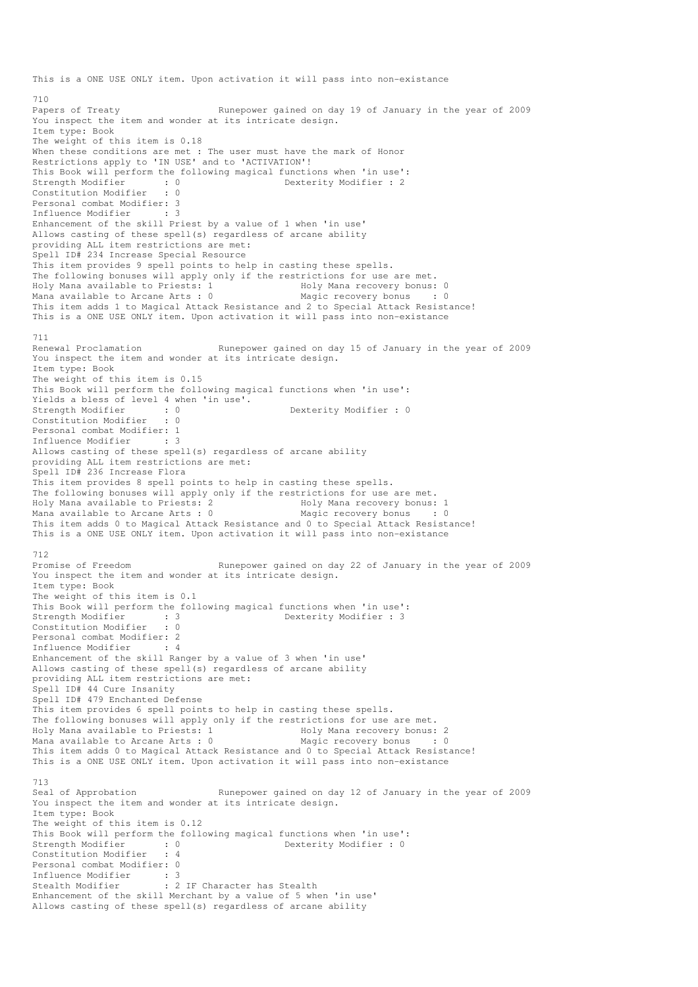This is a ONE USE ONLY item. Upon activation it will pass into non-existance 710<br>Papers of Treaty Runepower gained on day 19 of January in the year of 2009 You inspect the item and wonder at its intricate design. Item type: Book The weight of this item is 0.18 When these conditions are met : The user must have the mark of Honor Restrictions apply to 'IN USE' and to 'ACTIVATION'! This Book will perform the following magical functions when 'in use': Strength Modifier : 0 0 Dexterity Modifier : 2 Constitution Modifier : 0 Personal combat Modifier: 3 Influence Modifier : 3 Enhancement of the skill Priest by a value of 1 when 'in use' Allows casting of these spell(s) regardless of arcane ability providing ALL item restrictions are met: Spell ID# 234 Increase Special Resource This item provides 9 spell points to help in casting these spells. The following bonuses will apply only if the restrictions for use are met.<br>Holy Mana available to Priests: 1 Moly Mana recovery bonus: 0 Holy Mana available to Priests: 1 Mana available to Arcane Arts : 0 Magic recovery bonus : 0 This item adds 1 to Magical Attack Resistance and 2 to Special Attack Resistance! This is a ONE USE ONLY item. Upon activation it will pass into non-existance 711 Renewal Proclamation Runepower gained on day 15 of January in the year of 2009 You inspect the item and wonder at its intricate design. Item type: Book The weight of this item is 0.15 This Book will perform the following magical functions when 'in use': Yields a bless of level 4 when 'in use'.<br>Strength Modifier : 0<br>Constitution Modifies Strength Modifier : 0<br>
Constitution Modifier : 0<br>
Constitution Modifier : 0 Constitution Modifier Personal combat Modifier: 1<br>Tnfluence Modifier : 3 Influence Modifier Allows casting of these spell(s) regardless of arcane ability providing ALL item restrictions are met: Spell ID# 236 Increase Flora This item provides 8 spell points to help in casting these spells. The following bonuses will apply only if the restrictions for use are met. Holy Mana available to Priests: 2 Holy Mana recovery bonus: 1 Mana available to Arcane Arts : 0 Magic recovery bonus : 0 This item adds 0 to Magical Attack Resistance and 0 to Special Attack Resistance! This is a ONE USE ONLY item. Upon activation it will pass into non-existance 712 Promise of Freedom Runepower gained on day 22 of January in the year of 2009 You inspect the item and wonder at its intricate design. Item type: Book The weight of this item is 0.1 This Book will perform the following magical functions when 'in use': Strength Modifier : 3 3 Dexterity Modifier : 3 Constitution Modifier : 0 Personal combat Modifier: 2<br>Influence Modifier : 4 Influence Modifier : 4 Enhancement of the skill Ranger by a value of 3 when 'in use' Allows casting of these spell(s) regardless of arcane ability providing ALL item restrictions are met: Spell ID# 44 Cure Insanity Spell ID# 479 Enchanted Defense This item provides 6 spell points to help in casting these spells. The following bonuses will apply only if the restrictions for use are met. Holy Mana available to Priests: 1 Holy Mana recovery bonus: 2 Mana available to Arcane Arts :  $0$ This item adds 0 to Magical Attack Resistance and 0 to Special Attack Resistance! This is a ONE USE ONLY item. Upon activation it will pass into non-existance 713<br>Seal of Approbation Runepower gained on day 12 of January in the year of 2009 You inspect the item and wonder at its intricate design. Item type: Book The weight of this item is 0.12 This Book will perform the following magical functions when 'in use': Strength Modifier : 0 0 Dexterity Modifier : 0 Constitution Modifier : 4 Personal combat Modifier: 0 Influence Modifier : 3<br>Stealth Modifier : 2 : 2 IF Character has Stealth Enhancement of the skill Merchant by a value of 5 when 'in use' Allows casting of these spell(s) regardless of arcane ability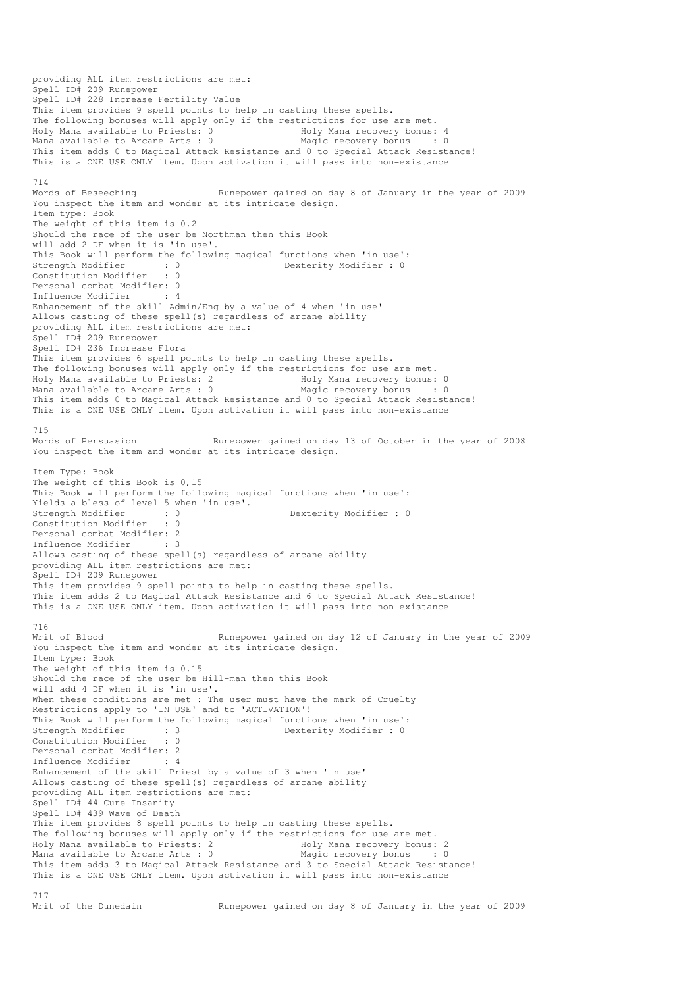providing ALL item restrictions are met: Spell ID# 209 Runepower Spell ID# 228 Increase Fertility Value This item provides 9 spell points to help in casting these spells. The following bonuses will apply only if the restrictions for use are met. Holy Mana available to Priests: 0 Holy Mana recovery bonus: 4 Mana available to Arcane Arts : 0 Magic recovery bonus : 0 This item adds 0 to Magical Attack Resistance and 0 to Special Attack Resistance! This is a ONE USE ONLY item. Upon activation it will pass into non-existance 714 Words of Beseeching The Runepower gained on day 8 of January in the year of 2009 You inspect the item and wonder at its intricate design. Item type: Book The weight of this item is 0.2 Should the race of the user be Northman then this Book will add 2 DF when it is 'in use'. This Book will perform the following magical functions when 'in use':<br>Strength Modifier : 0<br>Constitution Modifier : 0 Strength Modifier : 0 Dexterity Modifier : 0<br>
Constitution Modifier : 0 Constitution Modifier Personal combat Modifier: 0 Influence Modifier : 4 Enhancement of the skill Admin/Eng by a value of 4 when 'in use' Allows casting of these spell(s) regardless of arcane ability providing ALL item restrictions are met: Spell ID# 209 Runepower Spell ID# 236 Increase Flora This item provides 6 spell points to help in casting these spells. The following bonuses will apply only if the restrictions for use are met.<br>Holy Mana available to Priests: 2 Holy Mana recovery bonus: 0 Holy Mana available to Priests: 2 (a) Holy Mana recovery bonus: 0<br>
Mana available to Arcane Arts: 0 (a) Magic recovery bonus : 0 Mana available to Arcane Arts :  $0$ This item adds 0 to Magical Attack Resistance and 0 to Special Attack Resistance! This is a ONE USE ONLY item. Upon activation it will pass into non-existance 715<br>Words of Persuasion Runepower gained on day 13 of October in the year of 2008 You inspect the item and wonder at its intricate design. Item Type: Book The weight of this Book is 0,15 This Book will perform the following magical functions when 'in use': Yields a bless of level 5 when 'in use'.<br>Strength Modifier : 0<br>Constitution Modifier : 0 Strength Modifier : 0 Dexterity Modifier : 0 Constitution Modifier Personal combat Modifier: 2 Influence Modifier : 3 Allows casting of these spell(s) regardless of arcane ability providing ALL item restrictions are met: Spell ID# 209 Runepower This item provides 9 spell points to help in casting these spells. This item adds 2 to Magical Attack Resistance and 6 to Special Attack Resistance! This is a ONE USE ONLY item. Upon activation it will pass into non-existance 716 Writ of Blood **Runepower gained on day 12 of January in the year of 2009** You inspect the item and wonder at its intricate design. Item type: Book The weight of this item is 0.15 Should the race of the user be Hill-man then this Book will add 4 DF when it is 'in use'. When these conditions are met : The user must have the mark of Cruelty Restrictions apply to 'IN USE' and to 'ACTIVATION'! This Book will perform the following magical functions when 'in use': Strength Modifier : 3 Dexterity Modifier : 0 Constitution Modifier : 0 Personal combat Modifier: 2 Influence Modifier : 4 Enhancement of the skill Priest by a value of 3 when 'in use' Allows casting of these spell(s) regardless of arcane ability providing ALL item restrictions are met: Spell ID# 44 Cure Insanity Spell ID# 439 Wave of Death This item provides 8 spell points to help in casting these spells. The following bonuses will apply only if the restrictions for use are met. Holy Mana available to Priests: 2 and Holy Mana recovery bonus: 2<br>
Mana available to Arcane Arts : 0 and Magic recovery bonus : 0 Mana available to Arcane Arts :  $0$ This item adds 3 to Magical Attack Resistance and 3 to Special Attack Resistance! This is a ONE USE ONLY item. Upon activation it will pass into non-existance 717<br>Writ of the Dunedain Runepower gained on day 8 of January in the year of 2009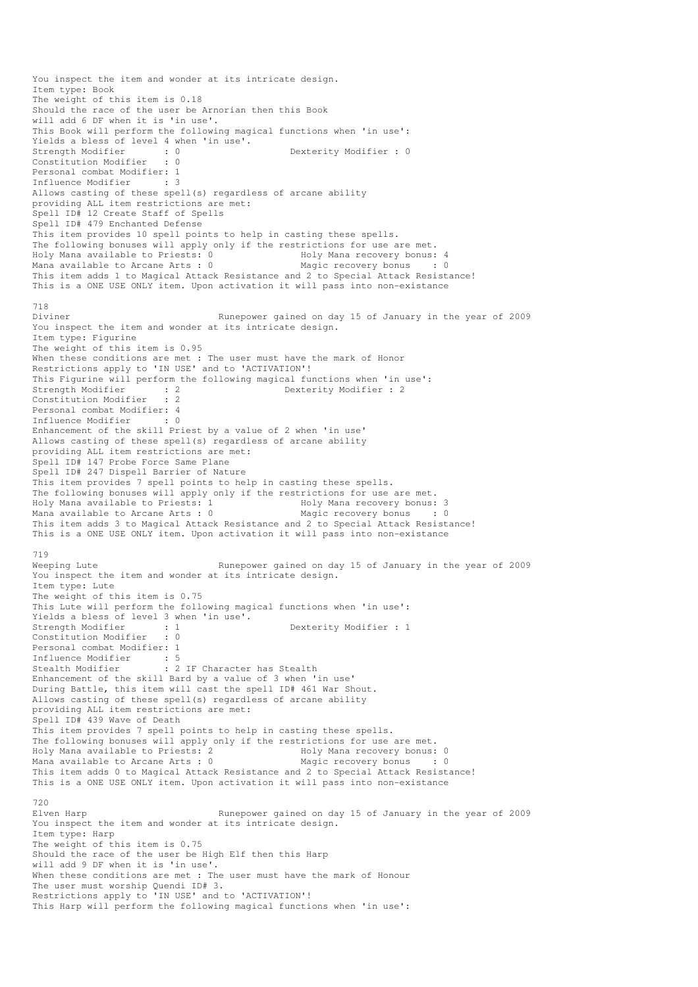You inspect the item and wonder at its intricate design. Item type: Book The weight of this item is 0.18 Should the race of the user be Arnorian then this Book will add 6 DF when it is 'in use'. This Book will perform the following magical functions when 'in use': Yields a bless of level 4 when 'in use'. Strength Modifier : 0 0 Dexterity Modifier : 0 Constitution Modifier : 0 Personal combat Modifier: 1 Influence Modifier : 3 Allows casting of these spell(s) regardless of arcane ability providing ALL item restrictions are met: Spell ID# 12 Create Staff of Spells Spell ID# 479 Enchanted Defense This item provides 10 spell points to help in casting these spells. The following bonuses will apply only if the restrictions for use are met. Holy Mana available to Priests: 0 Moly Mana recovery bonus: 4 Mana available to Arcane Arts : 0 Magic recovery bonus : 0 This item adds 1 to Magical Attack Resistance and 2 to Special Attack Resistance! This is a ONE USE ONLY item. Upon activation it will pass into non-existance 718<br>Diviner Runepower gained on day 15 of January in the year of 2009 You inspect the item and wonder at its intricate design. Item type: Figurine The weight of this item is 0.95 When these conditions are met : The user must have the mark of Honor Restrictions apply to 'IN USE' and to 'ACTIVATION'! This Figurine will perform the following magical functions when 'in use':<br>Strength Modifier : 2<br>Constitution Modifier : 2 Dexterity Modifier : 2 Constitution Modifier : 2 Personal combat Modifier: 4 Influence Modifier Enhancement of the skill Priest by a value of 2 when 'in use' Allows casting of these spell(s) regardless of arcane ability providing ALL item restrictions are met: Spell ID# 147 Probe Force Same Plane Spell ID# 247 Dispell Barrier of Nature This item provides 7 spell points to help in casting these spells. The following bonuses will apply only if the restrictions for use are met. Holy Mana available to Priests: 1 Holy Mana recovery bonus: 3 Mana available to Arcane Arts : 0 Magic recovery bonus This item adds 3 to Magical Attack Resistance and 2 to Special Attack Resistance! This is a ONE USE ONLY item. Upon activation it will pass into non-existance 719 Weeping Lute **Runepower gained on day 15 of January in the year of 2009** You inspect the item and wonder at its intricate design. Item type: Lute The weight of this item is 0.75 This Lute will perform the following magical functions when 'in use': Yields a bless of level 3 when 'in use'. Strength Modifier : 1 Dexterity Modifier : 1 Constitution Modifier : 0 Personal combat Modifier: 1 Influence Modifier : 5<br>Stealth Modifier : 2 : 2 IF Character has Stealth Enhancement of the skill Bard by a value of 3 when 'in use' During Battle, this item will cast the spell ID# 461 War Shout. Allows casting of these spell(s) regardless of arcane ability providing ALL item restrictions are met: Spell ID# 439 Wave of Death This item provides 7 spell points to help in casting these spells. The following bonuses will apply only if the restrictions for use are met.<br>Holy Mana available to Priests: 2 Holy Mana recovery bonus: 0 Holy Mana available to Priests: 2 Mana available to Arcane Arts : 0 Magic recovery bonus : 0 This item adds 0 to Magical Attack Resistance and 2 to Special Attack Resistance! This is a ONE USE ONLY item. Upon activation it will pass into non-existance 720<br>Elven Harn Runepower gained on day 15 of January in the year of 2009 You inspect the item and wonder at its intricate design. Item type: Harp The weight of this item is 0.75 Should the race of the user be High Elf then this Harp will add 9 DF when it is 'in use'. When these conditions are met : The user must have the mark of Honour The user must worship Quendi ID# 3. Restrictions apply to 'IN USE' and to 'ACTIVATION'! This Harp will perform the following magical functions when 'in use':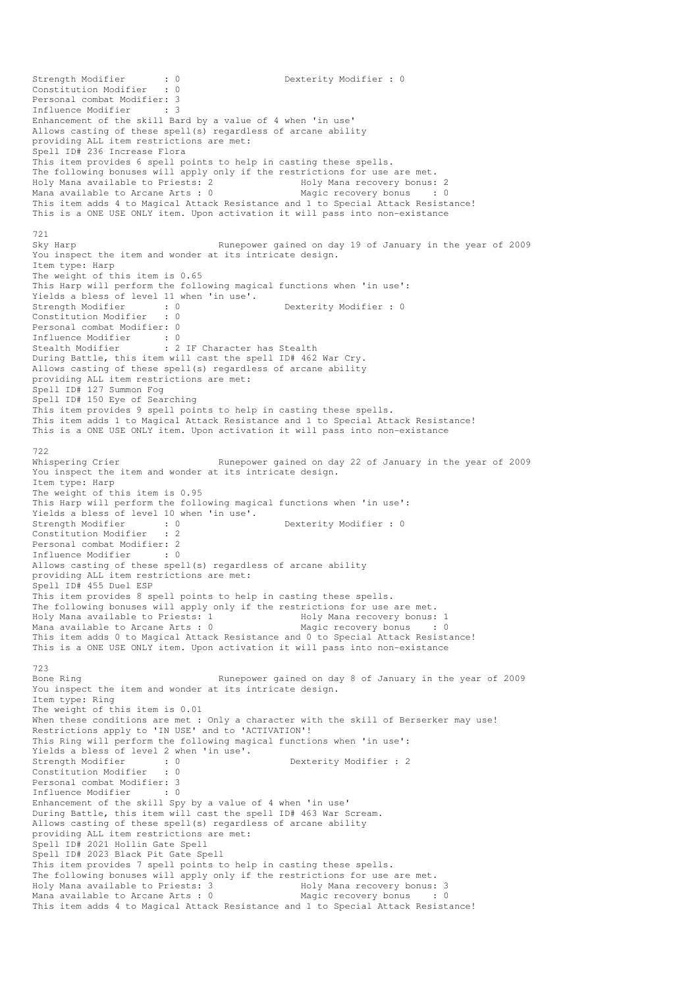Strength Modifier : 0 0 Dexterity Modifier : 0 Constitution Modifier : 0 Personal combat Modifier: 3 Influence Modifier : 3 Enhancement of the skill Bard by a value of 4 when 'in use' Allows casting of these spell(s) regardless of arcane ability providing ALL item restrictions are met: Spell ID# 236 Increase Flora This item provides 6 spell points to help in casting these spells. The following bonuses will apply only if the restrictions for use are met. Holy Mana available to Priests: 2 Holy Mana recovery bonus: 2 Mana available to Arcane Arts : 0 Magic recovery bonus : 0 This item adds 4 to Magical Attack Resistance and 1 to Special Attack Resistance! This is a ONE USE ONLY item. Upon activation it will pass into non-existance 721 Sky Harp **Runepower gained on day 19 of January in the year of 2009** You inspect the item and wonder at its intricate design. Item type: Harp The weight of this item is 0.65 This Harp will perform the following magical functions when 'in use': Yields a bless of level 11 when 'in use'.<br>Strength Modifier : 0 Strength Modifier : 0 Dexterity Modifier : 0 Constitution Modifier Personal combat Modifier: 0 Influence Modifier : 0 Stealth Modifier : 2 IF Character has Stealth During Battle, this item will cast the spell ID# 462 War Cry. Allows casting of these spell(s) regardless of arcane ability providing ALL item restrictions are met: Spell ID# 127 Summon Fog Spell ID# 150 Eye of Searching This item provides 9 spell points to help in casting these spells. This item adds 1 to Magical Attack Resistance and 1 to Special Attack Resistance! This is a ONE USE ONLY item. Upon activation it will pass into non-existance 722 Whispering Crier **Runepower gained on day 22 of January in the year of 2009** You inspect the item and wonder at its intricate design. Item type: Harp The weight of this item is 0.95 This Harp will perform the following magical functions when 'in use': Yields a bless of level 10 when 'in use'.<br>Strength Modifier : 0 Strength Modifier : 0 Dexterity Modifier : 0 Constitution Modifier Personal combat Modifier: 2<br>Influence Modifier : 0 Influence Modifier Allows casting of these spell(s) regardless of arcane ability providing ALL item restrictions are met: Spell ID# 455 Duel ESP Inis item provides 8 spell points to help in casting these spells. The following bonuses will apply only if the restrictions for use are met. Holy Mana available to Priests: 1 The Holy Mana recovery bonus: 1<br>
Mana available to Arcane Arts : 0 Magic recovery bonus . 0 Mana available to Arcane Arts : 0 Magic recovery bonus This item adds 0 to Magical Attack Resistance and 0 to Special Attack Resistance! This is a ONE USE ONLY item. Upon activation it will pass into non-existance 723<br>Bone Ring Runepower gained on day 8 of January in the year of 2009 You inspect the item and wonder at its intricate design. Item type: Ring The weight of this item is 0.01 When these conditions are met : Only a character with the skill of Berserker may use! Restrictions apply to 'IN USE' and to 'ACTIVATION'! This Ring will perform the following magical functions when 'in use': Yields a bless of level 2 when 'in use'.<br>Strength Modifier : 0<br>Constitution Modifier : 0 Strength Modifier : 0 Dexterity Modifier : 2 Constitution Modifier Personal combat Modifier: 3<br>Influence Modifier : 0 Influence Modifier Enhancement of the skill Spy by a value of 4 when 'in use' During Battle, this item will cast the spell ID# 463 War Scream. Allows casting of these spell(s) regardless of arcane ability providing ALL item restrictions are met: Spell ID# 2021 Hollin Gate Spell Spell ID# 2023 Black Pit Gate Spell This item provides 7 spell points to help in casting these spells. The following bonuses will apply only if the restrictions for use are met.<br>Holy Mana available to Priests: 3 Holy Mana recovery bonus: 3 Holy Mana available to Priests: 3 Moly Mana recovery bonus: 3 Mana available to Arcane Arts : 0 Magic recovery bonus : 0 This item adds 4 to Magical Attack Resistance and 1 to Special Attack Resistance!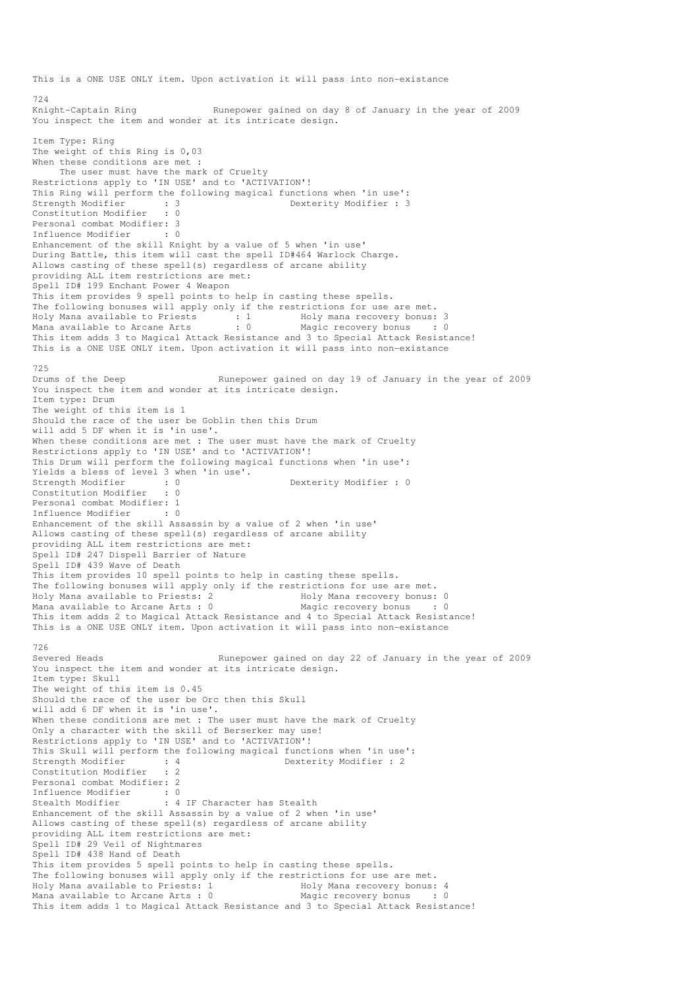This is a ONE USE ONLY item. Upon activation it will pass into non-existance 724 Knight-Captain Ring Runepower gained on day 8 of January in the year of 2009 You inspect the item and wonder at its intricate design. Item Type: Ring The weight of this Ring is 0,03 When these conditions are met : The user must have the mark of Cruelty Restrictions apply to 'IN USE' and to 'ACTIVATION'! This Ring will perform the following magical functions when 'in use': Strength Modifier : 3 3 Dexterity Modifier : 3 Constitution Modifier : 0 Personal combat Modifier: 3<br>Influence Modifier : 0 Influence Modifier Enhancement of the skill Knight by a value of 5 when 'in use' During Battle, this item will cast the spell ID#464 Warlock Charge. Allows casting of these spell(s) regardless of arcane ability providing ALL item restrictions are met: Spell ID# 199 Enchant Power 4 Weapon This item provides 9 spell points to help in casting these spells. The following bonuses will apply only if the restrictions for use are met. Holy Mana available to Priests : 1 Holy mana recovery bonus: 3 Mana available to Arcane Arts : 0 Magic recovery bonus : 0 This item adds 3 to Magical Attack Resistance and 3 to Special Attack Resistance! This is a ONE USE ONLY item. Upon activation it will pass into non-existance 725<br>Drums of the Deep Runepower gained on day 19 of January in the year of 2009 You inspect the item and wonder at its intricate design. Item type: Drum The weight of this item is 1 Should the race of the user be Goblin then this Drum will add 5 DF when it is 'in use'. When these conditions are met : The user must have the mark of Cruelty Restrictions apply to 'IN USE' and to 'ACTIVATION'! This Drum will perform the following magical functions when 'in use': Yields a bless of level 3 when 'in use'. Strength Modifier : 0 0 Dexterity Modifier : 0 Constitution Modifier : 0 Personal combat Modifier: 1 Influence Modifier : 0 Enhancement of the skill Assassin by a value of 2 when 'in use' Allows casting of these spell(s) regardless of arcane ability providing ALL item restrictions are met: Spell ID# 247 Dispell Barrier of Nature Spell ID# 439 Wave of Death This item provides 10 spell points to help in casting these spells. The following bonuses will apply only if the restrictions for use are met. Holy Mana available to Priests: 2 Mana available to Arcane Arts : 0 Magic recovery bonus : 0 This item adds 2 to Magical Attack Resistance and 4 to Special Attack Resistance! This is a ONE USE ONLY item. Upon activation it will pass into non-existance 726<br>Severed Heads Runepower gained on day 22 of January in the year of 2009 You inspect the item and wonder at its intricate design. Item type: Skull The weight of this item is 0.45 Should the race of the user be Orc then this Skull will add 6 DF when it is 'in use'. When these conditions are met : The user must have the mark of Cruelty Only a character with the skill of Berserker may use! Restrictions apply to 'IN USE' and to 'ACTIVATION'! This Skull will perform the following magical functions when 'in use':<br>Strength Modifier : 4 Dexterity Modifier : 2<br>Constitution Modifier : 2 Strength Modifier : 4 Dexterity Modifier : 2 Constitution Modifier Personal combat Modifier: 2 Influence Modifier : 0<br>Stealth Modifier : 4 : 4 IF Character has Stealth Enhancement of the skill Assassin by a value of 2 when 'in use' Allows casting of these spell(s) regardless of arcane ability providing ALL item restrictions are met: Spell ID# 29 Veil of Nightmares Spell ID# 438 Hand of Death This item provides 5 spell points to help in casting these spells. The following bonuses will apply only if the restrictions for use are met.<br>Holy Mana available to Priests: 1 Holy Mana recovery bonus: 4 Holy Mana available to Priests: 1 Moly Mana recovery bonus: 4 Mana available to Arcane Arts : 0 Magic recovery bonus : 0 This item adds 1 to Magical Attack Resistance and 3 to Special Attack Resistance!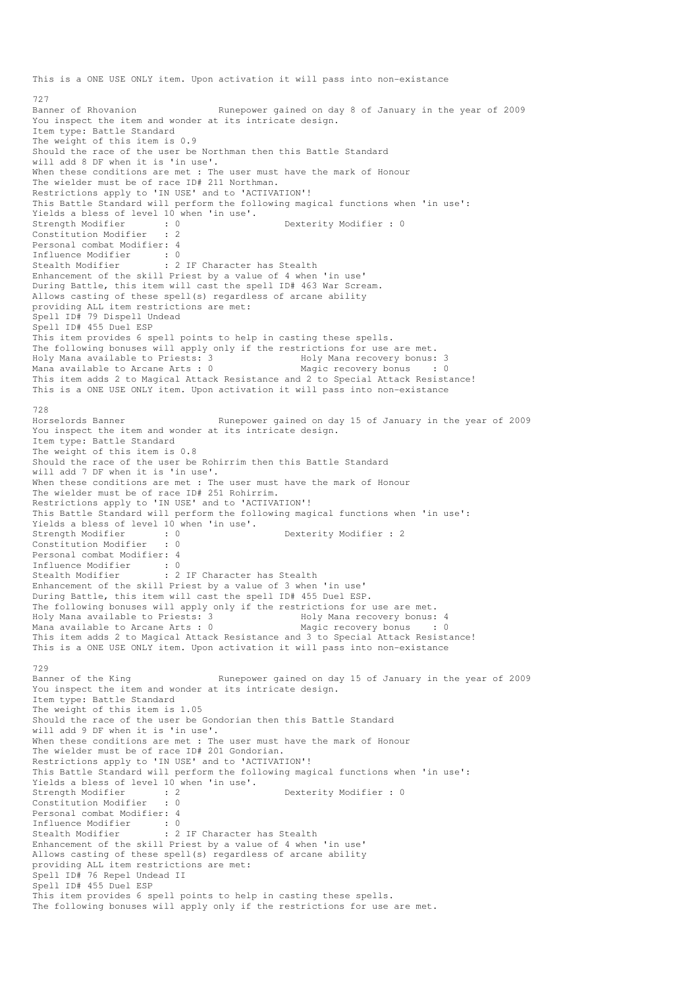This is a ONE USE ONLY item. Upon activation it will pass into non-existance 727<br>Banner of Rhovanion Runepower gained on day 8 of January in the year of 2009 You inspect the item and wonder at its intricate design. Item type: Battle Standard The weight of this item is 0.9 Should the race of the user be Northman then this Battle Standard will add 8 DF when it is 'in use'. When these conditions are met : The user must have the mark of Honour The wielder must be of race ID# 211 Northman. Restrictions apply to 'IN USE' and to 'ACTIVATION'! This Battle Standard will perform the following magical functions when 'in use': Yields a bless of level  $10$  when 'in use'.<br>Strength Modifier : 0<br>Constitution Modifie Strength Modifier : 0 Dexterity Modifier : 0 Constitution Modifier Personal combat Modifier: 4<br>Influence Modifier : 0 Influence Modifier : 0 Stealth Modifier : 2 IF Character has Stealth Enhancement of the skill Priest by a value of 4 when 'in use' During Battle, this item will cast the spell ID# 463 War Scream. Allows casting of these spell(s) regardless of arcane ability providing ALL item restrictions are met: Spell ID# 79 Dispell Undead Spell ID# 455 Duel ESP This item provides 6 spell points to help in casting these spells. The following bonuses will apply only if the restrictions for use are met. Holy Mana available to Priests: 3 The Holy Mana recovery bonus: 3<br>
Mana available to Arcane Arts: 0 Magic recovery bonus : 0 Mana available to Arcane Arts :  $0$ This item adds 2 to Magical Attack Resistance and 2 to Special Attack Resistance! This is a ONE USE ONLY item. Upon activation it will pass into non-existance 728<br>Horselords Banner Runepower gained on day 15 of January in the year of 2009 You inspect the item and wonder at its intricate design. Item type: Battle Standard The weight of this item is 0.8 Should the race of the user be Rohirrim then this Battle Standard will add 7 DF when it is 'in use'. When these conditions are met : The user must have the mark of Honour The wielder must be of race ID# 251 Rohirrim. Restrictions apply to 'IN USE' and to 'ACTIVATION'! This Battle Standard will perform the following magical functions when 'in use': Yields a bless of level  $10$  when 'in use'.<br>Strength Modifier : 0<br>Constitution  $M = 1/2$ . Dexterity Modifier : 2 Constitution Modifier : 0 Personal combat Modifier: 4 Influence Modifier : 0 Stealth Modifier : 2 IF Character has Stealth Enhancement of the skill Priest by a value of 3 when 'in use' During Battle, this item will cast the spell ID# 455 Duel ESP. The following bonuses will apply only if the restrictions for use are met. Holy Mana available to Priests: 3 1992 Holy Mana recovery bonus: 4<br>
Mana available to Arcane Arts : 0 1994 Magic recovery bonus Mana available to Arcane Arts : 0 Magic recovery bonus This item adds 2 to Magical Attack Resistance and 3 to Special Attack Resistance! This is a ONE USE ONLY item. Upon activation it will pass into non-existance 729<br>Banner of the King Runepower gained on day 15 of January in the year of 2009 You inspect the item and wonder at its intricate design. Item type: Battle Standard The weight of this item is 1.05 Should the race of the user be Gondorian then this Battle Standard will add 9 DF when it is 'in use'. When these conditions are met : The user must have the mark of Honour The wielder must be of race ID# 201 Gondorian. Restrictions apply to 'IN USE' and to 'ACTIVATION'! This Battle Standard will perform the following magical functions when 'in use': Yields a bless of level 10 when 'in use'.<br>Strength Modifier : 2 Strength Modifier : 0<br>
Strength Modifier : 0<br>
Strength Modifier : 0<br>
Dexterity Modifier : 0 Constitution Modifier Personal combat Modifier: 4<br>Influence Modifier: 0 Influence Modifier Stealth Modifier : 2 IF Character has Stealth Enhancement of the skill Priest by a value of 4 when 'in use' Allows casting of these spell(s) regardless of arcane ability providing ALL item restrictions are met: Spell ID# 76 Repel Undead II Spell ID# 455 Duel ESP This item provides 6 spell points to help in casting these spells. The following bonuses will apply only if the restrictions for use are met.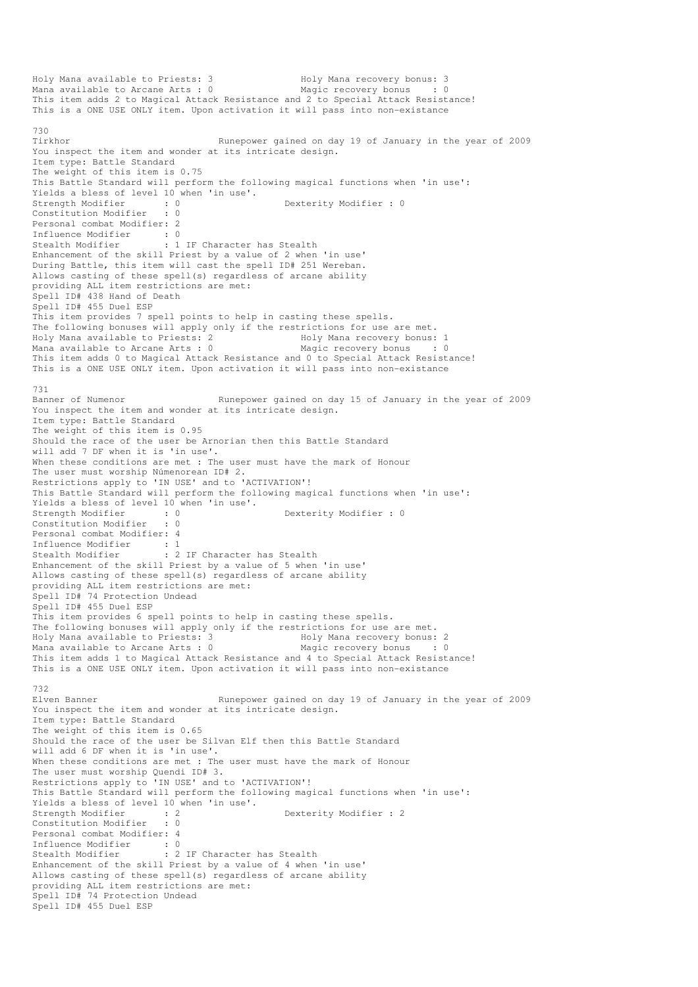Holy Mana available to Priests: 3 1999 Holy Mana recovery bonus: 3<br>
Mana available to Arcane Arts: 0 1999 Magic recovery bonus : 0 Mana available to Arcane Arts :  $0$ This item adds 2 to Magical Attack Resistance and 2 to Special Attack Resistance! This is a ONE USE ONLY item. Upon activation it will pass into non-existance 730 Tirkhor Runepower gained on day 19 of January in the year of 2009 You inspect the item and wonder at its intricate design. Item type: Battle Standard The weight of this item is 0.75 This Battle Standard will perform the following magical functions when 'in use': Yields a bless of level 10 when 'in use'.<br>Strength Modifier : 0 Strength Modifier : 0 Dexterity Modifier : 0 Constitution Modifier : 0 Personal combat Modifier: 2 Influence Modifier : 0 Stealth Modifier : 1 IF Character has Stealth Enhancement of the skill Priest by a value of 2 when 'in use' During Battle, this item will cast the spell ID# 251 Wereban. Allows casting of these spell(s) regardless of arcane ability providing ALL item restrictions are met: Spell ID# 438 Hand of Death Spell ID# 455 Duel ESP This item provides 7 spell points to help in casting these spells. The following bonuses will apply only if the restrictions for use are met. Holy Mana available to Priests: 2 Holy Mana recovery bonus: 1 Mana available to Arcane Arts : 0 Magic recovery bonus : 0 This item adds 0 to Magical Attack Resistance and 0 to Special Attack Resistance! This is a ONE USE ONLY item. Upon activation it will pass into non-existance 731 Banner of Numenor **Runepower gained on day 15 of January in the year of 2009** You inspect the item and wonder at its intricate design. Item type: Battle Standard The weight of this item is 0.95 Should the race of the user be Arnorian then this Battle Standard will add 7 DF when it is 'in use'. When these conditions are met : The user must have the mark of Honour The user must worship Númenorean ID# 2. Restrictions apply to 'IN USE' and to 'ACTIVATION'! This Battle Standard will perform the following magical functions when 'in use': Yields a bless of level 10 when 'in use'.<br>Strength Modifier : 0<br>Constitution Modifier : 0 Strength Modifier : 0 Dexterity Modifier : 0 Constitution Modifier Personal combat Modifier: 4 Influence Modifier : 1 Stealth Modifier : 2 IF Character has Stealth Enhancement of the skill Priest by a value of 5 when 'in use' Allows casting of these spell(s) regardless of arcane ability providing ALL item restrictions are met: Spell ID# 74 Protection Undead Spell ID# 455 Duel ESP This item provides 6 spell points to help in casting these spells. The following bonuses will apply only if the restrictions for use are met. Holy Mana available to Priests: 3 Holy Mana recovery bonus: 2 Mana available to Arcane Arts :  $0$ This item adds 1 to Magical Attack Resistance and 4 to Special Attack Resistance! This is a ONE USE ONLY item. Upon activation it will pass into non-existance 732 Elven Banner The Runepower gained on day 19 of January in the year of 2009 You inspect the item and wonder at its intricate design. Item type: Battle Standard The weight of this item is 0.65 Should the race of the user be Silvan Elf then this Battle Standard will add 6 DF when it is 'in use'. When these conditions are met : The user must have the mark of Honour The user must worship Quendi ID# 3. Restrictions apply to 'IN USE' and to 'ACTIVATION'! This Battle Standard will perform the following magical functions when 'in use': Yields a bless of level 10 when 'in use'.<br>Strength Modifier : 2 strength Modifier : 2<br>Strength Modifier : 2<br> Constitution Modifier Personal combat Modifier: 4 Influence Modifier : 0<br>Stealth Modifier : 2 : 2 IF Character has Stealth Enhancement of the skill Priest by a value of 4 when 'in use' Allows casting of these spell(s) regardless of arcane ability providing ALL item restrictions are met: Spell ID# 74 Protection Undead Spell ID# 455 Duel ESP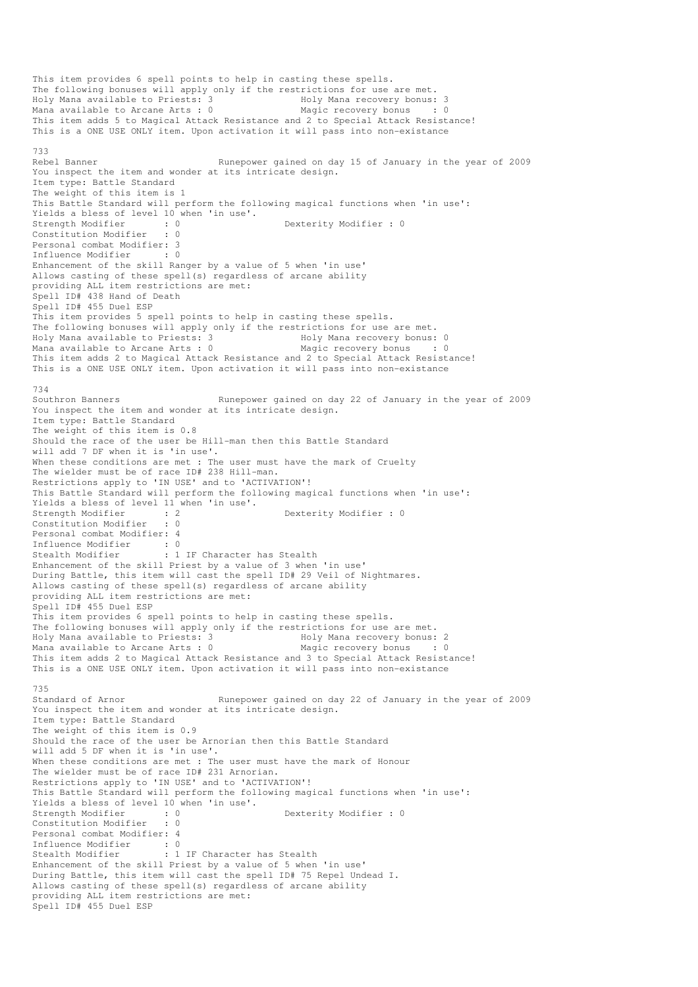This item provides 6 spell points to help in casting these spells. The following bonuses will apply only if the restrictions for use are met.<br>Holy Mana available to Priests: 3 Holy Mana recovery bonus: 3 Holy Mana available to Priests: 3 Mana available to Arcane Arts : 0 Magic recovery bonus : 0 This item adds 5 to Magical Attack Resistance and 2 to Special Attack Resistance! This is a ONE USE ONLY item. Upon activation it will pass into non-existance 733<br>Rebel Banner Runepower gained on day 15 of January in the year of 2009 You inspect the item and wonder at its intricate design. Item type: Battle Standard The weight of this item is 1 This Battle Standard will perform the following magical functions when 'in use': Yields a bless of level  $10$  when 'in use'.<br>Strength Modifier : 0<br>Constitution Modifie Strength Modifier : 0 Dexterity Modifier : 0 Dexterity Modifier : 0 Constitution Modifier Personal combat Modifier: 3 Influence Modifier : 0 Enhancement of the skill Ranger by a value of 5 when 'in use' Allows casting of these spell(s) regardless of arcane ability providing ALL item restrictions are met: Spell ID# 438 Hand of Death Spell ID# 455 Duel ESP This item provides 5 spell points to help in casting these spells. The following bonuses will apply only if the restrictions for use are met.<br>Holy Mana available to Priests: 3 Holy Mana recovery bonus: 0 Holy Mana available to Priests: 3 Mana available to Arcane Arts : 0 Magic recovery bonus : 0 This item adds 2 to Magical Attack Resistance and 2 to Special Attack Resistance! This is a ONE USE ONLY item. Upon activation it will pass into non-existance 734 Southron Banners **Runepower gained on day 22 of January in the year of 2009** You inspect the item and wonder at its intricate design. Item type: Battle Standard The weight of this item is 0.8 Should the race of the user be Hill-man then this Battle Standard will add 7 DF when it is 'in use'. When these conditions are met : The user must have the mark of Cruelty The wielder must be of race ID# 238 Hill-man. Restrictions apply to 'IN USE' and to 'ACTIVATION'! This Battle Standard will perform the following magical functions when 'in use': Yields a bless of level 11 when 'in use'.<br>Strength Modifier : 2<br>Constitution Modifier : 0 Strength Modifier : 2 Dexterity Modifier : 0 Constitution Modifier Personal combat Modifier: 4 Influence Modifier : 0 Stealth Modifier : 1 IF Character has Stealth Enhancement of the skill Priest by a value of 3 when 'in use' During Battle, this item will cast the spell ID# 29 Veil of Nightmares. Allows casting of these spell(s) regardless of arcane ability providing ALL item restrictions are met: Spell ID# 455 Duel ESP This item provides 6 spell points to help in casting these spells. The following bonuses will apply only if the restrictions for use are met. The rollowing bonuses will apply vniy if the total Mana recovery bonus: 2<br>Holy Mana available to Priests: 3<br>Mana available to Arcane Arts : 0 Magic recovery bonus : 0 Mana available to Arcane Arts :  $0$ This item adds 2 to Magical Attack Resistance and 3 to Special Attack Resistance! This is a ONE USE ONLY item. Upon activation it will pass into non-existance 735 Standard of Arnor Runepower gained on day 22 of January in the year of 2009 You inspect the item and wonder at its intricate design. Item type: Battle Standard The weight of this item is 0.9 Should the race of the user be Arnorian then this Battle Standard will add 5 DF when it is 'in use'. When these conditions are met : The user must have the mark of Honour The wielder must be of race ID# 231 Arnorian. Restrictions apply to 'IN USE' and to 'ACTIVATION'! This Battle Standard will perform the following magical functions when 'in use': Yields a bless of level 10 when 'in use'.<br>Strength Modifier : 0 Dexterity Modifier : 0 Constitution Modifier : 0 Personal combat Modifier: 4 Influence Modifier : 0<br>Stealth Modifier : 1 : 1 IF Character has Stealth Enhancement of the skill Priest by a value of 5 when 'in use' During Battle, this item will cast the spell ID# 75 Repel Undead I. Allows casting of these spell(s) regardless of arcane ability providing ALL item restrictions are met: Spell ID# 455 Duel ESP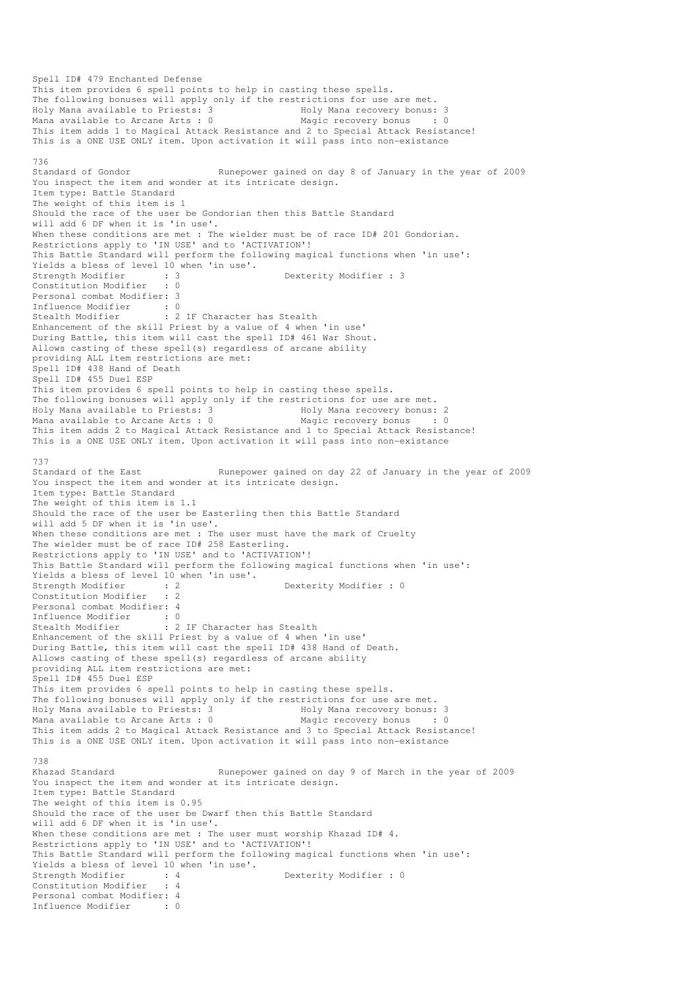Spell ID# 479 Enchanted Defense This item provides 6 spell points to help in casting these spells. The following bonuses will apply only if the restrictions for use are met. Holy Mana available to Priests: 3 Holy Mana recovery bonus: 3 Mana available to Arcane Arts : 0 Magic recovery bonus : 0 This item adds 1 to Magical Attack Resistance and 2 to Special Attack Resistance! This is a ONE USE ONLY item. Upon activation it will pass into non-existance 736<br>Standard of Gondor Runepower gained on day 8 of January in the year of 2009 You inspect the item and wonder at its intricate design. Item type: Battle Standard The weight of this item is 1 Should the race of the user be Gondorian then this Battle Standard will add 6 DF when it is 'in use'. When these conditions are met : The wielder must be of race ID# 201 Gondorian. Restrictions apply to 'IN USE' and to 'ACTIVATION'! This Battle Standard will perform the following magical functions when 'in use': Yields a bless of level 10 when 'in use'.<br>Strength Modifier : 3<br>Constitution of the constitution of the constitution of the constitution of the constant of the constant of the constant of the constant of the constant of th Strength Modifier : 3<br>
Strength Modifier : 3<br>
Dexterity Modifier : 3 Constitution Modifier Personal combat Modifier: 3 Influence Modifier : 0<br>Stealth Modifier : 2 : 2 IF Character has Stealth Enhancement of the skill Priest by a value of 4 when 'in use' During Battle, this item will cast the spell ID# 461 War Shout. Allows casting of these spell(s) regardless of arcane ability providing ALL item restrictions are met: Spell ID# 438 Hand of Death Spell ID# 455 Duel ESP This item provides 6 spell points to help in casting these spells. The following bonuses will apply only if the restrictions for use are met. Holy Mana available to Priests: 3 The Holy Mana recovery bonus: 2<br>
Mana available to Arcane Arts : 0 Magic recovery bonus : 0 Mana available to Arcane Arts :  $0$ This item adds 2 to Magical Attack Resistance and 1 to Special Attack Resistance! This is a ONE USE ONLY item. Upon activation it will pass into non-existance 737 Standard of the East Runepower gained on day 22 of January in the year of 2009 You inspect the item and wonder at its intricate design. Item type: Battle Standard The weight of this item is 1.1 Should the race of the user be Easterling then this Battle Standard will add 5 DF when it is 'in use'. When these conditions are met : The user must have the mark of Cruelty The wielder must be of race ID# 258 Easterling. Restrictions apply to 'IN USE' and to 'ACTIVATION'! This Battle Standard will perform the following magical functions when 'in use': Yields a bless of level 10 when 'in use'. Strength Modifier : 2 Dexterity Modifier : 0 Constitution Modifier : 2 Personal combat Modifier: 4<br>Influence Modifier : 0 Influence Modifier Stealth Modifier : 2 IF Character has Stealth Enhancement of the skill Priest by a value of 4 when 'in use' During Battle, this item will cast the spell ID# 438 Hand of Death. Allows casting of these spell(s) regardless of arcane ability providing ALL item restrictions are met: Spell ID# 455 Duel ESP This item provides 6 spell points to help in casting these spells. The following bonuses will apply only if the restrictions for use are met. Holy Mana available to Priests: 3 Holy Mana recovery bonus: 3 Mana available to Arcane Arts : 0 Magic recovery bonus : 0 This item adds 2 to Magical Attack Resistance and 3 to Special Attack Resistance! This is a ONE USE ONLY item. Upon activation it will pass into non-existance 738 Khazad Standard The Runepower gained on day 9 of March in the year of 2009 You inspect the item and wonder at its intricate design. Item type: Battle Standard The weight of this item is 0.95 Should the race of the user be Dwarf then this Battle Standard will add 6 DF when it is 'in use'. When these conditions are met : The user must worship Khazad ID# 4. Restrictions apply to 'IN USE' and to 'ACTIVATION'! This Battle Standard will perform the following magical functions when 'in use': Yields a bless of level 10 when 'in use'.<br>Strength Modifier : 4<br>Constitution Modifier : 4 Strength Modifier : 4 Dexterity Modifier : 0 Constitution Modifier Personal combat Modifier: 4<br>Influence Modifier . 0 Influence Modifier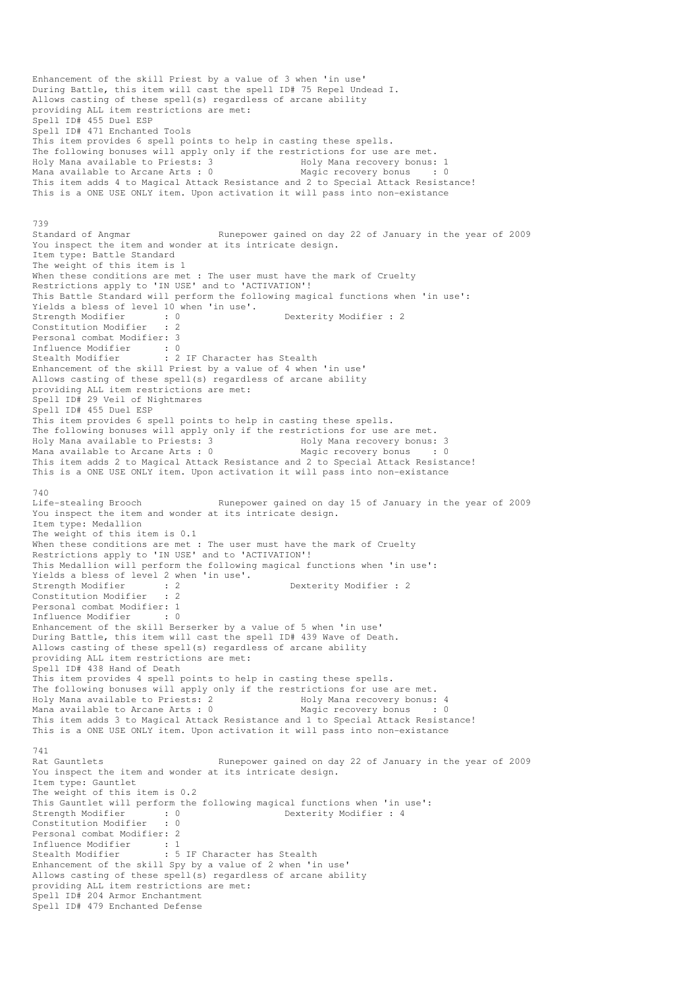Enhancement of the skill Priest by a value of 3 when 'in use' During Battle, this item will cast the spell ID# 75 Repel Undead I. Allows casting of these spell(s) regardless of arcane ability providing ALL item restrictions are met: Spell ID# 455 Duel ESP Spell ID# 471 Enchanted Tools This item provides 6 spell points to help in casting these spells. The following bonuses will apply only if the restrictions for use are met. Holy Mana available to Priests: 3 The Holy Mana recovery bonus: 1 Mana available to Arcane Arts : 0 Magic recovery bonus : 0 This item adds 4 to Magical Attack Resistance and 2 to Special Attack Resistance! This is a ONE USE ONLY item. Upon activation it will pass into non-existance 739 Standard of Angmar Runepower gained on day 22 of January in the year of 2009 You inspect the item and wonder at its intricate design. Item type: Battle Standard The weight of this item is 1 When these conditions are met : The user must have the mark of Cruelty Restrictions apply to 'IN USE' and to 'ACTIVATION'! This Battle Standard will perform the following magical functions when 'in use': Yields a bless of level 10 when 'in use'.<br>Strength Modifier : 0 Dexterity Modifier : 2 Constitution Modifier : 2 Personal combat Modifier: 3 Influence Modifier : 0 Stealth Modifier : 2 IF Character has Stealth Enhancement of the skill Priest by a value of 4 when 'in use' Allows casting of these spell(s) regardless of arcane ability providing ALL item restrictions are met: Spell ID# 29 Veil of Nightmares Spell ID# 455 Duel ESP This item provides 6 spell points to help in casting these spells. The following bonuses will apply only if the restrictions for use are met.<br>Holy Mana available to Priests: 3 Holy Mana recovery bonus: 3 Holy Mana available to Priests: 3 The Holy Mana recovery bonus: 3<br>
Mana available to Arcane Arts : 0 Magic recovery bonus : 0 Mana available to Arcane Arts :  $0$ This item adds 2 to Magical Attack Resistance and 2 to Special Attack Resistance! This is a ONE USE ONLY item. Upon activation it will pass into non-existance 740<br>Life-stealing Brooch Runepower gained on day 15 of January in the year of 2009 You inspect the item and wonder at its intricate design. Item type: Medallion The weight of this item is 0.1 When these conditions are met : The user must have the mark of Cruelty Restrictions apply to 'IN USE' and to 'ACTIVATION'! This Medallion will perform the following magical functions when 'in use': Yields a bless of level 2 when 'in use'. Strength Modifier : 2 2 Dexterity Modifier : 2 Constitution Modifier : 2 Personal combat Modifier: 1 Influence Modifier : 0 Enhancement of the skill Berserker by a value of 5 when 'in use' During Battle, this item will cast the spell ID# 439 Wave of Death. Allows casting of these spell(s) regardless of arcane ability providing ALL item restrictions are met: Spell ID# 438 Hand of Death This item provides 4 spell points to help in casting these spells. The following bonuses will apply only if the restrictions for use are met. Holy Mana available to Priests: 2 Holy Mana recovery bonus: 4 Mana available to Arcane Arts :  $0$ This item adds 3 to Magical Attack Resistance and 1 to Special Attack Resistance! This is a ONE USE ONLY item. Upon activation it will pass into non-existance 741 Rat Gauntlets **Runepower gained on day 22 of January in the year of 2009** You inspect the item and wonder at its intricate design. Item type: Gauntlet The weight of this item is 0.2 This Gauntlet will perform the following magical functions when 'in use':<br>Strength Modifier : 0 Dexterity Modifier : 4 Strength Modifier : 0 0 Dexterity Modifier : 4 Constitution Modifier : 0 Personal combat Modifier: 2 Influence Modifier : 1<br>Stealth Modifier : 5 : 5 IF Character has Stealth Enhancement of the skill Spy by a value of 2 when 'in use' Allows casting of these spell(s) regardless of arcane ability providing ALL item restrictions are met: Spell ID# 204 Armor Enchantment Spell ID# 479 Enchanted Defense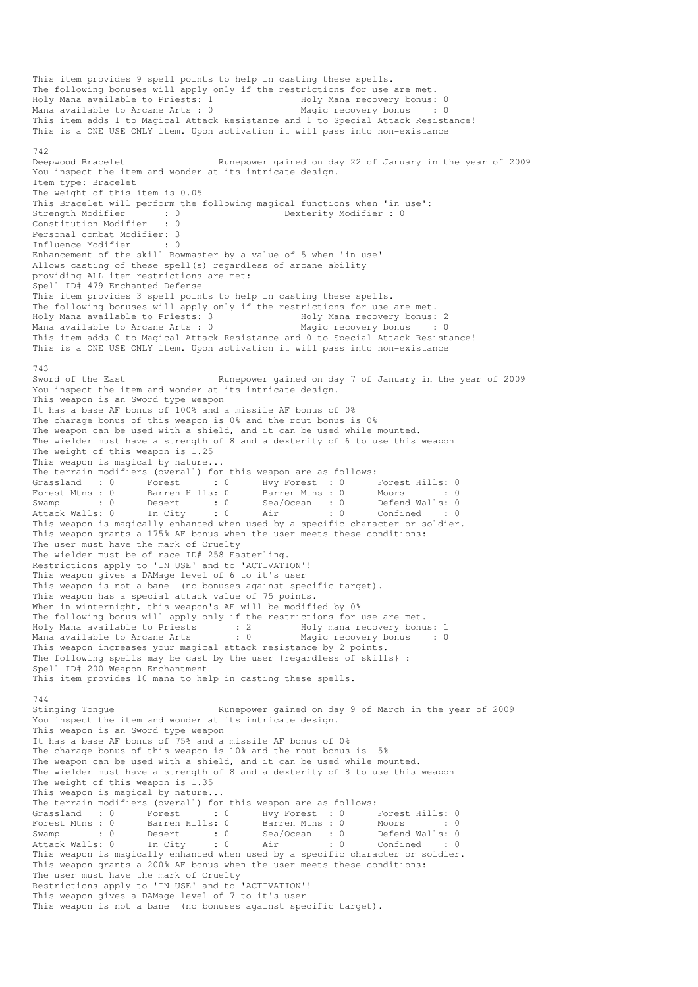This item provides 9 spell points to help in casting these spells. The following bonuses will apply only if the restrictions for use are met. Holy Mana available to Priests: 1 1 Holy Mana recovery bonus: 0 Mana available to Arcane Arts : 0 Magic recovery bonus : 0 This item adds 1 to Magical Attack Resistance and 1 to Special Attack Resistance! This is a ONE USE ONLY item. Upon activation it will pass into non-existance 742<br>Deepwood Bracelet Runepower gained on day 22 of January in the year of 2009 You inspect the item and wonder at its intricate design. Item type: Bracelet The weight of this item is 0.05 This Bracelet will perform the following magical functions when 'in use':<br>Strength Modifier : 0 Dexterity Modifier : 0 strength Modifier : 0<br>
Strength Modifier : 0<br>
Strength Modifier : 0<br>
Strength Modifier : 0<br>
Strength Modifier : 0<br>
Strength Modifier : 0<br>
Strength Modifier : 0 Constitution Modifier Personal combat Modifier: 3 Influence Modifier : 0 Enhancement of the skill Bowmaster by a value of 5 when 'in use' Allows casting of these spell(s) regardless of arcane ability providing ALL item restrictions are met: Spell ID# 479 Enchanted Defense This item provides 3 spell points to help in casting these spells. The following bonuses will apply only if the restrictions for use are met. Holy Mana available to Priests: 3 Holy Mana recovery bonus: 2 Mana available to Arcane Arts : 0 Magic recovery bonus : 0 This item adds 0 to Magical Attack Resistance and 0 to Special Attack Resistance! This is a ONE USE ONLY item. Upon activation it will pass into non-existance 743<br>Sword of the East Runepower gained on day 7 of January in the year of 2009 You inspect the item and wonder at its intricate design. This weapon is an Sword type weapon It has a base AF bonus of 100% and a missile AF bonus of 0% The charage bonus of this weapon is 0% and the rout bonus is 0% The weapon can be used with a shield, and it can be used while mounted. The wielder must have a strength of 8 and a dexterity of 6 to use this weapon The weight of this weapon is 1.25 This weapon is magical by nature... The terrain modifiers (overall) for this weapon are as follows: Grassland : 0 Forest : 0 Hvy Forest : 0 Forest Hills: 0 Forest Mtns : 0 Barren Hills: 0 Barren Mtns : 0 Moors : 0 : 0 Swamp : 0 Desert : 0 Sea/Ocean : 0 Defend Walls: 0 Attack Walls: 0 In City : 0 Air : 0 Confined : 0 This weapon is magically enhanced when used by a specific character or soldier. This weapon grants a 175% AF bonus when the user meets these conditions: The user must have the mark of Cruelty The wielder must be of race ID# 258 Easterling. Restrictions apply to 'IN USE' and to 'ACTIVATION'! This weapon gives a DAMage level of 6 to it's user This weapon is not a bane (no bonuses against specific target). This weapon has a special attack value of 75 points. When in winternight, this weapon's AF will be modified by 0% The following bonus will apply only if the restrictions for use are met. Holy Mana available to Priests : 2 Holy mana recovery bonus: 1 Mana available to Arcane Arts : 0 Magic recovery bonus : 0 This weapon increases your magical attack resistance by 2 points. The following spells may be cast by the user {regardless of skills} : Spell ID# 200 Weapon Enchantment This item provides 10 mana to help in casting these spells. 744<br>Stinging Tongue Runepower gained on day 9 of March in the year of 2009 You inspect the item and wonder at its intricate design. This weapon is an Sword type weapon It has a base AF bonus of 75% and a missile AF bonus of 0% The charage bonus of this weapon is 10% and the rout bonus is -5% The weapon can be used with a shield, and it can be used while mounted. The wielder must have a strength of 8 and a dexterity of 8 to use this weapon The weight of this weapon is 1.35 This weapon is magical by nature... The terrain modifiers (overall) for this weapon are as follows:<br>Grassland : 0 Forest : 0 Hvy Forest : 0 I Grassland : 0 Forest : 0 Hvy Forest : 0 Forest Hills: 0 Forest Mtns : 0 Barren Hills: 0 Barren Mtns : 0 Moors : 0 : 0 Swamp : 0 Desert : 0 Sea/Ocean : 0 Defend Walls: 0 Attack Walls: 0 In City : 0 Air : 0 Confined : 0 This weapon is magically enhanced when used by a specific character or soldier. This weapon grants a 200% AF bonus when the user meets these conditions: The user must have the mark of Cruelty Restrictions apply to 'IN USE' and to 'ACTIVATION'! This weapon gives a DAMage level of 7 to it's user This weapon is not a bane (no bonuses against specific target).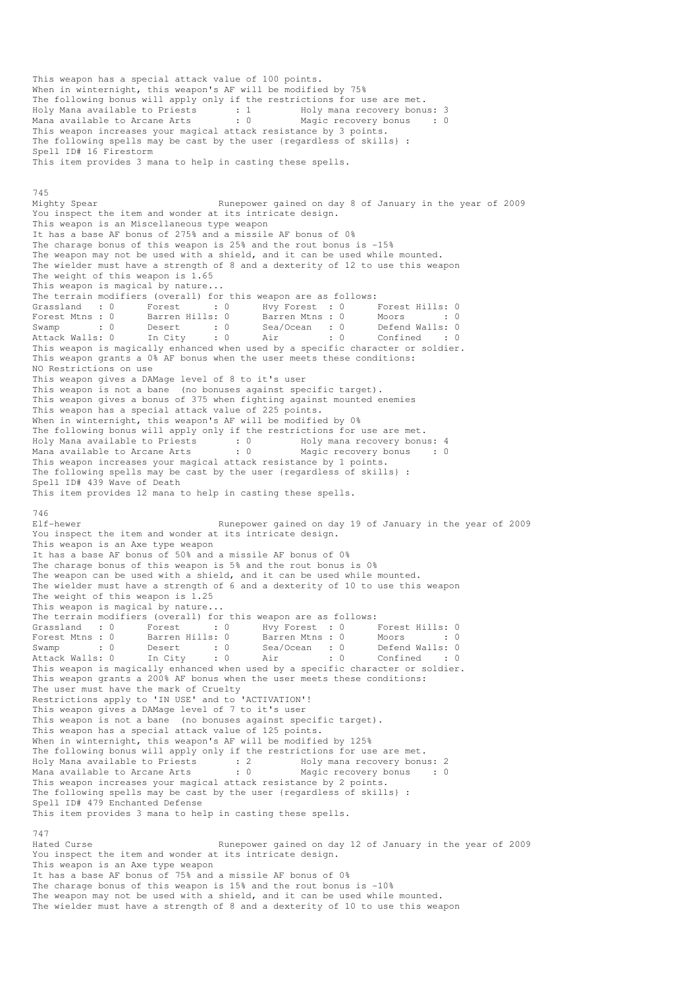This weapon has a special attack value of 100 points. When in winternight, this weapon's AF will be modified by 75% The following bonus will apply only if the restrictions for use are met. Holy Mana available to Priests : 1 Holy mana recovery bonus: 3 Mana available to Arcane Arts : 0 Magic recovery bonus : 0 This weapon increases your magical attack resistance by 3 points. The following spells may be cast by the user {regardless of skills} : Spell ID# 16 Firestorm This item provides 3 mana to help in casting these spells. 745 Mighty Spear Runepower gained on day 8 of January in the year of 2009 You inspect the item and wonder at its intricate design. This weapon is an Miscellaneous type weapon It has a base AF bonus of 275% and a missile AF bonus of 0% The charage bonus of this weapon is 25% and the rout bonus is -15% The weapon may not be used with a shield, and it can be used while mounted. The wielder must have a strength of 8 and a dexterity of 12 to use this weapon The weight of this weapon is 1.65 This weapon is magical by nature... The terrain modifiers (overall) for this weapon are as follows: Grassland : 0 Forest : 0 Hvy Forest : 0 Forest Hills: 0<br>Forest Mtns : 0 Barren Hills: 0 Barren Mtns : 0 Moors : 0 Forest Mtns : 0 Barren Hills: 0 Barren Mtns : 0 Moors : 0 : 0 Swamp : 0 Desert : 0 Sea/Ocean : 0 Defend Walls: 0 Attack Walls: 0 In City : 0 Air : 0 Confined : 0 This weapon is magically enhanced when used by a specific character or soldier. This weapon grants a 0% AF bonus when the user meets these conditions: NO Restrictions on use This weapon gives a DAMage level of 8 to it's user This weapon is not a bane (no bonuses against specific target). This weapon gives a bonus of 375 when fighting against mounted enemies This weapon has a special attack value of 225 points. When in winternight, this weapon's AF will be modified by 0% The following bonus will apply only if the restrictions for use are met. Holy Mana available to Priests : 0 Holy mana recovery bonus: 4 Mana available to Arcane Arts : 0 Magic recovery bonus : 0 This weapon increases your magical attack resistance by 1 points. The following spells may be cast by the user {regardless of skills} : Spell ID# 439 Wave of Death This item provides 12 mana to help in casting these spells. 746<br>Elf-hewer Runepower gained on day 19 of January in the year of 2009 You inspect the item and wonder at its intricate design. This weapon is an Axe type weapon It has a base AF bonus of 50% and a missile AF bonus of 0% The charage bonus of this weapon is 5% and the rout bonus is 0% The weapon can be used with a shield, and it can be used while mounted. The wielder must have a strength of 6 and a dexterity of 10 to use this weapon The weight of this weapon is  $1.25$ This weapon is magical by nature... The terrain modifiers (overall) for this weapon are as follows:<br>
Grassland : 0 Forest : 0 Hvy Forest : 0 Forest Mtns : 0 Barren Hills: 0 Barren Mtns : 0 M Grassland : 0 Forest : 0 Hvy Forest : 0 Forest Hills: 0 Forest Mtns : 0 Barren Hills: 0 Barren Mtns : 0 Moors : 0 : 0 Swamp : 0 Desert : 0 Sea/Ocean : 0 Defend Walls: 0 Attack Walls: 0 In City : 0 Air : 0 Confined : 0 The method is magically enhanced when used by a specific character or soldier.<br>This weapon is magically enhanced when used by a specific character or soldier. This weapon grants a 200% AF bonus when the user meets these conditions: The user must have the mark of Cruelty Restrictions apply to 'IN USE' and to 'ACTIVATION'! This weapon gives a DAMage level of 7 to it's user This weapon is not a bane (no bonuses against specific target). This weapon has a special attack value of 125 points. When in winternight, this weapon's AF will be modified by 125% The following bonus will apply only if the restrictions for use are met. Holy Mana available to Priests : 2 Holy mana recovery bonus: 2 Mana available to Arcane Arts : 0 Magic recovery bonus : 0 This weapon increases your magical attack resistance by 2 points. The following spells may be cast by the user {regardless of skills} : Spell ID# 479 Enchanted Defense This item provides 3 mana to help in casting these spells. 747 Hated Curse Runepower gained on day 12 of January in the year of 2009 You inspect the item and wonder at its intricate design. This weapon is an Axe type weapon It has a base AF bonus of 75% and a missile AF bonus of 0% The charage bonus of this weapon is 15% and the rout bonus is -10% The weapon may not be used with a shield, and it can be used while mounted. The wielder must have a strength of 8 and a dexterity of 10 to use this weapon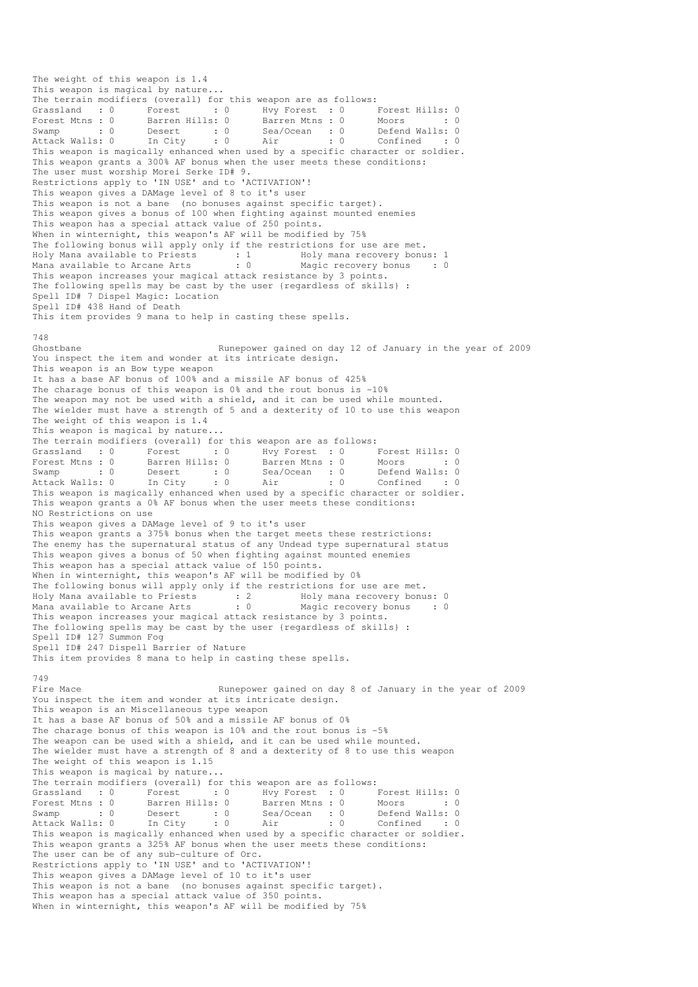The weight of this weapon is 1.4 This weapon is magical by nature... The terrain modifiers (overall) for this weapon are as follows: Grassland : 0 Forest : 0 Hvy Forest : 0 Forest Hills: 0 Forest Mtns : 0 Barren Hills: 0 Barren Mtns : 0 Moors : 0 : 0 Swamp : 0 Desert : 0 Sea/Ocean : 0 Defend Walls: 0 Attack Walls: 0 In City : 0 Air : 0 Confined : 0 Swamp : 0 Desert : 0 Sea/Ocean : 0 Defend Walls: 0<br>Attack Walls: 0 In City : 0 Air : 0 Confined : 0<br>This weapon is magically enhanced when used by a specific character or soldier. This weapon grants a 300% AF bonus when the user meets these conditions: The user must worship Morei Serke ID# 9. Restrictions apply to 'IN USE' and to 'ACTIVATION'! This weapon gives a DAMage level of 8 to it's user This weapon is not a bane (no bonuses against specific target). This weapon gives a bonus of 100 when fighting against mounted enemies This weapon has a special attack value of 250 points. When in winternight, this weapon's AF will be modified by 75% The following bonus will apply only if the restrictions for use are met. Holy Mana available to Priests : 1 Holy mana recovery bonus: 1 Mana available to Arcane Arts : 0 Magic recovery bonus : 0 This weapon increases your magical attack resistance by 3 points. The following spells may be cast by the user {regardless of skills} : Spell ID# 7 Dispel Magic: Location Spell ID# 438 Hand of Death This item provides 9 mana to help in casting these spells. 748 Ghostbane **Runepower gained on day 12 of January in the year of 2009** You inspect the item and wonder at its intricate design. This weapon is an Bow type weapon It has a base AF bonus of 100% and a missile AF bonus of 425% The charage bonus of this weapon is  $0\frac{1}{3}$  and the rout bonus is  $-10\frac{1}{3}$ The weapon may not be used with a shield, and it can be used while mounted. The wielder must have a strength of 5 and a dexterity of 10 to use this weapon The weight of this weapon is 1.4 This weapon is magical by nature... The terrain modifiers (overall) for this weapon are as follows: Grassland : 0 Forest : 0 Hvy Forest : 0 Forest Hills: 0<br>
Forest Mtns : 0 Barren Hills: 0 Barren Mtns : 0 Moors : 0<br>
Swamp : 0 Desert : 0 Sea/Ocean : 0 Defend Walls: 0<br>
Attack Walls: 0 In City : 0 Air : 0 Confined : 0 Forest Mtns : 0 Barren Hills: 0 Barren Mtns : 0 Moors : 0 : 0 Swamp : 0 Desert : 0 Sea/Ocean : 0 Defend Walls: 0 Attack Walls: 0 In City : 0 Air : 0 Confined : 0 This weapon is magically enhanced when used by a specific character or soldier. This weapon grants a 0% AF bonus when the user meets these conditions: NO Restrictions on use This weapon gives a DAMage level of 9 to it's user This weapon grants a 375% bonus when the target meets these restrictions: The enemy has the supernatural status of any Undead type supernatural status This weapon gives a bonus of 50 when fighting against mounted enemies This weapon has a special attack value of 150 points. When in winternight, this weapon's AF will be modified by 0% The following bonus will apply only if the restrictions for use are met. Holy Mana available to Priests : 2 Holy mana recovery bonus: 0 Mana available to Arcane Arts : 0 Magic recovery bonus : 0 This weapon increases your magical attack resistance by 3 points. The following spells may be cast by the user {regardless of skills} : Spell ID# 127 Summon Fog Spell ID# 247 Dispell Barrier of Nature This item provides 8 mana to help in casting these spells. 749<br>Fire Mace Runepower gained on day 8 of January in the year of 2009 You inspect the item and wonder at its intricate design. This weapon is an Miscellaneous type weapon It has a base AF bonus of 50% and a missile AF bonus of 0% The charage bonus of this weapon is 10% and the rout bonus is -5% The weapon can be used with a shield, and it can be used while mounted. The wielder must have a strength of 8 and a dexterity of 8 to use this weapon The weight of this weapon is 1.15 This weapon is magical by nature... The terrain modifiers (overall) for this weapon are as follows: Grassland : 0 Forest : 0 Hvy Forest : 0 Forest Hills: 0<br>Forest Mtns : 0 Barren Hills: 0 Barren Mtns : 0 Moors : 0 Forest Mtns : 0 Barren Hills: 0 Barren Mtns : 0 Moors : 0 : 0 Swamp : 0 Desert : 0 Sea/Ocean : 0 Defend Walls: 0 Attack Walls: 0 In City : 0 Air : 0 Confined : 0 Forest Mtns : 0 barren nills: 0 barren nills: 0 beach is the specific character or specific character or soldier.<br>Attack Walls: 0 In City : 0 Air : 0 Confined : 0<br>This weapon is magically enhanced when used by a specific c This weapon grants a 325% AF bonus when the user meets these conditions: The user can be of any sub-culture of Orc. Restrictions apply to 'IN USE' and to 'ACTIVATION'! This weapon gives a DAMage level of 10 to it's user This weapon is not a bane (no bonuses against specific target). This weapon has a special attack value of 350 points. When in winternight, this weapon's AF will be modified by 75%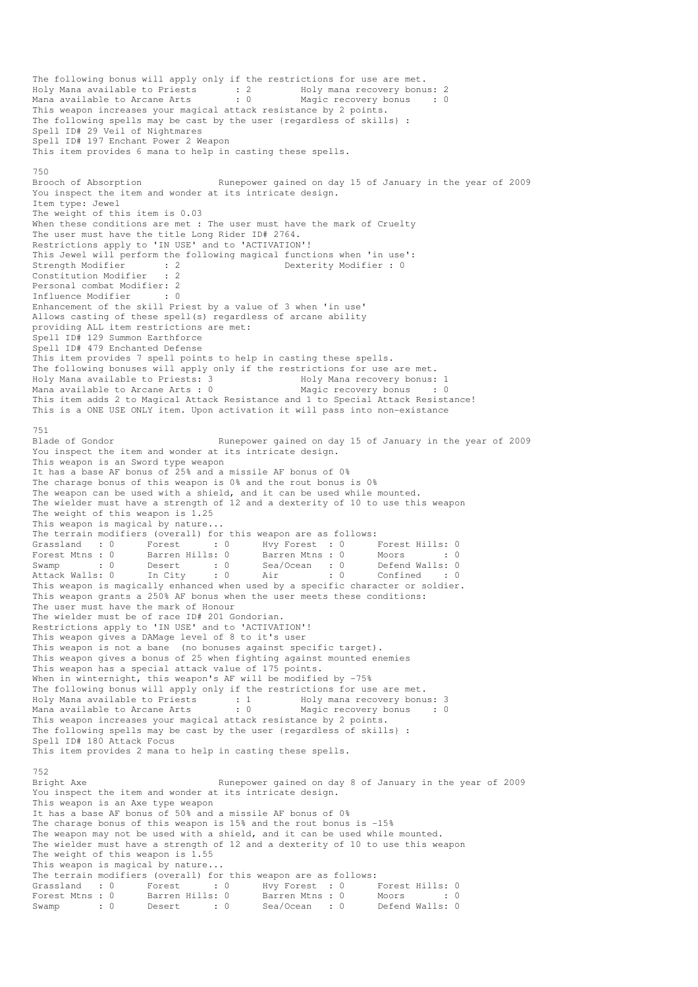The following bonus will apply only if the restrictions for use are met. Holy Mana available to Priests : 2 Holy mana recovery bonus: 2 Mana available to Arcane Arts : 0 Magic recovery bonus : 0 This weapon increases your magical attack resistance by 2 points. The following spells may be cast by the user {regardless of skills} : Spell ID# 29 Veil of Nightmares Spell ID# 197 Enchant Power 2 Weapon This item provides 6 mana to help in casting these spells. 750 Brooch of Absorption Runepower gained on day 15 of January in the year of 2009 You inspect the item and wonder at its intricate design. Item type: Jewel The weight of this item is 0.03 When these conditions are met : The user must have the mark of Cruelty The user must have the title Long Rider ID# 2764. Restrictions apply to 'IN USE' and to 'ACTIVATION'! This Jewel will perform the following magical functions when 'in use':<br>Strength Modifier : 2<br>Constant of the strength of the strength of the strength of the strength of the strength of the strength of the strength of the s Strength Modifier : 2 Dexterity Modifier : 0<br>
Constitution Modifier : 2 Constitution Modifier Personal combat Modifier: 2 Influence Modifier : 0 Enhancement of the skill Priest by a value of 3 when 'in use' Allows casting of these spell(s) regardless of arcane ability providing ALL item restrictions are met: Spell ID# 129 Summon Earthforce Spell ID# 479 Enchanted Defense This item provides 7 spell points to help in casting these spells. The following bonuses will apply only if the restrictions for use are met.<br>Holy Mana available to Priests: 3 Holy Mana recovery bonus: Holy Mana recovery bonus: 1<br>Magic recovery bonus : 0 Mana available to Arcane Arts :  $0$ This item adds 2 to Magical Attack Resistance and 1 to Special Attack Resistance! This is a ONE USE ONLY item. Upon activation it will pass into non-existance 751<br>Blade of Gondor Runepower gained on day 15 of January in the year of 2009 You inspect the item and wonder at its intricate design. This weapon is an Sword type weapon It has a base AF bonus of 25% and a missile AF bonus of 0% The charage bonus of this weapon is 0% and the rout bonus is 0% The weapon can be used with a shield, and it can be used while mounted. The wielder must have a strength of 12 and a dexterity of 10 to use this weapon The weight of this weapon is 1.25 This weapon is magical by nature... The terrain modifiers (overall) for this weapon are as follows: (a) Forest : 0 Forest Hills: 0<br>S: 0 Barren Mtns : 0 Moors : 0 Forest Mtns : 0 Barren Hills: 0 Barren Mtns : 0 Moors : 0 : 0 Swamp : 0 Desert : 0 Sea/Ocean : 0 Defend Walls: 0 Attack Walls: 0 In City : 0 Air : 0 Confined : 0 This weapon is magically enhanced when used by a specific character or soldier. This weapon grants a 250% AF bonus when the user meets these conditions: The user must have the mark of Honour The wielder must be of race ID# 201 Gondorian. Restrictions apply to 'IN USE' and to 'ACTIVATION'! This weapon gives a DAMage level of 8 to it's user This weapon is not a bane (no bonuses against specific target). This weapon gives a bonus of 25 when fighting against mounted enemies This weapon has a special attack value of 175 points. When in winternight, this weapon's AF will be modified by -75% The following bonus will apply only if the restrictions for use are met. Holy Mana available to Priests : 1 Holy mana recovery bonus: 3 Mana available to Arcane Arts : 0 Magic recovery bonus : 0 This weapon increases your magical attack resistance by 2 points. The following spells may be cast by the user {regardless of skills} : Spell ID# 180 Attack Focus This item provides 2 mana to help in casting these spells. 752 Bright Axe Runepower gained on day 8 of January in the year of 2009 You inspect the item and wonder at its intricate design. This weapon is an Axe type weapon It has a base AF bonus of 50% and a missile AF bonus of 0% The charage bonus of this weapon is 15% and the rout bonus is -15% The weapon may not be used with a shield, and it can be used while mounted. The wielder must have a strength of 12 and a dexterity of 10 to use this weapon The weight of this weapon is 1.55 This weapon is magical by nature... The terrain modifiers (overall) for this weapon are as follows: Grassland : 0 Forest : 0 Hvy Forest : 0 Forest Hills: 0 Forest Mtns : 0 Barren Hills: 0 Barren Mtns : 0 Moors : 0 : 0 Eorest Mtns : 0 Barren nills. 0 Bealone is the control of the Swamp : 0 Defend Walls: 0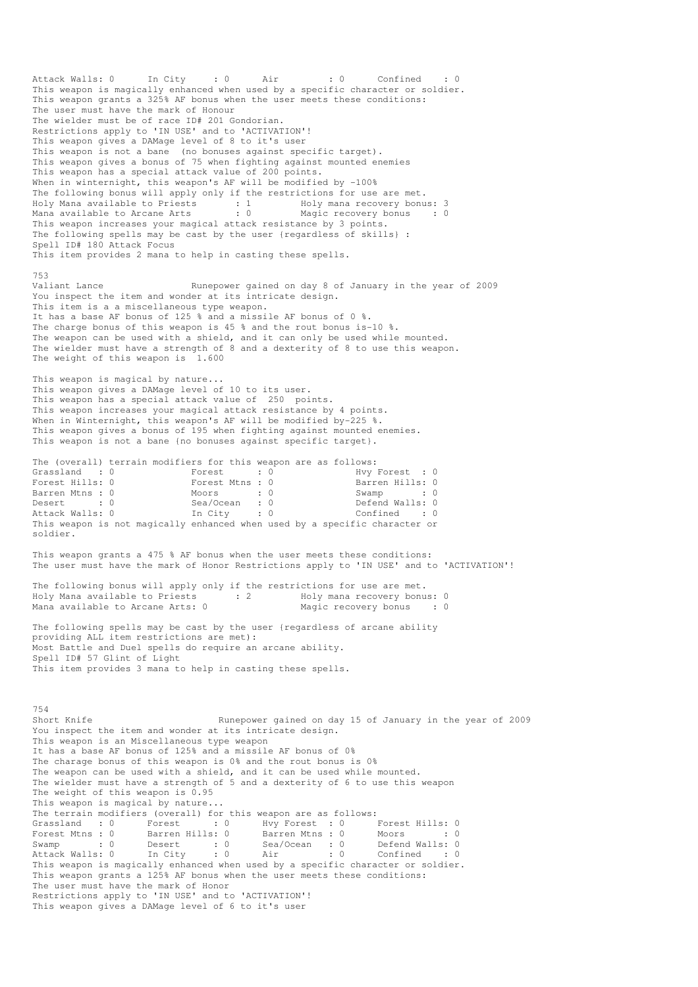Attack Walls: 0 In City : 0 Air : 0 Confined This weapon is magically enhanced when used by a specific character or soldier. This weapon grants a 325% AF bonus when the user meets these conditions: The user must have the mark of Honour The wielder must be of race ID# 201 Gondorian. Restrictions apply to 'IN USE' and to 'ACTIVATION'! This weapon gives a DAMage level of 8 to it's user This weapon is not a bane (no bonuses against specific target). This weapon gives a bonus of 75 when fighting against mounted enemies This weapon has a special attack value of 200 points. When in winternight, this weapon's AF will be modified by -100% The following bonus will apply only if the restrictions for use are met. Holy Mana available to Priests : 1 Holy mana recovery bonus: 3 Mana available to Arcane Arts : 0 Magic recovery bonus : 0 This weapon increases your magical attack resistance by 3 points. The following spells may be cast by the user {regardless of skills} : Spell ID# 180 Attack Focus This item provides 2 mana to help in casting these spells. 753<br>Valiant Lance Runepower gained on day 8 of January in the year of 2009 You inspect the item and wonder at its intricate design. This item is a a miscellaneous type weapon. It has a base AF bonus of 125 % and a missile AF bonus of 0 %. The charge bonus of this weapon is 45 % and the rout bonus is-10 %. The weapon can be used with a shield, and it can only be used while mounted. The wielder must have a strength of 8 and a dexterity of 8 to use this weapon. The weight of this weapon is 1.600 This weapon is magical by nature... This weapon gives a DAMage level of 10 to its user. This weapon has a special attack value of 250 points. This weapon increases your magical attack resistance by 4 points. When in Winternight, this weapon's AF will be modified by-225 %. This weapon gives a bonus of 195 when fighting against mounted enemies. This weapon is not a bane {no bonuses against specific target}. The (overall) terrain modifiers for this weapon are as follows: Grassland : 0 Forest : 0 Hvy Forest : 0 Forest Hills: 0 Forest Mtns : 0 Barren Hills: 0 Barren Mtns : 0 Moors : 0 Swamp : 0 Desert : 0 Sea/Ocean : 0 Defend Walls: 0 Attack Walls: 0 In City : 0 Confined : 0 This weapon is not magically enhanced when used by a specific character or<br>This weapon is not magically enhanced when used by a specific character or<br>This weapon is not magically enhanced when used by a specific character soldier. This weapon grants a 475 % AF bonus when the user meets these conditions: The user must have the mark of Honor Restrictions apply to 'IN USE' and to 'ACTIVATION'! The following bonus will apply only if the restrictions for use are met.<br>Holy Mana available to Priests : 2 Holy mana recovery bonus: 0 Holy Mana available to Priests : 2 Mana available to Arcane Arts: 0 Magic recovery bonus : 0 The following spells may be cast by the user {regardless of arcane ability providing ALL item restrictions are met): Most Battle and Duel spells do require an arcane ability. Spell ID# 57 Glint of Light This item provides 3 mana to help in casting these spells. 754 Short Knife The Runepower gained on day 15 of January in the year of 2009 You inspect the item and wonder at its intricate design. This weapon is an Miscellaneous type weapon It has a base AF bonus of 125% and a missile AF bonus of 0% The charage bonus of this weapon is 0% and the rout bonus is 0% The weapon can be used with a shield, and it can be used while mounted. The wielder must have a strength of 5 and a dexterity of 6 to use this weapon The weight of this weapon is 0.95 This weapon is magical by nature... The terrain modifiers (overall) for this weapon are as follows: Grassland : 0 Forest : 0 Hvy Forest : 0 Forest Hills: 0 Forest Mtns : 0 Barren Hills: 0 Barren Mtns : 0 Moors : 0 : 0 Swamp : 0 Desert : 0 Sea/Ocean : 0 Defend Walls: 0 Attack Walls: 0 In City : 0 Air : 0 Confined : 0 The magnetic control of the magically enhanced when used by a specific character or soldier.<br>This weapon is magically enhanced when used by a specific character or soldier. This weapon grants a 125% AF bonus when the user meets these conditions: The user must have the mark of Honor Restrictions apply to 'IN USE' and to 'ACTIVATION'! This weapon gives a DAMage level of 6 to it's user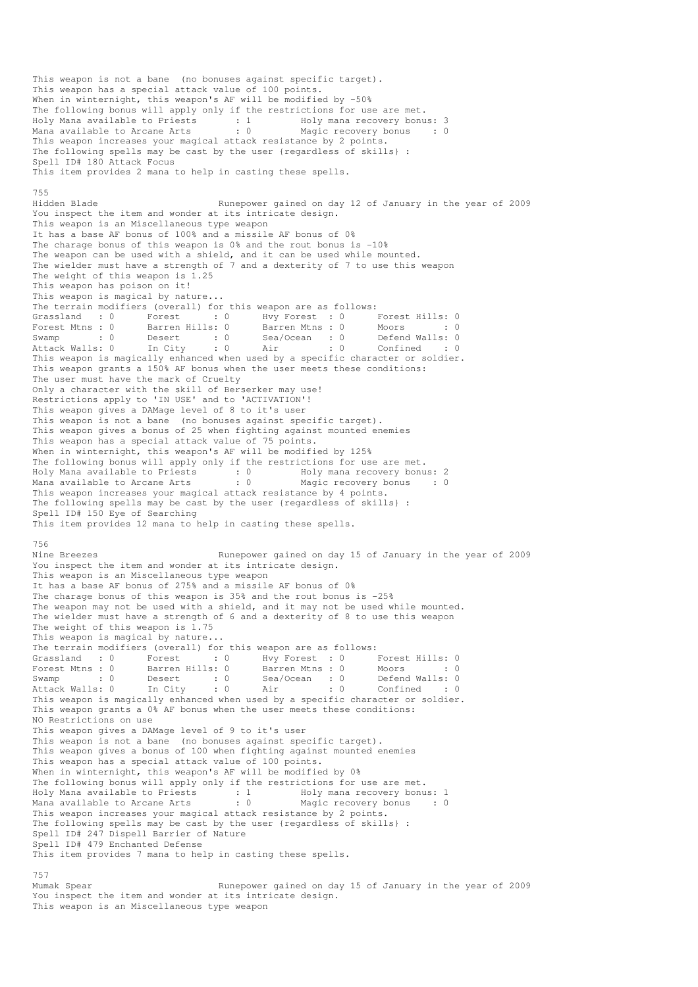This weapon is not a bane (no bonuses against specific target). This weapon has a special attack value of 100 points. When in winternight, this weapon's AF will be modified by -50% The following bonus will apply only if the restrictions for use are met. Holy Mana available to Priests : 1 Holy mana recovery bonus: 3 Mana available to Arcane Arts : 0 Magic recovery bonus : 0 This weapon increases your magical attack resistance by 2 points. The following spells may be cast by the user {regardless of skills} : Spell ID# 180 Attack Focus This item provides 2 mana to help in casting these spells. 755 Hidden Blade Runepower gained on day 12 of January in the year of 2009 You inspect the item and wonder at its intricate design. This weapon is an Miscellaneous type weapon It has a base AF bonus of 100% and a missile AF bonus of 0% The charage bonus of this weapon is 0% and the rout bonus is -10% The weapon can be used with a shield, and it can be used while mounted. The wielder must have a strength of 7 and a dexterity of 7 to use this weapon The weight of this weapon is 1.25 This weapon has poison on it! This weapon is magical by nature... The terrain modifiers (overall) for this weapon are as follows: Grassland : 0 Forest : 0 Hvy Forest : 0 Forest Hills: 0 Forest Mtns : 0 Barren Hills: 0 Barren Mtns : 0 Moors : 0 : 0 Swamp : 0 Desert : 0 Sea/Ocean : 0 Defend Walls: 0 Attack Walls: 0 In City : 0 Air : 0 Confined : 0 This weapon is magically enhanced when used by a specific character or soldier. This weapon grants a 150% AF bonus when the user meets these conditions: The user must have the mark of Cruelty Only a character with the skill of Berserker may use! Restrictions apply to 'IN USE' and to 'ACTIVATION'! This weapon gives a DAMage level of 8 to it's user This weapon is not a bane (no bonuses against specific target). This weapon gives a bonus of 25 when fighting against mounted enemies This weapon has a special attack value of 75 points. When in winternight, this weapon's AF will be modified by 125% The following bonus will apply only if the restrictions for use are met. Holy Mana available to Priests : 0 Holy mana recovery bonus: 2 Mana available to Arcane Arts : 0 Magic recovery bonus : 0 This weapon increases your magical attack resistance by 4 points. The following spells may be cast by the user {regardless of skills} : Spell ID# 150 Eye of Searching This item provides 12 mana to help in casting these spells. 756 Nine Breezes Runepower gained on day 15 of January in the year of 2009 You inspect the item and wonder at its intricate design. This weapon is an Miscellaneous type weapon It has a base AF bonus of 275% and a missile AF bonus of 0% The charage bonus of this weapon is 35% and the rout bonus is -25% The weapon may not be used with a shield, and it may not be used while mounted. The wielder must have a strength of 6 and a dexterity of 8 to use this weapon The weight of this weapon is 1.75 This weapon is magical by nature... The terrain modifiers (overall) for this weapon are as follows: Grassland : 0 Forest : 0 Hvy Forest : 0 Forest Hills: 0 Forest Mtns : 0 Barren Hills: 0 Barren Mtns : 0 Moors : 0 Swamp : 0 Desert : 0 Sea/Ocean : 0 Defend Walls: 0 Attack Walls: 0 In City : 0 Air : 0 Confined : 0 This weapon is magically enhanced when used by a specific character or soldier. This weapon grants a 0% AF bonus when the user meets these conditions: NO Restrictions on use This weapon gives a DAMage level of 9 to it's user This weapon is not a bane (no bonuses against specific target). This weapon gives a bonus of 100 when fighting against mounted enemies This weapon has a special attack value of 100 points. When in winternight, this weapon's AF will be modified by 0% The following bonus will apply only if the restrictions for use are met. Holy Mana available to Priests : 1 Holy mana recovery bonus: 1 Mana available to Arcane Arts : 0 Magic recovery bonus : 0 This weapon increases your magical attack resistance by 2 points. The following spells may be cast by the user {regardless of skills} : Spell ID# 247 Dispell Barrier of Nature Spell ID# 479 Enchanted Defense This item provides 7 mana to help in casting these spells. 757

Mumak Spear **Runepower gained on day 15 of January in the year of 2009** You inspect the item and wonder at its intricate design. This weapon is an Miscellaneous type weapon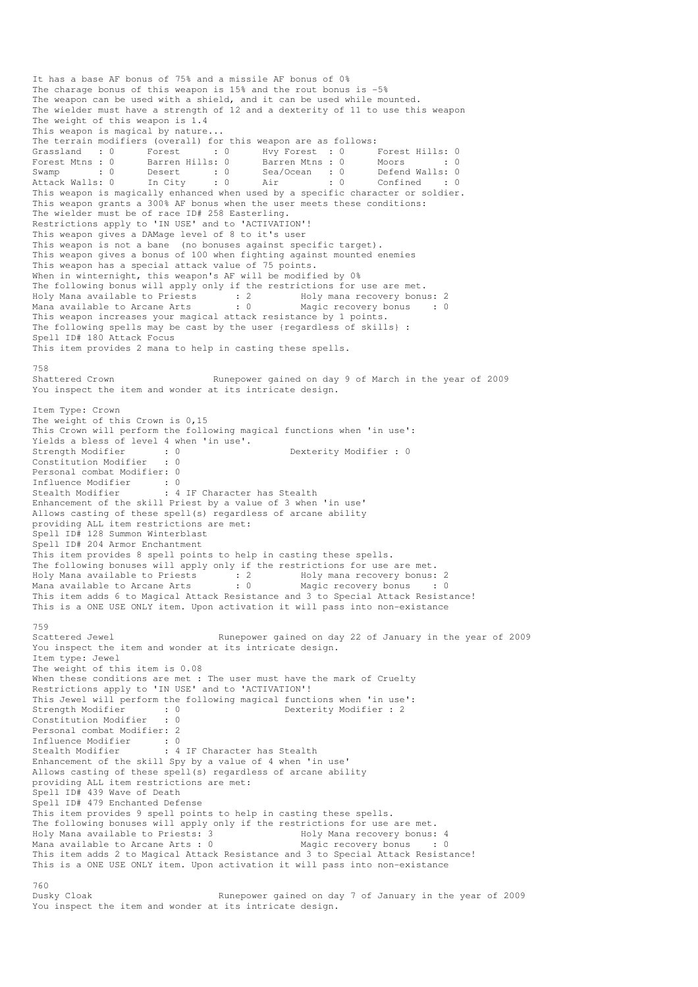It has a base AF bonus of 75% and a missile AF bonus of 0% The charage bonus of this weapon is 15% and the rout bonus is -5% The weapon can be used with a shield, and it can be used while mounted. The wielder must have a strength of 12 and a dexterity of 11 to use this weapon The weight of this weapon is 1.4 This weapon is magical by nature... The terrain modifiers (overall) for this weapon are as follows:<br>
Grassland : 0 Forest : 0 Hvy Forest : 0 I<br>
Forest Mtns : 0 Barren Hills: 0 Barren Mtns : 0 I Grassland : 0 Forest : 0 Hvy Forest : 0 Forest Hills: 0 Forest Mtns : 0 Barren Hills: 0 Barren Mtns : 0 Moors : 0 : 0 Swamp : 0 Desert : 0 Sea/Ocean : 0 Defend Walls: 0 Attack Walls: 0 In City : 0 Air : 0 Confined : 0 This weapon is magically enhanced when used by a specific character or soldier. This weapon grants a 300% AF bonus when the user meets these conditions: The wielder must be of race ID# 258 Easterling. Restrictions apply to 'IN USE' and to 'ACTIVATION'! This weapon gives a DAMage level of 8 to it's user This weapon is not a bane (no bonuses against specific target). This weapon gives a bonus of 100 when fighting against mounted enemies This weapon has a special attack value of 75 points. When in winternight, this weapon's AF will be modified by 0% The following bonus will apply only if the restrictions for use are met. Holy Mana available to Priests : 2 Holy mana recovery bonus: 2 Mana available to Arcane Arts : 0 Magic recovery bonus : 0 This weapon increases your magical attack resistance by 1 points. The following spells may be cast by the user {regardless of skills} : Spell ID# 180 Attack Focus This item provides 2 mana to help in casting these spells. 758<br>Shattered Crown Runepower gained on day 9 of March in the year of 2009 You inspect the item and wonder at its intricate design. Item Type: Crown The weight of this Crown is 0,15 This Crown will perform the following magical functions when 'in use': Yields a bless of level 4 when 'in use'.<br>Strength Modifier : 0 Strength Modifier : 0 Dexterity Modifier : 0 Constitution Modifier Personal combat Modifier: 0 Influence Modifier : 0<br>Stealth Modifier : 4 : 4 IF Character has Stealth Enhancement of the skill Priest by a value of 3 when 'in use' Allows casting of these spell(s) regardless of arcane ability providing ALL item restrictions are met: Spell ID# 128 Summon Winterblast Spell ID# 204 Armor Enchantment This item provides 8 spell points to help in casting these spells. The following bonuses will apply only if the restrictions for use are met. Holy Mana available to Priests : 2 Holy mana recovery bonus: 2 Mana available to Arcane Arts : 0 Magic recovery bonus : 0 This item adds 6 to Magical Attack Resistance and 3 to Special Attack Resistance! This is a ONE USE ONLY item. Upon activation it will pass into non-existance 759 Scattered Jewel Runepower gained on day 22 of January in the year of 2009 You inspect the item and wonder at its intricate design. Item type: Jewel The weight of this item is 0.08 When these conditions are met : The user must have the mark of Cruelty Restrictions apply to 'IN USE' and to 'ACTIVATION'! This Jewel will perform the following magical functions when 'in use':<br>Strength Modifier : 0<br>Constitution Modifier : 0 Dexterity Modifier : 2 Constitution Modifier : 0 Personal combat Modifier: 2 Influence Modifier : 0<br>Stealth Modifier : 4 : 4 IF Character has Stealth Enhancement of the skill Spy by a value of 4 when 'in use' Allows casting of these spell(s) regardless of arcane ability providing ALL item restrictions are met: Spell ID# 439 Wave of Death Spell ID# 479 Enchanted Defense This item provides 9 spell points to help in casting these spells. The following bonuses will apply only if the restrictions for use are met. Holy Mana available to Priests: 3 Holy Mana recovery bonus: 4 Mana available to Arcane Arts : 0 Magic recovery bonus : 0 This item adds 2 to Magical Attack Resistance and 3 to Special Attack Resistance! This is a ONE USE ONLY item. Upon activation it will pass into non-existance 760 Dusky Cloak Runepower gained on day 7 of January in the year of 2009

You inspect the item and wonder at its intricate design.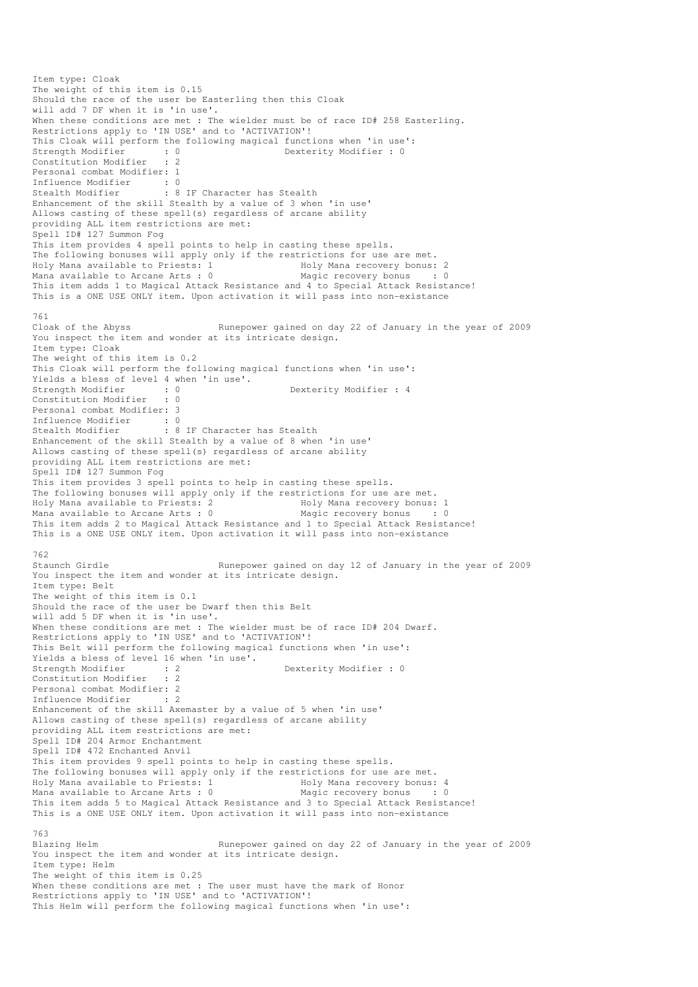Item type: Cloak The weight of this item is 0.15 Should the race of the user be Easterling then this Cloak will add 7 DF when it is 'in use'. When these conditions are met : The wielder must be of race ID# 258 Easterling. Restrictions apply to 'IN USE' and to 'ACTIVATION'! This Cloak will perform the following magical functions when 'in use':<br>Strength Modifier : 0<br>Dexterity Modifier : 0 Strength Modifier : 0 0 Dexterity Modifier : 0 Constitution Modifier : 2 Personal combat Modifier: 1 Influence Modifier : 0 Stealth Modifier : 8 IF Character has Stealth Enhancement of the skill Stealth by a value of 3 when 'in use' Allows casting of these spell(s) regardless of arcane ability providing ALL item restrictions are met: Spell ID# 127 Summon Fog This item provides 4 spell points to help in casting these spells. The following bonuses will apply only if the restrictions for use are met. Holy Mana available to Priests: 1 1999 Holy Mana recovery bonus: 2<br>
Mana available to Arcane Arts : 0 1999 Magic recovery bonus : 0 Mana available to Arcane Arts :  $0$ This item adds 1 to Magical Attack Resistance and 4 to Special Attack Resistance! This is a ONE USE ONLY item. Upon activation it will pass into non-existance 761 Cloak of the Abyss Runepower gained on day 22 of January in the year of 2009 You inspect the item and wonder at its intricate design. Item type: Cloak The weight of this item is 0.2 This Cloak will perform the following magical functions when 'in use': Yields a bless of level 4 when 'in use'.<br>Strength Modifier : 0<br>Constitution Medicine Dexterity Modifier : 4 Constitution Modifier Personal combat Modifier: 3 Influence Modifier : 0<br>Stealth Modifier : 8 : 8 IF Character has Stealth Enhancement of the skill Stealth by a value of 8 when 'in use' Allows casting of these spell(s) regardless of arcane ability providing ALL item restrictions are met: Spell ID# 127 Summon Fog This item provides 3 spell points to help in casting these spells. The following bonuses will apply only if the restrictions for use are met. Holy Mana available to Priests: 2 1992 Holy Mana recovery bonus: 1<br>
Mana available to Arcane Arts: 0 1994 Magic recovery bonus Mana available to Arcane Arts : 0 Magic recovery bonus This item adds 2 to Magical Attack Resistance and 1 to Special Attack Resistance! This is a ONE USE ONLY item. Upon activation it will pass into non-existance 762 Staunch Girdle Runepower gained on day 12 of January in the year of 2009 You inspect the item and wonder at its intricate design. Item type: Belt The weight of this item is 0.1 Should the race of the user be Dwarf then this Belt will add 5 DF when it is 'in use'. When these conditions are met : The wielder must be of race ID# 204 Dwarf. Restrictions apply to 'IN USE' and to 'ACTIVATION'! This Belt will perform the following magical functions when 'in use': Yields a bless of level 16 when 'in use'. Strength Modifier : 2 Dexterity Modifier : 0 Constitution Modifier : 2 Personal combat Modifier: 2 Influence Modifier : 2 Enhancement of the skill Axemaster by a value of 5 when 'in use' Allows casting of these spell(s) regardless of arcane ability providing ALL item restrictions are met: Spell ID# 204 Armor Enchantment Spell ID# 472 Enchanted Anvil This item provides 9 spell points to help in casting these spells. The following bonuses will apply only if the restrictions for use are met. Holy Mana available to Priests: 1 1999 Holy Mana recovery bonus: 4<br>
Mana available to Arcane Arts : 0 1999 Magic recovery bonus : 0 Mana available to Arcane Arts :  $0$ This item adds 5 to Magical Attack Resistance and 3 to Special Attack Resistance! This is a ONE USE ONLY item. Upon activation it will pass into non-existance 763 Blazing Helm Runepower gained on day 22 of January in the year of 2009 You inspect the item and wonder at its intricate design. Item type: Helm The weight of this item is 0.25 When these conditions are met : The user must have the mark of Honor Restrictions apply to 'IN USE' and to 'ACTIVATION'! This Helm will perform the following magical functions when 'in use':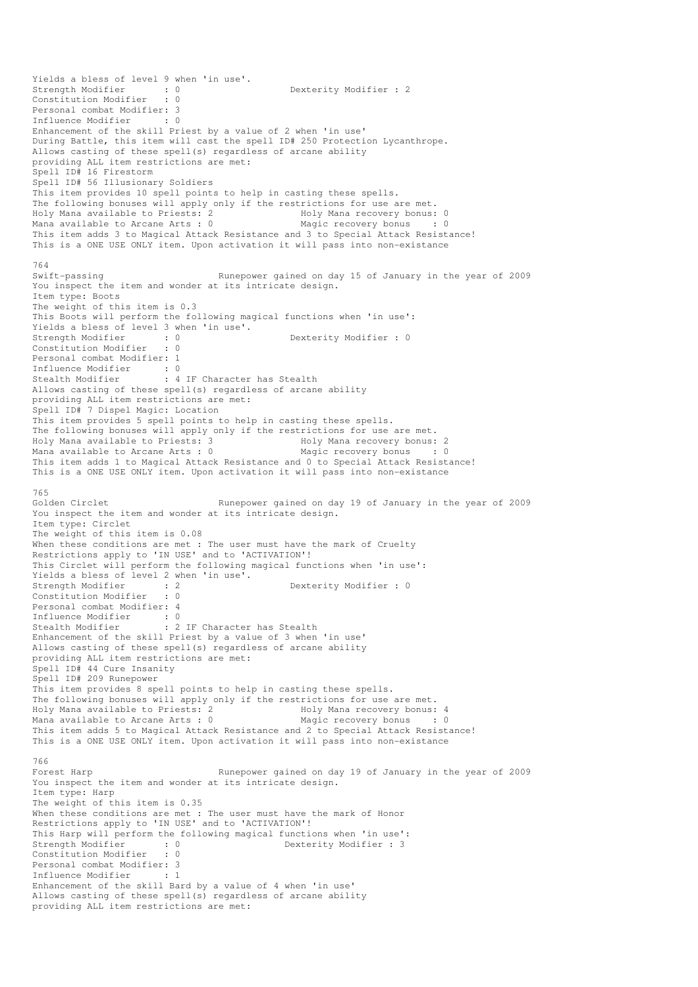```
Yields a bless of level 9 when 'in use'. 
Strength Modifier : 0 0 Dexterity Modifier : 2
Constitution Modifier : 0 
Personal combat Modifier: 3<br>Influence Modifier : 0
Influence Modifier
Enhancement of the skill Priest by a value of 2 when 'in use' 
During Battle, this item will cast the spell ID# 250 Protection Lycanthrope. 
Allows casting of these spell(s) regardless of arcane ability 
providing ALL item restrictions are met: 
Spell ID# 16 Firestorm 
Spell ID# 56 Illusionary Soldiers 
This item provides 10 spell points to help in casting these spells. 
The following bonuses will apply only if the restrictions for use are met. 
Holy Mana available to Priests: 2 The Holy Mana recovery bonus: 0
Mana available to Arcane Arts : 0 Magic recovery bonus : 0
This item adds 3 to Magical Attack Resistance and 3 to Special Attack Resistance! 
This is a ONE USE ONLY item. Upon activation it will pass into non-existance 
764<br>Swift-passing
                                 Runepower gained on day 15 of January in the year of 2009
You inspect the item and wonder at its intricate design. 
Item type: Boots 
The weight of this item is 0.3 
This Boots will perform the following magical functions when 'in use': 
Yields a bless of level 3 when 'in use'. 
Strength Modifier : 0 0 Dexterity Modifier : 0
Constitution Modifier : 0 
Personal combat Modifier: 1 
Influence Modifier : 0<br>Stealth Modifier : 4
                       : 4 IF Character has Stealth
Allows casting of these spell(s) regardless of arcane ability 
providing ALL item restrictions are met: 
Spell ID# 7 Dispel Magic: Location 
This item provides 5 spell points to help in casting these spells. 
The following bonuses will apply only if the restrictions for use are met.<br>Holy Mana available to Priests: 3 Holy Mana recovery bonus: 2
Holy Mana available to Priests: 3 The Holy Mana recovery bonus: 2<br>
Mana available to Arcane Arts : 0 Magic recovery bonus : 0
Mana available to Arcane Arts : 0This item adds 1 to Magical Attack Resistance and 0 to Special Attack Resistance! 
This is a ONE USE ONLY item. Upon activation it will pass into non-existance 
765<br>Golden Circlet
                                 Runepower gained on day 19 of January in the year of 2009
You inspect the item and wonder at its intricate design.
Item type: Circlet 
The weight of this item is 0.08 
When these conditions are met : The user must have the mark of Cruelty
Restrictions apply to 'IN USE' and to 'ACTIVATION'!
This Circlet will perform the following magical functions when 'in use': 
Yields a bless of level 2 when 'in use'. 
Strength Modifier : 2 2 Dexterity Modifier : 0
Constitution Modifier : 0 
Personal combat Modifier: 4 
Influence Modifier : 0 
Stealth Modifier : 2 IF Character has Stealth
Enhancement of the skill Priest by a value of 3 when 'in use' 
Allows casting of these spell(s) regardless of arcane ability 
providing ALL item restrictions are met: 
Spell ID# 44 Cure Insanity 
Spell ID# 209 Runepower 
This item provides 8 spell points to help in casting these spells. 
The following bonuses will apply only if the restrictions for use are met. 
Holy Mana available to Priests: 2 Moly Mana recovery bonus: 4
Mana available to Arcane Arts : 0 Magic recovery bonus : 0
This item adds 5 to Magical Attack Resistance and 2 to Special Attack Resistance! 
This is a ONE USE ONLY item. Upon activation it will pass into non-existance 
766 
Forest Harp Runepower gained on day 19 of January in the year of 2009
You inspect the item and wonder at its intricate design. 
Item type: Harp 
The weight of this item is 0.35 
When these conditions are met : The user must have the mark of Honor
Restrictions apply to 'IN USE' and to 'ACTIVATION'!
This Harp will perform the following magical functions when 'in use': 
Strength Modifier : 0 0 Dexterity Modifier : 3
Constitution Modifier : 0 
Personal combat Modifier: 3 
Influence Modifier : 1 
Enhancement of the skill Bard by a value of 4 when 'in use' 
Allows casting of these spell(s) regardless of arcane ability 
providing ALL item restrictions are met:
```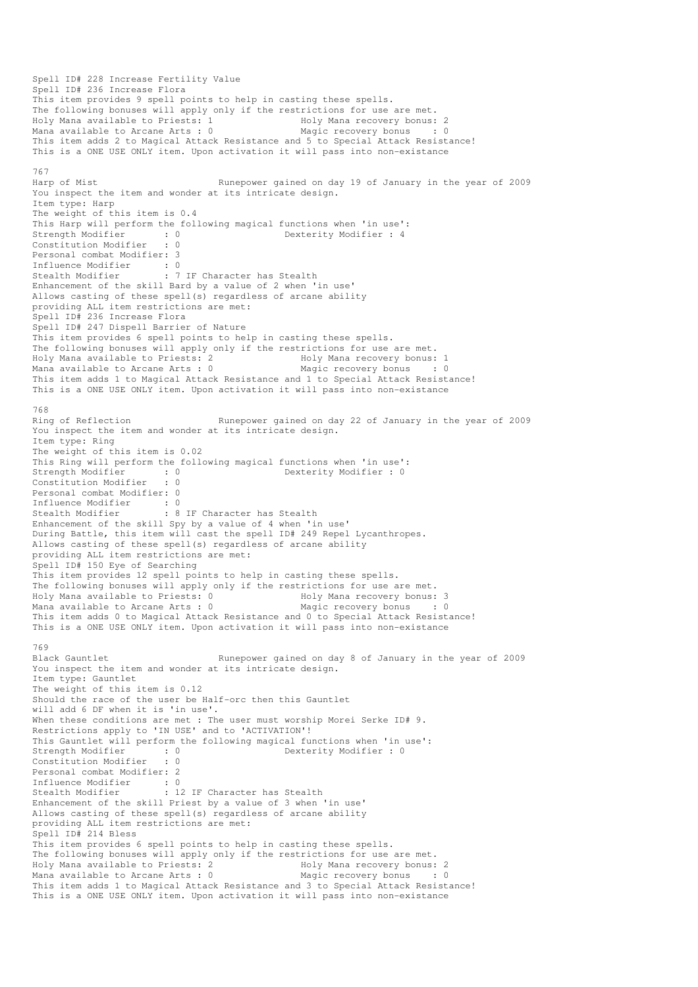```
Spell ID# 228 Increase Fertility Value 
Spell ID# 236 Increase Flora 
This item provides 9 spell points to help in casting these spells. 
The following bonuses will apply only if the restrictions for use are met.<br>Holy Mana available to Priests: 1 Holy Mana recovery bonus: 2
Holy Mana available to Priests: 1
Mana available to Arcane Arts : 0 Magic recovery bonus : 0
This item adds 2 to Magical Attack Resistance and 5 to Special Attack Resistance! 
This is a ONE USE ONLY item. Upon activation it will pass into non-existance 
767 
Harp of Mist Runepower gained on day 19 of January in the year of 2009
You inspect the item and wonder at its intricate design. 
Item type: Harp 
The weight of this item is 0.4 
This Harp will perform the following magical functions when 'in use':<br>
Strength Modifier : 4<br>
\frac{1}{2}<br>
\frac{1}{2}Dexterity Modifier : 4
Constitution Modifier : 0 
Personal combat Modifier: 3 
Influence Modifier : 0<br>Stealth Modifier : 7
                         : 7 IF Character has Stealth
Enhancement of the skill Bard by a value of 2 when 'in use' 
Allows casting of these spell(s) regardless of arcane ability 
providing ALL item restrictions are met: 
Spell ID# 236 Increase Flora 
Spell ID# 247 Dispell Barrier of Nature 
This item provides 6 spell points to help in casting these spells. 
The following bonuses will apply only if the restrictions for use are met. 
Holy Mana available to Priests: 2 1999 Holy Mana recovery bonus: 1<br>
Mana available to Arcane Arts: 0 1999 Magic recovery bonus 1999
Mana available to Arcane Arts : 0
This item adds 1 to Magical Attack Resistance and 1 to Special Attack Resistance! 
This is a ONE USE ONLY item. Upon activation it will pass into non-existance 
768<br>Ring of Reflection
                                   Runepower gained on day 22 of January in the year of 2009
You inspect the item and wonder at its intricate design.
Item type: Ring 
The weight of this item is 0.02 
This Ring will perform the following magical functions when 'in use': 
Strength Modifier : 0 0 Dexterity Modifier : 0
Constitution Modifier : 0 
Personal combat Modifier: 0 
Influence Modifier : 0 
Stealth Modifier : 8 IF Character has Stealth
Enhancement of the skill Spy by a value of 4 when 'in use' 
During Battle, this item will cast the spell ID# 249 Repel Lycanthropes. 
Allows casting of these spell(s) regardless of arcane ability 
providing ALL item restrictions are met: 
Spell ID# 150 Eye of Searching 
This item provides 12 spell points to help in casting these spells. 
The following bonuses will apply only if the restrictions for use are met.<br>Holy Mana available to Priests: 0 Holy Mana recovery bonus: 3
Holy Mana available to Priests: 0
Mana available to Arcane Arts : 0 Magic recovery bonus : 0 
This item adds 0 to Magical Attack Resistance and 0 to Special Attack Resistance! 
This is a ONE USE ONLY item. Upon activation it will pass into non-existance 
769<br>Black Gauntlet
                                   Runepower gained on day 8 of January in the year of 2009
You inspect the item and wonder at its intricate design.
Item type: Gauntlet 
The weight of this item is 0.12 
Should the race of the user be Half-orc then this Gauntlet 
will add 6 DF when it is 'in use'. 
When these conditions are met : The user must worship Morei Serke ID# 9.
Restrictions apply to 'IN USE' and to 'ACTIVATION'!
This Gauntlet will perform the following magical functions when 'in use':<br>Strength Modifier : 0<br>Constitution Modifier : 0
                                                 Dexterity Modifier : 0
Constitution Modifier : 0 
Personal combat Modifier: 2 
Influence Modifier : 0<br>Stealth Modifier : 1
                         : 12 IF Character has Stealth
Enhancement of the skill Priest by a value of 3 when 'in use' 
Allows casting of these spell(s) regardless of arcane ability 
providing ALL item restrictions are met: 
Spell ID# 214 Bless 
This item provides 6 spell points to help in casting these spells. 
The following bonuses will apply only if the restrictions for use are met. 
Holy Mana available to Priests: 2 The Holy Mana recovery bonus: 2
Mana available to Arcane Arts : 0 Magic recovery bonus : 0
This item adds 1 to Magical Attack Resistance and 3 to Special Attack Resistance! 
This is a ONE USE ONLY item. Upon activation it will pass into non-existance
```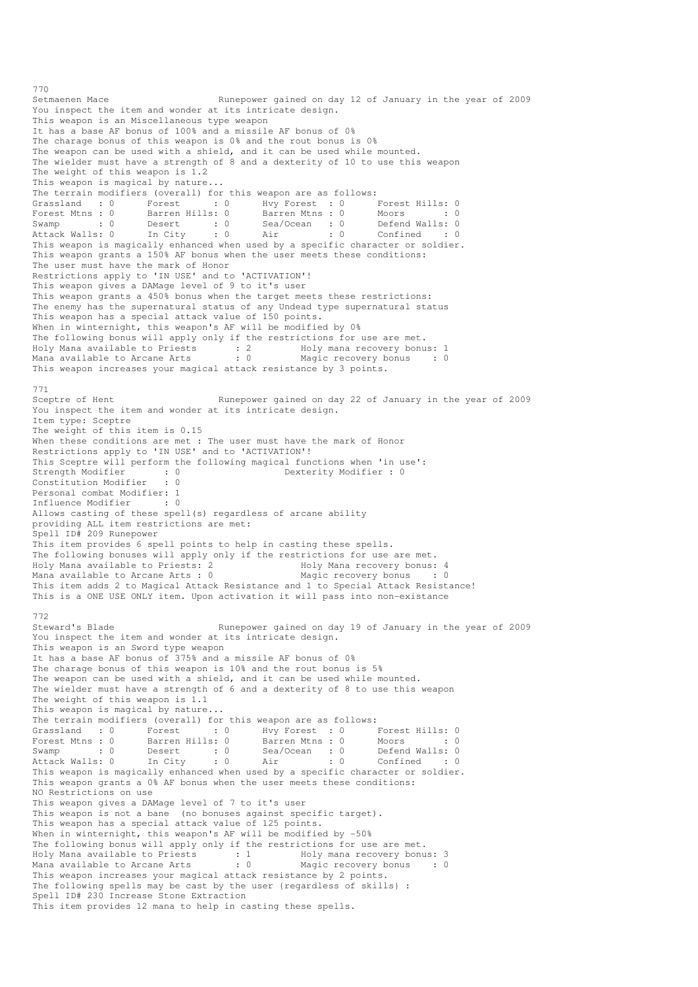Setmaenen Mace Runepower gained on day 12 of January in the year of 2009 You inspect the item and wonder at its intricate design. This weapon is an Miscellaneous type weapon It has a base AF bonus of 100% and a missile AF bonus of 0% The charage bonus of this weapon is 0% and the rout bonus is 0% The weapon can be used with a shield, and it can be used while mounted. The wielder must have a strength of 8 and a dexterity of 10 to use this weapon The weight of this weapon is 1.2 This weapon is magical by nature... The terrain modifiers (overall) for this weapon are as follows:<br>
Grassland : 0 Forest : 0 Hvy Forest : 0 I<br>
Forest Mtns : 0 Barren Hills: 0 Barren Mtns : 0 I Grassland : 0 Forest : 0 Hvy Forest : 0 Forest Hills: 0 Forest Mtns : 0 Barren Hills: 0 Barren Mtns : 0 Moors : 0 : 0 Swamp : 0 Desert : 0 Sea/Ocean : 0 Defend Walls: 0 Attack Walls: 0 In City : 0 Air : 0 Confined : 0 This weapon is magically enhanced when used by a specific character or soldier. This weapon grants a 150% AF bonus when the user meets these conditions: The user must have the mark of Honor Restrictions apply to 'IN USE' and to 'ACTIVATION'! This weapon gives a DAMage level of 9 to it's user This weapon grants a 450% bonus when the target meets these restrictions: The enemy has the supernatural status of any Undead type supernatural status This weapon has a special attack value of 150 points. When in winternight, this weapon's AF will be modified by 0% The following bonus will apply only if the restrictions for use are met. Holy Mana available to Priests : 2 Holy mana recovery bonus: 1 Mana available to Arcane Arts : 0 Magic recovery bonus : 0 This weapon increases your magical attack resistance by 3 points. 771<br>Sceptre of Hent Runepower gained on day 22 of January in the year of 2009 You inspect the item and wonder at its intricate design. Item type: Sceptre The weight of this item is 0.15 When these conditions are met : The user must have the mark of Honor Restrictions apply to 'IN USE' and to 'ACTIVATION'! This Sceptre will perform the following magical functions when 'in use': Strength Modifier : 0 0 Dexterity Modifier : 0 Constitution Modifier : 0 Personal combat Modifier: 1 Influence Modifier : 0 Allows casting of these spell(s) regardless of arcane ability providing ALL item restrictions are met: Spell ID# 209 Runepower This item provides 6 spell points to help in casting these spells. The following bonuses will apply only if the restrictions for use are met. Holy Mana available to Priests: 2 The Holy Mana recovery bonus: 4<br>
Mana available to Arcane Arts : 0 Magic recovery bonus : 0 Mana available to Arcane Arts :  $0$ This item adds 2 to Magical Attack Resistance and 1 to Special Attack Resistance! This is a ONE USE ONLY item. Upon activation it will pass into non-existance 772 Steward's Blade Runepower gained on day 19 of January in the year of 2009 You inspect the item and wonder at its intricate design. This weapon is an Sword type weapon It has a base AF bonus of 375% and a missile AF bonus of 0% The charage bonus of this weapon is 10% and the rout bonus is 5% The weapon can be used with a shield, and it can be used while mounted. The wielder must have a strength of 6 and a dexterity of 8 to use this weapon The weight of this weapon is 1.1 This weapon is magical by nature... The terrain modifiers (overall) for this weapon are as follows:<br>
Grassland : 0 Forest : 0 Hvy Forest : 0 I<br>
Forest Mtns : 0 Barren Hills: 0 Barren Mtns : 0 1 Grassland : 0 Forest : 0 Hvy Forest : 0 Forest Hills: 0 Forest Mtns : 0 Barren Hills: 0 Barren Mtns : 0 Moors : 0 : 0 Swamp : 0 Desert : 0 Sea/Ocean : 0 Defend Walls: 0 Attack Walls: 0 In City : 0 Air : 0 Confined : 0 This weapon is magically enhanced when used by a specific character or soldier. This weapon grants a 0% AF bonus when the user meets these conditions: NO Restrictions on use This weapon gives a DAMage level of 7 to it's user This weapon is not a bane (no bonuses against specific target). This weapon has a special attack value of 125 points. When in winternight, this weapon's AF will be modified by -50% The following bonus will apply only if the restrictions for use are met.<br>Holy Mana available to Priests : 1 Holy mana recovery bonus: 3 Holy Mana available to Priests : 1 Holy mana recovery bonus: 3 Mana available to Arcane Arts : 0 Magic recovery bonus : 0 This weapon increases your magical attack resistance by 2 points. The following spells may be cast by the user {regardless of skills} : Spell ID# 230 Increase Stone Extraction This item provides 12 mana to help in casting these spells.

770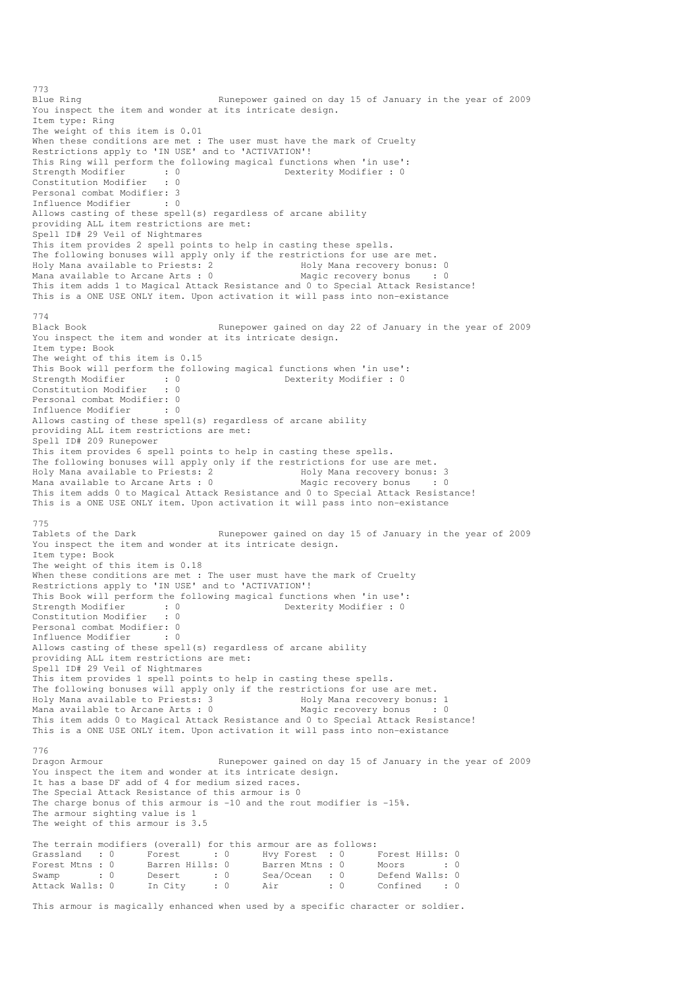Blue Ring Runepower gained on day 15 of January in the year of 2009 You inspect the item and wonder at its intricate design. Item type: Ring The weight of this item is 0.01 When these conditions are met : The user must have the mark of Cruelty Restrictions apply to 'IN USE' and to 'ACTIVATION'! This Ring will perform the following magical functions when 'in use':<br>Strength Modifier : 0<br>Dexterity Modifier : 0 Strength Modifier : 0 Constitution Modifier : 0 Personal combat Modifier: 3 Influence Modifier : 0 Allows casting of these spell(s) regardless of arcane ability providing ALL item restrictions are met: Spell ID# 29 Veil of Nightmares This item provides 2 spell points to help in casting these spells. The following bonuses will apply only if the restrictions for use are met.<br>Holy Mana available to Priests: 2 Holy Mana recovery bonus: 0 Holy Mana available to Priests: 2 Holy Mana recovery bonus: 0 Mana available to Arcane Arts :  $0$ This item adds 1 to Magical Attack Resistance and 0 to Special Attack Resistance! This is a ONE USE ONLY item. Upon activation it will pass into non-existance 774 Black Book Runepower gained on day 22 of January in the year of 2009 You inspect the item and wonder at its intricate design. Item type: Book The weight of this item is 0.15 This Book will perform the following magical functions when 'in use':<br>Strength Modifier : 0<br>Dexterity Modifier : 0 Strength Modifier : 0 0 Dexterity Modifier : 0 Constitution Modifier : 0 Personal combat Modifier: 0<br>Influence Modifier : 0 Influence Modifier Allows casting of these spell(s) regardless of arcane ability providing ALL item restrictions are met: Spell ID# 209 Runepower This item provides 6 spell points to help in casting these spells. The following bonuses will apply only if the restrictions for use are met. Holy Mana available to Priests: 2 The Holy Mana recovery bonus: 3 Mana available to Arcane Arts : 0 Magic recovery bonus : 0 This item adds 0 to Magical Attack Resistance and 0 to Special Attack Resistance! This is a ONE USE ONLY item. Upon activation it will pass into non-existance 775<br>Tablets of the Dark Runepower gained on day 15 of January in the year of 2009 You inspect the item and wonder at its intricate design. Item type: Book The weight of this item is 0.18 When these conditions are met : The user must have the mark of Cruelty Restrictions apply to 'IN USE' and to 'ACTIVATION'! This Book will perform the following magical functions when 'in use': Strength Modifier : 0<br>  $S$  Dexterity Modifier : 0<br>  $S$  Dexterity Modifier : 0 Constitution Modifier : 0 Personal combat Modifier: 0<br>Influence Modifier . 0 Influence Modifier Allows casting of these spell(s) regardless of arcane ability providing ALL item restrictions are met: Spell ID# 29 Veil of Nightmares This item provides 1 spell points to help in casting these spells. The following bonuses will apply only if the restrictions for use are met. Holy Mana available to Priests: 3 1992 Holy Mana recovery bonus: 1<br>
Mana available to Arcane Arts : 0 1994 Magic recovery bonus : 0 Mana available to Arcane Arts : 0 Magic recovery bonus : 0 This item adds 0 to Magical Attack Resistance and 0 to Special Attack Resistance! This is a ONE USE ONLY item. Upon activation it will pass into non-existance 776 Dragon Armour **Runepower gained on day 15 of January in the year of 2009** You inspect the item and wonder at its intricate design. It has a base DF add of 4 for medium sized races. The Special Attack Resistance of this armour is 0 The charge bonus of this armour is  $-10$  and the rout modifier is  $-15$ %. The armour sighting value is 1 The weight of this armour is 3.5 The terrain modifiers (overall) for this armour are as follows:<br>
Grassland : 0 Forest : 0 Hvy Forest : 0 Grassland : 0 Forest : 0 Hvy Forest : 0 Forest Hills: 0 Forest Mtns : 0 Barren Hills: 0 Barren Mtns : 0 Moors : 0 : 0 Swamp : 0 Desert : 0 Sea/Ocean : 0 Defend Walls: 0 Attack Walls: 0 In City : 0 Air : 0 Confined : 0 This armour is magically enhanced when used by a specific character or soldier.

773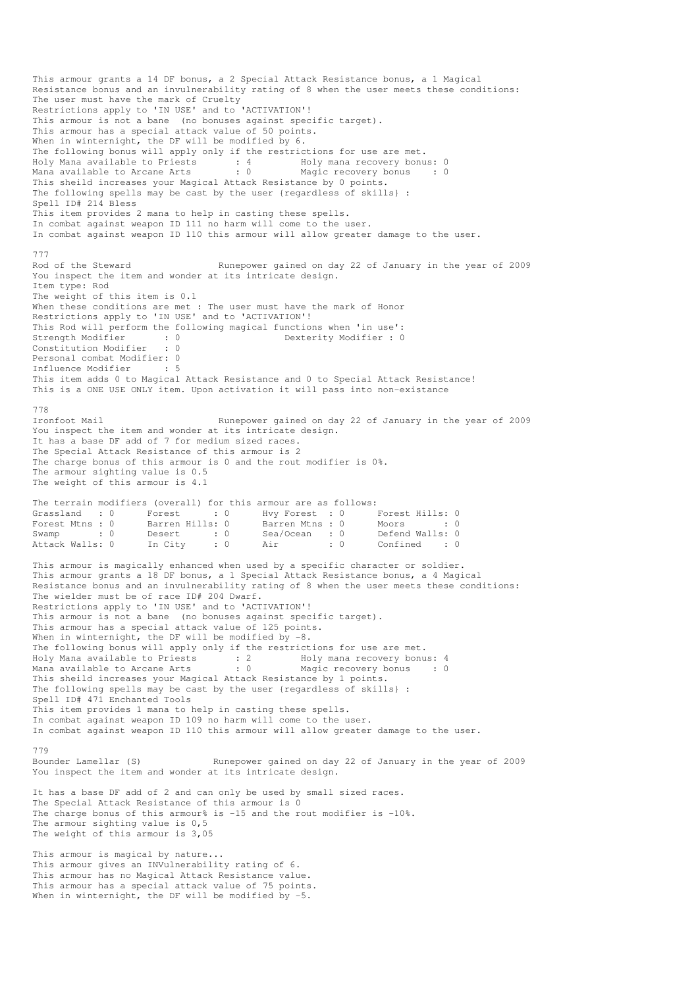This armour grants a 14 DF bonus, a 2 Special Attack Resistance bonus, a 1 Magical Resistance bonus and an invulnerability rating of 8 when the user meets these conditions: The user must have the mark of Cruelty Restrictions apply to 'IN USE' and to 'ACTIVATION'! This armour is not a bane (no bonuses against specific target). This armour has a special attack value of 50 points. When in winternight, the DF will be modified by 6. The following bonus will apply only if the restrictions for use are met. Holy Mana available to Priests : 4 Holy mana recovery bonus: 0 Mana available to Arcane Arts : 0 Magic recovery bonus : 0 This sheild increases your Magical Attack Resistance by 0 points. The following spells may be cast by the user {regardless of skills} : Spell ID# 214 Bless This item provides 2 mana to help in casting these spells. In combat against weapon ID 111 no harm will come to the user. In combat against weapon ID 110 this armour will allow greater damage to the user. 777 Rod of the Steward Runepower gained on day 22 of January in the year of 2009 You inspect the item and wonder at its intricate design. Item type: Rod The weight of this item is 0.1 When these conditions are met : The user must have the mark of Honor Restrictions apply to 'IN USE' and to 'ACTIVATION'! This Rod will perform the following magical functions when 'in use':<br>Strength Modifier : 0 Dexterity Modifier : 0 Strength Modifier : 0 0 Dexterity Modifier : 0 Constitution Modifier : 0 Personal combat Modifier: 0<br>Influence Modifier : 5 Influence Modifier This item adds 0 to Magical Attack Resistance and 0 to Special Attack Resistance! This is a ONE USE ONLY item. Upon activation it will pass into non-existance 778<br>Ironfoot Mail Runepower gained on day 22 of January in the year of 2009 You inspect the item and wonder at its intricate design. It has a base DF add of 7 for medium sized races. The Special Attack Resistance of this armour is 2 The charge bonus of this armour is 0 and the rout modifier is 0%. The armour sighting value is 0.5 The weight of this armour is 4.1 The terrain modifiers (overall) for this armour are as follows: Grassland : 0 Forest : 0 Hvy Forest : 0 Forest Hills: 0 Forest Mtns : 0 Barren Hills: 0 Barren Mtns : 0 Moors : 0 : 0 Swamp : 0 Desert : 0 Sea/Ocean : 0 Defend Walls: 0 Attack Walls: 0 In City : 0 Air : 0 Confined : 0 This armour is magically enhanced when used by a specific character or soldier. This armour grants a 18 DF bonus, a 1 Special Attack Resistance bonus, a 4 Magical Resistance bonus and an invulnerability rating of 8 when the user meets these conditions: The wielder must be of race ID# 204 Dwarf. Restrictions apply to 'IN USE' and to 'ACTIVATION'! This armour is not a bane (no bonuses against specific target). This armour has a special attack value of 125 points. When in winternight, the DF will be modified by  $-8$ . The following bonus will apply only if the restrictions for use are met. Holy Mana available to Priests : 2 Holy mana recovery bonus: 4 Mana available to Arcane Arts : 0 Magic recovery bonus : 0 This sheild increases your Magical Attack Resistance by 1 points. The following spells may be cast by the user {regardless of skills} : Spell ID# 471 Enchanted Tools This item provides 1 mana to help in casting these spells. In combat against weapon ID 109 no harm will come to the user. In combat against weapon ID 110 this armour will allow greater damage to the user. 779 Bounder Lamellar (S) Runepower gained on day 22 of January in the year of 2009 You inspect the item and wonder at its intricate design. It has a base DF add of 2 and can only be used by small sized races. The Special Attack Resistance of this armour is 0 The charge bonus of this armour% is -15 and the rout modifier is -10%. The armour sighting value is 0,5 The weight of this armour is 3,05 This armour is magical by nature... This armour gives an INVulnerability rating of 6. This armour has no Magical Attack Resistance value. This armour has a special attack value of 75 points. When in winternight, the DF will be modified by -5.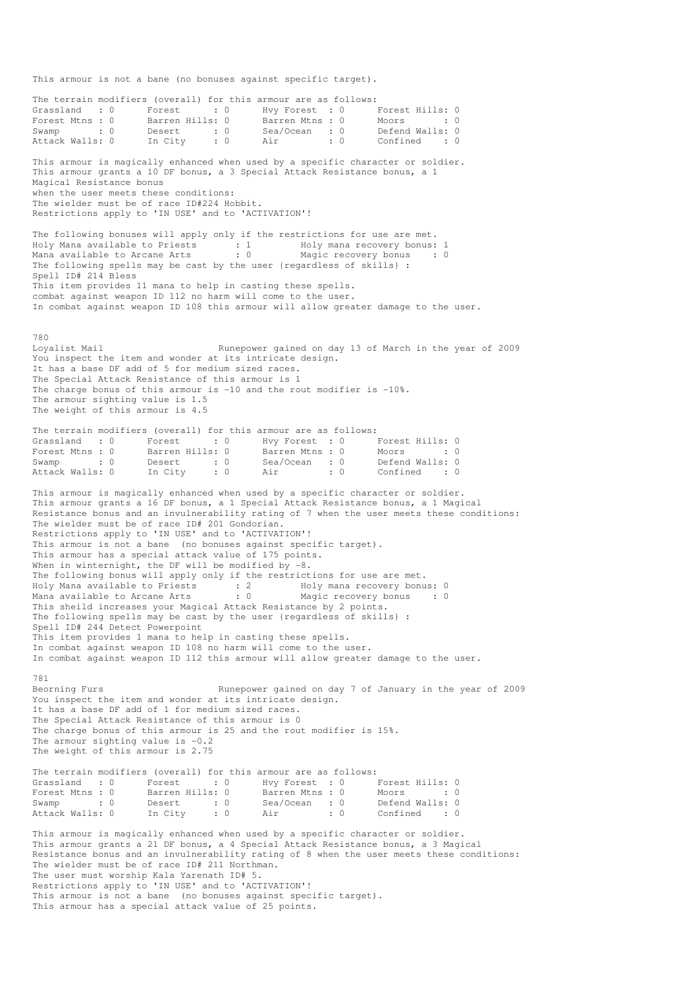This armour is not a bane (no bonuses against specific target).

The terrain modifiers (overall) for this armour are as follows: Grassland : 0 Forest : 0 Hvy Forest : 0 Forest Hills: 0 Forest Mtns : 0 Barren Hills: 0 Barren Mtns : 0 Moors : 0 : 0 Swamp : 0 Desert : 0 Sea/Ocean : 0 Defend Walls: 0 Berend Walls: 0<br>Confined : 0 This armour is magically enhanced when used by a specific character or soldier. This armour grants a 10 DF bonus, a 3 Special Attack Resistance bonus, a 1 Magical Resistance bonus when the user meets these conditions: The wielder must be of race ID#224 Hobbit. Restrictions apply to 'IN USE' and to 'ACTIVATION'! The following bonuses will apply only if the restrictions for use are met. Holy Mana available to Priests : 1 Holy mana recovery bonus: 1 Mana available to Arcane Arts : 0 Magic recovery bonus : 0 The following spells may be cast by the user {regardless of skills} : Spell ID# 214 Bless This item provides 11 mana to help in casting these spells. combat against weapon ID 112 no harm will come to the user. In combat against weapon ID 108 this armour will allow greater damage to the user. 780 Loyalist Mail **Runepower gained on day 13 of March in the year of 2009** You inspect the item and wonder at its intricate design. It has a base DF add of 5 for medium sized races. The Special Attack Resistance of this armour is 1 The charge bonus of this armour is  $-10$  and the rout modifier is  $-10\%$ . The armour sighting value is 1.5 The weight of this armour is 4.5 The terrain modifiers (overall) for this armour are as follows: Grassland : 0 Forest : 0 Hvy Forest : 0 Forest Hills: 0 Forest Mtns : 0 Barren Hills: 0 Barren Mtns : 0 Moors : 0 : 0 Swamp : 0 Desert : 0 Sea/Ocean : 0 Defend Walls: 0 Attack Walls: 0 In City : 0 Air : 0 Confined : 0 This armour is magically enhanced when used by a specific character or soldier. This armour grants a 16 DF bonus, a 1 Special Attack Resistance bonus, a 1 Magical Resistance bonus and an invulnerability rating of 7 when the user meets these conditions: The wielder must be of race ID# 201 Gondorian. Restrictions apply to 'IN USE' and to 'ACTIVATION'! This armour is not a bane (no bonuses against specific target). This armour has a special attack value of 175 points. When in winternight, the DF will be modified by -8. The following bonus will apply only if the restrictions for use are met. Holy Mana available to Priests : 2 Holy mana recovery bonus: 0 Mana available to Arcane Arts : 0 Magic recovery bonus : 0 This sheild increases your Magical Attack Resistance by 2 points. The following spells may be cast by the user {regardless of skills} : Spell ID# 244 Detect Powerpoint This item provides 1 mana to help in casting these spells. In combat against weapon ID 108 no harm will come to the user. In combat against weapon ID 112 this armour will allow greater damage to the user. 781 Beorning Furs **Runepower gained on day 7 of January in the year of 2009** You inspect the item and wonder at its intricate design. It has a base DF add of 1 for medium sized races. The Special Attack Resistance of this armour is 0 The charge bonus of this armour is 25 and the rout modifier is 15%. The armour sighting value is  $-0.2$ The weight of this armour is 2.75 The terrain modifiers (overall) for this armour are as follows: Grassland : 0 Forest : 0 Hvy Forest : 0 Forest Hills: 0 Forest Mtns : 0 Barren Hills: 0 Barren Mtns : 0 Moors : 0 : 0 Forest Muns . 0<br>
Swamp : 0 Desert : 0 Sea/Ocean : 0<br>
Attack Walls: 0 In City : 0 Air : 0 Defend Walls: 0<br>Confined : 0 This armour is magically enhanced when used by a specific character or soldier. This armour grants a 21 DF bonus, a 4 Special Attack Resistance bonus, a 3 Magical Resistance bonus and an invulnerability rating of 8 when the user meets these conditions: The wielder must be of race ID# 211 Northman. The user must worship Kala Yarenath ID# 5. Restrictions apply to 'IN USE' and to 'ACTIVATION'! This armour is not a bane (no bonuses against specific target).

This armour has a special attack value of 25 points.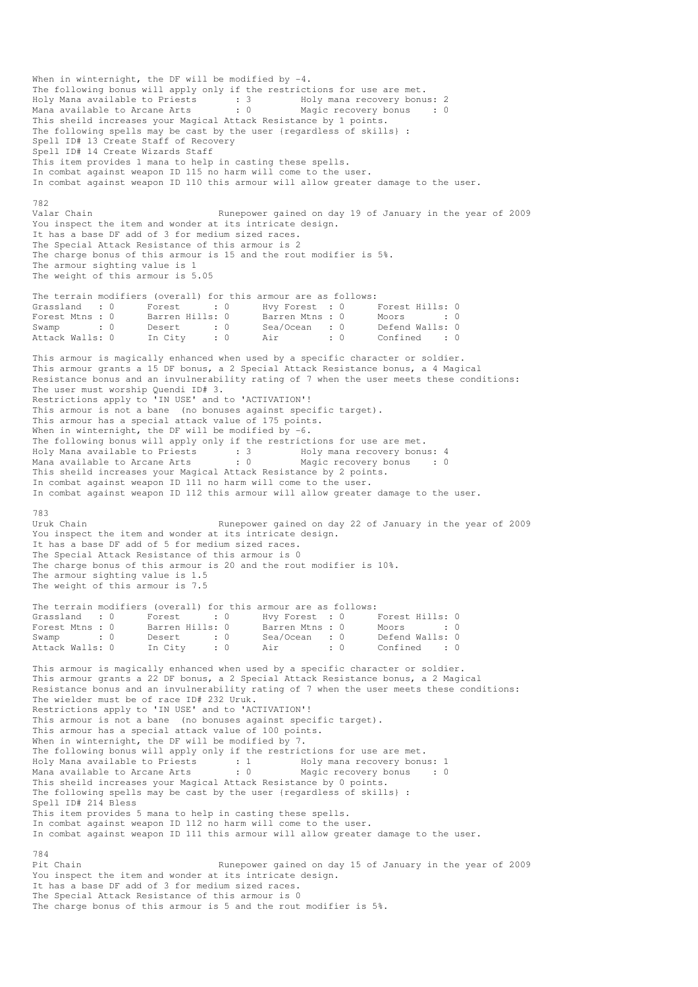When in winternight, the DF will be modified by  $-4$ . The following bonus will apply only if the restrictions for use are met. Holy Mana available to Priests : 3 Holy mana recovery bonus: 2 Mana available to Arcane Arts : 0 Magic recovery bonus : 0 This sheild increases your Magical Attack Resistance by 1 points. The following spells may be cast by the user {regardless of skills} : Spell ID# 13 Create Staff of Recovery Spell ID# 14 Create Wizards Staff This item provides 1 mana to help in casting these spells. In combat against weapon ID 115 no harm will come to the user. In combat against weapon ID 110 this armour will allow greater damage to the user. 782<br>Valar Chain Runepower gained on day 19 of January in the year of 2009 You inspect the item and wonder at its intricate design. It has a base DF add of 3 for medium sized races. The Special Attack Resistance of this armour is 2 The charge bonus of this armour is 15 and the rout modifier is 5%. The armour sighting value is 1 The weight of this armour is 5.05 The terrain modifiers (overall) for this armour are as follows: Grassland : 0 Forest : 0 Hvy Forest : 0 Forest Hills: 0<br>Forest Mtns : 0 Barren Hills: 0 Barren Mtns : 0 Moors : 0 Hvy rorest . . . . . . . . . . . . . 0<br>Barren Mtns : 0 Moors : . . . . . . 0 Swamp : 0 Desert : 0 Sea/Ocean : 0 Defend Walls: 0<br>Attack Walls: 0 In City : 0 Air : 0 Confined : 0 . 0 Air : 0 Confined : 0 This armour is magically enhanced when used by a specific character or soldier. This armour grants a 15 DF bonus, a 2 Special Attack Resistance bonus, a 4 Magical Resistance bonus and an invulnerability rating of 7 when the user meets these conditions: The user must worship Quendi ID# 3. Restrictions apply to 'IN USE' and to 'ACTIVATION'! This armour is not a bane (no bonuses against specific target). This armour has a special attack value of 175 points. When in winternight, the DF will be modified by  $-6$ . The following bonus will apply only if the restrictions for use are met. Holy Mana available to Priests : 3 Holy mana recovery bonus: 4 Mana available to Arcane Arts : 0 Magic recovery bonus : 0 This sheild increases your Magical Attack Resistance by 2 points. In combat against weapon ID 111 no harm will come to the user. In combat against weapon ID 112 this armour will allow greater damage to the user. 783<br>Uruk Chain Runepower gained on day 22 of January in the year of 2009 You inspect the item and wonder at its intricate design. It has a base DF add of 5 for medium sized races. The Special Attack Resistance of this armour is 0 The charge bonus of this armour is 20 and the rout modifier is 10%. The armour sighting value is 1.5 The weight of this armour is 7.5 The terrain modifiers (overall) for this armour are as follows: Grassland : 0 Forest : 0 Hvy Forest : 0 Forest Hills: 0 Forest Mtns : 0 Barren Hills: 0 Barren Mtns : 0 Moors : 0 : 0 Swamp : 0 Desert : 0 Sea/Ocean : 0 Defend Walls: 0 Attack Walls: 0 In City : 0 Air : 0 Confined : 0 This armour is magically enhanced when used by a specific character or soldier. This armour grants a 22 DF bonus, a 2 Special Attack Resistance bonus, a 2 Magical Resistance bonus and an invulnerability rating of 7 when the user meets these conditions: The wielder must be of race ID# 232 Uruk. Restrictions apply to 'IN USE' and to 'ACTIVATION'! This armour is not a bane (no bonuses against specific target). This armour has a special attack value of 100 points. When in winternight, the DF will be modified by 7. The following bonus will apply only if the restrictions for use are met. Holy Mana available to Priests : 1 Holy mana recovery bonus: 1 Mana available to Arcane Arts : 0 Magic recovery bonus : 0 This sheild increases your Magical Attack Resistance by 0 points. The following spells may be cast by the user {regardless of skills} : Spell ID# 214 Bless This item provides 5 mana to help in casting these spells. In combat against weapon ID 112 no harm will come to the user. In combat against weapon ID 111 this armour will allow greater damage to the user. 784 Pit Chain Runepower gained on day 15 of January in the year of 2009 You inspect the item and wonder at its intricate design. It has a base DF add of 3 for medium sized races. The Special Attack Resistance of this armour is 0 The charge bonus of this armour is 5 and the rout modifier is 5%.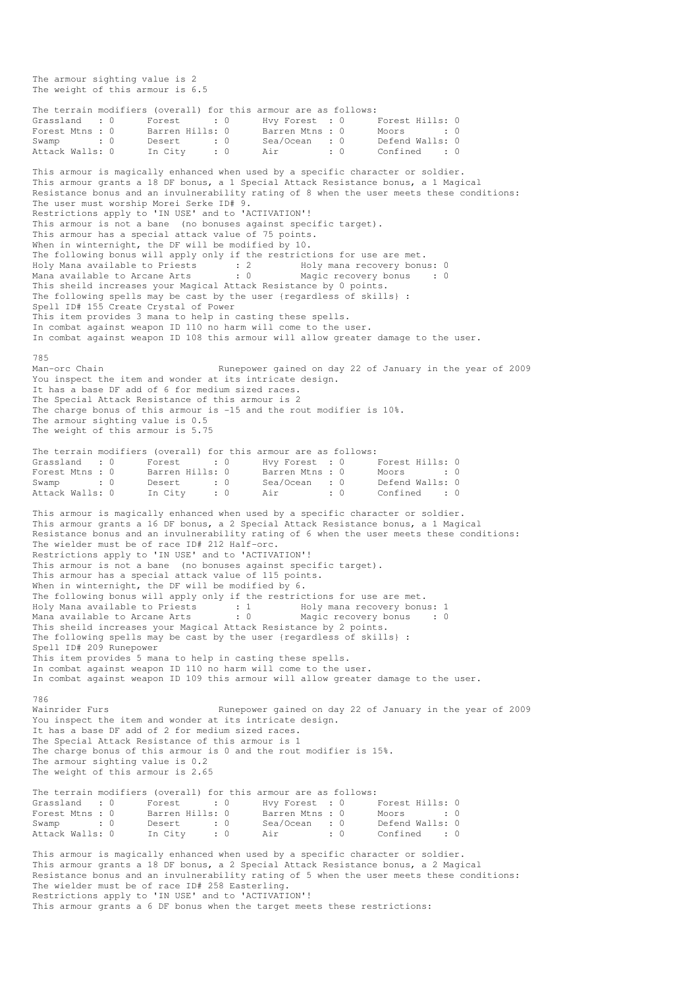The armour sighting value is 2 The weight of this armour is 6.5 The terrain modifiers (overall) for this armour are as follows: Grassland : 0 Forest : 0 Hvy Forest : 0 Forest Hills: 0 Forest Mtns : 0 Barren Hills: 0 Barren Mtns : 0 Moors : 0 : 0 Swamp : 0 Desert : 0 Sea/Ocean : 0 Defend Walls: 0 Attack Walls: 0 In City : 0 Air : 0 Confined : 0 This armour is magically enhanced when used by a specific character or soldier. This armour grants a 18 DF bonus, a 1 Special Attack Resistance bonus, a 1 Magical Resistance bonus and an invulnerability rating of 8 when the user meets these conditions: The user must worship Morei Serke ID# 9. Restrictions apply to 'IN USE' and to 'ACTIVATION'! This armour is not a bane (no bonuses against specific target). This armour has a special attack value of 75 points. When in winternight, the DF will be modified by 10. The following bonus will apply only if the restrictions for use are met. Holy Mana available to Priests : 2 Holy mana recovery bonus: 0 Mana available to Arcane Arts : 0 Magic recovery bonus : 0 This sheild increases your Magical Attack Resistance by 0 points. The following spells may be cast by the user {regardless of skills} : Spell ID# 155 Create Crystal of Power This item provides 3 mana to help in casting these spells. In combat against weapon ID 110 no harm will come to the user. In combat against weapon ID 108 this armour will allow greater damage to the user. 785 Man-orc Chain Runepower gained on day 22 of January in the year of 2009 You inspect the item and wonder at its intricate design. It has a base DF add of 6 for medium sized races. The Special Attack Resistance of this armour is 2 The charge bonus of this armour is -15 and the rout modifier is 10%. The armour sighting value is 0.5 The weight of this armour is 5.75 The terrain modifiers (overall) for this armour are as follows: Grassland : 0 Forest : 0 Hvy Forest : 0 Forest Hills: 0 Forest Mtns : 0 Barren Hills: 0 Barren Mtns : 0 Moors : 0 : 0 Swamp : 0 Desert : 0 Sea/Ocean : 0 Defend Walls: 0 Attack Walls: 0 In City : 0 Air : 0 Confined : 0 This armour is magically enhanced when used by a specific character or soldier. This armour grants a 16 DF bonus, a 2 Special Attack Resistance bonus, a 1 Magical Resistance bonus and an invulnerability rating of 6 when the user meets these conditions: The wielder must be of race ID# 212 Half-orc. Restrictions apply to 'IN USE' and to 'ACTIVATION'! This armour is not a bane (no bonuses against specific target). This armour has a special attack value of 115 points. When in winternight, the DF will be modified by 6. The following bonus will apply only if the restrictions for use are met. Holy Mana available to Priests : 1 Holy mana recovery bonus: 1 Mana available to Arcane Arts : 0 Magic recovery bonus : 0 This sheild increases your Magical Attack Resistance by 2 points. The following spells may be cast by the user {regardless of skills} : Spell ID# 209 Runepower This item provides 5 mana to help in casting these spells. In combat against weapon ID 110 no harm will come to the user. In combat against weapon ID 109 this armour will allow greater damage to the user. 786<br>Wainrider Furs Runepower gained on day 22 of January in the year of 2009 You inspect the item and wonder at its intricate design. It has a base DF add of 2 for medium sized races. The Special Attack Resistance of this armour is 1 The charge bonus of this armour is 0 and the rout modifier is 15%. The armour sighting value is 0.2 The weight of this armour is 2.65 The terrain modifiers (overall) for this armour are as follows: Grassland : 0 Forest : 0 Hvy Forest : 0 Forest Hills: 0 Forest Mtns : 0 Barren Hills: 0 Barren Mtns : 0 Moors : 0 : 0 Swamp : 0 Desert : 0 Sea/Ocean : 0 Defend Walls: 0 Attack Walls: 0 In City : 0 Air : 0 Confined : 0 This armour is magically enhanced when used by a specific character or soldier. This armour grants a 18 DF bonus, a 2 Special Attack Resistance bonus, a 2 Magical Resistance bonus and an invulnerability rating of 5 when the user meets these conditions: The wielder must be of race ID# 258 Easterling. Restrictions apply to 'IN USE' and to 'ACTIVATION'!

This armour grants a 6 DF bonus when the target meets these restrictions: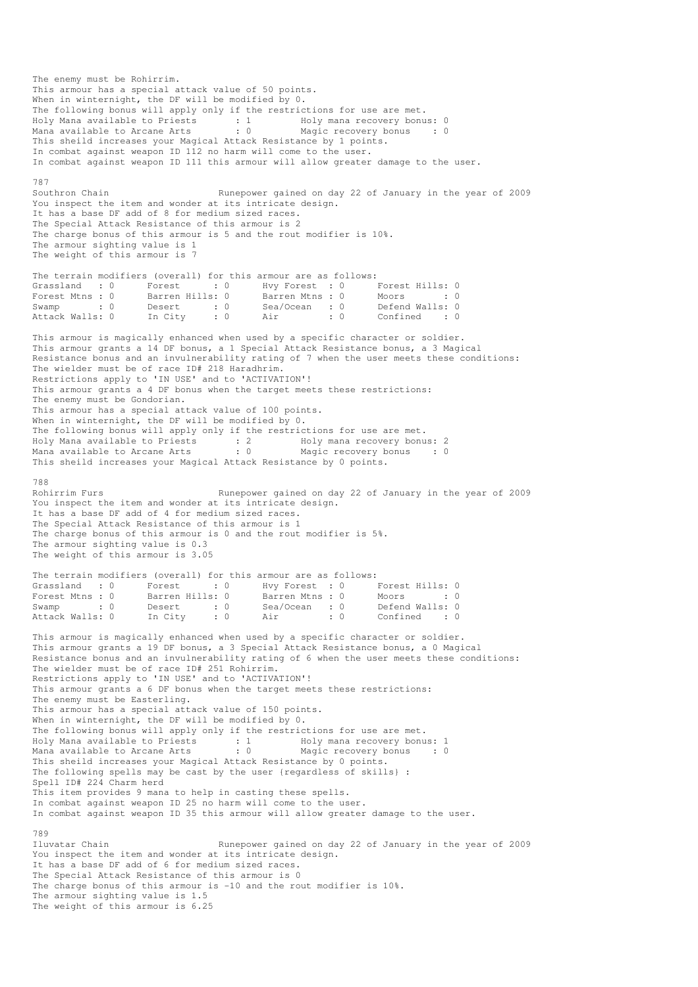The enemy must be Rohirrim. This armour has a special attack value of 50 points. When in winternight, the DF will be modified by 0. The following bonus will apply only if the restrictions for use are met. Holy Mana available to Priests : 1 Moly mana recovery bonus: 0 Mana available to Arcane Arts : 0 Magic recovery bonus : 0 This sheild increases your Magical Attack Resistance by 1 points. In combat against weapon ID 112 no harm will come to the user. In combat against weapon ID 111 this armour will allow greater damage to the user. 787 Southron Chain Runepower gained on day 22 of January in the year of 2009 You inspect the item and wonder at its intricate design. It has a base DF add of 8 for medium sized races. The Special Attack Resistance of this armour is 2 The charge bonus of this armour is 5 and the rout modifier is 10%. The armour sighting value is 1 The weight of this armour is 7 The terrain modifiers (overall) for this armour are as follows: Grassland : 0 Forest : 0 Hvy Forest : 0 Forest Hills: 0 Forest Mtns : 0 Barren Hills: 0 Barren Mtns : 0 Moors : 0 : 0 Swamp : 0 Desert : 0 Sea/Ocean : 0 Defend Walls: 0<br>Attack Walls: 0 In City : 0 Air : 0 Confined : 0 Attack Walls: 0 In City : 0 Air : 0 Confined : 0 This armour is magically enhanced when used by a specific character or soldier. This armour grants a 14 DF bonus, a 1 Special Attack Resistance bonus, a 3 Magical Resistance bonus and an invulnerability rating of 7 when the user meets these conditions: The wielder must be of race ID# 218 Haradhrim. Restrictions apply to 'IN USE' and to 'ACTIVATION'! This armour grants a 4 DF bonus when the target meets these restrictions: The enemy must be Gondorian. This armour has a special attack value of 100 points. When in winternight, the DF will be modified by 0. The following bonus will apply only if the restrictions for use are met. Holy Mana available to Priests : 2 Holy mana recovery bonus: 2 Mana available to Arcane Arts : 0 Magic recovery bonus : 0 This sheild increases your Magical Attack Resistance by 0 points. 788<br>Rohirrim Furs Runepower gained on day 22 of January in the year of 2009 You inspect the item and wonder at its intricate design. It has a base DF add of 4 for medium sized races. The Special Attack Resistance of this armour is 1 The charge bonus of this armour is 0 and the rout modifier is 5%. The armour sighting value is 0.3 The weight of this armour is 3.05 The terrain modifiers (overall) for this armour are as follows: Grassland : 0 Forest : 0 Hvy Forest : 0 Forest Hills: 0 Forest Mtns : 0 Barren Hills: 0 Barren Mtns : 0 Moors : 0 : 0 Swamp : 0 Desert : 0 Sea/Ocean : 0 Defend Walls: 0 Attack Walls: 0 In City : 0 Air : 0 Confined : 0 This armour is magically enhanced when used by a specific character or soldier. This armour grants a 19 DF bonus, a 3 Special Attack Resistance bonus, a 0 Magical Resistance bonus and an invulnerability rating of 6 when the user meets these conditions: The wielder must be of race ID# 251 Rohirrim. Restrictions apply to 'IN USE' and to 'ACTIVATION'! This armour grants a 6 DF bonus when the target meets these restrictions: The enemy must be Easterling. This armour has a special attack value of 150 points. When in winternight, the DF will be modified by 0. The following bonus will apply only if the restrictions for use are met. Holy Mana available to Priests : 1 Holy mana recovery bonus: 1 Mana available to Arcane Arts : 0 Magic recovery bonus : 0 This sheild increases your Magical Attack Resistance by 0 points. The following spells may be cast by the user {regardless of skills} : Spell ID# 224 Charm herd This item provides 9 mana to help in casting these spells. In combat against weapon ID 25 no harm will come to the user. In combat against weapon ID 35 this armour will allow greater damage to the user. 789 Iluvatar Chain Runepower gained on day 22 of January in the year of 2009 You inspect the item and wonder at its intricate design. It has a base DF add of 6 for medium sized races. The Special Attack Resistance of this armour is 0 The charge bonus of this armour is -10 and the rout modifier is 10%. The armour sighting value is 1.5 The weight of this armour is 6.25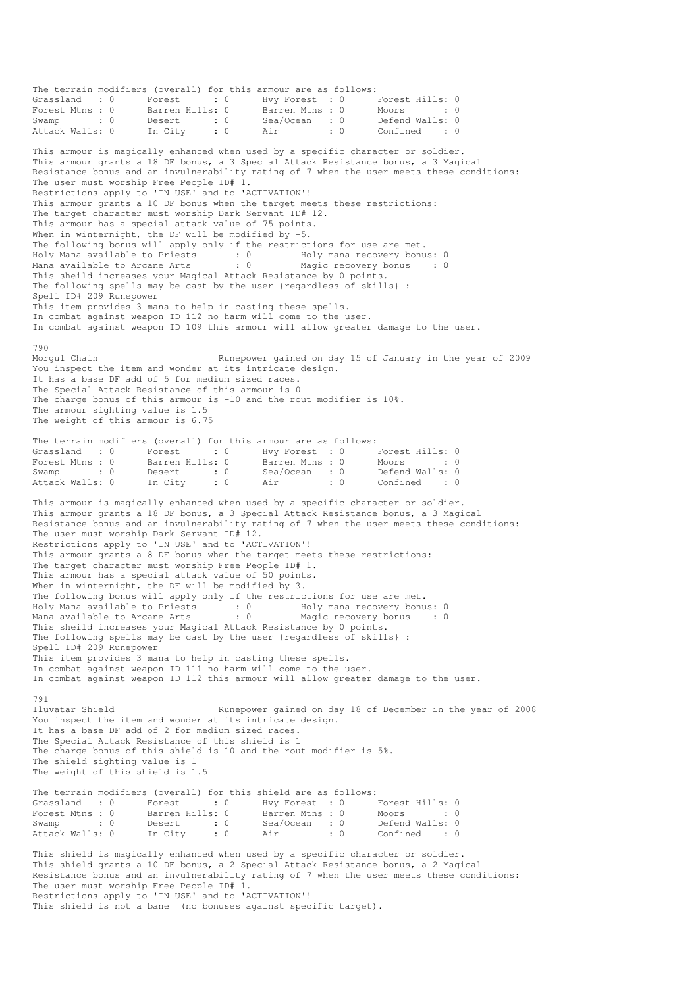The terrain modifiers (overall) for this armour are as follows: Grassland : 0 Forest : 0 Hvy Forest : 0 Forest Hills: 0 Forest Mtns : 0 Barren Hills: 0 Barren Mtns : 0 Moors : 0 : 0 Swamp : 0 Desert : 0 Sea/Ocean : 0 Defend Walls: 0 Attack Walls: 0 In City : 0 Air : 0 Confined : 0 This armour is magically enhanced when used by a specific character or soldier. This armour grants a 18 DF bonus, a 3 Special Attack Resistance bonus, a 3 Magical Resistance bonus and an invulnerability rating of 7 when the user meets these conditions: The user must worship Free People ID# 1. Restrictions apply to 'IN USE' and to 'ACTIVATION'! This armour grants a 10 DF bonus when the target meets these restrictions: The target character must worship Dark Servant ID# 12. This armour has a special attack value of 75 points. When in winternight, the DF will be modified by -5. The following bonus will apply only if the restrictions for use are met. Holy Mana available to Priests : 0 69 Holy mana recovery bonus: 0 Mana available to Arcane Arts : 0 Magic recovery bonus : 0 This sheild increases your Magical Attack Resistance by 0 points. The following spells may be cast by the user {regardless of skills} : Spell ID# 209 Runepower This item provides 3 mana to help in casting these spells. In combat against weapon ID 112 no harm will come to the user. In combat against weapon ID 109 this armour will allow greater damage to the user. 790<br>Morqul Chain Runepower gained on day 15 of January in the year of 2009 You inspect the item and wonder at its intricate design. It has a base DF add of 5 for medium sized races. The Special Attack Resistance of this armour is 0 The charge bonus of this armour is  $-10$  and the rout modifier is  $10\%$ . The armour sighting value is 1.5 The weight of this armour is 6.75 The terrain modifiers (overall) for this armour are as follows: Grassland : 0 Forest : 0 Hvy Forest : 0 Forest Hills: 0 Forest Mtns : 0 Barren Hills: 0 Barren Mtns : 0 Moors : 0 : 0 Forest Mtns : 0 Barren Hills: 0 Barren Mtns : 0 Moors : 0<br>
Swamp : 0 Desert : 0 Sea/Ocean : 0 Defend Walls: 0<br>
Attack Walls: 0 In City : 0 Air : 0 Confined : 0 In City : 0 Air : 0 Confined : 0 This armour is magically enhanced when used by a specific character or soldier. This armour grants a 18 DF bonus, a 3 Special Attack Resistance bonus, a 3 Magical Resistance bonus and an invulnerability rating of 7 when the user meets these conditions: The user must worship Dark Servant ID# 12. Restrictions apply to 'IN USE' and to 'ACTIVATION'! This armour grants a 8 DF bonus when the target meets these restrictions: The target character must worship Free People ID# 1. This armour has a special attack value of 50 points. When in winternight, the DF will be modified by 3. The following bonus will apply only if the restrictions for use are met. Holy Mana available to Priests : 0 Holy mana recovery bonus: 0 Mana available to Arcane Arts : 0 Magic recovery bonus : 0 This sheild increases your Magical Attack Resistance by 0 points. The following spells may be cast by the user {regardless of skills} : Spell ID# 209 Runepower This item provides 3 mana to help in casting these spells. In combat against weapon ID 111 no harm will come to the user. In combat against weapon ID 112 this armour will allow greater damage to the user. 791<br>Iluvatar Shield Runepower gained on day 18 of December in the year of 2008 You inspect the item and wonder at its intricate design. It has a base DF add of 2 for medium sized races. The Special Attack Resistance of this shield is 1 The charge bonus of this shield is 10 and the rout modifier is 5%. The shield sighting value is 1 The weight of this shield is 1.5 The terrain modifiers (overall) for this shield are as follows:<br>
Grassland : 0 Forest : 0 Hvy Forest : 0<br>
Forest Mtns : 0 Barren Hills: 0 Barren Mtns : 0 Grassland : 0 Forest : 0 Hvy Forest : 0 Forest Hills: 0 Forest Mtns : 0 Barren Hills: 0 Barren Mtns : 0 Moors : 0 : 0 Swamp : 0 Desert : 0 Sea/Ocean : 0 Defend Walls: 0 Attack Walls: 0 In City : 0 Air : 0 Confined : 0 This shield is magically enhanced when used by a specific character or soldier. This shield grants a 10 DF bonus, a 2 Special Attack Resistance bonus, a 2 Magical Resistance bonus and an invulnerability rating of 7 when the user meets these conditions: The user must worship Free People ID# 1. Restrictions apply to 'IN USE' and to 'ACTIVATION'!

This shield is not a bane (no bonuses against specific target).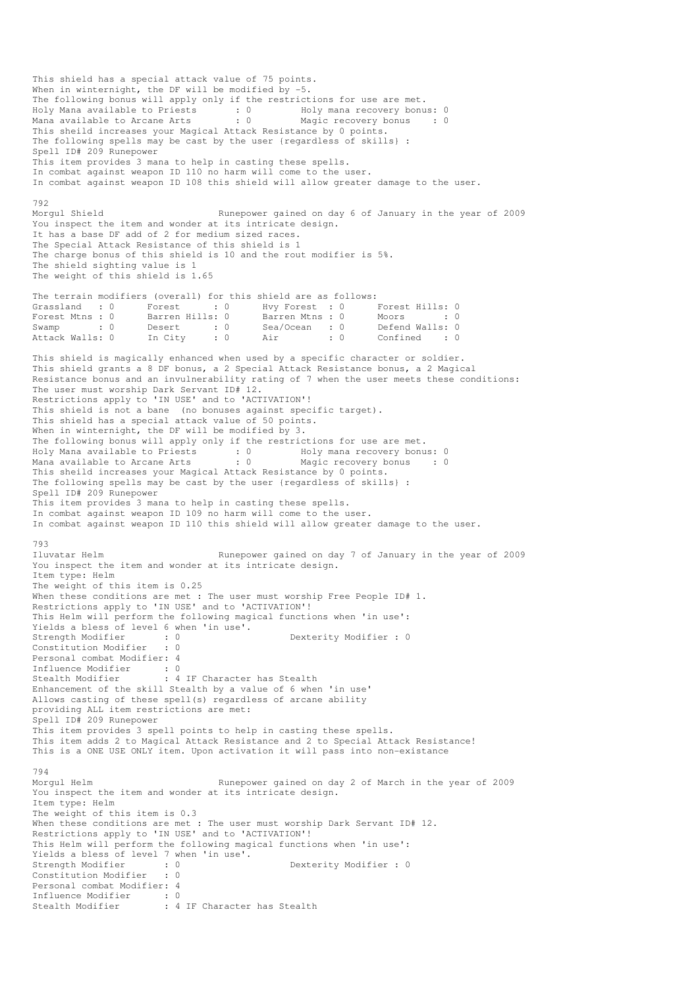This shield has a special attack value of 75 points. When in winternight, the DF will be modified by -5. The following bonus will apply only if the restrictions for use are met. Holy Mana available to Priests : 0 Holy mana recovery bonus: 0 Mana available to Arcane Arts : 0 Magic recovery bonus : 0 This sheild increases your Magical Attack Resistance by 0 points. The following spells may be cast by the user {regardless of skills} : Spell ID# 209 Runepower This item provides 3 mana to help in casting these spells. In combat against weapon ID 110 no harm will come to the user. In combat against weapon ID 108 this shield will allow greater damage to the user. 792<br>Morqul Shield Runepower gained on day 6 of January in the year of 2009 You inspect the item and wonder at its intricate design. It has a base DF add of 2 for medium sized races. The Special Attack Resistance of this shield is 1 The charge bonus of this shield is 10 and the rout modifier is 5%. The shield sighting value is 1 The weight of this shield is 1.65 The terrain modifiers (overall) for this shield are as follows: Grassland : 0 Forest : 0 Hvy Forest : 0 Forest Hills: 0<br>Forest Mtns : 0 Barren Hills: 0 Barren Mtns : 0 Moors : 0 Form Medicies Moors : 0 Barren Mtns : 0 Moors : 0 9 Moors : 0 Moors : 0 Moors : 0 Moors : 0 Moors : 0 Moors : 0 Moors : 0 Moors : 0 Moors : 0 Moors : 0 Moors : 0 Moors : 0 Moors : 0 Moors : 0 Moors : 0 Moors : 0 Moors : 0 Swamp : 0 Desert : 0 Sea/Ocean : 0<br>Attack Walls: 0 In City : 0 Air : 0 In City : 0 Air : 0 Confined : 0 This shield is magically enhanced when used by a specific character or soldier. This shield grants a 8 DF bonus, a 2 Special Attack Resistance bonus, a 2 Magical Resistance bonus and an invulnerability rating of 7 when the user meets these conditions: The user must worship Dark Servant ID# 12. Restrictions apply to 'IN USE' and to 'ACTIVATION'! This shield is not a bane (no bonuses against specific target). This shield has a special attack value of 50 points. When in winternight, the DF will be modified by 3. The following bonus will apply only if the restrictions for use are met. Holy Mana available to Priests : 0 Holy mana recovery bonus: 0 Mana available to Arcane Arts : 0 Magic recovery bonus : 0 This sheild increases your Magical Attack Resistance by 0 points. The following spells may be cast by the user {regardless of skills} : Spell ID# 209 Runepower This item provides 3 mana to help in casting these spells. In combat against weapon ID 109 no harm will come to the user. In combat against weapon ID 110 this shield will allow greater damage to the user. 793 Iluvatar Helm Runepower gained on day 7 of January in the year of 2009 You inspect the item and wonder at its intricate design. Item type: Helm The weight of this item is 0.25 When these conditions are met : The user must worship Free People ID# 1. Restrictions apply to 'IN USE' and to 'ACTIVATION'! This Helm will perform the following magical functions when 'in use': Yields a bless of level 6 when 'in use'. Strength Modifier : 0 0 Dexterity Modifier : 0 Constitution Modifier : 0 Personal combat Modifier: 4 Influence Modifier : 0<br>Stealth Modifier : 4 : 4 IF Character has Stealth Enhancement of the skill Stealth by a value of 6 when 'in use' Allows casting of these spell(s) regardless of arcane ability providing ALL item restrictions are met: Spell ID# 209 Runepower This item provides 3 spell points to help in casting these spells. This item adds 2 to Magical Attack Resistance and 2 to Special Attack Resistance! This is a ONE USE ONLY item. Upon activation it will pass into non-existance 794 Morgul Helm **Runepower gained on day 2 of March in the year of 2009** You inspect the item and wonder at its intricate design. Item type: Helm The weight of this item is 0.3 When these conditions are met : The user must worship Dark Servant ID# 12. Restrictions apply to 'IN USE' and to 'ACTIVATION'! This Helm will perform the following magical functions when 'in use': Yields a bless of level 7 when 'in use'. Strength Modifier : 0 0 Dexterity Modifier : 0 Constitution Modifier : 0 Personal combat Modifier: 4 Influence Modifier : 0 Stealth Modifier : 4 IF Character has Stealth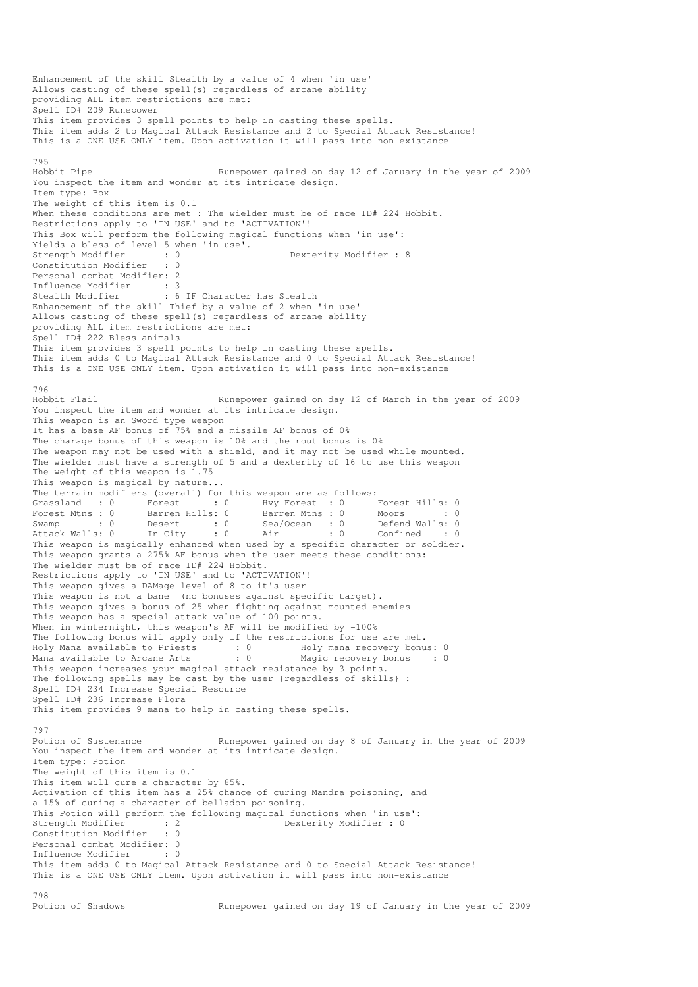Enhancement of the skill Stealth by a value of 4 when 'in use' Allows casting of these spell(s) regardless of arcane ability providing ALL item restrictions are met: Spell ID# 209 Runepower This item provides 3 spell points to help in casting these spells. This item adds 2 to Magical Attack Resistance and 2 to Special Attack Resistance! This is a ONE USE ONLY item. Upon activation it will pass into non-existance 795<br>Hobbit Pipe Runepower gained on day 12 of January in the year of 2009 You inspect the item and wonder at its intricate design. Item type: Box The weight of this item is 0.1 When these conditions are met : The wielder must be of race ID# 224 Hobbit. Restrictions apply to 'IN USE' and to 'ACTIVATION'! This Box will perform the following magical functions when 'in use': Yields a bless of level 5 when 'in use'. Strength Modifier : 0 0 Dexterity Modifier : 8 Constitution Modifier : 0 Personal combat Modifier: 2 Influence Modifier : 3 Stealth Modifier : 6 IF Character has Stealth Enhancement of the skill Thief by a value of 2 when 'in use' Allows casting of these spell(s) regardless of arcane ability providing ALL item restrictions are met: Spell ID# 222 Bless animals This item provides 3 spell points to help in casting these spells. This item adds 0 to Magical Attack Resistance and 0 to Special Attack Resistance! This is a ONE USE ONLY item. Upon activation it will pass into non-existance 796 Hobbit Flail Runepower gained on day 12 of March in the year of 2009 You inspect the item and wonder at its intricate design. This weapon is an Sword type weapon It has a base AF bonus of 75% and a missile AF bonus of 0% The charage bonus of this weapon is 10% and the rout bonus is 0% The weapon may not be used with a shield, and it may not be used while mounted. The wielder must have a strength of 5 and a dexterity of 16 to use this weapon The weight of this weapon is 1.75 This weapon is magical by nature... The terrain modifiers (overall) for this weapon are as follows: Grassland : 0 Forest : 0 Hvy Forest : 0 Forest Hills: 0 Forest Mtns : 0 Barren Hills: 0 Barren Mtns : 0 Moors : 0 : 0 Swamp : 0 Desert : 0 Sea/Ocean : 0 Defend Walls: 0 Attack Walls: 0 In City : 0 Air : 0 Confined : 0 This weapon is magically enhanced when used by a specific character or soldier. This weapon grants a 275% AF bonus when the user meets these conditions: The wielder must be of race ID# 224 Hobbit. Restrictions apply to 'IN USE' and to 'ACTIVATION'! This weapon gives a DAMage level of 8 to it's user This weapon is not a bane (no bonuses against specific target). This weapon gives a bonus of 25 when fighting against mounted enemies This weapon has a special attack value of 100 points. When in winternight, this weapon's AF will be modified by -100% The following bonus will apply only if the restrictions for use are met. Holy Mana available to Priests : 0 69 Holy mana recovery bonus: 0 Mana available to Arcane Arts : 0 Magic recovery bonus : 0 This weapon increases your magical attack resistance by 3 points. The following spells may be cast by the user {regardless of skills} : Spell ID# 234 Increase Special Resource Spell ID# 236 Increase Flora This item provides 9 mana to help in casting these spells. 797<br>Potion of Sustenance Runepower gained on day 8 of January in the year of 2009 You inspect the item and wonder at its intricate design. Item type: Potion The weight of this item is 0.1 This item will cure a character by 85%. Activation of this item has a 25% chance of curing Mandra poisoning, and a 15% of curing a character of belladon poisoning. This Potion will perform the following magical functions when 'in use':<br>Strength Modifier : 2<br>Constitution Modifier : 0<br>Constitution Modifier : 0 Strength Modifier : 2 Dexterity Modifier : 0 Constitution Modifier Personal combat Modifier: 0 Influence Modifier : 0 This item adds 0 to Magical Attack Resistance and 0 to Special Attack Resistance! This is a ONE USE ONLY item. Upon activation it will pass into non-existance 798<br>Potion of Shadows Runepower gained on day 19 of January in the year of 2009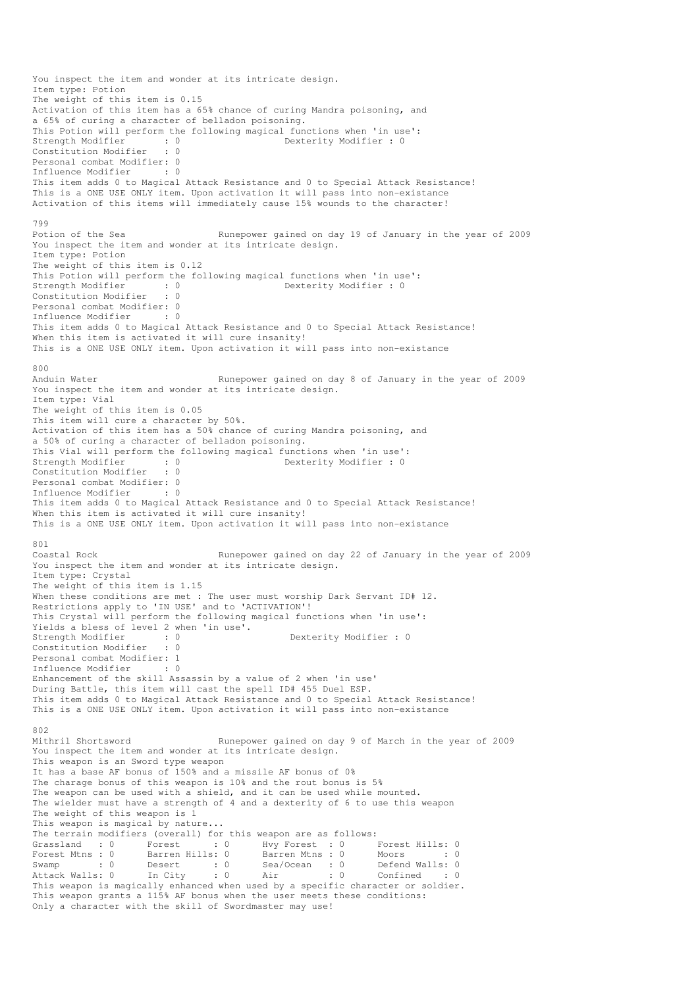You inspect the item and wonder at its intricate design. Item type: Potion The weight of this item is 0.15 Activation of this item has a 65% chance of curing Mandra poisoning, and a 65% of curing a character of belladon poisoning. This Potion will perform the following magical functions when 'in use': Strength Modifier : 0 0 Dexterity Modifier : 0 Constitution Modifier : 0 Personal combat Modifier: 0 Influence Modifier : 0 This item adds 0 to Magical Attack Resistance and 0 to Special Attack Resistance! This is a ONE USE ONLY item. Upon activation it will pass into non-existance Activation of this items will immediately cause 15% wounds to the character! 799 Potion of the Sea Runepower gained on day 19 of January in the year of 2009 You inspect the item and wonder at its intricate design. Item type: Potion The weight of this item is 0.12 This Potion will perform the following magical functions when 'in use':<br>Strength Modifier : 0<br>Dexterity Modifier : 0 Strength Modifier : 0 0 Dexterity Modifier : 0 Constitution Modifier : 0 Personal combat Modifier: 0 Influence Modifier : 0 This item adds 0 to Magical Attack Resistance and 0 to Special Attack Resistance! When this item is activated it will cure insanity! This is a ONE USE ONLY item. Upon activation it will pass into non-existance 800<br>Anduin Water Runepower gained on day 8 of January in the year of 2009 You inspect the item and wonder at its intricate design. Item type: Vial The weight of this item is 0.05 This item will cure a character by 50%. Activation of this item has a 50% chance of curing Mandra poisoning, and a 50% of curing a character of belladon poisoning. This Vial will perform the following magical functions when 'in use': Strength Modifier : 0 0 Dexterity Modifier : 0 Constitution Modifier : 0 Personal combat Modifier: 0 Influence Modifier : 0 This item adds 0 to Magical Attack Resistance and 0 to Special Attack Resistance! When this item is activated it will cure insanity! This is a ONE USE ONLY item. Upon activation it will pass into non-existance 801 Coastal Rock Runepower gained on day 22 of January in the year of 2009 You inspect the item and wonder at its intricate design. Item type: Crystal The weight of this item is 1.15 When these conditions are met : The user must worship Dark Servant ID# 12. Restrictions apply to 'IN USE' and to 'ACTIVATION'! This Crystal will perform the following magical functions when 'in use': Yields a bless of level 2 when 'in use'.<br>Strength Modifier : 0 Strength Modifier : 0 Dexterity Modifier : 0 Constitution Modifier : 0 Personal combat Modifier: 1<br>Tnfluence Modifier : 0 Influence Modifier Enhancement of the skill Assassin by a value of 2 when 'in use' During Battle, this item will cast the spell ID# 455 Duel ESP. This item adds 0 to Magical Attack Resistance and 0 to Special Attack Resistance! This is a ONE USE ONLY item. Upon activation it will pass into non-existance 802<br>Mithril Shortsword Runepower gained on day 9 of March in the year of 2009 You inspect the item and wonder at its intricate design. This weapon is an Sword type weapon It has a base AF bonus of 150% and a missile AF bonus of 0% The charage bonus of this weapon is 10% and the rout bonus is 5% The weapon can be used with a shield, and it can be used while mounted. The wielder must have a strength of 4 and a dexterity of 6 to use this weapon The weight of this weapon is 1 This weapon is magical by nature... The terrain modifiers (overall) for this weapon are as follows: Grassland : 0 Forest : 0 Hvy Forest : 0 Forest Hills: 0<br>Forest Mtns : 0 Barren Hills: 0 Barren Mtns : 0 Moors : 0 Forest Mtns : 0 Barren Hills: 0 Barren Mtns : 0 Moors : 0 : 0 Swamp : 0 Desert : 0 Sea/Ocean : 0 Defend Walls: 0 Attack Walls: 0 In City : 0 Air : 0 Confined : 0 This weapon is magically enhanced when used by a specific character or soldier. This weapon grants a 115% AF bonus when the user meets these conditions: Only a character with the skill of Swordmaster may use!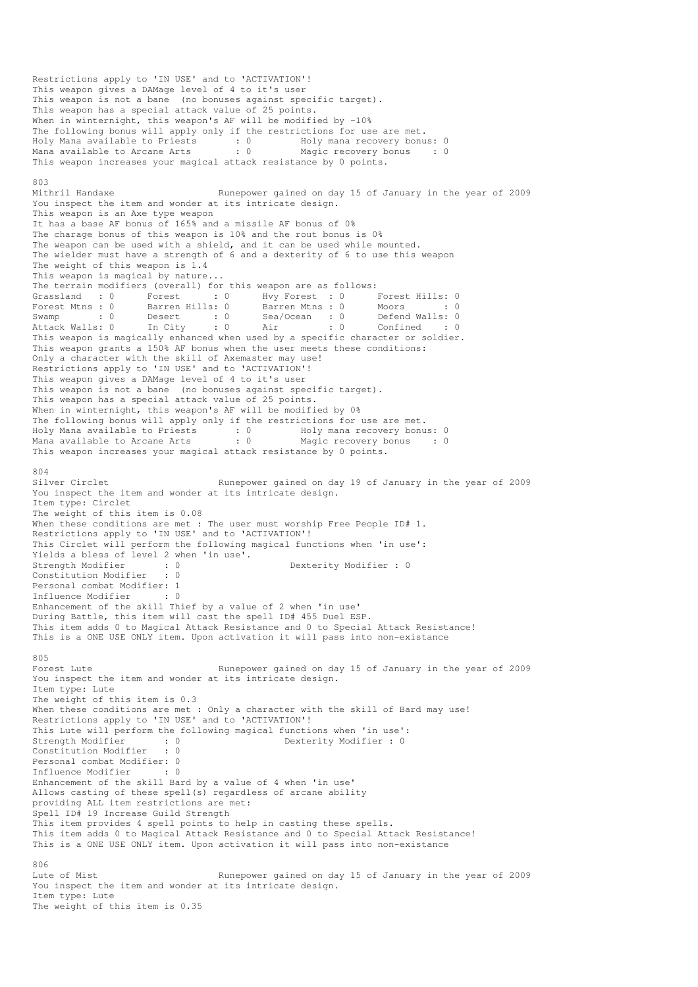Restrictions apply to 'IN USE' and to 'ACTIVATION'! This weapon gives a DAMage level of 4 to it's user This weapon is not a bane (no bonuses against specific target). This weapon has a special attack value of 25 points. When in winternight, this weapon's AF will be modified by -10% The following bonus will apply only if the restrictions for use are met. Holy Mana available to Priests : 0 Holy mana recovery bonus: 0 Mana available to Arcane Arts : 0 Magic recovery bonus : 0 This weapon increases your magical attack resistance by 0 points. 803 Mithril Handaxe **Runepower gained on day 15 of January in the year of 2009** You inspect the item and wonder at its intricate design. This weapon is an Axe type weapon It has a base AF bonus of 165% and a missile AF bonus of 0% The charage bonus of this weapon is 10% and the rout bonus is 0% The weapon can be used with a shield, and it can be used while mounted. The wielder must have a strength of 6 and a dexterity of 6 to use this weapon The weight of this weapon is 1.4 This weapon is magical by nature... The terrain modifiers (overall) for this weapon are as follows:<br>
Grassland : 0 Forest : 0 Hvy Forest : 0 I<br>
Forest Mtns : 0 Barren Hills: 0 Barren Mtns : 0 1 Grassland : 0 Forest : 0 Hvy Forest : 0 Forest Hills: 0 Forest Mtns : 0 Barren Hills: 0 Barren Mtns : 0 Moors : 0 : 0 Swamp : 0 Desert : 0 Sea/Ocean : 0 Defend Walls: 0 Attack Walls: 0 In City : 0 Air : 0 Confined : 0 This weapon is magically enhanced when used by a specific character or soldier. This weapon grants a 150% AF bonus when the user meets these conditions: Only a character with the skill of Axemaster may use! Restrictions apply to 'IN USE' and to 'ACTIVATION'! This weapon gives a DAMage level of 4 to it's user This weapon is not a bane (no bonuses against specific target). This weapon has a special attack value of 25 points. When in winternight, this weapon's AF will be modified by 0% The following bonus will apply only if the restrictions for use are met. Holy Mana available to Priests : 0 Holy mana recovery bonus: 0 Mana available to Arcane Arts : 0 Magic recovery bonus : 0 This weapon increases your magical attack resistance by 0 points. 804 Silver Circlet Runepower gained on day 19 of January in the year of 2009 You inspect the item and wonder at its intricate design. Item type: Circlet The weight of this item is 0.08 When these conditions are met : The user must worship Free People ID# 1. Restrictions apply to 'IN USE' and to 'ACTIVATION'! This Circlet will perform the following magical functions when 'in use': Yields a bless of level 2 when 'in use'.<br>Strength Modifier : 0<br>Constitution Modifier : 0 Strength Modifier : 0 0 Dexterity Modifier : 0 Constitution Modifier Personal combat Modifier: 1<br>Influence Modifier : 0 Influence Modifier Enhancement of the skill Thief by a value of 2 when 'in use' During Battle, this item will cast the spell ID# 455 Duel ESP. This item adds 0 to Magical Attack Resistance and 0 to Special Attack Resistance! This is a ONE USE ONLY item. Upon activation it will pass into non-existance 805<br>Forest Lute Runepower gained on day 15 of January in the year of 2009 You inspect the item and wonder at its intricate design. Item type: Lute The weight of this item is 0.3 When these conditions are met : Only a character with the skill of Bard may use! Restrictions apply to 'IN USE' and to 'ACTIVATION'! This Lute will perform the following magical functions when 'in use':<br>Strength Modifier : 0<br>Dexterity Modifier : 0 Strength Modifier : 0<br>Constitution Modifier : 0 Constitution Modifier Personal combat Modifier: 0<br>Influence Modifier : 0 Influence Modifier Enhancement of the skill Bard by a value of 4 when 'in use' Allows casting of these spell(s) regardless of arcane ability providing ALL item restrictions are met: Spell ID# 19 Increase Guild Strength This item provides 4 spell points to help in casting these spells. This item adds 0 to Magical Attack Resistance and 0 to Special Attack Resistance! This is a ONE USE ONLY item. Upon activation it will pass into non-existance  $806$ Lute of Mist The Runepower gained on day 15 of January in the year of 2009 You inspect the item and wonder at its intricate design. Item type: Lute The weight of this item is 0.35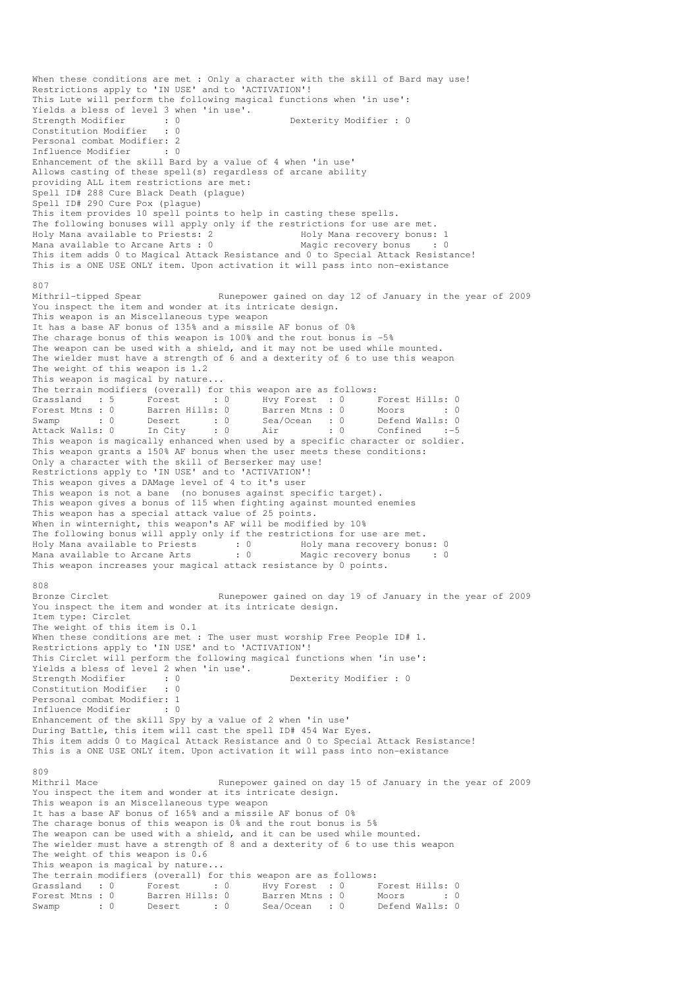When these conditions are met : Only a character with the skill of Bard may use! Restrictions apply to 'IN USE' and to 'ACTIVATION'! This Lute will perform the following magical functions when 'in use': Yields a bless of level 3 when 'in use'.<br>Strength Modifier : 0<br> Strength Modifier : 0<br>
Constitution Modifier : 0<br>
Onstitution Modifier : 0 Constitution Modifier Personal combat Modifier: 2<br>Influence Modifier : 0 Influence Modifier Enhancement of the skill Bard by a value of 4 when 'in use' Allows casting of these spell(s) regardless of arcane ability providing ALL item restrictions are met: Spell ID# 288 Cure Black Death (plague) Spell ID# 290 Cure Pox (plague) This item provides 10 spell points to help in casting these spells. The following bonuses will apply only if the restrictions for use are met. Holy Mana available to Priests: 2 Holy Mana recovery bonus: 1 Mana available to Arcane Arts : 0 Magic recovery bonus : 0 This item adds 0 to Magical Attack Resistance and 0 to Special Attack Resistance! This is a ONE USE ONLY item. Upon activation it will pass into non-existance 807<br>Mithril-tipped Spear Runepower gained on day 12 of January in the year of 2009 You inspect the item and wonder at its intricate design. This weapon is an Miscellaneous type weapon It has a base AF bonus of 135% and a missile AF bonus of 0% The charage bonus of this weapon is 100% and the rout bonus is -5% The weapon can be used with a shield, and it may not be used while mounted. The wielder must have a strength of 6 and a dexterity of 6 to use this weapon The weight of this weapon is 1.2 This weapon is magical by nature... The terrain modifiers (overall) for this weapon are as follows: Grassland : 5 Forest : 0 Hvy Forest : 0 Forest Hills: 0<br>
Forest Mtns : 0 Barren Hills: 0<br>
Swamp : 0 Desert : 0 Sea/Ocean : 0 Defend Walls: 0<br>
Attack Walls: 0 In City : 0 Air : 0 Confined :-5 Forest Mtns : 0 Barren Hills: 0 Barren Mtns : 0 Moors : 0 Swamp : 0 Desert : 0 Sea/Ocean : 0 Defend Walls: 0 Attack Walls: 0 In City : 0 Air : 0 Confined :-5 This weapon is magically enhanced when used by a specific character or soldier. This weapon grants a 150% AF bonus when the user meets these conditions: Only a character with the skill of Berserker may use! Restrictions apply to 'IN USE' and to 'ACTIVATION'! This weapon gives a DAMage level of 4 to it's user This weapon is not a bane (no bonuses against specific target). This weapon gives a bonus of 115 when fighting against mounted enemies This weapon has a special attack value of 25 points. When in winternight, this weapon's AF will be modified by 10% The following bonus will apply only if the restrictions for use are met. Holy Mana available to Priests : 0 Holy mana recovery bonus: 0 Mana available to Arcane Arts : 0 Magic recovery bonus : 0 This weapon increases your magical attack resistance by 0 points. 808<br>Bronze Circlet Runepower gained on day 19 of January in the year of 2009 You inspect the item and wonder at its intricate design. Item type: Circlet The weight of this item is 0.1 When these conditions are met : The user must worship Free People ID# 1. Restrictions apply to 'IN USE' and to 'ACTIVATION'! This Circlet will perform the following magical functions when 'in use': Yields a bless of level 2 when 'in use'. Strength Modifier : 0 0 Dexterity Modifier : 0 Constitution Modifier : 0 Personal combat Modifier: 1 Influence Modifier : 0 Enhancement of the skill Spy by a value of 2 when 'in use' During Battle, this item will cast the spell ID# 454 War Eyes. This item adds 0 to Magical Attack Resistance and 0 to Special Attack Resistance! This is a ONE USE ONLY item. Upon activation it will pass into non-existance 809 Mithril Mace The Runepower gained on day 15 of January in the year of 2009 You inspect the item and wonder at its intricate design. This weapon is an Miscellaneous type weapon It has a base AF bonus of 165% and a missile AF bonus of 0% The charage bonus of this weapon is 0% and the rout bonus is 5% The weapon can be used with a shield, and it can be used while mounted. The wielder must have a strength of 8 and a dexterity of 6 to use this weapon The weight of this weapon is 0.6 This weapon is magical by nature... The terrain modifiers (overall) for this weapon are as follows: Grassland : 0 Forest : 0 Hvy Forest : 0 Forest Hills: 0 Forest Mtns : 0 Barren Hills: 0 Barren Mtns : 0 Moors : 0 : 0 Forest Mtns : 0 Barren Hills: 0 Bealton Honor : 0 Befend Walls: 0<br>Swamp : 0 Desert : 0 Sea/Ocean : 0 Defend Walls: 0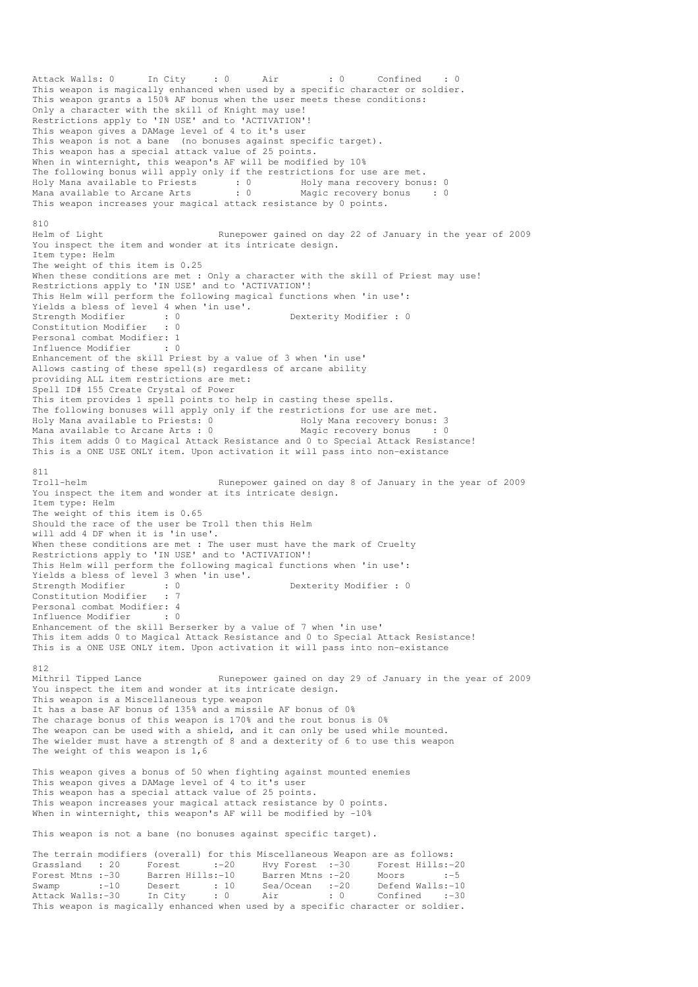Attack Walls: 0 In City : 0 Air : 0 Confined This weapon is magically enhanced when used by a specific character or soldier. This weapon grants a 150% AF bonus when the user meets these conditions: Only a character with the skill of Knight may use! Restrictions apply to 'IN USE' and to 'ACTIVATION'! This weapon gives a DAMage level of 4 to it's user This weapon is not a bane (no bonuses against specific target). This weapon has a special attack value of 25 points. When in winternight, this weapon's AF will be modified by 10% The following bonus will apply only if the restrictions for use are met. Holy Mana available to Priests : 0 Holy mana recovery bonus: 0 Mana available to Arcane Arts : 0 Magic recovery bonus : 0 This weapon increases your magical attack resistance by 0 points. 810 Helm of Light Runepower gained on day 22 of January in the year of 2009 You inspect the item and wonder at its intricate design. Item type: Helm The weight of this item is 0.25 When these conditions are met : Only a character with the skill of Priest may use! Restrictions apply to 'IN USE' and to 'ACTIVATION'! This Helm will perform the following magical functions when 'in use': Yields a bless of level 4 when 'in use'.<br>Strength Modifier : 0<br>Constitution Dexterity Modifier : 0 Constitution Modifier : 0 Personal combat Modifier: 1<br>Influence Modifier : 0 Influence Modifier Enhancement of the skill Priest by a value of 3 when 'in use' Allows casting of these spell(s) regardless of arcane ability providing ALL item restrictions are met: Spell ID# 155 Create Crystal of Power This item provides 1 spell points to help in casting these spells. The following bonuses will apply only if the restrictions for use are met. Holy Mana available to Priests: 0 Holy Mana recovery bonus: 3 Mana available to Arcane Arts :  $0$ This item adds 0 to Magical Attack Resistance and 0 to Special Attack Resistance! This is a ONE USE ONLY item. Upon activation it will pass into non-existance 811 Troll-helm Runepower gained on day 8 of January in the year of 2009 You inspect the item and wonder at its intricate design. Item type: Helm The weight of this item is 0.65 Should the race of the user be Troll then this Helm will add 4 DF when it is 'in use'. When these conditions are met : The user must have the mark of Cruelty Restrictions apply to 'IN USE' and to 'ACTIVATION'! This Helm will perform the following magical functions when 'in use': Yields a bless of level 3 when 'in use'. Strength Modifier : 0 0 Dexterity Modifier : 0 Constitution Modifier : 7 Personal combat Modifier: 4 Influence Modifier : 0 Enhancement of the skill Berserker by a value of 7 when 'in use' This item adds 0 to Magical Attack Resistance and 0 to Special Attack Resistance! This is a ONE USE ONLY item. Upon activation it will pass into non-existance 812<br>Mithril Tipped Lance Runepower gained on day 29 of January in the year of 2009 You inspect the item and wonder at its intricate design. This weapon is a Miscellaneous type weapon It has a base AF bonus of 135% and a missile AF bonus of 0% The charage bonus of this weapon is 170% and the rout bonus is 0% The weapon can be used with a shield, and it can only be used while mounted. The wielder must have a strength of 8 and a dexterity of 6 to use this weapon The weight of this weapon is  $1,6$ This weapon gives a bonus of 50 when fighting against mounted enemies This weapon gives a DAMage level of 4 to it's user This weapon has a special attack value of 25 points. This weapon increases your magical attack resistance by 0 points. When in winternight, this weapon's AF will be modified by -10% This weapon is not a bane (no bonuses against specific target). The terrain modifiers (overall) for this Miscellaneous Weapon are as follows: Grassland : 20 Forest :-20 Hvy Forest :-30 Forest Hills:-20<br>Forest Mtns :-30 Barren Hills:-10 Barren Mtns :-20 Moors :-5 Forest Mtns :-30 Barren Hills:-10 Barren Mtns :-20 Moors :-5 Swamp :-10 Desert : 10 Sea/Ocean :-20 Defend Walls:-10

Attack Walls:-30 In City : 0 Air : 0 Confined :-30 This weapon is magically enhanced when used by a specific character or soldier.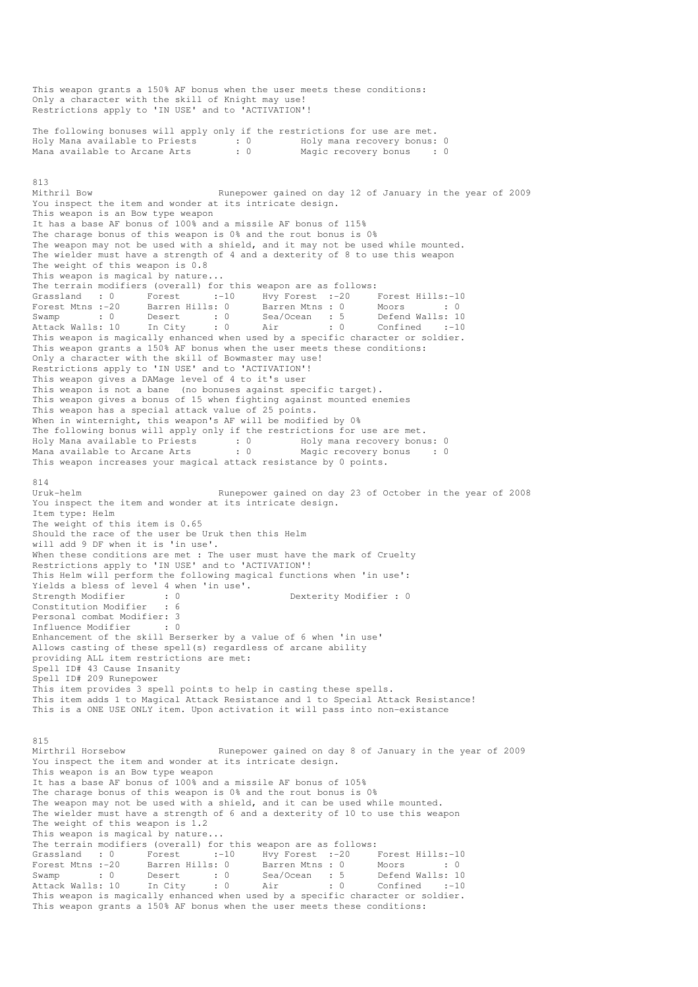This weapon grants a 150% AF bonus when the user meets these conditions: Only a character with the skill of Knight may use! Restrictions apply to 'IN USE' and to 'ACTIVATION'! The following bonuses will apply only if the restrictions for use are met. Holy Mana available to Priests : 0 Holy mana recovery bonus: 0 Mana available to Arcane Arts 813 Mithril Bow Runepower gained on day 12 of January in the year of 2009 You inspect the item and wonder at its intricate design. This weapon is an Bow type weapon It has a base AF bonus of 100% and a missile AF bonus of 115% The charage bonus of this weapon is 0% and the rout bonus is 0% The weapon may not be used with a shield, and it may not be used while mounted. The wielder must have a strength of 4 and a dexterity of 8 to use this weapon The weight of this weapon is 0.8 This weapon is magical by nature... The terrain modifiers (overall) for this weapon are as follows:<br>
Grassland : 0 Forest :-10 Hvy Forest :-20 I<br>
Forest Mtns :-20 Barren Hills: 0 Barren Mtns : 0 I Grassland : 0 Forest :-10 Hvy Forest :-20 Forest Hills:-10 Forest Mtns :-20 Barren Hills: 0 Barren Mtns : 0 Moors : 0 : 0 Swamp : 0 Desert : 0 Sea/Ocean : 5<br>Attack Walls: 10 In City : 0 Air : 0 Attack Walls: 10 In City : 0 Air : 0 Confined :-10 This weapon is magically enhanced when used by a specific character or soldier. This weapon grants a 150% AF bonus when the user meets these conditions: Only a character with the skill of Bowmaster may use! Restrictions apply to 'IN USE' and to 'ACTIVATION'! This weapon gives a DAMage level of 4 to it's user This weapon is not a bane (no bonuses against specific target). This weapon gives a bonus of 15 when fighting against mounted enemies This weapon has a special attack value of 25 points. When in winternight, this weapon's AF will be modified by 0% The following bonus will apply only if the restrictions for use are met.<br>Holy Mana available to Priests :  $0$  Holy mana recovery bonus:  $0$ Holy Mana available to Priests : 0 Holy mana recovery bonus: 0 Mana available to Arcane Arts : 0 Magic recovery bonus : 0 This weapon increases your magical attack resistance by 0 points. 814<br>Uruk-helm Runepower gained on day 23 of October in the year of 2008 You inspect the item and wonder at its intricate design. Item type: Helm The weight of this item is 0.65 Should the race of the user be Uruk then this Helm will add 9 DF when it is 'in use'. When these conditions are met : The user must have the mark of Cruelty Restrictions apply to 'IN USE' and to 'ACTIVATION'! This Helm will perform the following magical functions when 'in use': Yields a bless of level 4 when 'in use'.<br>Strength Modifier : 0 Strength Modifier : 0 Dexterity Modifier : 0 Constitution Modifier Personal combat Modifier: 3 Influence Modifier : 0 Enhancement of the skill Berserker by a value of 6 when 'in use' Allows casting of these spell(s) regardless of arcane ability providing ALL item restrictions are met: Spell ID# 43 Cause Insanity Spell ID# 209 Runepower This item provides 3 spell points to help in casting these spells. This item adds 1 to Magical Attack Resistance and 1 to Special Attack Resistance! This is a ONE USE ONLY item. Upon activation it will pass into non-existance 815<br>Mirthril Horsebow Runepower gained on day 8 of January in the year of 2009 You inspect the item and wonder at its intricate design. This weapon is an Bow type weapon It has a base AF bonus of 100% and a missile AF bonus of 105% The charage bonus of this weapon is 0% and the rout bonus is 0% The weapon may not be used with a shield, and it can be used while mounted. The wielder must have a strength of 6 and a dexterity of 10 to use this weapon The weight of this weapon is 1.2 This weapon is magical by nature... The terrain modifiers (overall) for this weapon are as follows:<br>Grassland : 0 Forest :-10 Hvy Forest :-20 1 Grassland : 0 Forest :-10 Hvy Forest :-20 Forest Hills:-10 Forest Mtns :-20 Barren Hills: 0 Barren Mtns : 0 Moors : 0 : 0 Swamp : 0 Desert : 0 Sea/Ocean : 5 Defend Walls: 10 Attack Walls: 10 In City : 0 Air : 0 Confined :-10 This weapon is magically enhanced when used by a specific character or soldier. This weapon grants a 150% AF bonus when the user meets these conditions: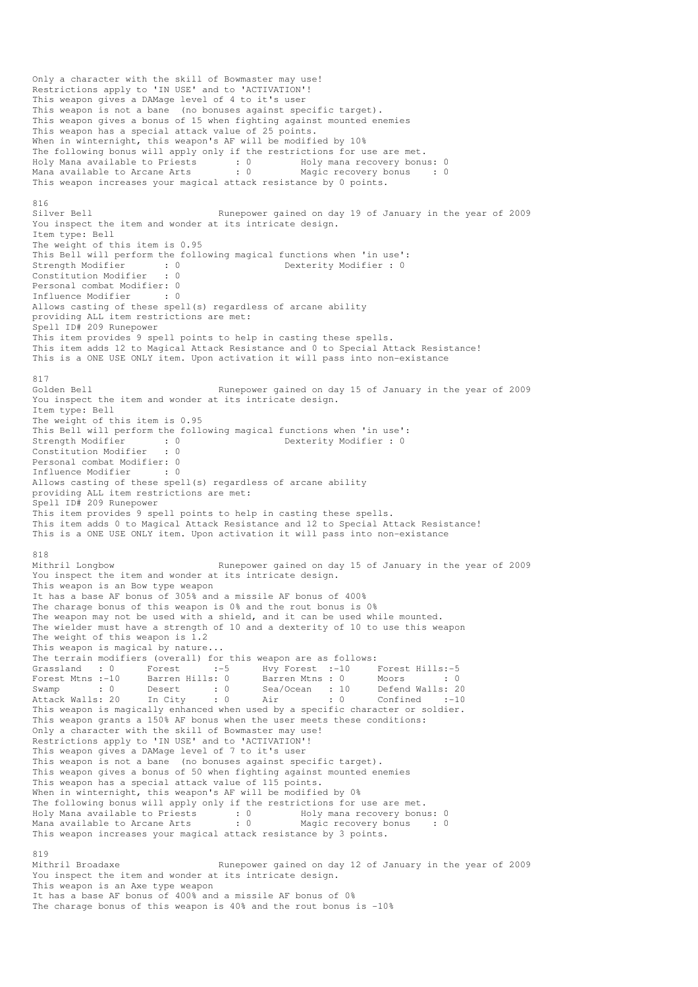Only a character with the skill of Bowmaster may use! Restrictions apply to 'IN USE' and to 'ACTIVATION'! This weapon gives a DAMage level of 4 to it's user This weapon is not a bane (no bonuses against specific target). This weapon gives a bonus of 15 when fighting against mounted enemies This weapon has a special attack value of 25 points. When in winternight, this weapon's AF will be modified by 10% The following bonus will apply only if the restrictions for use are met. Holy Mana available to Priests : 0 Holy mana recovery bonus: 0 Mana available to Arcane Arts : 0 Magic recovery bonus : 0 This weapon increases your magical attack resistance by 0 points. 816<br>Silver Bell Runepower gained on day 19 of January in the year of 2009 You inspect the item and wonder at its intricate design. Item type: Bell The weight of this item is 0.95 This Bell will perform the following magical functions when 'in use': Strength Modifier : 0 Dexterity Modifier : 0<br>
Constitution Modifier : 0 Constitution Modifier Personal combat Modifier: 0 Influence Modifier : 0 Allows casting of these spell(s) regardless of arcane ability providing ALL item restrictions are met: Spell ID# 209 Runepower This item provides 9 spell points to help in casting these spells. This item adds 12 to Magical Attack Resistance and 0 to Special Attack Resistance! This is a ONE USE ONLY item. Upon activation it will pass into non-existance 817<br>Golden Bell Runepower gained on day 15 of January in the year of 2009 You inspect the item and wonder at its intricate design. Item type: Bell The weight of this item is 0.95 This Bell will perform the following magical functions when 'in use':<br>Strength Modifier : 0<br>Dexterity Modifier : 0 Strength Modifier : 0 0 Dexterity Modifier : 0 Constitution Modifier : 0 Personal combat Modifier: 0 Influence Modifier : 0 Allows casting of these spell(s) regardless of arcane ability providing ALL item restrictions are met: Spell ID# 209 Runepower This item provides 9 spell points to help in casting these spells. This item adds 0 to Magical Attack Resistance and 12 to Special Attack Resistance! This is a ONE USE ONLY item. Upon activation it will pass into non-existance 818 Mithril Longbow Runepower gained on day 15 of January in the year of 2009 You inspect the item and wonder at its intricate design. This weapon is an Bow type weapon It has a base AF bonus of 305% and a missile AF bonus of 400% The charage bonus of this weapon is 0% and the rout bonus is 0% The weapon may not be used with a shield, and it can be used while mounted. The wielder must have a strength of 10 and a dexterity of 10 to use this weapon The weight of this weapon is 1.2 This weapon is magical by nature... The terrain modifiers (overall) for this weapon are as follows: Grassland : 0 Forest :-5 Hvy Forest :-10 Forest Hills:-5<br>
Forest Mtns :-10 Barren Hills: 0 Barren Mtns : 0 Moors : 0<br>
Swamp : 0 Desert : 0 Sea/Ocean : 10 Defend Walls: 20<br>
Attack Walls: 20 In City : 0 Air : 0 Confined :-10 Forest Mtns :-10 Barren Hills: 0 Barren Mtns : 0 Moors : 0 : 0 Swamp : 0 Desert : 0 Sea/Ocean : 10 Defend Walls: 20 Attack Walls: 20 In City : 0 Air : 0 Confined :-10 This weapon is magically enhanced when used by a specific character or soldier. This weapon grants a 150% AF bonus when the user meets these conditions: Only a character with the skill of Bowmaster may use! Restrictions apply to 'IN USE' and to 'ACTIVATION'! This weapon gives a DAMage level of 7 to it's user This weapon is not a bane (no bonuses against specific target). This weapon gives a bonus of 50 when fighting against mounted enemies This weapon has a special attack value of 115 points. When in winternight, this weapon's AF will be modified by 0% The following bonus will apply only if the restrictions for use are met. Holy Mana available to Priests : 0 Holy mana recovery bonus: 0 Mana available to Arcane Arts : 0 Magic recovery bonus : 0 This weapon increases your magical attack resistance by 3 points. 819 Mithril Broadaxe Runepower gained on day 12 of January in the year of 2009 You inspect the item and wonder at its intricate design. This weapon is an Axe type weapon

It has a base AF bonus of 400% and a missile AF bonus of 0% The charage bonus of this weapon is  $40\%$  and the rout bonus is  $-10\%$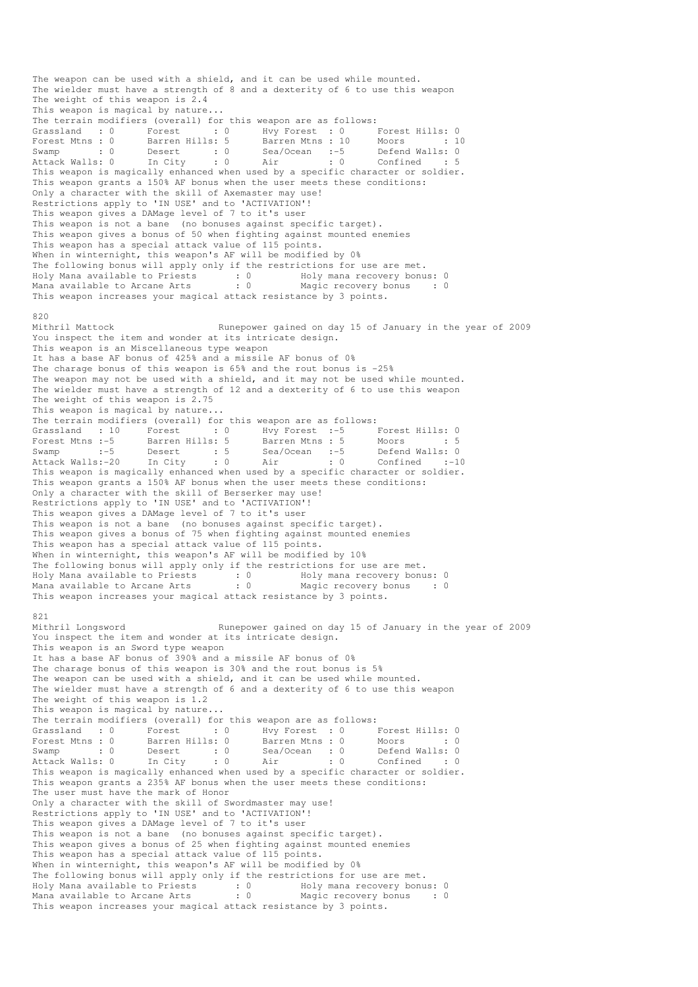The weapon can be used with a shield, and it can be used while mounted. The wielder must have a strength of 8 and a dexterity of 6 to use this weapon The weight of this weapon is 2.4 This weapon is magical by nature... The terrain modifiers (overall) for this weapon are as follows: Grassland : 0 Forest : 0 Hvy Forest : 0 Forest Hills: 0 Forest Mtns : 0 Barren Hills: 5 Barren Mtns : 10 Moors : 10 Swamp : 0 Desert : 0 Sea/Ocean :-5 Defend Walls: 0 Attack Walls: 0 In City : 0 Air : 0 Confined : 5 This weapon is magically enhanced when used by a specific character or soldier. This weapon grants a 150% AF bonus when the user meets these conditions: Only a character with the skill of Axemaster may use! Restrictions apply to 'IN USE' and to 'ACTIVATION'! This weapon gives a DAMage level of 7 to it's user This weapon is not a bane (no bonuses against specific target). This weapon gives a bonus of 50 when fighting against mounted enemies This weapon has a special attack value of 115 points. When in winternight, this weapon's AF will be modified by 0% The following bonus will apply only if the restrictions for use are met. Holy Mana available to Priests : 0 Holy mana recovery bonus: 0 Mana available to Arcane Arts : 0 Magic recovery bonus : 0 This weapon increases your magical attack resistance by 3 points. 820<br>Mithril Mattock Runepower gained on day 15 of January in the year of 2009 You inspect the item and wonder at its intricate design. This weapon is an Miscellaneous type weapon It has a base AF bonus of 425% and a missile AF bonus of 0% The charage bonus of this weapon is 65% and the rout bonus is -25% The weapon may not be used with a shield, and it may not be used while mounted. The wielder must have a strength of 12 and a dexterity of 6 to use this weapon The weight of this weapon is 2.75 This weapon is magical by nature... The terrain modifiers (overall) for this weapon are as follows: Grassland : 10 Forest : 0 Hvy Forest :-5 Forest Hills: 0<br>Forest Mine : 5 Person Mills: 5 Person Mine : 5 Means Forest Mtns :-5 Barren Hills: 5 Barren Mtns : 5 Moors : 5 Swamp :-5 Desert : 5 Sea/Ocean :-5 Defend Walls: 0 Attack Walls:-20 In City : 0 Air : 0 Confined :-10 This weapon is magically enhanced when used by a specific character or soldier. This weapon grants a 150% AF bonus when the user meets these conditions: Only a character with the skill of Berserker may use! Restrictions apply to 'IN USE' and to 'ACTIVATION'! This weapon gives a DAMage level of 7 to it's user This weapon is not a bane (no bonuses against specific target). This weapon gives a bonus of 75 when fighting against mounted enemies This weapon has a special attack value of 115 points. When in winternight, this weapon's AF will be modified by 10% The following bonus will apply only if the restrictions for use are met. Holy Mana available to Priests : 0 Holy mana recovery bonus: 0 Mana available to Arcane Arts : 0 Magic recovery bonus : 0 This weapon increases your magical attack resistance by 3 points. 821 Mithril Longsword Runepower gained on day 15 of January in the year of 2009 You inspect the item and wonder at its intricate design. This weapon is an Sword type weapon It has a base AF bonus of 390% and a missile AF bonus of 0% The charage bonus of this weapon is 30% and the rout bonus is 5% The weapon can be used with a shield, and it can be used while mounted. The wielder must have a strength of 6 and a dexterity of 6 to use this weapon The weight of this weapon is 1.2 This weapon is magical by nature... The terrain modifiers (overall) for this weapon are as follows: Grassland : 0 Forest : 0 Hvy Forest : 0 Forest Hills: 0 Forest Mtns : 0 Barren Hills: 0 Barren Mtns : 0 Moors : 0 : 0 Swamp : 0 Desert : 0 Sea/Ocean : 0 Defend Walls: 0 Attack Walls: 0 In City : 0 Air : 0 Confined : 0 This weapon is magically enhanced when used by a specific character or soldier. This weapon grants a 235% AF bonus when the user meets these conditions: The user must have the mark of Honor Only a character with the skill of Swordmaster may use! Restrictions apply to 'IN USE' and to 'ACTIVATION'! This weapon gives a DAMage level of 7 to it's user This weapon is not a bane (no bonuses against specific target). This weapon gives a bonus of 25 when fighting against mounted enemies This weapon has a special attack value of 115 points. When in winternight, this weapon's AF will be modified by 0% The following bonus will apply only if the restrictions for use are met. Holy Mana available to Priests : 0 Holy mana recovery bonus: 0 Mana available to Arcane Arts : 0 Magic recovery bonus : 0 This weapon increases your magical attack resistance by 3 points.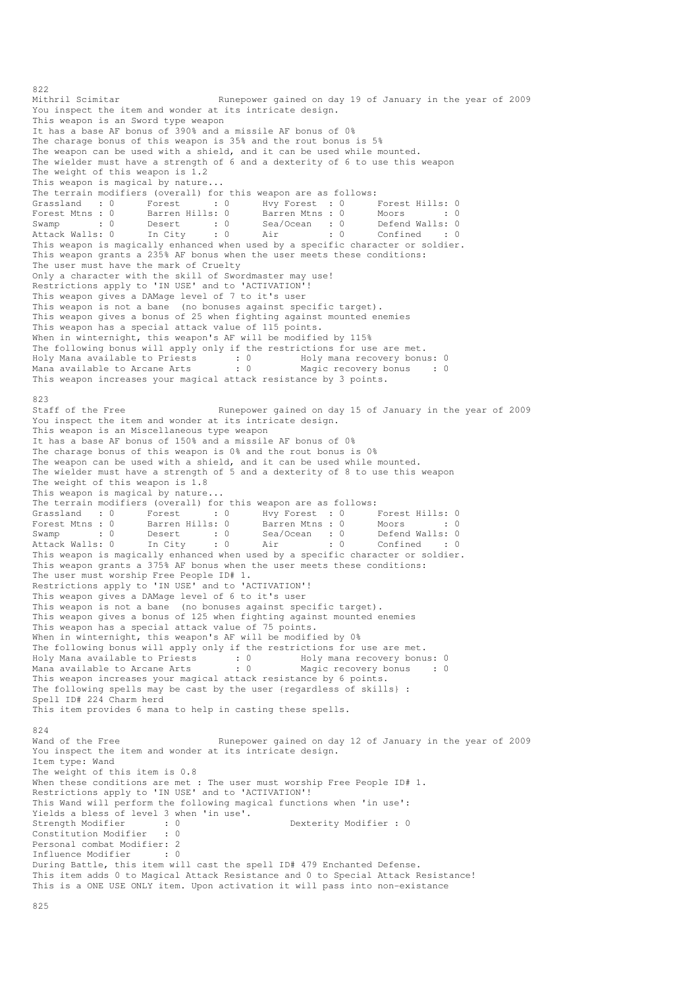822<br>Mithril Scimitar Runepower gained on day 19 of January in the year of 2009 You inspect the item and wonder at its intricate design. This weapon is an Sword type weapon It has a base AF bonus of 390% and a missile AF bonus of 0% The charage bonus of this weapon is 35% and the rout bonus is 5% The weapon can be used with a shield, and it can be used while mounted. The wielder must have a strength of 6 and a dexterity of 6 to use this weapon The weight of this weapon is 1.2 This weapon is magical by nature... The terrain modifiers (overall) for this weapon are as follows:<br>
Grassland : 0 Forest : 0 Hvy Forest : 0 I<br>
Forest Mtns : 0 Barren Hills: 0 Barren Mtns : 0 I Grassland : 0 Forest : 0 Hvy Forest : 0 Forest Hills: 0 Forest Mtns : 0 Barren Hills: 0 Barren Mtns : 0 Moors : 0 : 0 Swamp : 0 Desert : 0 Sea/Ocean : 0 Defend Walls: 0 Attack Walls: 0 In City : 0 Air : 0 Confined : 0 This weapon is magically enhanced when used by a specific character or soldier. This weapon grants a 235% AF bonus when the user meets these conditions: The user must have the mark of Cruelty Only a character with the skill of Swordmaster may use! Restrictions apply to 'IN USE' and to 'ACTIVATION'! This weapon gives a DAMage level of 7 to it's user This weapon is not a bane (no bonuses against specific target). This weapon gives a bonus of 25 when fighting against mounted enemies This weapon has a special attack value of 115 points. When in winternight, this weapon's AF will be modified by 115% The following bonus will apply only if the restrictions for use are met. Holy Mana available to Priests : 0 Holy mana recovery bonus: 0 Mana available to Arcane Arts : 0 Magic recovery bonus : 0 This weapon increases your magical attack resistance by 3 points. 823 Staff of the Free Runepower gained on day 15 of January in the year of 2009 You inspect the item and wonder at its intricate design. This weapon is an Miscellaneous type weapon It has a base AF bonus of 150% and a missile AF bonus of 0% The charage bonus of this weapon is 0% and the rout bonus is 0% The weapon can be used with a shield, and it can be used while mounted. The wielder must have a strength of 5 and a dexterity of 8 to use this weapon The weight of this weapon is 1.8 This weapon is magical by nature... The terrain modifiers (overall) for this weapon are as follows: Grassland : 0 Forest : 0 Hvy Forest : 0 Forest Hills: 0 Forest Mtns : 0 Barren Hills: 0 Barren Mtns : 0 Moors : 0 : 0 Swamp : 0 Desert : 0 Sea/Ocean : 0 Defend Walls: 0 Attack Walls: 0 In City : 0 Air : 0 Confined : 0 This weapon is magically enhanced when used by a specific character or soldier. This weapon grants a 375% AF bonus when the user meets these conditions: The user must worship Free People ID# 1. Restrictions apply to 'IN USE' and to 'ACTIVATION'! This weapon gives a DAMage level of 6 to it's user This weapon is not a bane (no bonuses against specific target). This weapon gives a bonus of 125 when fighting against mounted enemies This weapon has a special attack value of 75 points. When in winternight, this weapon's AF will be modified by 0% The following bonus will apply only if the restrictions for use are met. Holy Mana available to Priests : 0 Holy mana recovery bonus: 0 Mana available to Arcane Arts : 0 Magic recovery bonus : 0 This weapon increases your magical attack resistance by 6 points. The following spells may be cast by the user {regardless of skills} : Spell ID# 224 Charm herd This item provides 6 mana to help in casting these spells. 824<br>Wand of the Free Runepower gained on day 12 of January in the year of 2009 You inspect the item and wonder at its intricate design. Item type: Wand The weight of this item is 0.8 When these conditions are met : The user must worship Free People ID# 1. Restrictions apply to 'IN USE' and to 'ACTIVATION'! This Wand will perform the following magical functions when 'in use': Yields a bless of level 3 when 'in use'.<br>Strength Modifier : 0<br>Constitution Modifier : 0 Strength Modifier : 0 Dexterity Modifier : 0 Constitution Modifier Personal combat Modifier: 2<br>Influence Modifier . 0 Influence Modifier During Battle, this item will cast the spell ID# 479 Enchanted Defense. This item adds 0 to Magical Attack Resistance and 0 to Special Attack Resistance! This is a ONE USE ONLY item. Upon activation it will pass into non-existance

825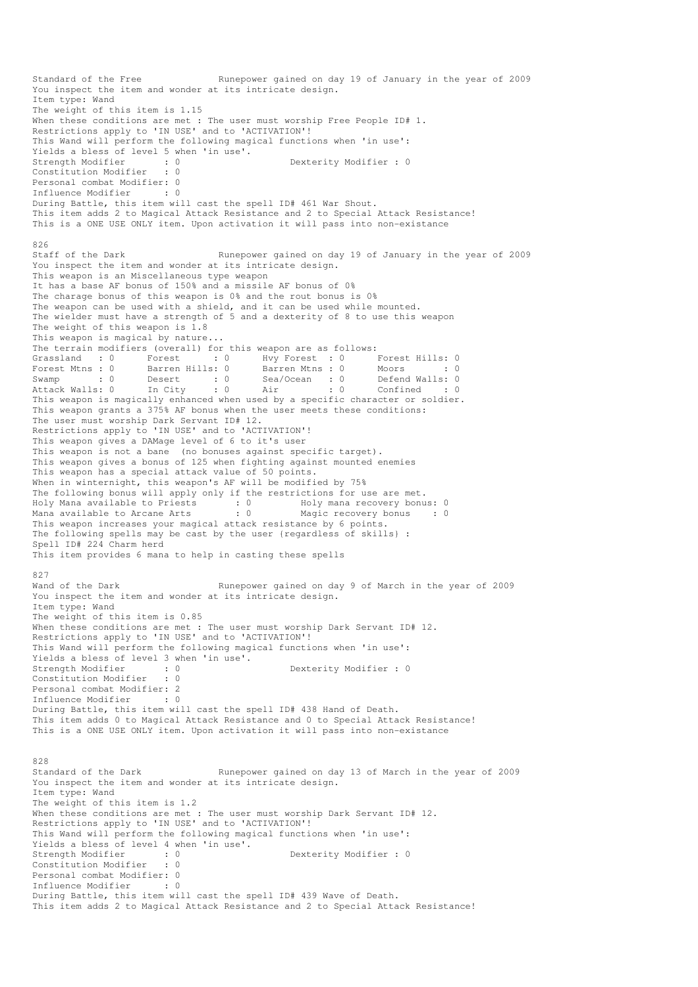Standard of the Free Runepower gained on day 19 of January in the year of 2009 You inspect the item and wonder at its intricate design. Item type: Wand The weight of this item is 1.15 When these conditions are met : The user must worship Free People ID# 1. Restrictions apply to 'IN USE' and to 'ACTIVATION'! This Wand will perform the following magical functions when 'in use': Yields a bless of level 5 when 'in use'.<br>Strength Modifier : 0 Strength Modifier : 0 Dexterity Modifier : 0 Constitution Modifier Personal combat Modifier: 0<br>Influence Modifier : 0 Influence Modifier During Battle, this item will cast the spell ID# 461 War Shout. This item adds 2 to Magical Attack Resistance and 2 to Special Attack Resistance! This is a ONE USE ONLY item. Upon activation it will pass into non-existance 826<br>Staff of the Dark Runepower gained on day 19 of January in the year of 2009 You inspect the item and wonder at its intricate design. This weapon is an Miscellaneous type weapon It has a base AF bonus of 150% and a missile AF bonus of 0% The charage bonus of this weapon is 0% and the rout bonus is 0% The weapon can be used with a shield, and it can be used while mounted. The wielder must have a strength of 5 and a dexterity of 8 to use this weapon The weight of this weapon is 1.8 This weapon is magical by nature... The terrain modifiers (overall) for this weapon are as follows: Grassland : 0 Forest : 0 Hvy Forest : 0 Forest Hills: 0<br>
Forest Mtns : 0 Barren Hills: 0 Barren Mtns : 0 Moors : 0<br>
Swamp : 0 Desert : 0 Sea/Ocean : 0 Defend Walls: 0<br>
Attack Walls: 0 In City : 0 Air : 0 Confined : 0 Forest Mtns : 0 Barren Hills: 0 Barren Mtns : 0 Moors : 0 : 0 Swamp : 0 Desert : 0 Sea/Ocean : 0 Defend Walls: 0 Attack Walls: 0 In City : 0 Air : 0 Confined : 0 Swamp<br>Attack Walls: 0 In City : 0 Air : 0 Confined : 0<br>This weapon is magically enhanced when used by a specific character or soldier. This weapon grants a 375% AF bonus when the user meets these conditions: The user must worship Dark Servant ID# 12. Restrictions apply to 'IN USE' and to 'ACTIVATION'! This weapon gives a DAMage level of 6 to it's user This weapon is not a bane (no bonuses against specific target). This weapon gives a bonus of 125 when fighting against mounted enemies This weapon has a special attack value of 50 points. When in winternight, this weapon's AF will be modified by 75% The following bonus will apply only if the restrictions for use are met. Holy Mana available to Priests : 0 69 Holy mana recovery bonus: 0 Mana available to Arcane Arts : 0 Magic recovery bonus : 0 This weapon increases your magical attack resistance by 6 points. The following spells may be cast by the user {regardless of skills} : Spell ID# 224 Charm herd This item provides 6 mana to help in casting these spells 827<br>Wand of the Dark Runepower gained on day 9 of March in the year of 2009 You inspect the item and wonder at its intricate design. Item type: Wand The weight of this item is 0.85 When these conditions are met : The user must worship Dark Servant ID# 12. Restrictions apply to 'IN USE' and to 'ACTIVATION'! This Wand will perform the following magical functions when 'in use': Yields a bless of level 3 when 'in use'. Strength Modifier : 0 0 Dexterity Modifier : 0 Constitution Modifier : 0 Personal combat Modifier: 2 Influence Modifier : 0 During Battle, this item will cast the spell ID# 438 Hand of Death. This item adds 0 to Magical Attack Resistance and 0 to Special Attack Resistance! This is a ONE USE ONLY item. Upon activation it will pass into non-existance 828<br>Standard of the Dark Runepower gained on day 13 of March in the year of 2009 You inspect the item and wonder at its intricate design. Item type: Wand The weight of this item is 1.2 When these conditions are met : The user must worship Dark Servant ID# 12. Restrictions apply to 'IN USE' and to 'ACTIVATION'! This Wand will perform the following magical functions when 'in use': Yields a bless of level 4 when 'in use'. Strength Modifier : 0 0 Dexterity Modifier : 0 Constitution Modifier : 0 Personal combat Modifier: 0 Influence Modifier : 0 During Battle, this item will cast the spell ID# 439 Wave of Death. This item adds 2 to Magical Attack Resistance and 2 to Special Attack Resistance!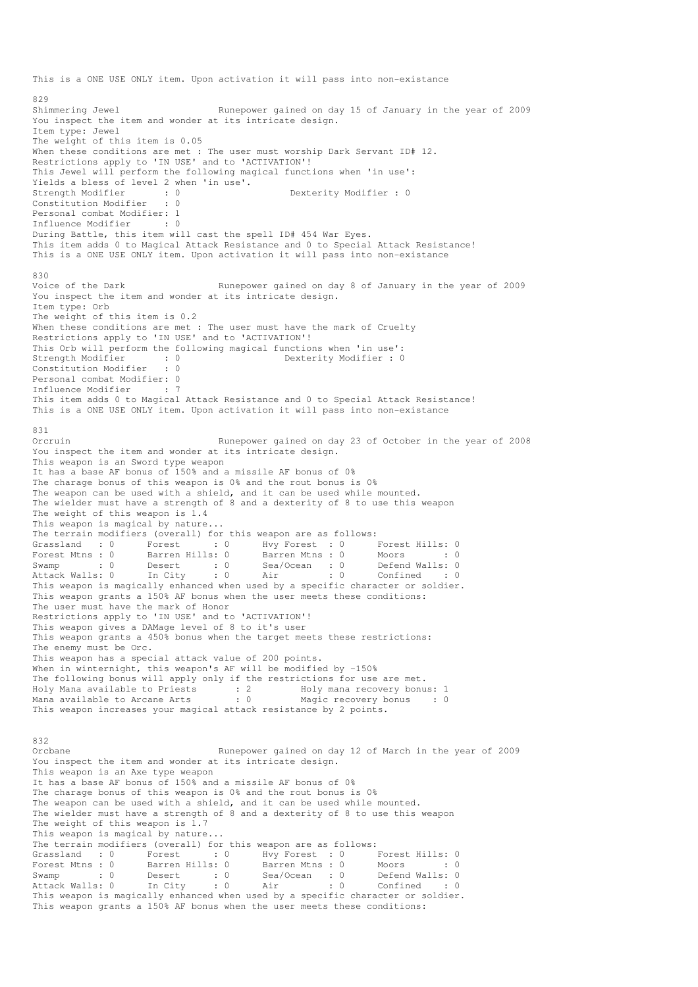This is a ONE USE ONLY item. Upon activation it will pass into non-existance 829 Shimmering Jewel **Runepower gained on day 15 of January in the year of 2009** You inspect the item and wonder at its intricate design. Item type: Jewel The weight of this item is 0.05 When these conditions are met : The user must worship Dark Servant ID# 12. Restrictions apply to 'IN USE' and to 'ACTIVATION'! This Jewel will perform the following magical functions when 'in use': Yields a bless of level 2 when 'in use'. Strength Modifier : 0 0 Dexterity Modifier : 0 Constitution Modifier : 0 Personal combat Modifier: 1 Influence Modifier : 0 During Battle, this item will cast the spell ID# 454 War Eyes. This item adds 0 to Magical Attack Resistance and 0 to Special Attack Resistance! This is a ONE USE ONLY item. Upon activation it will pass into non-existance 830<br>Voice of the Dark Runepower gained on day 8 of January in the year of 2009 You inspect the item and wonder at its intricate design. Item type: Orb The weight of this item is 0.2 When these conditions are met : The user must have the mark of Cruelty Restrictions apply to 'IN USE' and to 'ACTIVATION'! This Orb will perform the following magical functions when 'in use': Strength Modifier : 0<br>
Constitution Modifier : 0<br>
Constitution Modifier : 0 Constitution Modifier Personal combat Modifier: 0 Influence Modifier : 7 This item adds 0 to Magical Attack Resistance and 0 to Special Attack Resistance! This is a ONE USE ONLY item. Upon activation it will pass into non-existance 831<br>Orcruin Runepower gained on day 23 of October in the year of 2008 You inspect the item and wonder at its intricate design. This weapon is an Sword type weapon It has a base AF bonus of 150% and a missile AF bonus of 0% The charage bonus of this weapon is 0% and the rout bonus is 0% The weapon can be used with a shield, and it can be used while mounted. The wielder must have a strength of 8 and a dexterity of 8 to use this weapon The weight of this weapon is 1.4 This weapon is magical by nature... The terrain modifiers (overall) for this weapon are as follows: (a) Forest : 0 Forest Hills: 0<br>S: 0 Barren Mtns : 0 Moors : 0 Forest Mtns : 0 Barren Hills: 0 Barren Mtns : 0 Moors : 0 : 0 Swamp : 0 Desert : 0 Sea/Ocean : 0 Defend Walls: 0 Attack Walls: 0 In City : 0 Air : 0 Confined : 0 This weapon is magically enhanced when used by a specific character or soldier. This weapon grants a 150% AF bonus when the user meets these conditions: The user must have the mark of Honor Restrictions apply to 'IN USE' and to 'ACTIVATION'! This weapon gives a DAMage level of 8 to it's user This weapon grants a 450% bonus when the target meets these restrictions: The enemy must be Orc. This weapon has a special attack value of 200 points. When in winternight, this weapon's AF will be modified by -150% The following bonus will apply only if the restrictions for use are met. Holy Mana available to Priests : 2 Holy mana recovery bonus: 1 Mana available to Arcane Arts : 0 Magic recovery bonus : 0 This weapon increases your magical attack resistance by 2 points. 832 Orcbane Runepower gained on day 12 of March in the year of 2009 You inspect the item and wonder at its intricate design. This weapon is an Axe type weapon It has a base AF bonus of 150% and a missile AF bonus of 0% The charage bonus of this weapon is 0% and the rout bonus is 0% The weapon can be used with a shield, and it can be used while mounted. The wielder must have a strength of 8 and a dexterity of 8 to use this weapon The weight of this weapon is 1.7 This weapon is magical by nature... The terrain modifiers (overall) for this weapon are as follows:<br>
Grassland : 0 Forest : 0 Hvy Forest : 0 I<br>
Forest Mtns : 0 Barren Hills: 0 Barren Mtns : 0 I Grassland : 0 Forest : 0 Hvy Forest : 0 Forest Hills: 0 Forest Mtns : 0 Barren Hills: 0 Barren Mtns : 0 Moors : 0 : 0 Swamp : 0 Desert : 0 Sea/Ocean : 0 Defend Walls: 0 Attack Walls: 0 In City : 0 Air : 0 Confined : 0 This weapon is magically enhanced when used by a specific character or soldier. This weapon grants a 150% AF bonus when the user meets these conditions: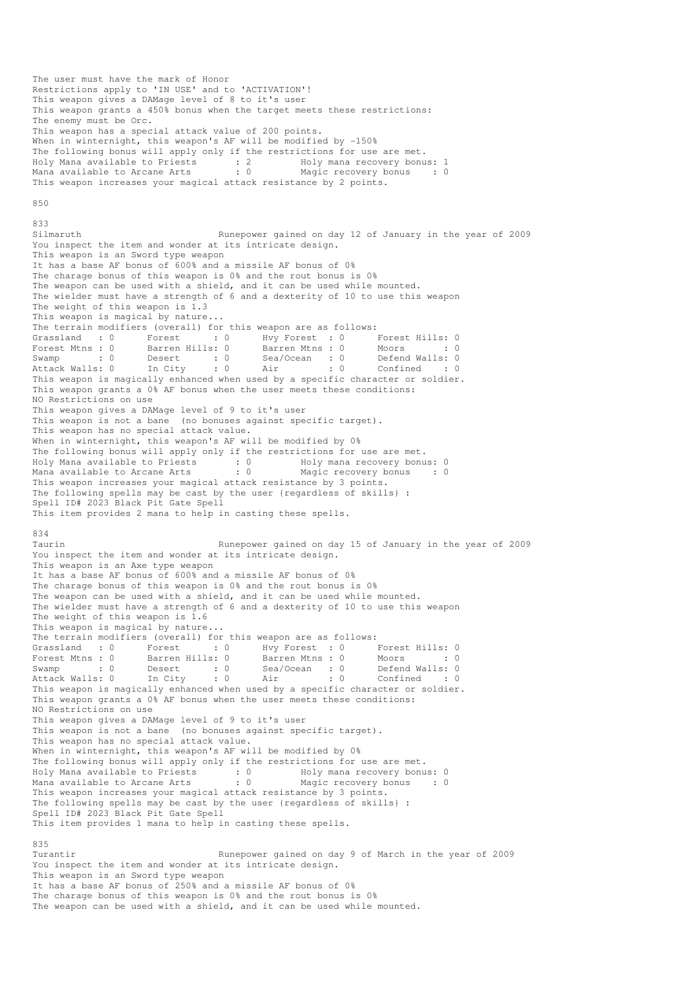The user must have the mark of Honor Restrictions apply to 'IN USE' and to 'ACTIVATION'! This weapon gives a DAMage level of 8 to it's user This weapon grants a 450% bonus when the target meets these restrictions: The enemy must be Orc. This weapon has a special attack value of 200 points. When in winternight, this weapon's AF will be modified by -150% The following bonus will apply only if the restrictions for use are met. Holy Mana available to Priests : 2 Holy mana recovery bonus: 1 Mana available to Arcane Arts : 0 Magic recovery bonus : 0 This weapon increases your magical attack resistance by 2 points.  $850$ 833<br>Silmaruth Runepower gained on day 12 of January in the year of 2009 You inspect the item and wonder at its intricate design. This weapon is an Sword type weapon It has a base AF bonus of 600% and a missile AF bonus of 0% The charage bonus of this weapon is 0% and the rout bonus is 0% The weapon can be used with a shield, and it can be used while mounted. The wielder must have a strength of 6 and a dexterity of 10 to use this weapon The weight of this weapon is 1.3 This weapon is magical by nature... The terrain modifiers (overall) for this weapon are as follows: Grassland : 0 Forest : 0 Hvy Forest : 0 Forest Hills: 0 Forest Mtns : 0 Barren Hills: 0 Barren Mtns : 0 Moors : 0 : 0 Swamp : 0 Desert : 0 Sea/Ocean : 0 Defend Walls: 0 Attack Walls: 0 In City : 0 Air : 0 Confined : 0 Swamp : 0 Desert : 0 Bea/Ocean : 0 Moors : 0<br>Attack Walls: 0 In City : 0 Air : 0 Confined : 0<br>This weapon is magically enhanced when used by a specific character or soldier. This weapon grants a 0% AF bonus when the user meets these conditions: NO Restrictions on use This weapon gives a DAMage level of 9 to it's user This weapon is not a bane (no bonuses against specific target). This weapon has no special attack value. When in winternight, this weapon's AF will be modified by 0% The following bonus will apply only if the restrictions for use are met. Holy Mana available to Priests : 0 Holy mana recovery bonus: 0 Mana available to Arcane Arts : 0 Magic recovery bonus : 0 This weapon increases your magical attack resistance by 3 points. The following spells may be cast by the user {regardless of skills} : Spell ID# 2023 Black Pit Gate Spell This item provides 2 mana to help in casting these spells. 834 Taurin Runepower gained on day 15 of January in the year of 2009 You inspect the item and wonder at its intricate design. This weapon is an Axe type weapon It has a base AF bonus of 600% and a missile AF bonus of 0% The charage bonus of this weapon is 0% and the rout bonus is 0% The weapon can be used with a shield, and it can be used while mounted. The wielder must have a strength of 6 and a dexterity of 10 to use this weapon The weight of this weapon is 1.6 This weapon is magical by nature... The terrain modifiers (overall) for this weapon are as follows: Grassland : 0 Forest : 0 Hvy Forest : 0 Forest Hills: 0<br>Forest Mtns : 0 Barren Hills: 0 Barren Mtns : 0 Moors : 0 Forest Maximum is the Maximum of the Second State of the Second State State State State State State State State<br>
Forest Maximum is the Second State State State State State State State State State State State State State St Swamp : 0 Desert : 0 Sea/Ocean : 0 Defend Walls: 0 Attack Walls: 0 In City : 0 Air : 0 Confined : 0 This weapon is magically enhanced when used by a specific character or soldier. This weapon grants a 0% AF bonus when the user meets these conditions: NO Restrictions on use This weapon gives a DAMage level of 9 to it's user This weapon is not a bane (no bonuses against specific target). This weapon has no special attack value. When in winternight, this weapon's AF will be modified by 0% The following bonus will apply only if the restrictions for use are met. Holy Mana available to Priests : 0 Holy mana recovery bonus: 0 Mana available to Arcane Arts : 0 Magic recovery bonus : 0 This weapon increases your magical attack resistance by 3 points. The following spells may be cast by the user {regardless of skills} : Spell ID# 2023 Black Pit Gate Spell This item provides 1 mana to help in casting these spells. 835<br>Turantir Runepower gained on day 9 of March in the year of 2009 You inspect the item and wonder at its intricate design. This weapon is an Sword type weapon It has a base AF bonus of 250% and a missile AF bonus of 0% The charage bonus of this weapon is 0% and the rout bonus is 0%

The weapon can be used with a shield, and it can be used while mounted.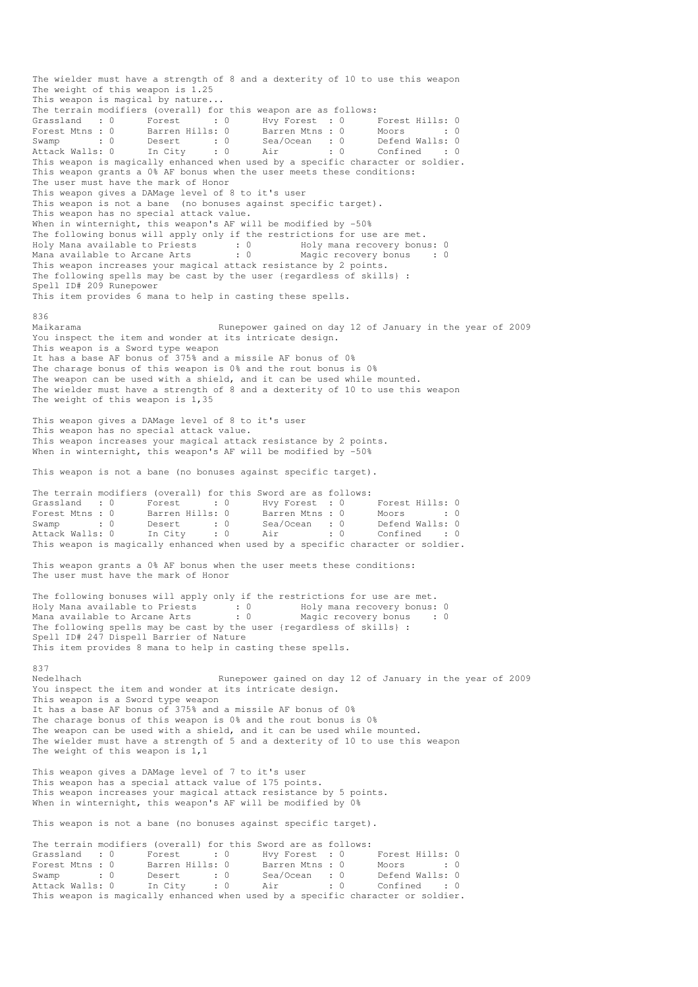The wielder must have a strength of 8 and a dexterity of 10 to use this weapon The weight of this weapon is 1.25 This weapon is magical by nature... The terrain modifiers (overall) for this weapon are as follows: Grassland : 0 Forest : 0 Hvy Forest : 0 Forest Hills: 0 Forest Mtns : 0 Barren Hills: 0 Barren Mtns : 0 Moors : 0 : 0 Swamp : 0 Desert : 0 Sea/Ocean : 0 Defend Walls: 0 Attack Walls: 0 In City : 0 Air : 0 Confined : 0 This weapon is magically enhanced when used by a specific character or soldier. This weapon grants a 0% AF bonus when the user meets these conditions: The user must have the mark of Honor This weapon gives a DAMage level of 8 to it's user This weapon is not a bane (no bonuses against specific target). This weapon has no special attack value. When in winternight, this weapon's AF will be modified by -50% The following bonus will apply only if the restrictions for use are met. Holy Mana available to Priests : 0 Holy mana recovery bonus: 0 Mana available to Arcane Arts : 0 Magic recovery bonus : 0 This weapon increases your magical attack resistance by 2 points. The following spells may be cast by the user {regardless of skills} : Spell ID# 209 Runepower This item provides 6 mana to help in casting these spells. 836 Maikarama Runepower gained on day 12 of January in the year of 2009 You inspect the item and wonder at its intricate design. This weapon is a Sword type weapon It has a base AF bonus of 375% and a missile AF bonus of 0% The charage bonus of this weapon is 0% and the rout bonus is 0% The weapon can be used with a shield, and it can be used while mounted. The wielder must have a strength of 8 and a dexterity of 10 to use this weapon The weight of this weapon is 1,35 This weapon gives a DAMage level of 8 to it's user This weapon has no special attack value. This weapon increases your magical attack resistance by 2 points. When in winternight, this weapon's AF will be modified by -50% This weapon is not a bane (no bonuses against specific target). The terrain modifiers (overall) for this Sword are as follows: Grassland : 0 Forest : 0 Hvy Forest : 0 Forest Hills: 0 Forest Mtns : 0 Barren Hills: 0 Barren Mtns : 0 Moors : 0 : 0 Swamp : 0 Desert : 0 Sea/Ocean : 0 Defend Walls: 0 Attack Walls: 0 In City : 0 Air : 0 Confined : 0 This weapon is magically enhanced when used by a specific character or soldier. This weapon grants a 0% AF bonus when the user meets these conditions: The user must have the mark of Honor The following bonuses will apply only if the restrictions for use are met. Holy Mana available to Priests : 0 Holy mana recovery bonus: 0 Mana available to Arcane Arts : 0 Magic recovery bonus : 0 The following spells may be cast by the user {regardless of skills} : Spell ID# 247 Dispell Barrier of Nature This item provides 8 mana to help in casting these spells. 837<br>Nedelhach Runepower gained on day 12 of January in the year of 2009 You inspect the item and wonder at its intricate design. This weapon is a Sword type weapon It has a base AF bonus of 375% and a missile AF bonus of 0% The charage bonus of this weapon is 0% and the rout bonus is 0% The weapon can be used with a shield, and it can be used while mounted. The wielder must have a strength of 5 and a dexterity of 10 to use this weapon The weight of this weapon is  $1,1$ This weapon gives a DAMage level of 7 to it's user This weapon has a special attack value of 175 points. This weapon increases your magical attack resistance by 5 points. When in winternight, this weapon's AF will be modified by 0% This weapon is not a bane (no bonuses against specific target). The terrain modifiers (overall) for this Sword are as follows:<br>
Grassland : 0 Forest : 0 Hvy Forest : 0 Forest Hills: 0 Grassland : 0 Forest : 0 Hvy Forest : 0 Forest Hills: 0<br>Forest Mtns : 0 Barren Hills: 0 Barren Mtns : 0 Moors : 0 Barren Hills: 0 Swamp : 0 Desert : 0 Sea/Ocean : 0 Defend Walls: 0 Attack Walls: 0 In City : 0 Air : 0 Confined : 0

This weapon is magically enhanced when used by a specific character or soldier.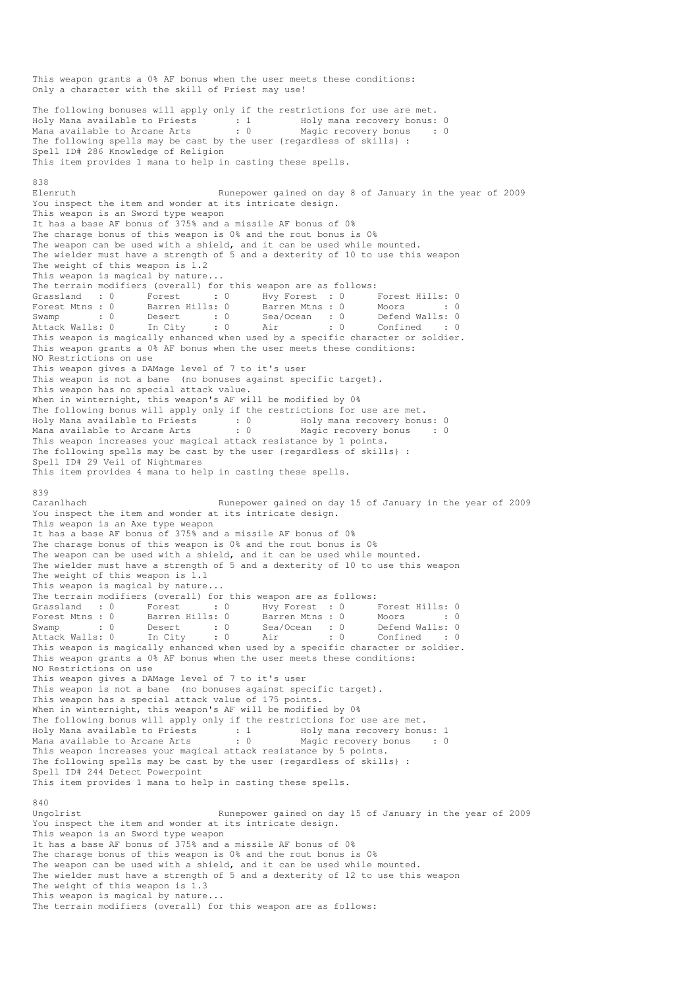This weapon grants a 0% AF bonus when the user meets these conditions: Only a character with the skill of Priest may use! The following bonuses will apply only if the restrictions for use are met. Holy Mana available to Priests : 1 Moly mana recovery bonus: 0 Mana available to Arcane Arts : 0 Magic recovery bonus : 0 The following spells may be cast by the user {regardless of skills} : Spell ID# 286 Knowledge of Religion This item provides 1 mana to help in casting these spells. 838 Elenruth Runepower gained on day 8 of January in the year of 2009 You inspect the item and wonder at its intricate design. This weapon is an Sword type weapon It has a base AF bonus of 375% and a missile AF bonus of 0% The charage bonus of this weapon is 0% and the rout bonus is 0% The weapon can be used with a shield, and it can be used while mounted. The wielder must have a strength of 5 and a dexterity of 10 to use this weapon The weight of this weapon is 1.2 This weapon is magical by nature... The terrain modifiers (overall) for this weapon are as follows: Grassland : 0 Forest : 0 Hvy Forest : 0 Forest Hills: 0 Forest Mtns : 0 Barren Hills: 0 Barren Mtns : 0 Moors : 0 : 0 Swamp : 0 Desert : 0 Sea/Ocean : 0 Defend Walls: 0 Attack Walls: 0 In City : 0 Air : 0 Confined : 0 This weapon is magically enhanced when used by a specific character or soldier. This weapon grants a 0% AF bonus when the user meets these conditions: NO Restrictions on use This weapon gives a DAMage level of 7 to it's user This weapon is not a bane (no bonuses against specific target). This weapon has no special attack value. When in winternight, this weapon's AF will be modified by 0% The following bonus will apply only if the restrictions for use are met. Holy Mana available to Priests : 0 Holy mana recovery bonus: 0 Mana available to Arcane Arts : 0 Magic recovery bonus : 0 This weapon increases your magical attack resistance by 1 points. The following spells may be cast by the user {regardless of skills} : Spell ID# 29 Veil of Nightmares This item provides 4 mana to help in casting these spells. 839 Caranlhach Runepower gained on day 15 of January in the year of 2009 You inspect the item and wonder at its intricate design. This weapon is an Axe type weapon It has a base AF bonus of 375% and a missile AF bonus of 0% The charage bonus of this weapon is 0% and the rout bonus is 0% The weapon can be used with a shield, and it can be used while mounted. The wielder must have a strength of 5 and a dexterity of 10 to use this weapon The weight of this weapon is  $1.1$ This weapon is magical by nature... The terrain modifiers (overall) for this weapon are as follows: Grassland : 0 Forest : 0 Hvy Forest : 0 Forest Hills: 0 Forest Mtns : 0 Barren Hills: 0 Barren Mtns : 0 Moors : 0 : 0 Swamp : 0 Desert : 0 Sea/Ocean : 0 Defend Walls: 0 Attack Walls: 0 In City : 0 Air : 0 Confined : 0 This weapon is magically enhanced when used by a specific character or soldier. This weapon grants a 0% AF bonus when the user meets these conditions: NO Restrictions on use This weapon gives a DAMage level of 7 to it's user This weapon is not a bane (no bonuses against specific target). This weapon has a special attack value of 175 points. When in winternight, this weapon's AF will be modified by 0% The following bonus will apply only if the restrictions for use are met. Holy Mana available to Priests : 1 Holy mana recovery bonus: 1 Mana available to Arcane Arts : 0 Magic recovery bonus : 0 This weapon increases your magical attack resistance by 5 points. The following spells may be cast by the user {regardless of skills} : Spell ID# 244 Detect Powerpoint This item provides 1 mana to help in casting these spells. 840<br>Ungolrist Runepower gained on day 15 of January in the year of 2009 You inspect the item and wonder at its intricate design. This weapon is an Sword type weapon It has a base AF bonus of 375% and a missile AF bonus of 0% The charage bonus of this weapon is 0% and the rout bonus is 0% The weapon can be used with a shield, and it can be used while mounted. The wielder must have a strength of 5 and a dexterity of 12 to use this weapon The weight of this weapon is 1.3 This weapon is magical by nature... The terrain modifiers (overall) for this weapon are as follows: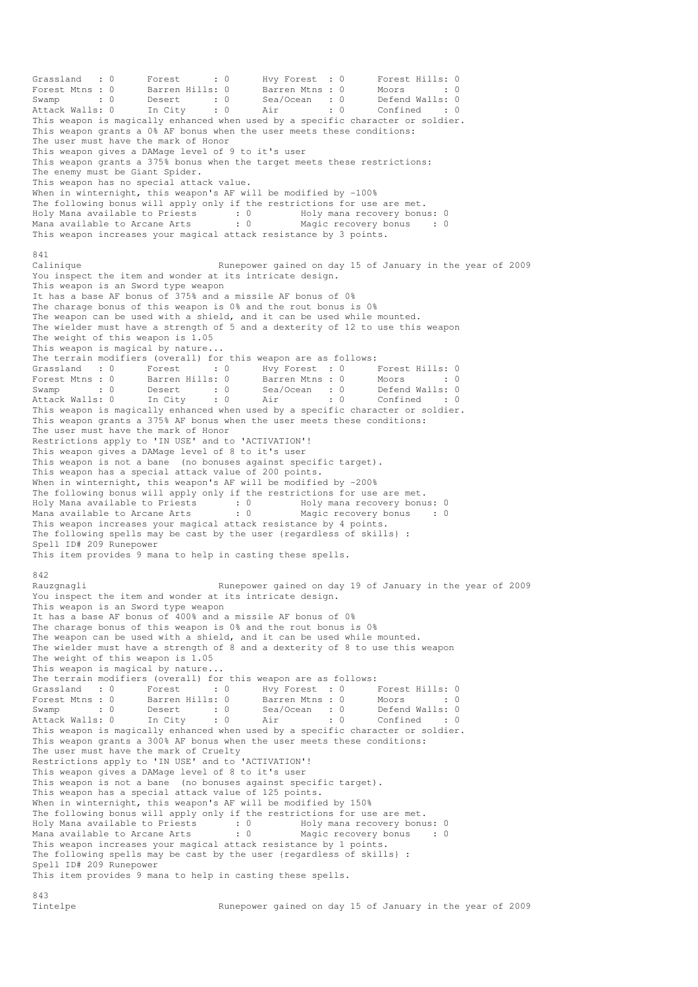Grassland : 0 Forest : 0 Hvy Forest : 0 Forest Hills: 0 Forest Mtns : 0 Barren Hills: 0 Barren Mtns : 0 Moors : 0 : 0 Swamp : 0 Desert : 0 Sea/Ocean : 0 Defend Walls: 0 Attack Walls: 0 In City : 0 Air : 0 Confined : 0 This weapon is magically enhanced when used by a specific character or soldier. This weapon grants a 0% AF bonus when the user meets these conditions: The user must have the mark of Honor This weapon gives a DAMage level of 9 to it's user This weapon grants a 375% bonus when the target meets these restrictions: The enemy must be Giant Spider. This weapon has no special attack value. When in winternight, this weapon's AF will be modified by -100% The following bonus will apply only if the restrictions for use are met. Holy Mana available to Priests : 0 Holy mana recovery bonus: 0 Mana available to Arcane Arts : 0 Magic recovery bonus : 0 This weapon increases your magical attack resistance by 3 points. 841 Calinique Runepower gained on day 15 of January in the year of 2009 You inspect the item and wonder at its intricate design. This weapon is an Sword type weapon It has a base AF bonus of 375% and a missile AF bonus of 0% The charage bonus of this weapon is 0% and the rout bonus is 0% The weapon can be used with a shield, and it can be used while mounted. The wielder must have a strength of 5 and a dexterity of 12 to use this weapon The weight of this weapon is 1.05 This weapon is magical by nature... The terrain modifiers (overall) for this weapon are as follows: Grassland : 0 Forest : 0 Hvy Forest : 0 Forest Hills: 0 Forest Mtns : 0 Barren Hills: 0 Barren Mtns : 0 Moors : 0 : 0 Swamp : 0 Desert : 0 Sea/Ocean : 0 Defend Walls: 0 Attack Walls: 0 In City : 0 Air : 0 Confined : 0 This weapon is magically enhanced when used by a specific character or soldier. This weapon grants a 375% AF bonus when the user meets these conditions: The user must have the mark of Honor Restrictions apply to 'IN USE' and to 'ACTIVATION'! This weapon gives a DAMage level of 8 to it's user This weapon is not a bane (no bonuses against specific target). This weapon has a special attack value of 200 points. When in winternight, this weapon's AF will be modified by -200% The following bonus will apply only if the restrictions for use are met. Holy Mana available to Priests : 0 69 Holy mana recovery bonus: 0 Mana available to Arcane Arts : 0 Magic recovery bonus : 0 This weapon increases your magical attack resistance by 4 points. The following spells may be cast by the user {regardless of skills} : Spell ID# 209 Runepower This item provides 9 mana to help in casting these spells. 842<br>Rauzgnagli Runepower gained on day 19 of January in the year of 2009 You inspect the item and wonder at its intricate design. This weapon is an Sword type weapon It has a base AF bonus of 400% and a missile AF bonus of 0% The charage bonus of this weapon is 0% and the rout bonus is 0% The weapon can be used with a shield, and it can be used while mounted. The wielder must have a strength of 8 and a dexterity of 8 to use this weapon The weight of this weapon is 1.05 This weapon is magical by nature... The terrain modifiers (overall) for this weapon are as follows: Grassland : 0 Forest : 0 Hvy Forest : 0 Forest Hills: 0 Forest Mtns : 0 Barren Hills: 0 Barren Mtns : 0 Moors : 0 : 0 Swamp : 0 Desert : 0 Sea/Ocean : 0 Defend Walls: 0 Attack Walls: 0 In City : 0 Air : 0 Confined : 0 Forest Mtns : 0 Barren Hills: 0 Barren Mtns : 0 IVINSE MINIS: 0<br>Swamp : 0 Desert : 0 Sea/Ocean : 0 Defend Walls: 0<br>Attack Walls: 0 In City : 0 Air : 0 Confined : 0<br>This weapon is magically enhanced when used by a specific This weapon grants a 300% AF bonus when the user meets these conditions: The user must have the mark of Cruelty Restrictions apply to 'IN USE' and to 'ACTIVATION'! This weapon gives a DAMage level of 8 to it's user This weapon is not a bane (no bonuses against specific target). This weapon has a special attack value of 125 points. When in winternight, this weapon's AF will be modified by 150% The following bonus will apply only if the restrictions for use are met. Holy Mana available to Priests : 0 Holy mana recovery bonus: 0 Mana available to Arcane Arts : 0 Magic recovery bonus : 0 This weapon increases your magical attack resistance by 1 points. The following spells may be cast by the user {regardless of skills} : Spell ID# 209 Runepower This item provides 9 mana to help in casting these spells.

843<br>Tintelne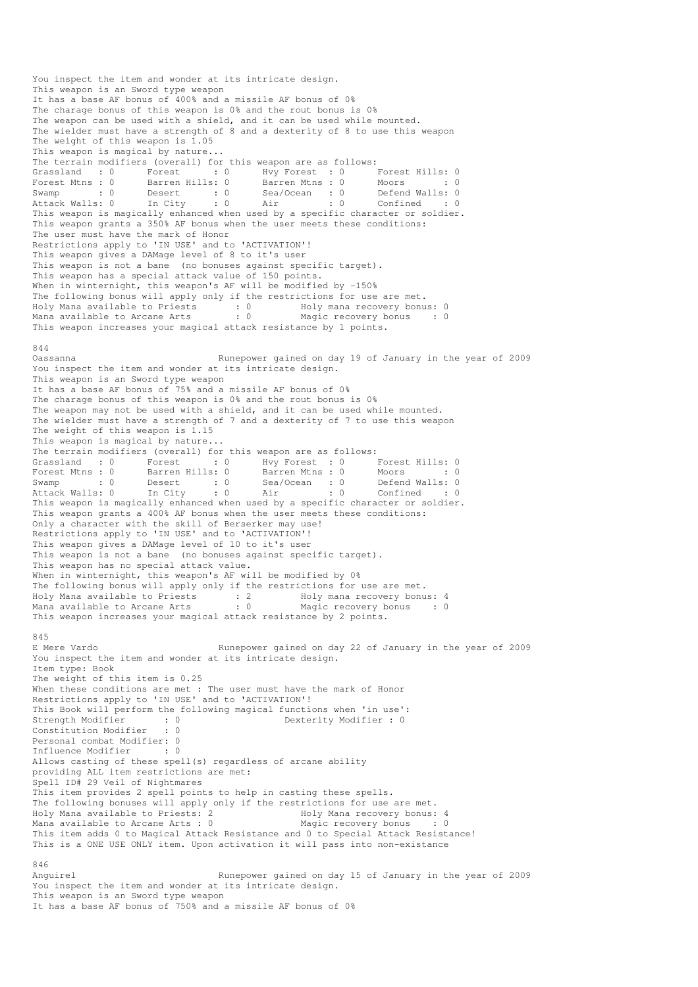You inspect the item and wonder at its intricate design. This weapon is an Sword type weapon It has a base AF bonus of 400% and a missile AF bonus of 0% The charage bonus of this weapon is 0% and the rout bonus is 0% The weapon can be used with a shield, and it can be used while mounted. The wielder must have a strength of 8 and a dexterity of 8 to use this weapon The weight of this weapon is 1.05 This weapon is magical by nature... The terrain modifiers (overall) for this weapon are as follows: Grassland : 0 Forest : 0 Hvy Forest : 0 Forest Hills: 0 Forest Mtns : 0 Barren Hills: 0 Barren Mtns : 0 Moors : 0 : 0 Swamp : 0 Desert : 0 Sea/Ocean : 0 Defend Walls: 0 Attack Walls: 0 In City : 0 Air : 0 Confined : 0 The mean is the magnetic conduction of the mean is the mean is the mean is of the mean is the mean is the mean is the mean is the mean is the mean is magically enhanced when used by a specific character or soldier. This weapon grants a 350% AF bonus when the user meets these conditions: The user must have the mark of Honor Restrictions apply to 'IN USE' and to 'ACTIVATION'! This weapon gives a DAMage level of 8 to it's user This weapon is not a bane (no bonuses against specific target). This weapon has a special attack value of 150 points. When in winternight, this weapon's AF will be modified by -150% The following bonus will apply only if the restrictions for use are met. Holy Mana available to Priests : 0 Holy mana recovery bonus: 0 Mana available to Arcane Arts : 0 Magic recovery bonus : 0 This weapon increases your magical attack resistance by 1 points. 844 Oassanna Runepower gained on day 19 of January in the year of 2009 You inspect the item and wonder at its intricate design. This weapon is an Sword type weapon It has a base AF bonus of 75% and a missile AF bonus of 0% The charage bonus of this weapon is 0% and the rout bonus is 0% The weapon may not be used with a shield, and it can be used while mounted. The wielder must have a strength of 7 and a dexterity of 7 to use this weapon The weight of this weapon is 1.15 This weapon is magical by nature... The terrain modifiers (overall) for this weapon are as follows:<br>
Grassland : 0 Forest : 0 Hvy Forest : 0 I<br>
Forest Mtns : 0 Barren Hills: 0 Barren Mtns : 0 N Grassland : 0 Forest : 0 Hvy Forest : 0 Forest Hills: 0 Forest Mtns : 0 Barren Hills: 0 Barren Mtns : 0 Moors : 0 : 0 Swamp : 0 Desert : 0 Sea/Ocean : 0 Defend Walls: 0 Attack Walls: 0 In City : 0 Air : 0 Confined : 0 This weapon is magically enhanced when used by a specific character or soldier. This weapon grants a 400% AF bonus when the user meets these conditions: Only a character with the skill of Berserker may use! Restrictions apply to 'IN USE' and to 'ACTIVATION'! This weapon gives a DAMage level of 10 to it's user This weapon is not a bane (no bonuses against specific target). This weapon has no special attack value. When in winternight, this weapon's AF will be modified by 0% The following bonus will apply only if the restrictions for use are met.<br>Holy Mana available to Priests : 2 Holy mana recovery bonus: 4 Holy Mana available to Priests : 2 Holy mana recovery bonus: 4 Mana available to Arcane Arts : 0 Magic recovery bonus : 0 This weapon increases your magical attack resistance by 2 points. 845<br>E Mere Vardo Runepower gained on day 22 of January in the year of 2009 You inspect the item and wonder at its intricate design. Item type: Book The weight of this item is 0.25 When these conditions are met : The user must have the mark of Honor Restrictions apply to 'IN USE' and to 'ACTIVATION'! This Book will perform the following magical functions when 'in use': Strength Modifier : 0 0 Dexterity Modifier : 0 Constitution Modifier : 0 Personal combat Modifier: 0 Influence Modifier : 0 Allows casting of these spell(s) regardless of arcane ability providing ALL item restrictions are met: Spell ID# 29 Veil of Nightmares This item provides 2 spell points to help in casting these spells. The following bonuses will apply only if the restrictions for use are met.<br>Holy Mana available to Priests: 2 Holy Mana recovery bonus: 4 Holy Mana available to Priests: 2 Mana available to Arcane Arts : 0 Magic recovery bonus : 0 This item adds 0 to Magical Attack Resistance and 0 to Special Attack Resistance! This is a ONE USE ONLY item. Upon activation it will pass into non-existance 846 Anguirel Runepower gained on day 15 of January in the year of 2009 You inspect the item and wonder at its intricate design. This weapon is an Sword type weapon

It has a base AF bonus of 750% and a missile AF bonus of 0%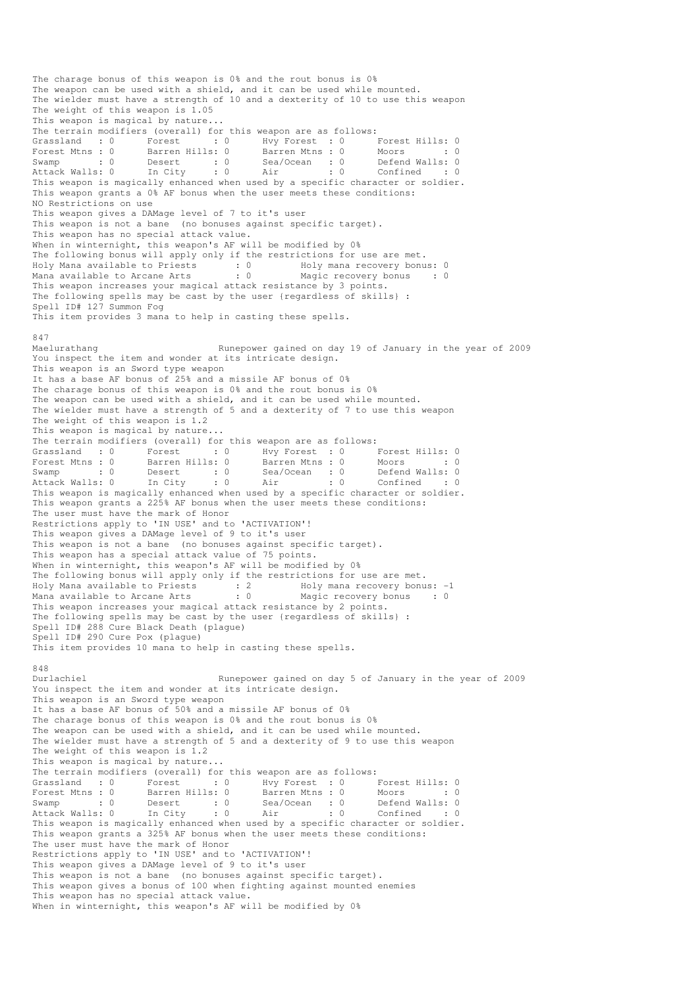The charage bonus of this weapon is 0% and the rout bonus is 0% The weapon can be used with a shield, and it can be used while mounted. The wielder must have a strength of 10 and a dexterity of 10 to use this weapon The weight of this weapon is 1.05 This weapon is magical by nature... The terrain modifiers (overall) for this weapon are as follows: Grassland : 0 Forest : 0 Hvy Forest : 0 Forest Hills: 0 Forest Mtns : 0 Barren Hills: 0 Barren Mtns : 0 Moors : 0 : 0 Swamp : 0 Desert : 0 Sea/Ocean : 0 Defend Walls: 0 Attack Walls: 0 In City : 0 Air : 0 Confined : 0 This weapon is magically enhanced when used by a specific character or soldier. This weapon grants a 0% AF bonus when the user meets these conditions: NO Restrictions on use This weapon gives a DAMage level of 7 to it's user This weapon is not a bane (no bonuses against specific target). This weapon has no special attack value. When in winternight, this weapon's AF will be modified by 0% The following bonus will apply only if the restrictions for use are met. Holy Mana available to Priests : 0 Holy mana recovery bonus: 0 Mana available to Arcane Arts : 0 Magic recovery bonus : 0 This weapon increases your magical attack resistance by 3 points. The following spells may be cast by the user {regardless of skills} : Spell ID# 127 Summon Fog This item provides 3 mana to help in casting these spells. 847 Maelurathang Runepower gained on day 19 of January in the year of 2009 You inspect the item and wonder at its intricate design. This weapon is an Sword type weapon It has a base AF bonus of 25% and a missile AF bonus of 0% The charage bonus of this weapon is 0% and the rout bonus is 0% The weapon can be used with a shield, and it can be used while mounted. The wielder must have a strength of 5 and a dexterity of 7 to use this weapon The weight of this weapon is 1.2 This weapon is magical by nature... The terrain modifiers (overall) for this weapon are as follows: Grassland : 0 Forest : 0 Hvy Forest : 0 Forest Hills: 0<br>
Forest Mtns : 0 Barren Hills: 0 Barren Mtns : 0 Moors : 0<br>
Swamp : 0 Desert : 0 Sea/Ocean : 0 Defend Walls: 0<br>
Attack Walls: 0 In City : 0 Air : 0 Confined : 0 Forest Mtns : 0 Barren Hills: 0 Barren Mtns : 0 Moors : 0 : 0 Swamp : 0 Desert : 0 Sea/Ocean : 0 Defend Walls: 0 Attack Walls: 0 In City : 0 Air : 0 Confined : 0 This weapon is magically enhanced when used by a specific character or soldier. This weapon grants a 225% AF bonus when the user meets these conditions: The user must have the mark of Honor Restrictions apply to 'IN USE' and to 'ACTIVATION'! This weapon gives a DAMage level of 9 to it's user This weapon is not a bane (no bonuses against specific target). This weapon has a special attack value of 75 points. When in winternight, this weapon's AF will be modified by 0% The following bonus will apply only if the restrictions for use are met. Holy Mana available to Priests : 2 Holy mana recovery bonus: -1 Mana available to Arcane Arts : 0 Magic recovery bonus : 0 This weapon increases your magical attack resistance by 2 points. The following spells may be cast by the user {regardless of skills} : Spell ID# 288 Cure Black Death (plague) Spell ID# 290 Cure Pox (plague) This item provides 10 mana to help in casting these spells. 848<br>Durlachiel Runepower gained on day 5 of January in the year of 2009 You inspect the item and wonder at its intricate design. This weapon is an Sword type weapon It has a base AF bonus of 50% and a missile AF bonus of 0% The charage bonus of this weapon is 0% and the rout bonus is 0% The weapon can be used with a shield, and it can be used while mounted. The wielder must have a strength of 5 and a dexterity of 9 to use this weapon The weight of this weapon is 1.2 This weapon is magical by nature... The terrain modifiers (overall) for this weapon are as follows: Grassland : 0 Forest : 0 Hvy Forest : 0 Forest Hills: 0 Forest Mtns : 0 Barren Hills: 0 Barren Mtns : 0 Moors : 0 : 0 Swamp : 0 Desert : 0 Sea/Ocean : 0 Defend Walls: 0 Attack Walls: 0 In City : 0 Air : 0 Confined : 0 Swamp : 0 Desert : 0 Jea, Journal : 0<br>Attack Walls: 0 In City : 0 Air : 0 Confined : 0<br>This weapon is magically enhanced when used by a specific character or soldier. This weapon grants a 325% AF bonus when the user meets these conditions: The user must have the mark of Honor Restrictions apply to 'IN USE' and to 'ACTIVATION'! This weapon gives a DAMage level of 9 to it's user This weapon is not a bane (no bonuses against specific target). This weapon gives a bonus of 100 when fighting against mounted enemies This weapon has no special attack value. When in winternight, this weapon's AF will be modified by 0%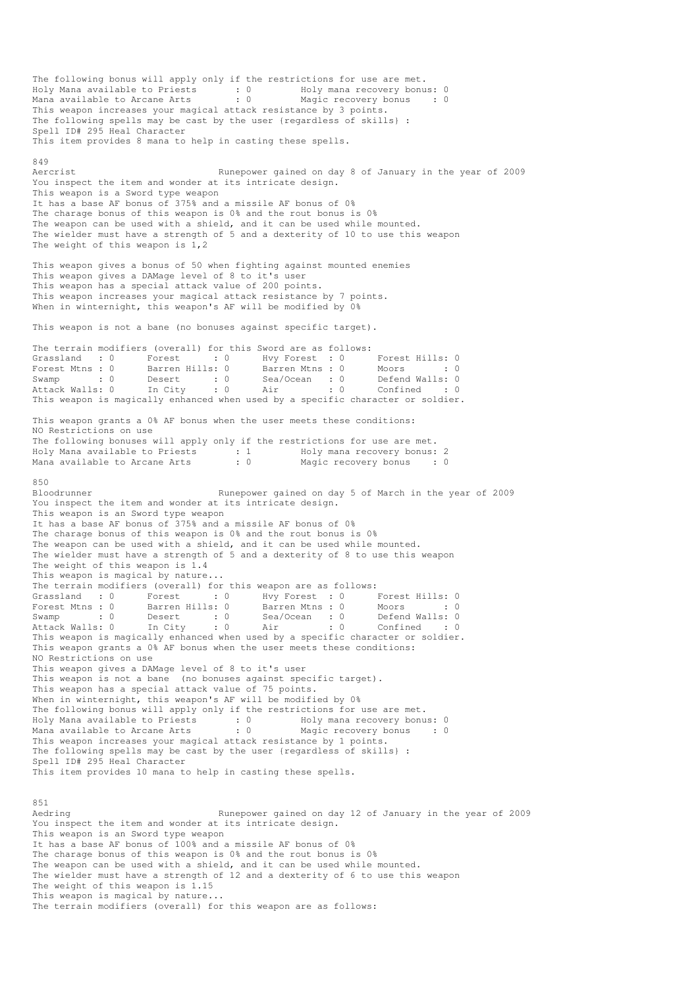The following bonus will apply only if the restrictions for use are met. Holy Mana available to Priests : 0 Holy mana recovery bonus: 0 Mana available to Arcane Arts : 0 Magic recovery bonus : 0 This weapon increases your magical attack resistance by 3 points. The following spells may be cast by the user {regardless of skills} : Spell ID# 295 Heal Character This item provides 8 mana to help in casting these spells. 849<br>Aercrist Runepower gained on day 8 of January in the year of 2009 You inspect the item and wonder at its intricate design. This weapon is a Sword type weapon It has a base AF bonus of 375% and a missile AF bonus of 0% The charage bonus of this weapon is 0% and the rout bonus is 0% The weapon can be used with a shield, and it can be used while mounted. The wielder must have a strength of 5 and a dexterity of 10 to use this weapon The weight of this weapon is 1,2 This weapon gives a bonus of 50 when fighting against mounted enemies This weapon gives a DAMage level of 8 to it's user This weapon has a special attack value of 200 points. This weapon increases your magical attack resistance by 7 points. When in winternight, this weapon's AF will be modified by 0% This weapon is not a bane (no bonuses against specific target). The terrain modifiers (overall) for this Sword are as follows: Grassland : 0 Forest : 0 Hvy Forest : 0 Forest Hills: 0<br>Forest Mtns : 0 Barren Hills: 0 Barren Mtns : 0 Moors : 0 Forest Mtns : 0 Barren Hills: 0 Barren Mtns : 0<br>
Swamp : 0 Desert : 0 Sea/Ocean : 0<br>
Attack Walls: 0 In City : 0 Air : 0 Swamp : 0 Desert : 0 Sea/Ocean : 0 Defend Walls: 0 Attack Walls: 0 In City : 0 Air : 0 Confined : 0 URE THEST IN THE MARK OF THE MARK OF SALL AREA AND SALL OF SALL OF THIS WAS SERVED ON THIS WAS MOST UP TO SALL O<br>This weapon is magically enhanced when used by a specific character or soldier. This weapon grants a 0% AF bonus when the user meets these conditions: NO Restrictions on use The following bonuses will apply only if the restrictions for use are met. Holy Mana available to Priests : 1 Holy mana recovery bonus: 2 Mana available to Arcane Arts : 0 Magic recovery bonus : 0 850<br>Bloodrunner Runepower gained on day 5 of March in the year of 2009 You inspect the item and wonder at its intricate design. This weapon is an Sword type weapon It has a base AF bonus of 375% and a missile AF bonus of 0% The charage bonus of this weapon is 0% and the rout bonus is 0% The weapon can be used with a shield, and it can be used while mounted. The wielder must have a strength of 5 and a dexterity of 8 to use this weapon The weight of this weapon is 1.4 This weapon is magical by nature... The terrain modifiers (overall) for this weapon are as follows: Grassland : 0 Forest : 0 Hvy Forest : 0 Forest Hills: 0 Forest Mtns : 0 Barren Hills: 0 Barren Mtns : 0 Moors : 0 : 0 Swamp : 0 Desert : 0 Sea/Ocean : 0 Defend Walls: 0 Attack Walls: 0 In City : 0 Air : 0 Confined : 0 Swamp : 0 Desert : 0 Sea/Ocean . 5<br>Attack Walls: 0 In City : 0 Air : 0 Confined : 0<br>This weapon is magically enhanced when used by a specific character or soldier. This weapon grants a 0% AF bonus when the user meets these conditions: NO Restrictions on use This weapon gives a DAMage level of 8 to it's user This weapon is not a bane (no bonuses against specific target). This weapon has a special attack value of 75 points. When in winternight, this weapon's AF will be modified by 0% The following bonus will apply only if the restrictions for use are met. Holy Mana available to Priests : 0 Holy mana recovery bonus: 0 Mana available to Arcane Arts : 0 Magic recovery bonus : 0 This weapon increases your magical attack resistance by 1 points. The following spells may be cast by the user {regardless of skills} : Spell ID# 295 Heal Character This item provides 10 mana to help in casting these spells. 851<br>Aedring Runepower gained on day 12 of January in the year of 2009 You inspect the item and wonder at its intricate design. This weapon is an Sword type weapon It has a base AF bonus of 100% and a missile AF bonus of 0% The charage bonus of this weapon is 0% and the rout bonus is 0% The weapon can be used with a shield, and it can be used while mounted. The wielder must have a strength of 12 and a dexterity of 6 to use this weapon The weight of this weapon is 1.15 This weapon is magical by nature... The terrain modifiers (overall) for this weapon are as follows: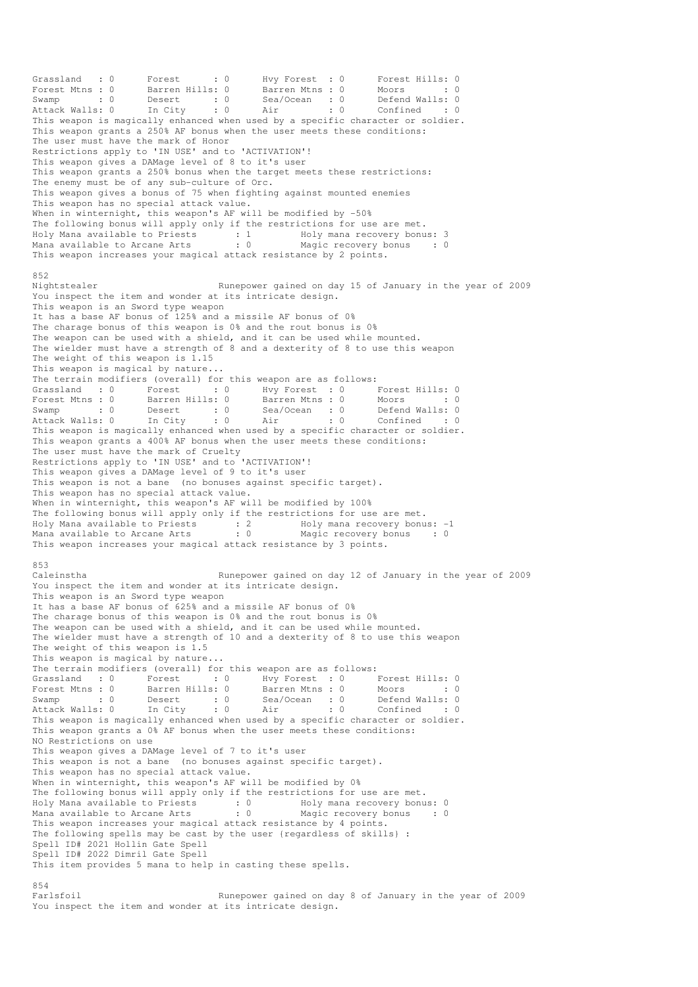Grassland : 0 Forest : 0 Hvy Forest : 0 Forest Hills: 0 Forest Mtns : 0 Barren Hills: 0 Barren Mtns : 0 Moors : 0 : 0 Swamp : 0 Desert : 0 Sea/Ocean : 0 Defend Walls: 0 Attack Walls: 0 In City : 0 Air : 0 Confined : 0 This weapon is magically enhanced when used by a specific character or soldier. This weapon grants a 250% AF bonus when the user meets these conditions: The user must have the mark of Honor Restrictions apply to 'IN USE' and to 'ACTIVATION'! This weapon gives a DAMage level of 8 to it's user This weapon grants a 250% bonus when the target meets these restrictions: The enemy must be of any sub-culture of Orc. This weapon gives a bonus of 75 when fighting against mounted enemies This weapon has no special attack value. When in winternight, this weapon's AF will be modified by -50% The following bonus will apply only if the restrictions for use are met. Holy Mana available to Priests : 1 Holy mana recovery bonus: 3 Mana available to Arcane Arts : 0 Magic recovery bonus : 0 This weapon increases your magical attack resistance by 2 points. 852<br>Nightstealer Runepower gained on day 15 of January in the year of 2009 You inspect the item and wonder at its intricate design. This weapon is an Sword type weapon It has a base AF bonus of 125% and a missile AF bonus of 0% The charage bonus of this weapon is 0% and the rout bonus is 0% The weapon can be used with a shield, and it can be used while mounted. The wielder must have a strength of 8 and a dexterity of 8 to use this weapon The weight of this weapon is 1.15 This weapon is magical by nature... The terrain modifiers (overall) for this weapon are as follows: Grassland : 0 Forest : 0 Hvy Forest : 0 Forest Hills: 0 Forest Mtns : 0 Barren Hills: 0 Barren Mtns : 0 Moors : 0 : 0 Swamp : 0 Desert : 0 Sea/Ocean : 0 Defend Walls: 0 Attack Walls: 0 In City : 0 Air : 0 Confined : 0 This weapon is magically enhanced when used by a specific character or soldier. This weapon grants a 400% AF bonus when the user meets these conditions: The user must have the mark of Cruelty Restrictions apply to 'IN USE' and to 'ACTIVATION'! This weapon gives a DAMage level of 9 to it's user This weapon is not a bane (no bonuses against specific target). This weapon has no special attack value. When in winternight, this weapon's AF will be modified by 100% The following bonus will apply only if the restrictions for use are met. Holy Mana available to Priests : 2 Holy mana recovery bonus: -1 Mana available to Arcane Arts : 0 Magic recovery bonus : 0 This weapon increases your magical attack resistance by 3 points.  $052$ Caleinstha Runepower gained on day 12 of January in the year of 2009 You inspect the item and wonder at its intricate design. This weapon is an Sword type weapon It has a base AF bonus of 625% and a missile AF bonus of 0% The charage bonus of this weapon is 0% and the rout bonus is 0% The weapon can be used with a shield, and it can be used while mounted. The wielder must have a strength of 10 and a dexterity of 8 to use this weapon The weight of this weapon is 1.5 This weapon is magical by nature... The terrain modifiers (overall) for this weapon are as follows: Grassland : 0 Forest : 0 Hvy Forest : 0 Forest Hills: 0 Forest Mtns : 0 Barren Hills: 0 Barren Mtns : 0 Moors : 0 : 0 Swamp : 0 Desert : 0 Sea/Ocean : 0 Defend Walls: 0 Attack Walls: 0 In City : 0 Air : 0 Confined : 0 The structure is the matter is the same in the second of the second of the second and the specific character or soldier.<br>
This weapon is magically enhanced when used by a specific character or soldier. This weapon grants a 0% AF bonus when the user meets these conditions: NO Restrictions on use This weapon gives a DAMage level of 7 to it's user This weapon is not a bane (no bonuses against specific target). This weapon has no special attack value. When in winternight, this weapon's AF will be modified by 0% The following bonus will apply only if the restrictions for use are met. Holy Mana available to Priests : 0 Holy mana recovery bonus: 0 Mana available to Arcane Arts : 0 Magic recovery bonus : 0 This weapon increases your magical attack resistance by 4 points. The following spells may be cast by the user {regardless of skills} : Spell ID# 2021 Hollin Gate Spell Spell ID# 2022 Dimril Gate Spell This item provides 5 mana to help in casting these spells. 854<br>Farlsfoil Runepower gained on day 8 of January in the year of 2009 You inspect the item and wonder at its intricate design.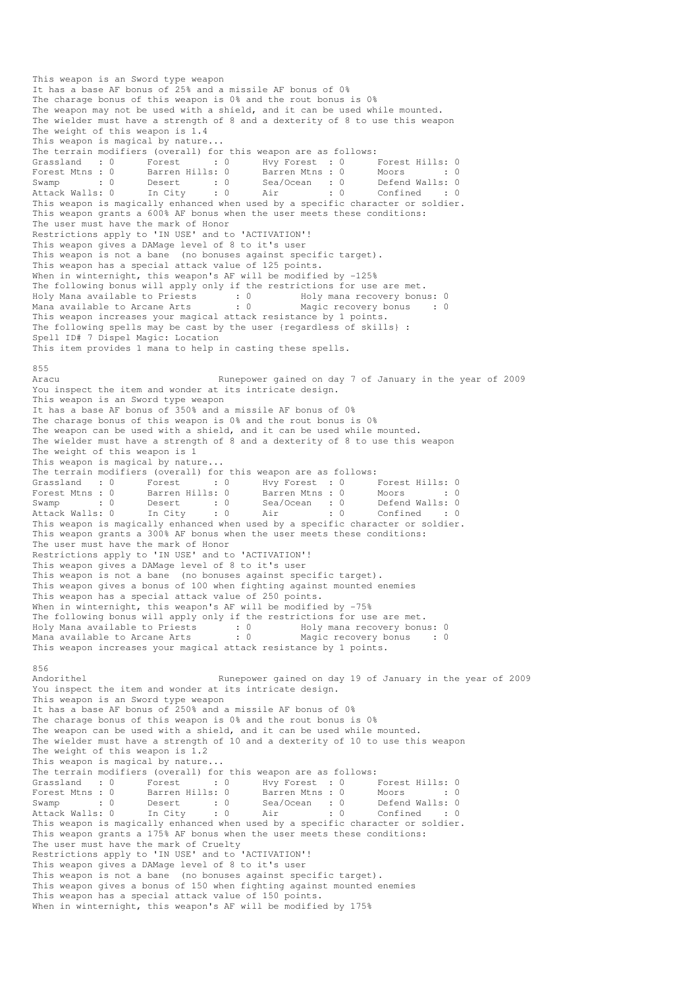This weapon is an Sword type weapon It has a base AF bonus of 25% and a missile AF bonus of 0% The charage bonus of this weapon is 0% and the rout bonus is 0% The weapon may not be used with a shield, and it can be used while mounted. The wielder must have a strength of 8 and a dexterity of 8 to use this weapon The weight of this weapon is 1.4 This weapon is magical by nature... The terrain modifiers (overall) for this weapon are as follows: Grassland : 0 Forest : 0 Hvy Forest : 0 Forest Hills: 0 Forest Mtns : 0 Barren Hills: 0 Barren Mtns : 0 Moors : 0 : 0 Swamp : 0 Desert : 0 Sea/Ocean : 0 Defend Walls: 0 Attack Walls: 0 In City : 0 Air : 0 Confined : 0 Forest Mths: 0 bailen mills: 0 burron induced by a specific character or soldier.<br>
Attack Walls: 0 In City : 0 Air : 0 Confined : 0<br>
Attack Walls: 0 In City : 0 Air : 0 Confined : 0<br>
This weapon is magically enhanced when This weapon grants a 600% AF bonus when the user meets these conditions: The user must have the mark of Honor Restrictions apply to 'IN USE' and to 'ACTIVATION'! This weapon gives a DAMage level of 8 to it's user This weapon is not a bane (no bonuses against specific target). This weapon has a special attack value of 125 points. When in winternight, this weapon's AF will be modified by -125% The following bonus will apply only if the restrictions for use are met. Holy Mana available to Priests : 0 Holy mana recovery bonus: 0 Mana available to Arcane Arts : 0 Magic recovery bonus : 0 This weapon increases your magical attack resistance by 1 points. The following spells may be cast by the user {regardless of skills} : Spell ID# 7 Dispel Magic: Location This item provides 1 mana to help in casting these spells. 855 Runepower gained on day 7 of January in the year of 2009 You inspect the item and wonder at its intricate design. This weapon is an Sword type weapon It has a base AF bonus of 350% and a missile AF bonus of 0% The charage bonus of this weapon is 0% and the rout bonus is 0% The weapon can be used with a shield, and it can be used while mounted. The wielder must have a strength of 8 and a dexterity of 8 to use this weapon The weight of this weapon is 1 This weapon is magical by nature... The terrain modifiers (overall) for this weapon are as follows: Grassland : 0 Forest : 0 Hvy Forest : 0 Forest Hills: 0 Forest Mtns : 0 Barren Hills: 0 Barren Mtns : 0 Moors : 0 : 0 Swamp : 0 Desert : 0 Sea/Ocean : 0 Defend Walls: 0 Attack Walls: 0 In City : 0 Air : 0 Confined : 0 This weapon is magically enhanced when used by a specific character or soldier. This weapon grants a 300% AF bonus when the user meets these conditions: The user must have the mark of Honor Restrictions apply to 'IN USE' and to 'ACTIVATION'! This weapon gives a DAMage level of 8 to it's user This weapon is not a bane (no bonuses against specific target). This weapon gives a bonus of 100 when fighting against mounted enemies This weapon has a special attack value of 250 points. When in winternight, this weapon's AF will be modified by -75% The following bonus will apply only if the restrictions for use are met. Holy Mana available to Priests : 0 69 Holy mana recovery bonus: 0 Mana available to Arcane Arts : 0 Magic recovery bonus : 0 This weapon increases your magical attack resistance by 1 points. 856<br>Andorithel Runepower gained on day 19 of January in the year of 2009 You inspect the item and wonder at its intricate design. This weapon is an Sword type weapon It has a base AF bonus of 250% and a missile AF bonus of 0% The charage bonus of this weapon is 0% and the rout bonus is 0% The weapon can be used with a shield, and it can be used while mounted. The wielder must have a strength of 10 and a dexterity of 10 to use this weapon The weight of this weapon is 1.2 This weapon is magical by nature... The terrain modifiers (overall) for this weapon are as follows: Grassland : 0 Forest : 0 Hvy Forest : 0 Forest Hills: 0 Forest Mtns : 0 Barren Hills: 0 Barren Mtns : 0 Moors : 0 : 0 Swamp : 0 Desert : 0 Sea/Ocean : 0 Defend Walls: 0 Attack Walls: 0 In City : 0 Air : 0 Confined : 0 This weapon is magically enhanced when used by a specific character or soldier. This weapon grants a 175% AF bonus when the user meets these conditions: The user must have the mark of Cruelty Restrictions apply to 'IN USE' and to 'ACTIVATION'! This weapon gives a DAMage level of 8 to it's user This weapon is not a bane (no bonuses against specific target). This weapon gives a bonus of 150 when fighting against mounted enemies This weapon has a special attack value of 150 points. When in winternight, this weapon's AF will be modified by 175%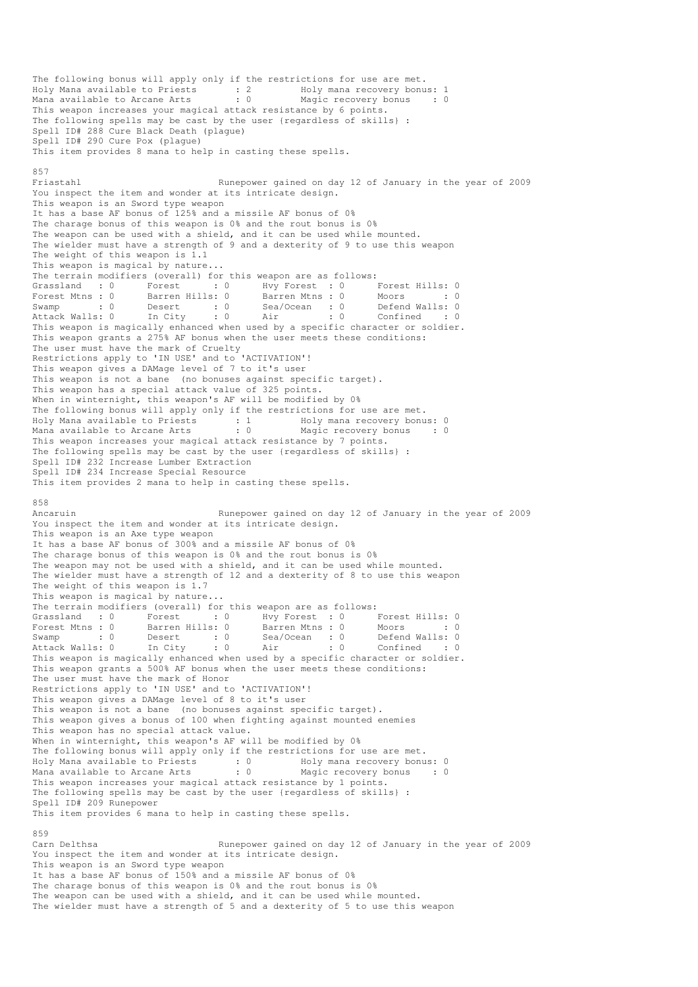The following bonus will apply only if the restrictions for use are met. Holy Mana available to Priests : 2 Holy mana recovery bonus: 1 Mana available to Arcane Arts : 0 Magic recovery bonus : 0 This weapon increases your magical attack resistance by 6 points. The following spells may be cast by the user {regardless of skills} : Spell ID# 288 Cure Black Death (plague) Spell ID# 290 Cure Pox (plague) This item provides 8 mana to help in casting these spells. 857 Friastahl Runepower gained on day 12 of January in the year of 2009 You inspect the item and wonder at its intricate design. This weapon is an Sword type weapon It has a base AF bonus of 125% and a missile AF bonus of 0% The charage bonus of this weapon is 0% and the rout bonus is 0% The weapon can be used with a shield, and it can be used while mounted. The wielder must have a strength of 9 and a dexterity of 9 to use this weapon The weight of this weapon is 1.1 This weapon is magical by nature... The terrain modifiers (overall) for this weapon are as follows: Grassland : 0 Forest : 0 Hvy Forest : 0 Forest Hills: 0 Forest Mtns : 0 Barren Hills: 0 Barren Mtns : 0 Moors : 0 : 0 Swamp : 0 Desert : 0 Sea/Ocean : 0 Defend Walls: 0 Attack Walls: 0 In City : 0 Air : 0 Confined : 0 This weapon is magically enhanced when used by a specific character or soldier. This weapon grants a 275% AF bonus when the user meets these conditions: The user must have the mark of Cruelty Restrictions apply to 'IN USE' and to 'ACTIVATION'! This weapon gives a DAMage level of 7 to it's user This weapon is not a bane (no bonuses against specific target). This weapon has a special attack value of 325 points. When in winternight, this weapon's AF will be modified by 0% The following bonus will apply only if the restrictions for use are met. Holy Mana available to Priests : 1 Holy mana recovery bonus: 0 Mana available to Arcane Arts : 0 Magic recovery bonus : 0 This weapon increases your magical attack resistance by 7 points. The following spells may be cast by the user {regardless of skills} : Spell ID# 232 Increase Lumber Extraction Spell ID# 234 Increase Special Resource This item provides 2 mana to help in casting these spells. 858 Ancaruin Runepower gained on day 12 of January in the year of 2009 You inspect the item and wonder at its intricate design. This weapon is an Axe type weapon It has a base AF bonus of 300% and a missile AF bonus of 0% The charage bonus of this weapon is 0% and the rout bonus is 0% The weapon may not be used with a shield, and it can be used while mounted. The wielder must have a strength of 12 and a dexterity of 8 to use this weapon The weight of this weapon is 1.7 This weapon is magical by nature... The terrain modifiers (overall) for this weapon are as follows: Grassland : 0 Forest : 0 Hvy Forest : 0 Forest Hills: 0 Forest Mtns : 0 Barren Hills: 0 Barren Mtns : 0 Moors : 0 : 0 Swamp : 0 Desert : 0 Sea/Ocean : 0 Defend Walls: 0 Attack Walls: 0 In City : 0 Air : 0 Confined : 0 This weapon is magically enhanced when used by a specific character or soldier. This weapon grants a 500% AF bonus when the user meets these conditions: The user must have the mark of Honor Restrictions apply to 'IN USE' and to 'ACTIVATION'! This weapon gives a DAMage level of 8 to it's user This weapon is not a bane (no bonuses against specific target). This weapon gives a bonus of 100 when fighting against mounted enemies This weapon has no special attack value. When in winternight, this weapon's AF will be modified by 0% The following bonus will apply only if the restrictions for use are met. Holy Mana available to Priests : 0 69 Holy mana recovery bonus: 0 Mana available to Arcane Arts : 0 Magic recovery bonus : 0 This weapon increases your magical attack resistance by 1 points. The following spells may be cast by the user {regardless of skills} : Spell ID# 209 Runepower This item provides 6 mana to help in casting these spells. 859<br>Carn Delthsa Runepower gained on day 12 of January in the year of 2009 You inspect the item and wonder at its intricate design. This weapon is an Sword type weapon It has a base AF bonus of 150% and a missile AF bonus of 0% The charage bonus of this weapon is 0% and the rout bonus is 0% The weapon can be used with a shield, and it can be used while mounted. The wielder must have a strength of 5 and a dexterity of 5 to use this weapon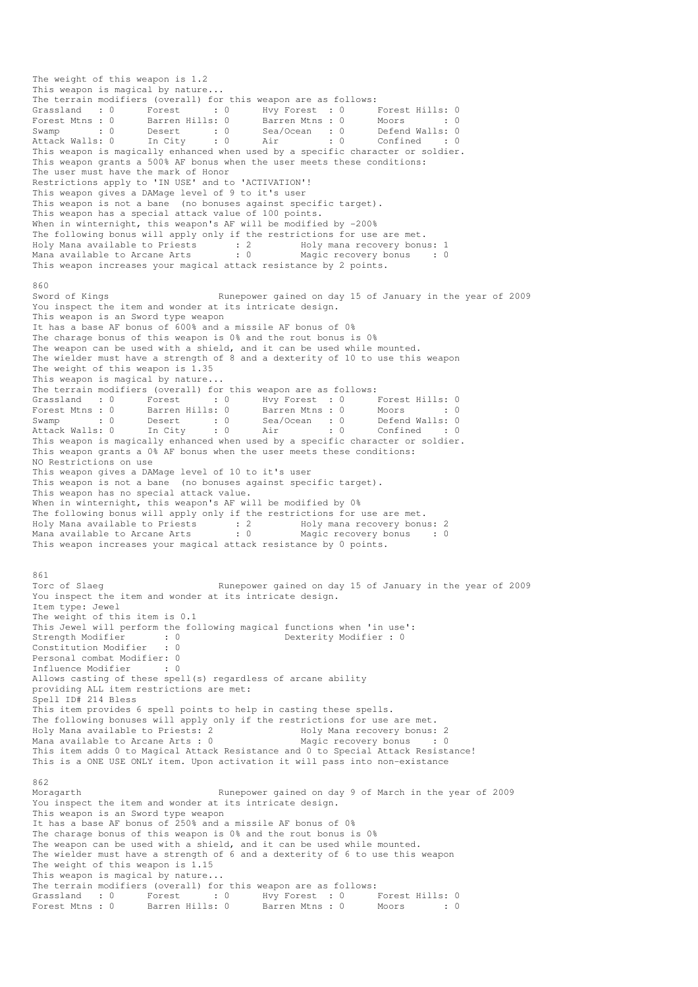The weight of this weapon is 1.2 This weapon is magical by nature... The terrain modifiers (overall) for this weapon are as follows: Grassland : 0 Forest : 0 Hvy Forest : 0 Forest Hills: 0 Forest Mtns : 0 Barren Hills: 0 Barren Mtns : 0 Moors : 0 : 0 Swamp : 0 Desert : 0 Sea/Ocean : 0 Defend Walls: 0 Attack Walls: 0 In City : 0 Air : 0 Confined : 0 This weapon is magically enhanced when used by a specific character or soldier. This weapon grants a 500% AF bonus when the user meets these conditions: The user must have the mark of Honor Restrictions apply to 'IN USE' and to 'ACTIVATION'! This weapon gives a DAMage level of 9 to it's user This weapon is not a bane (no bonuses against specific target). This weapon has a special attack value of 100 points. When in winternight, this weapon's AF will be modified by -200% The following bonus will apply only if the restrictions for use are met. Holy Mana available to Priests : 2 Holy mana recovery bonus: 1 Mana available to Arcane Arts : 0 Magic recovery bonus : 0 This weapon increases your magical attack resistance by 2 points. 860 Sword of Kings Runepower gained on day 15 of January in the year of 2009 You inspect the item and wonder at its intricate design. This weapon is an Sword type weapon It has a base AF bonus of 600% and a missile AF bonus of 0% The charage bonus of this weapon is 0% and the rout bonus is 0% The weapon can be used with a shield, and it can be used while mounted. The wielder must have a strength of 8 and a dexterity of 10 to use this weapon The weight of this weapon is 1.35 This weapon is magical by nature... The terrain modifiers (overall) for this weapon are as follows: Grassland : 0 Forest : 0 Hvy Forest : 0 Forest Hills: 0 Forest Mtns : 0 Barren Hills: 0 Barren Mtns : 0 Moors : 0 Swamp : 0 Desert : 0 Sea/Ocean : 0 Defend Walls: 0 Attack Walls: 0 In City : 0 Air : 0 Confined : 0 This weapon is magically enhanced when used by a specific character or soldier. This weapon grants a 0% AF bonus when the user meets these conditions: NO Restrictions on use This weapon gives a DAMage level of 10 to it's user This weapon is not a bane (no bonuses against specific target). This weapon has no special attack value. When in winternight, this weapon's AF will be modified by 0% The following bonus will apply only if the restrictions for use are met. Holy Mana available to Priests : 2 Holy mana recovery bonus: 2 Mana available to Arcane Arts : 0 Magic recovery bonus : 0 This weapon increases your magical attack resistance by 0 points. 861<br>Torc of Slaeg Runepower gained on day 15 of January in the year of 2009 You inspect the item and wonder at its intricate design. Item type: Jewel The weight of this item is 0.1 This Jewel will perform the following magical functions when 'in use': Strength Modifier : 0 0 Dexterity Modifier : 0 Constitution Modifier : 0 Personal combat Modifier: 0<br>Influence Modifier : 0 Influence Modifier Allows casting of these spell(s) regardless of arcane ability providing ALL item restrictions are met: Spell ID# 214 Bless This item provides 6 spell points to help in casting these spells. The following bonuses will apply only if the restrictions for use are met. Holy Mana available to Priests: 2 and Holy Mana recovery bonus: 2<br>
Mana available to Arcane Arts : 0 and Magic recovery bonus : 0 Mana available to Arcane Arts :  $0$ This item adds 0 to Magical Attack Resistance and 0 to Special Attack Resistance! This is a ONE USE ONLY item. Upon activation it will pass into non-existance 862 Moragarth Runepower gained on day 9 of March in the year of 2009 You inspect the item and wonder at its intricate design. This weapon is an Sword type weapon It has a base AF bonus of 250% and a missile AF bonus of 0% The charage bonus of this weapon is 0% and the rout bonus is 0% The weapon can be used with a shield, and it can be used while mounted. The wielder must have a strength of 6 and a dexterity of 6 to use this weapon The weight of this weapon is 1.15 This weapon is magical by nature... The terrain modifiers (overall) for this weapon are as follows: Grassland : 0 Forest : 0 Hvy Forest : 0 Forest Hills: 0 Forest Mtns : 0 Barren Hills: 0 Barren Mtns : 0 Moors : 0 : 0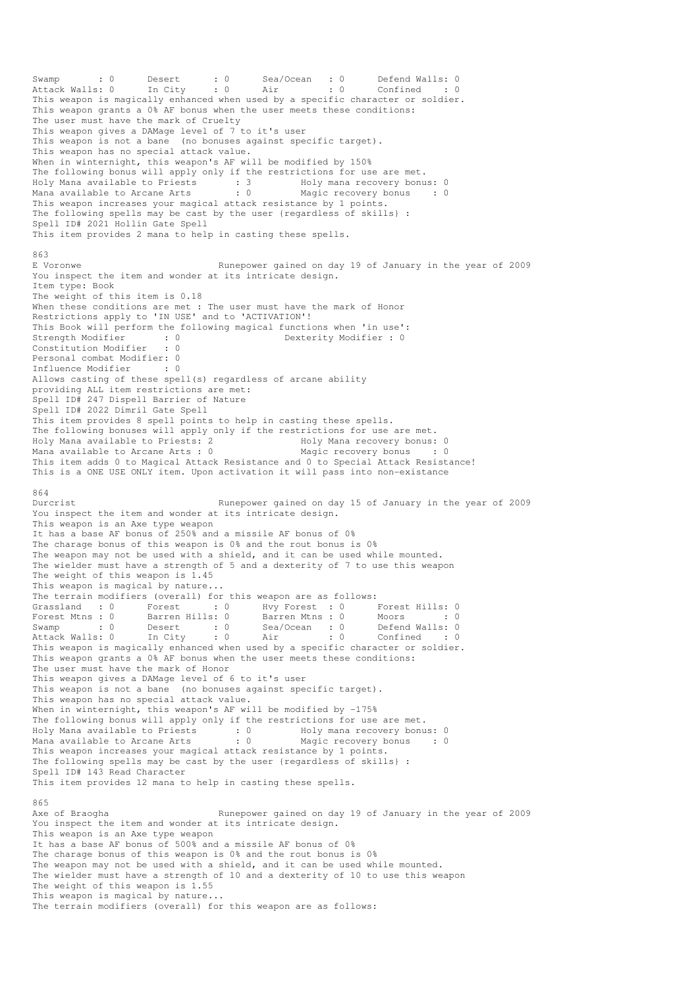Swamp : 0 Desert : 0 Sea/Ocean : 0 Defend Walls: 0 Attack Walls: 0 In City : 0 Air : 0 Confined : 0 This weapon is magically enhanced when used by a specific character or soldier. This weapon grants a 0% AF bonus when the user meets these conditions: The user must have the mark of Cruelty This weapon gives a DAMage level of 7 to it's user This weapon is not a bane (no bonuses against specific target). This weapon has no special attack value. When in winternight, this weapon's AF will be modified by 150% The following bonus will apply only if the restrictions for use are met. Holy Mana available to Priests : 3 Holy mana recovery bonus: 0 Mana available to Arcane Arts : 0 Magic recovery bonus : 0 This weapon increases your magical attack resistance by 1 points. The following spells may be cast by the user {regardless of skills} : Spell ID# 2021 Hollin Gate Spell This item provides 2 mana to help in casting these spells. 863 E Voronwe Runepower gained on day 19 of January in the year of 2009 You inspect the item and wonder at its intricate design. Item type: Book The weight of this item is 0.18 When these conditions are met : The user must have the mark of Honor Restrictions apply to 'IN USE' and to 'ACTIVATION'! This Book will perform the following magical functions when 'in use': Strength Modifier : 0 0 Dexterity Modifier : 0 Constitution Modifier : 0 Personal combat Modifier: 0 Influence Modifier : 0 Allows casting of these spell(s) regardless of arcane ability providing ALL item restrictions are met: Spell ID# 247 Dispell Barrier of Nature Spell ID# 2022 Dimril Gate Spell This item provides 8 spell points to help in casting these spells. The following bonuses will apply only if the restrictions for use are met.<br>Holy Mana available to Priests: 2 Holy Mana recovery bonus: 0 Holy Mana available to Priests: 2 1999 Holy Mana recovery bonus: 0<br>
Mana available to Arcane Arts : 0 1999 Magic recovery bonus : 0 Mana available to Arcane Arts :  $0$ This item adds 0 to Magical Attack Resistance and 0 to Special Attack Resistance! This is a ONE USE ONLY item. Upon activation it will pass into non-existance 864 Durcrist Runepower gained on day 15 of January in the year of 2009 You inspect the item and wonder at its intricate design. This weapon is an Axe type weapon It has a base AF bonus of 250% and a missile AF bonus of 0% The charage bonus of this weapon is 0% and the rout bonus is 0% The weapon may not be used with a shield, and it can be used while mounted. The wielder must have a strength of 5 and a dexterity of 7 to use this weapon The weight of this weapon is  $1.45$ This weapon is magical by nature... The terrain modifiers (overall) for this weapon are as follows: Grassland : 0 Forest : 0 Hvy Forest : 0 Forest Hills: 0 Forest Mtns : 0 Barren Hills: 0 Barren Mtns : 0 Moors : 0 : 0 Swamp : 0 Desert : 0 Sea/Ocean : 0 Defend Walls: 0 Attack Walls: 0 In City : 0 Air : 0 Confined : 0 This weapon is magically enhanced when used by a specific character or soldier. This weapon grants a 0% AF bonus when the user meets these conditions: The user must have the mark of Honor This weapon gives a DAMage level of 6 to it's user This weapon is not a bane (no bonuses against specific target). This weapon has no special attack value. When in winternight, this weapon's AF will be modified by -175% The following bonus will apply only if the restrictions for use are met. Holy Mana available to Priests : 0 Holy mana recovery bonus: 0 Mana available to Arcane Arts : 0 Magic recovery bonus : 0 This weapon increases your magical attack resistance by 1 points. The following spells may be cast by the user {regardless of skills} : Spell ID# 143 Read Character This item provides 12 mana to help in casting these spells. 865<br>Axe of Braogha Runepower gained on day 19 of January in the year of 2009 You inspect the item and wonder at its intricate design. This weapon is an Axe type weapon It has a base AF bonus of 500% and a missile AF bonus of 0% The charage bonus of this weapon is 0% and the rout bonus is 0% The weapon may not be used with a shield, and it can be used while mounted. The wielder must have a strength of 10 and a dexterity of 10 to use this weapon The weight of this weapon is 1.55 This weapon is magical by nature... The terrain modifiers (overall) for this weapon are as follows: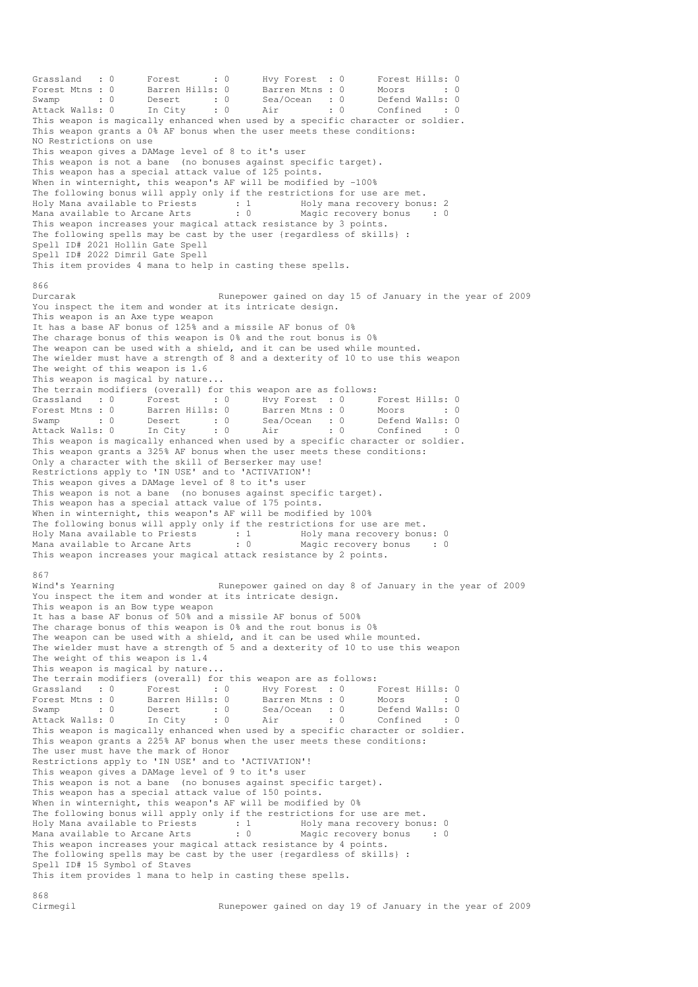Grassland : 0 Forest : 0 Hvy Forest : 0 Forest Hills: 0 Forest Mtns : 0 Barren Hills: 0 Barren Mtns : 0 Moors : 0 : 0 Swamp : 0 Desert : 0 Sea/Ocean : 0 Defend Walls: 0 Attack Walls: 0 In City : 0 Air : 0 Confined : 0 This weapon is magically enhanced when used by a specific character or soldier. This weapon grants a 0% AF bonus when the user meets these conditions: NO Restrictions on use This weapon gives a DAMage level of 8 to it's user This weapon is not a bane (no bonuses against specific target). This weapon has a special attack value of 125 points. When in winternight, this weapon's AF will be modified by -100% The following bonus will apply only if the restrictions for use are met. Holy Mana available to Priests : 1 Holy mana recovery bonus: 2 Mana available to Arcane Arts : 0 Magic recovery bonus : 0 This weapon increases your magical attack resistance by 3 points. The following spells may be cast by the user {regardless of skills} : Spell ID# 2021 Hollin Gate Spell Spell ID# 2022 Dimril Gate Spell This item provides 4 mana to help in casting these spells. 866 Durcarak Runepower gained on day 15 of January in the year of 2009 You inspect the item and wonder at its intricate design. This weapon is an Axe type weapon It has a base AF bonus of 125% and a missile AF bonus of 0% The charage bonus of this weapon is 0% and the rout bonus is 0% The weapon can be used with a shield, and it can be used while mounted. The wielder must have a strength of 8 and a dexterity of 10 to use this weapon The weight of this weapon is 1.6 This weapon is magical by nature... The terrain modifiers (overall) for this weapon are as follows: Grassland : 0 Forest : 0 Hvy Forest : 0 Forest Hills: 0 Forest Mtns : 0 Barren Hills: 0 Barren Mtns : 0 Moors : 0 Swamp : 0 Desert : 0 Sea/Ocean : 0 Defend Walls: 0 Attack Walls: 0 In City : 0 Air : 0 Confined : 0 This weapon is magically enhanced when used by a specific character or soldier. This weapon grants a 325% AF bonus when the user meets these conditions: Only a character with the skill of Berserker may use! Restrictions apply to 'IN USE' and to 'ACTIVATION'! This weapon gives a DAMage level of 8 to it's user This weapon is not a bane (no bonuses against specific target). This weapon has a special attack value of 175 points. When in winternight, this weapon's AF will be modified by 100% The following bonus will apply only if the restrictions for use are met. Holy Mana available to Priests : 1 Holy mana recovery bonus: 0 Mana available to Arcane Arts : 0 Magic recovery bonus : 0 This weapon increases your magical attack resistance by 2 points. 867<br>Wind's Yearning Runepower gained on day 8 of January in the year of 2009 You inspect the item and wonder at its intricate design. This weapon is an Bow type weapon It has a base AF bonus of 50% and a missile AF bonus of 500% The charage bonus of this weapon is 0% and the rout bonus is 0% The weapon can be used with a shield, and it can be used while mounted. The wielder must have a strength of 5 and a dexterity of 10 to use this weapon The weight of this weapon is 1.4 This weapon is magical by nature... The terrain modifiers (overall) for this weapon are as follows: Grassland : 0 Forest : 0 Hvy Forest : 0 Forest Hills: 0 Forest Mtns : 0 Barren Hills: 0 Barren Mtns : 0 Moors : 0 : 0 Swamp : 0 Desert : 0 Sea/Ocean : 0 Defend Walls: 0 Attack Walls: 0 In City : 0 Air : 0 Confined : 0 Forest Mtns : 0 <br>
Swamp : 0 <br>
Desert : 0 <br>
Attack Walls: 0 <br>
This weapon is magically enhanced when used by a specific character or soldier.<br>
This weapon is magically enhanced when used by a specific character or soldier. This weapon grants a 225% AF bonus when the user meets these conditions: The user must have the mark of Honor Restrictions apply to 'IN USE' and to 'ACTIVATION'! This weapon gives a DAMage level of 9 to it's user This weapon is not a bane (no bonuses against specific target). This weapon has a special attack value of 150 points. When in winternight, this weapon's AF will be modified by 0% The following bonus will apply only if the restrictions for use are met.<br>The following bonus will apply only if the restrictions for use are met.<br>Holy Mana available to Priests : 1 Holy mana recovery bonus: 0 Holy Mana available to Priests : 1 Holy mana recovery bonus: 0 Mana available to Arcane Arts : 0 Magic recovery bonus : 0 This weapon increases your magical attack resistance by 4 points. The following spells may be cast by the user {regardless of skills} : Spell ID# 15 Symbol of Staves This item provides 1 mana to help in casting these spells.

868<br>Cirmegil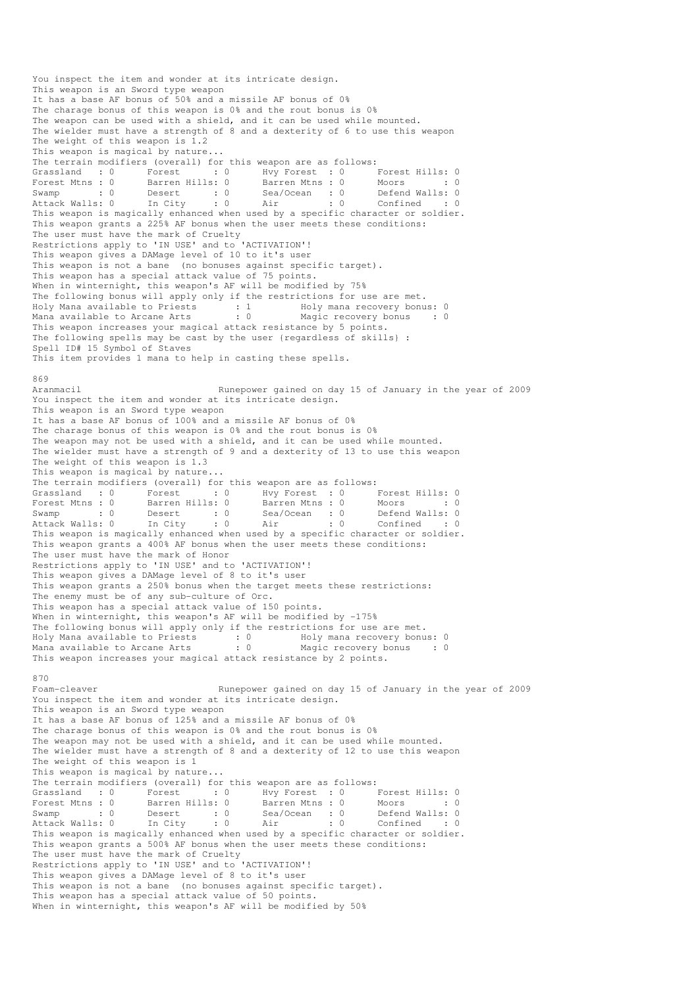You inspect the item and wonder at its intricate design. This weapon is an Sword type weapon It has a base AF bonus of 50% and a missile AF bonus of 0% The charage bonus of this weapon is 0% and the rout bonus is 0% The weapon can be used with a shield, and it can be used while mounted. The wielder must have a strength of 8 and a dexterity of 6 to use this weapon The weight of this weapon is 1.2 This weapon is magical by nature... The terrain modifiers (overall) for this weapon are as follows: Grassland : 0 Forest : 0 Hvy Forest : 0 Forest Hills: 0 Forest Mtns : 0 Barren Hills: 0 Barren Mtns : 0 Moors : 0 : 0 Swamp : 0 Desert : 0 Sea/Ocean : 0 Defend Walls: 0 Attack Walls: 0 In City : 0 Air : 0 Confined : 0 This weapon is magically enhanced when used by a specific character or soldier. This weapon grants a 225% AF bonus when the user meets these conditions: The user must have the mark of Cruelty Restrictions apply to 'IN USE' and to 'ACTIVATION'! This weapon gives a DAMage level of 10 to it's user This weapon is not a bane (no bonuses against specific target). This weapon has a special attack value of 75 points. When in winternight, this weapon's AF will be modified by 75% The following bonus will apply only if the restrictions for use are met. Holy Mana available to Priests : 1 Holy mana recovery bonus: 0 Mana available to Arcane Arts : 0 Magic recovery bonus : 0 This weapon increases your magical attack resistance by 5 points. The following spells may be cast by the user {regardless of skills} : Spell ID# 15 Symbol of Staves This item provides 1 mana to help in casting these spells. 869<br>Aranmacil Runepower gained on day 15 of January in the year of 2009 You inspect the item and wonder at its intricate design. This weapon is an Sword type weapon It has a base AF bonus of 100% and a missile AF bonus of 0% The charage bonus of this weapon is 0% and the rout bonus is 0% The weapon may not be used with a shield, and it can be used while mounted. The wielder must have a strength of 9 and a dexterity of 13 to use this weapon The weight of this weapon is 1.3 This weapon is magical by nature... The terrain modifiers (overall) for this weapon are as follows: Grassland : 0 Forest : 0 Hvy Forest : 0 Forest Hills: 0 Forest Mtns : 0 Barren Hills: 0 Barren Mtns : 0 Moors : 0 : 0 Swamp : 0 Desert : 0 Sea/Ocean : 0 Defend Walls: 0 Attack Walls: 0 In City : 0 Air : 0 Confined : 0 Swamp<br>Attack Walls: 0 In City : 0 Air : 0 Confined : 0<br>This weapon is magically enhanced when used by a specific character or soldier. This weapon grants a 400% AF bonus when the user meets these conditions: The user must have the mark of Honor Restrictions apply to 'IN USE' and to 'ACTIVATION'! This weapon gives a DAMage level of 8 to it's user This weapon grants a 250% bonus when the target meets these restrictions: The enemy must be of any sub-culture of Orc. This weapon has a special attack value of 150 points. When in winternight, this weapon's AF will be modified by -175% The following bonus will apply only if the restrictions for use are met. Holy Mana available to Priests : 0 Holy mana recovery bonus: 0 Mana available to Arcane Arts : 0 Magic recovery bonus : 0 This weapon increases your magical attack resistance by 2 points. 870 Foam-cleaver **Runepower gained on day 15 of January in the year of 2009** You inspect the item and wonder at its intricate design. This weapon is an Sword type weapon It has a base AF bonus of 125% and a missile AF bonus of 0% The charage bonus of this weapon is 0% and the rout bonus is 0% The weapon may not be used with a shield, and it can be used while mounted. The wielder must have a strength of 8 and a dexterity of 12 to use this weapon The weight of this weapon is 1 This weapon is magical by nature... The terrain modifiers (overall) for this weapon are as follows: Grassland : 0 Forest : 0 Hvy Forest : 0 Forest Hills: 0<br>Forest Mtns : 0 Barren Hills: 0 Barren Mtns : 0 Moors : 0 Forest Mtns : 0 Barren Hills: 0 Barren Mtns : 0 Moors : 0 : 0 Swamp : 0 Desert : 0 Sea/Ocean : 0 Defend Walls: 0 Attack Walls: 0 In City : 0 Air : 0 Confined : 0 Forest Mtns : 0 barren nills: 0 barren nills: 0 beach is considered when is 0 befend Walls: 0 https: 0 confined : 0 Ait acts This weapon is magically enhanced when used by a specific character or soldier. This weapon grants a 500% AF bonus when the user meets these conditions: The user must have the mark of Cruelty Restrictions apply to 'IN USE' and to 'ACTIVATION'! This weapon gives a DAMage level of 8 to it's user This weapon is not a bane (no bonuses against specific target). This weapon has a special attack value of 50 points. When in winternight, this weapon's AF will be modified by 50%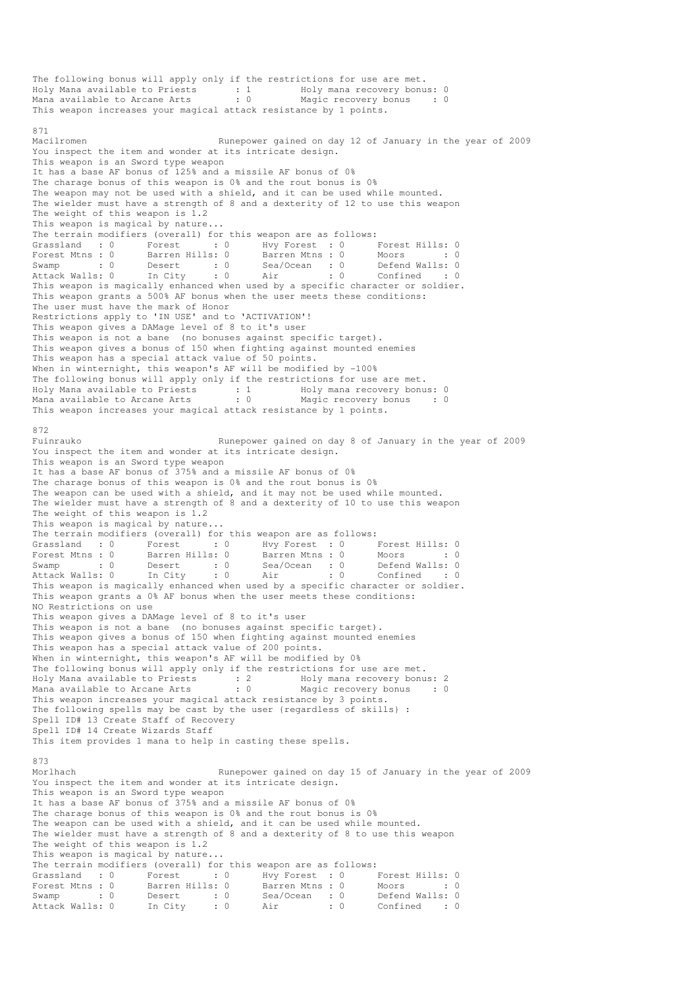The following bonus will apply only if the restrictions for use are met. Holy Mana available to Priests : 1 Holy mana recovery bonus: 0 Mana available to Arcane Arts : 0 Magic recovery bonus : 0 This weapon increases your magical attack resistance by 1 points. 871<br>Macilromen Runepower gained on day 12 of January in the year of 2009 You inspect the item and wonder at its intricate design. This weapon is an Sword type weapon It has a base AF bonus of 125% and a missile AF bonus of 0% The charage bonus of this weapon is 0% and the rout bonus is 0% The weapon may not be used with a shield, and it can be used while mounted. The wielder must have a strength of 8 and a dexterity of 12 to use this weapon The weight of this weapon is 1.2 This weapon is magical by nature... The terrain modifiers (overall) for this weapon are as follows: Grassland : 0 Forest : 0 Hvy Forest : 0 Forest Hills: 0 Forest Mtns : 0 Barren Hills: 0 Barren Mtns : 0 Moors : 0 : 0 Swamp : 0 Desert : 0 Sea/Ocean : 0 Defend Walls: 0 Attack Walls: 0 In City : 0 Air : 0 Confined : 0 This weapon is magically enhanced when used by a specific character or soldier. This weapon grants a 500% AF bonus when the user meets these conditions: The user must have the mark of Honor Restrictions apply to 'IN USE' and to 'ACTIVATION'! This weapon gives a DAMage level of 8 to it's user This weapon is not a bane (no bonuses against specific target). This weapon gives a bonus of 150 when fighting against mounted enemies This weapon has a special attack value of 50 points. When in winternight, this weapon's AF will be modified by -100% The following bonus will apply only if the restrictions for use are met. Holy Mana available to Priests : 1 Moly mana recovery bonus: 0 Mana available to Arcane Arts : 0 Magic recovery bonus : 0 This weapon increases your magical attack resistance by 1 points. 872<br>Fuinrauko Runepower gained on day 8 of January in the year of 2009 You inspect the item and wonder at its intricate design. This weapon is an Sword type weapon It has a base AF bonus of 375% and a missile AF bonus of 0% The charage bonus of this weapon is 0% and the rout bonus is 0% The weapon can be used with a shield, and it may not be used while mounted. The wielder must have a strength of 8 and a dexterity of 10 to use this weapon The weight of this weapon is 1.2 This weapon is magical by nature... The terrain modifiers (overall) for this weapon are as follows: Grassland : 0 Forest : 0 Hvy Forest : 0 Forest Hills: 0 Forest Mtns : 0 Barren Hills: 0 Barren Mtns : 0 Moors : 0 : 0 Swamp : 0 Defend Walls: 0<br>
Swamp : 0 Defend Walls: 0<br>
Swamp : 0 Confined : 0<br>
Swamp of Suldier France Walley Correct Windows (Crassland : 0 Forest : 0<br>
Forest Mtns : 0 Barren Hills: 0<br>
Swamp : 0 Desert : 0<br>
Attack Walls: 0 In City : 0 This weapon is magically enhanced when used by a specific character or soldier. This weapon grants a 0% AF bonus when the user meets these conditions: NO Restrictions on use This weapon gives a DAMage level of 8 to it's user This weapon is not a bane (no bonuses against specific target). This weapon gives a bonus of 150 when fighting against mounted enemies This weapon has a special attack value of 200 points. When in winternight, this weapon's AF will be modified by 0% The following bonus will apply only if the restrictions for use are met. Holy Mana available to Priests : 2<br>Mana available to Arcane Arts : 0 Mana recovery bonus: 2<br>Magic recovery bonus : 0 This weapon increases your magical attack resistance by 3 points. The following spells may be cast by the user {regardless of skills} : Spell ID# 13 Create Staff of Recovery Spell ID# 14 Create Wizards Staff This item provides 1 mana to help in casting these spells. 873 Morlhach Runepower gained on day 15 of January in the year of 2009 You inspect the item and wonder at its intricate design. This weapon is an Sword type weapon It has a base AF bonus of 375% and a missile AF bonus of 0% The charage bonus of this weapon is 0% and the rout bonus is 0% The weapon can be used with a shield, and it can be used while mounted. The wielder must have a strength of 8 and a dexterity of 8 to use this weapon The weight of this weapon is 1.2 This weapon is magical by nature... The terrain modifiers (overall) for this weapon are as follows: Grassland : 0 Forest : 0 Hvy Forest : 0 Forest Hills: 0 Forest Mtns : 0 Barren Hills: 0 Barren Mtns : 0 Moors : 0 : 0 Swamp : 0 Desert : 0 Sea/Ocean : 0 Defend Walls: 0 Attack Walls: 0 In City : 0 Air : 0 Confined : 0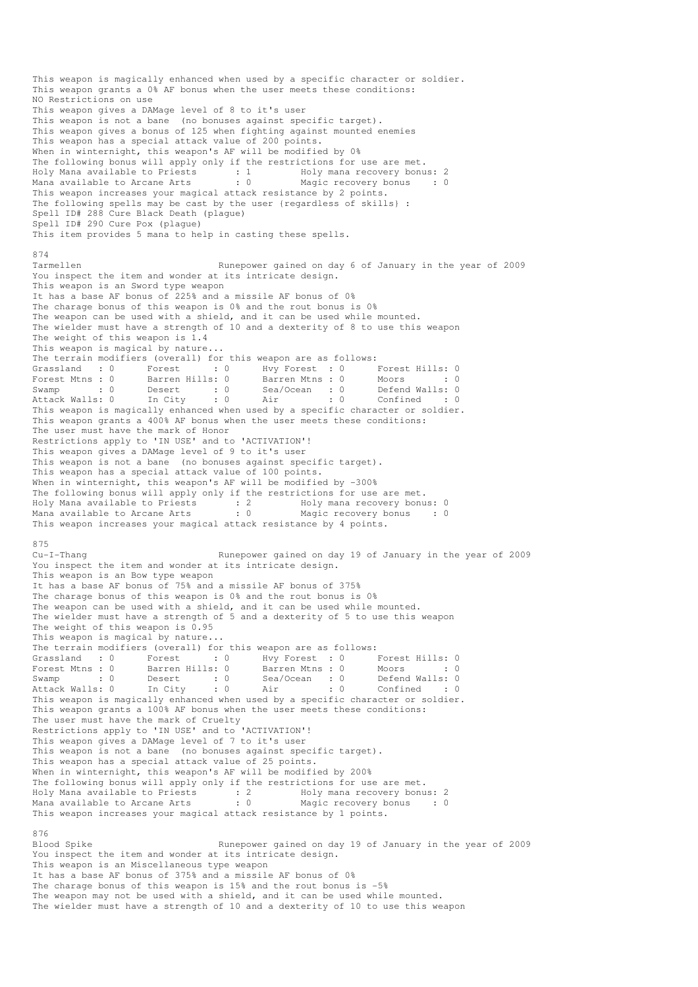This weapon is magically enhanced when used by a specific character or soldier. This weapon grants a 0% AF bonus when the user meets these conditions: NO Restrictions on use This weapon gives a DAMage level of 8 to it's user This weapon is not a bane (no bonuses against specific target). This weapon gives a bonus of 125 when fighting against mounted enemies This weapon has a special attack value of 200 points. When in winternight, this weapon's AF will be modified by 0% The following bonus will apply only if the restrictions for use are met. Holy Mana available to Priests : 1 Holy mana recovery bonus: 2 Mana available to Arcane Arts : 0 Magic recovery bonus : 0 This weapon increases your magical attack resistance by 2 points. The following spells may be cast by the user {regardless of skills} : Spell ID# 288 Cure Black Death (plague) Spell ID# 290 Cure Pox (plague) This item provides 5 mana to help in casting these spells. 874 Tarmellen Runepower gained on day 6 of January in the year of 2009 You inspect the item and wonder at its intricate design. This weapon is an Sword type weapon It has a base AF bonus of 225% and a missile AF bonus of 0% The charage bonus of this weapon is 0% and the rout bonus is 0% The weapon can be used with a shield, and it can be used while mounted. The wielder must have a strength of 10 and a dexterity of 8 to use this weapon The weight of this weapon is 1.4 This weapon is magical by nature... The terrain modifiers (overall) for this weapon are as follows: Grassland : 0 Forest : 0 Hvy Forest : 0 Forest Hills: 0 Forest Mtns : 0 Barren Hills: 0 Barren Mtns : 0 Moors : 0 : 0 Swamp : 0 Desert : 0 Sea/Ocean : 0 Defend Walls: 0 Attack Walls: 0 In City : 0 Air : 0 Confined : 0 This weapon is magically enhanced when used by a specific character or soldier. This weapon grants a 400% AF bonus when the user meets these conditions: The user must have the mark of Honor Restrictions apply to 'IN USE' and to 'ACTIVATION'! This weapon gives a DAMage level of 9 to it's user This weapon is not a bane (no bonuses against specific target). This weapon has a special attack value of 100 points. When in winternight, this weapon's AF will be modified by -300% The following bonus will apply only if the restrictions for use are met. Holy Mana available to Priests : 2 Moly mana recovery bonus: 0 Mana available to Arcane Arts : 0 Magic recovery bonus : 0 This weapon increases your magical attack resistance by 4 points. 875 Cu-I-Thang Runepower gained on day 19 of January in the year of 2009 You inspect the item and wonder at its intricate design. This weapon is an Bow type weapon It has a base AF bonus of 75% and a missile AF bonus of 375% The charage bonus of this weapon is 0% and the rout bonus is 0% The weapon can be used with a shield, and it can be used while mounted. The wielder must have a strength of 5 and a dexterity of 5 to use this weapon The weight of this weapon is 0.95 This weapon is magical by nature... The terrain modifiers (overall) for this weapon are as follows: Grassland : 0 Forest : 0 Hvy Forest : 0 Forest Hills: 0 Forest Mtns : 0 Barren Hills: 0 Barren Mtns : 0 Moors : 0 Swamp : 0 Desert : 0 Sea/Ocean : 0 Defend Walls: 0 Attack Walls: 0 In City : 0 Air : 0 Confined : 0 This weapon is magically enhanced when used by a specific character or soldier. This weapon grants a 100% AF bonus when the user meets these conditions: The user must have the mark of Cruelty Restrictions apply to 'IN USE' and to 'ACTIVATION'! This weapon gives a DAMage level of 7 to it's user This weapon is not a bane (no bonuses against specific target). This weapon has a special attack value of 25 points. When in winternight, this weapon's AF will be modified by 200% The following bonus will apply only if the restrictions for use are met. Holy Mana available to Priests : 2 Holy mana recovery bonus: 2 Mana available to Arcane Arts : 0 Magic recovery bonus : 0 This weapon increases your magical attack resistance by 1 points. 876 Blood Spike Runepower gained on day 19 of January in the year of 2009 You inspect the item and wonder at its intricate design. This weapon is an Miscellaneous type weapon It has a base AF bonus of 375% and a missile AF bonus of 0% The charage bonus of this weapon is 15% and the rout bonus is -5% The weapon may not be used with a shield, and it can be used while mounted. The wielder must have a strength of 10 and a dexterity of 10 to use this weapon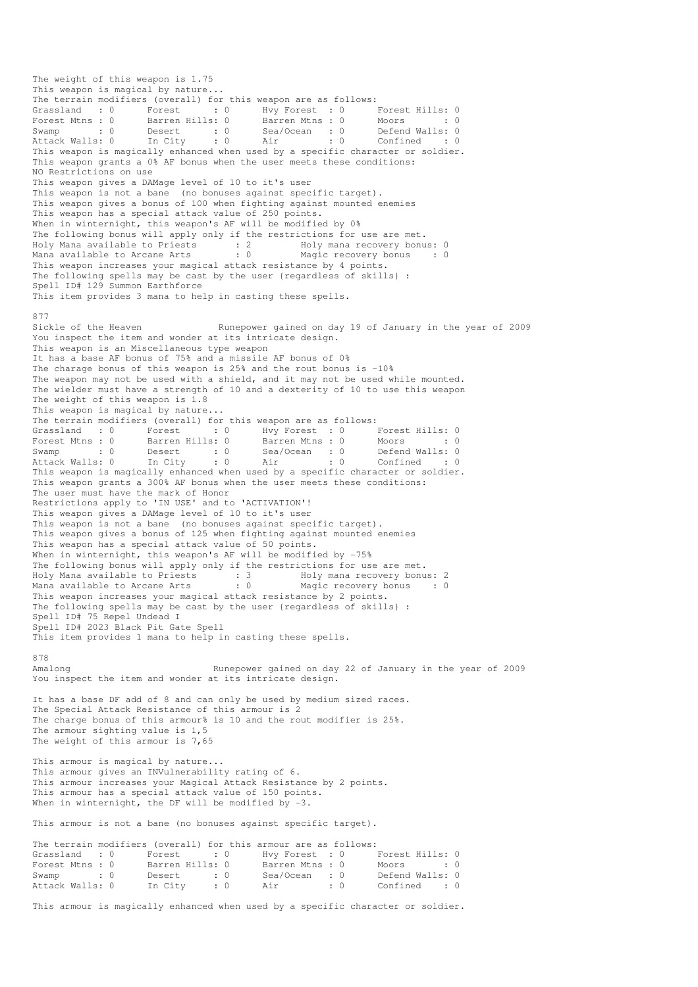The weight of this weapon is 1.75 This weapon is magical by nature... The terrain modifiers (overall) for this weapon are as follows: Grassland : 0 Forest : 0 Hvy Forest : 0 Forest Hills: 0 Forest Mtns : 0 Barren Hills: 0 Barren Mtns : 0 Moors : 0 : 0 Swamp : 0 Desert : 0 Sea/Ocean : 0 Defend Walls: 0 Attack Walls: 0 In City : 0 Air : 0 Confined : 0 Swamp : 0 Desert : 0 Sea/Ocean : 0 Defend Walls: 0<br>Attack Walls: 0 In City : 0 Air : 0 Confined : 0<br>This weapon is magically enhanced when used by a specific character or soldier. This weapon grants a 0% AF bonus when the user meets these conditions: NO Restrictions on use This weapon gives a DAMage level of 10 to it's user This weapon is not a bane (no bonuses against specific target). This weapon gives a bonus of 100 when fighting against mounted enemies This weapon has a special attack value of 250 points. When in winternight, this weapon's AF will be modified by 0% The following bonus will apply only if the restrictions for use are met. Holy Mana available to Priests : 2 Holy mana recovery bonus: 0 Mana available to Arcane Arts : 0 Magic recovery bonus : 0 This weapon increases your magical attack resistance by 4 points. The following spells may be cast by the user {regardless of skills} : Spell ID# 129 Summon Earthforce This item provides 3 mana to help in casting these spells. 877<br>Sickle of the Heaven Runepower gained on day 19 of January in the year of 2009 You inspect the item and wonder at its intricate design. This weapon is an Miscellaneous type weapon It has a base AF bonus of 75% and a missile AF bonus of 0% The charage bonus of this weapon is  $25\%$  and the rout bonus is  $-10\%$ The weapon may not be used with a shield, and it may not be used while mounted. The wielder must have a strength of 10 and a dexterity of 10 to use this weapon The weight of this weapon is 1.8 This weapon is magical by nature... The terrain modifiers (overall) for this weapon are as follows: Grassland : 0 Forest : 0 Hvy Forest : 0 Forest Hills: 0 Forest Mtns : 0 Barren Hills: 0 Barren Mtns : 0 Moors : 0 : 0 Swamp : 0 Desert : 0 Sea/Ocean : 0 Defend Walls: 0 Attack Walls: 0 In City : 0 Air : 0 Confined : 0 This weapon is magically enhanced when used by a specific character or soldier. This weapon grants a 300% AF bonus when the user meets these conditions: The user must have the mark of Honor Restrictions apply to 'IN USE' and to 'ACTIVATION'! This weapon gives a DAMage level of 10 to it's user This weapon is not a bane (no bonuses against specific target). This weapon gives a bonus of 125 when fighting against mounted enemies This weapon has a special attack value of 50 points. When in winternight, this weapon's AF will be modified by -75% The following bonus will apply only if the restrictions for use are met. Holy Mana available to Priests : 3 Holy mana recovery bonus: 2 Mana available to Arcane Arts : 0 Magic recovery bonus : 0 This weapon increases your magical attack resistance by 2 points. The following spells may be cast by the user {regardless of skills} : Spell ID# 75 Repel Undead I Spell ID# 2023 Black Pit Gate Spell This item provides 1 mana to help in casting these spells. 878 Amalong Runepower gained on day 22 of January in the year of 2009 You inspect the item and wonder at its intricate design. It has a base DF add of 8 and can only be used by medium sized races. The Special Attack Resistance of this armour is 2 The charge bonus of this armour% is 10 and the rout modifier is 25%. The armour sighting value is 1,5 The weight of this armour is 7,65 This armour is magical by nature... This armour gives an INVulnerability rating of 6. This armour increases your Magical Attack Resistance by 2 points. This armour has a special attack value of 150 points. When in winternight, the DF will be modified by -3. This armour is not a bane (no bonuses against specific target). The terrain modifiers (overall) for this armour are as follows:<br>Grassland : 0 Forest : 0 Hvy Forest : 0 Grassland : 0 Forest : 0 Hvy Forest : 0 Forest Hills: 0 Forest Mtns : 0 Barren Hills: 0 Barren Mtns : 0 Moors : 0 : 0 Swamp : 0 Desert : 0 Sea/Ocean : 0 Defend Walls: 0 Attack Walls: 0 In City : 0 Air : 0 Confined : 0

This armour is magically enhanced when used by a specific character or soldier.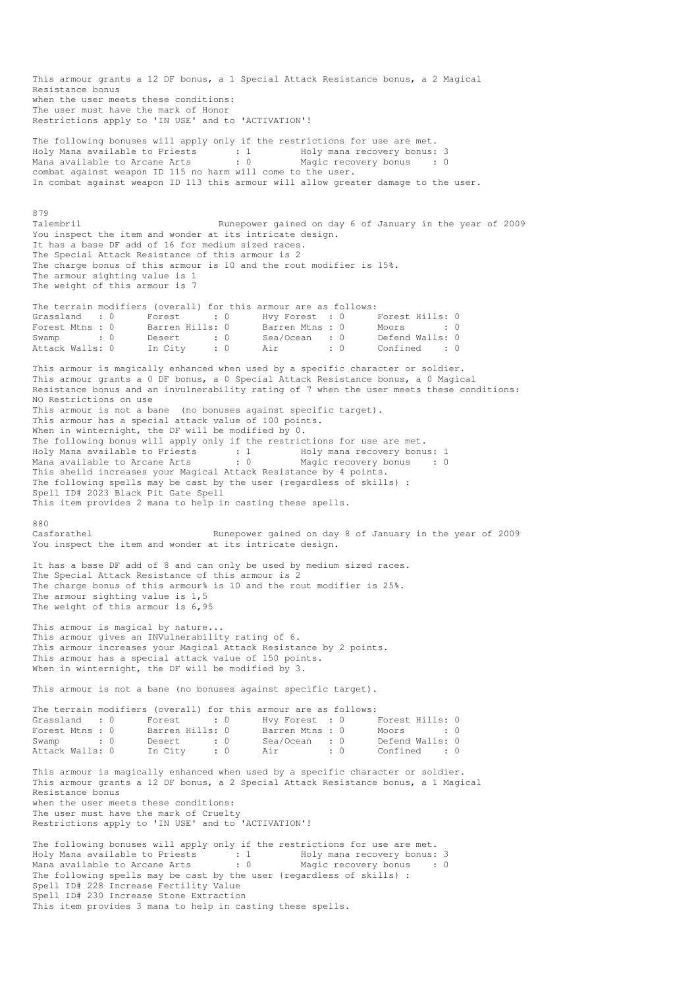This armour grants a 12 DF bonus, a 1 Special Attack Resistance bonus, a 2 Magical Resistance bonus when the user meets these conditions: The user must have the mark of Honor Restrictions apply to 'IN USE' and to 'ACTIVATION'! The following bonuses will apply only if the restrictions for use are met. Holy Mana available to Priests : 1 Holy mana recovery bonus: 3 Mana available to Arcane Arts : 0 Magic recovery bonus : 0 combat against weapon ID 115 no harm will come to the user. In combat against weapon ID 113 this armour will allow greater damage to the user. 879<br>Talembril Runepower gained on day 6 of January in the year of 2009 You inspect the item and wonder at its intricate design. It has a base DF add of 16 for medium sized races. The Special Attack Resistance of this armour is 2 The charge bonus of this armour is 10 and the rout modifier is 15%. The armour sighting value is 1 The weight of this armour is 7 The terrain modifiers (overall) for this armour are as follows: Grassland : 0 Forest : 0 Hvy Forest : 0 Forest Hills: 0 Forest Mtns : 0 Barren Hills: 0 Barren Mtns : 0 Moors : 0 : 0 Swamp : 0 Desert : 0 Sea/Ocean : 0 Defend Walls: 0 Attack Walls: 0 In City : 0 Air : 0 Confined : 0 This armour is magically enhanced when used by a specific character or soldier. This armour grants a 0 DF bonus, a 0 Special Attack Resistance bonus, a 0 Magical Resistance bonus and an invulnerability rating of 7 when the user meets these conditions: NO Restrictions on use This armour is not a bane (no bonuses against specific target). This armour has a special attack value of 100 points. When in winternight, the DF will be modified by 0. The following bonus will apply only if the restrictions for use are met. Holy Mana available to Priests : 1 Holy mana recovery bonus: 1 Mana available to Arcane Arts : 0 Magic recovery bonus : 0 This sheild increases your Magical Attack Resistance by 4 points. The following spells may be cast by the user {regardless of skills} : Spell ID# 2023 Black Pit Gate Spell This item provides 2 mana to help in casting these spells. 880<br>Casfarathel Runepower gained on day 8 of January in the year of 2009 You inspect the item and wonder at its intricate design. It has a base DF add of 8 and can only be used by medium sized races. The Special Attack Resistance of this armour is 2 The charge bonus of this armour% is 10 and the rout modifier is 25%. The armour sighting value is 1,5 The weight of this armour is 6,95 This armour is magical by nature... This armour gives an INVulnerability rating of 6. This armour increases your Magical Attack Resistance by 2 points. This armour has a special attack value of 150 points. When in winternight, the DF will be modified by 3. This armour is not a bane (no bonuses against specific target). The terrain modifiers (overall) for this armour are as follows: Grassland : 0 Forest : 0 Hvy Forest : 0 Forest Hills: 0 Forest Mtns : 0 Barren Hills: 0 Barren Mtns : 0 Moors : 0 : 0 Swamp : 0 Desert : 0 Sea/Ocean : 0 Defend Walls: 0<br>Attack Walls: 0 In City : 0 Air : 0 Confined : 0 Attack Walls: 0 In City : 0 Air : 0 Confined : 0 This armour is magically enhanced when used by a specific character or soldier. This armour grants a 12 DF bonus, a 2 Special Attack Resistance bonus, a 1 Magical Resistance bonus when the user meets these conditions: The user must have the mark of Cruelty Restrictions apply to 'IN USE' and to 'ACTIVATION'! The following bonuses will apply only if the restrictions for use are met. Holy Mana available to Priests : 1 Holy mana recovery bonus: 3 Mana available to Arcane Arts : 0 Magic recovery bonus : 0 The following spells may be cast by the user {regardless of skills} : Spell ID# 228 Increase Fertility Value Spell ID# 230 Increase Stone Extraction This item provides 3 mana to help in casting these spells.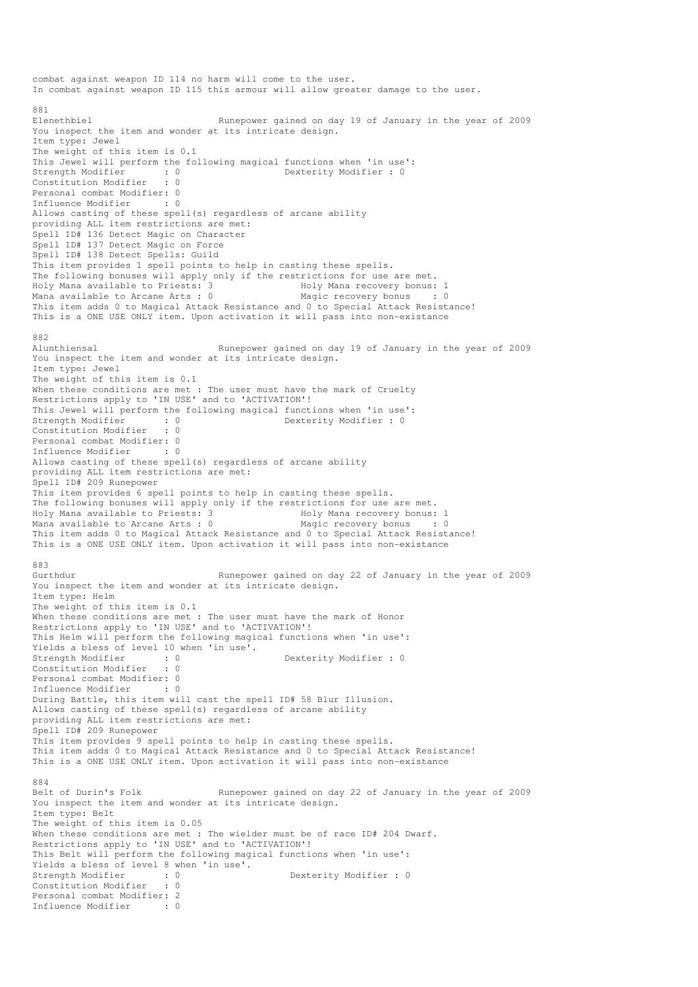combat against weapon ID 114 no harm will come to the user. In combat against weapon ID 115 this armour will allow greater damage to the user. 881<br>Elenethbiel Runepower gained on day 19 of January in the year of 2009 You inspect the item and wonder at its intricate design. Item type: Jewel The weight of this item is 0.1 This Jewel will perform the following magical functions when 'in use':<br>Strength Modifier : 0 Dexterity Modifier : 0  $\begin{array}{ccc} \text{strength}} & \text{Modifier} \\ \text{Strendth} & \text{Jg} \end{array}$  : 0 Constitution Modifier : 0 Personal combat Modifier: 0 Influence Modifier : 0 Allows casting of these spell(s) regardless of arcane ability providing ALL item restrictions are met: Spell ID# 136 Detect Magic on Character Spell ID# 137 Detect Magic on Force Spell ID# 138 Detect Spells: Guild This item provides 1 spell points to help in casting these spells. The following bonuses will apply only if the restrictions for use are met.<br>Holy Mana available to Priests: 3 Holy Mana recovery bonus: 1 Holy Mana available to Priests: 3 Mana available to Arcane Arts : 0 Magic recovery bonus : 0 This item adds 0 to Magical Attack Resistance and 0 to Special Attack Resistance! This is a ONE USE ONLY item. Upon activation it will pass into non-existance 882 Alunthiensal Runepower gained on day 19 of January in the year of 2009 You inspect the item and wonder at its intricate design. Item type: Jewel The weight of this item is 0.1 When these conditions are met : The user must have the mark of Cruelty Restrictions apply to 'IN USE' and to 'ACTIVATION'! This Jewel will perform the following magical functions when 'in use':<br>Strength Modifier : 0<br> $0$ <br> $D$ exterity Modifier : 0 Strength Modifier : 0 0 Dexterity Modifier : 0 Constitution Modifier : 0 Personal combat Modifier: 0<br>Influence Modifier : 0 Influence Modifier Allows casting of these spell(s) regardless of arcane ability providing ALL item restrictions are met: Spell ID# 209 Runepower This item provides 6 spell points to help in casting these spells. The following bonuses will apply only if the restrictions for use are met. Holy Mana available to Priests: 3 Holy Mana recovery bonus: 1 Mana available to Arcane Arts :  $0$ This item adds 0 to Magical Attack Resistance and 0 to Special Attack Resistance! This is a ONE USE ONLY item. Upon activation it will pass into non-existance  $002$ Gurthdur Runepower gained on day 22 of January in the year of 2009 You inspect the item and wonder at its intricate design. Item type: Helm The weight of this item is 0.1 When these conditions are met : The user must have the mark of Honor Restrictions apply to 'IN USE' and to 'ACTIVATION'! This Helm will perform the following magical functions when 'in use': Yields a bless of level 10 when 'in use'.<br>Strength Modifier : 0<br>Constitution Modifies  $\begin{array}{lll} \texttt{S} & \texttt{Dext} & \texttt{Modifier : 0} \\ \texttt{S} & \texttt{D} & \texttt{Dext} & \texttt{S} \end{array}$ Constitution Modifier Personal combat Modifier: 0 Influence Modifier : 0 During Battle, this item will cast the spell ID# 58 Blur Illusion. Allows casting of these spell(s) regardless of arcane ability providing ALL item restrictions are met: Spell ID# 209 Runepower This item provides 9 spell points to help in casting these spells. This item adds 0 to Magical Attack Resistance and 0 to Special Attack Resistance! This is a ONE USE ONLY item. Upon activation it will pass into non-existance 884<br>Belt of Durin's Folk Runepower gained on day 22 of January in the year of 2009 You inspect the item and wonder at its intricate design. Item type: Belt The weight of this item is 0.05 When these conditions are met : The wielder must be of race ID# 204 Dwarf. Restrictions apply to 'IN USE' and to 'ACTIVATION'! This Belt will perform the following magical functions when 'in use': Yields a bless of level 8 when 'in use'. Strength Modifier : 0 0 Dexterity Modifier : 0 Constitution Modifier : 0 Personal combat Modifier: 2 Influence Modifier : 0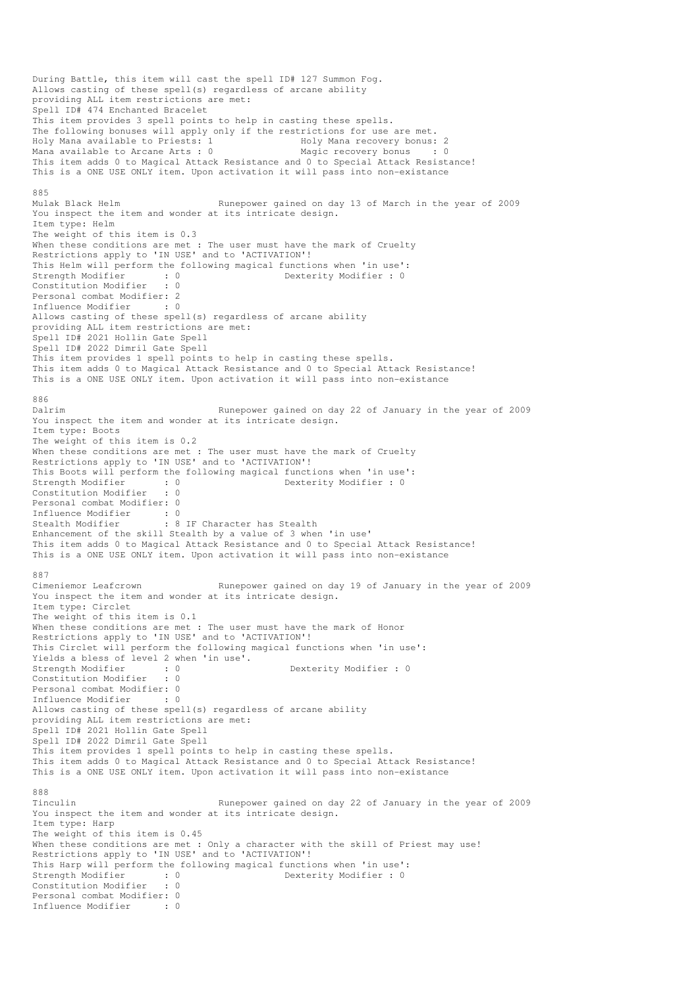During Battle, this item will cast the spell ID# 127 Summon Fog. Allows casting of these spell(s) regardless of arcane ability providing ALL item restrictions are met: Spell ID# 474 Enchanted Bracelet This item provides 3 spell points to help in casting these spells. The following bonuses will apply only if the restrictions for use are met. Holy Mana available to Priests: 1 Mana recovery bonus: 2<br>
Mana available to Arcane Arts: 0 Magic recovery bonus : 0 Mana available to Arcane Arts :  $0$ This item adds 0 to Magical Attack Resistance and 0 to Special Attack Resistance! This is a ONE USE ONLY item. Upon activation it will pass into non-existance 885 Mulak Black Helm Runepower gained on day 13 of March in the year of 2009 You inspect the item and wonder at its intricate design. Item type: Helm The weight of this item is 0.3 When these conditions are met : The user must have the mark of Cruelty Restrictions apply to 'IN USE' and to 'ACTIVATION'! This Helm will perform the following magical functions when 'in use':<br>Strength Modifier : 0<br>Constitution Modifier  $\cdot$  0 strength Modifier : 0<br>
Strength Modifier : 0<br>  $\frac{1}{2}$  0 Constitution Modifier Personal combat Modifier: 2 Influence Modifier : 0 Allows casting of these spell(s) regardless of arcane ability providing ALL item restrictions are met: Spell ID# 2021 Hollin Gate Spell Spell ID# 2022 Dimril Gate Spell This item provides 1 spell points to help in casting these spells. This item adds 0 to Magical Attack Resistance and 0 to Special Attack Resistance! This is a ONE USE ONLY item. Upon activation it will pass into non-existance 886 Dalrim Runepower gained on day 22 of January in the year of 2009 You inspect the item and wonder at its intricate design. Item type: Boots The weight of this item is 0.2 When these conditions are met : The user must have the mark of Cruelty Restrictions apply to 'IN USE' and to 'ACTIVATION'! This Boots will perform the following magical functions when 'in use':<br>Strength Modifier : 0<br>Constitution Modifier : 0 Strength Modifier : 0 0 Dexterity Modifier : 0 Constitution Modifier : 0 Personal combat Modifier: 0 Influence Modifier : 0<br>Stealth Modifier : 8 : 8 IF Character has Stealth Enhancement of the skill Stealth by a value of 3 when 'in use' This item adds 0 to Magical Attack Resistance and 0 to Special Attack Resistance! This is a ONE USE ONLY item. Upon activation it will pass into non-existance 887<br>Cimeniemor Leafcrown Runepower gained on day 19 of January in the year of 2009 You inspect the item and wonder at its intricate design. Item type: Circlet The weight of this item is 0.1 When these conditions are met : The user must have the mark of Honor Restrictions apply to 'IN USE' and to 'ACTIVATION'! This Circlet will perform the following magical functions when 'in use': Yields a bless of level 2 when 'in use'. Strength Modifier : 0 0 Dexterity Modifier : 0 Constitution Modifier : 0 Personal combat Modifier: 0 Influence Modifier : 0 Allows casting of these spell(s) regardless of arcane ability providing ALL item restrictions are met: Spell ID# 2021 Hollin Gate Spell Spell ID# 2022 Dimril Gate Spell This item provides 1 spell points to help in casting these spells. This item adds 0 to Magical Attack Resistance and 0 to Special Attack Resistance! This is a ONE USE ONLY item. Upon activation it will pass into non-existance 888 Runepower gained on day 22 of January in the year of 2009 You inspect the item and wonder at its intricate design. Item type: Harp The weight of this item is 0.45 When these conditions are met : Only a character with the skill of Priest may use! Restrictions apply to 'IN USE' and to 'ACTIVATION'! This Harp will perform the following magical functions when 'in use': Strength Modifier : 0 0 Dexterity Modifier : 0 Constitution Modifier : 0 Personal combat Modifier: 0 Influence Modifier : 0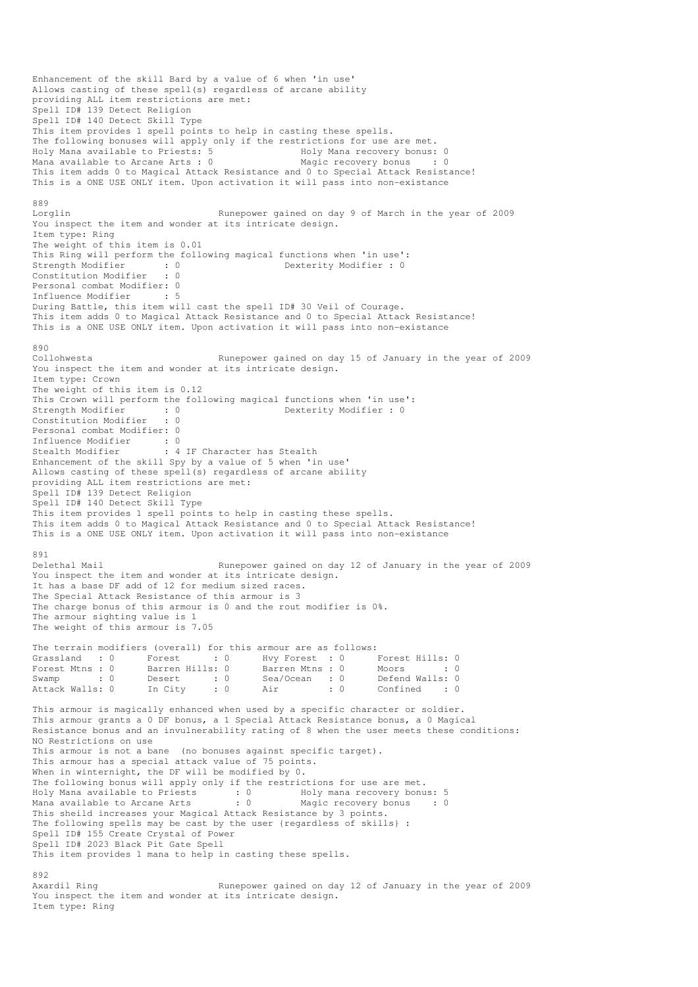Enhancement of the skill Bard by a value of 6 when 'in use' Allows casting of these spell(s) regardless of arcane ability providing ALL item restrictions are met: Spell ID# 139 Detect Religion Spell ID# 140 Detect Skill Type This item provides 1 spell points to help in casting these spells. The following bonuses will apply only if the restrictions for use are met.<br>Holy Mana available to Priests: 5 Holy Mana recovery bonus: 0 Holy Mana available to Priests: 5 Moly Mana recovery bonus: 0 Mana available to Arcane Arts : 0 Magic recovery bonus : 0 This item adds 0 to Magical Attack Resistance and 0 to Special Attack Resistance! This is a ONE USE ONLY item. Upon activation it will pass into non-existance 889<br>Lorglin Runepower gained on day 9 of March in the year of 2009 You inspect the item and wonder at its intricate design. Item type: Ring The weight of this item is 0.01 This Ring will perform the following magical functions when 'in use':<br>Strength Modifier : 0<br>Constitution Modifier : 0 Strength Modifier : 0 Dexterity Modifier : 0<br>
Constitution Modifier : 0 Constitution Modifier Personal combat Modifier: 0 Influence Modifier : 5 During Battle, this item will cast the spell ID# 30 Veil of Courage. This item adds 0 to Magical Attack Resistance and 0 to Special Attack Resistance! This is a ONE USE ONLY item. Upon activation it will pass into non-existance 890<br>Collohwesta Runepower gained on day 15 of January in the year of 2009 You inspect the item and wonder at its intricate design. Item type: Crown The weight of this item is 0.12 This Crown will perform the following magical functions when 'in use': Strength Modifier : 0 0 Dexterity Modifier : 0 Constitution Modifier : 0 Personal combat Modifier: 0 Influence Modifier : 0<br>Stealth Modifier : 4 : 4 IF Character has Stealth Enhancement of the skill Spy by a value of 5 when 'in use' Allows casting of these spell(s) regardless of arcane ability providing ALL item restrictions are met: Spell ID# 139 Detect Religion Spell ID# 140 Detect Skill Type This item provides 1 spell points to help in casting these spells. This item adds 0 to Magical Attack Resistance and 0 to Special Attack Resistance! This is a ONE USE ONLY item. Upon activation it will pass into non-existance 891 Delethal Mail Runepower gained on day 12 of January in the year of 2009 You inspect the item and wonder at its intricate design. It has a base DF add of 12 for medium sized races. The Special Attack Resistance of this armour is 3 The charge bonus of this armour is 0 and the rout modifier is 0%. The armour sighting value is 1 The weight of this armour is 7.05 The terrain modifiers (overall) for this armour are as follows: Grassland : 0 Forest : 0 Hvy Forest : 0 Forest Hills: 0 Forest Mtns : 0 Barren Hills: 0 Barren Mtns : 0 Moors : 0 Swamp : 0 Desert : 0 Sea/Ocean : 0 Defend Walls: 0 Attack Walls: 0 In City : 0 Air : 0 Confined : 0 This armour is magically enhanced when used by a specific character or soldier. This armour grants a 0 DF bonus, a 1 Special Attack Resistance bonus, a 0 Magical Resistance bonus and an invulnerability rating of 8 when the user meets these conditions: NO Restrictions on use This armour is not a bane (no bonuses against specific target). This armour has a special attack value of 75 points. When in winternight, the DF will be modified by 0. The following bonus will apply only if the restrictions for use are met. Holy Mana available to Priests : 0 Holy mana recovery bonus: 5 Mana available to Arcane Arts : 0 Magic recovery bonus : 0 This sheild increases your Magical Attack Resistance by 3 points. The following spells may be cast by the user {regardless of skills} : Spell ID# 155 Create Crystal of Power Spell ID# 2023 Black Pit Gate Spell This item provides 1 mana to help in casting these spells. 892<br>Axardil Ring Runepower gained on day 12 of January in the year of 2009 You inspect the item and wonder at its intricate design.

Item type: Ring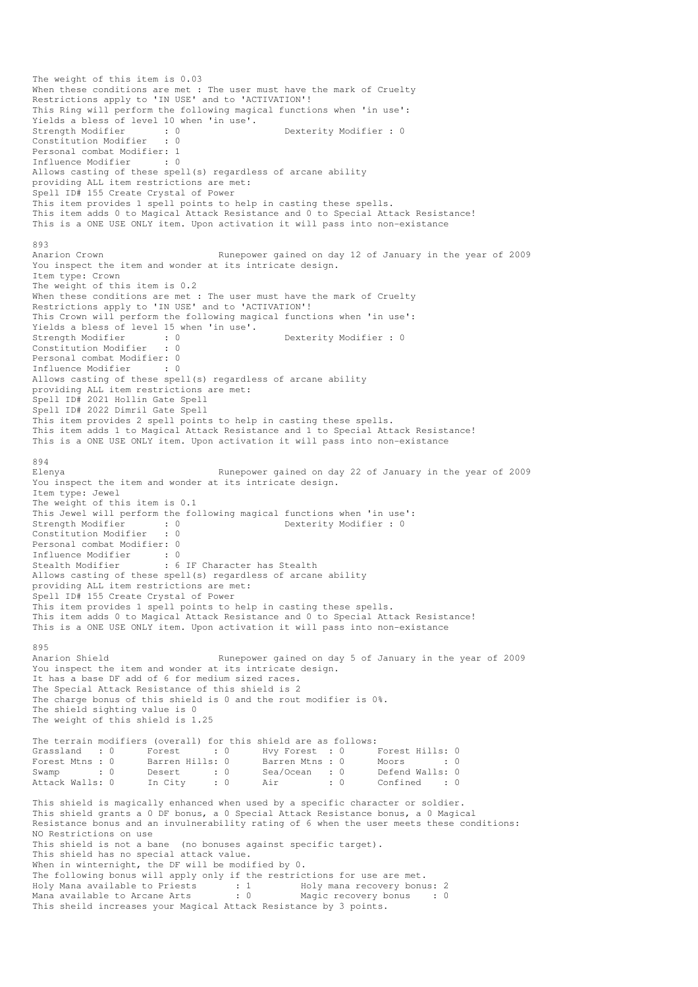```
The weight of this item is 0.03 
When these conditions are met : The user must have the mark of Cruelty
Restrictions apply to 'IN USE' and to 'ACTIVATION'!
This Ring will perform the following magical functions when 'in use': 
Yields a bless of level 10 when 'in use'.<br>Strength Modifier : 0<br>Constitution Modifier : 0
Strength Modifier : 0 Dexterity Modifier : 0 
Constitution Modifier
Personal combat Modifier: 1<br>Influence Modifier : 0
Influence Modifier
Allows casting of these spell(s) regardless of arcane ability 
providing ALL item restrictions are met: 
Spell ID# 155 Create Crystal of Power 
This item provides 1 spell points to help in casting these spells. 
This item adds 0 to Magical Attack Resistance and 0 to Special Attack Resistance! 
This is a ONE USE ONLY item. Upon activation it will pass into non-existance 
893 
Anarion Crown Runepower gained on day 12 of January in the year of 2009
You inspect the item and wonder at its intricate design.
Item type: Crown 
The weight of this item is 0.2 
When these conditions are met : The user must have the mark of Cruelty
Restrictions apply to 'IN USE' and to 'ACTIVATION'!
This Crown will perform the following magical functions when 'in use': 
Yields a bless of level 15 when 'in use'. 
Strength Modifier : 0 0 Dexterity Modifier : 0
Constitution Modifier : 0 
Personal combat Modifier: 0<br>Influence Modifier : 0
Influence Modifier
Allows casting of these spell(s) regardless of arcane ability 
providing ALL item restrictions are met: 
Spell ID# 2021 Hollin Gate Spell 
Spell ID# 2022 Dimril Gate Spell 
This item provides 2 spell points to help in casting these spells. 
This item adds 1 to Magical Attack Resistance and 1 to Special Attack Resistance! 
This is a ONE USE ONLY item. Upon activation it will pass into non-existance 
894 
Elenya Runepower gained on day 22 of January in the year of 2009 
You inspect the item and wonder at its intricate design. 
Item type: Jewel 
The weight of this item is 0.1 
This Jewel will perform the following magical functions when 'in use':<br>Strength Modifier : 0<br>Constitution Modifier : 0<br>Constitution Modifier : 0
                                             Dexterity Modifier : 0
Constitution Modifier
Personal combat Modifier: 0 
Influence Modifier : 0 
Stealth Modifier : 6 IF Character has Stealth
Allows casting of these spell(s) regardless of arcane ability 
providing ALL item restrictions are met: 
Spell ID# 155 Create Crystal of Power 
This item provides 1 spell points to help in casting these spells. 
This item adds 0 to Magical Attack Resistance and 0 to Special Attack Resistance! 
This is a ONE USE ONLY item. Upon activation it will pass into non-existance 
895<br>Anarion Shield
                                  Runepower gained on day 5 of January in the year of 2009
You inspect the item and wonder at its intricate design.
It has a base DF add of 6 for medium sized races. 
The Special Attack Resistance of this shield is 2 
The charge bonus of this shield is 0 and the rout modifier is 0%. 
The shield sighting value is 0 
The weight of this shield is 1.25 
The terrain modifiers (overall) for this shield are as follows: 
Grassland : 0 Forest : 0 Hvy Forest : 0 Forest Hills: 0
Forest Mtns : 0 Barren Hills: 0 Barren Mtns : 0 Moors : 0 : 0
Swamp : 0 Desert : 0 Sea/Ocean : 0 Defend Walls: 0<br>Attack Walls: 0 In City : 0 Air : 0 Confined : 0
Attack Walls: 0 In City : 0 Air : 0 Confined : 0
This shield is magically enhanced when used by a specific character or soldier. 
This shield grants a 0 DF bonus, a 0 Special Attack Resistance bonus, a 0 Magical 
Resistance bonus and an invulnerability rating of 6 when the user meets these conditions: 
NO Restrictions on use 
This shield is not a bane (no bonuses against specific target).
This shield has no special attack value. 
When in winternight, the DF will be modified by 0. 
The following bonus will apply only if the restrictions for use are met. 
Holy Mana available to Priests : 1 Holy mana recovery bonus: 2
Mana available to Arcane Arts : 0 Magic recovery bonus : 0
This sheild increases your Magical Attack Resistance by 3 points.
```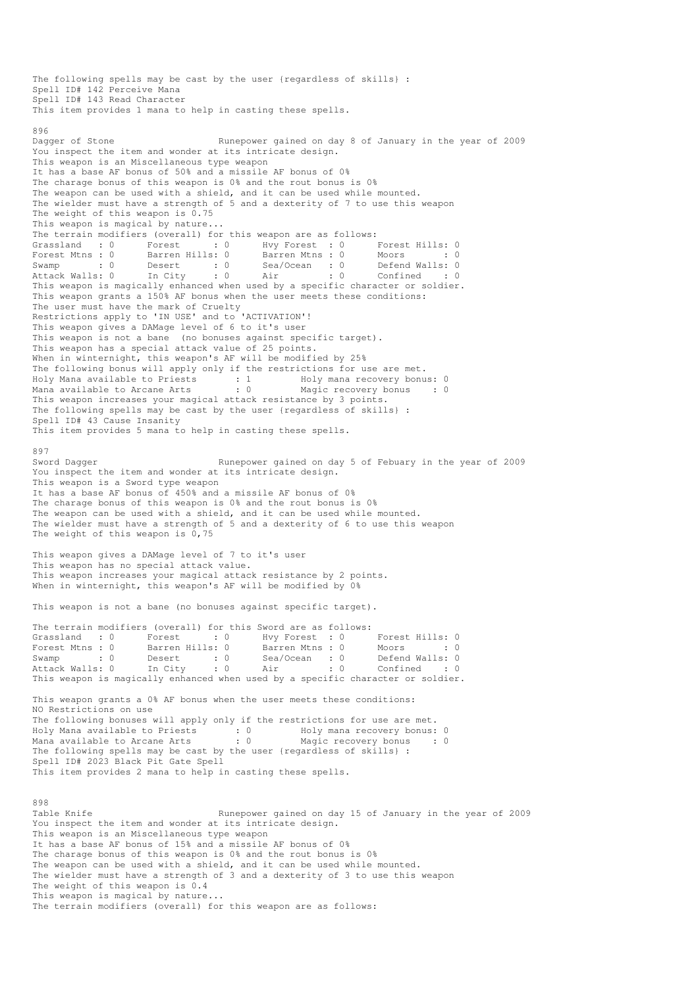The following spells may be cast by the user {regardless of skills} : Spell ID# 142 Perceive Mana Spell ID# 143 Read Character This item provides 1 mana to help in casting these spells.  $996$ Dagger of Stone Runepower gained on day 8 of January in the year of 2009 You inspect the item and wonder at its intricate design. This weapon is an Miscellaneous type weapon It has a base AF bonus of 50% and a missile AF bonus of 0% The charage bonus of this weapon is 0% and the rout bonus is 0% The weapon can be used with a shield, and it can be used while mounted. The wielder must have a strength of 5 and a dexterity of 7 to use this weapon The weight of this weapon is  $0.75$ This weapon is magical by nature... The terrain modifiers (overall) for this weapon are as follows: Grassland : 0 Forest : 0 Hvy Forest : 0 Forest Hills: 0 Forest Mtns : 0 Barren Hills: 0 Barren Mtns : 0 Moors : 0 : 0 Swamp : 0 Desert : 0 Sea/Ocean : 0 Defend Walls: 0 Attack Walls: 0 In City : 0 Air : 0 Confined : 0 Next be result with the sect of the magically enhanced when used by a specific character or soldier.<br>This weapon is magically enhanced when used by a specific character or soldier. This weapon grants a 150% AF bonus when the user meets these conditions: The user must have the mark of Cruelty Restrictions apply to 'IN USE' and to 'ACTIVATION'! This weapon gives a DAMage level of 6 to it's user This weapon is not a bane (no bonuses against specific target). This weapon has a special attack value of 25 points. When in winternight, this weapon's AF will be modified by 25% The following bonus will apply only if the restrictions for use are met. Holy Mana available to Priests : 1 Holy mana recovery bonus: 0 Mana available to Arcane Arts : 0 Magic recovery bonus : 0 This weapon increases your magical attack resistance by 3 points. The following spells may be cast by the user {regardless of skills} : Spell ID# 43 Cause Insanity This item provides 5 mana to help in casting these spells. 897 Sword Dagger Runepower gained on day 5 of Febuary in the year of 2009 You inspect the item and wonder at its intricate design. This weapon is a Sword type weapon It has a base AF bonus of 450% and a missile AF bonus of 0% The charage bonus of this weapon is 0% and the rout bonus is 0% The weapon can be used with a shield, and it can be used while mounted. The wielder must have a strength of 5 and a dexterity of 6 to use this weapon The weight of this weapon is 0,75 This weapon gives a DAMage level of 7 to it's user This weapon has no special attack value. This weapon increases your magical attack resistance by 2 points. When in winternight, this weapon's AF will be modified by 0% This weapon is not a bane (no bonuses against specific target). The terrain modifiers (overall) for this Sword are as follows: Grassland : 0 Forest : 0 Hvy Forest : 0 Forest Hills: 0 Forest Mtns : 0 Barren Hills: 0 Barren Mtns : 0 Moors : 0 : 0 Swamp : 0 Desert : 0 Sea/Ocean : 0 Defend Walls: 0 Attack Walls: 0 In City : 0 Air : 0 Confined : 0 This weapon is magically enhanced when used by a specific character or soldier.<br>This weapon is magically enhanced when used by a specific character or soldier. This weapon grants a 0% AF bonus when the user meets these conditions: NO Restrictions on use The following bonuses will apply only if the restrictions for use are met. Holy Mana available to Priests : 0 Holy mana recovery bonus: 0 Mana available to Arcane Arts : 0 Magic recovery bonus : 0 The following spells may be cast by the user {regardless of skills} : Spell ID# 2023 Black Pit Gate Spell This item provides 2 mana to help in casting these spells. 898<br>Table Knife Runepower gained on day 15 of January in the year of 2009 You inspect the item and wonder at its intricate design. This weapon is an Miscellaneous type weapon It has a base AF bonus of 15% and a missile AF bonus of 0% The charage bonus of this weapon is 0% and the rout bonus is 0% The weapon can be used with a shield, and it can be used while mounted. The wielder must have a strength of 3 and a dexterity of 3 to use this weapon The weight of this weapon is 0.4 This weapon is magical by nature... The terrain modifiers (overall) for this weapon are as follows: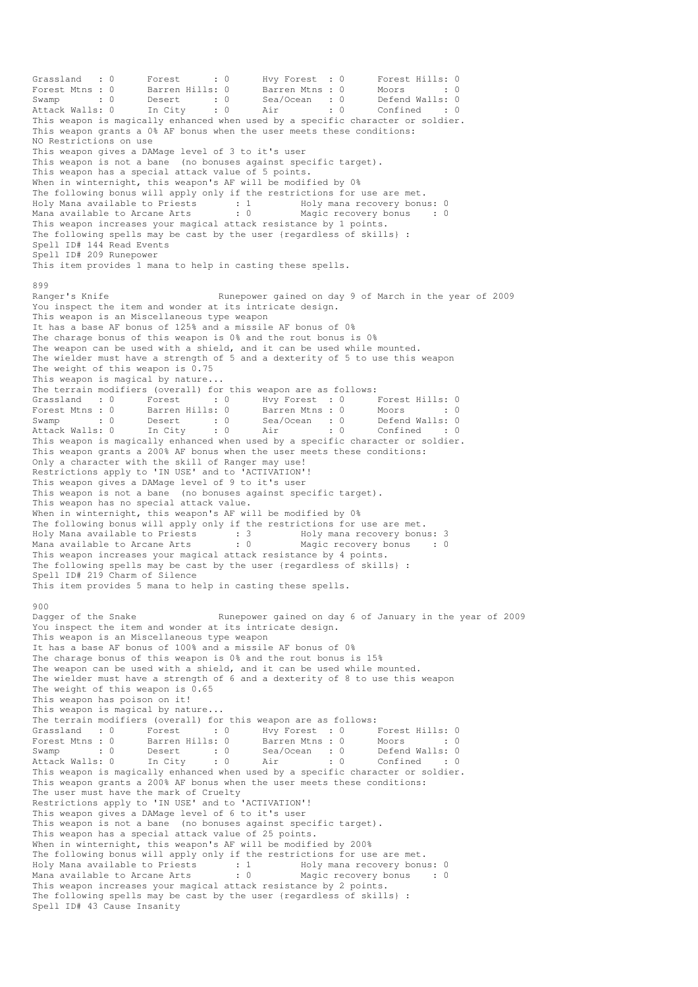Grassland : 0 Forest : 0 Hvy Forest : 0 Forest Hills: 0 Forest Mtns : 0 Barren Hills: 0 Barren Mtns : 0 Moors : 0 : 0 Swamp : 0 Desert : 0 Sea/Ocean : 0 Defend Walls: 0 Attack Walls: 0 In City : 0 Air : 0 Confined : 0 This weapon is magically enhanced when used by a specific character or soldier. This weapon grants a 0% AF bonus when the user meets these conditions: NO Restrictions on use This weapon gives a DAMage level of 3 to it's user This weapon is not a bane (no bonuses against specific target). This weapon has a special attack value of 5 points. When in winternight, this weapon's AF will be modified by 0% The following bonus will apply only if the restrictions for use are met. Holy Mana available to Priests : 1 Holy mana recovery bonus: 0 Mana available to Arcane Arts : 0 Magic recovery bonus : 0 This weapon increases your magical attack resistance by 1 points. The following spells may be cast by the user {regardless of skills} : Spell ID# 144 Read Events Spell ID# 209 Runepower This item provides 1 mana to help in casting these spells. 899 Ranger's Knife **Runepower gained on day 9 of March in the year of 2009** You inspect the item and wonder at its intricate design. This weapon is an Miscellaneous type weapon It has a base AF bonus of 125% and a missile AF bonus of 0% The charage bonus of this weapon is 0% and the rout bonus is 0% The weapon can be used with a shield, and it can be used while mounted. The wielder must have a strength of 5 and a dexterity of 5 to use this weapon The weight of this weapon is 0.75 This weapon is magical by nature... The terrain modifiers (overall) for this weapon are as follows: Grassland : 0 Forest : 0 Hvy Forest : 0 Forest Hills: 0 Forest Mtns : 0 Barren Hills: 0 Barren Mtns : 0 Moors : 0 Swamp : 0 Desert : 0 Sea/Ocean : 0 Defend Walls: 0 Attack Walls: 0 In City : 0 Air : 0 Confined : 0 This weapon is magically enhanced when used by a specific character or soldier. This weapon grants a 200% AF bonus when the user meets these conditions: Only a character with the skill of Ranger may use! Restrictions apply to 'IN USE' and to 'ACTIVATION'! This weapon gives a DAMage level of 9 to it's user This weapon is not a bane (no bonuses against specific target). This weapon has no special attack value. When in winternight, this weapon's AF will be modified by 0% The following bonus will apply only if the restrictions for use are met. Holy Mana available to Priests : 3 Holy mana recovery bonus: 3 Mana available to Arcane Arts : 0 Magic recovery bonus : 0 This weapon increases your magical attack resistance by 4 points. The following spells may be cast by the user {regardless of skills} : Spell ID# 219 Charm of Silence This item provides 5 mana to help in casting these spells. 900 Dagger of the Snake Runepower gained on day 6 of January in the year of 2009 You inspect the item and wonder at its intricate design. This weapon is an Miscellaneous type weapon It has a base AF bonus of 100% and a missile AF bonus of 0% The charage bonus of this weapon is 0% and the rout bonus is 15% The weapon can be used with a shield, and it can be used while mounted. The wielder must have a strength of 6 and a dexterity of 8 to use this weapon The weight of this weapon is 0.65 This weapon has poison on it! This weapon is magical by nature... The terrain modifiers (overall) for this weapon are as follows: Grassland : 0 Forest : 0 Hvy Forest : 0 Forest Hills: 0 Forest Mtns : 0 Barren Hills: 0 Barren Mtns : 0 Moors : 0 : 0 Swamp : 0 Desert : 0 Sea/Ocean : 0 Defend Walls: 0 Attack Walls: 0 In City : 0 Air : 0 Confined : 0 This weapon is magically enhanced when used by a specific character or soldier. This weapon grants a 200% AF bonus when the user meets these conditions: The user must have the mark of Cruelty Restrictions apply to 'IN USE' and to 'ACTIVATION'! This weapon gives a DAMage level of 6 to it's user This weapon is not a bane (no bonuses against specific target). This weapon has a special attack value of 25 points. When in winternight, this weapon's AF will be modified by 200% The following bonus will apply only if the restrictions for use are met. Holy Mana available to Priests : 1 Holy mana recovery bonus: 0 Mana available to Arcane Arts : 0 Magic recovery bonus : 0 This weapon increases your magical attack resistance by 2 points. The following spells may be cast by the user {regardless of skills} : Spell ID# 43 Cause Insanity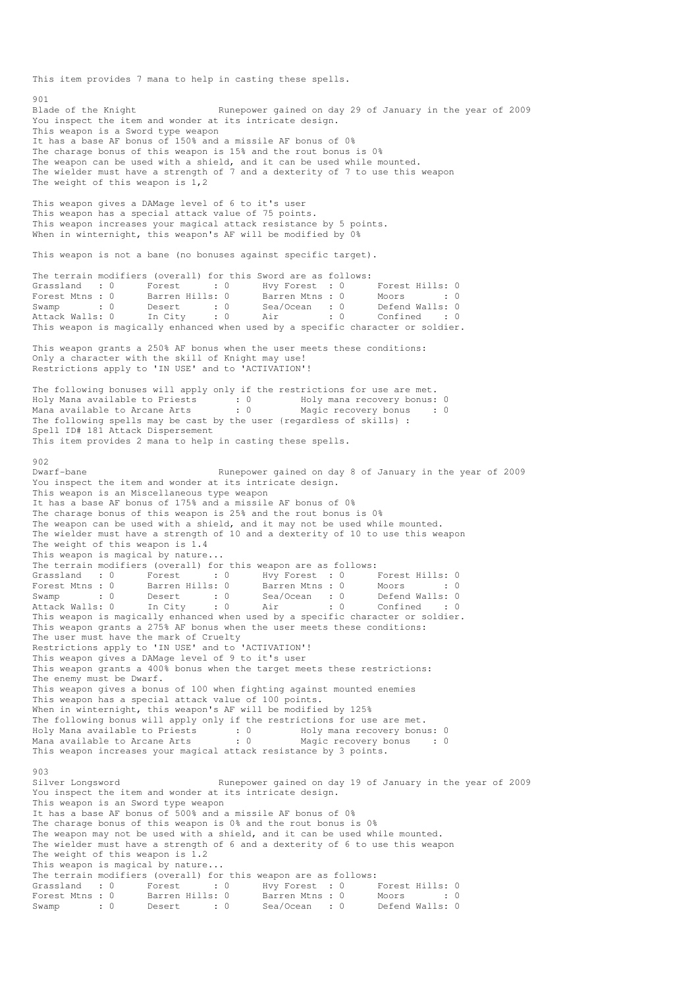This item provides 7 mana to help in casting these spells.

901 Blade of the Knight Runepower gained on day 29 of January in the year of 2009 You inspect the item and wonder at its intricate design. This weapon is a Sword type weapon It has a base AF bonus of 150% and a missile AF bonus of 0% The charage bonus of this weapon is 15% and the rout bonus is 0% The weapon can be used with a shield, and it can be used while mounted. The wielder must have a strength of 7 and a dexterity of 7 to use this weapon The weight of this weapon is 1,2 This weapon gives a DAMage level of 6 to it's user This weapon has a special attack value of 75 points. This weapon increases your magical attack resistance by 5 points. When in winternight, this weapon's AF will be modified by 0% This weapon is not a bane (no bonuses against specific target). The terrain modifiers (overall) for this Sword are as follows:<br>
Grassland : 0 Forest : 0 Hvy Forest : 0 Forest : 0 Hvy Forest : 0 Forest Hills: 0<br>Barren Hills: 0 Barren Mtns : 0 Moors : 0 Forest Mtns : 0 Barren Hills: 0 Barren Mtns : 0 Moors : 0 : 0 Swamp : 0 Desert : 0 Sea/Ocean : 0 Defend Walls: 0 Attack Walls: 0 In City : 0 Air : 0 Confined : 0 This weapon is magically enhanced when used by a specific character or soldier. This weapon grants a 250% AF bonus when the user meets these conditions: Only a character with the skill of Knight may use! Restrictions apply to 'IN USE' and to 'ACTIVATION'! The following bonuses will apply only if the restrictions for use are met. Holy Mana available to Priests : 0 Holy mana recovery bonus: 0 Mana available to Arcane Arts : 0 Magic recovery bonus : 0 The following spells may be cast by the user {regardless of skills} : Spell ID# 181 Attack Dispersement This item provides 2 mana to help in casting these spells. 902 Dwarf-bane **Runepower** gained on day 8 of January in the year of 2009 You inspect the item and wonder at its intricate design. This weapon is an Miscellaneous type weapon It has a base AF bonus of 175% and a missile AF bonus of 0% The charage bonus of this weapon is 25% and the rout bonus is 0% The weapon can be used with a shield, and it may not be used while mounted. The wielder must have a strength of 10 and a dexterity of 10 to use this weapon The weight of this weapon is 1.4 This weapon is magical by nature... The terrain modifiers (overall) for this weapon are as follows: Grassland : 0 Forest : 0 Hvy Forest : 0 Forest Hills: 0 Forest Mtns : 0 Barren Hills: 0 Barren Mtns : 0 Moors : 0 : 0 Swamp : 0 Desert : 0 Sea/Ocean : 0 Defend Walls: 0 Attack Walls: 0 In City : 0 Air : 0 Confined : 0 This weapon is magically enhanced when used by a specific character or soldier. This weapon grants a 275% AF bonus when the user meets these conditions: The user must have the mark of Cruelty Restrictions apply to 'IN USE' and to 'ACTIVATION'! This weapon gives a DAMage level of 9 to it's user This weapon grants a 400% bonus when the target meets these restrictions: The enemy must be Dwarf. This weapon gives a bonus of 100 when fighting against mounted enemies This weapon has a special attack value of 100 points. When in winternight, this weapon's AF will be modified by 125% The following bonus will apply only if the restrictions for use are met. Holy Mana available to Priests : 0 Holy mana recovery bonus: 0 Mana available to Arcane Arts : 0 Magic recovery bonus : 0 This weapon increases your magical attack resistance by 3 points. 903 Silver Longsword **Runepower gained on day 19 of January in the year of 2009** You inspect the item and wonder at its intricate design. This weapon is an Sword type weapon It has a base AF bonus of 500% and a missile AF bonus of 0% The charage bonus of this weapon is 0% and the rout bonus is 0% The weapon may not be used with a shield, and it can be used while mounted. The wielder must have a strength of 6 and a dexterity of 6 to use this weapon The weight of this weapon is 1.2 This weapon is magical by nature... The terrain modifiers (overall) for this weapon are as follows: Grassland : 0 Forest : 0 Hvy Forest : 0 Forest Hills: 0 Forest Mtns : 0 Barren Hills: 0 Barren Mtns : 0 Moors : 0 : 0 Substanta : 0 Porce<br>
Forest Mtns : 0 Barren Hills: 0 Barren Mtns : 0 Moors : 0<br>
Swamp : 0 Desert : 0 Sea/Ocean : 0 Defend Walls: 0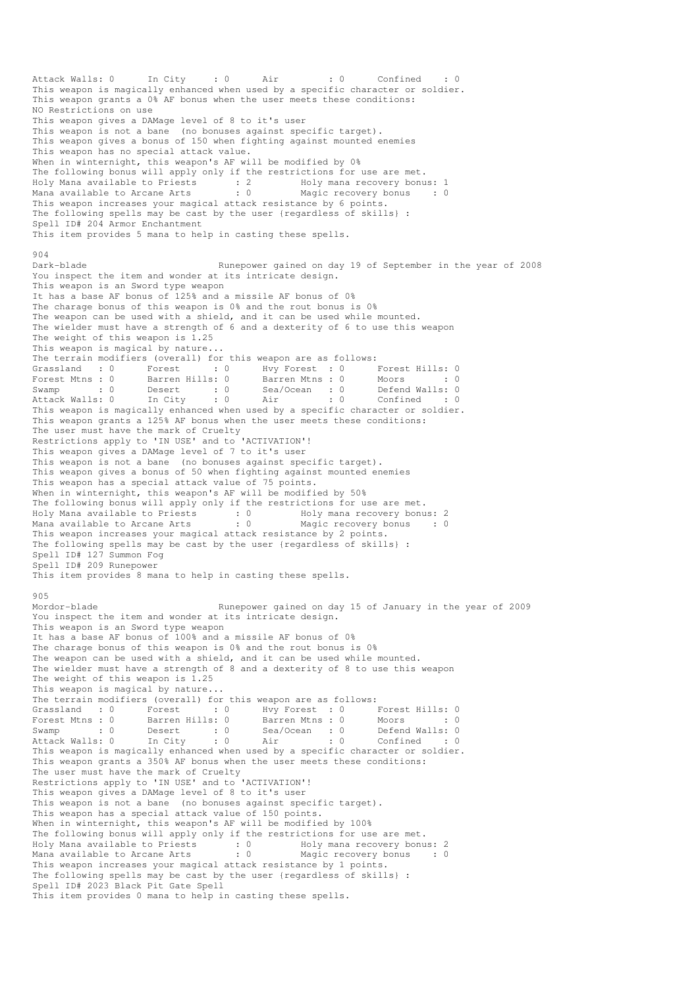Attack Walls: 0 In City : 0 Air : 0 Confined This weapon is magically enhanced when used by a specific character or soldier. This weapon grants a 0% AF bonus when the user meets these conditions: NO Restrictions on use This weapon gives a DAMage level of 8 to it's user This weapon is not a bane (no bonuses against specific target). This weapon gives a bonus of 150 when fighting against mounted enemies This weapon has no special attack value. When in winternight, this weapon's AF will be modified by 0% The following bonus will apply only if the restrictions for use are met. Holy Mana available to Priests : 2 Holy mana recovery bonus: 1 Mana available to Arcane Arts : 0 Magic recovery bonus : 0 This weapon increases your magical attack resistance by 6 points. The following spells may be cast by the user {regardless of skills} : Spell ID# 204 Armor Enchantment This item provides 5 mana to help in casting these spells.  $904$ Dark-blade **Runepower gained on day 19 of September in the year of 2008** You inspect the item and wonder at its intricate design. This weapon is an Sword type weapon It has a base AF bonus of 125% and a missile AF bonus of 0% The charage bonus of this weapon is 0% and the rout bonus is 0% The weapon can be used with a shield, and it can be used while mounted. The wielder must have a strength of 6 and a dexterity of 6 to use this weapon The weight of this weapon is 1.25 This weapon is magical by nature... The terrain modifiers (overall) for this weapon are as follows: Grassland : 0 Forest : 0 Hvy Forest : 0 Forest Hills: 0 Forest Mtns : 0 Barren Hills: 0 Barren Mtns : 0 Moors : 0 : 0 Swamp : 0 Desert : 0 Sea/Ocean : 0 Defend Walls: 0 Attack Walls: 0 In City : 0 Air : 0 Confined : 0 This weapon is magically enhanced when used by a specific character or soldier. This weapon grants a 125% AF bonus when the user meets these conditions: The user must have the mark of Cruelty Restrictions apply to 'IN USE' and to 'ACTIVATION'! This weapon gives a DAMage level of 7 to it's user This weapon is not a bane (no bonuses against specific target). This weapon gives a bonus of 50 when fighting against mounted enemies This weapon has a special attack value of 75 points. When in winternight, this weapon's AF will be modified by 50% The following bonus will apply only if the restrictions for use are met. Holy Mana available to Priests : 0 Holy mana recovery bonus: 2 Mana available to Arcane Arts : 0 Magic recovery bonus : 0 This weapon increases your magical attack resistance by 2 points. The following spells may be cast by the user {regardless of skills} : Spell ID# 127 Summon Fog Spell ID# 209 Runepower This item provides 8 mana to help in casting these spells. 905 Mordor-blade Runepower gained on day 15 of January in the year of 2009 You inspect the item and wonder at its intricate design. This weapon is an Sword type weapon It has a base AF bonus of 100% and a missile AF bonus of 0% The charage bonus of this weapon is 0% and the rout bonus is 0% The weapon can be used with a shield, and it can be used while mounted. The wielder must have a strength of 8 and a dexterity of 8 to use this weapon The weight of this weapon is 1.25 This weapon is magical by nature... The terrain modifiers (overall) for this weapon are as follows: Grassland : 0 Forest : 0 Hvy Forest : 0 Forest Hills: 0 Forest Mtns : 0 Barren Hills: 0 Barren Mtns : 0 Moors : 0 : 0 Swamp : 0 Desert : 0 Sea/Ocean : 0 Defend Walls: 0 Attack Walls: 0 In City : 0 Air : 0 Confined : 0 This weapon is magically enhanced when used by a specific character or soldier. This weapon grants a 350% AF bonus when the user meets these conditions: The user must have the mark of Cruelty Restrictions apply to 'IN USE' and to 'ACTIVATION'! This weapon gives a DAMage level of 8 to it's user This weapon is not a bane (no bonuses against specific target). This weapon has a special attack value of 150 points. When in winternight, this weapon's AF will be modified by 100% The following bonus will apply only if the restrictions for use are met. Holy Mana available to Priests : 0 Holy mana recovery bonus: 2 Mana available to Arcane Arts : 0 Magic recovery bonus : 0 This weapon increases your magical attack resistance by 1 points. The following spells may be cast by the user {regardless of skills} : Spell ID# 2023 Black Pit Gate Spell This item provides 0 mana to help in casting these spells.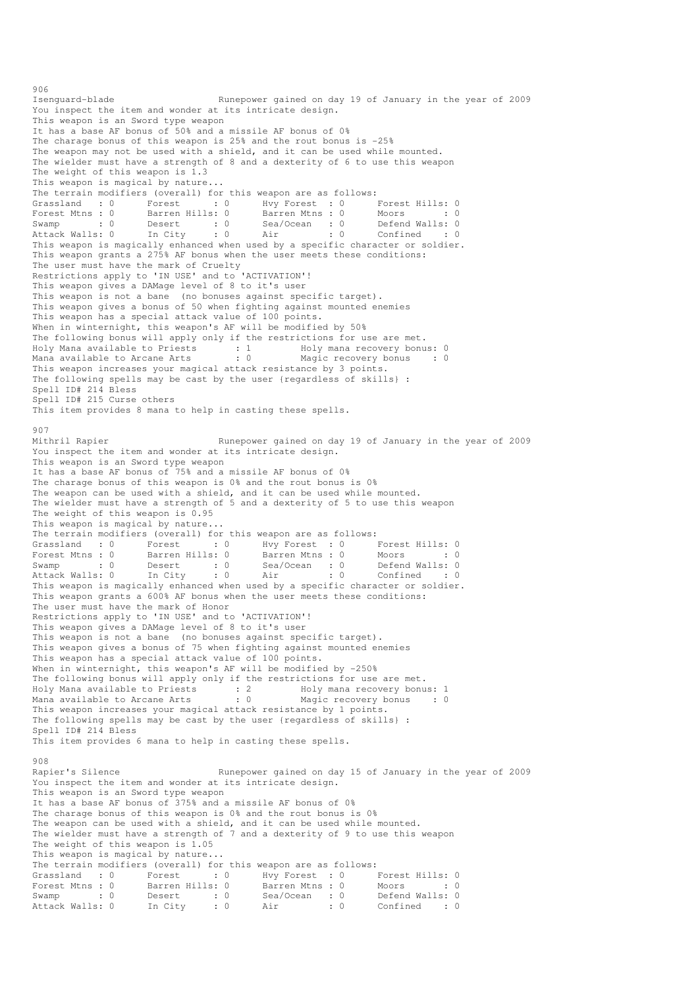Isenguard-blade Runepower gained on day 19 of January in the year of 2009 You inspect the item and wonder at its intricate design. This weapon is an Sword type weapon It has a base AF bonus of 50% and a missile AF bonus of 0% The charage bonus of this weapon is 25% and the rout bonus is -25% The weapon may not be used with a shield, and it can be used while mounted. The wielder must have a strength of 8 and a dexterity of 6 to use this weapon The weight of this weapon is 1.3 This weapon is magical by nature... The terrain modifiers (overall) for this weapon are as follows:<br>
Grassland : 0 Forest : 0 Hvy Forest : 0 I<br>
Forest Mtns : 0 Barren Hills: 0 Barren Mtns : 0 I Grassland : 0 Forest : 0 Hvy Forest : 0 Forest Hills: 0 Forest Mtns : 0 Barren Hills: 0 Barren Mtns : 0 Moors : 0 : 0 Swamp : 0 Desert : 0 Sea/Ocean : 0 Defend Walls: 0 Attack Walls: 0 In City : 0 Air : 0 Confined : 0 This weapon is magically enhanced when used by a specific character or soldier. This weapon grants a 275% AF bonus when the user meets these conditions: The user must have the mark of Cruelty Restrictions apply to 'IN USE' and to 'ACTIVATION'! This weapon gives a DAMage level of 8 to it's user This weapon is not a bane (no bonuses against specific target). This weapon gives a bonus of 50 when fighting against mounted enemies This weapon has a special attack value of 100 points. When in winternight, this weapon's AF will be modified by 50% The following bonus will apply only if the restrictions for use are met. Holy Mana available to Priests : 1 Moly mana recovery bonus: 0 Mana available to Arcane Arts : 0 Magic recovery bonus : 0 This weapon increases your magical attack resistance by 3 points. The following spells may be cast by the user {regardless of skills} : Spell ID# 214 Bless Spell ID# 215 Curse others This item provides 8 mana to help in casting these spells. 907<br>Mithril Rapier Runepower gained on day 19 of January in the year of 2009 You inspect the item and wonder at its intricate design. This weapon is an Sword type weapon It has a base AF bonus of 75% and a missile AF bonus of 0% The charage bonus of this weapon is 0% and the rout bonus is 0% The weapon can be used with a shield, and it can be used while mounted. The wielder must have a strength of 5 and a dexterity of 5 to use this weapon The weight of this weapon is 0.95 This weapon is magical by nature... The terrain modifiers (overall) for this weapon are as follows:<br>
Grassland : 0 Forest : 0 Hvy Forest : 0 Forest Mtns : 0 Barren Hills: 0 Barren Mtns : 0 M Grassland : 0 Forest : 0 Hvy Forest : 0 Forest Hills: 0 Forest Mtns : 0 Barren Hills: 0 Barren Mtns : 0 Moors : 0 : 0 Swamp : 0 Desert : 0 Sea/Ocean : 0 Defend Walls: 0 Attack Walls: 0 In City : 0 Air : 0 Confined : 0 This weapon is magically enhanced when used by a specific character or soldier. This weapon grants a 600% AF bonus when the user meets these conditions: The user must have the mark of Honor Restrictions apply to 'IN USE' and to 'ACTIVATION'! This weapon gives a DAMage level of 8 to it's user This weapon is not a bane (no bonuses against specific target). This weapon gives a bonus of 75 when fighting against mounted enemies This weapon has a special attack value of 100 points. When in winternight, this weapon's AF will be modified by -250% The following bonus will apply only if the restrictions for use are met. Holy Mana available to Priests : 2 Holy mana recovery bonus: 1 Mana available to Arcane Arts : 0 Magic recovery bonus : 0 This weapon increases your magical attack resistance by 1 points. The following spells may be cast by the user {regardless of skills} : Spell ID# 214 Bless This item provides 6 mana to help in casting these spells. 908 Rapier's Silence **Runepower gained on day 15 of January in the year of 2009** You inspect the item and wonder at its intricate design. This weapon is an Sword type weapon It has a base AF bonus of 375% and a missile AF bonus of 0% The charage bonus of this weapon is 0% and the rout bonus is 0% The weapon can be used with a shield, and it can be used while mounted. The wielder must have a strength of 7 and a dexterity of 9 to use this weapon The weight of this weapon is 1.05 This weapon is magical by nature... The terrain modifiers (overall) for this weapon are as follows: Grassland : 0 Forest : 0 Hvy Forest : 0 Forest Hills: 0 Forest Mtns : 0 Barren Hills: 0 Barren Mtns : 0 Moors : 0 : 0 Swamp : 0 Desert : 0 Sea/Ocean : 0 Defend Walls: 0 Attack Walls: 0 In City : 0 Air : 0 Confined : 0

906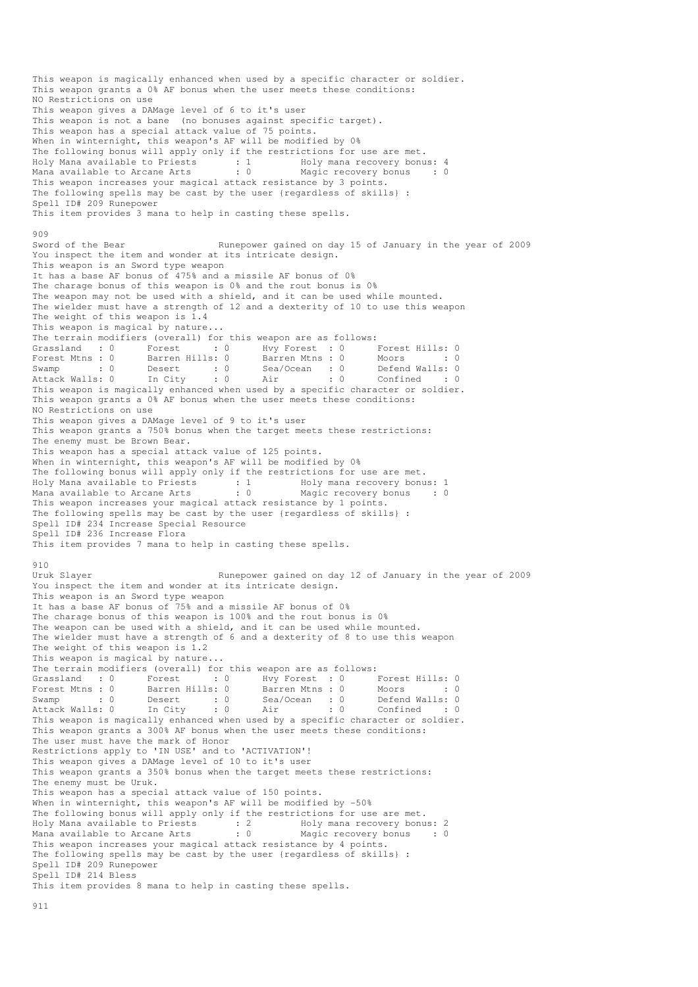This weapon is magically enhanced when used by a specific character or soldier. This weapon grants a 0% AF bonus when the user meets these conditions: NO Restrictions on use This weapon gives a DAMage level of 6 to it's user This weapon is not a bane (no bonuses against specific target). This weapon has a special attack value of 75 points. When in winternight, this weapon's AF will be modified by 0% The following bonus will apply only if the restrictions for use are met. Holy Mana available to Priests : 1 Holy mana recovery bonus: 4 Mana available to Arcane Arts : 0 Magic recovery bonus : 0 This weapon increases your magical attack resistance by 3 points. The following spells may be cast by the user {regardless of skills} : Spell ID# 209 Runepower This item provides 3 mana to help in casting these spells. 909 Sword of the Bear Runepower gained on day 15 of January in the year of 2009 You inspect the item and wonder at its intricate design. This weapon is an Sword type weapon It has a base AF bonus of 475% and a missile AF bonus of 0% The charage bonus of this weapon is 0% and the rout bonus is 0% The weapon may not be used with a shield, and it can be used while mounted. The wielder must have a strength of 12 and a dexterity of 10 to use this weapon The weight of this weapon is 1.4 This weapon is magical by nature... The terrain modifiers (overall) for this weapon are as follows: Grassland : 0 Forest : 0 Hvy Forest : 0 Forest Hills: 0 Forest Mtns : 0 Barren Hills: 0 Barren Mtns : 0 Moors : 0 : 0 Swamp : 0 Desert : 0 Sea/Ocean : 0 Defend Walls: 0 Attack Walls: 0 In City : 0 Air : 0 Confined : 0 This weapon is magically enhanced when used by a specific character or soldier. This weapon grants a 0% AF bonus when the user meets these conditions: NO Restrictions on use This weapon gives a DAMage level of 9 to it's user This weapon grants a 750% bonus when the target meets these restrictions: The enemy must be Brown Bear. This weapon has a special attack value of 125 points. When in winternight, this weapon's AF will be modified by 0% The following bonus will apply only if the restrictions for use are met. Holy Mana available to Priests : 1 Holy mana recovery bonus: 1 Mana available to Arcane Arts : 0 Magic recovery bonus : 0 This weapon increases your magical attack resistance by 1 points. The following spells may be cast by the user {regardless of skills} : Spell ID# 234 Increase Special Resource Spell ID# 236 Increase Flora This item provides 7 mana to help in casting these spells.  $0.10$ Uruk Slayer **Runepower gained on day 12 of January in the year of 2009** You inspect the item and wonder at its intricate design. This weapon is an Sword type weapon It has a base AF bonus of 75% and a missile AF bonus of 0% The charage bonus of this weapon is 100% and the rout bonus is 0% The weapon can be used with a shield, and it can be used while mounted. The wielder must have a strength of 6 and a dexterity of 8 to use this weapon The weight of this weapon is 1.2 This weapon is magical by nature... The terrain modifiers (overall) for this weapon are as follows:<br>
Grassland : 0 Forest : 0 Hvy Forest : 0 I<br>
Forest Mtns : 0 Barren Hills: 0 Barren Mtns : 0 I Grassland : 0 Forest : 0 Hvy Forest : 0 Forest Hills: 0 Forest Mtns : 0 Barren Hills: 0 Barren Mtns : 0 Moors : 0 : 0 Swamp : 0 Desert : 0 Sea/Ocean : 0 Defend Walls: 0 Attack Walls: 0 In City : 0 Air : 0 Confined : 0 Attack Walls: 0 In City : 0 Air : 0 Confined : 0<br>This weapon is magically enhanced when used by a specific character or soldier. This weapon grants a 300% AF bonus when the user meets these conditions: The user must have the mark of Honor Restrictions apply to 'IN USE' and to 'ACTIVATION'! This weapon gives a DAMage level of 10 to it's user This weapon grants a 350% bonus when the target meets these restrictions: The enemy must be Uruk. This weapon has a special attack value of 150 points. When in winternight, this weapon's AF will be modified by -50% The following bonus will apply only if the restrictions for use are met. Holy Mana available to Priests : 2 Holy mana recovery bonus: 2 Mana available to Arcane Arts : 0 Magic recovery bonus : 0 This weapon increases your magical attack resistance by 4 points. The following spells may be cast by the user {regardless of skills} : Spell ID# 209 Runepower Spell ID# 214 Bless This item provides 8 mana to help in casting these spells.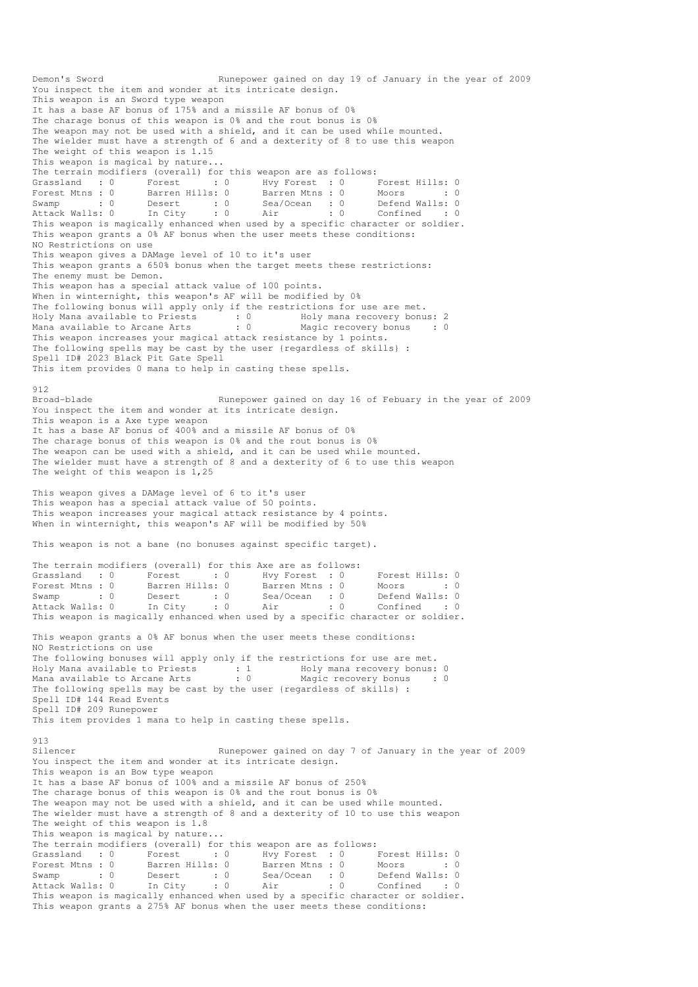Demon's Sword Runepower gained on day 19 of January in the year of 2009 You inspect the item and wonder at its intricate design. This weapon is an Sword type weapon It has a base AF bonus of 175% and a missile AF bonus of 0% The charage bonus of this weapon is 0% and the rout bonus is 0% The weapon may not be used with a shield, and it can be used while mounted. The wielder must have a strength of 6 and a dexterity of 8 to use this weapon The weight of this weapon is 1.15 This weapon is magical by nature... The terrain modifiers (overall) for this weapon are as follows: Grassland : 0 Forest : 0 Hvy Forest : 0 Forest Hills: 0 Forest Mtns : 0 Barren Hills: 0 Barren Mtns : 0 Moors : 0 : 0 Swamp : 0 Desert : 0 Sea/Ocean : 0 Defend Walls: 0 Attack Walls: 0 In City : 0 Air : 0 Confined : 0 This weapon is magically enhanced when used by a specific character or soldier. This weapon grants a 0% AF bonus when the user meets these conditions: NO Restrictions on use This weapon gives a DAMage level of 10 to it's user This weapon grants a 650% bonus when the target meets these restrictions: The enemy must be Demon. This weapon has a special attack value of 100 points. When in winternight, this weapon's AF will be modified by 0% The following bonus will apply only if the restrictions for use are met. Holy Mana available to Priests : 0 Holy mana recovery bonus: 2 Mana available to Arcane Arts : 0 Magic recovery bonus : 0 This weapon increases your magical attack resistance by 1 points. The following spells may be cast by the user {regardless of skills} : Spell ID# 2023 Black Pit Gate Spell This item provides 0 mana to help in casting these spells. 912 Broad-blade Runepower gained on day 16 of Febuary in the year of 2009 You inspect the item and wonder at its intricate design. This weapon is a Axe type weapon It has a base AF bonus of 400% and a missile AF bonus of 0% The charage bonus of this weapon is 0% and the rout bonus is 0% The weapon can be used with a shield, and it can be used while mounted. The wielder must have a strength of 8 and a dexterity of 6 to use this weapon The weight of this weapon is 1,25 This weapon gives a DAMage level of 6 to it's user This weapon has a special attack value of 50 points. This weapon increases your magical attack resistance by 4 points. When in winternight, this weapon's AF will be modified by 50% This weapon is not a bane (no bonuses against specific target). The terrain modifiers (overall) for this Axe are as follows: Grassland : 0 Forest : 0 Hvy Forest : 0 Forest Hills: 0<br>
Forest Mtns : 0 Barren Hills: 0 Barren Mtns : 0 Moors : 0 Forest Mtns : 0 Barren Hills: 0 Barren Mtns : 0 Moors : 0 : 0 Swamp : 0 Desert : 0 Sea/Ocean : 0 Defend Walls: 0 Attack Walls: 0 In City : 0 Air : 0 Confined : 0 This weapon is magically enhanced when used by a specific character or soldier. This weapon grants a 0% AF bonus when the user meets these conditions: NO Restrictions on use The following bonuses will apply only if the restrictions for use are met. Holy Mana available to Priests : 1 Holy mana recovery bonus: 0 Mana available to Arcane Arts : 0 Magic recovery bonus : 0 The following spells may be cast by the user {regardless of skills} : Spell ID# 144 Read Events Spell ID# 209 Runepower This item provides 1 mana to help in casting these spells. 913<br>Silencer Runepower gained on day 7 of January in the year of 2009 You inspect the item and wonder at its intricate design. This weapon is an Bow type weapon It has a base AF bonus of 100% and a missile AF bonus of 250% The charage bonus of this weapon is 0% and the rout bonus is 0% The weapon may not be used with a shield, and it can be used while mounted. The wielder must have a strength of 8 and a dexterity of 10 to use this weapon The weight of this weapon is 1.8 This weapon is magical by nature... The terrain modifiers (overall) for this weapon are as follows: Grassland : 0 Forest : 0 Hvy Forest : 0 Forest Hills: 0 Forest Mtns : 0 Barren Hills: 0 Barren Mtns : 0 Moors : 0 : 0 Swamp : 0 Desert : 0 Sea/Ocean : 0 Defend Walls: 0 Attack Walls: 0 In City : 0 Air : 0 Confined : 0 This weapon is magically enhanced when used by a specific character or soldier. This weapon grants a 275% AF bonus when the user meets these conditions: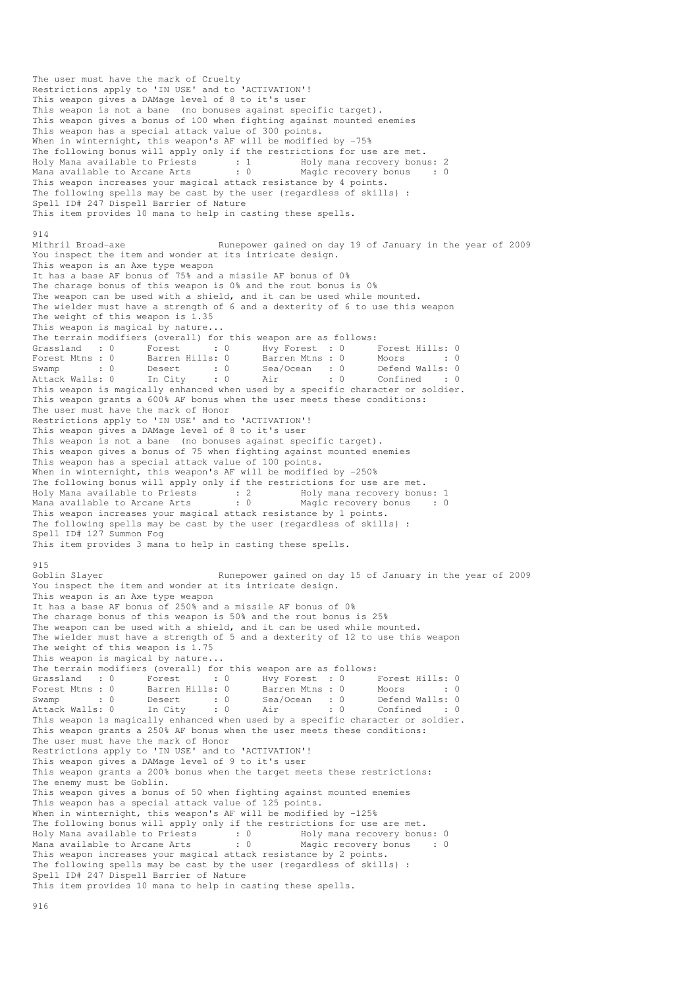The user must have the mark of Cruelty Restrictions apply to 'IN USE' and to 'ACTIVATION'! This weapon gives a DAMage level of 8 to it's user This weapon is not a bane (no bonuses against specific target). This weapon gives a bonus of 100 when fighting against mounted enemies This weapon has a special attack value of 300 points. When in winternight, this weapon's AF will be modified by -75% The following bonus will apply only if the restrictions for use are met. Holy Mana available to Priests : 1 Holy mana recovery bonus: 2 Mana available to Arcane Arts : 0 Magic recovery bonus : 0 This weapon increases your magical attack resistance by 4 points. The following spells may be cast by the user {regardless of skills} : Spell ID# 247 Dispell Barrier of Nature This item provides 10 mana to help in casting these spells. 914 Mithril Broad-axe **Runepower** gained on day 19 of January in the year of 2009 You inspect the item and wonder at its intricate design. This weapon is an Axe type weapon It has a base AF bonus of 75% and a missile AF bonus of 0% The charage bonus of this weapon is 0% and the rout bonus is 0% The weapon can be used with a shield, and it can be used while mounted. The wielder must have a strength of 6 and a dexterity of 6 to use this weapon The weight of this weapon is 1.35 This weapon is magical by nature... The terrain modifiers (overall) for this weapon are as follows:<br>
Grassland : 0 Forest : 0 Hvy Forest : 0 Forest Hills: 0<br>
Forest Mtns : 0 Barren Hills: 0 Barren Mtns : 0 Moors : 0 Grassland : 0 Forest : 0 Hvy Forest : 0 Forest Hills: 0 Forest Mtns : 0 Barren Hills: 0 Barren Mtns : 0 Moors : 0 : 0 Swamp : 0 Desert : 0 Sea/Ocean : 0 Defend Walls: 0 Attack Walls: 0 In City : 0 Air : 0 Confined : 0 This weapon is magically enhanced when used by a specific character or soldier. This weapon grants a 600% AF bonus when the user meets these conditions: The user must have the mark of Honor Restrictions apply to 'IN USE' and to 'ACTIVATION'! This weapon gives a DAMage level of 8 to it's user This weapon is not a bane (no bonuses against specific target). This weapon gives a bonus of 75 when fighting against mounted enemies This weapon has a special attack value of 100 points. When in winternight, this weapon's AF will be modified by -250% The following bonus will apply only if the restrictions for use are met. Holy Mana available to Priests : 2 Holy mana recovery bonus: 1 Mana available to Arcane Arts : 0 Magic recovery bonus : 0 This weapon increases your magical attack resistance by 1 points. The following spells may be cast by the user {regardless of skills} : Spell ID# 127 Summon Fog This item provides 3 mana to help in casting these spells. 915<br>Goblin Slayer Runepower gained on day 15 of January in the year of 2009 You inspect the item and wonder at its intricate design. This weapon is an Axe type weapon It has a base AF bonus of 250% and a missile AF bonus of 0% The charage bonus of this weapon is 50% and the rout bonus is 25% The weapon can be used with a shield, and it can be used while mounted. The wielder must have a strength of 5 and a dexterity of 12 to use this weapon The weight of this weapon is 1.75 This weapon is magical by nature... The terrain modifiers (overall) for this weapon are as follows:<br>
Grassland : 0 Forest : 0 Hvy Forest : 0 I<br>
Forest Mtns : 0 Barren Hills: 0 Barren Mtns : 0 I Grassland : 0 Forest : 0 Hvy Forest : 0 Forest Hills: 0 Forest Mtns : 0 Barren Hills: 0 Barren Mtns : 0 Moors : 0 : 0 Swamp : 0 Desert : 0 Sea/Ocean : 0 Defend Walls: 0 Attack Walls: 0 In City : 0 Air : 0 Confined : 0 Attack Walls: 0 In City : 0 Air : 0 Confined : 0<br>This weapon is magically enhanced when used by a specific character or soldier. This weapon grants a 250% AF bonus when the user meets these conditions: The user must have the mark of Honor Restrictions apply to 'IN USE' and to 'ACTIVATION'! This weapon gives a DAMage level of 9 to it's user This weapon grants a 200% bonus when the target meets these restrictions: The enemy must be Goblin. This weapon gives a bonus of 50 when fighting against mounted enemies This weapon has a special attack value of 125 points. When in winternight, this weapon's AF will be modified by -125% The following bonus will apply only if the restrictions for use are met. Holy Mana available to Priests : 0 Holy mana recovery bonus: 0 Mana available to Arcane Arts : 0 Magic recovery bonus : 0 This weapon increases your magical attack resistance by 2 points. The following spells may be cast by the user {regardless of skills} : Spell ID# 247 Dispell Barrier of Nature This item provides 10 mana to help in casting these spells.

916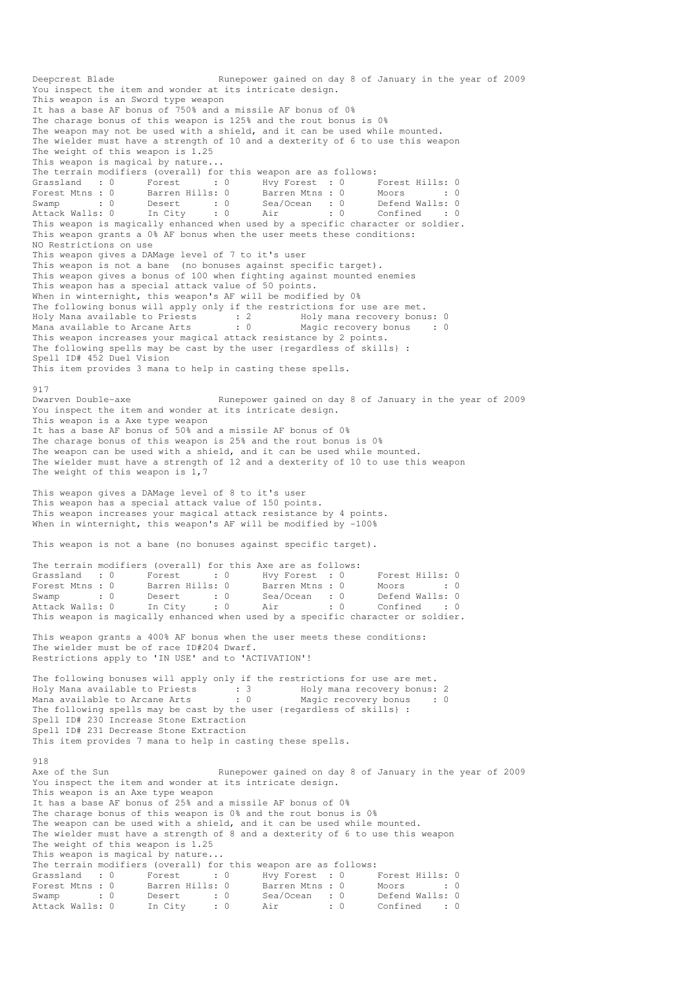Deepcrest Blade Runepower gained on day 8 of January in the year of 2009 You inspect the item and wonder at its intricate design. This weapon is an Sword type weapon It has a base AF bonus of 750% and a missile AF bonus of 0% The charage bonus of this weapon is 125% and the rout bonus is 0% The weapon may not be used with a shield, and it can be used while mounted. The wielder must have a strength of 10 and a dexterity of 6 to use this weapon The weight of this weapon is 1.25 This weapon is magical by nature... The terrain modifiers (overall) for this weapon are as follows: Grassland : 0 Forest : 0 Hvy Forest : 0 Forest Hills: 0 Forest Mtns : 0 Barren Hills: 0 Barren Mtns : 0 Moors : 0 : 0 Swamp : 0 Desert : 0 Sea/Ocean : 0 Defend Walls: 0 Attack Walls: 0 In City : 0 Air : 0 Confined : 0 This weapon is magically enhanced when used by a specific character or soldier. This weapon grants a 0% AF bonus when the user meets these conditions: NO Restrictions on use This weapon gives a DAMage level of 7 to it's user This weapon is not a bane (no bonuses against specific target). This weapon gives a bonus of 100 when fighting against mounted enemies This weapon has a special attack value of 50 points. When in winternight, this weapon's AF will be modified by 0% The following bonus will apply only if the restrictions for use are met. Holy Mana available to Priests : 2 Holy mana recovery bonus: 0 Mana available to Arcane Arts : 0 Magic recovery bonus : 0 This weapon increases your magical attack resistance by 2 points. The following spells may be cast by the user {regardless of skills} : Spell ID# 452 Duel Vision This item provides 3 mana to help in casting these spells. 917 Dwarven Double-axe **Runepower** gained on day 8 of January in the year of 2009 You inspect the item and wonder at its intricate design. This weapon is a Axe type weapon It has a base AF bonus of 50% and a missile AF bonus of 0% The charage bonus of this weapon is 25% and the rout bonus is 0% The weapon can be used with a shield, and it can be used while mounted. The wielder must have a strength of 12 and a dexterity of 10 to use this weapon The weight of this weapon is 1.7 This weapon gives a DAMage level of 8 to it's user This weapon has a special attack value of 150 points. This weapon increases your magical attack resistance by 4 points. When in winternight, this weapon's AF will be modified by -100% This weapon is not a bane (no bonuses against specific target). The terrain modifiers (overall) for this Axe are as follows: Grassland : 0 Forest : 0 Hvy Forest : 0 Forest Hills: 0<br>
Forest Mtns : 0 Barren Hills: 0 Barren Mtns : 0 Moors : 0 Forest Mtns : 0 Barren Hills: 0 Barren Mtns : 0 Moors : 0 : 0 Swamp : 0 Desert : 0 Sea/Ocean : 0 Defend Walls: 0 Attack Walls: 0 In City : 0 Air : 0 Confined : 0 This weapon is magically enhanced when used by a specific character or soldier. This weapon grants a 400% AF bonus when the user meets these conditions: The wielder must be of race ID#204 Dwarf. Restrictions apply to 'IN USE' and to 'ACTIVATION'! The following bonuses will apply only if the restrictions for use are met. Holy Mana available to Priests : 3 Holy mana recovery bonus: 2 Mana available to Arcane Arts : 0 Magic recovery bonus : 0 The following spells may be cast by the user {regardless of skills} : Spell ID# 230 Increase Stone Extraction Spell ID# 231 Decrease Stone Extraction This item provides 7 mana to help in casting these spells. 918 Axe of the Sun Nunepower gained on day 8 of January in the year of 2009 You inspect the item and wonder at its intricate design. This weapon is an Axe type weapon It has a base AF bonus of 25% and a missile AF bonus of 0% The charage bonus of this weapon is 0% and the rout bonus is 0% The weapon can be used with a shield, and it can be used while mounted. The wielder must have a strength of 8 and a dexterity of 6 to use this weapon The weight of this weapon is 1.25 This weapon is magical by nature... The terrain modifiers (overall) for this weapon are as follows: Grassland : 0 Forest : 0 Hvy Forest : 0 Forest Hills: 0 Forest Mtns : 0 Barren Hills: 0 Barren Mtns : 0 Moors : 0 : 0 Swamp : 0 Desert : 0 Sea/Ocean : 0 Defend Walls: 0 Attack Walls: 0 In City : 0 Air : 0 Confined : 0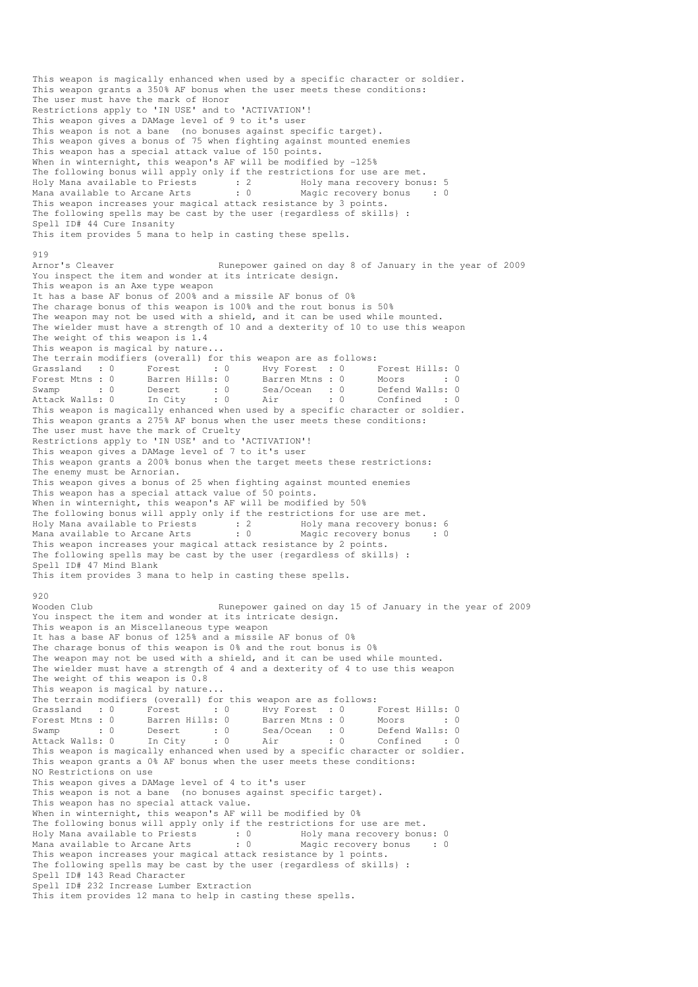This weapon is magically enhanced when used by a specific character or soldier. This weapon grants a 350% AF bonus when the user meets these conditions: The user must have the mark of Honor Restrictions apply to 'IN USE' and to 'ACTIVATION'! This weapon gives a DAMage level of 9 to it's user This weapon is not a bane (no bonuses against specific target). This weapon gives a bonus of 75 when fighting against mounted enemies This weapon has a special attack value of 150 points. When in winternight, this weapon's AF will be modified by -125% The following bonus will apply only if the restrictions for use are met. Holy Mana available to Priests : 2 Holy mana recovery bonus: 5 Mana available to Arcane Arts : 0 Magic recovery bonus : 0 This weapon increases your magical attack resistance by 3 points. The following spells may be cast by the user {regardless of skills} : Spell ID# 44 Cure Insanity This item provides 5 mana to help in casting these spells. 919 Arnor's Cleaver **Runepower gained on day 8 of January in the year of 2009** You inspect the item and wonder at its intricate design. This weapon is an Axe type weapon It has a base AF bonus of 200% and a missile AF bonus of 0% The charage bonus of this weapon is 100% and the rout bonus is 50% The weapon may not be used with a shield, and it can be used while mounted. The wielder must have a strength of 10 and a dexterity of 10 to use this weapon The weight of this weapon is 1.4 This weapon is magical by nature... The terrain modifiers (overall) for this weapon are as follows: Grassland : 0 Forest : 0 Hvy Forest : 0 Forest Hills: 0 Forest Mtns : 0 Barren Hills: 0 Barren Mtns : 0 Moors : 0 : 0 Swamp : 0 Desert : 0 Sea/Ocean : 0 Defend Walls: 0 Attack Walls: 0 In City : 0 Air : 0 Confined : 0 This weapon is magically enhanced when used by a specific character or soldier. This weapon grants a 275% AF bonus when the user meets these conditions: The user must have the mark of Cruelty Restrictions apply to 'IN USE' and to 'ACTIVATION'! This weapon gives a DAMage level of 7 to it's user This weapon grants a 200% bonus when the target meets these restrictions: The enemy must be Arnorian. This weapon gives a bonus of 25 when fighting against mounted enemies This weapon has a special attack value of 50 points. When in winternight, this weapon's AF will be modified by 50% The following bonus will apply only if the restrictions for use are met. Holy Mana available to Priests : 2 Holy mana recovery bonus: 6 Mana available to Arcane Arts : 0 Magic recovery bonus : 0 This weapon increases your magical attack resistance by 2 points. The following spells may be cast by the user {regardless of skills} : Spell ID# 47 Mind Blank This item provides 3 mana to help in casting these spells. 920 Wooden Club Runepower gained on day 15 of January in the year of 2009 You inspect the item and wonder at its intricate design. This weapon is an Miscellaneous type weapon It has a base AF bonus of 125% and a missile AF bonus of 0% The charage bonus of this weapon is 0% and the rout bonus is 0% The weapon may not be used with a shield, and it can be used while mounted. The wielder must have a strength of 4 and a dexterity of 4 to use this weapon The weight of this weapon is 0.8 This weapon is magical by nature... The terrain modifiers (overall) for this weapon are as follows: Grassland : 0 Forest : 0 Hvy Forest : 0 Forest Hills: 0 Forest Mtns : 0 Barren Hills: 0 Barren Mtns : 0 Moors : 0 : 0 Swamp : 0 Desert : 0 Sea/Ocean : 0 Defend Walls: 0 Attack Walls: 0 In City : 0 Air : 0 Confined : 0 This weapon is magically enhanced when used by a specific character or soldier. This weapon grants a 0% AF bonus when the user meets these conditions: NO Restrictions on use This weapon gives a DAMage level of 4 to it's user This weapon is not a bane (no bonuses against specific target). This weapon has no special attack value. When in winternight, this weapon's AF will be modified by 0% The following bonus will apply only if the restrictions for use are met. Holy Mana available to Priests : 0 Holy mana recovery bonus: 0 Mana available to Arcane Arts : 0 Magic recovery bonus : 0 This weapon increases your magical attack resistance by 1 points. The following spells may be cast by the user {regardless of skills} : Spell ID# 143 Read Character Spell ID# 232 Increase Lumber Extraction This item provides 12 mana to help in casting these spells.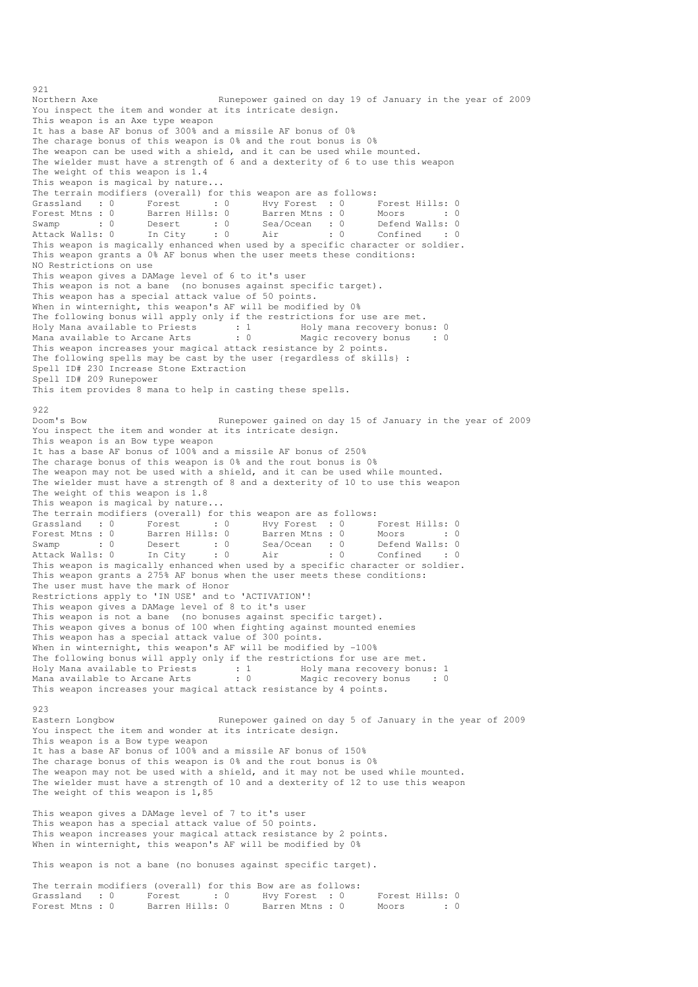Northern Axe Runepower gained on day 19 of January in the year of 2009 You inspect the item and wonder at its intricate design. This weapon is an Axe type weapon It has a base AF bonus of 300% and a missile AF bonus of 0% The charage bonus of this weapon is 0% and the rout bonus is 0% The weapon can be used with a shield, and it can be used while mounted. The wielder must have a strength of 6 and a dexterity of 6 to use this weapon The weight of this weapon is 1.4 This weapon is magical by nature... The terrain modifiers (overall) for this weapon are as follows:<br>
Grassland : 0 Forest : 0 Hvy Forest : 0 Forest Mtns : 0 Barren Hills: 0 Barren Mtns : 0 I Grassland : 0 Forest : 0 Hvy Forest : 0 Forest Hills: 0 Forest Mtns : 0 Barren Hills: 0 Barren Mtns : 0 Moors : 0 : 0 Swamp : 0 Desert : 0 Sea/Ocean : 0 Defend Walls: 0 Attack Walls: 0 In City : 0 Air : 0 Confined : 0 Attack Walls: 0 In City : 0 Air : 0 Confined : 0<br>This weapon is magically enhanced when used by a specific character or soldier. This weapon grants a 0% AF bonus when the user meets these conditions: NO Restrictions on use This weapon gives a DAMage level of 6 to it's user This weapon is not a bane (no bonuses against specific target). This weapon has a special attack value of 50 points. When in winternight, this weapon's AF will be modified by 0% The following bonus will apply only if the restrictions for use are met. Holy Mana available to Priests : 1 Holy mana recovery bonus: 0 Mana available to Arcane Arts : 0 Magic recovery bonus : 0 This weapon increases your magical attack resistance by 2 points. The following spells may be cast by the user {regardless of skills} : Spell ID# 230 Increase Stone Extraction Spell ID# 209 Runepower This item provides 8 mana to help in casting these spells. 922<br>Doom's Bow Runepower gained on day 15 of January in the year of 2009 You inspect the item and wonder at its intricate design. This weapon is an Bow type weapon It has a base AF bonus of 100% and a missile AF bonus of 250% The charage bonus of this weapon is 0% and the rout bonus is 0% The weapon may not be used with a shield, and it can be used while mounted. The wielder must have a strength of 8 and a dexterity of 10 to use this weapon The weight of this weapon is 1.8 This weapon is magical by nature... The terrain modifiers (overall) for this weapon are as follows:<br>
Grassland : 0 Forest : 0 Hvy Forest : 0 Forest Hills: 0 Grassland : 0 Forest : 0 Hvy Forest : 0 Forest Hills: 0 Forest Mtns : 0 Barren Hills: 0 Barren Mtns : 0 Moors : 0 : 0 Swamp : 0 Desert : 0 Sea/Ocean : 0 Defend Walls: 0 Attack Walls: 0 In City : 0 Air : 0 Confined : 0 This weapon is magically enhanced when used by a specific character or soldier. This weapon grants a 275% AF bonus when the user meets these conditions: The user must have the mark of Honor Restrictions apply to 'IN USE' and to 'ACTIVATION'! This weapon gives a DAMage level of 8 to it's user This weapon is not a bane (no bonuses against specific target). This weapon gives a bonus of 100 when fighting against mounted enemies This weapon has a special attack value of 300 points. When in winternight, this weapon's AF will be modified by -100% The following bonus will apply only if the restrictions for use are met. Holy Mana available to Priests : 1 Holy mana recovery bonus: 1 Mana available to Arcane Arts : 0 Magic recovery bonus : 0 This weapon increases your magical attack resistance by 4 points. 923 Eastern Longbow Runepower gained on day 5 of January in the year of 2009 You inspect the item and wonder at its intricate design. This weapon is a Bow type weapon It has a base AF bonus of 100% and a missile AF bonus of 150% The charage bonus of this weapon is 0% and the rout bonus is 0% The weapon may not be used with a shield, and it may not be used while mounted. The wielder must have a strength of 10 and a dexterity of 12 to use this weapon The weight of this weapon is 1,85 This weapon gives a DAMage level of 7 to it's user This weapon has a special attack value of 50 points. This weapon increases your magical attack resistance by 2 points. When in winternight, this weapon's AF will be modified by 0% This weapon is not a bane (no bonuses against specific target).

921

| The terrain modifiers (overall) for this Bow are as follows: |  |                 |                 |  |  |                 |           |
|--------------------------------------------------------------|--|-----------------|-----------------|--|--|-----------------|-----------|
| Grassland: 0                                                 |  | Forest : 0      | Hvy Forest : 0  |  |  | Forest Hills: 0 |           |
| Forest Mtns : 0                                              |  | Barren Hills: O | Barren Mtns : 0 |  |  | Moors           | $\cdot$ 0 |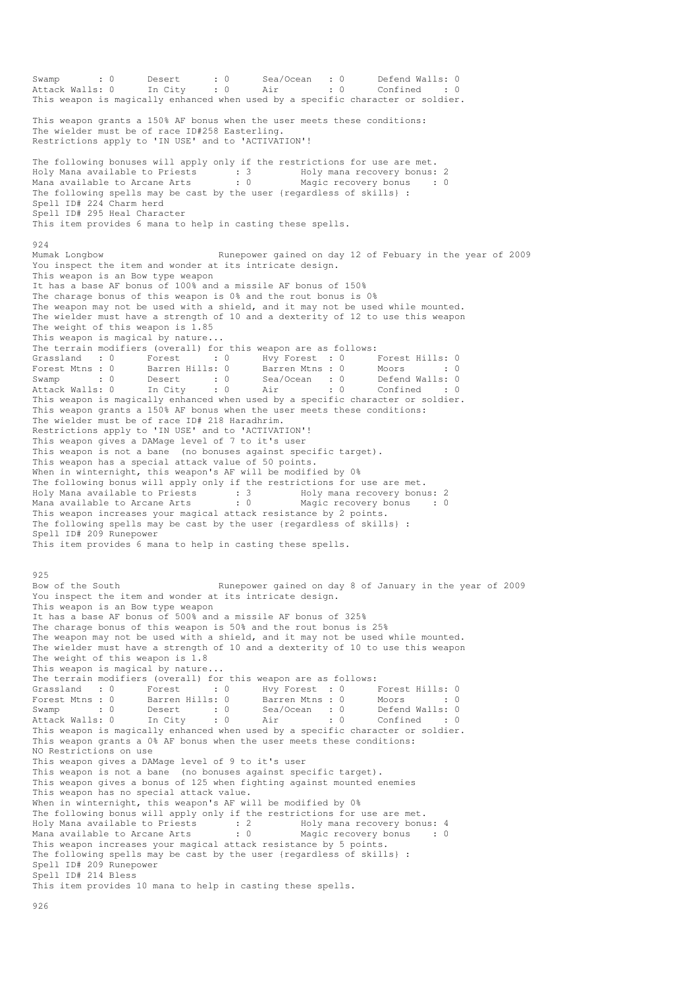Swamp : 0 Desert : 0 Sea/Ocean : 0 Defend Walls: 0 Attack Walls: 0 In City : 0 Air : 0 Confined : 0 This weapon is magically enhanced when used by a specific character or soldier. This weapon grants a 150% AF bonus when the user meets these conditions: The wielder must be of race ID#258 Easterling. Restrictions apply to 'IN USE' and to 'ACTIVATION'! The following bonuses will apply only if the restrictions for use are met. Holy Mana available to Priests : 3 Holy mana recovery bonus: 2 Mana available to Arcane Arts : 0 Magic recovery bonus : 0 The following spells may be cast by the user {regardless of skills} : Spell ID# 224 Charm herd Spell ID# 295 Heal Character This item provides 6 mana to help in casting these spells. 924 Mumak Longbow Runepower gained on day 12 of Febuary in the year of 2009 You inspect the item and wonder at its intricate design. This weapon is an Bow type weapon It has a base AF bonus of 100% and a missile AF bonus of 150% The charage bonus of this weapon is 0% and the rout bonus is 0% The weapon may not be used with a shield, and it may not be used while mounted. The wielder must have a strength of 10 and a dexterity of 12 to use this weapon The weight of this weapon is 1.85 This weapon is magical by nature... The terrain modifiers (overall) for this weapon are as follows: Grassland : 0 Forest : 0 Hvy Forest : 0 Forest Hills: 0 Forest Mtns : 0 Barren Hills: 0 Barren Mtns : 0 Moors : 0 : 0 Swamp : 0 Desert : 0 Sea/Ocean : 0 Defend Walls: 0 Attack Walls: 0 In City : 0 Air : 0 Confined : 0 This weapon is magically enhanced when used by a specific character or soldier. This weapon grants a 150% AF bonus when the user meets these conditions: The wielder must be of race ID# 218 Haradhrim. Restrictions apply to 'IN USE' and to 'ACTIVATION'! This weapon gives a DAMage level of 7 to it's user This weapon is not a bane (no bonuses against specific target). This weapon has a special attack value of 50 points. When in winternight, this weapon's AF will be modified by 0% The following bonus will apply only if the restrictions for use are met. Holy Mana available to Priests : 3 Holy mana recovery bonus: 2 Mana available to Arcane Arts : 0 Magic recovery bonus : 0 This weapon increases your magical attack resistance by 2 points. The following spells may be cast by the user {regardless of skills} : Spell ID# 209 Runepower This item provides 6 mana to help in casting these spells. 925<br>Bow of the South Runepower gained on day 8 of January in the year of 2009 You inspect the item and wonder at its intricate design. This weapon is an Bow type weapon It has a base AF bonus of 500% and a missile AF bonus of 325% The charage bonus of this weapon is 50% and the rout bonus is 25% The weapon may not be used with a shield, and it may not be used while mounted. The wielder must have a strength of 10 and a dexterity of 10 to use this weapon The weight of this weapon is 1.8 This weapon is magical by nature... The terrain modifiers (overall) for this weapon are as follows: Grassland : 0 Forest : 0 Hvy Forest : 0 Forest Hills: 0 Forest Mtns : 0 Barren Hills: 0 Barren Mtns : 0 Moors : 0 : 0 Swamp : 0 Desert : 0 Sea/Ocean : 0 Defend Walls: 0 Attack Walls: 0 In City : 0 Air : 0 Confined : 0 Forest Mtns : 0 Barren Hills: 0 Barren Mtns : 0 IVINSE MINIS: 0<br>Swamp : 0 Desert : 0 Sea/Ocean : 0 Defend Walls: 0<br>Attack Walls: 0 In City : 0 Air : 0 Confined : 0<br>This weapon is magically enhanced when used by a specific This weapon grants a 0% AF bonus when the user meets these conditions: NO Restrictions on use This weapon gives a DAMage level of 9 to it's user This weapon is not a bane (no bonuses against specific target). This weapon gives a bonus of 125 when fighting against mounted enemies This weapon has no special attack value. When in winternight, this weapon's AF will be modified by 0% The following bonus will apply only if the restrictions for use are met. Holy Mana available to Priests : 2 Holy mana recovery bonus: 4 Mana available to Arcane Arts : 0 Magic recovery bonus : 0 This weapon increases your magical attack resistance by 5 points. The following spells may be cast by the user {regardless of skills} : Spell ID# 209 Runepower Spell ID# 214 Bless This item provides 10 mana to help in casting these spells. 926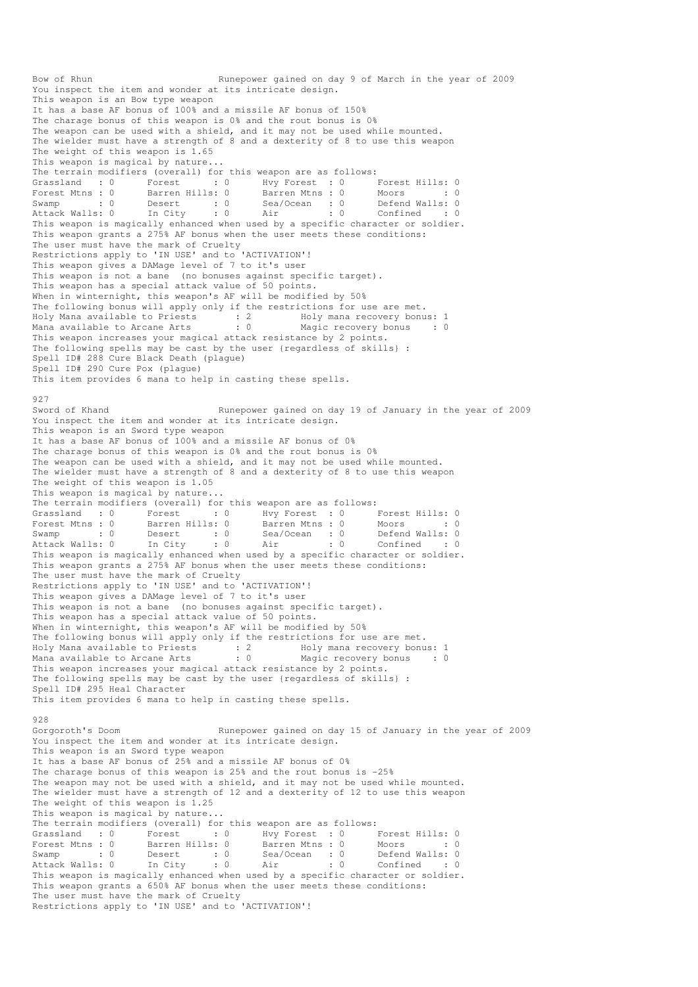Bow of Rhun Runepower gained on day 9 of March in the year of 2009 You inspect the item and wonder at its intricate design. This weapon is an Bow type weapon It has a base AF bonus of 100% and a missile AF bonus of 150% The charage bonus of this weapon is 0% and the rout bonus is 0% The weapon can be used with a shield, and it may not be used while mounted. The wielder must have a strength of 8 and a dexterity of 8 to use this weapon The weight of this weapon is 1.65 This weapon is magical by nature... The terrain modifiers (overall) for this weapon are as follows: Grassland : 0 Forest : 0 Hvy Forest : 0 Forest Hills: 0 Forest Mtns : 0 Barren Hills: 0 Barren Mtns : 0 Moors : 0 : 0 Swamp : 0 Desert : 0 Sea/Ocean : 0 Defend Walls: 0 Attack Walls: 0 In City : 0 Air : 0 Confined : 0 This weapon is magically enhanced when used by a specific character or soldier. This weapon grants a 275% AF bonus when the user meets these conditions: The user must have the mark of Cruelty Restrictions apply to 'IN USE' and to 'ACTIVATION'! This weapon gives a DAMage level of 7 to it's user This weapon is not a bane (no bonuses against specific target). This weapon has a special attack value of 50 points. When in winternight, this weapon's AF will be modified by 50% The following bonus will apply only if the restrictions for use are met. Holy Mana available to Priests : 2 Holy mana recovery bonus: 1 Mana available to Arcane Arts : 0 Magic recovery bonus : 0 This weapon increases your magical attack resistance by 2 points. The following spells may be cast by the user {regardless of skills} : Spell ID# 288 Cure Black Death (plague) Spell ID# 290 Cure Pox (plague) This item provides 6 mana to help in casting these spells. 927 Sword of Khand The Runepower gained on day 19 of January in the year of 2009 You inspect the item and wonder at its intricate design. This weapon is an Sword type weapon It has a base AF bonus of 100% and a missile AF bonus of 0% The charage bonus of this weapon is 0% and the rout bonus is 0% The weapon can be used with a shield, and it may not be used while mounted. The wielder must have a strength of 8 and a dexterity of 8 to use this weapon The weight of this weapon is 1.05 This weapon is magical by nature... The terrain modifiers (overall) for this weapon are as follows: Grassland : 0 Forest : 0 Hvy Forest : 0 Forest Hills: 0 Forest Mtns : 0 Barren Hills: 0 Barren Mtns : 0 Moors : 0 : 0 Swamp : 0 Desert : 0 Sea/Ocean : 0 Defend Walls: 0 Attack Walls: 0 In City : 0 Air : 0 Confined : 0 This weapon is magically enhanced when used by a specific character or soldier. This weapon grants a 275% AF bonus when the user meets these conditions: The user must have the mark of Cruelty Restrictions apply to 'IN USE' and to 'ACTIVATION'! This weapon gives a DAMage level of 7 to it's user This weapon is not a bane (no bonuses against specific target). This weapon has a special attack value of 50 points. When in winternight, this weapon's AF will be modified by 50% The following bonus will apply only if the restrictions for use are met. Holy Mana available to Priests : 2 Holy mana recovery bonus: 1 Mana available to Arcane Arts : 0 Magic recovery bonus : 0 This weapon increases your magical attack resistance by 2 points. The following spells may be cast by the user {regardless of skills} : Spell ID# 295 Heal Character This item provides 6 mana to help in casting these spells. 928 Gorgoroth's Doom Runepower gained on day 15 of January in the year of 2009 You inspect the item and wonder at its intricate design. This weapon is an Sword type weapon It has a base AF bonus of 25% and a missile AF bonus of 0% The charage bonus of this weapon is 25% and the rout bonus is -25% The weapon may not be used with a shield, and it may not be used while mounted. The wielder must have a strength of 12 and a dexterity of 12 to use this weapon The weight of this weapon is 1.25 This weapon is magical by nature... The terrain modifiers (overall) for this weapon are as follows: Grassland : 0 Forest : 0 Hvy Forest : 0 Forest Hills: 0 Forest Mtns : 0 Barren Hills: 0 Barren Mtns : 0 Moors : 0 : 0 Swamp : 0 Desert : 0 Sea/Ocean : 0 Defend Walls: 0 Attack Walls: 0 In City : 0 Air : 0 Confined : 0 Swamp : 0 Desert is subsected by the magically enhanced when used by a specific character or soldier.<br>This weapon is magically enhanced when used by a specific character or soldier. This weapon grants a 650% AF bonus when the user meets these conditions: The user must have the mark of Cruelty Restrictions apply to 'IN USE' and to 'ACTIVATION'!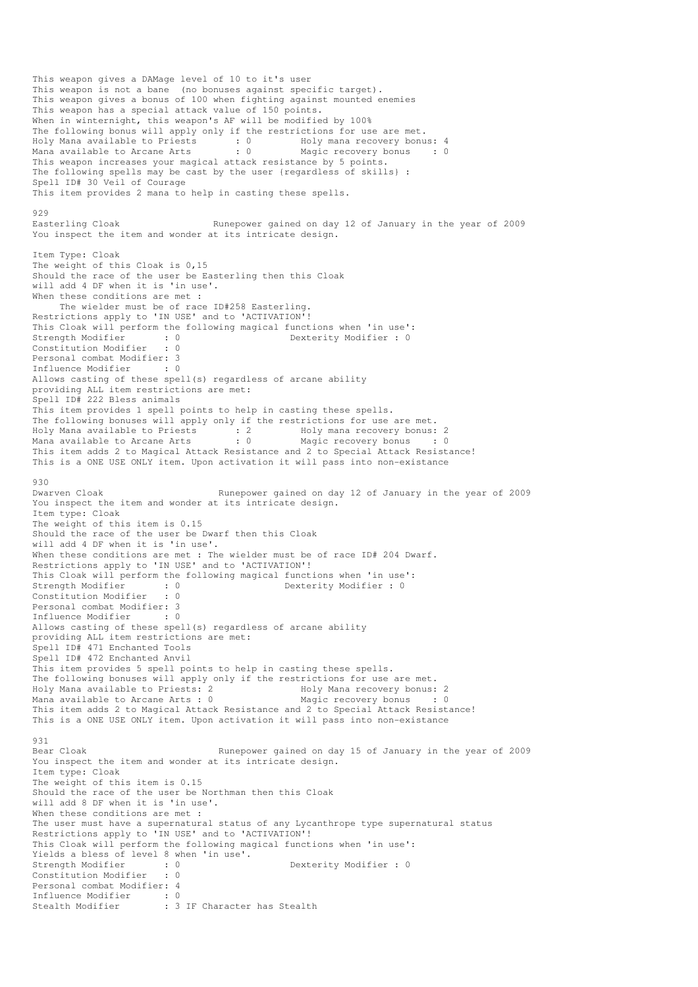This weapon gives a DAMage level of 10 to it's user This weapon is not a bane (no bonuses against specific target). This weapon gives a bonus of 100 when fighting against mounted enemies This weapon has a special attack value of 150 points. When in winternight, this weapon's AF will be modified by 100% The following bonus will apply only if the restrictions for use are met. Holy Mana available to Priests : 0 Holy mana recovery bonus: 4 Mana available to Arcane Arts : 0 Magic recovery bonus : 0 This weapon increases your magical attack resistance by 5 points. The following spells may be cast by the user {regardless of skills} : Spell ID# 30 Veil of Courage This item provides 2 mana to help in casting these spells. 929<br>Easterling Cloak Runepower gained on day 12 of January in the year of 2009 You inspect the item and wonder at its intricate design. Item Type: Cloak The weight of this Cloak is 0,15 Should the race of the user be Easterling then this Cloak will add 4 DF when it is 'in use'. When these conditions are met : The wielder must be of race ID#258 Easterling. Restrictions apply to 'IN USE' and to 'ACTIVATION'! This Cloak will perform the following magical functions when 'in use': Strength Modifier : 0 0 Dexterity Modifier : 0 Constitution Modifier : 0 Personal combat Modifier: 3 Influence Modifier : 0 Allows casting of these spell(s) regardless of arcane ability providing ALL item restrictions are met: Spell ID# 222 Bless animals This item provides 1 spell points to help in casting these spells. The following bonuses will apply only if the restrictions for use are met. Holy Mana available to Priests<br>
Mana available to Arcane Arts : 0 Magic recovery bonus : 0 Mana available to Arcane Arts This item adds 2 to Magical Attack Resistance and 2 to Special Attack Resistance! This is a ONE USE ONLY item. Upon activation it will pass into non-existance 930<br>Dwarven Cloak Runepower gained on day 12 of January in the year of 2009 You inspect the item and wonder at its intricate design. Item type: Cloak The weight of this item is 0.15 Should the race of the user be Dwarf then this Cloak will add 4 DF when it is 'in use'. When these conditions are met : The wielder must be of race ID# 204 Dwarf. Restrictions apply to 'IN USE' and to 'ACTIVATION'! This Cloak will perform the following magical functions when 'in use':<br>Strength Modifier : 0<br>Dexterity Modifier : 0 Strength Modifier : 0 0 Dexterity Modifier : 0 Constitution Modifier : 0 Personal combat Modifier: 3 Influence Modifier : 0 Allows casting of these spell(s) regardless of arcane ability providing ALL item restrictions are met: Spell ID# 471 Enchanted Tools Spell ID# 472 Enchanted Anvil This item provides 5 spell points to help in casting these spells. The following bonuses will apply only if the restrictions for use are met. Holy Mana available to Priests: 2 Holy Mana recovery bonus: 2 Mana available to Arcane Arts : 0 Magic recovery bonus : 0 This item adds 2 to Magical Attack Resistance and 2 to Special Attack Resistance! This is a ONE USE ONLY item. Upon activation it will pass into non-existance 931<br>Bear Cloak Runepower gained on day 15 of January in the year of 2009 You inspect the item and wonder at its intricate design. Item type: Cloak The weight of this item is 0.15 Should the race of the user be Northman then this Cloak will add 8 DF when it is 'in use'. When these conditions are met : The user must have a supernatural status of any Lycanthrope type supernatural status Restrictions apply to 'IN USE' and to 'ACTIVATION'! This Cloak will perform the following magical functions when 'in use': Yields a bless of level 8 when 'in use'. Strength Modifier : 0 0 Dexterity Modifier : 0 Constitution Modifier : 0 Personal combat Modifier: 4 Influence Modifier : 0 Stealth Modifier : 3 IF Character has Stealth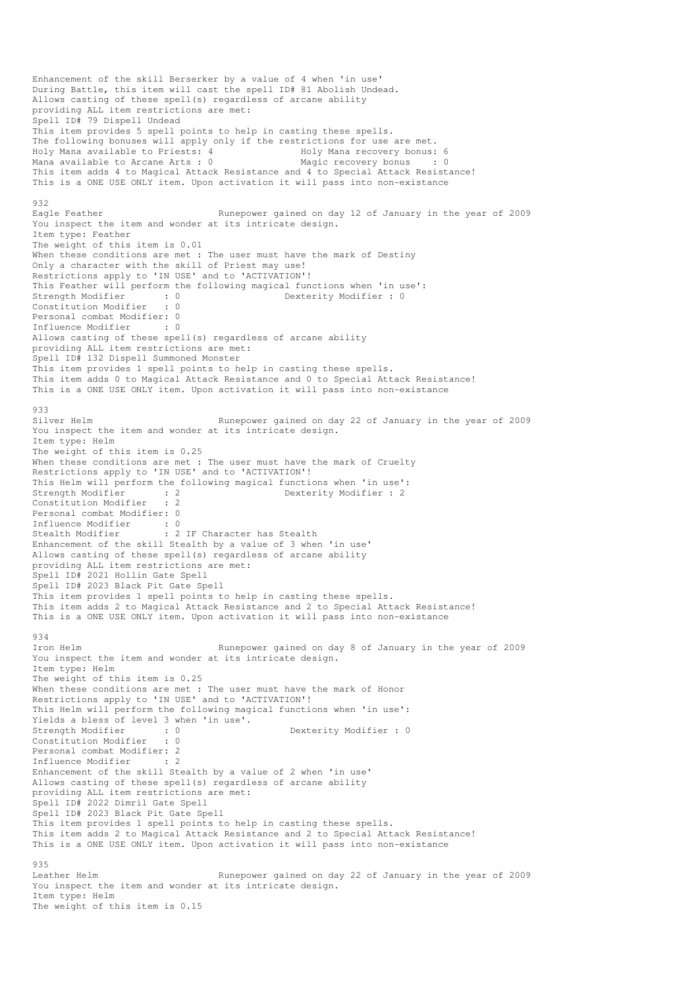Enhancement of the skill Berserker by a value of 4 when 'in use' During Battle, this item will cast the spell ID# 81 Abolish Undead. Allows casting of these spell(s) regardless of arcane ability providing ALL item restrictions are met: Spell ID# 79 Dispell Undead This item provides 5 spell points to help in casting these spells. The following bonuses will apply only if the restrictions for use are met.<br>Holy Mana available to Priests: 4 Holy Mana recovery bonus: 6 Holy Mana available to Priests: 4 Holy Mana recovery bonus: 6 Mana available to Arcane Arts :  $0$ This item adds 4 to Magical Attack Resistance and 4 to Special Attack Resistance! This is a ONE USE ONLY item. Upon activation it will pass into non-existance 932<br>Eagle Feather Runepower gained on day 12 of January in the year of 2009 You inspect the item and wonder at its intricate design. Item type: Feather The weight of this item is 0.01 When these conditions are met : The user must have the mark of Destiny Only a character with the skill of Priest may use! Restrictions apply to 'IN USE' and to 'ACTIVATION'! This Feather will perform the following magical functions when 'in use': Strength Modifier : 0 0 Dexterity Modifier : 0 Constitution Modifier : 0 Personal combat Modifier: 0 Influence Modifier : 0 Allows casting of these spell(s) regardless of arcane ability providing ALL item restrictions are met: Spell ID# 132 Dispell Summoned Monster This item provides 1 spell points to help in casting these spells. This item adds 0 to Magical Attack Resistance and 0 to Special Attack Resistance! This is a ONE USE ONLY item. Upon activation it will pass into non-existance 933<br>Silver Helm Runepower gained on day 22 of January in the year of 2009 You inspect the item and wonder at its intricate design. Item type: Helm The weight of this item is 0.25 When these conditions are met : The user must have the mark of Cruelty Restrictions apply to 'IN USE' and to 'ACTIVATION'! This Helm will perform the following magical functions when 'in use':<br>Strength Modifier : 2<br>Dexterity Modifier : 2 Dexterity Modifier : 2 Constitution Modifier : 2 Personal combat Modifier: 0 Influence Modifier : 0<br>Stealth Modifier : 2 : 2 IF Character has Stealth Enhancement of the skill Stealth by a value of 3 when 'in use' Allows casting of these spell(s) regardless of arcane ability providing ALL item restrictions are met: Spell ID# 2021 Hollin Gate Spell Spell ID# 2023 Black Pit Gate Spell This item provides 1 spell points to help in casting these spells. This item adds 2 to Magical Attack Resistance and 2 to Special Attack Resistance! This is a ONE USE ONLY item. Upon activation it will pass into non-existance 934<br>Iron Helm Runepower gained on day 8 of January in the year of 2009 You inspect the item and wonder at its intricate design. Item type: Helm The weight of this item is 0.25 When these conditions are met : The user must have the mark of Honor Restrictions apply to 'IN USE' and to 'ACTIVATION'! This Helm will perform the following magical functions when 'in use': Yields a bless of level 3 when 'in use'. Strength Modifier : 0 0 Dexterity Modifier : 0 Constitution Modifier : 0 Personal combat Modifier: 2<br>Influence Modifier : 2 Influence Modifier Enhancement of the skill Stealth by a value of 2 when 'in use' Allows casting of these spell(s) regardless of arcane ability providing ALL item restrictions are met: Spell ID# 2022 Dimril Gate Spell Spell ID# 2023 Black Pit Gate Spell This item provides 1 spell points to help in casting these spells. This item adds 2 to Magical Attack Resistance and 2 to Special Attack Resistance! This is a ONE USE ONLY item. Upon activation it will pass into non-existance 935 Leather Helm Runepower gained on day 22 of January in the year of 2009 You inspect the item and wonder at its intricate design. Item type: Helm The weight of this item is 0.15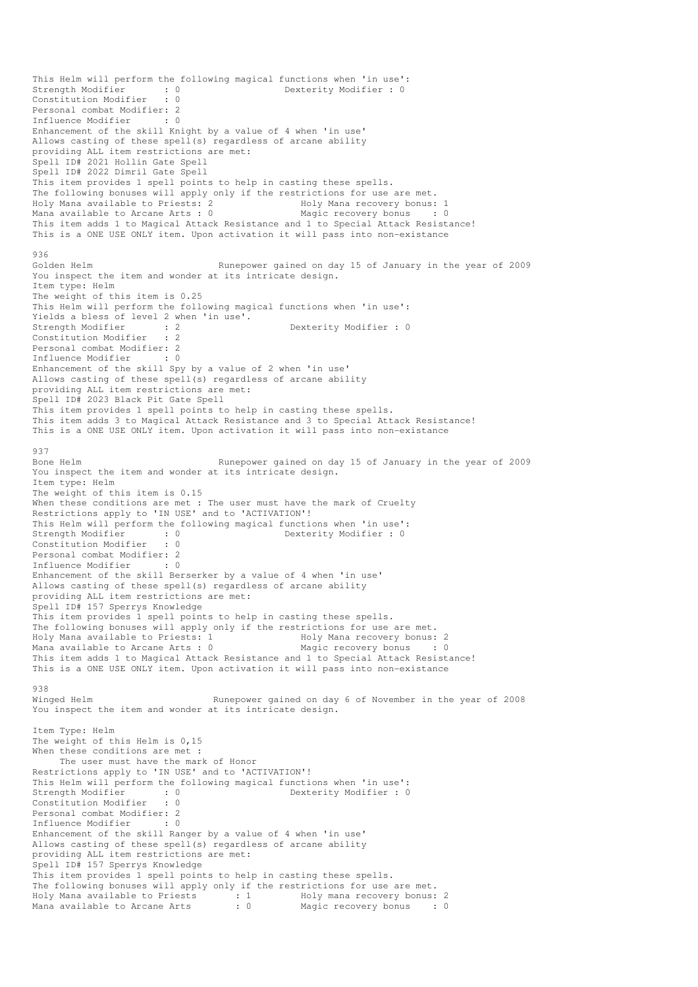This Helm will perform the following magical functions when 'in use': Dexterity Modifier : 0 Strength Modifier : 0<br>Constitution Modifier : 0 Personal combat Modifier: 2<br>Influence Modifier : 0 Influence Modifier Enhancement of the skill Knight by a value of 4 when 'in use' Allows casting of these spell(s) regardless of arcane ability providing ALL item restrictions are met: Spell ID# 2021 Hollin Gate Spell Spell ID# 2022 Dimril Gate Spell This item provides 1 spell points to help in casting these spells. The following bonuses will apply only if the restrictions for use are met. Holy Mana available to Priests: 2 The Holy Mana recovery bonus: 1 Mana available to Arcane Arts : 0 Magic recovery bonus : 0 This item adds 1 to Magical Attack Resistance and 1 to Special Attack Resistance! This is a ONE USE ONLY item. Upon activation it will pass into non-existance  $936$ Golden Helm Runepower gained on day 15 of January in the year of 2009 You inspect the item and wonder at its intricate design. Item type: Helm The weight of this item is 0.25 This Helm will perform the following magical functions when 'in use': Yields a bless of level 2 when 'in use'. Strength Modifier : 2 2 Dexterity Modifier : 0 Constitution Modifier : 2 Personal combat Modifier: 2 Influence Modifier : 0 Enhancement of the skill Spy by a value of 2 when 'in use' Allows casting of these spell(s) regardless of arcane ability providing ALL item restrictions are met: Spell ID# 2023 Black Pit Gate Spell This item provides 1 spell points to help in casting these spells. This item adds 3 to Magical Attack Resistance and 3 to Special Attack Resistance! This is a ONE USE ONLY item. Upon activation it will pass into non-existance 937 Bone Helm Runepower gained on day 15 of January in the year of 2009 You inspect the item and wonder at its intricate design. Item type: Helm The weight of this item is 0.15 When these conditions are met : The user must have the mark of Cruelty Restrictions apply to 'IN USE' and to 'ACTIVATION'! This Helm will perform the following magical functions when 'in use': Strength Modifier : 0 0 Dexterity Modifier : 0 Constitution Modifier : 0 Personal combat Modifier: 2 Influence Modifier : 0 Enhancement of the skill Berserker by a value of 4 when 'in use' Allows casting of these spell(s) regardless of arcane ability providing ALL item restrictions are met: Spell ID# 157 Sperrys Knowledge This item provides 1 spell points to help in casting these spells. The following bonuses will apply only if the restrictions for use are met. Holy Mana available to Priests: 1 1 1992 Holy Mana recovery bonus: 2<br>
Mana available to Arcane Arts : 0 1994 Magic recovery bonus : 0 Mana available to Arcane Arts :  $0$ This item adds 1 to Magical Attack Resistance and 1 to Special Attack Resistance! This is a ONE USE ONLY item. Upon activation it will pass into non-existance 938 Winged Helm **Runepower gained on day 6 of November in the year of 2008** You inspect the item and wonder at its intricate design. Item Type: Helm The weight of this Helm is 0,15 When these conditions are met : The user must have the mark of Honor Restrictions apply to 'IN USE' and to 'ACTIVATION'! This Helm will perform the following magical functions when 'in use':<br>Strength Modifier : 0<br>Dexterity Modifier : 0 Strength Modifier : 0 0 Dexterity Modifier : 0 Constitution Modifier : 0 Personal combat Modifier: 2 Influence Modifier : 0 Enhancement of the skill Ranger by a value of 4 when 'in use' Allows casting of these spell(s) regardless of arcane ability providing ALL item restrictions are met: Spell ID# 157 Sperrys Knowledge This item provides 1 spell points to help in casting these spells. The following bonuses will apply only if the restrictions for use are met. Holy Mana available to Priests : 1 Holy mana recovery bonus: 2 Mana available to Arcane Arts : 0 Magic recovery bonus : 0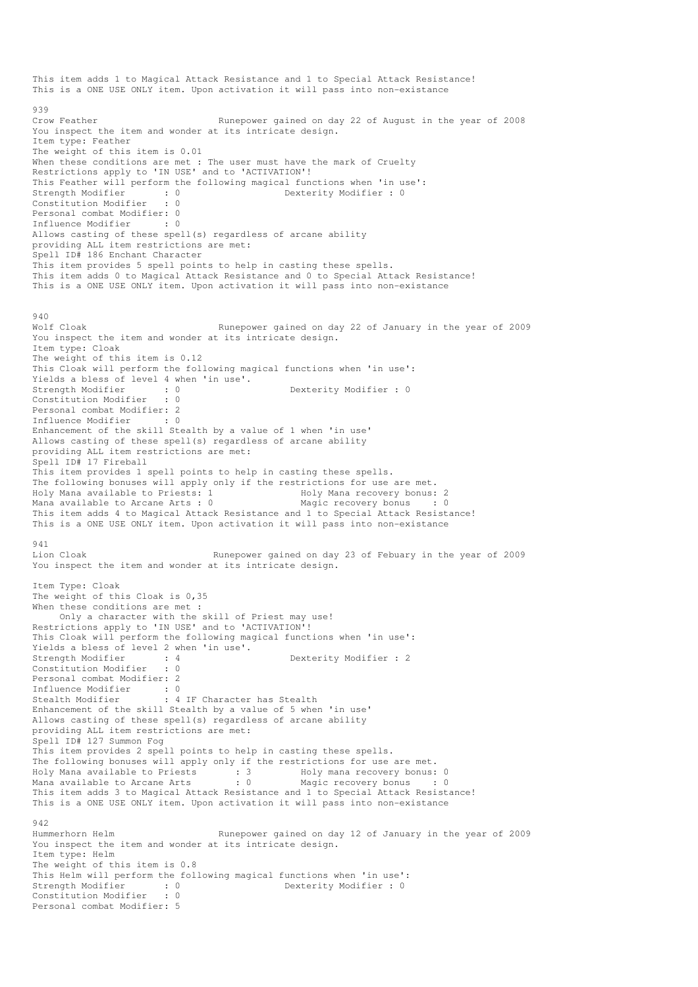This item adds 1 to Magical Attack Resistance and 1 to Special Attack Resistance! This is a ONE USE ONLY item. Upon activation it will pass into non-existance 939 Crow Feather **Runepower gained on day 22 of August in the year of 2008** You inspect the item and wonder at its intricate design. Item type: Feather The weight of this item is 0.01 When these conditions are met : The user must have the mark of Cruelty Restrictions apply to 'IN USE' and to 'ACTIVATION'! This Feather will perform the following magical functions when 'in use': Strength Modifier : 0 0 Dexterity Modifier : 0 Constitution Modifier : 0 Personal combat Modifier: 0<br>Tnfluence Modifier : 0 Influence Modifier Allows casting of these spell(s) regardless of arcane ability providing ALL item restrictions are met: Spell ID# 186 Enchant Character This item provides 5 spell points to help in casting these spells. This item adds 0 to Magical Attack Resistance and 0 to Special Attack Resistance! This is a ONE USE ONLY item. Upon activation it will pass into non-existance 940 Wolf Cloak **Runepower gained on day 22 of January in the year of 2009** You inspect the item and wonder at its intricate design. Item type: Cloak The weight of this item is 0.12 This Cloak will perform the following magical functions when 'in use': Yields a bless of level 4 when 'in use'. Strength Modifier : 0 0 Dexterity Modifier : 0 Constitution Modifier : 0 Personal combat Modifier: 2 Influence Modifier Enhancement of the skill Stealth by a value of 1 when 'in use' Allows casting of these spell(s) regardless of arcane ability providing ALL item restrictions are met: Spell ID# 17 Fireball This item provides 1 spell points to help in casting these spells. The following bonuses will apply only if the restrictions for use are met.<br>Holy Mana available to Priests: 1 Holy Mana recovery bonus: 2 Holy Mana available to Priests: 1 Mana available to Arcane Arts : 0 Magic recovery bonus : 0 This item adds 4 to Magical Attack Resistance and 1 to Special Attack Resistance! This is a ONE USE ONLY item. Upon activation it will pass into non-existance 941<br>Lion Cloak Runepower gained on day 23 of Febuary in the year of 2009 You inspect the item and wonder at its intricate design. Item Type: Cloak The weight of this Cloak is 0,35 When these conditions are met : Only a character with the skill of Priest may use! Restrictions apply to 'IN USE' and to 'ACTIVATION'! This Cloak will perform the following magical functions when 'in use': Yields a bless of level 2 when 'in use'.<br>Strength Modifier : 4<br>Constitution M (1992) : 4 Dexterity Modifier : 2<br>: 0 Constitution Modifier Personal combat Modifier: 2 Influence Modifier : 0 Stealth Modifier : 4 IF Character has Stealth Enhancement of the skill Stealth by a value of 5 when 'in use' Allows casting of these spell(s) regardless of arcane ability providing ALL item restrictions are met: Spell ID# 127 Summon Fog This item provides 2 spell points to help in casting these spells. The following bonuses will apply only if the restrictions for use are met.<br>Holy Mana available to Priests : 3 Holy mana recovery bonus: 0 Holy Mana available to Priests : 3 Holy mana recovery bonus: 0 Mana available to Arcane Arts : 0 Magic recovery bonus : 0 This item adds 3 to Magical Attack Resistance and 1 to Special Attack Resistance! This is a ONE USE ONLY item. Upon activation it will pass into non-existance 942 Hummerhorn Helm Runepower gained on day 12 of January in the year of 2009 You inspect the item and wonder at its intricate design. Item type: Helm The weight of this item is 0.8 This Helm will perform the following magical functions when 'in use': Strength Modifier : 0<br>
Constitution Modifier : 0<br>
Constitution Modifier : 0 Constitution Modifier : 0 Personal combat Modifier: 5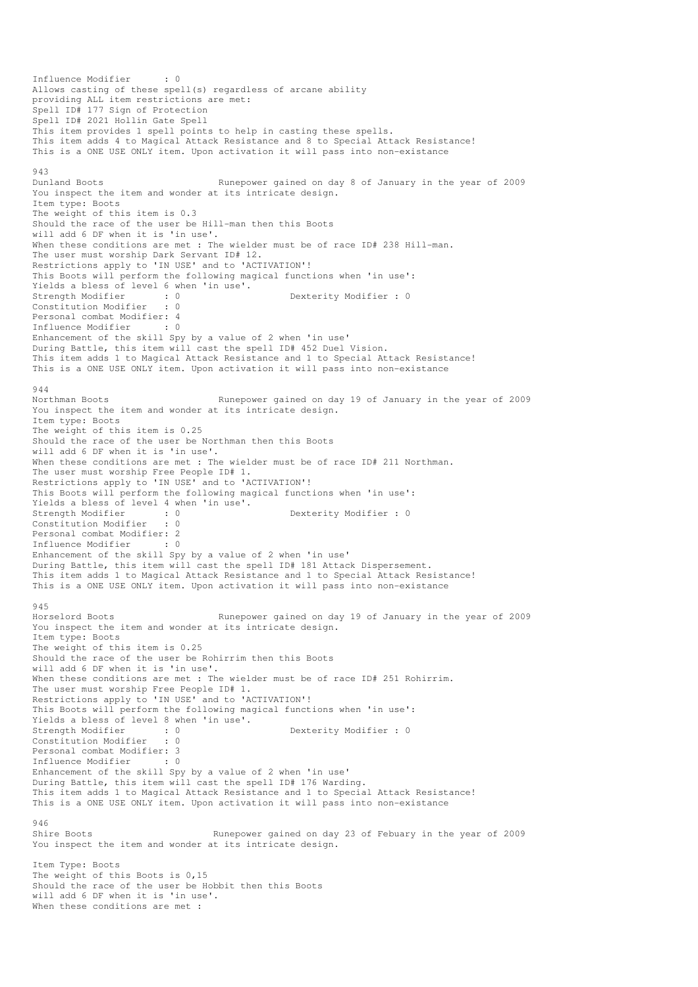Influence Modifier : 0 Allows casting of these spell(s) regardless of arcane ability providing ALL item restrictions are met: Spell ID# 177 Sign of Protection Spell ID# 2021 Hollin Gate Spell This item provides 1 spell points to help in casting these spells. This item adds 4 to Magical Attack Resistance and 8 to Special Attack Resistance! This is a ONE USE ONLY item. Upon activation it will pass into non-existance 943 Dunland Boots Runepower gained on day 8 of January in the year of 2009 You inspect the item and wonder at its intricate design. Item type: Boots The weight of this item is 0.3 Should the race of the user be Hill-man then this Boots will add 6 DF when it is 'in use'. When these conditions are met : The wielder must be of race ID# 238 Hill-man. The user must worship Dark Servant ID# 12. Restrictions apply to 'IN USE' and to 'ACTIVATION'! This Boots will perform the following magical functions when 'in use': Yields a bless of level 6 when 'in use'. Strength Modifier : 0 0 Dexterity Modifier : 0 0 Dexterity Modifier : 0 Constitution Modifier Personal combat Modifier: 4 Influence Modifier : 0 Enhancement of the skill Spy by a value of 2 when 'in use' During Battle, this item will cast the spell ID# 452 Duel Vision. This item adds 1 to Magical Attack Resistance and 1 to Special Attack Resistance! This is a ONE USE ONLY item. Upon activation it will pass into non-existance 944 Northman Boots Runepower gained on day 19 of January in the year of 2009 You inspect the item and wonder at its intricate design. Item type: Boots The weight of this item is 0.25 Should the race of the user be Northman then this Boots will add 6 DF when it is 'in use'. When these conditions are met : The wielder must be of race ID# 211 Northman. The user must worship Free People ID# 1. Restrictions apply to 'IN USE' and to 'ACTIVATION'! This Boots will perform the following magical functions when 'in use': Yields a bless of level 4 when 'in use'.<br>Strength Modifier : 0<br>Constitution Modifier : 0 Strength Modifier : 0 Dexterity Modifier : 0 Constitution Modifier Personal combat Modifier: 2 Influence Modifier : 0 Enhancement of the skill Spy by a value of 2 when 'in use' During Battle, this item will cast the spell ID# 181 Attack Dispersement. This item adds 1 to Magical Attack Resistance and 1 to Special Attack Resistance! This is a ONE USE ONLY item. Upon activation it will pass into non-existance 945 Horselord Boots Runepower gained on day 19 of January in the year of 2009 You inspect the item and wonder at its intricate design. Item type: Boots The weight of this item is 0.25 Should the race of the user be Rohirrim then this Boots will add 6 DF when it is 'in use'. When these conditions are met : The wielder must be of race ID# 251 Rohirrim. The user must worship Free People ID# 1. Restrictions apply to 'IN USE' and to 'ACTIVATION'! This Boots will perform the following magical functions when 'in use': Yields a bless of level 8 when 'in use'. Strength Modifier : 0 Dexterity Modifier : 0 Constitution Modifier : 0 Personal combat Modifier: 3 Influence Modifier : 0 Enhancement of the skill Spy by a value of 2 when 'in use' During Battle, this item will cast the spell ID# 176 Warding. This item adds 1 to Magical Attack Resistance and 1 to Special Attack Resistance! This is a ONE USE ONLY item. Upon activation it will pass into non-existance 946 Shire Boots Runepower gained on day 23 of Febuary in the year of 2009 You inspect the item and wonder at its intricate design. Item Type: Boots The weight of this Boots is 0,15 Should the race of the user be Hobbit then this Boots will add 6 DF when it is 'in use'. When these conditions are met :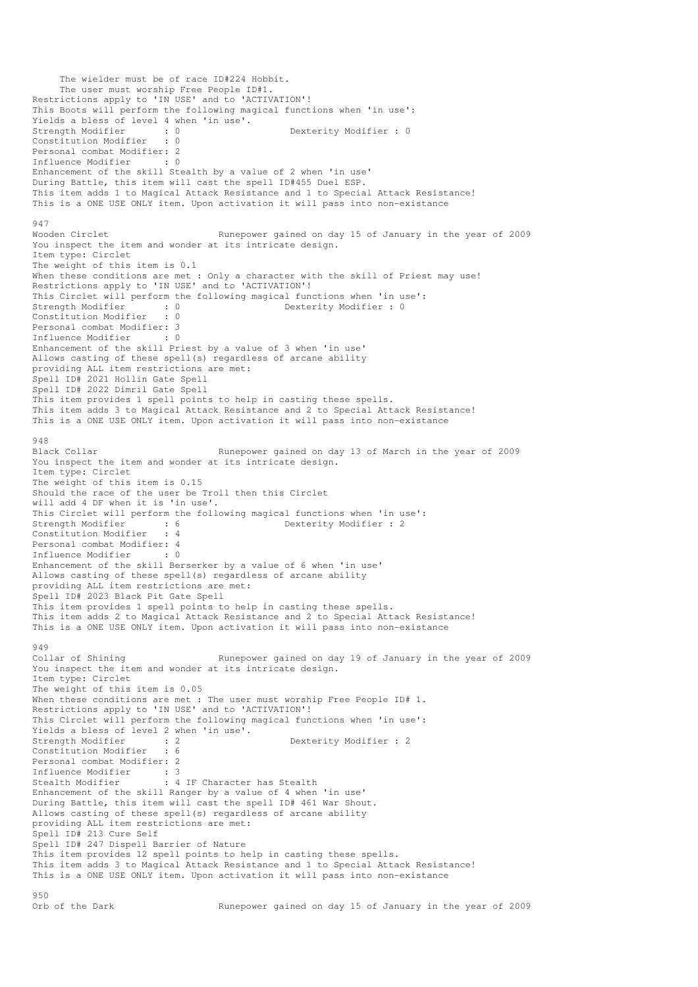```
 The wielder must be of race ID#224 Hobbit. 
      The user must worship Free People ID#1. 
Restrictions apply to 'IN USE' and to 'ACTIVATION'!
This Boots will perform the following magical functions when 'in use': 
Yields a bless of level 4 when 'in use'.<br>Strength Modifier : 0<br>Constitution Medical
Strength Modifier : 0 0 Dexterity Modifier : 0
Constitution Modifier : 0 
Personal combat Modifier: 2<br>Influence Modifier : 0
Influence Modifier
Enhancement of the skill Stealth by a value of 2 when 'in use' 
During Battle, this item will cast the spell ID#455 Duel ESP. 
This item adds 1 to Magical Attack Resistance and 1 to Special Attack Resistance! 
This is a ONE USE ONLY item. Upon activation it will pass into non-existance 
947 
Wooden Circlet Runepower gained on day 15 of January in the year of 2009
You inspect the item and wonder at its intricate design. 
Item type: Circlet 
The weight of this item is 0.1 
When these conditions are met : Only a character with the skill of Priest may use!
Restrictions apply to 'IN USE' and to 'ACTIVATION'!
This Circlet will perform the following magical functions when 'in use':<br>Strength Modifier : 0 Dexterity Modifier : 0
                          strength Modifier : 0<br>
Strength Modifier : 0<br>
Strength Modifier : 0<br>
Strength Modifier : 0<br>
Strength Modifier : 0<br>
Strength Modifier : 0<br>
Strength Modifier : 0<br>
Strength Modifier : 0<br>
Strength Modifier : 0<br>
Strength Modifi
Constitution Modifier
Personal combat Modifier: 3<br>Influence Modifier : 0
Influence Modifier
Enhancement of the skill Priest by a value of 3 when 'in use' 
Allows casting of these spell(s) regardless of arcane ability 
providing ALL item restrictions are met: 
Spell ID# 2021 Hollin Gate Spell 
Spell ID# 2022 Dimril Gate Spell 
This item provides 1 spell points to help in casting these spells. 
This item adds 3 to Magical Attack Resistance and 2 to Special Attack Resistance! 
This is a ONE USE ONLY item. Upon activation it will pass into non-existance 
948<br>Black Collar
                                    Runepower gained on day 13 of March in the year of 2009
You inspect the item and wonder at its intricate design. 
Item type: Circlet 
The weight of this item is 0.15 
Should the race of the user be Troll then this Circlet 
will add 4 DF when it is 'in use'. 
This Circlet will perform the following magical functions when 'in use':<br>Strength Modifier : 6 6 10 Dexterity Modifier : 2
Strength Modifier : 6 Dexterity Modifier : 2
Constitution Modifier : 4 
Personal combat Modifier: 4<br>Influence Modifier : 0
Influence Modifier
Enhancement of the skill Berserker by a value of 6 when 'in use' 
Allows casting of these spell(s) regardless of arcane ability 
providing ALL item restrictions are met: 
Spell ID# 2023 Black Pit Gate Spell 
This item provides 1 spell points to help in casting these spells. 
This item adds 2 to Magical Attack Resistance and 2 to Special Attack Resistance! 
This is a ONE USE ONLY item. Upon activation it will pass into non-existance 
949<br>Collar of Shining
                                     Runepower gained on day 19 of January in the year of 2009
You inspect the item and wonder at its intricate design.
Item type: Circlet 
The weight of this item is 0.05 
When these conditions are met : The user must worship Free People ID# 1.
Restrictions apply to 'IN USE' and to 'ACTIVATION'!
This Circlet will perform the following magical functions when 'in use': 
Yields a bless of level 2 when 'in use'. 
Strength Modifier : 2<br>
Constitution Modifier : 6<br>
Constitution Modifier : 6
Constitution Modifier
Personal combat Modifier: 2<br>Influence Modifier: 3
Influence Modifier
Stealth Modifier : 4 IF Character has Stealth
Enhancement of the skill Ranger by a value of 4 when 'in use' 
During Battle, this item will cast the spell ID# 461 War Shout. 
Allows casting of these spell(s) regardless of arcane ability 
providing ALL item restrictions are met: 
Spell ID# 213 Cure Self 
Spell ID# 247 Dispell Barrier of Nature 
This item provides 12 spell points to help in casting these spells. 
This item adds 3 to Magical Attack Resistance and 1 to Special Attack Resistance! 
This is a ONE USE ONLY item. Upon activation it will pass into non-existance 
950<br>Orb of the Dark
                                      Runepower gained on day 15 of January in the year of 2009
```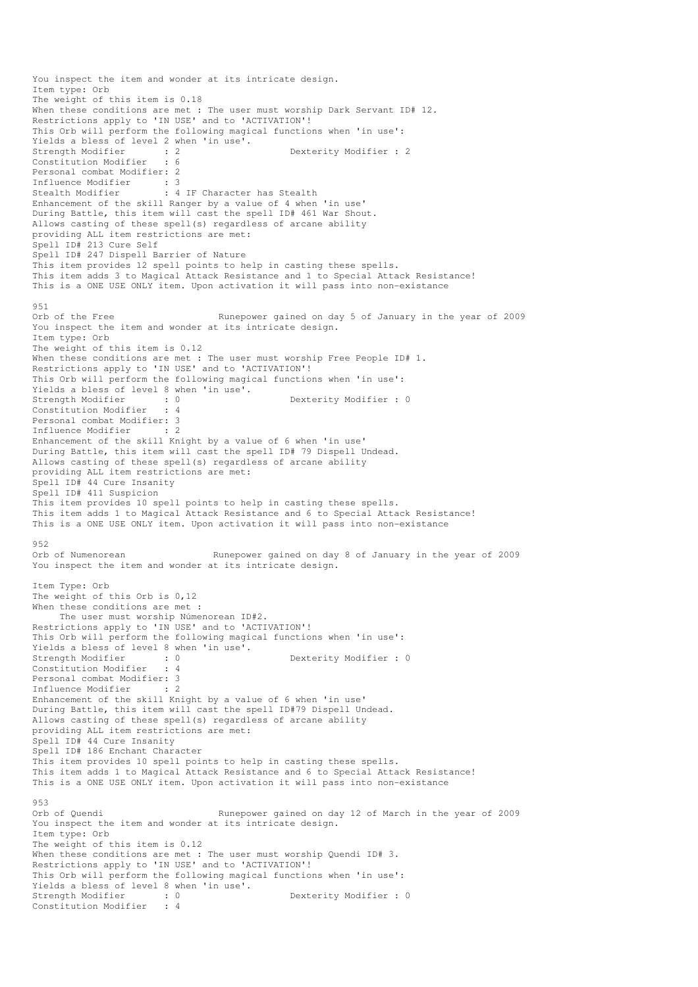You inspect the item and wonder at its intricate design. Item type: Orb The weight of this item is 0.18 When these conditions are met : The user must worship Dark Servant ID# 12. Restrictions apply to 'IN USE' and to 'ACTIVATION'! This Orb will perform the following magical functions when 'in use': Yields a bless of level 2 when 'in use'.<br>Strength Modifier : 2 Dexterity Modifier : 2 Constitution Modifier : 6 Personal combat Modifier: 2 Influence Modifier : 3 Stealth Modifier : 4 IF Character has Stealth Enhancement of the skill Ranger by a value of 4 when 'in use' During Battle, this item will cast the spell ID# 461 War Shout. Allows casting of these spell(s) regardless of arcane ability providing ALL item restrictions are met: Spell ID# 213 Cure Self Spell ID# 247 Dispell Barrier of Nature This item provides 12 spell points to help in casting these spells. This item adds 3 to Magical Attack Resistance and 1 to Special Attack Resistance! This is a ONE USE ONLY item. Upon activation it will pass into non-existance 951<br>Orb of the Free Runepower gained on day 5 of January in the year of 2009 You inspect the item and wonder at its intricate design. Item type: Orb The weight of this item is 0.12 When these conditions are met : The user must worship Free People ID# 1. Restrictions apply to 'IN USE' and to 'ACTIVATION'! This Orb will perform the following magical functions when 'in use': Yields a bless of level 8 when 'in use'.<br>Strength Modifier : 0 Strength Modifier : 0 Dexterity Modifier : 0 : 4 Constitution Modifier Personal combat Modifier: 3 Influence Modifier : 2 Enhancement of the skill Knight by a value of 6 when 'in use' During Battle, this item will cast the spell ID# 79 Dispell Undead. Allows casting of these spell(s) regardless of arcane ability providing ALL item restrictions are met: Spell ID# 44 Cure Insanity Spell ID# 411 Suspicion This item provides 10 spell points to help in casting these spells. This item adds 1 to Magical Attack Resistance and 6 to Special Attack Resistance! This is a ONE USE ONLY item. Upon activation it will pass into non-existance 952<br>Orb of Numenorean Runepower gained on day 8 of January in the year of 2009 You inspect the item and wonder at its intricate design. Item Type: Orb The weight of this Orb is 0,12 When these conditions are met : The user must worship Númenorean ID#2. Restrictions apply to 'IN USE' and to 'ACTIVATION'! This Orb will perform the following magical functions when 'in use': Yields a bless of level 8 when 'in use'.<br>Strength Modifier : 0<br>Constitution Modifies : 0 Dexterity Modifier : 0  $\cdot$  0 Constitution Modifier Personal combat Modifier: 3<br>Influence Modifier : 2 Influence Modifier : 2 Enhancement of the skill Knight by a value of 6 when 'in use' During Battle, this item will cast the spell ID#79 Dispell Undead. Allows casting of these spell(s) regardless of arcane ability providing ALL item restrictions are met: Spell ID# 44 Cure Insanity Spell ID# 186 Enchant Character This item provides 10 spell points to help in casting these spells. This item adds 1 to Magical Attack Resistance and 6 to Special Attack Resistance! This is a ONE USE ONLY item. Upon activation it will pass into non-existance 953<br>Orb of Quendi Runepower gained on day 12 of March in the year of 2009 You inspect the item and wonder at its intricate design. Item type: Orb The weight of this item is 0.12 When these conditions are met : The user must worship Quendi ID# 3. Restrictions apply to 'IN USE' and to 'ACTIVATION'! This Orb will perform the following magical functions when 'in use': Yields a bless of level 8 when 'in use'.<br>Strength Modifier : 0<br>Constitution Modifier : 4 Dexterity Modifier : 0 Constitution Modifier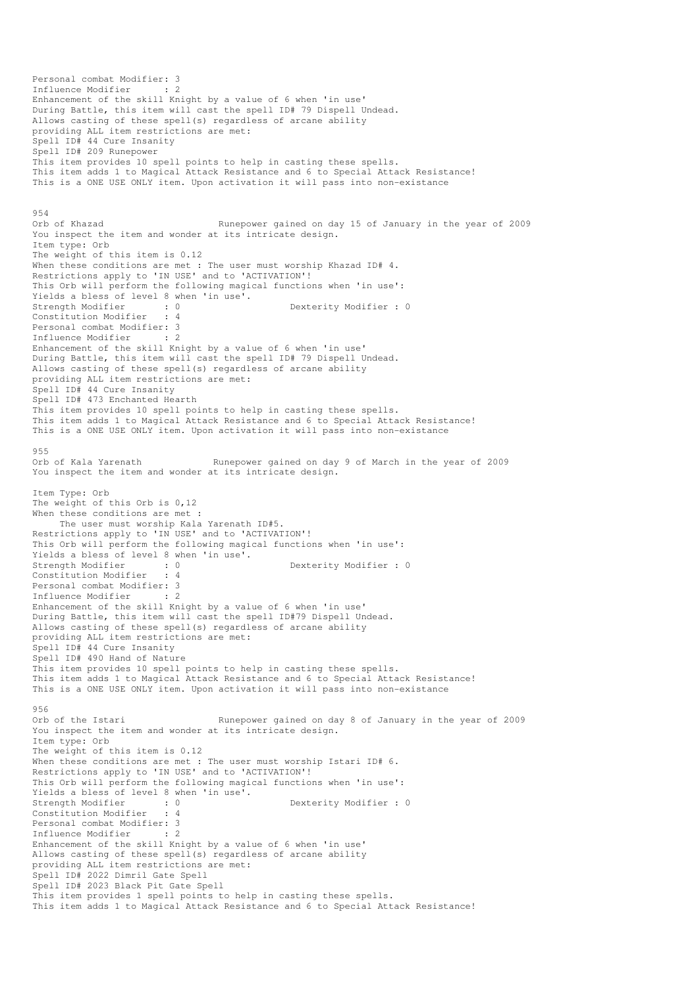```
Personal combat Modifier: 3 
Influence Modifier : 2 
Enhancement of the skill Knight by a value of 6 when 'in use' 
During Battle, this item will cast the spell ID# 79 Dispell Undead. 
Allows casting of these spell(s) regardless of arcane ability 
providing ALL item restrictions are met: 
Spell ID# 44 Cure Insanity 
Spell ID# 209 Runepower 
This item provides 10 spell points to help in casting these spells. 
This item adds 1 to Magical Attack Resistance and 6 to Special Attack Resistance! 
This is a ONE USE ONLY item. Upon activation it will pass into non-existance 
954<br>Orb of Khazad
                                   Runepower gained on day 15 of January in the year of 2009
You inspect the item and wonder at its intricate design.
Item type: Orb 
The weight of this item is 0.12 
When these conditions are met : The user must worship Khazad ID# 4.
Restrictions apply to 'IN USE' and to 'ACTIVATION'!
This Orb will perform the following magical functions when 'in use': 
Yields a bless of level 8 when 'in use'.<br>Strength Modifier : 0
                                                 Dexterity Modifier : 0
Constitution Modifier : 4 
Personal combat Modifier: 3<br>Influence Modifier : 2
Influence Modifier
Enhancement of the skill Knight by a value of 6 when 'in use' 
During Battle, this item will cast the spell ID# 79 Dispell Undead. 
Allows casting of these spell(s) regardless of arcane ability 
providing ALL item restrictions are met: 
Spell ID# 44 Cure Insanity 
Spell ID# 473 Enchanted Hearth 
This item provides 10 spell points to help in casting these spells. 
This item adds 1 to Magical Attack Resistance and 6 to Special Attack Resistance! 
This is a ONE USE ONLY item. Upon activation it will pass into non-existance 
955<br>Orb of Kala Yarenath
                                  Runepower gained on day 9 of March in the year of 2009
You inspect the item and wonder at its intricate design.
Item Type: Orb 
The weight of this Orb is 0,12 
When these conditions are met :
     The user must worship Kala Yarenath ID#5. 
Restrictions apply to 'IN USE' and to 'ACTIVATION'!
This Orb will perform the following magical functions when 'in use': 
Yields a bless of level 8 when 'in use'.<br>Strength Modifier : 0
Strength Modifier : 0 Dexterity Modifier : 0 Oonstitution Modifier : 4
Constitution Modifier
Personal combat Modifier: 3<br>Influence Modifier : 2
Influence Modifier
Enhancement of the skill Knight by a value of 6 when 'in use' 
During Battle, this item will cast the spell ID#79 Dispell Undead. 
Allows casting of these spell(s) regardless of arcane ability 
providing ALL item restrictions are met: 
Spell ID# 44 Cure Insanity 
Spell ID# 490 Hand of Nature 
This item provides 10 spell points to help in casting these spells. 
This item adds 1 to Magical Attack Resistance and 6 to Special Attack Resistance! 
This is a ONE USE ONLY item. Upon activation it will pass into non-existance
956 
Orb of the Istari Runepower gained on day 8 of January in the year of 2009 
You inspect the item and wonder at its intricate design.
Item type: Orb 
The weight of this item is 0.12 
When these conditions are met : The user must worship Istari ID# 6.
Restrictions apply to 'IN USE' and to 'ACTIVATION'!
This Orb will perform the following magical functions when 'in use': 
Yields a bless of level 8 when 'in use'.<br>Strength Modifier : 0<br>Constitution William
                         : 0 Dexterity Modifier : 0 : 4
Constitution Modifier
Personal combat Modifier: 3 
Influence Modifier : 2 
Enhancement of the skill Knight by a value of 6 when 'in use' 
Allows casting of these spell(s) regardless of arcane ability 
providing ALL item restrictions are met: 
Spell ID# 2022 Dimril Gate Spell 
Spell ID# 2023 Black Pit Gate Spell 
This item provides 1 spell points to help in casting these spells. 
This item adds 1 to Magical Attack Resistance and 6 to Special Attack Resistance!
```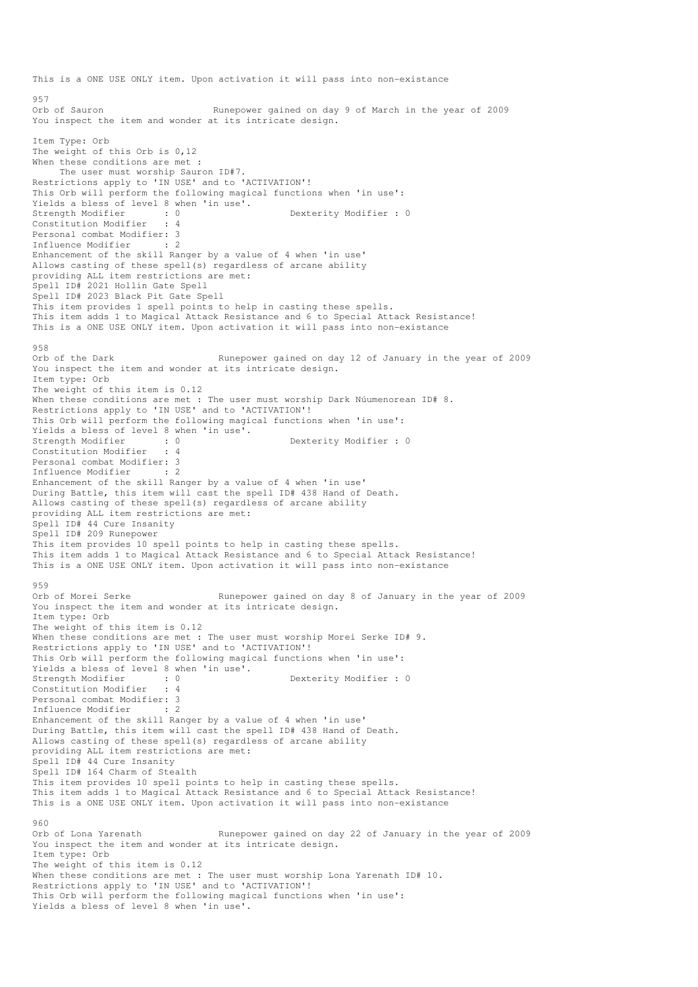This is a ONE USE ONLY item. Upon activation it will pass into non-existance 957 Orb of Sauron Runepower gained on day 9 of March in the year of 2009 You inspect the item and wonder at its intricate design. Item Type: Orb The weight of this Orb is 0,12 When these conditions are met : The user must worship Sauron ID#7. Restrictions apply to 'IN USE' and to 'ACTIVATION'! This Orb will perform the following magical functions when 'in use': Yields a bless of level 8 when 'in use'.<br>Strength Modifier : 0 : 0 Dexterity Modifier : 0 : 4 Constitution Modifier Personal combat Modifier: 3 Influence Modifier : 2 Enhancement of the skill Ranger by a value of 4 when 'in use' Allows casting of these spell(s) regardless of arcane ability providing ALL item restrictions are met: Spell ID# 2021 Hollin Gate Spell Spell ID# 2023 Black Pit Gate Spell This item provides 1 spell points to help in casting these spells. This item adds 1 to Magical Attack Resistance and 6 to Special Attack Resistance! This is a ONE USE ONLY item. Upon activation it will pass into non-existance 958<br>Orb of the Dark Runepower gained on day 12 of January in the year of 2009 You inspect the item and wonder at its intricate design. Item type: Orb The weight of this item is 0.12 When these conditions are met : The user must worship Dark Núumenorean ID# 8. Restrictions apply to 'IN USE' and to 'ACTIVATION'! This Orb will perform the following magical functions when 'in use': Yields a bless of level 8 when 'in use'.<br>Strength Modifier : 0 Strength Modifier : 0 Dexterity Modifier : 0 Constitution Modifier Personal combat Modifier: 3<br>Influence Modifier . 2 Influence Modifier : 2 Enhancement of the skill Ranger by a value of 4 when 'in use' During Battle, this item will cast the spell ID# 438 Hand of Death. Allows casting of these spell(s) regardless of arcane ability providing ALL item restrictions are met: Spell ID# 44 Cure Insanity Spell ID# 209 Runepower This item provides 10 spell points to help in casting these spells. This item adds 1 to Magical Attack Resistance and 6 to Special Attack Resistance! This is a ONE USE ONLY item. Upon activation it will pass into non-existance 959<br>Orb of Morei Serke Runepower gained on day 8 of January in the year of 2009 You inspect the item and wonder at its intricate design. Item type: Orb The weight of this item is 0.12 When these conditions are met : The user must worship Morei Serke ID# 9. Restrictions apply to 'IN USE' and to 'ACTIVATION'! This Orb will perform the following magical functions when 'in use': Yields a bless of level 8 when 'in use'.<br>Strength Modifier : 0 Dexterity Modifier : 0 Constitution Modifier : 4 Personal combat Modifier: 3<br>Influence Modifier : 2 Influence Modifier Enhancement of the skill Ranger by a value of 4 when 'in use' During Battle, this item will cast the spell ID# 438 Hand of Death. Allows casting of these spell(s) regardless of arcane ability providing ALL item restrictions are met: Spell ID# 44 Cure Insanity Spell ID# 164 Charm of Stealth This item provides 10 spell points to help in casting these spells. This item adds 1 to Magical Attack Resistance and 6 to Special Attack Resistance! This is a ONE USE ONLY item. Upon activation it will pass into non-existance  $960$ Orb of Lona Yarenath Runepower gained on day 22 of January in the year of 2009 You inspect the item and wonder at its intricate design. Item type: Orb The weight of this item is 0.12 When these conditions are met : The user must worship Lona Yarenath ID# 10. Restrictions apply to 'IN USE' and to 'ACTIVATION'! This Orb will perform the following magical functions when 'in use': Yields a bless of level 8 when 'in use'.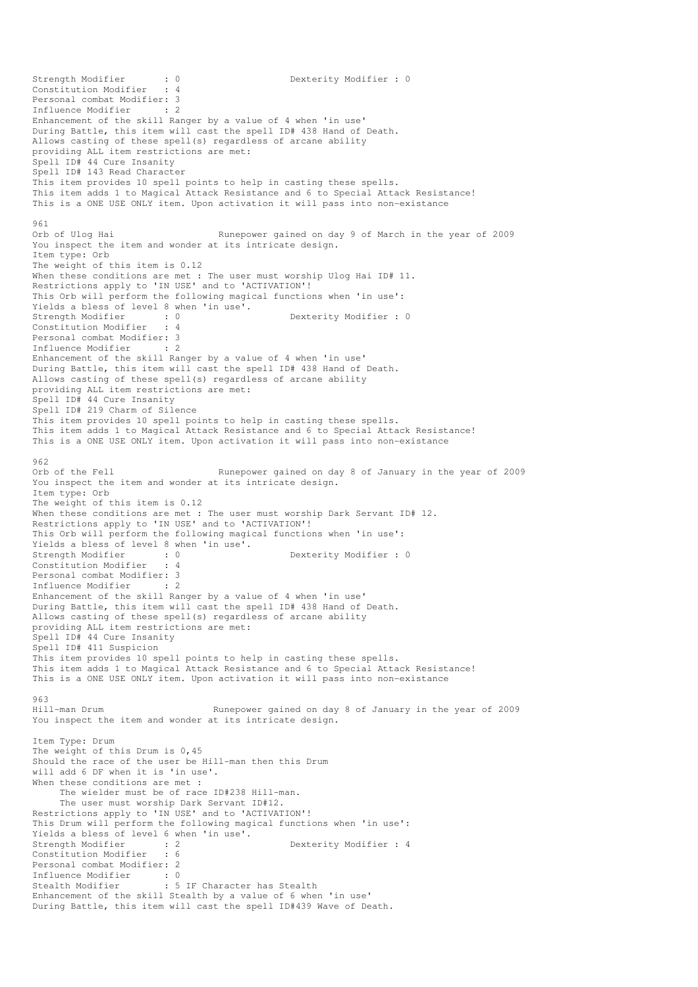Strength Modifier : 0 0 Dexterity Modifier : 0 Constitution Modifier : 4 Personal combat Modifier: 3 Influence Modifier : 2 Enhancement of the skill Ranger by a value of 4 when 'in use' During Battle, this item will cast the spell ID# 438 Hand of Death. Allows casting of these spell(s) regardless of arcane ability providing ALL item restrictions are met: Spell ID# 44 Cure Insanity Spell ID# 143 Read Character This item provides 10 spell points to help in casting these spells. This item adds 1 to Magical Attack Resistance and 6 to Special Attack Resistance! This is a ONE USE ONLY item. Upon activation it will pass into non-existance 961<br>Orb of Ulog Hai Runepower gained on day 9 of March in the year of 2009 You inspect the item and wonder at its intricate design. Item type: Orb The weight of this item is 0.12 When these conditions are met : The user must worship Ulog Hai ID# 11. Restrictions apply to 'IN USE' and to 'ACTIVATION'! This Orb will perform the following magical functions when 'in use': Yields a bless of level 8 when 'in use'.<br>Strength Modifier : 0 Dexterity Modifier : 0 Constitution Modifier : 4 Personal combat Modifier: 3<br>Influence Modifier : 2 Influence Modifier : 2 Enhancement of the skill Ranger by a value of 4 when 'in use' During Battle, this item will cast the spell ID# 438 Hand of Death. Allows casting of these spell(s) regardless of arcane ability providing ALL item restrictions are met: Spell ID# 44 Cure Insanity Spell ID# 219 Charm of Silence This item provides 10 spell points to help in casting these spells. This item adds 1 to Magical Attack Resistance and 6 to Special Attack Resistance! This is a ONE USE ONLY item. Upon activation it will pass into non-existance  $962$ <br>Orb of the Fell Runepower gained on day 8 of January in the year of 2009 You inspect the item and wonder at its intricate design. Item type: Orb The weight of this item is 0.12 When these conditions are met : The user must worship Dark Servant ID# 12. Restrictions apply to 'IN USE' and to 'ACTIVATION'! This Orb will perform the following magical functions when 'in use': Yields a bless of level 8 when 'in use'.<br>Strength Modifier : 0<br>Constitution Y Wields Strength Modifier : 0<br>
Constitution Modifier : 4<br>
Constitution Modifier : 4 Constitution Modifier Personal combat Modifier: 3<br>Influence Modifier : 2 Influence Modifier Enhancement of the skill Ranger by a value of 4 when 'in use' During Battle, this item will cast the spell ID# 438 Hand of Death. Allows casting of these spell(s) regardless of arcane ability providing ALL item restrictions are met: Spell ID# 44 Cure Insanity Spell ID# 411 Suspicion This item provides 10 spell points to help in casting these spells. This item adds 1 to Magical Attack Resistance and 6 to Special Attack Resistance! This is a ONE USE ONLY item. Upon activation it will pass into non-existance 963<br>Hill-man Drum Runepower gained on day 8 of January in the year of 2009 You inspect the item and wonder at its intricate design. Item Type: Drum The weight of this Drum is 0,45 Should the race of the user be Hill-man then this Drum will add 6 DF when it is 'in use'. When these conditions are met : The wielder must be of race ID#238 Hill-man. The user must worship Dark Servant ID#12. Restrictions apply to 'IN USE' and to 'ACTIVATION'! This Drum will perform the following magical functions when 'in use': Yields a bless of level 6 when 'in use'.<br>Strength Modifier : 2<br>Constitution of the constitution of the constitution of the constitution of the constant of the constant of the constant of the constant of the constant of th Strength Modifier : 2 Dexterity Modifier : 4<br>
Constitution Modifier : 6 Constitution Modifier Personal combat Modifier: 2 Influence Modifier : 0<br>Stealth Modifier : 5 : 5 IF Character has Stealth Enhancement of the skill Stealth by a value of 6 when 'in use' During Battle, this item will cast the spell ID#439 Wave of Death.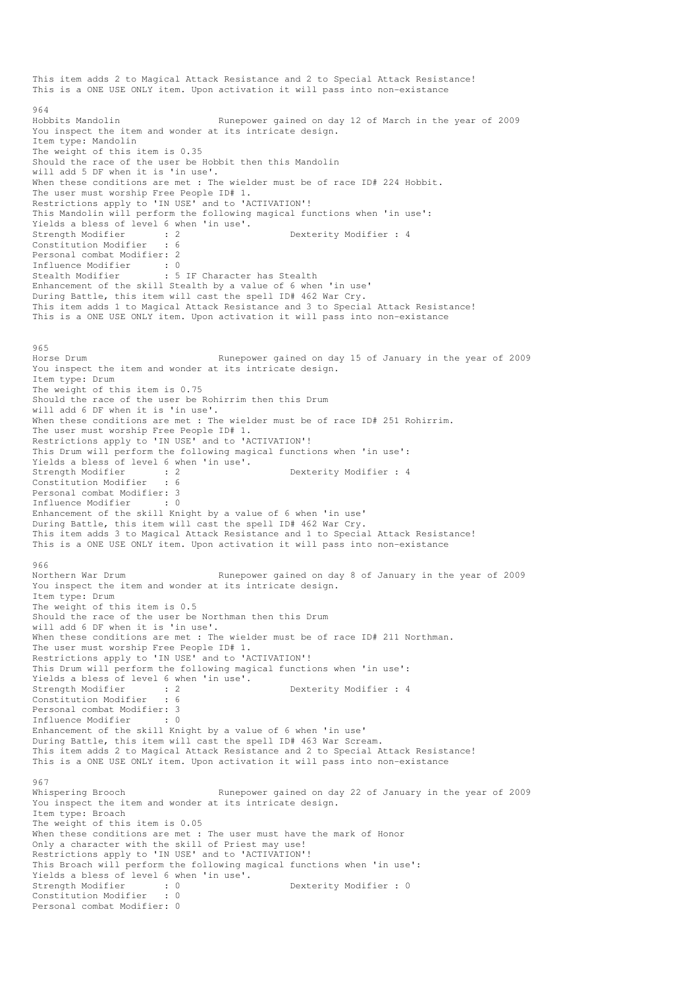This item adds 2 to Magical Attack Resistance and 2 to Special Attack Resistance! This is a ONE USE ONLY item. Upon activation it will pass into non-existance 964 Hobbits Mandolin Runepower gained on day 12 of March in the year of 2009 You inspect the item and wonder at its intricate design. Item type: Mandolin The weight of this item is 0.35 Should the race of the user be Hobbit then this Mandolin will add 5 DF when it is 'in use'. When these conditions are met : The wielder must be of race ID# 224 Hobbit. The user must worship Free People ID# 1. Restrictions apply to 'IN USE' and to 'ACTIVATION'! This Mandolin will perform the following magical functions when 'in use': Yields a bless of level 6 when 'in use'.<br>Strength Modifier : 2 strength Modifier : 2 Dexterity Modifier : 4 Constitution Modifier : 6 Personal combat Modifier: 2 Influence Modifier : 0<br>Stealth Modifier : 5 : 5 IF Character has Stealth Enhancement of the skill Stealth by a value of 6 when 'in use' During Battle, this item will cast the spell ID# 462 War Cry. This item adds 1 to Magical Attack Resistance and 3 to Special Attack Resistance! This is a ONE USE ONLY item. Upon activation it will pass into non-existance 965 Horse Drum Runepower gained on day 15 of January in the year of 2009 You inspect the item and wonder at its intricate design. Item type: Drum The weight of this item is 0.75 Should the race of the user be Rohirrim then this Drum will add 6 DF when it is 'in use'. When these conditions are met : The wielder must be of race ID# 251 Rohirrim. The user must worship Free People ID# 1. Restrictions apply to 'IN USE' and to 'ACTIVATION'! This Drum will perform the following magical functions when 'in use': Yields a bless of level 6 when 'in use'. Strength Modifier : 2 2 Dexterity Modifier : 4 Constitution Modifier : 6 Personal combat Modifier: 3<br>Influence Modifier : 0 Influence Modifier Enhancement of the skill Knight by a value of 6 when 'in use' During Battle, this item will cast the spell ID# 462 War Cry. This item adds 3 to Magical Attack Resistance and 1 to Special Attack Resistance! This is a ONE USE ONLY item. Upon activation it will pass into non-existance 966<br>Northern War Drum Runepower gained on day 8 of January in the year of 2009 You inspect the item and wonder at its intricate design. Item type: Drum The weight of this item is 0.5 Should the race of the user be Northman then this Drum will add 6 DF when it is 'in use'. When these conditions are met : The wielder must be of race ID# 211 Northman. The user must worship Free People ID# 1. Restrictions apply to 'IN USE' and to 'ACTIVATION'! This Drum will perform the following magical functions when 'in use': Yields a bless of level 6 when 'in use'.<br>Strength Modifier : 2 Strength Modifier : 2 Dexterity Modifier : 4 Constitution Modifier : 6 Personal combat Modifier: 3<br>Influence Modifier : 0 Influence Modifier Enhancement of the skill Knight by a value of 6 when 'in use' During Battle, this item will cast the spell ID# 463 War Scream. This item adds 2 to Magical Attack Resistance and 2 to Special Attack Resistance! This is a ONE USE ONLY item. Upon activation it will pass into non-existance 967<br>Whispering Brooch Runepower gained on day 22 of January in the year of 2009 You inspect the item and wonder at its intricate design. Item type: Broach The weight of this item is 0.05 When these conditions are met : The user must have the mark of Honor Only a character with the skill of Priest may use! Restrictions apply to 'IN USE' and to 'ACTIVATION'! This Broach will perform the following magical functions when 'in use': Yields a bless of level 6 when 'in use'.<br>Strength Modifier : 0 Strength Modifier : 0 Dexterity Modifier : 0 Constitution Modifier Personal combat Modifier: 0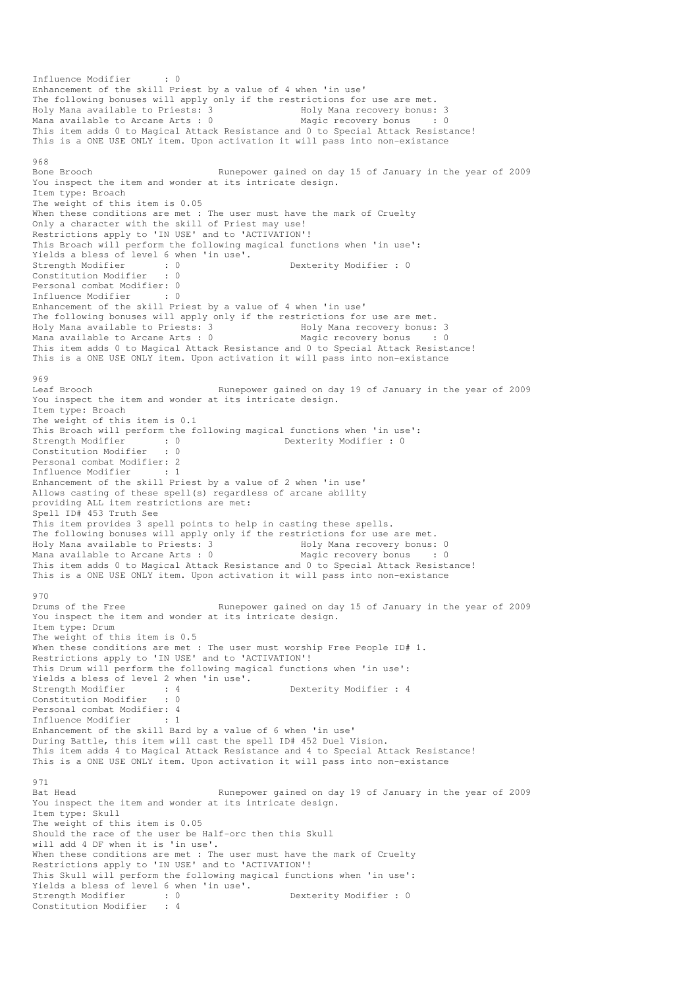```
Influence Modifier : 0 
Enhancement of the skill Priest by a value of 4 when 'in use' 
The following bonuses will apply only if the restrictions for use are met. 
Holy Mana available to Priests: 3 Holy Mana recovery bonus: 3 
Mana available to Arcane Arts : 0 Magic recovery bonus : 0
This item adds 0 to Magical Attack Resistance and 0 to Special Attack Resistance! 
This is a ONE USE ONLY item. Upon activation it will pass into non-existance 
968<br>Bone Brooch
                                 Runepower gained on day 15 of January in the year of 2009
You inspect the item and wonder at its intricate design.
Item type: Broach 
The weight of this item is 0.05 
When these conditions are met : The user must have the mark of Cruelty
Only a character with the skill of Priest may use! 
Restrictions apply to 'IN USE' and to 'ACTIVATION'!
This Broach will perform the following magical functions when 'in use': 
Yields a bless of level 6 when 'in use'. 
Strength Modifier : 0<br>
Constitution Modifier : 0<br>
Constitution Modifier : 0
Constitution Modifier : 0 
Personal combat Modifier: 0 
Influence Modifier : 0 
Enhancement of the skill Priest by a value of 4 when 'in use' 
The following bonuses will apply only if the restrictions for use are met.
Holy Mana available to Priests: 3 Holy Mana recovery bonus: 3 
Mana available to Arcane Arts : 0 Magic recovery bonus : 0
This item adds 0 to Magical Attack Resistance and 0 to Special Attack Resistance! 
This is a ONE USE ONLY item. Upon activation it will pass into non-existance 
969<br>Leaf Brooch
                                 Runepower gained on day 19 of January in the year of 2009
You inspect the item and wonder at its intricate design. 
Item type: Broach 
The weight of this item is 0.1 
This Broach will perform the following magical functions when 'in use':<br>Strength Modifier : 0<br>Constitution Modifier : 0<br>Constitution Modifier : 0
                                             Dexterity Modifier : 0
Constitution Modifier
Personal combat Modifier: 2 
Influence Modifier : 1 
Enhancement of the skill Priest by a value of 2 when 'in use' 
Allows casting of these spell(s) regardless of arcane ability 
providing ALL item restrictions are met: 
Spell ID# 453 Truth See 
This item provides 3 spell points to help in casting these spells. 
The following bonuses will apply only if the restrictions for use are met. 
Holy Mana available to Priests: 3 Holy Mana recovery bonus: 0 
Mana available to Arcane Arts : 0 Magic recovery bonus : 0
This item adds 0 to Magical Attack Resistance and 0 to Special Attack Resistance! 
This is a ONE USE ONLY item. Upon activation it will pass into non-existance 
970 
Drums of the Free Runepower gained on day 15 of January in the year of 2009
You inspect the item and wonder at its intricate design. 
Item type: Drum 
The weight of this item is 0.5 
When these conditions are met : The user must worship Free People ID# 1.
Restrictions apply to 'IN USE' and to 'ACTIVATION'!
This Drum will perform the following magical functions when 'in use': 
Yields a bless of level 2 when 'in use'.<br>Strength Modifier : 4
                      Strength Modifier : 4 Dexterity Modifier : 4 
Constitution Modifier : 0 
Personal combat Modifier: 4 
Influence Modifier
Enhancement of the skill Bard by a value of 6 when 'in use' 
During Battle, this item will cast the spell ID# 452 Duel Vision. 
This item adds 4 to Magical Attack Resistance and 4 to Special Attack Resistance! 
This is a ONE USE ONLY item. Upon activation it will pass into non-existance 
971 
Bat Head Runepower gained on day 19 of January in the year of 2009
You inspect the item and wonder at its intricate design.
Item type: Skull 
The weight of this item is 0.05 
Should the race of the user be Half-orc then this Skull 
will add 4 DF when it is 'in use'. 
When these conditions are met : The user must have the mark of Cruelty
Restrictions apply to 'IN USE' and to 'ACTIVATION'!
This Skull will perform the following magical functions when 'in use': 
Yields a bless of level 6 when 'in use'. 
Strength Modifier : 0 0 Dexterity Modifier : 0
Constitution Modifier : 4
```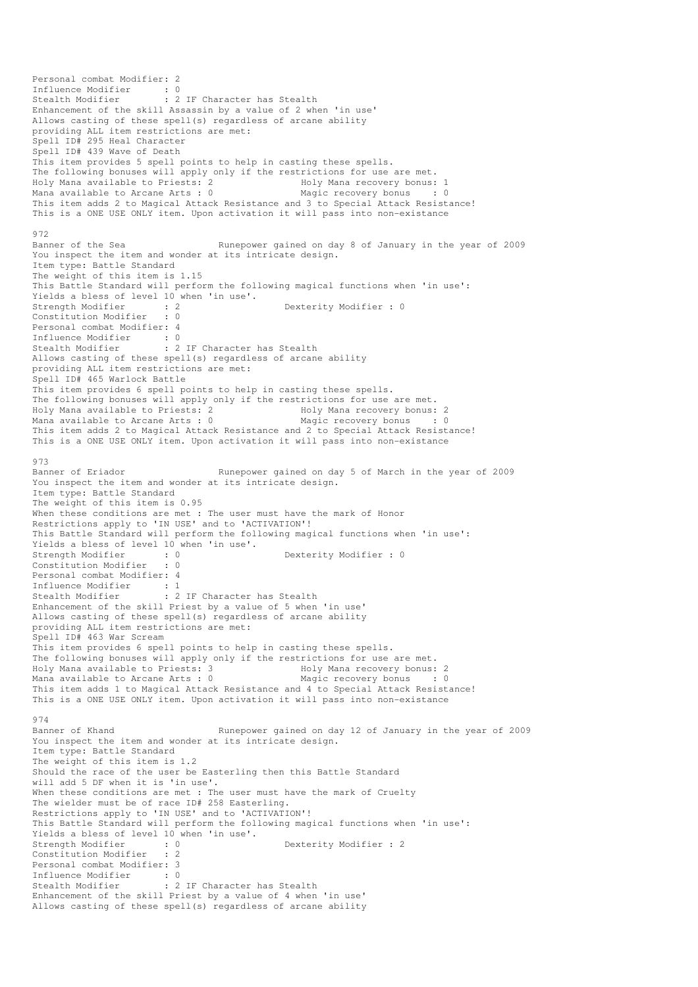Personal combat Modifier: 2 Influence Modifier : 0<br>Stealth Modifier : 2 : 2 IF Character has Stealth Enhancement of the skill Assassin by a value of 2 when 'in use' Allows casting of these spell(s) regardless of arcane ability providing ALL item restrictions are met: Spell ID# 295 Heal Character Spell ID# 439 Wave of Death This item provides 5 spell points to help in casting these spells. The following bonuses will apply only if the restrictions for use are met. Holy Mana available to Priests: 2 Holy Mana recovery bonus: 1 Mana available to Arcane Arts : 0 Magic recovery bonus : 0 This item adds 2 to Magical Attack Resistance and 3 to Special Attack Resistance! This is a ONE USE ONLY item. Upon activation it will pass into non-existance 972 Banner of the Sea Runepower gained on day 8 of January in the year of 2009 You inspect the item and wonder at its intricate design. Item type: Battle Standard The weight of this item is 1.15 This Battle Standard will perform the following magical functions when 'in use': Yields a bless of level 10 when 'in use'.<br>Strength Modifier : 2 strength Modifier : 0<br>contract Modifier : 0<br>contract Dexterity Modifier : 0 Constitution Modifier Personal combat Modifier: 4 Influence Modifier : 0 Stealth Modifier : 2 IF Character has Stealth Allows casting of these spell(s) regardless of arcane ability providing ALL item restrictions are met: Spell ID# 465 Warlock Battle This item provides 6 spell points to help in casting these spells. The following bonuses will apply only if the restrictions for use are met. Holy Mana available to Priests: 2 and Holy Mana recovery bonus: 2<br>
Mana available to Arcane Arts : 0 and Magic recovery bonus : 0 Mana available to Arcane Arts :  $0$ This item adds 2 to Magical Attack Resistance and 2 to Special Attack Resistance! This is a ONE USE ONLY item. Upon activation it will pass into non-existance 973 Banner of Eriador Runepower gained on day 5 of March in the year of 2009 You inspect the item and wonder at its intricate design. Item type: Battle Standard The weight of this item is 0.95 When these conditions are met : The user must have the mark of Honor Restrictions apply to 'IN USE' and to 'ACTIVATION'! This Battle Standard will perform the following magical functions when 'in use': Yields a bless of level 10 when 'in use'.<br>Strength Modifier : 0<br>Constitution Strength Modifier : 0 0 Dexterity Modifier : 0 0 Dexterity Modifier : 0 Constitution Modifier Personal combat Modifier: 4 Influence Modifier : 1<br>Stealth Modifier : 2 : 2 IF Character has Stealth Enhancement of the skill Priest by a value of 5 when 'in use' Allows casting of these spell(s) regardless of arcane ability providing ALL item restrictions are met: Spell ID# 463 War Scream This item provides 6 spell points to help in casting these spells. The following bonuses will apply only if the restrictions for use are met. Holy Mana available to Priests: 3 Holy Mana recovery bonus: 2<br>
Mana available to Arcane Arts: 0 Magic recovery bonus : 0 Mana available to Arcane Arts :  $0$ This item adds 1 to Magical Attack Resistance and 4 to Special Attack Resistance! This is a ONE USE ONLY item. Upon activation it will pass into non-existance 974 Banner of Khand Runepower gained on day 12 of January in the year of 2009 You inspect the item and wonder at its intricate design. Item type: Battle Standard The weight of this item is 1.2 Should the race of the user be Easterling then this Battle Standard will add 5 DF when it is 'in use'. When these conditions are met : The user must have the mark of Cruelty The wielder must be of race ID# 258 Easterling. Restrictions apply to 'IN USE' and to 'ACTIVATION'! This Battle Standard will perform the following magical functions when 'in use': Yields a bless of level 10 when 'in use'.<br>Strength Modifier : 0<br>Constitution Y Wields Strength Modifier : 0 Dexterity Modifier : 2<br>
Constitution Modifier : 2 Constitution Modifier Personal combat Modifier: 3 Influence Modifier : 0<br>Stealth Modifier : 2 : 2 IF Character has Stealth Enhancement of the skill Priest by a value of 4 when 'in use' Allows casting of these spell(s) regardless of arcane ability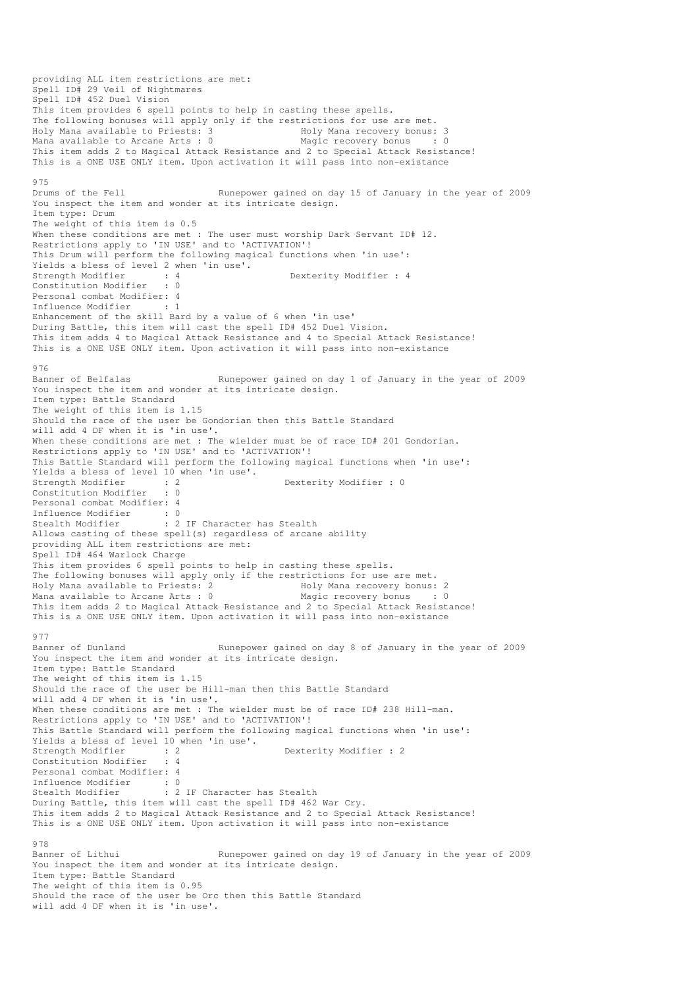providing ALL item restrictions are met: Spell ID# 29 Veil of Nightmares Spell ID# 452 Duel Vision This item provides 6 spell points to help in casting these spells. The following bonuses will apply only if the restrictions for use are met. Holy Mana available to Priests: 3 Holy Mana recovery bonus: 3 Mana available to Arcane Arts : 0 Magic recovery bonus : 0 This item adds 2 to Magical Attack Resistance and 2 to Special Attack Resistance! This is a ONE USE ONLY item. Upon activation it will pass into non-existance 975 Drums of the Fell Runepower gained on day 15 of January in the year of 2009 You inspect the item and wonder at its intricate design. Item type: Drum The weight of this item is 0.5 When these conditions are met : The user must worship Dark Servant ID# 12. Restrictions apply to 'IN USE' and to 'ACTIVATION'! This Drum will perform the following magical functions when 'in use': Yields a bless of level 2 when 'in use'.<br>Strength Modifier : 4<br>Constitution Modifies : 4 Dexterity Modifier : 4<br>: 0 Constitution Modifier Personal combat Modifier: 4<br>Influence Modifier . 1 Influence Modifier Enhancement of the skill Bard by a value of 6 when 'in use' During Battle, this item will cast the spell ID# 452 Duel Vision. This item adds 4 to Magical Attack Resistance and 4 to Special Attack Resistance! This is a ONE USE ONLY item. Upon activation it will pass into non-existance 976<br>Banner of Belfalas Runepower gained on day 1 of January in the year of 2009 You inspect the item and wonder at its intricate design. Item type: Battle Standard The weight of this item is 1.15 Should the race of the user be Gondorian then this Battle Standard will add 4 DF when it is 'in use'. When these conditions are met : The wielder must be of race ID# 201 Gondorian. Restrictions apply to 'IN USE' and to 'ACTIVATION'! This Battle Standard will perform the following magical functions when 'in use': Yields a bless of level 10 when 'in use'. Strength Modifier : 2 Dexterity Modifier : 0 Constitution Modifier : 0 Personal combat Modifier: 4 Influence Modifier : 0<br>Stealth Modifier : 2 : 2 IF Character has Stealth Allows casting of these spell(s) regardless of arcane ability providing ALL item restrictions are met: Spell ID# 464 Warlock Charge This item provides 6 spell points to help in casting these spells. The following bonuses will apply only if the restrictions for use are met.<br>Holy Mana available to Priests: 2 Holy Mana recovery bonus: 2 Holy Mana available to Priests: 2 Holy Mana recovery bonus: 2 Mana available to Arcane Arts :  $0$ This item adds 2 to Magical Attack Resistance and 2 to Special Attack Resistance! This is a ONE USE ONLY item. Upon activation it will pass into non-existance 977<br>Banner of Dunland Runepower gained on day 8 of January in the year of 2009 You inspect the item and wonder at its intricate design. Item type: Battle Standard The weight of this item is 1.15 Should the race of the user be Hill-man then this Battle Standard will add 4 DF when it is 'in use'. When these conditions are met : The wielder must be of race ID# 238 Hill-man. Restrictions apply to 'IN USE' and to 'ACTIVATION'! This Battle Standard will perform the following magical functions when 'in use': Yields a bless of level 10 when 'in use'.<br>Strength Modifier : 2 Dexterity Modifier : 2 Constitution Modifier : 4 Personal combat Modifier: 4<br>Influence Modifier : 0 Influence Modifier Stealth Modifier : 2 IF Character has Stealth During Battle, this item will cast the spell ID# 462 War Cry. This item adds 2 to Magical Attack Resistance and 2 to Special Attack Resistance! This is a ONE USE ONLY item. Upon activation it will pass into non-existance 978<br>Banner of Lithui Runepower gained on day 19 of January in the year of 2009 You inspect the item and wonder at its intricate design. Item type: Battle Standard The weight of this item is 0.95 Should the race of the user be Orc then this Battle Standard will add 4 DF when it is 'in use'.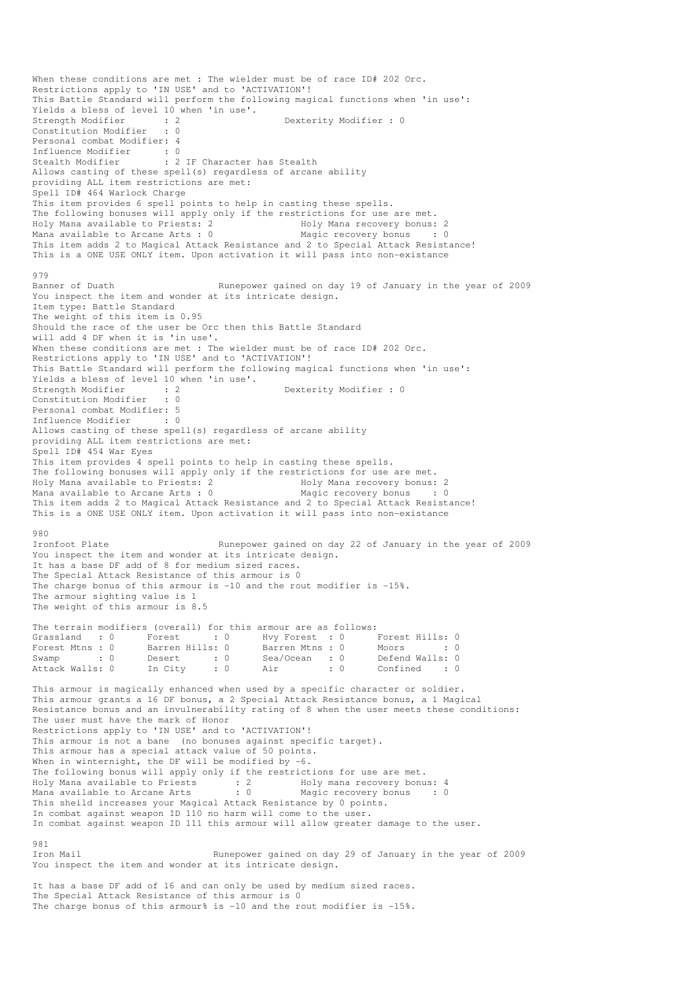When these conditions are met : The wielder must be of race ID# 202 Orc. Restrictions apply to 'IN USE' and to 'ACTIVATION'! This Battle Standard will perform the following magical functions when 'in use': Yields a bless of level 10 when 'in use'.<br>Strength Modifier : 2 Strength Modifier : 2 Dexterity Modifier : 0<br>
Constitution Modifier : 0 Constitution Modifier Personal combat Modifier: 4 Influence Modifier : 0 Stealth Modifier : 2 IF Character has Stealth Allows casting of these spell(s) regardless of arcane ability providing ALL item restrictions are met: Spell ID# 464 Warlock Charge This item provides 6 spell points to help in casting these spells. The following bonuses will apply only if the restrictions for use are met.<br>Holy Mana available to Priests: 2 Holy Mana recovery bonus: 2 Holy Mana available to Priests: 2 1999 Holy Mana recovery bonus: 2<br>
Mana available to Arcane Arts : 0 1999 Magic recovery bonus : 0 Mana available to Arcane Arts :  $0$ This item adds 2 to Magical Attack Resistance and 2 to Special Attack Resistance! This is a ONE USE ONLY item. Upon activation it will pass into non-existance 979<br>Banner of Duath Runepower gained on day 19 of January in the year of 2009 You inspect the item and wonder at its intricate design. Item type: Battle Standard The weight of this item is 0.95 Should the race of the user be Orc then this Battle Standard will add 4 DF when it is 'in use'. When these conditions are met : The wielder must be of race ID# 202 Orc. Restrictions apply to 'IN USE' and to 'ACTIVATION'! This Battle Standard will perform the following magical functions when 'in use': Yields a bless of level 10 when 'in use'. Strength Modifier : 2 Dexterity Modifier : 0 Constitution Modifier : 0 Personal combat Modifier: 5 Influence Modifier : 0 Allows casting of these spell(s) regardless of arcane ability providing ALL item restrictions are met: Spell ID# 454 War Eyes This item provides 4 spell points to help in casting these spells. The following bonuses will apply only if the restrictions for use are met. Holy Mana available to Priests: 2 Holy Mana recovery bonus: 2 Mana available to Arcane Arts :  $0$ This item adds 2 to Magical Attack Resistance and 2 to Special Attack Resistance! This is a ONE USE ONLY item. Upon activation it will pass into non-existance 980 Ironfoot Plate **Runepower gained on day 22 of January in the year of 2009** You inspect the item and wonder at its intricate design. It has a base DF add of 8 for medium sized races. The Special Attack Resistance of this armour is 0 The charge bonus of this armour is -10 and the rout modifier is -15%. The armour sighting value is 1 The weight of this armour is 8.5 The terrain modifiers (overall) for this armour are as follows: Grassland : 0 Forest : 0 Hvy Forest : 0 Forest Hills: 0 Forest Mtns : 0 Barren Hills: 0 Barren Mtns : 0 Moors : 0 : 0 Swamp : 0 Desert : 0 Sea/Ocean : 0 Defend Walls: 0 Attack Walls: 0 In City : 0 Air : 0 Confined : 0 This armour is magically enhanced when used by a specific character or soldier. This armour grants a 16 DF bonus, a 2 Special Attack Resistance bonus, a 1 Magical Resistance bonus and an invulnerability rating of 8 when the user meets these conditions: The user must have the mark of Honor Restrictions apply to 'IN USE' and to 'ACTIVATION'! This armour is not a bane (no bonuses against specific target). This armour has a special attack value of 50 points. When in winternight, the DF will be modified by -6. The following bonus will apply only if the restrictions for use are met.<br>
Holy Mana available to Priests<br>
Mana available to Arcane Arts<br>
: 0 Magic recovery bonus Holy Mana available to Priests : 2 Holy mana recovery bonus: 4<br>
Mana available to Arcane Arts : 0 Magic recovery bonus : 0 Mana available to Arcane Arts This sheild increases your Magical Attack Resistance by 0 points. In combat against weapon ID 110 no harm will come to the user. In combat against weapon ID 111 this armour will allow greater damage to the user. 981<br>Iron Mail Runepower gained on day 29 of January in the year of 2009 You inspect the item and wonder at its intricate design. It has a base DF add of 16 and can only be used by medium sized races.

The Special Attack Resistance of this armour is 0 The charge bonus of this armour% is  $-10$  and the rout modifier is  $-15$ %.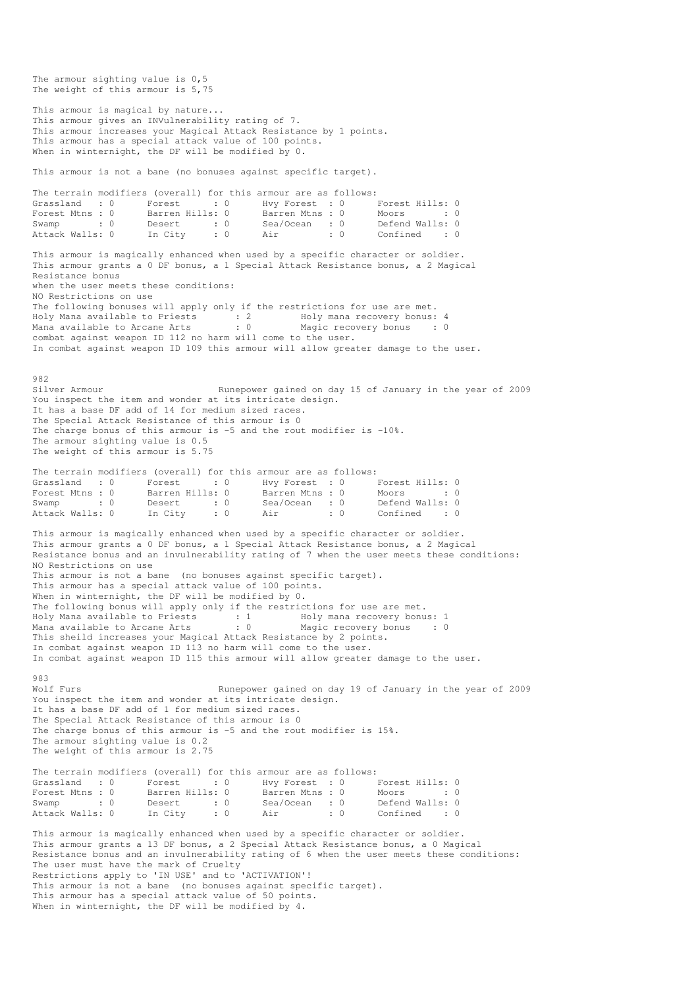The armour sighting value is 0,5 The weight of this armour is 5,75 This armour is magical by nature... This armour gives an INVulnerability rating of 7. This armour increases your Magical Attack Resistance by 1 points. This armour has a special attack value of 100 points. When in winternight, the DF will be modified by 0. This armour is not a bane (no bonuses against specific target). The terrain modifiers (overall) for this armour are as follows:<br>
Grassland : 0 Forest : 0 Hvy Forest : 0 Forest Mtns : 0 Barren Hills: 0 Barren Mtns : 0 I Grassland : 0 Forest : 0 Hvy Forest : 0 Forest Hills: 0 Forest Mtns : 0 Barren Hills: 0 Barren Mtns : 0 Moors : 0 : 0 Swamp : 0 Desert : 0 Sea/Ocean : 0 Defend Walls: 0 attack Walls: 0 In City : 0 Air : 0 Confined : 0 This armour is magically enhanced when used by a specific character or soldier. This armour grants a 0 DF bonus, a 1 Special Attack Resistance bonus, a 2 Magical Resistance bonus when the user meets these conditions: NO Restrictions on use The following bonuses will apply only if the restrictions for use are met. Holy Mana available to Priests : 2 Holy mana recovery bonus: 4 Mana available to Arcane Arts : 0 Magic recovery bonus : 0 combat against weapon ID 112 no harm will come to the user. In combat against weapon ID 109 this armour will allow greater damage to the user. 982 Silver Armour Sumepower gained on day 15 of January in the year of 2009 You inspect the item and wonder at its intricate design. It has a base DF add of 14 for medium sized races. The Special Attack Resistance of this armour is 0 The charge bonus of this armour is -5 and the rout modifier is -10%. The armour sighting value is 0.5 The weight of this armour is 5.75 The terrain modifiers (overall) for this armour are as follows: Grassland : 0 Forest : 0 Hvy Forest : 0 Forest Hills: 0 Forest Mtns : 0 Barren Hills: 0 Barren Mtns : 0 Moors : 0 : 0 Swamp : 0 Desert : 0 Sea/Ocean : 0 Defend Walls: 0<br>
Stack Walls: 0 Desert : 0 Sea/Ocean : 0 Defend Walls: 0 Desert : 0 Sea/Ocean : 0 Defend Walls: 0 Defend Walls: 0 Confined This armour is magically enhanced when used by a specific character or soldier. This armour grants a 0 DF bonus, a 1 Special Attack Resistance bonus, a 2 Magical Resistance bonus and an invulnerability rating of 7 when the user meets these conditions: NO Restrictions on use This armour is not a bane (no bonuses against specific target). This armour has a special attack value of 100 points. When in winternight, the DF will be modified by 0. The following bonus will apply only if the restrictions for use are met. Holy Mana available to Priests : 1 Holy mana recovery bonus: 1 Mana available to Arcane Arts : 0 Magic recovery bonus : 0 This sheild increases your Magical Attack Resistance by 2 points. In combat against weapon ID 113 no harm will come to the user. In combat against weapon ID 115 this armour will allow greater damage to the user. 983<br>Wolf Furs Runepower gained on day 19 of January in the year of 2009 You inspect the item and wonder at its intricate design. It has a base DF add of 1 for medium sized races. The Special Attack Resistance of this armour is 0 The charge bonus of this armour is -5 and the rout modifier is 15%. The armour sighting value is 0.2 The weight of this armour is 2.75 The terrain modifiers (overall) for this armour are as follows: Grassland : 0 Forest : 0<br>Forest Mtns : 0 Barren Hills: 0 Grassland : 0 Forest : 0 Hvy Forest : 0 Forest Hills: 0<br>
Forest Mtns : 0 Barren Hills: 0 Barren Mtns : 0 Moors : 0<br>
Swamp : 0 Desert : 0 Sea/Ocean : 0 Defend Walls: 0 Swamp : 0 Desert : 0 Sea/Ocean : 0 Defend Walls: 0 Attack Walls: 0 In City : 0 Air : 0 Confined : 0 This armour is magically enhanced when used by a specific character or soldier. This armour grants a 13 DF bonus, a 2 Special Attack Resistance bonus, a 0 Magical Resistance bonus and an invulnerability rating of 6 when the user meets these conditions: The user must have the mark of Cruelty Restrictions apply to 'IN USE' and to 'ACTIVATION'! This armour is not a bane (no bonuses against specific target). This armour has a special attack value of 50 points. When in winternight, the DF will be modified by 4.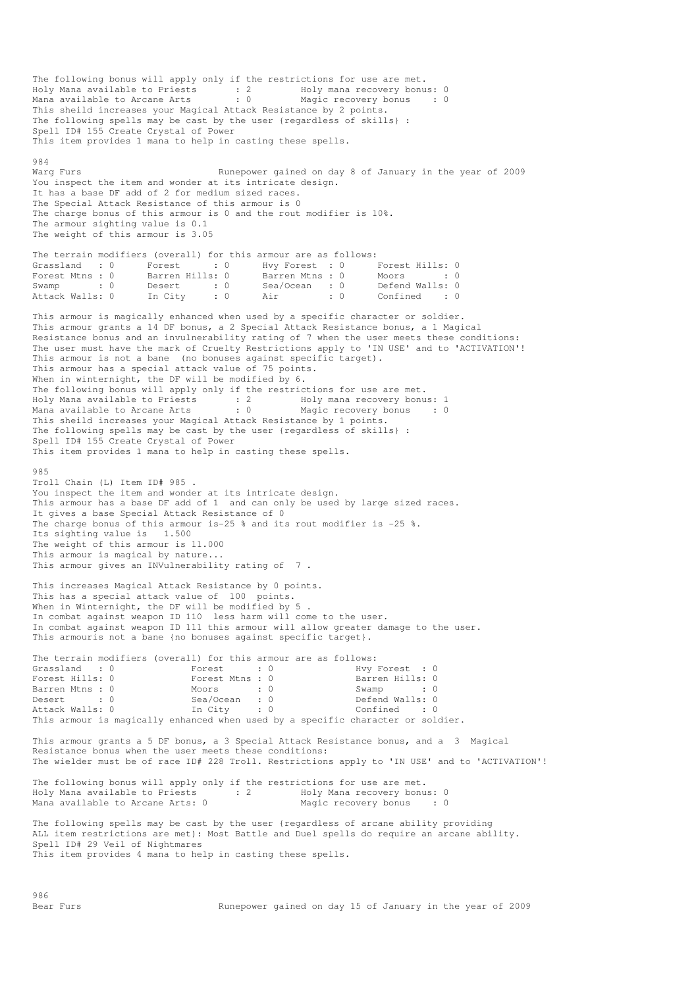The following bonus will apply only if the restrictions for use are met. Holy Mana available to Priests : 2 Holy mana recovery bonus: 0 Mana available to Arcane Arts : 0 Magic recovery bonus : 0 This sheild increases your Magical Attack Resistance by 2 points. The following spells may be cast by the user {regardless of skills} : Spell ID# 155 Create Crystal of Power This item provides 1 mana to help in casting these spells. 984<br>Warq Furs Runepower gained on day 8 of January in the year of 2009 You inspect the item and wonder at its intricate design. It has a base DF add of 2 for medium sized races. The Special Attack Resistance of this armour is 0 The charge bonus of this armour is 0 and the rout modifier is 10%. The armour sighting value is 0.1 The weight of this armour is 3.05 The terrain modifiers (overall) for this armour are as follows: Grassland : 0 Forest : 0 Hvy Forest : 0 Forest Hills: 0 Forest Mtns : 0 Barren Hills: 0 Barren Mtns : 0 Moors : 0 Swamp : 0 Desert : 0 Sea/Ocean : 0 Defend Walls: 0 Attack Walls: 0 In City : 0 Air : 0 Confined : 0 This armour is magically enhanced when used by a specific character or soldier. This armour grants a 14 DF bonus, a 2 Special Attack Resistance bonus, a 1 Magical Resistance bonus and an invulnerability rating of 7 when the user meets these conditions: The user must have the mark of Cruelty Restrictions apply to 'IN USE' and to 'ACTIVATION'! This armour is not a bane (no bonuses against specific target). This armour has a special attack value of 75 points. When in winternight, the DF will be modified by 6. The following bonus will apply only if the restrictions for use are met. Holy Mana available to Priests : 2 Holy mana recovery bonus: 1 Mana available to Arcane Arts : 0 Magic recovery bonus : 0 This sheild increases your Magical Attack Resistance by 1 points. The following spells may be cast by the user {regardless of skills} : Spell ID# 155 Create Crystal of Power This item provides 1 mana to help in casting these spells. 985 Troll Chain (L) Item ID# 985 . You inspect the item and wonder at its intricate design. This armour has a base DF add of 1 and can only be used by large sized races. It gives a base Special Attack Resistance of 0 The charge bonus of this armour is-25 % and its rout modifier is -25 %. Its sighting value is 1.500 The weight of this armour is 11.000 This armour is magical by nature... This armour gives an INVulnerability rating of 7 This increases Magical Attack Resistance by 0 points. This has a special attack value of 100 points. When in Winternight, the DF will be modified by 5 . In combat against weapon ID 110 less harm will come to the user. In combat against weapon ID 111 this armour will allow greater damage to the user. This armouris not a bane {no bonuses against specific target}. The terrain modifiers (overall) for this armour are as follows:<br>Grassland : 0 Forest : 0 Hvy Forest Grassland : 0 Forest : 0 Hvy Forest : 0<br>
Forest Hills: 0 Forest Mtns : 0 Barren Hills: 0 Forest Hills: 0 Forest Mtns : 0 Barren Hills: 0 Barren Mtns : 0  $\text{Moors}$  : 0  $\text{Swamp}$  : 0  $\text{Desert}$  : 0  $\text{Sea/Ocean}$  : 0  $\text{Defend Walls: 0}$ Desert : 0 Sea/Ocean : 0 Defend Walls: 0 Attack Walls: 0 In City : 0 Confined : 0 This armour is magically enhanced when used by a specific character or soldier. This armour grants a 5 DF bonus, a 3 Special Attack Resistance bonus, and a 3 Magical Resistance bonus when the user meets these conditions: The wielder must be of race ID# 228 Troll. Restrictions apply to 'IN USE' and to 'ACTIVATION'! The following bonus will apply only if the restrictions for use are met. Holy Mana available to Priests : 2 Holy Mana recovery bonus: 0 Mana available to Arcane Arts: 0 The following spells may be cast by the user {regardless of arcane ability providing ALL item restrictions are met): Most Battle and Duel spells do require an arcane ability. Spell ID# 29 Veil of Nightmares This item provides 4 mana to help in casting these spells.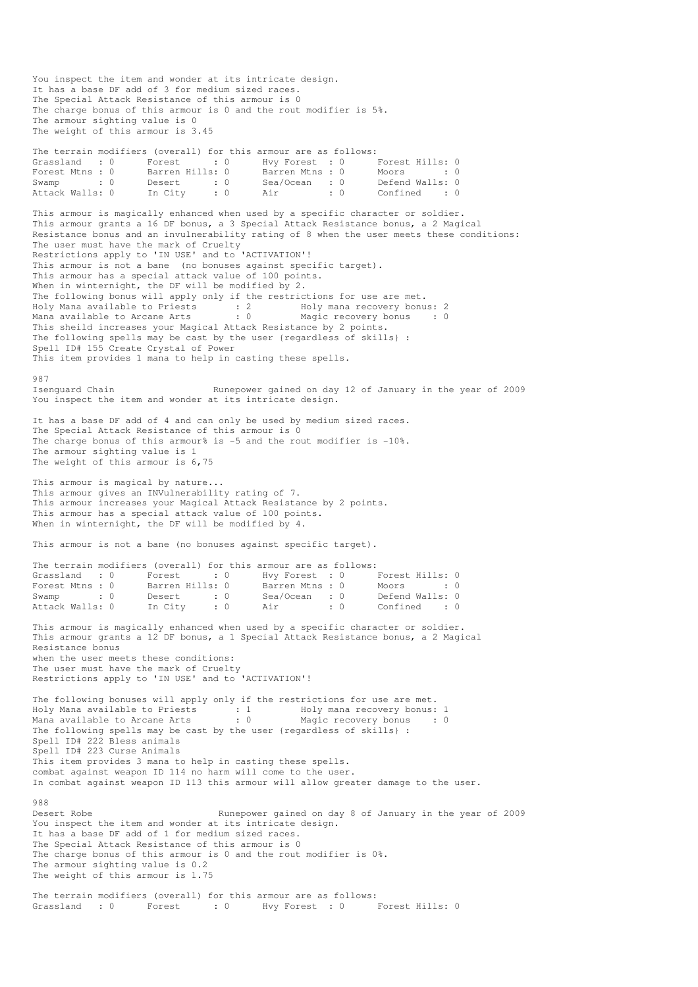You inspect the item and wonder at its intricate design. It has a base DF add of 3 for medium sized races. The Special Attack Resistance of this armour is 0 The charge bonus of this armour is 0 and the rout modifier is 5%. The armour sighting value is 0 The weight of this armour is 3.45 The terrain modifiers (overall) for this armour are as follows: Grassland : 0 Forest : 0 Hvy Forest : 0 Forest Hills: 0 Forest Mtns : 0 Barren Hills: 0 Barren Mtns : 0 Moors : 0 : 0 Swamp : 0 Desert : 0 Sea/Ocean : 0 Defend Walls: 0<br>Attack Walls: 0 In City : 0 Air : 0 Confined : 0 Attack Walls: 0 In City : 0 Air : 0 Confined : 0 This armour is magically enhanced when used by a specific character or soldier. This armour grants a 16 DF bonus, a 3 Special Attack Resistance bonus, a 2 Magical Resistance bonus and an invulnerability rating of 8 when the user meets these conditions: The user must have the mark of Cruelty Restrictions apply to 'IN USE' and to 'ACTIVATION'! This armour is not a bane (no bonuses against specific target). This armour has a special attack value of 100 points. When in winternight, the DF will be modified by 2. The following bonus will apply only if the restrictions for use are met.<br>Holy Mana available to Priests  $\cdot$  2 Holy mana recovery bonus: 2 Holy Mana available to Priests : 2 Holy mana recovery bonus: 2 Mana available to Arcane Arts : 0 Magic recovery bonus : 0 This sheild increases your Magical Attack Resistance by 2 points. The following spells may be cast by the user {regardless of skills} : Spell ID# 155 Create Crystal of Power This item provides 1 mana to help in casting these spells. 987<br>Isenguard Chain Runepower gained on day 12 of January in the year of 2009 You inspect the item and wonder at its intricate design. It has a base DF add of 4 and can only be used by medium sized races. The Special Attack Resistance of this armour is 0 The charge bonus of this armour% is -5 and the rout modifier is -10%. The armour sighting value is 1 The weight of this armour is 6,75 This armour is magical by nature... This armour gives an INVulnerability rating of 7. This armour increases your Magical Attack Resistance by 2 points. This armour has a special attack value of 100 points. When in winternight, the DF will be modified by 4. This armour is not a bane (no bonuses against specific target). The terrain modifiers (overall) for this armour are as follows: Grassland : 0 Forest : 0 Hvy Forest : 0 Forest Hills: 0<br>Forest Mtns : 0 Barren Hills: 0 Barren Mtns : 0 Moors : 0 Forest Mtns : 0 Barren Hills: 0 Barren Mtns : 0 Moors : 0<br>Swamp : 0 Desert : 0 Sea/Ocean : 0 Defend Walls: 0 Desert : 0 Sea/Ocean : 0 Defend Walls: 0 Defend Walls: 0 Defend Walls: 0 Oonfined Attack Walls: 0 In City : 0 Air : 0 Confined : 0 This armour is magically enhanced when used by a specific character or soldier. This armour grants a 12 DF bonus, a 1 Special Attack Resistance bonus, a 2 Magical Resistance bonus when the user meets these conditions: The user must have the mark of Cruelty Restrictions apply to 'IN USE' and to 'ACTIVATION'! The following bonuses will apply only if the restrictions for use are met. Holy Mana available to Priests : 1 Holy mana recovery bonus: 1 Mana available to Arcane Arts : 0 Magic recovery bonus : 0 The following spells may be cast by the user {regardless of skills} : Spell ID# 222 Bless animals Spell ID# 223 Curse Animals This item provides 3 mana to help in casting these spells. combat against weapon ID 114 no harm will come to the user. In combat against weapon ID 113 this armour will allow greater damage to the user. 988<br>Desert Robe Runepower gained on day 8 of January in the year of 2009 You inspect the item and wonder at its intricate design. It has a base DF add of 1 for medium sized races. The Special Attack Resistance of this armour is 0 The charge bonus of this armour is 0 and the rout modifier is 0%. The armour sighting value is 0.2 The weight of this armour is 1.75 The terrain modifiers (overall) for this armour are as follows: Grassland : 0 Forest : 0 Hvy Forest : 0 Forest Hills: 0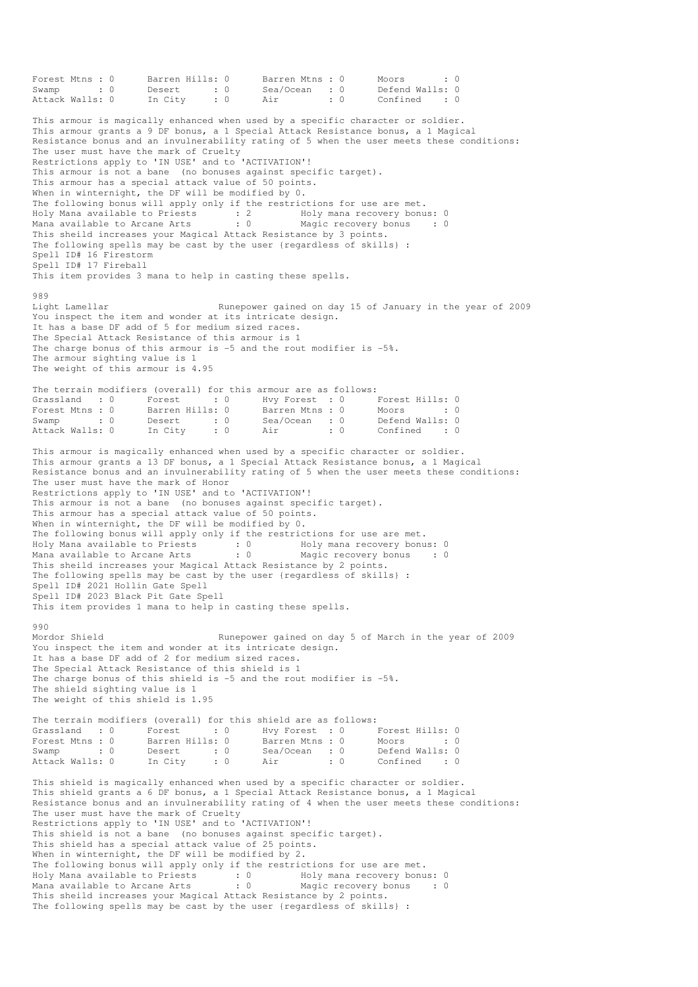```
Forest Mtns : 0 Barren Hills: 0 Barren Mtns : 0 Moors : 0 : 0
Swamp : 0 Desert : 0 Sea/Ocean : 0 Defend Walls: 0 
Attack Walls: 0 In City : 0 Air : 0 Confined : 0
This armour is magically enhanced when used by a specific character or soldier. 
This armour grants a 9 DF bonus, a 1 Special Attack Resistance bonus, a 1 Magical 
Resistance bonus and an invulnerability rating of 5 when the user meets these conditions: 
The user must have the mark of Cruelty 
Restrictions apply to 'IN USE' and to 'ACTIVATION'!
This armour is not a bane (no bonuses against specific target). 
This armour has a special attack value of 50 points. 
When in winternight, the DF will be modified by 0. 
The following bonus will apply only if the restrictions for use are met. 
Holy Mana available to Priests : 2 Holy mana recovery bonus: 0
Mana available to Arcane Arts : 0 Magic recovery bonus : 0
This sheild increases your Magical Attack Resistance by 3 points. 
The following spells may be cast by the user {regardless of skills} : 
Spell ID# 16 Firestorm 
Spell ID# 17 Fireball 
This item provides 3 mana to help in casting these spells. 
989<br>Light Lamellar
                                Runepower gained on day 15 of January in the year of 2009
You inspect the item and wonder at its intricate design.
It has a base DF add of 5 for medium sized races. 
The Special Attack Resistance of this armour is 1 
The charge bonus of this armour is -5 and the rout modifier is -5%. 
The armour sighting value is 1 
The weight of this armour is 4.95 
The terrain modifiers (overall) for this armour are as follows: 
Grassland : 0 Forest : 0 Hvy Forest : 0 Forest Hills: 0
Forest Mtns : 0 Barren Hills: 0 Barren Mtns : 0 Moors : 0 
Forest Mtns : 0 Barren Hills: 0 Barren Mtns : 0 Moors : 0<br>
Swamp : 0 Desert : 0 Sea/Ocean : 0 Defend Walls: 0<br>
Attack Walls: 0 In City : 0 Air : 0 Confined : 0
                                                            confined : 0
This armour is magically enhanced when used by a specific character or soldier. 
This armour grants a 13 DF bonus, a 1 Special Attack Resistance bonus, a 1 Magical 
Resistance bonus and an invulnerability rating of 5 when the user meets these conditions: 
The user must have the mark of Honor 
Restrictions apply to 'IN USE' and to 'ACTIVATION'!
This armour is not a bane (no bonuses against specific target). 
This armour has a special attack value of 50 points. 
When in winternight, the DF will be modified by 0.
The following bonus will apply only if the restrictions for use are met. 
Holy Mana available to Priests : 0 Holy mana recovery bonus: 0 
Mana available to Arcane Arts : 0 Magic recovery bonus : 0
This sheild increases your Magical Attack Resistance by 2 points. 
The following spells may be cast by the user {regardless of skills} : 
Spell ID# 2021 Hollin Gate Spell 
Spell ID# 2023 Black Pit Gate Spell 
This item provides 1 mana to help in casting these spells. 
990 
Mordor Shield Runepower gained on day 5 of March in the year of 2009
You inspect the item and wonder at its intricate design.
It has a base DF add of 2 for medium sized races. 
The Special Attack Resistance of this shield is 1 
The charge bonus of this shield is -5 and the rout modifier is -5%. 
The shield sighting value is 1 
The weight of this shield is 1.95 
The terrain modifiers (overall) for this shield are as follows: 
Grassland : 0 Forest : 0 Hvy Forest : 0 Forest Hills: 0
Forest Mtns : 0 Barren Hills: 0 Barren Mtns : 0 Moors : 0 : 0
Forest Mins : 0 Desert : 0 Desert : 0 Swamp : 0 Desert : 0 Sea/Ocean : 0
Attack Walls: 0 Desert : 0 Sea/Ocean : 0 Defend Walls: 0<br>Attack Walls: 0 In City : 0 Air : 0 Confined : 0
This shield is magically enhanced when used by a specific character or soldier. 
This shield grants a 6 DF bonus, a 1 Special Attack Resistance bonus, a 1 Magical 
Resistance bonus and an invulnerability rating of 4 when the user meets these conditions: 
The user must have the mark of Cruelty
Restrictions apply to 'IN USE' and to 'ACTIVATION'!
This shield is not a bane (no bonuses against specific target). 
This shield has a special attack value of 25 points. 
When in winternight, the DF will be modified by 2. 
The following bonus will apply only if the restrictions for use are met. 
Holy Mana available to Priests : 0 Holy mana recovery bonus: 0
Mana available to Arcane Arts : 0 Magic recovery bonus : 0
This sheild increases your Magical Attack Resistance by 2 points. 
The following spells may be cast by the user {regardless of skills} :
```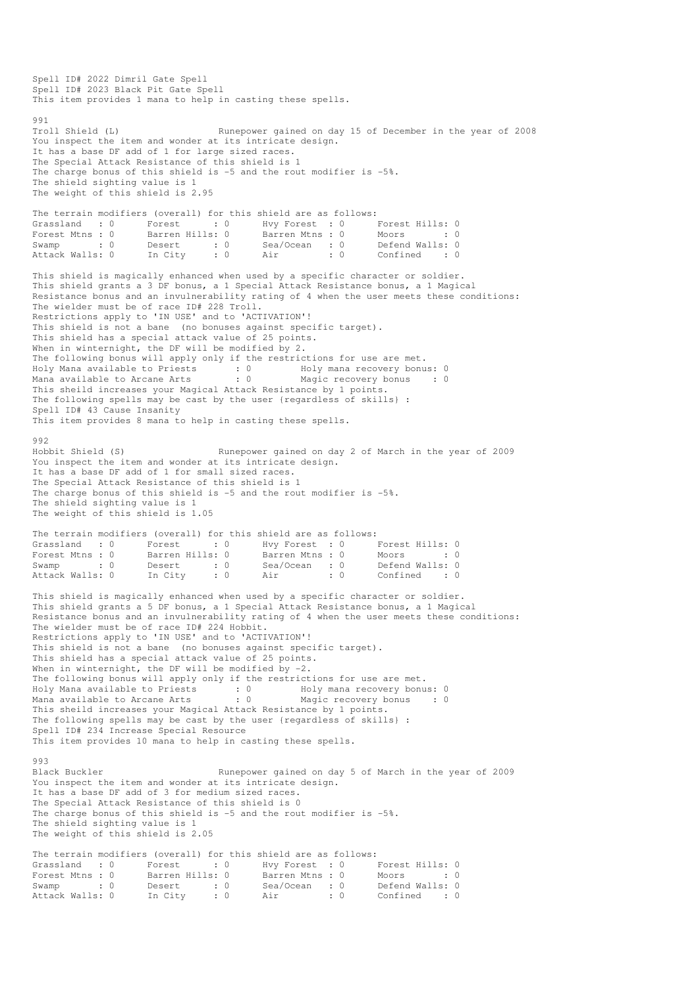Spell ID# 2022 Dimril Gate Spell Spell ID# 2023 Black Pit Gate Spell This item provides 1 mana to help in casting these spells. 991<br>Troll Shield (L) Runepower gained on day 15 of December in the year of 2008 You inspect the item and wonder at its intricate design. It has a base DF add of 1 for large sized races. The Special Attack Resistance of this shield is 1 The charge bonus of this shield is -5 and the rout modifier is -5%. The shield sighting value is 1 The weight of this shield is 2.95 The terrain modifiers (overall) for this shield are as follows:<br>
Grassland : 0 Forest : 0 Hvy Forest : 0<br>
Forest Mtns : 0 Barren Hills: 0 Barren Mtns : 0 Grassland : 0 Forest : 0 Hvy Forest : 0 Forest Hills: 0 Forest Mtns : 0 Barren Hills: 0 Barren Mtns : 0 Moors : 0 : 0 Swamp : 0 Desert : 0 Sea/Ocean : 0 Defend Walls: 0 Attack Walls: 0 In City : 0 Air : 0 Confined : 0 This shield is magically enhanced when used by a specific character or soldier. This shield grants a 3 DF bonus, a 1 Special Attack Resistance bonus, a 1 Magical Resistance bonus and an invulnerability rating of 4 when the user meets these conditions: The wielder must be of race ID# 228 Troll. Restrictions apply to 'IN USE' and to 'ACTIVATION'! This shield is not a bane (no bonuses against specific target). This shield has a special attack value of 25 points. When in winternight, the DF will be modified by 2. The following bonus will apply only if the restrictions for use are met. Holy Mana available to Priests : 0 69 Holy mana recovery bonus: 0 Mana available to Arcane Arts : 0 Magic recovery bonus : 0 This sheild increases your Magical Attack Resistance by 1 points. The following spells may be cast by the user {regardless of skills} : Spell ID# 43 Cause Insanity This item provides 8 mana to help in casting these spells. 992<br>Hobbit Shield (S) Runepower gained on day 2 of March in the year of 2009 You inspect the item and wonder at its intricate design. It has a base DF add of 1 for small sized races. The Special Attack Resistance of this shield is 1 The charge bonus of this shield is -5 and the rout modifier is -5%. The shield sighting value is 1 The weight of this shield is 1.05 The terrain modifiers (overall) for this shield are as follows: Grassland : 0 Forest : 0 Hvy Forest : 0 Forest Hills: 0 Forest Mtns : 0 Barren Hills: 0 Barren Mtns : 0 Moors : 0 : 0 Swamp : 0 Desert : 0 Sea/Ocean : 0 Defend Walls: 0 Attack Walls: 0 In City : 0 Air : 0 Confined : 0 This shield is magically enhanced when used by a specific character or soldier. This shield grants a 5 DF bonus, a 1 Special Attack Resistance bonus, a 1 Magical Resistance bonus and an invulnerability rating of 4 when the user meets these conditions: The wielder must be of race ID# 224 Hobbit. Restrictions apply to 'IN USE' and to 'ACTIVATION'! This shield is not a bane (no bonuses against specific target). This shield has a special attack value of 25 points. When in winternight, the DF will be modified by  $-2$ . The following bonus will apply only if the restrictions for use are met. Holy Mana available to Priests : 0 Holy mana recovery bonus: 0 Mana available to Arcane Arts : 0 Magic recovery bonus : 0 This sheild increases your Magical Attack Resistance by 1 points. The following spells may be cast by the user {regardless of skills} : Spell ID# 234 Increase Special Resource This item provides 10 mana to help in casting these spells. 993 Black Buckler Runepower gained on day 5 of March in the year of 2009 You inspect the item and wonder at its intricate design. It has a base DF add of 3 for medium sized races. The Special Attack Resistance of this shield is 0 The charge bonus of this shield is -5 and the rout modifier is -5%. The shield sighting value is 1 The weight of this shield is 2.05 The terrain modifiers (overall) for this shield are as follows: Grassland : 0 Forest : 0 Hvy Forest : 0 Forest Hills: 0<br>Forest Mtns : 0 Barren Hills: 0 Barren Mtns : 0 Moors : 0 Forest Mtns : 0 Barren Hills: 0 Barren Mtns : 0 Moors : 0 : 0 Swamp : 0 Desert : 0 Sea/Ocean : 0 Defend Walls: 0 Attack Walls: 0 In City : 0 Air : 0 Confined : 0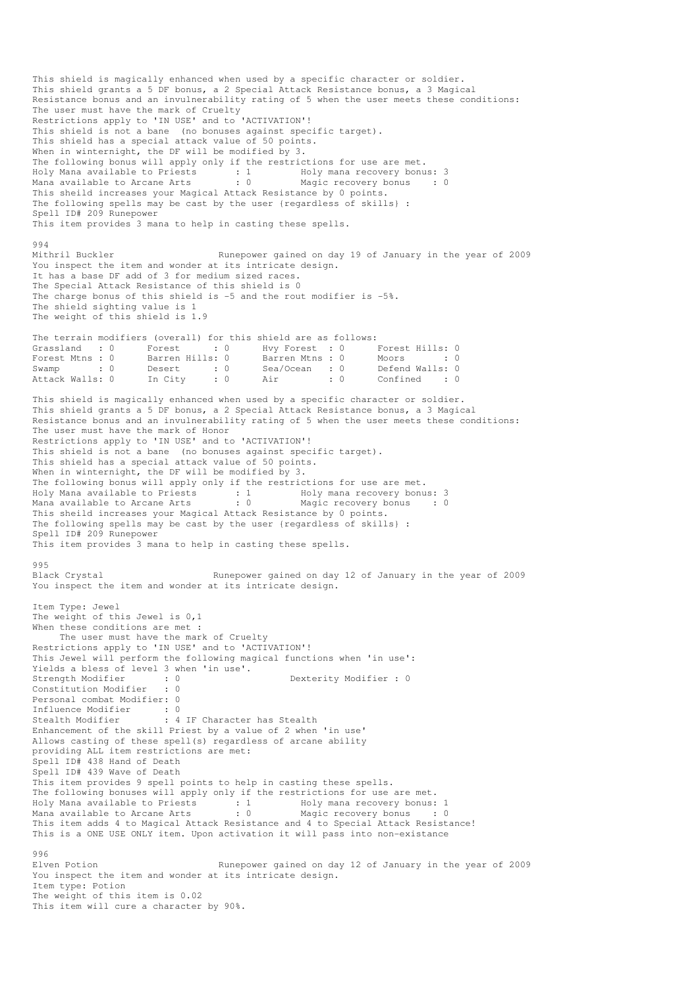This shield is magically enhanced when used by a specific character or soldier. This shield grants a 5 DF bonus, a 2 Special Attack Resistance bonus, a 3 Magical Resistance bonus and an invulnerability rating of 5 when the user meets these conditions: The user must have the mark of Cruelty Restrictions apply to 'IN USE' and to 'ACTIVATION'! This shield is not a bane (no bonuses against specific target). This shield has a special attack value of 50 points. When in winternight, the DF will be modified by 3. The following bonus will apply only if the restrictions for use are met.<br>Holy Mana available to Priests : 1 Holy mana recovery bonus: 3  $Holy$  Mana available to Priests : 1 Mana available to Arcane Arts : 0 Magic recovery bonus : 0 This sheild increases your Magical Attack Resistance by 0 points. The following spells may be cast by the user {regardless of skills} : Spell ID# 209 Runepower This item provides 3 mana to help in casting these spells. 994<br>Mithril Buckler Runepower gained on day 19 of January in the year of 2009 You inspect the item and wonder at its intricate design. It has a base DF add of 3 for medium sized races. The Special Attack Resistance of this shield is 0 The charge bonus of this shield is -5 and the rout modifier is -5%. The shield sighting value is 1 The weight of this shield is 1.9 The terrain modifiers (overall) for this shield are as follows: Grassland : 0 Forest : 0 Hvy Forest : 0 Forest Hills: 0 Forest Mtns : 0 Barren Hills: 0 Barren Mtns : 0 Moors : 0 : 0 Swamp : 0 Desert : 0 Sea/Ocean : 0 Defend Walls: 0 Attack Walls: 0 In City : 0 Air : 0 Confined : 0 This shield is magically enhanced when used by a specific character or soldier. This shield grants a 5 DF bonus, a 2 Special Attack Resistance bonus, a 3 Magical Resistance bonus and an invulnerability rating of 5 when the user meets these conditions: The user must have the mark of Honor Restrictions apply to 'IN USE' and to 'ACTIVATION'! This shield is not a bane (no bonuses against specific target). This shield has a special attack value of 50 points. When in winternight, the DF will be modified by 3. The following bonus will apply only if the restrictions for use are met. Holy Mana available to Priests : 1 Holy mana recovery bonus: 3 Mana available to Arcane Arts : 0 Magic recovery bonus : 0 This sheild increases your Magical Attack Resistance by 0 points. The following spells may be cast by the user {regardless of skills} : Spell ID# 209 Runepower This item provides 3 mana to help in casting these spells. 995<br>Black Crystal Runepower gained on day 12 of January in the year of 2009 You inspect the item and wonder at its intricate design. Item Type: Jewel The weight of this Jewel is 0,1 When these conditions are met : The user must have the mark of Cruelty Restrictions apply to 'IN USE' and to 'ACTIVATION'! This Jewel will perform the following magical functions when 'in use': Yields a bless of level 3 when 'in use'. Strength Modifier : 0 0 Dexterity Modifier : 0 Constitution Modifier : 0 Personal combat Modifier: 0 Influence Modifier : 0 Stealth Modifier : 4 IF Character has Stealth Enhancement of the skill Priest by a value of 2 when 'in use' Allows casting of these spell(s) regardless of arcane ability providing ALL item restrictions are met: Spell ID# 438 Hand of Death Spell ID# 439 Wave of Death This item provides 9 spell points to help in casting these spells. The following bonuses will apply only if the restrictions for use are met.<br>Holy Mana available to Priests : 1 Holy mana recovery bonus: Holy Mana recovery bonus: 1 1 - 2001 - Holy mana recovery bonus: 1<br>1 : 0 1 - Magic recovery bonus: 1<br>1 : 0 1 - Magic recovery bonus Mana available to Arcane Arts This item adds 4 to Magical Attack Resistance and 4 to Special Attack Resistance! This is a ONE USE ONLY item. Upon activation it will pass into non-existance 996 Elven Potion Runepower gained on day 12 of January in the year of 2009 You inspect the item and wonder at its intricate design. Item type: Potion The weight of this item is 0.02

This item will cure a character by 90%.